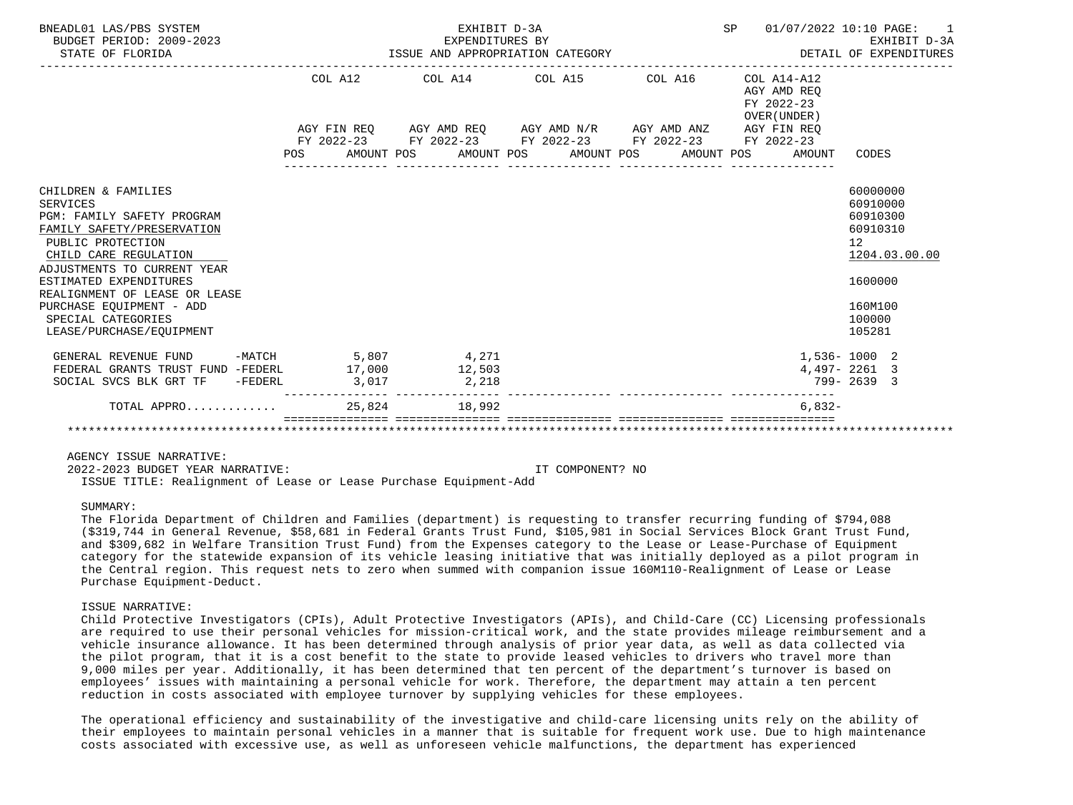| BNEADL01 LAS/PBS SYSTEM<br>BUDGET PERIOD: 2009-2023<br>STATE OF FLORIDA                                                                                                                                                                                                                                           | EXHIBIT D-3A<br>EXPENDITURES BY<br>EXPENDITURES BY<br>ISSUE AND APPROPRIATION CATEGORY                    | SP 01/07/2022 10:10 PAGE: 1 | EXHIBIT D-3A<br>DETAIL OF EXPENDITURES                      |                                                                                                               |
|-------------------------------------------------------------------------------------------------------------------------------------------------------------------------------------------------------------------------------------------------------------------------------------------------------------------|-----------------------------------------------------------------------------------------------------------|-----------------------------|-------------------------------------------------------------|---------------------------------------------------------------------------------------------------------------|
|                                                                                                                                                                                                                                                                                                                   | COL A12 COL A14 COL A15 COL A16                                                                           |                             | $COL A14- A12$<br>AGY AMD REO<br>FY 2022-23<br>OVER (UNDER) |                                                                                                               |
|                                                                                                                                                                                                                                                                                                                   | AGY FIN REQ AGY AMD REQ AGY AMD N/R AGY AMD ANZ AGY FIN REQ                                               |                             |                                                             |                                                                                                               |
|                                                                                                                                                                                                                                                                                                                   | FY 2022-23 FY 2022-23 FY 2022-23 FY 2022-23 FY 2022-23<br>POS AMOUNT POS AMOUNT POS AMOUNT POS AMOUNT POS |                             | AMOUNT                                                      | CODES                                                                                                         |
| CHILDREN & FAMILIES<br>SERVICES<br>PGM: FAMILY SAFETY PROGRAM<br>FAMILY SAFETY/PRESERVATION<br>PUBLIC PROTECTION<br>CHILD CARE REGULATION<br>ADJUSTMENTS TO CURRENT YEAR<br>ESTIMATED EXPENDITURES<br>REALIGNMENT OF LEASE OR LEASE<br>PURCHASE EOUIPMENT - ADD<br>SPECIAL CATEGORIES<br>LEASE/PURCHASE/EOUIPMENT |                                                                                                           |                             |                                                             | 60000000<br>60910000<br>60910300<br>60910310<br>12<br>1204.03.00.00<br>1600000<br>160M100<br>100000<br>105281 |
| GENERAL REVENUE FUND -MATCH 5,807 4,271<br>FEDERAL GRANTS TRUST FUND -FEDERL 17,000 12,503<br>SOCIAL SVCS BLK GRT TF -FEDERL 3,017 3.218                                                                                                                                                                          |                                                                                                           |                             |                                                             | 1,536-1000 2<br>$4,497 - 2261$ 3<br>799-2639 3                                                                |
| TOTAL APPRO                                                                                                                                                                                                                                                                                                       | 25,824 18,992                                                                                             |                             | $6.832-$                                                    |                                                                                                               |
|                                                                                                                                                                                                                                                                                                                   |                                                                                                           |                             |                                                             |                                                                                                               |

 2022-2023 BUDGET YEAR NARRATIVE: IT COMPONENT? NO ISSUE TITLE: Realignment of Lease or Lease Purchase Equipment-Add

SUMMARY:

 The Florida Department of Children and Families (department) is requesting to transfer recurring funding of \$794,088 (\$319,744 in General Revenue, \$58,681 in Federal Grants Trust Fund, \$105,981 in Social Services Block Grant Trust Fund, and \$309,682 in Welfare Transition Trust Fund) from the Expenses category to the Lease or Lease-Purchase of Equipment category for the statewide expansion of its vehicle leasing initiative that was initially deployed as a pilot program in the Central region. This request nets to zero when summed with companion issue 160M110-Realignment of Lease or Lease Purchase Equipment-Deduct.

# ISSUE NARRATIVE:

 Child Protective Investigators (CPIs), Adult Protective Investigators (APIs), and Child-Care (CC) Licensing professionals are required to use their personal vehicles for mission-critical work, and the state provides mileage reimbursement and a vehicle insurance allowance. It has been determined through analysis of prior year data, as well as data collected via the pilot program, that it is a cost benefit to the state to provide leased vehicles to drivers who travel more than 9,000 miles per year. Additionally, it has been determined that ten percent of the department's turnover is based on employees' issues with maintaining a personal vehicle for work. Therefore, the department may attain a ten percent reduction in costs associated with employee turnover by supplying vehicles for these employees.

 The operational efficiency and sustainability of the investigative and child-care licensing units rely on the ability of their employees to maintain personal vehicles in a manner that is suitable for frequent work use. Due to high maintenance costs associated with excessive use, as well as unforeseen vehicle malfunctions, the department has experienced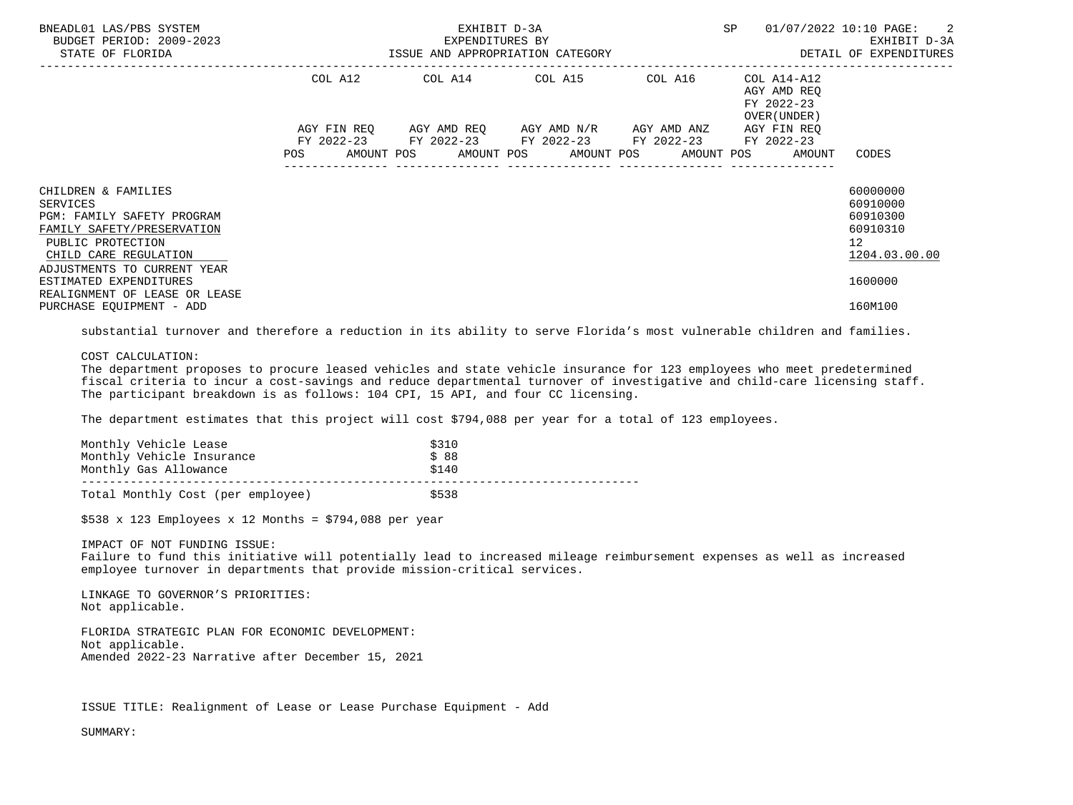| BNEADL01 LAS/PBS SYSTEM<br>BUDGET PERIOD: 2009-2023<br>STATE OF FLORIDA                                                                                                                                                                                                | EXHIBIT D-3A<br>EXPENDITURES BY | SP<br>ISSUE AND APPROPRIATION CATEGORY <b>Example 20 FOR ALICE AND APPROPRIATION</b> CATEGORY             | 01/07/2022 10:10 PAGE: 2<br>EXHIBIT D-3A |                                                                       |                                                                                           |
|------------------------------------------------------------------------------------------------------------------------------------------------------------------------------------------------------------------------------------------------------------------------|---------------------------------|-----------------------------------------------------------------------------------------------------------|------------------------------------------|-----------------------------------------------------------------------|-------------------------------------------------------------------------------------------|
|                                                                                                                                                                                                                                                                        |                                 | COL A12 COL A14 COL A15 COL A16                                                                           |                                          | COL A14-A12<br>AGY AMD REO<br>FY 2022-23<br>OVER (UNDER )             |                                                                                           |
|                                                                                                                                                                                                                                                                        |                                 | AGY FIN REO AGY AMD REO AGY AMD N/R AGY AMD ANZ<br>FY 2022-23 FY 2022-23 FY 2022-23 FY 2022-23 FY 2022-23 |                                          | AGY FIN REO<br>POS AMOUNT POS AMOUNT POS AMOUNT POS AMOUNT POS AMOUNT | CODES                                                                                     |
| CHILDREN & FAMILIES<br>SERVICES<br><b>PGM: FAMILY SAFETY PROGRAM</b><br>FAMILY SAFETY/PRESERVATION<br>PUBLIC PROTECTION<br>CHILD CARE REGULATION<br>ADJUSTMENTS TO CURRENT YEAR<br>ESTIMATED EXPENDITURES<br>REALIGNMENT OF LEASE OR LEASE<br>PURCHASE EQUIPMENT - ADD |                                 |                                                                                                           |                                          |                                                                       | 60000000<br>60910000<br>60910300<br>60910310<br>12<br>1204.03.00.00<br>1600000<br>160M100 |

substantial turnover and therefore a reduction in its ability to serve Florida's most vulnerable children and families.

# COST CALCULATION:

 The department proposes to procure leased vehicles and state vehicle insurance for 123 employees who meet predetermined fiscal criteria to incur a cost-savings and reduce departmental turnover of investigative and child-care licensing staff. The participant breakdown is as follows: 104 CPI, 15 API, and four CC licensing.

The department estimates that this project will cost \$794,088 per year for a total of 123 employees.

| Monthly Vehicle Lease<br>Monthly Vehicle Insurance | \$310<br>\$88 |  |
|----------------------------------------------------|---------------|--|
| Monthly Gas Allowance                              | \$140         |  |
| Total Monthly Cost (per employee)                  | \$538         |  |

 $$538 \times 123$  Employees x 12 Months = \$794,088 per year

IMPACT OF NOT FUNDING ISSUE:

 Failure to fund this initiative will potentially lead to increased mileage reimbursement expenses as well as increased employee turnover in departments that provide mission-critical services.

 LINKAGE TO GOVERNOR'S PRIORITIES: Not applicable.

 FLORIDA STRATEGIC PLAN FOR ECONOMIC DEVELOPMENT: Not applicable. Amended 2022-23 Narrative after December 15, 2021

ISSUE TITLE: Realignment of Lease or Lease Purchase Equipment - Add

SUMMARY: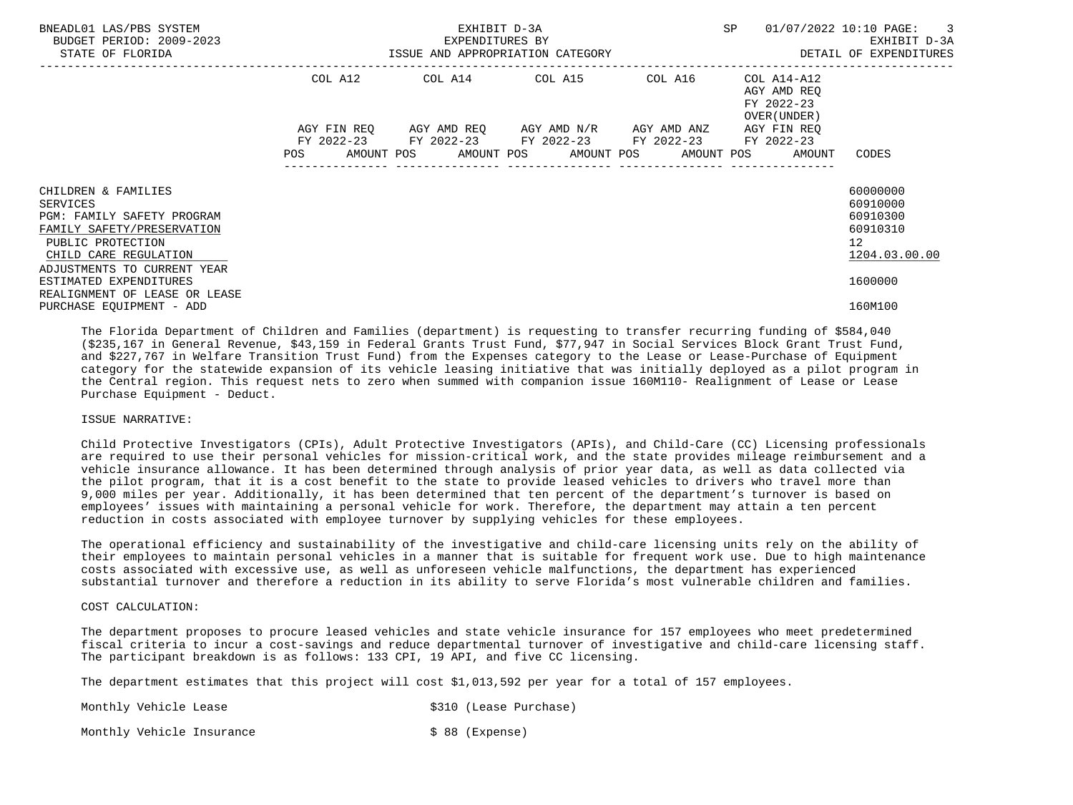| BNEADL01 LAS/PBS SYSTEM<br>BUDGET PERIOD: 2009-2023<br>STATE OF FLORIDA                                                                                                  | ISSUE AND APPROPRIATION CATEGORY | SP                                                                                                                                                   | 01/07/2022 10:10 PAGE:<br>$\overline{\phantom{a}}$ 3<br>EXHIBIT D-3A<br>DETAIL OF EXPENDITURES |                                           |                                                                                  |
|--------------------------------------------------------------------------------------------------------------------------------------------------------------------------|----------------------------------|------------------------------------------------------------------------------------------------------------------------------------------------------|------------------------------------------------------------------------------------------------|-------------------------------------------|----------------------------------------------------------------------------------|
|                                                                                                                                                                          | COL A12                          |                                                                                                                                                      |                                                                                                | AGY AMD REQ<br>FY 2022-23<br>OVER (UNDER) |                                                                                  |
|                                                                                                                                                                          | <b>POS</b>                       | AGY FIN REQ 6GY AMD REQ 6GY AMD N/R 6GY AMD ANZ<br>FY 2022-23 FY 2022-23 FY 2022-23 FY 2022-23<br>AMOUNT POS AMOUNT POS AMOUNT POS AMOUNT POS AMOUNT |                                                                                                | AGY FIN REO<br>FY 2022-23                 | CODES                                                                            |
| CHILDREN & FAMILIES<br>SERVICES<br>PGM: FAMILY SAFETY PROGRAM<br>FAMILY SAFETY/PRESERVATION<br>PUBLIC PROTECTION<br>CHILD CARE REGULATION<br>ADJUSTMENTS TO CURRENT YEAR |                                  |                                                                                                                                                      |                                                                                                |                                           | 60000000<br>60910000<br>60910300<br>60910310<br>12 <sup>°</sup><br>1204.03.00.00 |
| ESTIMATED EXPENDITURES<br>REALIGNMENT OF LEASE OR LEASE<br>PURCHASE EQUIPMENT - ADD                                                                                      |                                  |                                                                                                                                                      |                                                                                                |                                           | 1600000<br>160M100                                                               |

 The Florida Department of Children and Families (department) is requesting to transfer recurring funding of \$584,040 (\$235,167 in General Revenue, \$43,159 in Federal Grants Trust Fund, \$77,947 in Social Services Block Grant Trust Fund, and \$227,767 in Welfare Transition Trust Fund) from the Expenses category to the Lease or Lease-Purchase of Equipment category for the statewide expansion of its vehicle leasing initiative that was initially deployed as a pilot program in the Central region. This request nets to zero when summed with companion issue 160M110- Realignment of Lease or Lease Purchase Equipment - Deduct.

#### ISSUE NARRATIVE:

 Child Protective Investigators (CPIs), Adult Protective Investigators (APIs), and Child-Care (CC) Licensing professionals are required to use their personal vehicles for mission-critical work, and the state provides mileage reimbursement and a vehicle insurance allowance. It has been determined through analysis of prior year data, as well as data collected via the pilot program, that it is a cost benefit to the state to provide leased vehicles to drivers who travel more than 9,000 miles per year. Additionally, it has been determined that ten percent of the department's turnover is based on employees' issues with maintaining a personal vehicle for work. Therefore, the department may attain a ten percent reduction in costs associated with employee turnover by supplying vehicles for these employees.

 The operational efficiency and sustainability of the investigative and child-care licensing units rely on the ability of their employees to maintain personal vehicles in a manner that is suitable for frequent work use. Due to high maintenance costs associated with excessive use, as well as unforeseen vehicle malfunctions, the department has experienced substantial turnover and therefore a reduction in its ability to serve Florida's most vulnerable children and families.

#### COST CALCULATION:

 The department proposes to procure leased vehicles and state vehicle insurance for 157 employees who meet predetermined fiscal criteria to incur a cost-savings and reduce departmental turnover of investigative and child-care licensing staff. The participant breakdown is as follows: 133 CPI, 19 API, and five CC licensing.

The department estimates that this project will cost \$1,013,592 per year for a total of 157 employees.

Monthly Vehicle Lease  $\sim$  \$310 (Lease Purchase)

Monthly Vehicle Insurance  $\sim$  \$ 88 (Expense)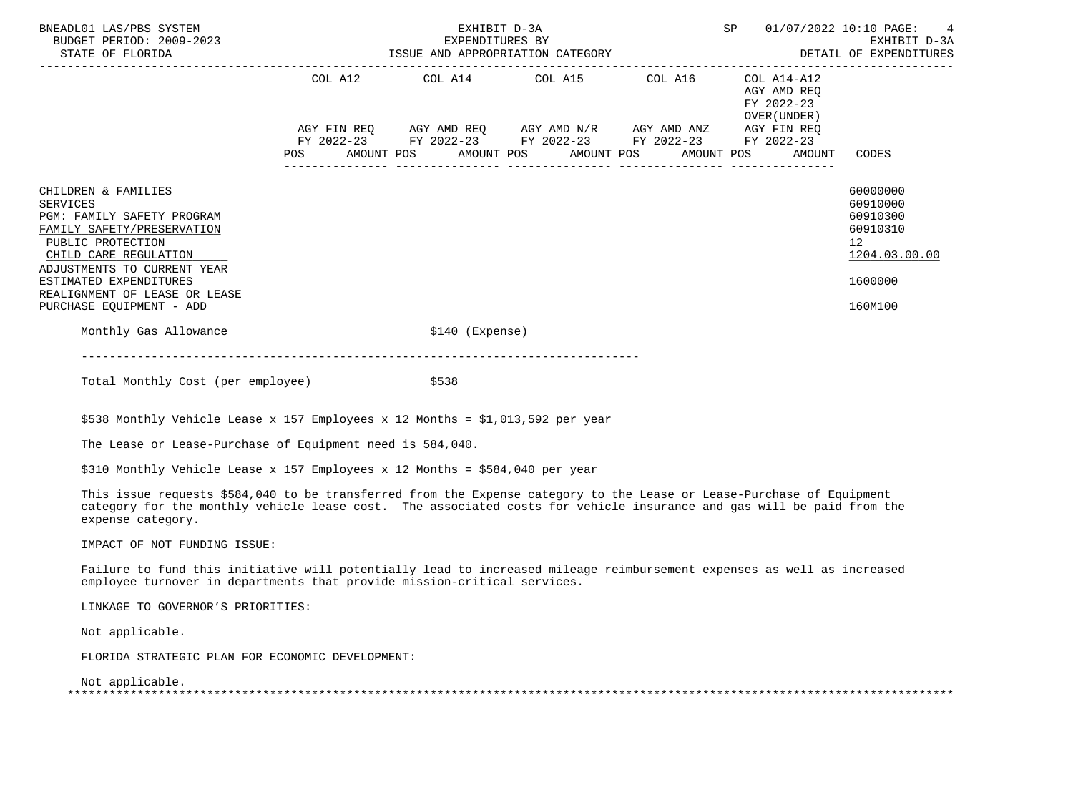| BNEADL01 LAS/PBS SYSTEM<br>BUDGET PERIOD: 2009-2023<br>STATE OF FLORIDA                                                                                                                                                                                         | SP<br>EXHIBIT D-3A<br>EXPENDITURES BY |  |  |                  |                                                                                                                                                                                 |  |  |                                                          |  | 01/07/2022 10:10 PAGE: 4<br>EXHIBIT D-3A                                                  |
|-----------------------------------------------------------------------------------------------------------------------------------------------------------------------------------------------------------------------------------------------------------------|---------------------------------------|--|--|------------------|---------------------------------------------------------------------------------------------------------------------------------------------------------------------------------|--|--|----------------------------------------------------------|--|-------------------------------------------------------------------------------------------|
|                                                                                                                                                                                                                                                                 |                                       |  |  |                  | COL A12 COL A14 COL A15 COL A16                                                                                                                                                 |  |  | COL A14-A12<br>AGY AMD REO<br>FY 2022-23<br>OVER (UNDER) |  |                                                                                           |
|                                                                                                                                                                                                                                                                 |                                       |  |  |                  | AGY FIN REQ AGY AMD REQ AGY AMD N/R AGY AMD ANZ AGY FIN REQ<br>FY 2022-23 FY 2022-23 FY 2022-23 FY 2022-23 FY 2022-23<br>POS AMOUNT POS AMOUNT POS AMOUNT POS AMOUNT POS AMOUNT |  |  |                                                          |  | CODES                                                                                     |
| CHILDREN & FAMILIES<br>SERVICES<br>PGM: FAMILY SAFETY PROGRAM<br>FAMILY SAFETY/PRESERVATION<br>PUBLIC PROTECTION<br>CHILD CARE REGULATION<br>ADJUSTMENTS TO CURRENT YEAR<br>ESTIMATED EXPENDITURES<br>REALIGNMENT OF LEASE OR LEASE<br>PURCHASE EQUIPMENT - ADD |                                       |  |  |                  |                                                                                                                                                                                 |  |  |                                                          |  | 60000000<br>60910000<br>60910300<br>60910310<br>12<br>1204.03.00.00<br>1600000<br>160M100 |
| Monthly Gas Allowance                                                                                                                                                                                                                                           |                                       |  |  | $$140$ (Expense) |                                                                                                                                                                                 |  |  |                                                          |  |                                                                                           |
|                                                                                                                                                                                                                                                                 |                                       |  |  |                  |                                                                                                                                                                                 |  |  |                                                          |  |                                                                                           |

Total Monthly Cost (per employee)  $$538$ 

\$538 Monthly Vehicle Lease x 157 Employees x 12 Months = \$1,013,592 per year

The Lease or Lease-Purchase of Equipment need is 584,040.

\$310 Monthly Vehicle Lease x 157 Employees x 12 Months = \$584,040 per year

 This issue requests \$584,040 to be transferred from the Expense category to the Lease or Lease-Purchase of Equipment category for the monthly vehicle lease cost. The associated costs for vehicle insurance and gas will be paid from the expense category.

IMPACT OF NOT FUNDING ISSUE:

 Failure to fund this initiative will potentially lead to increased mileage reimbursement expenses as well as increased employee turnover in departments that provide mission-critical services.

LINKAGE TO GOVERNOR'S PRIORITIES:

Not applicable.

FLORIDA STRATEGIC PLAN FOR ECONOMIC DEVELOPMENT:

Not applicable.

| -- |  |
|----|--|
|    |  |
|    |  |
|    |  |
|    |  |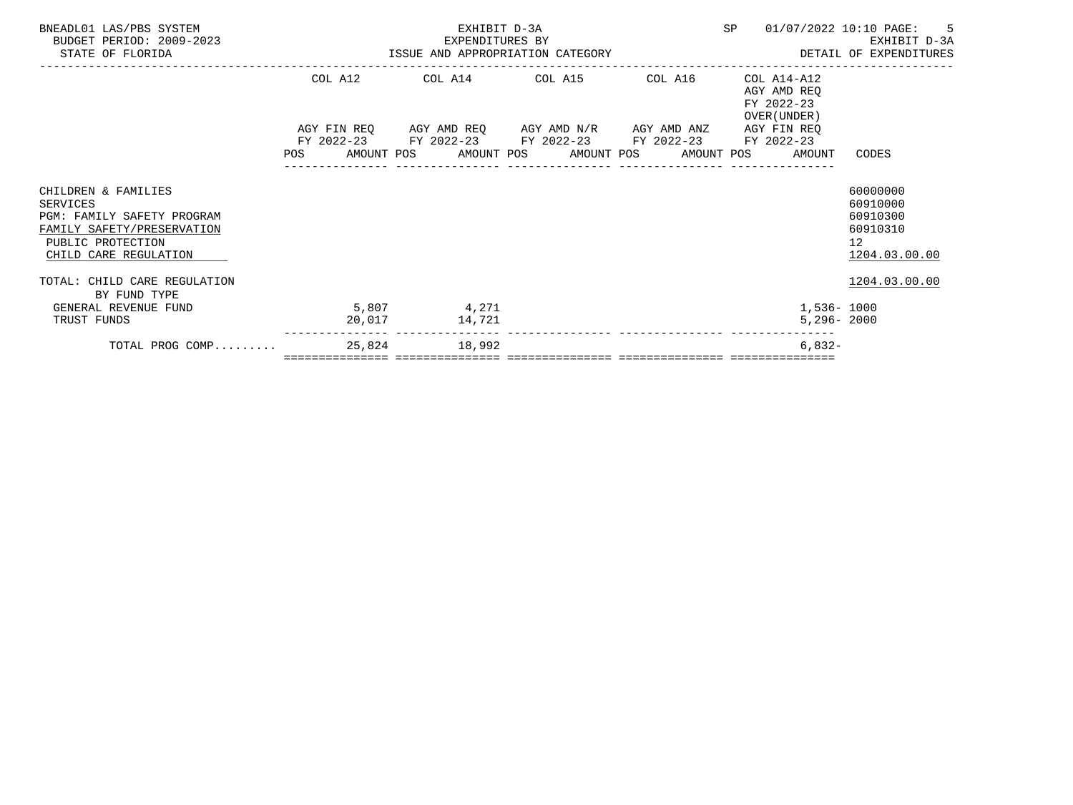| BNEADL01 LAS/PBS SYSTEM<br>BUDGET PERIOD: 2009-2023<br>STATE OF FLORIDA                                                                   | EXHIBIT D-3A<br>84-1 EXPENDITURES BY کا EXPENDITURES BY کا تا است کا است کا تا کردہ کر دی کر اور است کا کہا تا ہے۔<br>ISSUE AND APPROPRIATION CATEGORY کا کہنا کہ کا کہنا کہ کا کہنا کہ کا کہنا کہ اس کا کہنا کہ کہ کہ کہ کہ کہ کہ ک |  |                                 |               |  |                                                                                                                       |  |  |  |                                                              | SP 01/07/2022 10:10 PAGE: 5                                                      |
|-------------------------------------------------------------------------------------------------------------------------------------------|--------------------------------------------------------------------------------------------------------------------------------------------------------------------------------------------------------------------------------------|--|---------------------------------|---------------|--|-----------------------------------------------------------------------------------------------------------------------|--|--|--|--------------------------------------------------------------|----------------------------------------------------------------------------------|
|                                                                                                                                           |                                                                                                                                                                                                                                      |  | COL A12 COL A14 COL A15 COL A16 |               |  |                                                                                                                       |  |  |  | COL A14-A12<br>AGY AMD REO<br>FY 2022-23<br>OVER (UNDER )    |                                                                                  |
|                                                                                                                                           |                                                                                                                                                                                                                                      |  |                                 |               |  | AGY FIN REQ AGY AMD REQ AGY AMD N/R AGY AMD ANZ AGY FIN REQ<br>FY 2022-23 FY 2022-23 FY 2022-23 FY 2022-23 FY 2022-23 |  |  |  | POS AMOUNT POS AMOUNT POS AMOUNT POS AMOUNT POS AMOUNT CODES |                                                                                  |
| CHILDREN & FAMILIES<br>SERVICES<br>PGM: FAMILY SAFETY PROGRAM<br>FAMILY SAFETY/PRESERVATION<br>PUBLIC PROTECTION<br>CHILD CARE REGULATION |                                                                                                                                                                                                                                      |  |                                 |               |  |                                                                                                                       |  |  |  |                                                              | 60000000<br>60910000<br>60910300<br>60910310<br>12 <sup>7</sup><br>1204.03.00.00 |
| TOTAL: CHILD CARE REGULATION<br>BY FUND TYPE                                                                                              |                                                                                                                                                                                                                                      |  |                                 |               |  |                                                                                                                       |  |  |  |                                                              | 1204.03.00.00                                                                    |
| $5,807$ 4,271<br>GENERAL REVENUE FUND<br>TRUST FUNDS                                                                                      |                                                                                                                                                                                                                                      |  |                                 | 20,017 14,721 |  |                                                                                                                       |  |  |  | 1,536- 1000<br>$5,296 - 2000$                                |                                                                                  |
| TOTAL PROG COMP 25,824 18,992                                                                                                             |                                                                                                                                                                                                                                      |  |                                 |               |  |                                                                                                                       |  |  |  | $6.832 -$                                                    |                                                                                  |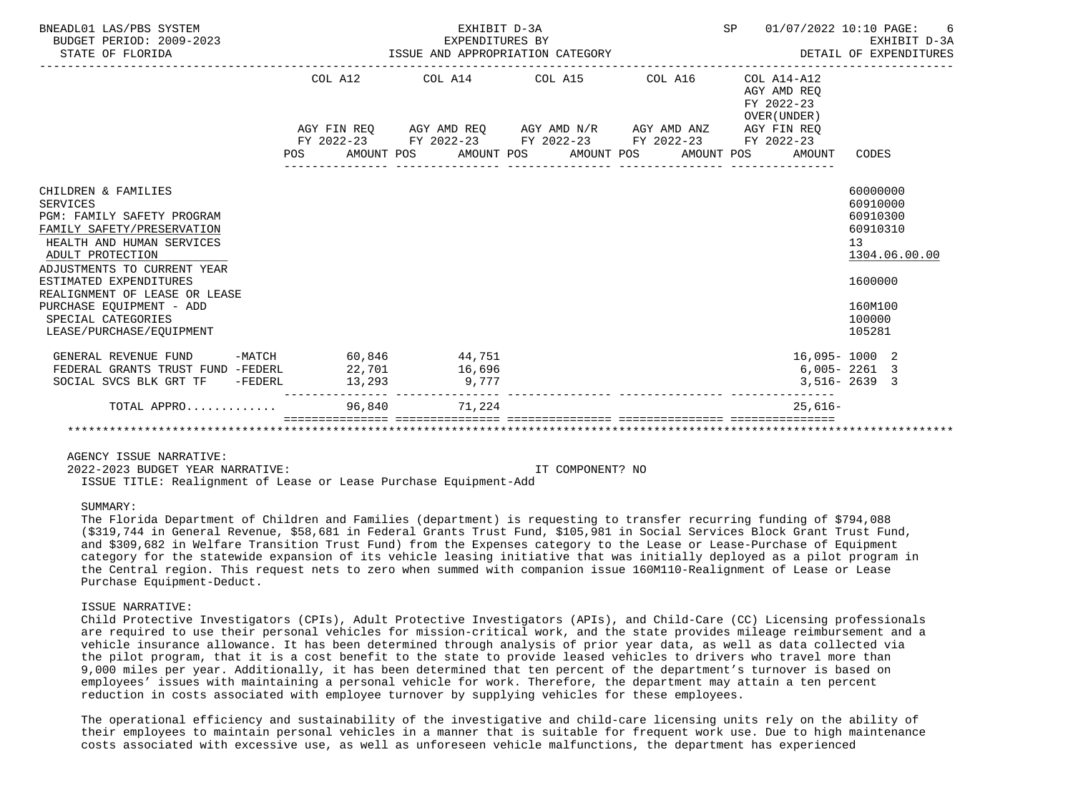| BNEADL01 LAS/PBS SYSTEM<br>BUDGET PERIOD: 2009-2023<br>STATE OF FLORIDA                                                            | EXPENDITURES BY<br>ISSUE AND APPROPRIATION CATEGORY |                  |                                      | SP 01/07/2022 10:10 PAGE:<br>-6<br>EXHIBIT D-3A<br>DETAIL OF EXPENDITURES |                                                             |           |                                                       |
|------------------------------------------------------------------------------------------------------------------------------------|-----------------------------------------------------|------------------|--------------------------------------|---------------------------------------------------------------------------|-------------------------------------------------------------|-----------|-------------------------------------------------------|
|                                                                                                                                    |                                                     |                  |                                      | COL A12 COL A14 COL A15 COL A16                                           | $COL A14- A12$<br>AGY AMD REO<br>FY 2022-23<br>OVER (UNDER) |           |                                                       |
|                                                                                                                                    |                                                     |                  |                                      | AGY FIN REQ AGY AMD REQ AGY AMD N/R AGY AMD ANZ AGY FIN REQ               |                                                             |           |                                                       |
|                                                                                                                                    |                                                     |                  | POS AMOUNT POS AMOUNT POS AMOUNT POS | FY 2022-23 FY 2022-23 FY 2022-23 FY 2022-23 FY 2022-23                    | AMOUNT POS                                                  | AMOUNT    | CODES                                                 |
| CHILDREN & FAMILIES<br>SERVICES<br>PGM: FAMILY SAFETY PROGRAM<br>FAMILY SAFETY/PRESERVATION<br>HEALTH AND HUMAN SERVICES           |                                                     |                  |                                      |                                                                           |                                                             |           | 60000000<br>60910000<br>60910300<br>60910310<br>13    |
| ADULT PROTECTION<br>ADJUSTMENTS TO CURRENT YEAR<br>ESTIMATED EXPENDITURES<br>REALIGNMENT OF LEASE OR LEASE                         |                                                     |                  |                                      |                                                                           |                                                             |           | 1304.06.00.00<br>1600000                              |
| PURCHASE EQUIPMENT - ADD<br>SPECIAL CATEGORIES<br>LEASE/PURCHASE/EOUIPMENT                                                         |                                                     |                  |                                      |                                                                           |                                                             |           | 160M100<br>100000<br>105281                           |
| GENERAL REVENUE FUND -MATCH 60,846<br>FEDERAL GRANTS TRUST FUND -FEDERL 22,701<br>SOCIAL SVCS BLK GRT TF $-$ FEDERL 13, 293 9, 777 |                                                     | 44,751<br>16,696 |                                      |                                                                           |                                                             |           | 16,095-1000 2<br>$6,005 - 2261$ 3<br>$3,516 - 2639$ 3 |
| TOTAL APPRO $\ldots \ldots \ldots$                                                                                                 |                                                     |                  |                                      |                                                                           |                                                             | $25,616-$ |                                                       |
|                                                                                                                                    |                                                     |                  |                                      |                                                                           |                                                             |           |                                                       |

 2022-2023 BUDGET YEAR NARRATIVE: IT COMPONENT? NO ISSUE TITLE: Realignment of Lease or Lease Purchase Equipment-Add

SUMMARY:

 The Florida Department of Children and Families (department) is requesting to transfer recurring funding of \$794,088 (\$319,744 in General Revenue, \$58,681 in Federal Grants Trust Fund, \$105,981 in Social Services Block Grant Trust Fund, and \$309,682 in Welfare Transition Trust Fund) from the Expenses category to the Lease or Lease-Purchase of Equipment category for the statewide expansion of its vehicle leasing initiative that was initially deployed as a pilot program in the Central region. This request nets to zero when summed with companion issue 160M110-Realignment of Lease or Lease Purchase Equipment-Deduct.

#### ISSUE NARRATIVE:

 Child Protective Investigators (CPIs), Adult Protective Investigators (APIs), and Child-Care (CC) Licensing professionals are required to use their personal vehicles for mission-critical work, and the state provides mileage reimbursement and a vehicle insurance allowance. It has been determined through analysis of prior year data, as well as data collected via the pilot program, that it is a cost benefit to the state to provide leased vehicles to drivers who travel more than 9,000 miles per year. Additionally, it has been determined that ten percent of the department's turnover is based on employees' issues with maintaining a personal vehicle for work. Therefore, the department may attain a ten percent reduction in costs associated with employee turnover by supplying vehicles for these employees.

 The operational efficiency and sustainability of the investigative and child-care licensing units rely on the ability of their employees to maintain personal vehicles in a manner that is suitable for frequent work use. Due to high maintenance costs associated with excessive use, as well as unforeseen vehicle malfunctions, the department has experienced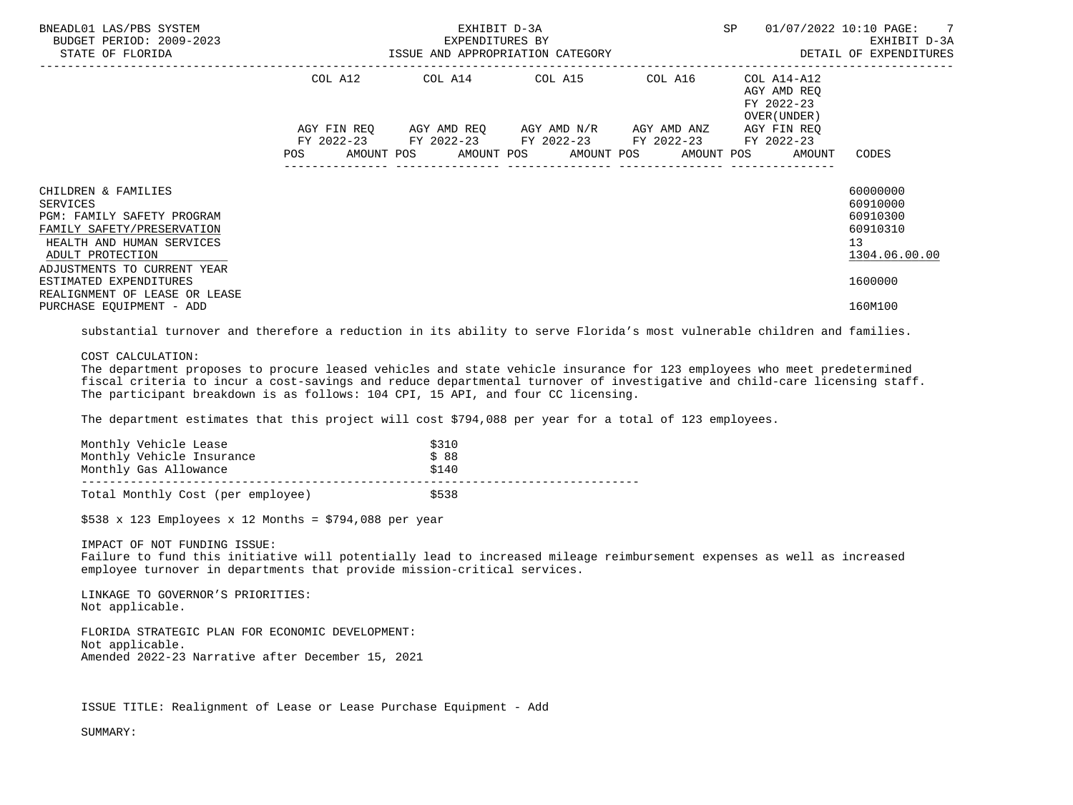| BNEADL01 LAS/PBS SYSTEM<br>BUDGET PERIOD: 2009-2023<br>STATE OF FLORIDA                                                                                                                                      |            | EXHIBIT D-3A<br>EXPENDITURES BY | SP                                                                                             | 01/07/2022 10:10 PAGE: 7<br>EXHIBIT D-3A<br>ISSUE AND APPROPRIATION CATEGORY <b>ALL SECONS</b> DETAIL OF EXPENDITURES |                                                                                 |                                                                                |
|--------------------------------------------------------------------------------------------------------------------------------------------------------------------------------------------------------------|------------|---------------------------------|------------------------------------------------------------------------------------------------|-----------------------------------------------------------------------------------------------------------------------|---------------------------------------------------------------------------------|--------------------------------------------------------------------------------|
|                                                                                                                                                                                                              |            |                                 | COL A12 COL A14 COL A15 COL A16                                                                |                                                                                                                       | COL A14-A12<br>AGY AMD REO<br>FY 2022-23<br>OVER (UNDER )                       |                                                                                |
|                                                                                                                                                                                                              | <b>POS</b> |                                 | AGY FIN REQ AGY AMD REQ AGY AMD N/R AGY AMD ANZ<br>FY 2022-23 FY 2022-23 FY 2022-23 FY 2022-23 |                                                                                                                       | AGY FIN REQ<br>FY 2022-23<br>AMOUNT POS AMOUNT POS AMOUNT POS AMOUNT POS AMOUNT | CODES                                                                          |
| CHILDREN & FAMILIES<br>SERVICES<br><b>PGM: FAMILY SAFETY PROGRAM</b><br>FAMILY SAFETY/PRESERVATION<br>HEALTH AND HUMAN SERVICES<br>ADULT PROTECTION<br>ADJUSTMENTS TO CURRENT YEAR<br>ESTIMATED EXPENDITURES |            |                                 |                                                                                                |                                                                                                                       |                                                                                 | 60000000<br>60910000<br>60910300<br>60910310<br>13<br>1304.06.00.00<br>1600000 |
| REALIGNMENT OF LEASE OR LEASE<br>PURCHASE EQUIPMENT - ADD                                                                                                                                                    |            |                                 |                                                                                                |                                                                                                                       |                                                                                 | 160M100                                                                        |

substantial turnover and therefore a reduction in its ability to serve Florida's most vulnerable children and families.

# COST CALCULATION:

 The department proposes to procure leased vehicles and state vehicle insurance for 123 employees who meet predetermined fiscal criteria to incur a cost-savings and reduce departmental turnover of investigative and child-care licensing staff. The participant breakdown is as follows: 104 CPI, 15 API, and four CC licensing.

The department estimates that this project will cost \$794,088 per year for a total of 123 employees.

| Monthly Vehicle Lease<br>Monthly Vehicle Insurance | \$310<br>\$88 |  |
|----------------------------------------------------|---------------|--|
| Monthly Gas Allowance                              | \$140         |  |
| Total Monthly Cost (per employee)                  | \$538         |  |

 $$538 \times 123$  Employees x 12 Months = \$794,088 per year

IMPACT OF NOT FUNDING ISSUE:

 Failure to fund this initiative will potentially lead to increased mileage reimbursement expenses as well as increased employee turnover in departments that provide mission-critical services.

 LINKAGE TO GOVERNOR'S PRIORITIES: Not applicable.

 FLORIDA STRATEGIC PLAN FOR ECONOMIC DEVELOPMENT: Not applicable. Amended 2022-23 Narrative after December 15, 2021

ISSUE TITLE: Realignment of Lease or Lease Purchase Equipment - Add

SUMMARY: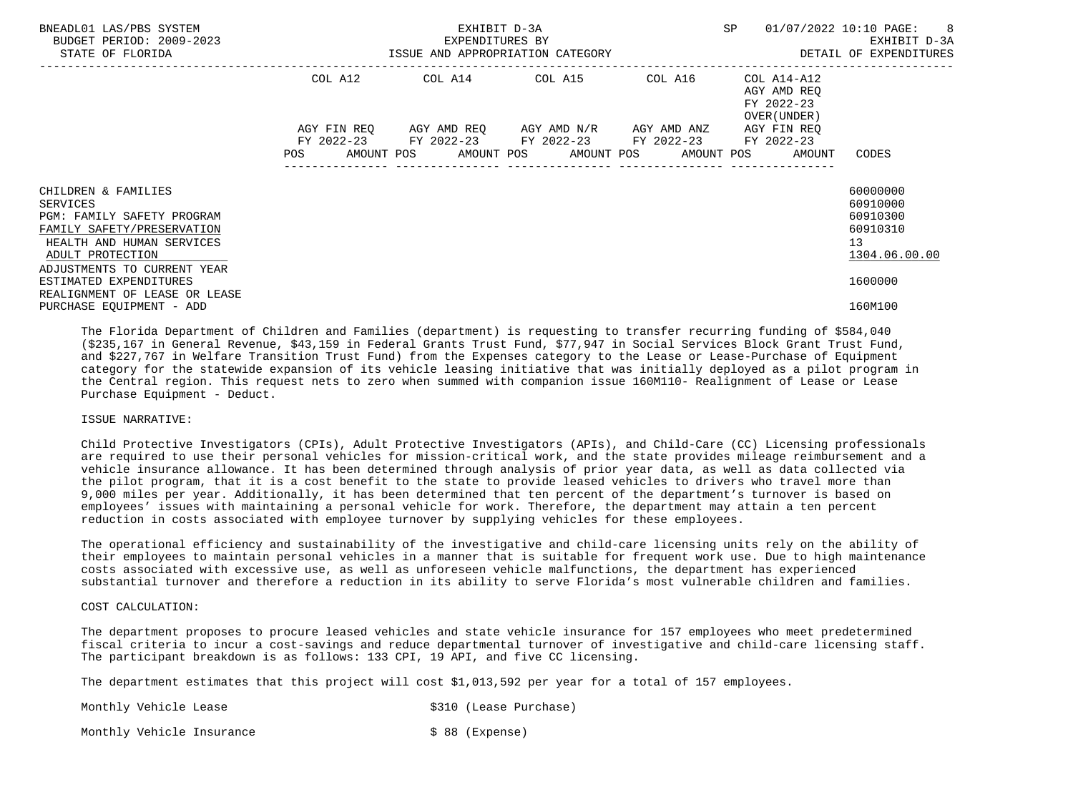| BNEADL01 LAS/PBS SYSTEM<br>BUDGET PERIOD: 2009-2023<br>STATE OF FLORIDA                                                                                                                               | SP<br>EXHIBIT D-3A<br>EXPENDITURES BY<br>ISSUE AND APPROPRIATION CATEGORY |         |  |  |  |                                                                                                                                               |  |  |  | 01/07/2022 10:10 PAGE:                    |                                                               | $\overline{\phantom{1}}$ 8<br>EXHIBIT D-3A<br>DETAIL OF EXPENDITURES |
|-------------------------------------------------------------------------------------------------------------------------------------------------------------------------------------------------------|---------------------------------------------------------------------------|---------|--|--|--|-----------------------------------------------------------------------------------------------------------------------------------------------|--|--|--|-------------------------------------------|---------------------------------------------------------------|----------------------------------------------------------------------|
|                                                                                                                                                                                                       |                                                                           | COL A12 |  |  |  | COL A14 COL A15 COL A16 COL A14-A12                                                                                                           |  |  |  | AGY AMD REO<br>FY 2022-23<br>OVER (UNDER) |                                                               |                                                                      |
|                                                                                                                                                                                                       | POS                                                                       |         |  |  |  | AGY FIN REQ AGY AMD REQ AGY AMD N/R AGY AMD ANZ<br>FY 2022-23 FY 2022-23 FY 2022-23 FY 2022-23<br>AMOUNT POS AMOUNT POS AMOUNT POS AMOUNT POS |  |  |  | AGY FIN REO<br>FY 2022-23<br>AMOUNT       | CODES                                                         |                                                                      |
| CHILDREN & FAMILIES<br>SERVICES<br>PGM: FAMILY SAFETY PROGRAM<br>FAMILY SAFETY/PRESERVATION<br>HEALTH AND HUMAN SERVICES<br>ADULT PROTECTION<br>ADJUSTMENTS TO CURRENT YEAR<br>ESTIMATED EXPENDITURES |                                                                           |         |  |  |  |                                                                                                                                               |  |  |  |                                           | 60000000<br>60910000<br>60910300<br>60910310<br>13<br>1600000 | 1304.06.00.00                                                        |
| REALIGNMENT OF LEASE OR LEASE<br>PURCHASE EQUIPMENT - ADD                                                                                                                                             |                                                                           |         |  |  |  |                                                                                                                                               |  |  |  |                                           | 160M100                                                       |                                                                      |

 The Florida Department of Children and Families (department) is requesting to transfer recurring funding of \$584,040 (\$235,167 in General Revenue, \$43,159 in Federal Grants Trust Fund, \$77,947 in Social Services Block Grant Trust Fund, and \$227,767 in Welfare Transition Trust Fund) from the Expenses category to the Lease or Lease-Purchase of Equipment category for the statewide expansion of its vehicle leasing initiative that was initially deployed as a pilot program in the Central region. This request nets to zero when summed with companion issue 160M110- Realignment of Lease or Lease Purchase Equipment - Deduct.

### ISSUE NARRATIVE:

 Child Protective Investigators (CPIs), Adult Protective Investigators (APIs), and Child-Care (CC) Licensing professionals are required to use their personal vehicles for mission-critical work, and the state provides mileage reimbursement and a vehicle insurance allowance. It has been determined through analysis of prior year data, as well as data collected via the pilot program, that it is a cost benefit to the state to provide leased vehicles to drivers who travel more than 9,000 miles per year. Additionally, it has been determined that ten percent of the department's turnover is based on employees' issues with maintaining a personal vehicle for work. Therefore, the department may attain a ten percent reduction in costs associated with employee turnover by supplying vehicles for these employees.

 The operational efficiency and sustainability of the investigative and child-care licensing units rely on the ability of their employees to maintain personal vehicles in a manner that is suitable for frequent work use. Due to high maintenance costs associated with excessive use, as well as unforeseen vehicle malfunctions, the department has experienced substantial turnover and therefore a reduction in its ability to serve Florida's most vulnerable children and families.

# COST CALCULATION:

 The department proposes to procure leased vehicles and state vehicle insurance for 157 employees who meet predetermined fiscal criteria to incur a cost-savings and reduce departmental turnover of investigative and child-care licensing staff. The participant breakdown is as follows: 133 CPI, 19 API, and five CC licensing.

The department estimates that this project will cost \$1,013,592 per year for a total of 157 employees.

Monthly Vehicle Lease  $\sim$  \$310 (Lease Purchase)

Monthly Vehicle Insurance  $\sim$  \$ 88 (Expense)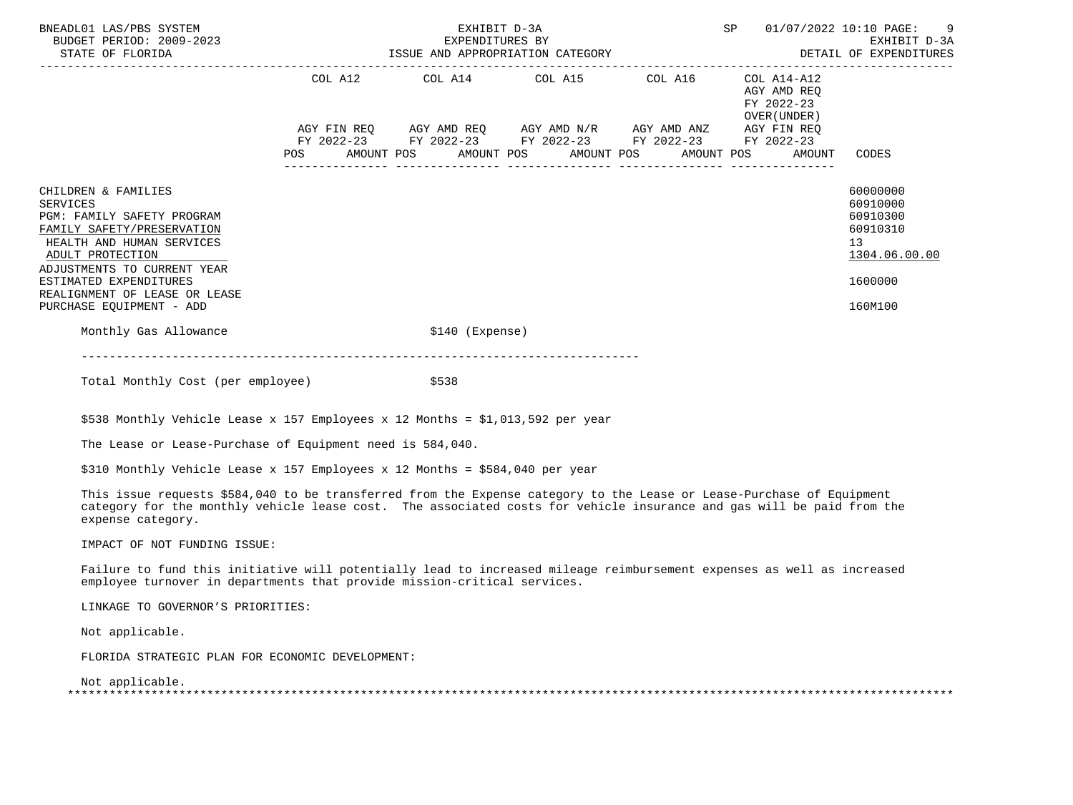| BNEADL01 LAS/PBS SYSTEM<br>BUDGET PERIOD: 2009-2023<br>STATE OF FLORIDA                                                                                                                                                                                                   | EXHIBIT D-3A<br>EXPENDITURES BY<br>EXPENDITURES BY<br>ISSUE AND APPROPRIATION CATEGORY |  |  |                  |  |                                                                                                                       |  |  |  |                                                          | SP 01/07/2022 10:10 PAGE: 9<br>EXHIBIT D-3A<br>DETAIL OF EXPENDITURES                     |
|---------------------------------------------------------------------------------------------------------------------------------------------------------------------------------------------------------------------------------------------------------------------------|----------------------------------------------------------------------------------------|--|--|------------------|--|-----------------------------------------------------------------------------------------------------------------------|--|--|--|----------------------------------------------------------|-------------------------------------------------------------------------------------------|
|                                                                                                                                                                                                                                                                           |                                                                                        |  |  |                  |  | COL A12 COL A14 COL A15 COL A16                                                                                       |  |  |  | COL A14-A12<br>AGY AMD REO<br>FY 2022-23<br>OVER (UNDER) |                                                                                           |
|                                                                                                                                                                                                                                                                           |                                                                                        |  |  |                  |  | AGY FIN REQ AGY AMD REQ AGY AMD N/R AGY AMD ANZ AGY FIN REQ<br>FY 2022-23 FY 2022-23 FY 2022-23 FY 2022-23 FY 2022-23 |  |  |  | POS AMOUNT POS AMOUNT POS AMOUNT POS AMOUNT POS AMOUNT   | CODES                                                                                     |
| CHILDREN & FAMILIES<br><b>SERVICES</b><br>PGM: FAMILY SAFETY PROGRAM<br>FAMILY SAFETY/PRESERVATION<br>HEALTH AND HUMAN SERVICES<br>ADULT PROTECTION<br>ADJUSTMENTS TO CURRENT YEAR<br>ESTIMATED EXPENDITURES<br>REALIGNMENT OF LEASE OR LEASE<br>PURCHASE EOUIPMENT - ADD |                                                                                        |  |  |                  |  |                                                                                                                       |  |  |  |                                                          | 60000000<br>60910000<br>60910300<br>60910310<br>13<br>1304.06.00.00<br>1600000<br>160M100 |
| Monthly Gas Allowance                                                                                                                                                                                                                                                     |                                                                                        |  |  | $$140$ (Expense) |  |                                                                                                                       |  |  |  |                                                          |                                                                                           |
|                                                                                                                                                                                                                                                                           |                                                                                        |  |  |                  |  |                                                                                                                       |  |  |  |                                                          |                                                                                           |

Total Monthly Cost (per employee)  $$538$ 

\$538 Monthly Vehicle Lease x 157 Employees x 12 Months = \$1,013,592 per year

The Lease or Lease-Purchase of Equipment need is 584,040.

\$310 Monthly Vehicle Lease x 157 Employees x 12 Months = \$584,040 per year

 This issue requests \$584,040 to be transferred from the Expense category to the Lease or Lease-Purchase of Equipment category for the monthly vehicle lease cost. The associated costs for vehicle insurance and gas will be paid from the expense category.

IMPACT OF NOT FUNDING ISSUE:

 Failure to fund this initiative will potentially lead to increased mileage reimbursement expenses as well as increased employee turnover in departments that provide mission-critical services.

LINKAGE TO GOVERNOR'S PRIORITIES:

Not applicable.

FLORIDA STRATEGIC PLAN FOR ECONOMIC DEVELOPMENT:

Not applicable.

| -- |  |
|----|--|
|    |  |
|    |  |
|    |  |
|    |  |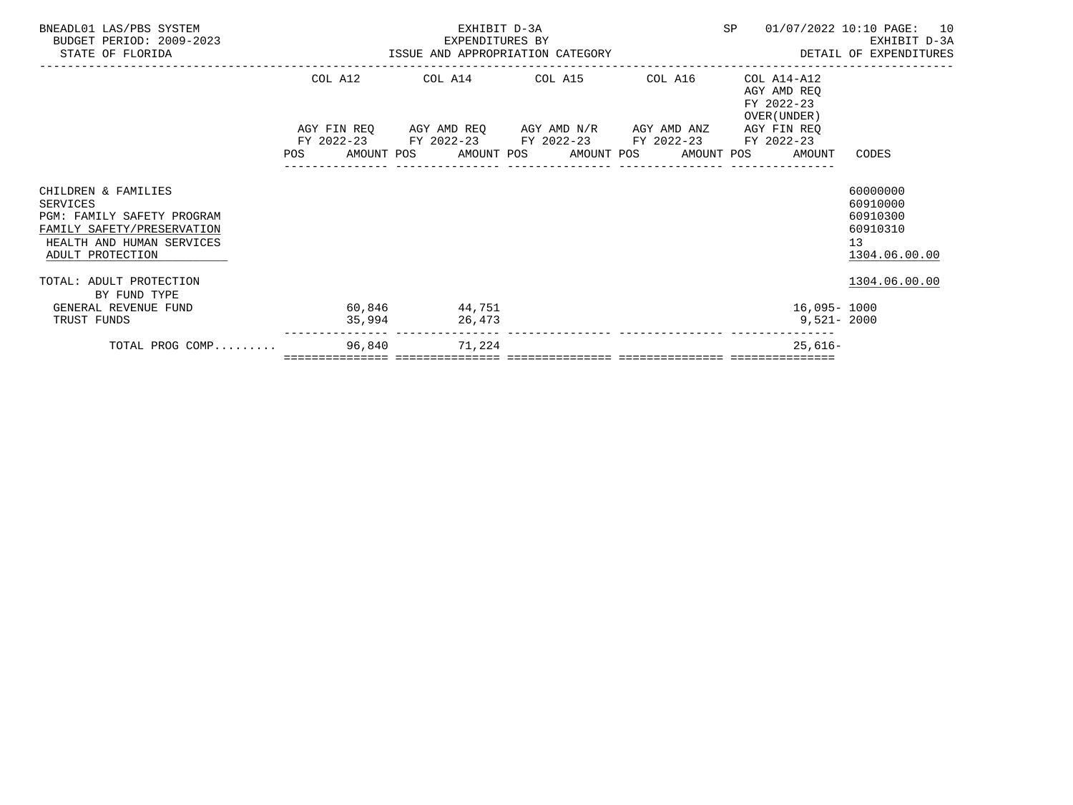| BNEADL01 LAS/PBS SYSTEM<br>BUDGET PERIOD: 2009-2023<br>STATE OF FLORIDA                                                                      |                   | EXHIBIT D-3A<br>EXPENDITURES BY |                                                                                                           |         |                                                                       | SP 01/07/2022 10:10 PAGE: 10<br>EXHIBIT D-3A<br>EXPENDITURES BY AND EXPERIENT D-3A EXPENDITURE BY A SERIE OF EXPENDITURES BY A SERIE OF EXPENDITURES |
|----------------------------------------------------------------------------------------------------------------------------------------------|-------------------|---------------------------------|-----------------------------------------------------------------------------------------------------------|---------|-----------------------------------------------------------------------|------------------------------------------------------------------------------------------------------------------------------------------------------|
|                                                                                                                                              |                   |                                 | COL A12 COL A14 COL A15                                                                                   | COL A16 | COL A14-A12<br>AGY AMD REO<br>FY 2022-23<br>OVER (UNDER )             |                                                                                                                                                      |
|                                                                                                                                              |                   |                                 | AGY FIN REQ AGY AMD REQ AGY AMD N/R AGY AMD ANZ<br>FY 2022-23 FY 2022-23 FY 2022-23 FY 2022-23 FY 2022-23 |         | AGY FIN REO<br>POS AMOUNT POS AMOUNT POS AMOUNT POS AMOUNT POS AMOUNT | CODES                                                                                                                                                |
| CHILDREN & FAMILIES<br>SERVICES<br>PGM: FAMILY SAFETY PROGRAM<br>FAMILY SAFETY/PRESERVATION<br>HEALTH AND HUMAN SERVICES<br>ADULT PROTECTION |                   |                                 |                                                                                                           |         |                                                                       | 60000000<br>60910000<br>60910300<br>60910310<br>13 <sup>°</sup><br>1304.06.00.00                                                                     |
| TOTAL: ADULT PROTECTION<br>BY FUND TYPE                                                                                                      |                   |                                 |                                                                                                           |         |                                                                       | 1304.06.00.00                                                                                                                                        |
| GENERAL REVENUE FUND<br>TRUST FUNDS                                                                                                          | $60,846$ $44,751$ | 35,994 26,473                   |                                                                                                           |         | 16,095- 1000<br>9,521- 2000                                           |                                                                                                                                                      |
| TOTAL PROG COMP                                                                                                                              | 96,840 71,224     |                                 |                                                                                                           |         | $25,616-$                                                             |                                                                                                                                                      |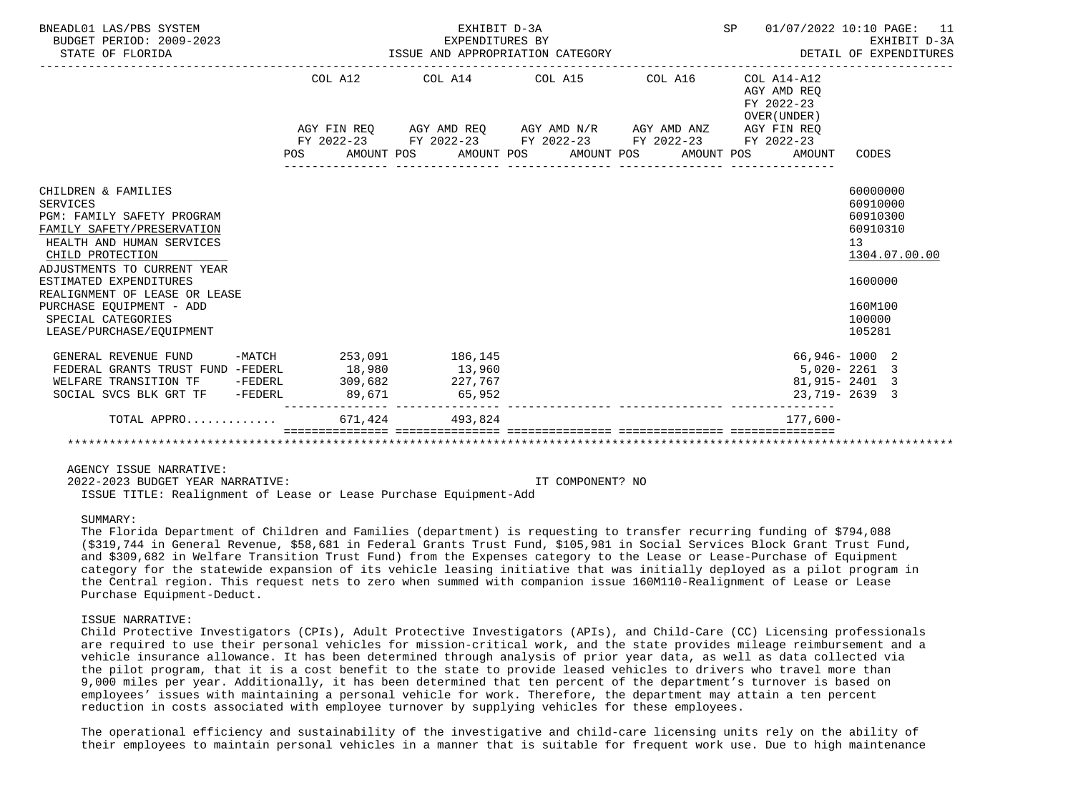| BNEADL01 LAS/PBS SYSTEM<br>BUDGET PERIOD: 2009-2023<br>STATE OF FLORIDA                |            | EXHIBIT D-3A    | EXPENDITURES BY<br>ISSUE AND APPROPRIATION CATEGORY                                        | SP 01/07/2022 10:10 PAGE: 11                             | EXHIBIT D-3A         |
|----------------------------------------------------------------------------------------|------------|-----------------|--------------------------------------------------------------------------------------------|----------------------------------------------------------|----------------------|
|                                                                                        | COL A12    |                 | COL A14 COL A15 COL A16                                                                    | COL A14-A12<br>AGY AMD REO<br>FY 2022-23<br>OVER (UNDER) |                      |
|                                                                                        |            |                 | AGY FIN REQ AGY AMD REQ AGY AMD N/R AGY AMD ANZ AGY FIN REQ                                |                                                          |                      |
|                                                                                        | <b>POS</b> |                 | FY 2022-23 FY 2022-23 FY 2022-23 FY 2022-23 FY 2022-23<br>AMOUNT POS AMOUNT POS AMOUNT POS | AMOUNT POS<br>AMOUNT                                     | CODES                |
| CHILDREN & FAMILIES                                                                    |            |                 |                                                                                            |                                                          | 60000000             |
| SERVICES<br>PGM: FAMILY SAFETY PROGRAM                                                 |            |                 |                                                                                            |                                                          | 60910000<br>60910300 |
| FAMILY SAFETY/PRESERVATION                                                             |            |                 |                                                                                            |                                                          | 60910310             |
| HEALTH AND HUMAN SERVICES                                                              |            |                 |                                                                                            |                                                          | 13                   |
| CHILD PROTECTION                                                                       |            |                 |                                                                                            |                                                          | 1304.07.00.00        |
| ADJUSTMENTS TO CURRENT YEAR<br>ESTIMATED EXPENDITURES<br>REALIGNMENT OF LEASE OR LEASE |            |                 |                                                                                            |                                                          | 1600000              |
| PURCHASE EQUIPMENT - ADD                                                               |            |                 |                                                                                            |                                                          | 160M100              |
| SPECIAL CATEGORIES                                                                     |            |                 |                                                                                            |                                                          | 100000               |
| LEASE/PURCHASE/EOUIPMENT                                                               |            |                 |                                                                                            |                                                          | 105281               |
| GENERAL REVENUE FUND -MATCH 253,091 186,145                                            |            |                 |                                                                                            | 66,946-1000 2                                            |                      |
| FEDERAL GRANTS TRUST FUND -FEDERL 18,980                                               |            | 13,960          |                                                                                            | 5,020-2261 3                                             |                      |
| WELFARE TRANSITION TF -FEDERL                                                          | 309,682    | 227,767         |                                                                                            | 81,915-2401 3                                            |                      |
| SOCIAL SVCS BLK GRT TF -FEDERL                                                         |            | 89,671 65,952   |                                                                                            | 23,719-2639 3                                            |                      |
| TOTAL APPRO                                                                            |            | 671.424 493.824 |                                                                                            | $177.600 -$                                              |                      |
|                                                                                        |            |                 |                                                                                            |                                                          |                      |

 2022-2023 BUDGET YEAR NARRATIVE: IT COMPONENT? NO ISSUE TITLE: Realignment of Lease or Lease Purchase Equipment-Add

#### SUMMARY:

 The Florida Department of Children and Families (department) is requesting to transfer recurring funding of \$794,088 (\$319,744 in General Revenue, \$58,681 in Federal Grants Trust Fund, \$105,981 in Social Services Block Grant Trust Fund, and \$309,682 in Welfare Transition Trust Fund) from the Expenses category to the Lease or Lease-Purchase of Equipment category for the statewide expansion of its vehicle leasing initiative that was initially deployed as a pilot program in the Central region. This request nets to zero when summed with companion issue 160M110-Realignment of Lease or Lease Purchase Equipment-Deduct.

#### ISSUE NARRATIVE:

 Child Protective Investigators (CPIs), Adult Protective Investigators (APIs), and Child-Care (CC) Licensing professionals are required to use their personal vehicles for mission-critical work, and the state provides mileage reimbursement and a vehicle insurance allowance. It has been determined through analysis of prior year data, as well as data collected via the pilot program, that it is a cost benefit to the state to provide leased vehicles to drivers who travel more than 9,000 miles per year. Additionally, it has been determined that ten percent of the department's turnover is based on employees' issues with maintaining a personal vehicle for work. Therefore, the department may attain a ten percent reduction in costs associated with employee turnover by supplying vehicles for these employees.

 The operational efficiency and sustainability of the investigative and child-care licensing units rely on the ability of their employees to maintain personal vehicles in a manner that is suitable for frequent work use. Due to high maintenance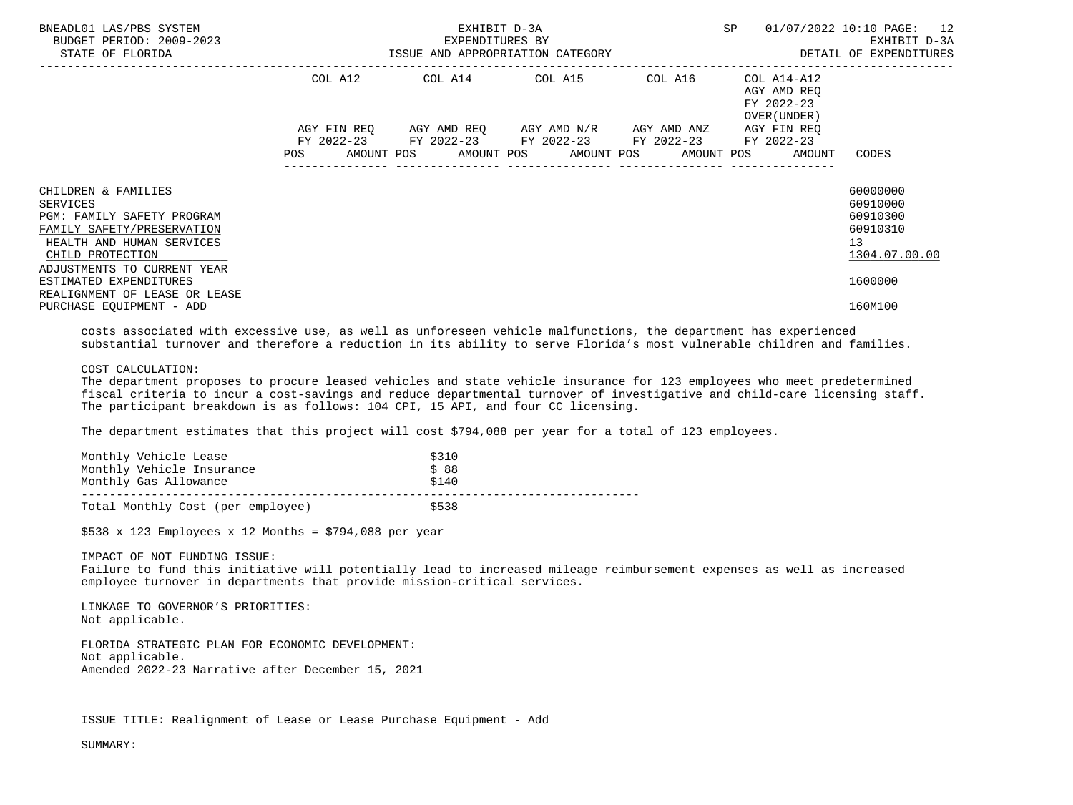| BNEADL01 LAS/PBS SYSTEM<br>BUDGET PERIOD: 2009-2023<br>STATE OF FLORIDA                                                                                                                                                                                                   |  | EXHIBIT D-3A<br>EXPENDITURES BY                                                                                       | SP and the set of the set of the set of the set of the set of the set of the set of the set of the set of the set of the set of the set of the set of the set of the set of the set of the set of the set of the set of the se<br>ISSUE AND APPROPRIATION CATEGORY <b>Example 20 SECULARY</b> DETAIL OF EXPENDITURES | 01/07/2022 10:10 PAGE: 12<br>EXHIBIT D-3A                                                 |
|---------------------------------------------------------------------------------------------------------------------------------------------------------------------------------------------------------------------------------------------------------------------------|--|-----------------------------------------------------------------------------------------------------------------------|----------------------------------------------------------------------------------------------------------------------------------------------------------------------------------------------------------------------------------------------------------------------------------------------------------------------|-------------------------------------------------------------------------------------------|
|                                                                                                                                                                                                                                                                           |  | COL A12 COL A14 COL A15 COL A16                                                                                       | COL A14-A12<br>AGY AMD REO<br>FY 2022-23<br>OVER (UNDER )                                                                                                                                                                                                                                                            |                                                                                           |
|                                                                                                                                                                                                                                                                           |  | AGY FIN REQ AGY AMD REQ AGY AMD N/R AGY AMD ANZ AGY FIN REQ<br>FY 2022-23 FY 2022-23 FY 2022-23 FY 2022-23 FY 2022-23 | POS AMOUNT POS AMOUNT POS AMOUNT POS AMOUNT POS AMOUNT                                                                                                                                                                                                                                                               | CODES                                                                                     |
| CHILDREN & FAMILIES<br>SERVICES<br><b>PGM: FAMILY SAFETY PROGRAM</b><br>FAMILY SAFETY/PRESERVATION<br>HEALTH AND HUMAN SERVICES<br>CHILD PROTECTION<br>ADJUSTMENTS TO CURRENT YEAR<br>ESTIMATED EXPENDITURES<br>REALIGNMENT OF LEASE OR LEASE<br>PURCHASE EQUIPMENT - ADD |  |                                                                                                                       |                                                                                                                                                                                                                                                                                                                      | 60000000<br>60910000<br>60910300<br>60910310<br>13<br>1304.07.00.00<br>1600000<br>160M100 |

 costs associated with excessive use, as well as unforeseen vehicle malfunctions, the department has experienced substantial turnover and therefore a reduction in its ability to serve Florida's most vulnerable children and families.

### COST CALCULATION:

 The department proposes to procure leased vehicles and state vehicle insurance for 123 employees who meet predetermined fiscal criteria to incur a cost-savings and reduce departmental turnover of investigative and child-care licensing staff. The participant breakdown is as follows: 104 CPI, 15 API, and four CC licensing.

The department estimates that this project will cost \$794,088 per year for a total of 123 employees.

| Monthly Vehicle Lease             | \$310 |
|-----------------------------------|-------|
| Monthly Vehicle Insurance         | \$88  |
| Monthly Gas Allowance             | \$140 |
|                                   |       |
| Total Monthly Cost (per employee) | \$538 |

 $$538 \times 123$  Employees x 12 Months = \$794,088 per year

 IMPACT OF NOT FUNDING ISSUE: Failure to fund this initiative will potentially lead to increased mileage reimbursement expenses as well as increased employee turnover in departments that provide mission-critical services.

 LINKAGE TO GOVERNOR'S PRIORITIES: Not applicable.

 FLORIDA STRATEGIC PLAN FOR ECONOMIC DEVELOPMENT: Not applicable. Amended 2022-23 Narrative after December 15, 2021

ISSUE TITLE: Realignment of Lease or Lease Purchase Equipment - Add

SUMMARY: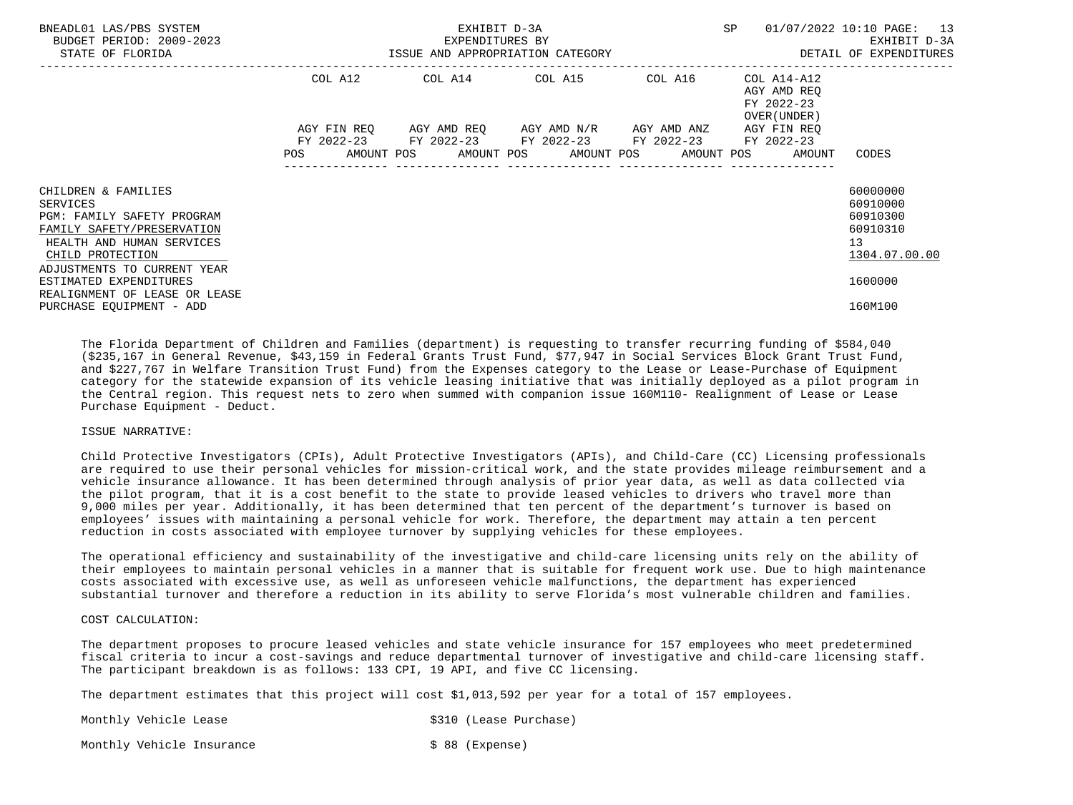| BNEADL01 LAS/PBS SYSTEM<br>BUDGET PERIOD: 2009-2023<br>STATE OF FLORIDA                                                                                                     |     | EXHIBIT D-3A<br>EXPENDITURES BY<br>ISSUE AND APPROPRIATION CATEGORY                                                                                  | SP. | 01/07/2022 10:10 PAGE: 13<br>EXHIBIT D-3A<br>DETAIL OF EXPENDITURES |                                                                     |
|-----------------------------------------------------------------------------------------------------------------------------------------------------------------------------|-----|------------------------------------------------------------------------------------------------------------------------------------------------------|-----|---------------------------------------------------------------------|---------------------------------------------------------------------|
|                                                                                                                                                                             |     | COL A12 COL A14 COL A15 COL A16                                                                                                                      |     | COL A14-A12<br>AGY AMD REO<br>FY 2022-23<br>OVER (UNDER)            |                                                                     |
|                                                                                                                                                                             | POS | AGY FIN REQ AGY AMD REQ AGY AMD N/R AGY AMD ANZ<br>FY 2022-23 FY 2022-23 FY 2022-23 FY 2022-23<br>AMOUNT POS AMOUNT POS AMOUNT POS AMOUNT POS AMOUNT |     | AGY FIN REO<br>FY 2022-23                                           | CODES                                                               |
| CHILDREN & FAMILIES<br>SERVICES<br>PGM: FAMILY SAFETY PROGRAM<br>FAMILY SAFETY/PRESERVATION<br>HEALTH AND HUMAN SERVICES<br>CHILD PROTECTION<br>ADJUSTMENTS TO CURRENT YEAR |     |                                                                                                                                                      |     |                                                                     | 60000000<br>60910000<br>60910300<br>60910310<br>13<br>1304.07.00.00 |
| ESTIMATED EXPENDITURES<br>REALIGNMENT OF LEASE OR LEASE<br>PURCHASE EQUIPMENT - ADD                                                                                         |     |                                                                                                                                                      |     |                                                                     | 1600000<br>160M100                                                  |

 The Florida Department of Children and Families (department) is requesting to transfer recurring funding of \$584,040 (\$235,167 in General Revenue, \$43,159 in Federal Grants Trust Fund, \$77,947 in Social Services Block Grant Trust Fund, and \$227,767 in Welfare Transition Trust Fund) from the Expenses category to the Lease or Lease-Purchase of Equipment category for the statewide expansion of its vehicle leasing initiative that was initially deployed as a pilot program in the Central region. This request nets to zero when summed with companion issue 160M110- Realignment of Lease or Lease Purchase Equipment - Deduct.

#### ISSUE NARRATIVE:

 Child Protective Investigators (CPIs), Adult Protective Investigators (APIs), and Child-Care (CC) Licensing professionals are required to use their personal vehicles for mission-critical work, and the state provides mileage reimbursement and a vehicle insurance allowance. It has been determined through analysis of prior year data, as well as data collected via the pilot program, that it is a cost benefit to the state to provide leased vehicles to drivers who travel more than 9,000 miles per year. Additionally, it has been determined that ten percent of the department's turnover is based on employees' issues with maintaining a personal vehicle for work. Therefore, the department may attain a ten percent reduction in costs associated with employee turnover by supplying vehicles for these employees.

 The operational efficiency and sustainability of the investigative and child-care licensing units rely on the ability of their employees to maintain personal vehicles in a manner that is suitable for frequent work use. Due to high maintenance costs associated with excessive use, as well as unforeseen vehicle malfunctions, the department has experienced substantial turnover and therefore a reduction in its ability to serve Florida's most vulnerable children and families.

# COST CALCULATION:

 The department proposes to procure leased vehicles and state vehicle insurance for 157 employees who meet predetermined fiscal criteria to incur a cost-savings and reduce departmental turnover of investigative and child-care licensing staff. The participant breakdown is as follows: 133 CPI, 19 API, and five CC licensing.

The department estimates that this project will cost \$1,013,592 per year for a total of 157 employees.

Monthly Vehicle Lease  $$310$  (Lease Purchase)

Monthly Vehicle Insurance  $\sim$  \$ 88 (Expense)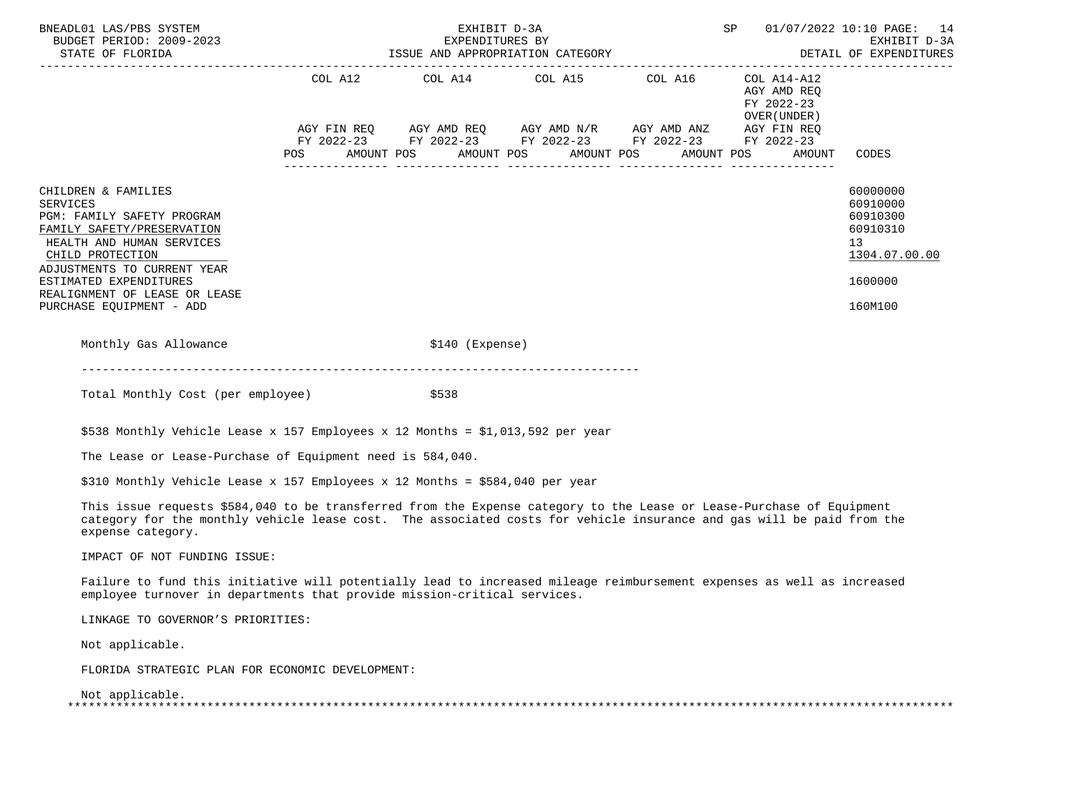| BNEADL01 LAS/PBS SYSTEM<br>BUDGET PERIOD: 2009-2023<br>STATE OF FLORIDA<br>STATE OF FLORIDA<br>----------------------                                                                                                                                                     |     | EXHIBIT D-3A<br>EXPENDITURES BY<br>ISSUE AND APPROPRIATION CATEGORY                                                                                                               |                       | SP                                                                 | 01/07/2022 10:10 PAGE: 14<br>EXHIBIT D-3A<br>DETAIL OF EXPENDITURES                       |
|---------------------------------------------------------------------------------------------------------------------------------------------------------------------------------------------------------------------------------------------------------------------------|-----|-----------------------------------------------------------------------------------------------------------------------------------------------------------------------------------|-----------------------|--------------------------------------------------------------------|-------------------------------------------------------------------------------------------|
|                                                                                                                                                                                                                                                                           | POS | COL A12 COL A14 COL A15 COL A16<br>AGY FIN REQ AGY AMD REQ AGY AMD N/R AGY AMD ANZ AGY FIN REQ<br>FY 2022-23 FY 2022-23 FY 2022-23 FY 2022-23 FY 2022-23<br>AMOUNT POS AMOUNT POS | AMOUNT POS AMOUNT POS | COL A14-A12<br>AGY AMD REQ<br>FY 2022-23<br>OVER (UNDER)<br>AMOUNT | CODES                                                                                     |
| CHILDREN & FAMILIES<br><b>SERVICES</b><br>PGM: FAMILY SAFETY PROGRAM<br>FAMILY SAFETY/PRESERVATION<br>HEALTH AND HUMAN SERVICES<br>CHILD PROTECTION<br>ADJUSTMENTS TO CURRENT YEAR<br>ESTIMATED EXPENDITURES<br>REALIGNMENT OF LEASE OR LEASE<br>PURCHASE EQUIPMENT - ADD |     |                                                                                                                                                                                   |                       |                                                                    | 60000000<br>60910000<br>60910300<br>60910310<br>13<br>1304.07.00.00<br>1600000<br>160M100 |
| Monthly Gas Allowance                                                                                                                                                                                                                                                     |     | $$140$ (Expense)                                                                                                                                                                  |                       |                                                                    |                                                                                           |
| Total Monthly Cost (per employee)                                                                                                                                                                                                                                         |     | \$538                                                                                                                                                                             |                       |                                                                    |                                                                                           |
| \$538 Monthly Vehicle Lease x 157 Employees x 12 Months = \$1,013,592 per year                                                                                                                                                                                            |     |                                                                                                                                                                                   |                       |                                                                    |                                                                                           |
| The Lease or Lease-Purchase of Equipment need is 584,040.                                                                                                                                                                                                                 |     |                                                                                                                                                                                   |                       |                                                                    |                                                                                           |
| \$310 Monthly Vehicle Lease x 157 Employees x 12 Months = \$584,040 per year                                                                                                                                                                                              |     |                                                                                                                                                                                   |                       |                                                                    |                                                                                           |
| This issue requests \$584,040 to be transferred from the Expense category to the Lease or Lease-Purchase of Equipment<br>category for the monthly vehicle lease cost. The associated costs for vehicle insurance and gas will be paid from the<br>expense category.       |     |                                                                                                                                                                                   |                       |                                                                    |                                                                                           |
| IMPACT OF NOT FUNDING ISSUE:                                                                                                                                                                                                                                              |     |                                                                                                                                                                                   |                       |                                                                    |                                                                                           |
| Failure to fund this initiative will potentially lead to increased mileage reimbursement expenses as well as increased<br>employee turnover in departments that provide mission-critical services.                                                                        |     |                                                                                                                                                                                   |                       |                                                                    |                                                                                           |
| LINKAGE TO GOVERNOR'S PRIORITIES:                                                                                                                                                                                                                                         |     |                                                                                                                                                                                   |                       |                                                                    |                                                                                           |
| Not applicable.                                                                                                                                                                                                                                                           |     |                                                                                                                                                                                   |                       |                                                                    |                                                                                           |
| FLORIDA STRATEGIC PLAN FOR ECONOMIC DEVELOPMENT:                                                                                                                                                                                                                          |     |                                                                                                                                                                                   |                       |                                                                    |                                                                                           |
| Not applicable.                                                                                                                                                                                                                                                           |     |                                                                                                                                                                                   |                       |                                                                    |                                                                                           |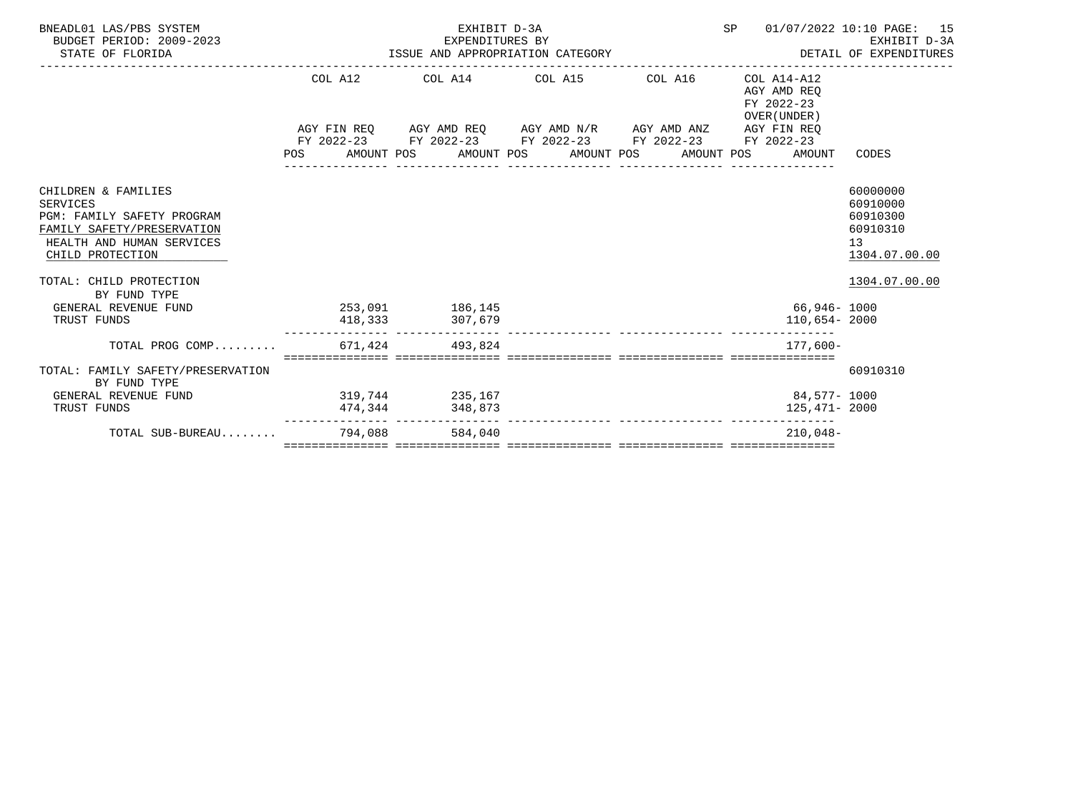| BNEADL01 LAS/PBS SYSTEM<br>BUDGET PERIOD: 2009-2023<br>STATE OF FLORIDA                                                                                                                                                |         | EXHIBIT D-3A    | EXPENDITURES BY EXPENDENT D-3A EXPENDITURES BY EXHIBIT D-3A EXPENDITURES BY EXPENDITURES | SP                                                       | 01/07/2022 10:10 PAGE: 15<br>EXHIBIT D-3A                                            |
|------------------------------------------------------------------------------------------------------------------------------------------------------------------------------------------------------------------------|---------|-----------------|------------------------------------------------------------------------------------------|----------------------------------------------------------|--------------------------------------------------------------------------------------|
|                                                                                                                                                                                                                        |         |                 | COL A12 COL A14 COL A15 COL A16                                                          | COL A14-A12<br>AGY AMD REO<br>FY 2022-23<br>OVER (UNDER) |                                                                                      |
|                                                                                                                                                                                                                        |         |                 | AGY FIN REQ AGY AMD REQ AGY AMD N/R AGY AMD ANZ                                          | AGY FIN REO                                              |                                                                                      |
|                                                                                                                                                                                                                        |         |                 | FY 2022-23 FY 2022-23 FY 2022-23 FY 2022-23 FY 2022-23                                   |                                                          |                                                                                      |
|                                                                                                                                                                                                                        |         |                 | POS AMOUNT POS AMOUNT POS AMOUNT POS AMOUNT POS                                          | AMOUNT                                                   | CODES                                                                                |
| CHILDREN & FAMILIES<br><b>SERVICES</b><br>PGM: FAMILY SAFETY PROGRAM<br>FAMILY SAFETY/PRESERVATION<br>HEALTH AND HUMAN SERVICES<br>CHILD PROTECTION<br>TOTAL: CHILD PROTECTION<br>BY FUND TYPE<br>GENERAL REVENUE FUND |         | 253,091 186,145 |                                                                                          | 66,946- 1000                                             | 60000000<br>60910000<br>60910300<br>60910310<br>13<br>1304.07.00.00<br>1304.07.00.00 |
| TRUST FUNDS                                                                                                                                                                                                            |         | 418,333 307,679 |                                                                                          | 110,654-2000                                             |                                                                                      |
| TOTAL PROG COMP                                                                                                                                                                                                        |         | 671.424 493.824 |                                                                                          | $177.600 -$                                              |                                                                                      |
| TOTAL: FAMILY SAFETY/PRESERVATION<br>BY FUND TYPE                                                                                                                                                                      |         |                 |                                                                                          |                                                          | 60910310                                                                             |
| GENERAL REVENUE FUND                                                                                                                                                                                                   |         | 319,744 235,167 |                                                                                          | 84,577- 1000                                             |                                                                                      |
| TRUST FUNDS                                                                                                                                                                                                            |         | 474,344 348,873 |                                                                                          | 125,471- 2000                                            |                                                                                      |
| TOTAL SUB-BUREAU                                                                                                                                                                                                       | 794,088 | 584,040         |                                                                                          | $210.048-$                                               |                                                                                      |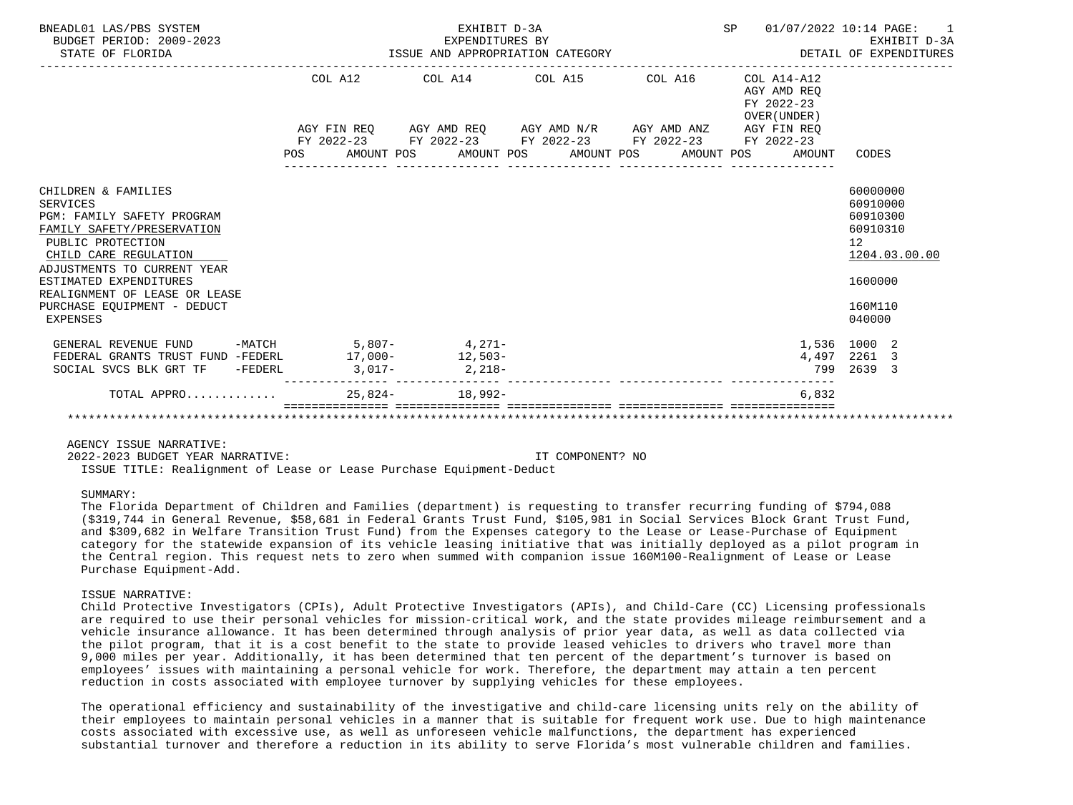| BNEADL01 LAS/PBS SYSTEM<br>BUDGET PERIOD: 2009-2023<br>STATE OF FLORIDA                                                                                                                                                                                                        |                                                 | EXHIBIT D-3A<br>EXPENDITURES BY<br>EXPENDITURES BY<br>ISSUE AND APPROPRIATION CATEGORY |  | SP                                        | 01/07/2022 10:14 PAGE:<br>EXHIBIT D-3A<br>DETAIL OF EXPENDITURES<br>---------------                 |
|--------------------------------------------------------------------------------------------------------------------------------------------------------------------------------------------------------------------------------------------------------------------------------|-------------------------------------------------|----------------------------------------------------------------------------------------|--|-------------------------------------------|-----------------------------------------------------------------------------------------------------|
|                                                                                                                                                                                                                                                                                |                                                 | COL A12 COL A14 COL A15 COL A16 COL A14-A12                                            |  | AGY AMD REO<br>FY 2022-23<br>OVER (UNDER) |                                                                                                     |
|                                                                                                                                                                                                                                                                                |                                                 | AGY FIN REQ AGY AMD REQ AGY AMD N/R AGY AMD ANZ AGY FIN REQ                            |  |                                           |                                                                                                     |
|                                                                                                                                                                                                                                                                                | POS AMOUNT POS AMOUNT POS AMOUNT POS AMOUNT POS | FY 2022-23 FY 2022-23 FY 2022-23 FY 2022-23 FY 2022-23                                 |  | AMOUNT                                    | CODES                                                                                               |
|                                                                                                                                                                                                                                                                                |                                                 |                                                                                        |  |                                           |                                                                                                     |
| CHILDREN & FAMILIES<br>SERVICES<br>PGM: FAMILY SAFETY PROGRAM<br>FAMILY SAFETY/PRESERVATION<br>PUBLIC PROTECTION<br>CHILD CARE REGULATION<br>ADJUSTMENTS TO CURRENT YEAR<br>ESTIMATED EXPENDITURES<br>REALIGNMENT OF LEASE OR LEASE<br>PURCHASE EQUIPMENT - DEDUCT<br>EXPENSES |                                                 |                                                                                        |  |                                           | 60000000<br>60910000<br>60910300<br>60910310<br>12<br>1204.03.00.00<br>1600000<br>160M110<br>040000 |
| GENERAL REVENUE FUND                                                                                                                                                                                                                                                           | $-MATCH$ 5,807- 4,271-                          |                                                                                        |  |                                           | 1,536 1000 2                                                                                        |
| FEDERAL GRANTS TRUST FUND -FEDERL 17,000- 12,503-                                                                                                                                                                                                                              |                                                 |                                                                                        |  | 4,497                                     | 2261 3                                                                                              |
| SOCIAL SVCS BLK GRT TF - FEDERL 3,017- 2,218-                                                                                                                                                                                                                                  |                                                 |                                                                                        |  |                                           | 799 2639 3                                                                                          |
| TOTAL APPRO                                                                                                                                                                                                                                                                    |                                                 | $25,824-18,992-$                                                                       |  | 6.832                                     |                                                                                                     |
|                                                                                                                                                                                                                                                                                |                                                 |                                                                                        |  |                                           |                                                                                                     |

2022-2023 BUDGET YEAR NARRATIVE: IT COMPONENT? NO

ISSUE TITLE: Realignment of Lease or Lease Purchase Equipment-Deduct

# SUMMARY:

 The Florida Department of Children and Families (department) is requesting to transfer recurring funding of \$794,088 (\$319,744 in General Revenue, \$58,681 in Federal Grants Trust Fund, \$105,981 in Social Services Block Grant Trust Fund, and \$309,682 in Welfare Transition Trust Fund) from the Expenses category to the Lease or Lease-Purchase of Equipment category for the statewide expansion of its vehicle leasing initiative that was initially deployed as a pilot program in the Central region. This request nets to zero when summed with companion issue 160M100-Realignment of Lease or Lease Purchase Equipment-Add.

#### ISSUE NARRATIVE:

 Child Protective Investigators (CPIs), Adult Protective Investigators (APIs), and Child-Care (CC) Licensing professionals are required to use their personal vehicles for mission-critical work, and the state provides mileage reimbursement and a vehicle insurance allowance. It has been determined through analysis of prior year data, as well as data collected via the pilot program, that it is a cost benefit to the state to provide leased vehicles to drivers who travel more than 9,000 miles per year. Additionally, it has been determined that ten percent of the department's turnover is based on employees' issues with maintaining a personal vehicle for work. Therefore, the department may attain a ten percent reduction in costs associated with employee turnover by supplying vehicles for these employees.

 The operational efficiency and sustainability of the investigative and child-care licensing units rely on the ability of their employees to maintain personal vehicles in a manner that is suitable for frequent work use. Due to high maintenance costs associated with excessive use, as well as unforeseen vehicle malfunctions, the department has experienced substantial turnover and therefore a reduction in its ability to serve Florida's most vulnerable children and families.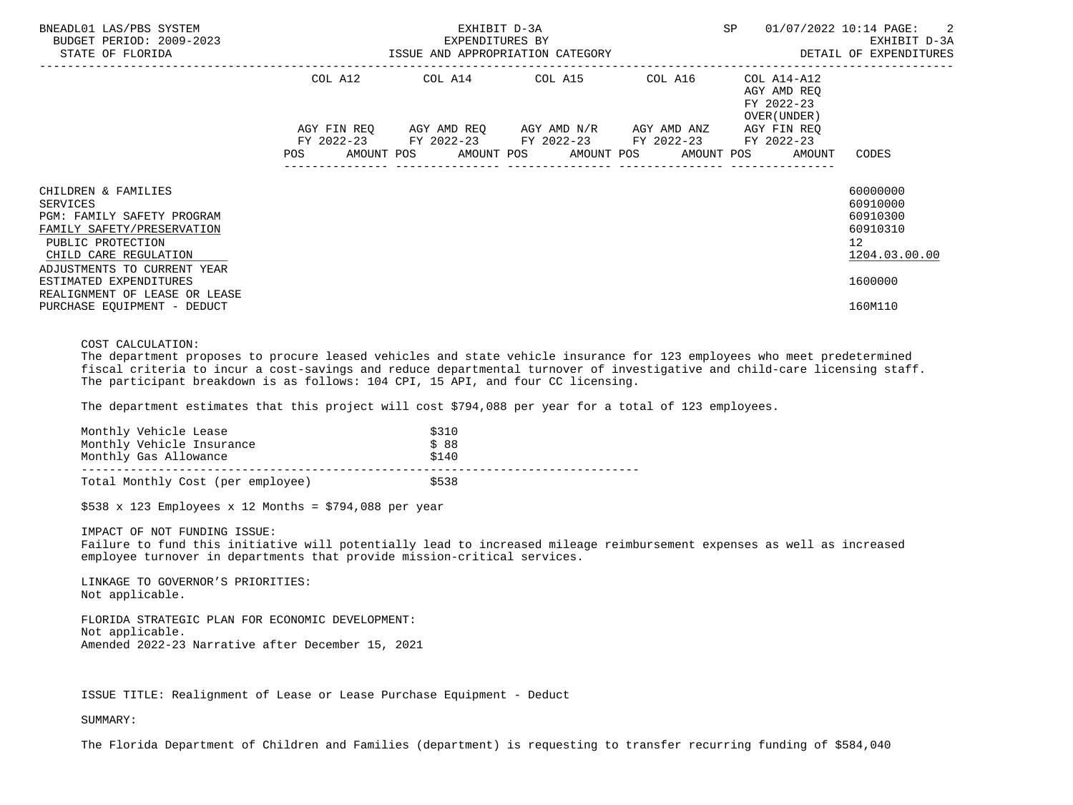| BNEADL01 LAS/PBS SYSTEM<br>BUDGET PERIOD: 2009-2023<br>STATE OF FLORIDA                                                                                                                                                                                                   | EXPENDITURES BY | EXHIBIT D-3A                                           | SP and the set of the set of the set of the set of the set of the set of the set of the set of the set of the set of the set of the set of the set of the set of the set of the set of the set of the set of the set of the se | 01/07/2022 10:14 PAGE: 2<br>EXHIBIT D-3A<br>ISSUE AND APPROPRIATION CATEGORY <b>Experience in the SETAIL OF EXPENDITURES</b> |
|---------------------------------------------------------------------------------------------------------------------------------------------------------------------------------------------------------------------------------------------------------------------------|-----------------|--------------------------------------------------------|--------------------------------------------------------------------------------------------------------------------------------------------------------------------------------------------------------------------------------|------------------------------------------------------------------------------------------------------------------------------|
|                                                                                                                                                                                                                                                                           |                 | COL A12 COL A14 COL A15 COL A16                        | COL A14-A12<br>AGY AMD REO<br>FY 2022-23<br>OVER (UNDER )                                                                                                                                                                      |                                                                                                                              |
|                                                                                                                                                                                                                                                                           |                 | FY 2022-23 FY 2022-23 FY 2022-23 FY 2022-23 FY 2022-23 | AGY FIN REO<br>POS AMOUNT POS AMOUNT POS AMOUNT POS AMOUNT POS AMOUNT                                                                                                                                                          | CODES                                                                                                                        |
| CHILDREN & FAMILIES<br>SERVICES<br><b>PGM: FAMILY SAFETY PROGRAM</b><br>FAMILY SAFETY/PRESERVATION<br>PUBLIC PROTECTION<br>CHILD CARE REGULATION<br>ADJUSTMENTS TO CURRENT YEAR<br>ESTIMATED EXPENDITURES<br>REALIGNMENT OF LEASE OR LEASE<br>PURCHASE EQUIPMENT - DEDUCT |                 |                                                        |                                                                                                                                                                                                                                | 60000000<br>60910000<br>60910300<br>60910310<br>12<br>1204.03.00.00<br>1600000<br>160M110                                    |

# COST CALCULATION:

 The department proposes to procure leased vehicles and state vehicle insurance for 123 employees who meet predetermined fiscal criteria to incur a cost-savings and reduce departmental turnover of investigative and child-care licensing staff. The participant breakdown is as follows: 104 CPI, 15 API, and four CC licensing.

The department estimates that this project will cost \$794,088 per year for a total of 123 employees.

| Monthly Vehicle Lease             | \$310 |
|-----------------------------------|-------|
| Monthly Vehicle Insurance         | \$88  |
| Monthly Gas Allowance             | \$140 |
| Total Monthly Cost (per employee) | \$538 |

 $$538 \times 123$  Employees x 12 Months = \$794,088 per year

IMPACT OF NOT FUNDING ISSUE:

 Failure to fund this initiative will potentially lead to increased mileage reimbursement expenses as well as increased employee turnover in departments that provide mission-critical services.

 LINKAGE TO GOVERNOR'S PRIORITIES: Not applicable.

 FLORIDA STRATEGIC PLAN FOR ECONOMIC DEVELOPMENT: Not applicable. Amended 2022-23 Narrative after December 15, 2021

ISSUE TITLE: Realignment of Lease or Lease Purchase Equipment - Deduct

SUMMARY:

The Florida Department of Children and Families (department) is requesting to transfer recurring funding of \$584,040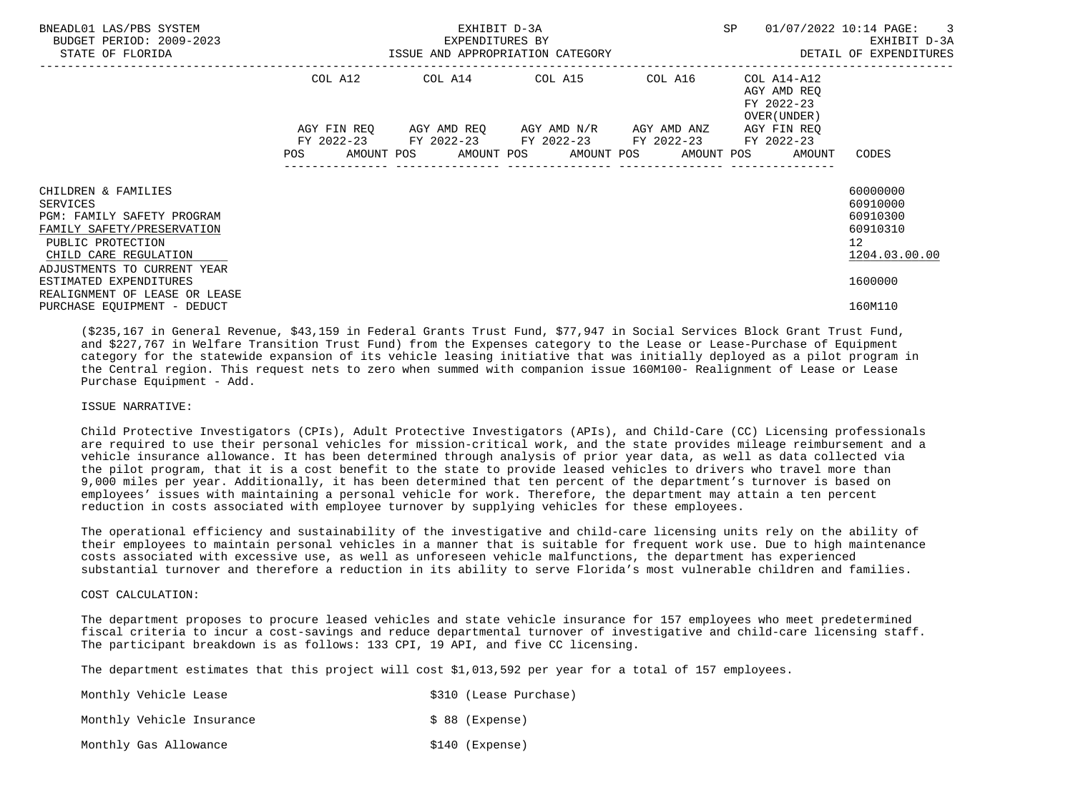| BNEADL01 LAS/PBS SYSTEM<br>BUDGET PERIOD: 2009-2023<br>STATE OF FLORIDA                                                                                                         |         | EXPENDITURES BY<br>ISSUE AND APPROPRIATION CATEGORY                                                                                           | EXHIBIT D-3A |         | SP                                                       | 01/07/2022 10:14 PAGE:<br>$\overline{\phantom{a}}$ 3<br>EXHIBIT D-3A<br>DETAIL OF EXPENDITURES |
|---------------------------------------------------------------------------------------------------------------------------------------------------------------------------------|---------|-----------------------------------------------------------------------------------------------------------------------------------------------|--------------|---------|----------------------------------------------------------|------------------------------------------------------------------------------------------------|
|                                                                                                                                                                                 | COL A12 | COL A14 COL A15                                                                                                                               |              | COL A16 | COL A14-A12<br>AGY AMD REO<br>FY 2022-23<br>OVER (UNDER) |                                                                                                |
|                                                                                                                                                                                 | POS     | AGY FIN REQ AGY AMD REQ AGY AMD N/R AGY AMD ANZ<br>FY 2022-23 FY 2022-23 FY 2022-23 FY 2022-23<br>AMOUNT POS AMOUNT POS AMOUNT POS AMOUNT POS |              |         | AGY FIN REO<br>FY 2022-23<br>AMOUNT                      | CODES                                                                                          |
| CHILDREN & FAMILIES<br>SERVICES<br><b>PGM: FAMILY SAFETY PROGRAM</b><br>FAMILY SAFETY/PRESERVATION<br>PUBLIC PROTECTION<br>CHILD CARE REGULATION<br>ADJUSTMENTS TO CURRENT YEAR |         |                                                                                                                                               |              |         |                                                          | 60000000<br>60910000<br>60910300<br>60910310<br>$12 \overline{ }$<br>1204.03.00.00             |
| ESTIMATED EXPENDITURES<br>REALIGNMENT OF LEASE OR LEASE<br>PURCHASE EOUIPMENT - DEDUCT                                                                                          |         |                                                                                                                                               |              |         |                                                          | 1600000<br>160M110                                                                             |

 (\$235,167 in General Revenue, \$43,159 in Federal Grants Trust Fund, \$77,947 in Social Services Block Grant Trust Fund, and \$227,767 in Welfare Transition Trust Fund) from the Expenses category to the Lease or Lease-Purchase of Equipment category for the statewide expansion of its vehicle leasing initiative that was initially deployed as a pilot program in the Central region. This request nets to zero when summed with companion issue 160M100- Realignment of Lease or Lease Purchase Equipment - Add.

# ISSUE NARRATIVE:

 Child Protective Investigators (CPIs), Adult Protective Investigators (APIs), and Child-Care (CC) Licensing professionals are required to use their personal vehicles for mission-critical work, and the state provides mileage reimbursement and a vehicle insurance allowance. It has been determined through analysis of prior year data, as well as data collected via the pilot program, that it is a cost benefit to the state to provide leased vehicles to drivers who travel more than 9,000 miles per year. Additionally, it has been determined that ten percent of the department's turnover is based on employees' issues with maintaining a personal vehicle for work. Therefore, the department may attain a ten percent reduction in costs associated with employee turnover by supplying vehicles for these employees.

 The operational efficiency and sustainability of the investigative and child-care licensing units rely on the ability of their employees to maintain personal vehicles in a manner that is suitable for frequent work use. Due to high maintenance costs associated with excessive use, as well as unforeseen vehicle malfunctions, the department has experienced substantial turnover and therefore a reduction in its ability to serve Florida's most vulnerable children and families.

# COST CALCULATION:

 The department proposes to procure leased vehicles and state vehicle insurance for 157 employees who meet predetermined fiscal criteria to incur a cost-savings and reduce departmental turnover of investigative and child-care licensing staff. The participant breakdown is as follows: 133 CPI, 19 API, and five CC licensing.

The department estimates that this project will cost \$1,013,592 per year for a total of 157 employees.

| Monthly Vehicle Lease     |  |                  | \$310 (Lease Purchase) |
|---------------------------|--|------------------|------------------------|
| Monthly Vehicle Insurance |  | $$88$ (Expense)  |                        |
| Monthly Gas Allowance     |  | $$140$ (Expense) |                        |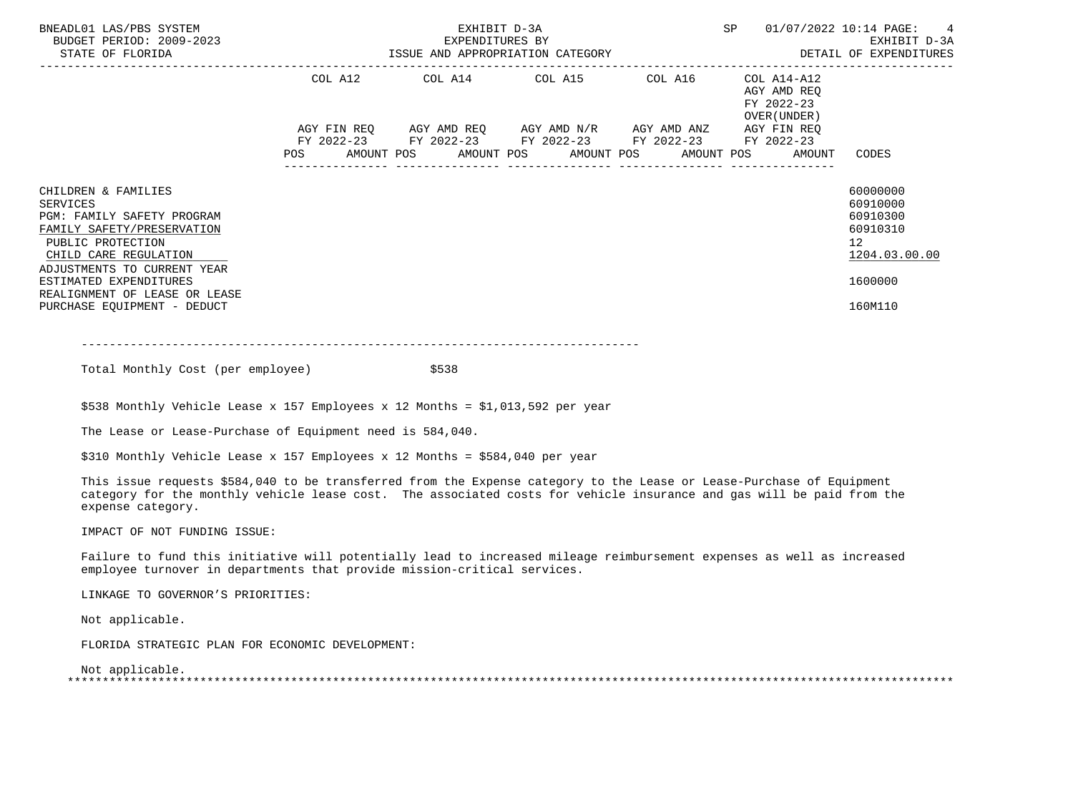| BNEADL01 LAS/PBS SYSTEM<br>BUDGET PERIOD: 2009-2023<br>STATE OF FLORIDA                                                                                                                                                                                            | SP<br>EXHIBIT D-3A<br>EXPENDITURES BY EXEMPLE BY EXHIBIT D-3A EXHIBIT D-3A EXHIBIT D-3A EXHIBIT D-3A EXHIBIT D-3A                                                                   | 01/07/2022 10:14 PAGE: 4                                                                  |
|--------------------------------------------------------------------------------------------------------------------------------------------------------------------------------------------------------------------------------------------------------------------|-------------------------------------------------------------------------------------------------------------------------------------------------------------------------------------|-------------------------------------------------------------------------------------------|
|                                                                                                                                                                                                                                                                    | COL A12 COL A14 COL A15 COL A16<br>COL A14-A12<br>AGY AMD REO<br>FY 2022-23<br>OVER (UNDER )                                                                                        |                                                                                           |
|                                                                                                                                                                                                                                                                    | AGY FIN REQ AGY AMD REQ AGY AMD N/R AGY AMD ANZ AGY FIN REQ<br>FY 2022-23 FY 2022-23 FY 2022-23 FY 2022-23 FY 2022-23<br>POS AMOUNT POS AMOUNT POS AMOUNT POS AMOUNT POS AMOUNT TOS | CODES                                                                                     |
| CHILDREN & FAMILIES<br>SERVICES<br>PGM: FAMILY SAFETY PROGRAM<br>FAMILY SAFETY/PRESERVATION<br>PUBLIC PROTECTION<br>CHILD CARE REGULATION<br>ADJUSTMENTS TO CURRENT YEAR<br>ESTIMATED EXPENDITURES<br>REALIGNMENT OF LEASE OR LEASE<br>PURCHASE EQUIPMENT - DEDUCT |                                                                                                                                                                                     | 60000000<br>60910000<br>60910300<br>60910310<br>12<br>1204.03.00.00<br>1600000<br>160M110 |

 $-+++++$ 

Total Monthly Cost (per employee)  $$538$ 

\$538 Monthly Vehicle Lease x 157 Employees x 12 Months = \$1,013,592 per year

The Lease or Lease-Purchase of Equipment need is 584,040.

\$310 Monthly Vehicle Lease x 157 Employees x 12 Months = \$584,040 per year

 This issue requests \$584,040 to be transferred from the Expense category to the Lease or Lease-Purchase of Equipment category for the monthly vehicle lease cost. The associated costs for vehicle insurance and gas will be paid from the expense category.

IMPACT OF NOT FUNDING ISSUE:

 Failure to fund this initiative will potentially lead to increased mileage reimbursement expenses as well as increased employee turnover in departments that provide mission-critical services.

LINKAGE TO GOVERNOR'S PRIORITIES:

Not applicable.

FLORIDA STRATEGIC PLAN FOR ECONOMIC DEVELOPMENT:

 Not applicable. \*\*\*\*\*\*\*\*\*\*\*\*\*\*\*\*\*\*\*\*\*\*\*\*\*\*\*\*\*\*\*\*\*\*\*\*\*\*\*\*\*\*\*\*\*\*\*\*\*\*\*\*\*\*\*\*\*\*\*\*\*\*\*\*\*\*\*\*\*\*\*\*\*\*\*\*\*\*\*\*\*\*\*\*\*\*\*\*\*\*\*\*\*\*\*\*\*\*\*\*\*\*\*\*\*\*\*\*\*\*\*\*\*\*\*\*\*\*\*\*\*\*\*\*\*\*\*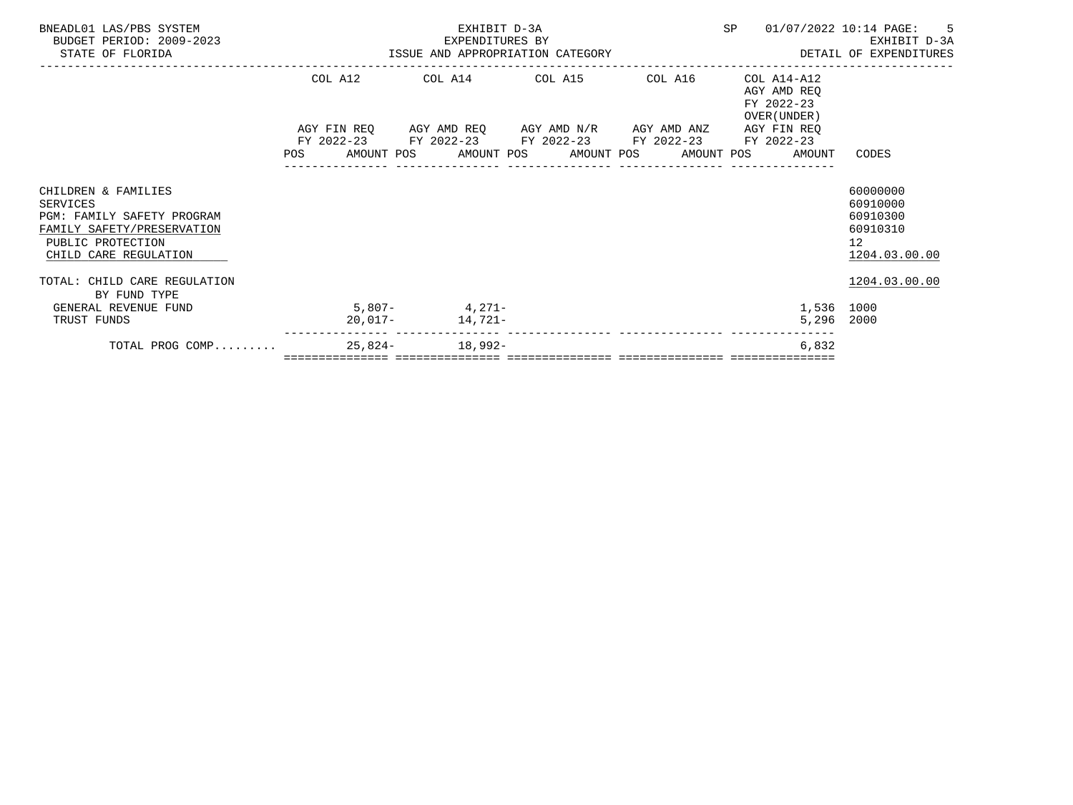| BNEADL01 LAS/PBS SYSTEM<br>BUDGET PERIOD: 2009-2023<br>STATE OF FLORIDA                                                                   |  | EXHIBIT D-3A    |                                                                                                                       |  |                                                                               | SP 01/07/2022 10:14 PAGE: 5<br>EXPENDITURES BY EXERCITE DESIGN BY EXHIBIT D-3A EXHIBIT D-3A EXHIBIT D-3A EXHIBIT D-3A EXHIBIT D-3A |
|-------------------------------------------------------------------------------------------------------------------------------------------|--|-----------------|-----------------------------------------------------------------------------------------------------------------------|--|-------------------------------------------------------------------------------|------------------------------------------------------------------------------------------------------------------------------------|
|                                                                                                                                           |  |                 | COL A12 COL A14 COL A15 COL A16                                                                                       |  | COL A14-A12<br>AGY AMD REO<br>FY 2022-23                                      |                                                                                                                                    |
|                                                                                                                                           |  |                 | AGY FIN REQ AGY AMD REQ AGY AMD N/R AGY AMD ANZ AGY FIN REQ<br>FY 2022-23 FY 2022-23 FY 2022-23 FY 2022-23 FY 2022-23 |  | OVER (UNDER )<br>POS AMOUNT POS AMOUNT POS AMOUNT POS AMOUNT POS AMOUNT CODES |                                                                                                                                    |
| CHILDREN & FAMILIES<br>SERVICES<br>PGM: FAMILY SAFETY PROGRAM<br>FAMILY SAFETY/PRESERVATION<br>PUBLIC PROTECTION<br>CHILD CARE REGULATION |  |                 |                                                                                                                       |  |                                                                               | 60000000<br>60910000<br>60910300<br>60910310<br>12 <sup>7</sup><br>1204.03.00.00                                                   |
| TOTAL: CHILD CARE REGULATION<br>BY FUND TYPE                                                                                              |  |                 |                                                                                                                       |  |                                                                               | 1204.03.00.00                                                                                                                      |
| $5,807-4,271-$<br>GENERAL REVENUE FUND<br>TRUST FUNDS                                                                                     |  | 20,017- 14,721- |                                                                                                                       |  | 1,536 1000<br>5,296 2000                                                      |                                                                                                                                    |
| TOTAL PROG COMP 25,824- 18,992-                                                                                                           |  |                 |                                                                                                                       |  | 6,832                                                                         |                                                                                                                                    |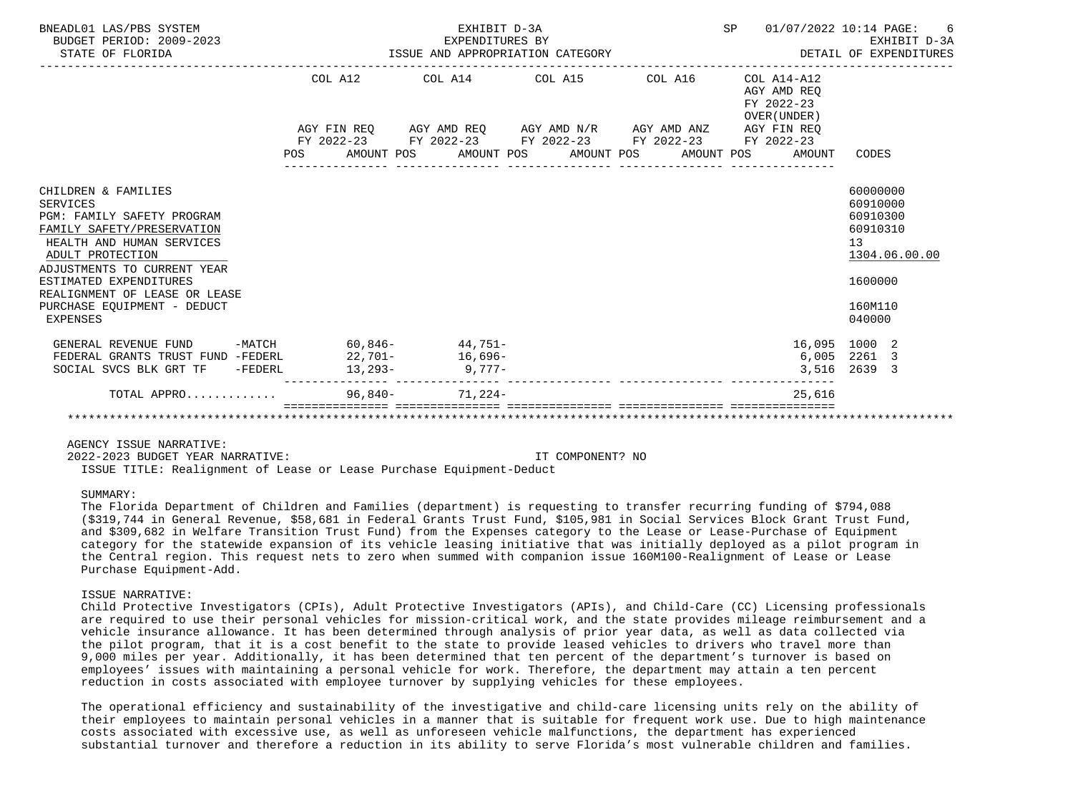| BNEADL01 LAS/PBS SYSTEM<br>BUDGET PERIOD: 2009-2023<br>STATE OF FLORIDA                                                                                                                                                                                                                  |         | EXHIBIT D-3A<br>EXPENDITURES BY<br>EXPENDITURES BY<br>ISSUE AND APPROPRIATION CATEGORY | SP | 01/07/2022 10:14 PAGE:<br>EXHIBIT D-3A<br>DETAIL OF EXPENDITURES<br>. _ _ _ _ _ _ _ _ _ _ _ _ _ _ _ |                                                                                                     |
|------------------------------------------------------------------------------------------------------------------------------------------------------------------------------------------------------------------------------------------------------------------------------------------|---------|----------------------------------------------------------------------------------------|----|-----------------------------------------------------------------------------------------------------|-----------------------------------------------------------------------------------------------------|
|                                                                                                                                                                                                                                                                                          | COL A12 | $COL A14$ $COL A15$ $COL A16$ $COL A14-A12$                                            |    | AGY AMD REO<br>FY 2022-23<br>OVER (UNDER)                                                           |                                                                                                     |
|                                                                                                                                                                                                                                                                                          |         | AGY FIN REQ AGY AMD REQ AGY AMD N/R AGY AMD ANZ AGY FIN REQ                            |    |                                                                                                     |                                                                                                     |
|                                                                                                                                                                                                                                                                                          |         | FY 2022-23 FY 2022-23 FY 2022-23 FY 2022-23 FY 2022-23                                 |    |                                                                                                     |                                                                                                     |
|                                                                                                                                                                                                                                                                                          |         | POS AMOUNT POS AMOUNT POS AMOUNT POS AMOUNT POS                                        |    | AMOUNT                                                                                              | CODES                                                                                               |
| CHILDREN & FAMILIES<br>SERVICES<br>PGM: FAMILY SAFETY PROGRAM<br>FAMILY SAFETY/PRESERVATION<br>HEALTH AND HUMAN SERVICES<br>ADULT PROTECTION<br>ADJUSTMENTS TO CURRENT YEAR<br>ESTIMATED EXPENDITURES<br>REALIGNMENT OF LEASE OR LEASE<br>PURCHASE EQUIPMENT - DEDUCT<br><b>EXPENSES</b> |         |                                                                                        |    |                                                                                                     | 60000000<br>60910000<br>60910300<br>60910310<br>13<br>1304.06.00.00<br>1600000<br>160M110<br>040000 |
| GENERAL REVENUE FUND -MATCH 60,846- 44,751-                                                                                                                                                                                                                                              |         |                                                                                        |    |                                                                                                     | 16,095 1000 2                                                                                       |
| FEDERAL GRANTS TRUST FUND -FEDERL                                                                                                                                                                                                                                                        |         | $22,701-16,696-$                                                                       |    | 6,005                                                                                               | 2261 3                                                                                              |
| SOCIAL SVCS BLK GRT TF -FEDERL                                                                                                                                                                                                                                                           |         | $13,293-9,777-$                                                                        |    | 3,516                                                                                               | 2639 3                                                                                              |
| TOTAL APPRO                                                                                                                                                                                                                                                                              |         | $96,840 - 71,224 -$                                                                    |    | 25,616                                                                                              |                                                                                                     |
|                                                                                                                                                                                                                                                                                          |         |                                                                                        |    |                                                                                                     |                                                                                                     |

2022-2023 BUDGET YEAR NARRATIVE: IT COMPONENT? NO

ISSUE TITLE: Realignment of Lease or Lease Purchase Equipment-Deduct

# SUMMARY:

 The Florida Department of Children and Families (department) is requesting to transfer recurring funding of \$794,088 (\$319,744 in General Revenue, \$58,681 in Federal Grants Trust Fund, \$105,981 in Social Services Block Grant Trust Fund, and \$309,682 in Welfare Transition Trust Fund) from the Expenses category to the Lease or Lease-Purchase of Equipment category for the statewide expansion of its vehicle leasing initiative that was initially deployed as a pilot program in the Central region. This request nets to zero when summed with companion issue 160M100-Realignment of Lease or Lease Purchase Equipment-Add.

#### ISSUE NARRATIVE:

 Child Protective Investigators (CPIs), Adult Protective Investigators (APIs), and Child-Care (CC) Licensing professionals are required to use their personal vehicles for mission-critical work, and the state provides mileage reimbursement and a vehicle insurance allowance. It has been determined through analysis of prior year data, as well as data collected via the pilot program, that it is a cost benefit to the state to provide leased vehicles to drivers who travel more than 9,000 miles per year. Additionally, it has been determined that ten percent of the department's turnover is based on employees' issues with maintaining a personal vehicle for work. Therefore, the department may attain a ten percent reduction in costs associated with employee turnover by supplying vehicles for these employees.

 The operational efficiency and sustainability of the investigative and child-care licensing units rely on the ability of their employees to maintain personal vehicles in a manner that is suitable for frequent work use. Due to high maintenance costs associated with excessive use, as well as unforeseen vehicle malfunctions, the department has experienced substantial turnover and therefore a reduction in its ability to serve Florida's most vulnerable children and families.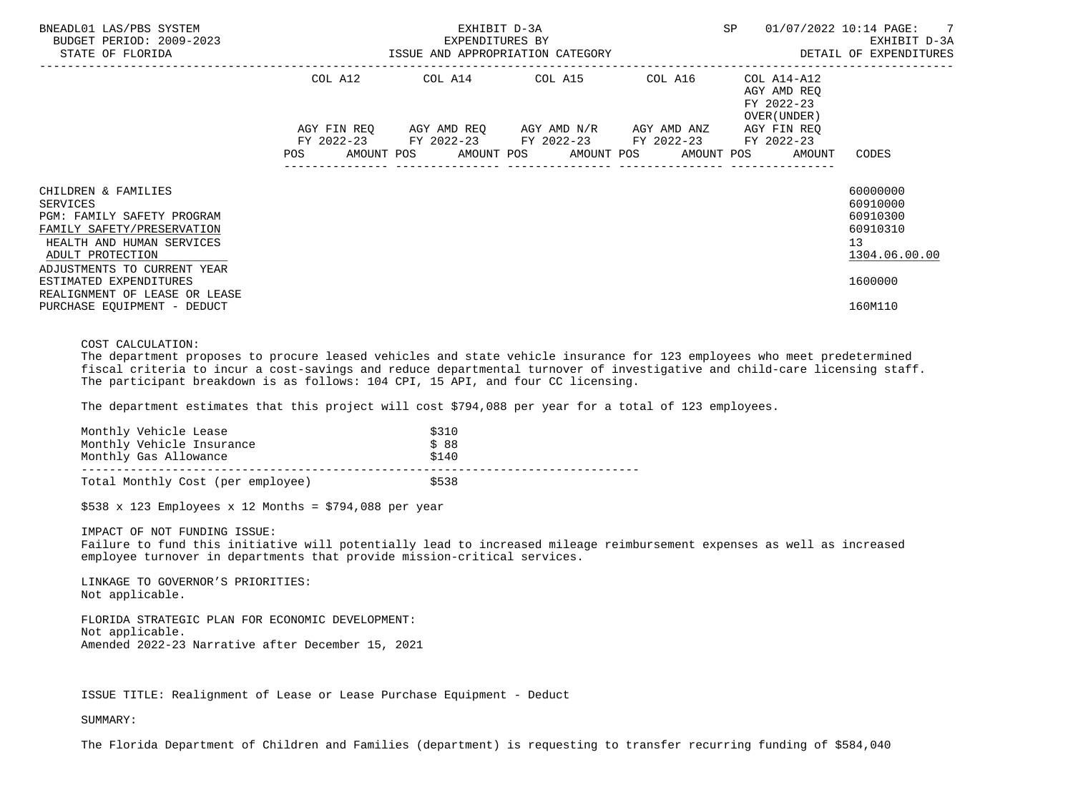| BNEADL01 LAS/PBS SYSTEM<br>BUDGET PERIOD: 2009-2023<br>STATE OF FLORIDA                                                                                                                                                                       |            | EXHIBIT D-3A<br>EXPENDITURES BY<br>ISSUE AND APPROPRIATION CATEGORY | SP                                                                                                                                                   | 01/07/2022 10:14 PAGE: 7<br>EXHIBIT D-3A<br>DETAIL OF EXPENDITURES |                                                           |                                                                                |
|-----------------------------------------------------------------------------------------------------------------------------------------------------------------------------------------------------------------------------------------------|------------|---------------------------------------------------------------------|------------------------------------------------------------------------------------------------------------------------------------------------------|--------------------------------------------------------------------|-----------------------------------------------------------|--------------------------------------------------------------------------------|
|                                                                                                                                                                                                                                               | COL A12    |                                                                     | COL A14 COL A15                                                                                                                                      | COL A16                                                            | COL A14-A12<br>AGY AMD REQ<br>FY 2022-23<br>OVER (UNDER ) |                                                                                |
|                                                                                                                                                                                                                                               | <b>POS</b> |                                                                     | AGY FIN REQ 6GY AMD REQ 6GY AMD N/R 6GY AMD ANZ<br>FY 2022-23 FY 2022-23 FY 2022-23 FY 2022-23<br>AMOUNT POS AMOUNT POS AMOUNT POS AMOUNT POS AMOUNT |                                                                    | AGY FIN REQ<br>FY 2022-23                                 | CODES                                                                          |
| CHILDREN & FAMILIES<br>SERVICES<br><b>PGM: FAMILY SAFETY PROGRAM</b><br>FAMILY SAFETY/PRESERVATION<br>HEALTH AND HUMAN SERVICES<br>ADULT PROTECTION<br>ADJUSTMENTS TO CURRENT YEAR<br>ESTIMATED EXPENDITURES<br>REALIGNMENT OF LEASE OR LEASE |            |                                                                     |                                                                                                                                                      |                                                                    |                                                           | 60000000<br>60910000<br>60910300<br>60910310<br>13<br>1304.06.00.00<br>1600000 |
| PURCHASE EQUIPMENT - DEDUCT                                                                                                                                                                                                                   |            |                                                                     |                                                                                                                                                      |                                                                    |                                                           | 160M110                                                                        |

# COST CALCULATION:

 The department proposes to procure leased vehicles and state vehicle insurance for 123 employees who meet predetermined fiscal criteria to incur a cost-savings and reduce departmental turnover of investigative and child-care licensing staff. The participant breakdown is as follows: 104 CPI, 15 API, and four CC licensing.

The department estimates that this project will cost \$794,088 per year for a total of 123 employees.

| Monthly Vehicle Lease             | \$310 |
|-----------------------------------|-------|
| Monthly Vehicle Insurance         | \$88  |
| Monthly Gas Allowance             | \$140 |
| Total Monthly Cost (per employee) | \$538 |

 $$538 \times 123$  Employees x 12 Months = \$794,088 per year

IMPACT OF NOT FUNDING ISSUE:

 Failure to fund this initiative will potentially lead to increased mileage reimbursement expenses as well as increased employee turnover in departments that provide mission-critical services.

 LINKAGE TO GOVERNOR'S PRIORITIES: Not applicable.

 FLORIDA STRATEGIC PLAN FOR ECONOMIC DEVELOPMENT: Not applicable. Amended 2022-23 Narrative after December 15, 2021

ISSUE TITLE: Realignment of Lease or Lease Purchase Equipment - Deduct

SUMMARY:

The Florida Department of Children and Families (department) is requesting to transfer recurring funding of \$584,040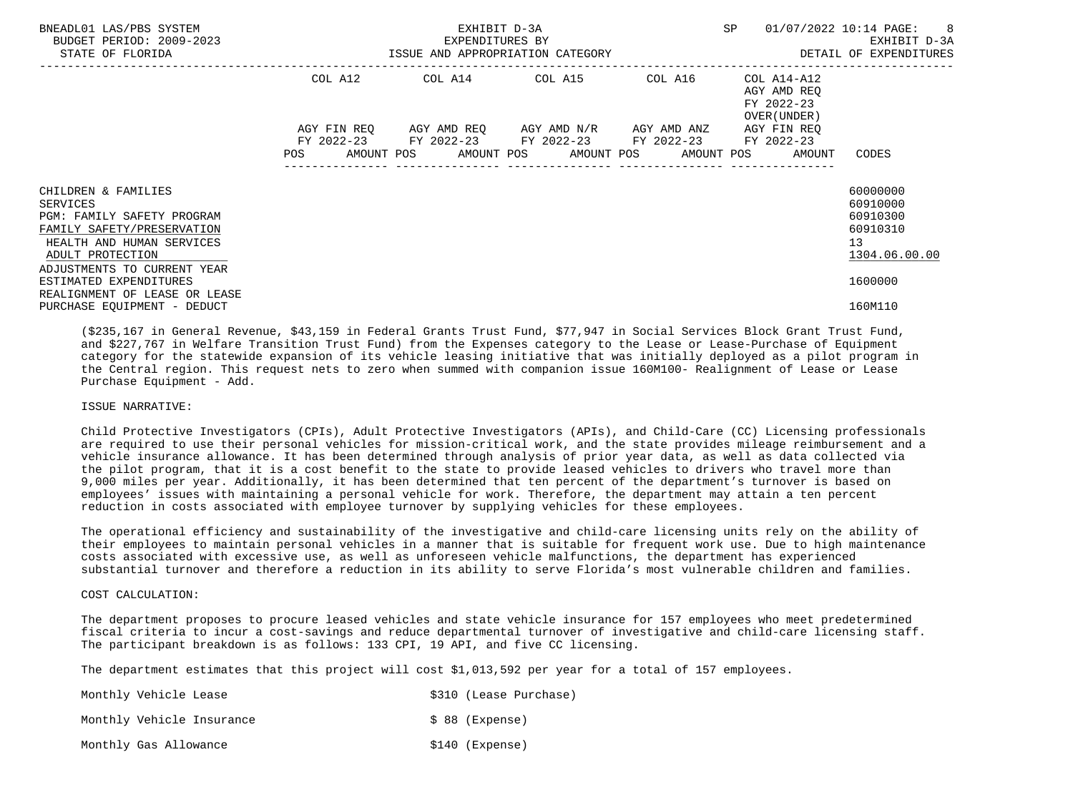| BNEADL01 LAS/PBS SYSTEM<br>BUDGET PERIOD: 2009-2023<br>STATE OF FLORIDA                                                                                                            |         | EXHIBIT D-3A<br>EXPENDITURES BY<br>ISSUE AND APPROPRIATION CATEGORY                                                                           | SP | 01/07/2022 10:14 PAGE: 8<br>EXHIBIT D-3A<br>DETAIL OF EXPENDITURES |                                                                     |
|------------------------------------------------------------------------------------------------------------------------------------------------------------------------------------|---------|-----------------------------------------------------------------------------------------------------------------------------------------------|----|--------------------------------------------------------------------|---------------------------------------------------------------------|
|                                                                                                                                                                                    | COL A12 | COL A14 COL A15 COL A16                                                                                                                       |    | COL A14-A12<br>AGY AMD REO<br>FY 2022-23<br>OVER (UNDER)           |                                                                     |
|                                                                                                                                                                                    | POS     | AGY FIN REO AGY AMD REO AGY AMD N/R AGY AMD ANZ<br>FY 2022-23 FY 2022-23 FY 2022-23 FY 2022-23<br>AMOUNT POS AMOUNT POS AMOUNT POS AMOUNT POS |    | AGY FIN REO<br>FY 2022-23<br>AMOUNT                                | CODES                                                               |
| CHILDREN & FAMILIES<br>SERVICES<br><b>PGM: FAMILY SAFETY PROGRAM</b><br>FAMILY SAFETY/PRESERVATION<br>HEALTH AND HUMAN SERVICES<br>ADULT PROTECTION<br>ADJUSTMENTS TO CURRENT YEAR |         |                                                                                                                                               |    |                                                                    | 60000000<br>60910000<br>60910300<br>60910310<br>13<br>1304.06.00.00 |
| ESTIMATED EXPENDITURES<br>REALIGNMENT OF LEASE OR LEASE<br>PURCHASE EQUIPMENT - DEDUCT                                                                                             |         |                                                                                                                                               |    |                                                                    | 1600000<br>160M110                                                  |

 (\$235,167 in General Revenue, \$43,159 in Federal Grants Trust Fund, \$77,947 in Social Services Block Grant Trust Fund, and \$227,767 in Welfare Transition Trust Fund) from the Expenses category to the Lease or Lease-Purchase of Equipment category for the statewide expansion of its vehicle leasing initiative that was initially deployed as a pilot program in the Central region. This request nets to zero when summed with companion issue 160M100- Realignment of Lease or Lease Purchase Equipment - Add.

# ISSUE NARRATIVE:

 Child Protective Investigators (CPIs), Adult Protective Investigators (APIs), and Child-Care (CC) Licensing professionals are required to use their personal vehicles for mission-critical work, and the state provides mileage reimbursement and a vehicle insurance allowance. It has been determined through analysis of prior year data, as well as data collected via the pilot program, that it is a cost benefit to the state to provide leased vehicles to drivers who travel more than 9,000 miles per year. Additionally, it has been determined that ten percent of the department's turnover is based on employees' issues with maintaining a personal vehicle for work. Therefore, the department may attain a ten percent reduction in costs associated with employee turnover by supplying vehicles for these employees.

 The operational efficiency and sustainability of the investigative and child-care licensing units rely on the ability of their employees to maintain personal vehicles in a manner that is suitable for frequent work use. Due to high maintenance costs associated with excessive use, as well as unforeseen vehicle malfunctions, the department has experienced substantial turnover and therefore a reduction in its ability to serve Florida's most vulnerable children and families.

# COST CALCULATION:

 The department proposes to procure leased vehicles and state vehicle insurance for 157 employees who meet predetermined fiscal criteria to incur a cost-savings and reduce departmental turnover of investigative and child-care licensing staff. The participant breakdown is as follows: 133 CPI, 19 API, and five CC licensing.

The department estimates that this project will cost \$1,013,592 per year for a total of 157 employees.

| Monthly Vehicle Lease     |  |                  | \$310 (Lease Purchase) |
|---------------------------|--|------------------|------------------------|
| Monthly Vehicle Insurance |  | $$88$ (Expense)  |                        |
| Monthly Gas Allowance     |  | $$140$ (Expense) |                        |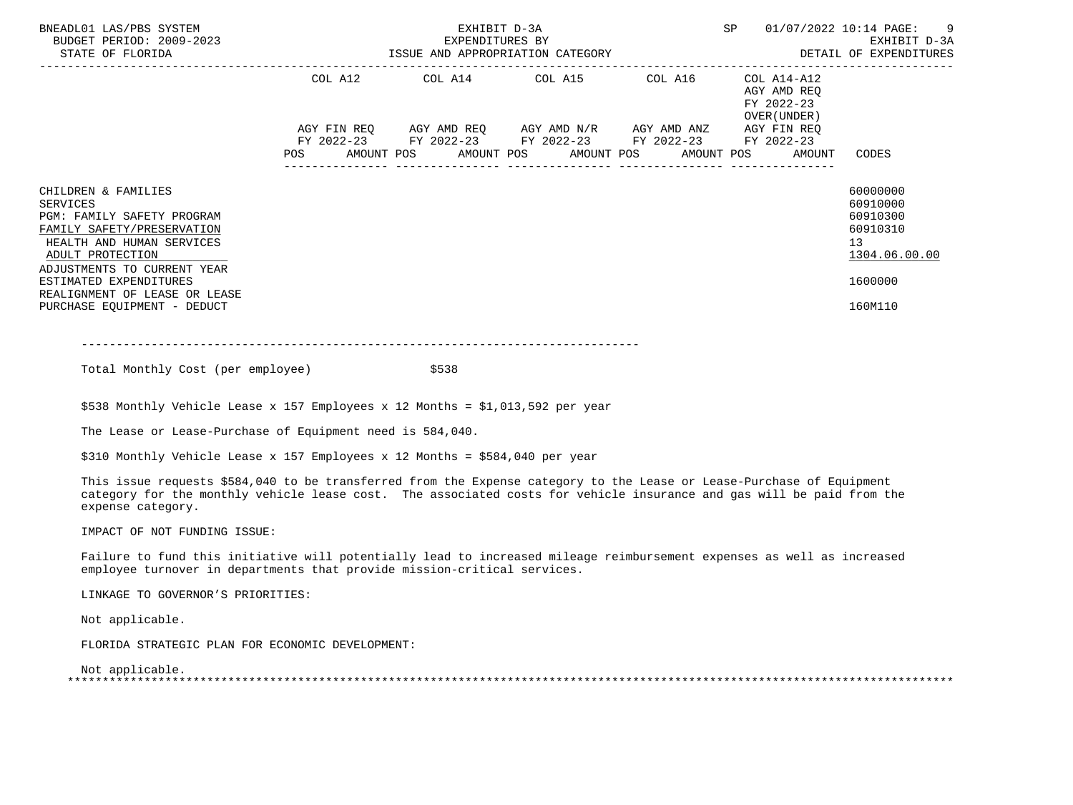| BNEADL01 LAS/PBS SYSTEM<br>BUDGET PERIOD: 2009-2023<br>STATE OF FLORIDA                                                                                                                                                                                               | EXPENDITURES BY EXEMPLES BY EXHIBIT D-3A EXHIBIT D-3A EXHIBIT D-3A EXHIBIT D-3A EXHIBIT D-3A | SP                                                                                                                    | 01/07/2022 10:14 PAGE: 9 |                                                            |                                                                                                        |
|-----------------------------------------------------------------------------------------------------------------------------------------------------------------------------------------------------------------------------------------------------------------------|----------------------------------------------------------------------------------------------|-----------------------------------------------------------------------------------------------------------------------|--------------------------|------------------------------------------------------------|--------------------------------------------------------------------------------------------------------|
|                                                                                                                                                                                                                                                                       |                                                                                              | COL A12 COL A14 COL A15 COL A16                                                                                       |                          | COL A14-A12<br>AGY AMD REO<br>FY 2022-23<br>OVER (UNDER )  |                                                                                                        |
|                                                                                                                                                                                                                                                                       |                                                                                              | AGY FIN REQ AGY AMD REQ AGY AMD N/R AGY AMD ANZ AGY FIN REQ<br>FY 2022-23 FY 2022-23 FY 2022-23 FY 2022-23 FY 2022-23 |                          | POS AMOUNT POS AMOUNT POS AMOUNT POS AMOUNT POS AMOUNT TOS | CODES                                                                                                  |
| CHILDREN & FAMILIES<br>SERVICES<br>PGM: FAMILY SAFETY PROGRAM<br>FAMILY SAFETY/PRESERVATION<br>HEALTH AND HUMAN SERVICES<br>ADULT PROTECTION<br>ADJUSTMENTS TO CURRENT YEAR<br>ESTIMATED EXPENDITURES<br>REALIGNMENT OF LEASE OR LEASE<br>PURCHASE EQUIPMENT - DEDUCT |                                                                                              |                                                                                                                       |                          |                                                            | 60000000<br>60910000<br>60910300<br>60910310<br>13 <sup>°</sup><br>1304.06.00.00<br>1600000<br>160M110 |

 $-+++++$ 

Total Monthly Cost (per employee)  $$538$ 

\$538 Monthly Vehicle Lease x 157 Employees x 12 Months = \$1,013,592 per year

The Lease or Lease-Purchase of Equipment need is 584,040.

\$310 Monthly Vehicle Lease x 157 Employees x 12 Months = \$584,040 per year

 This issue requests \$584,040 to be transferred from the Expense category to the Lease or Lease-Purchase of Equipment category for the monthly vehicle lease cost. The associated costs for vehicle insurance and gas will be paid from the expense category.

IMPACT OF NOT FUNDING ISSUE:

 Failure to fund this initiative will potentially lead to increased mileage reimbursement expenses as well as increased employee turnover in departments that provide mission-critical services.

LINKAGE TO GOVERNOR'S PRIORITIES:

Not applicable.

FLORIDA STRATEGIC PLAN FOR ECONOMIC DEVELOPMENT:

 Not applicable. \*\*\*\*\*\*\*\*\*\*\*\*\*\*\*\*\*\*\*\*\*\*\*\*\*\*\*\*\*\*\*\*\*\*\*\*\*\*\*\*\*\*\*\*\*\*\*\*\*\*\*\*\*\*\*\*\*\*\*\*\*\*\*\*\*\*\*\*\*\*\*\*\*\*\*\*\*\*\*\*\*\*\*\*\*\*\*\*\*\*\*\*\*\*\*\*\*\*\*\*\*\*\*\*\*\*\*\*\*\*\*\*\*\*\*\*\*\*\*\*\*\*\*\*\*\*\*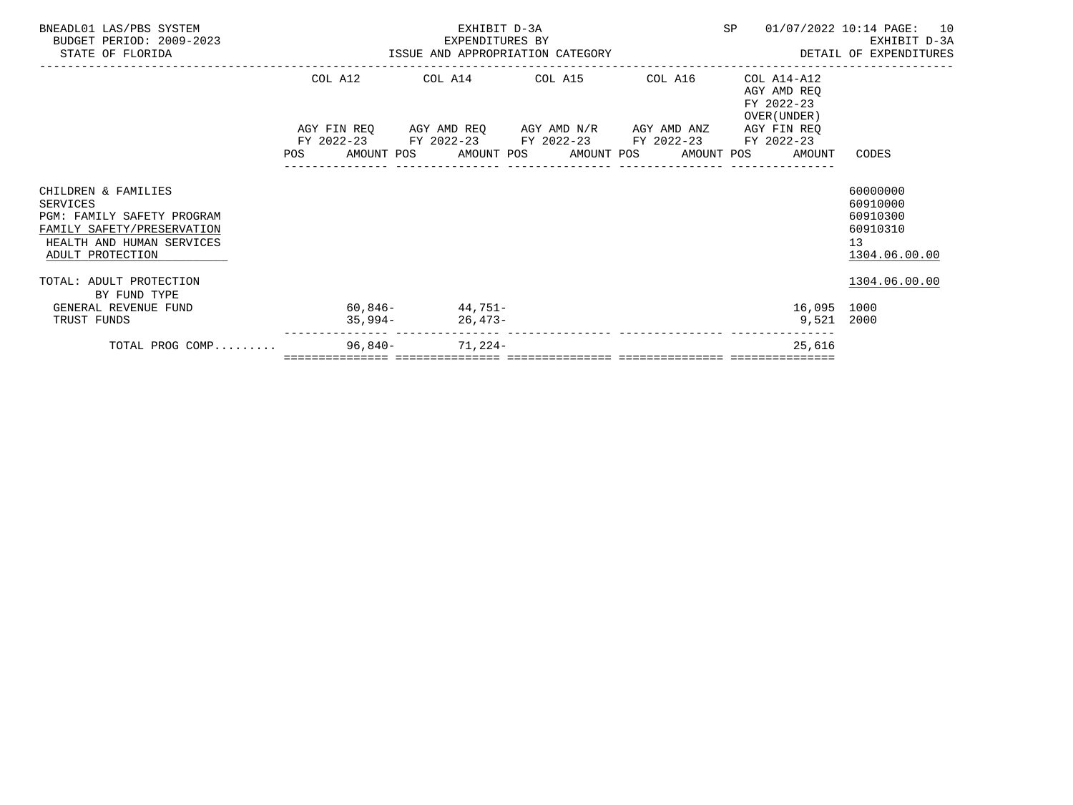| BNEADL01 LAS/PBS SYSTEM                                                                                                                                                        |  |                                         | EXHIBIT D-3A    |                                                                                                                       |         |                                                          | SP 01/07/2022 10:14 PAGE: 10                                                                                                                       |  |
|--------------------------------------------------------------------------------------------------------------------------------------------------------------------------------|--|-----------------------------------------|-----------------|-----------------------------------------------------------------------------------------------------------------------|---------|----------------------------------------------------------|----------------------------------------------------------------------------------------------------------------------------------------------------|--|
| BUDGET PERIOD: 2009-2023<br>STATE OF FLORIDA                                                                                                                                   |  |                                         | EXPENDITURES BY |                                                                                                                       |         |                                                          | 5A-2023 EXPENDITURES BY EXPENDITURES BY المدحل المستحدة وتحدير المستحدة المستحدة وتحدير المستحدة وتحدير المستح<br>ISSUE AND APPROPRIATION CATEGORY |  |
|                                                                                                                                                                                |  |                                         |                 | COL A12 COL A14 COL A15                                                                                               | COL A16 | COL A14-A12<br>AGY AMD REO<br>FY 2022-23<br>OVER (UNDER) |                                                                                                                                                    |  |
|                                                                                                                                                                                |  |                                         |                 | AGY FIN REQ AGY AMD REQ AGY AMD N/R AGY AMD ANZ AGY FIN REQ<br>FY 2022-23 FY 2022-23 FY 2022-23 FY 2022-23 FY 2022-23 |         | POS AMOUNT POS AMOUNT POS AMOUNT POS AMOUNT POS AMOUNT   | CODES                                                                                                                                              |  |
| CHILDREN & FAMILIES<br><b>SERVICES</b><br>PGM: FAMILY SAFETY PROGRAM<br>FAMILY SAFETY/PRESERVATION<br>HEALTH AND HUMAN SERVICES<br>ADULT PROTECTION<br>TOTAL: ADULT PROTECTION |  |                                         |                 |                                                                                                                       |         |                                                          | 60000000<br>60910000<br>60910300<br>60910310<br>13 <sup>°</sup><br>1304.06.00.00<br>1304.06.00.00                                                  |  |
| BY FUND TYPE<br>GENERAL REVENUE FUND<br>TRUST FUNDS                                                                                                                            |  | $60,846 - 44,751 -$<br>$35,994-26,473-$ |                 |                                                                                                                       |         | 16,095 1000<br>9,521 2000                                |                                                                                                                                                    |  |
| TOTAL PROG COMP                                                                                                                                                                |  | $96,840-71,224-$                        |                 |                                                                                                                       |         | 25,616                                                   |                                                                                                                                                    |  |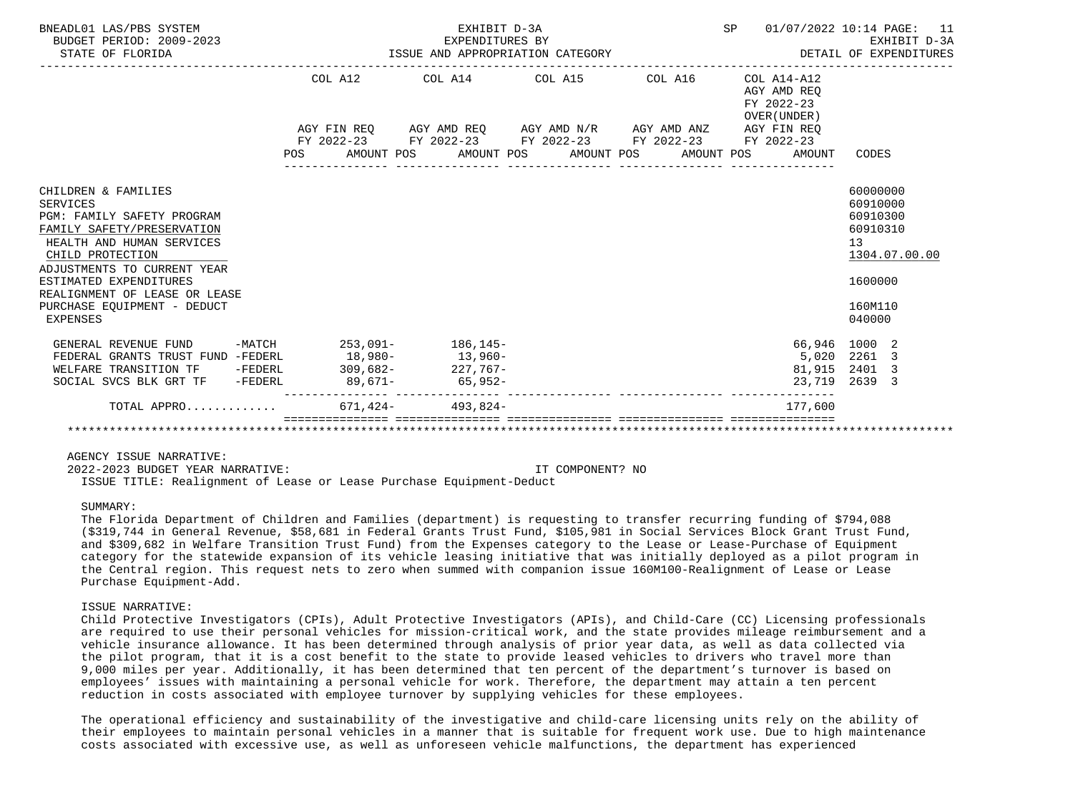| BNEADL01 LAS/PBS SYSTEM<br>BUDGET PERIOD: 2009-2023<br>STATE OF FLORIDA                                                                                                                                                                                                           | EXHIBIT D-3A<br>EXPENDITURES BY<br>ISSUE AND APPROPRIATION CATEGORY                            | SP 01/07/2022 10:14 PAGE: 11<br>EXHIBIT D-3A<br>DETAIL OF EXPENDITURES | EXHIBIT D-3A                                                |                                                                                                                  |
|-----------------------------------------------------------------------------------------------------------------------------------------------------------------------------------------------------------------------------------------------------------------------------------|------------------------------------------------------------------------------------------------|------------------------------------------------------------------------|-------------------------------------------------------------|------------------------------------------------------------------------------------------------------------------|
|                                                                                                                                                                                                                                                                                   | COL A12 COL A14 COL A15 COL A16                                                                |                                                                        | $COL A14- A12$<br>AGY AMD REO<br>FY 2022-23<br>OVER (UNDER) |                                                                                                                  |
|                                                                                                                                                                                                                                                                                   | AGY FIN REQ AGY AMD REQ AGY AMD N/R AGY AMD ANZ AGY FIN REQ                                    |                                                                        |                                                             |                                                                                                                  |
|                                                                                                                                                                                                                                                                                   | FY 2022-23 FY 2022-23 FY 2022-23 FY 2022-23 FY 2022-23<br>POS AMOUNT POS AMOUNT POS AMOUNT POS |                                                                        |                                                             |                                                                                                                  |
|                                                                                                                                                                                                                                                                                   |                                                                                                |                                                                        | AMOUNT POS<br>AMOUNT                                        | CODES                                                                                                            |
| CHILDREN & FAMILIES<br>SERVICES<br>PGM: FAMILY SAFETY PROGRAM<br>FAMILY SAFETY/PRESERVATION<br>HEALTH AND HUMAN SERVICES<br>CHILD PROTECTION<br>ADJUSTMENTS TO CURRENT YEAR<br>ESTIMATED EXPENDITURES<br>REALIGNMENT OF LEASE OR LEASE<br>PURCHASE EQUIPMENT - DEDUCT<br>EXPENSES |                                                                                                |                                                                        |                                                             | 60000000<br>60910000<br>60910300<br>60910310<br>13 <sup>°</sup><br>1304.07.00.00<br>1600000<br>160M110<br>040000 |
| GENERAL REVENUE FUND -MATCH 253,091- 186,145-                                                                                                                                                                                                                                     |                                                                                                |                                                                        |                                                             | 66,946 1000 2                                                                                                    |
| FEDERAL GRANTS TRUST FUND -FEDERL 18,980- 13,960-                                                                                                                                                                                                                                 |                                                                                                |                                                                        |                                                             | 5,020 2261 3                                                                                                     |
| WELFARE TRANSITION TF -FEDERL                                                                                                                                                                                                                                                     | $309,682 - 227,767 -$                                                                          |                                                                        | 81,915                                                      | 2401 3                                                                                                           |
| SOCIAL SVCS BLK GRT TF -FEDERL                                                                                                                                                                                                                                                    | $89,671-$ 65,952-                                                                              |                                                                        |                                                             | 23,719 2639 3                                                                                                    |
| TOTAL APPRO                                                                                                                                                                                                                                                                       | $671.424 - 493.824 -$                                                                          |                                                                        | 177.600                                                     |                                                                                                                  |
|                                                                                                                                                                                                                                                                                   |                                                                                                |                                                                        |                                                             |                                                                                                                  |

 2022-2023 BUDGET YEAR NARRATIVE: IT COMPONENT? NO ISSUE TITLE: Realignment of Lease or Lease Purchase Equipment-Deduct

#### SUMMARY:

 The Florida Department of Children and Families (department) is requesting to transfer recurring funding of \$794,088 (\$319,744 in General Revenue, \$58,681 in Federal Grants Trust Fund, \$105,981 in Social Services Block Grant Trust Fund, and \$309,682 in Welfare Transition Trust Fund) from the Expenses category to the Lease or Lease-Purchase of Equipment category for the statewide expansion of its vehicle leasing initiative that was initially deployed as a pilot program in the Central region. This request nets to zero when summed with companion issue 160M100-Realignment of Lease or Lease Purchase Equipment-Add.

#### ISSUE NARRATIVE:

 Child Protective Investigators (CPIs), Adult Protective Investigators (APIs), and Child-Care (CC) Licensing professionals are required to use their personal vehicles for mission-critical work, and the state provides mileage reimbursement and a vehicle insurance allowance. It has been determined through analysis of prior year data, as well as data collected via the pilot program, that it is a cost benefit to the state to provide leased vehicles to drivers who travel more than 9,000 miles per year. Additionally, it has been determined that ten percent of the department's turnover is based on employees' issues with maintaining a personal vehicle for work. Therefore, the department may attain a ten percent reduction in costs associated with employee turnover by supplying vehicles for these employees.

 The operational efficiency and sustainability of the investigative and child-care licensing units rely on the ability of their employees to maintain personal vehicles in a manner that is suitable for frequent work use. Due to high maintenance costs associated with excessive use, as well as unforeseen vehicle malfunctions, the department has experienced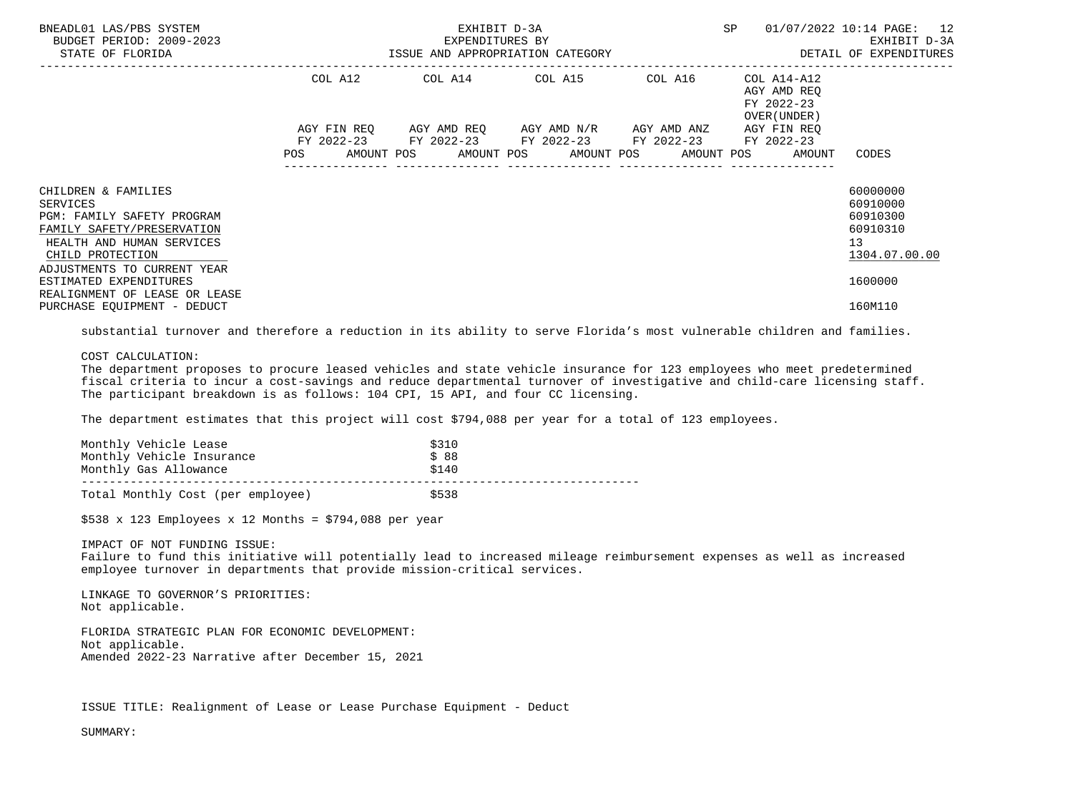| BNEADL01 LAS/PBS SYSTEM<br>BUDGET PERIOD: 2009-2023<br>STATE OF FLORIDA                                                                                                                                      |                                                                                                                | EXHIBIT D-3A<br>EXPENDITURES BY | SP                                                     | 01/07/2022 10:14 PAGE: 12<br>EXHIBIT D-3A<br>ISSUE AND APPROPRIATION CATEGORY <b>Experience in the SETAIL OF EXPENDITURES</b> |                                                                   |                                                                                |
|--------------------------------------------------------------------------------------------------------------------------------------------------------------------------------------------------------------|----------------------------------------------------------------------------------------------------------------|---------------------------------|--------------------------------------------------------|-------------------------------------------------------------------------------------------------------------------------------|-------------------------------------------------------------------|--------------------------------------------------------------------------------|
|                                                                                                                                                                                                              |                                                                                                                |                                 | COL A12 COL A14 COL A15 COL A16                        |                                                                                                                               | COL A14-A12<br>AGY AMD REO<br>FY 2022-23<br>OVER (UNDER)          |                                                                                |
|                                                                                                                                                                                                              | POS FOR THE POST OF THE POST OF THE POST OF THE POST OF THE POST OF THE POST OF THE POST OF THE POST OF THE PO |                                 | FY 2022-23 FY 2022-23 FY 2022-23 FY 2022-23 FY 2022-23 |                                                                                                                               | AGY FIN REO<br>AMOUNT POS AMOUNT POS AMOUNT POS AMOUNT POS AMOUNT | CODES                                                                          |
| CHILDREN & FAMILIES<br>SERVICES<br><b>PGM: FAMILY SAFETY PROGRAM</b><br>FAMILY SAFETY/PRESERVATION<br>HEALTH AND HUMAN SERVICES<br>CHILD PROTECTION<br>ADJUSTMENTS TO CURRENT YEAR<br>ESTIMATED EXPENDITURES |                                                                                                                |                                 |                                                        |                                                                                                                               |                                                                   | 60000000<br>60910000<br>60910300<br>60910310<br>13<br>1304.07.00.00<br>1600000 |
| REALIGNMENT OF LEASE OR LEASE<br>PURCHASE EQUIPMENT - DEDUCT                                                                                                                                                 |                                                                                                                |                                 |                                                        |                                                                                                                               |                                                                   | 160M110                                                                        |

substantial turnover and therefore a reduction in its ability to serve Florida's most vulnerable children and families.

# COST CALCULATION:

 The department proposes to procure leased vehicles and state vehicle insurance for 123 employees who meet predetermined fiscal criteria to incur a cost-savings and reduce departmental turnover of investigative and child-care licensing staff. The participant breakdown is as follows: 104 CPI, 15 API, and four CC licensing.

The department estimates that this project will cost \$794,088 per year for a total of 123 employees.

| Monthly Vehicle Lease<br>Monthly Vehicle Insurance | \$310<br>\$88 |  |
|----------------------------------------------------|---------------|--|
| Monthly Gas Allowance                              | \$140         |  |
| Total Monthly Cost (per employee)                  | \$538         |  |

 $$538 \times 123$  Employees x 12 Months = \$794,088 per year

IMPACT OF NOT FUNDING ISSUE:

 Failure to fund this initiative will potentially lead to increased mileage reimbursement expenses as well as increased employee turnover in departments that provide mission-critical services.

 LINKAGE TO GOVERNOR'S PRIORITIES: Not applicable.

 FLORIDA STRATEGIC PLAN FOR ECONOMIC DEVELOPMENT: Not applicable. Amended 2022-23 Narrative after December 15, 2021

ISSUE TITLE: Realignment of Lease or Lease Purchase Equipment - Deduct

SUMMARY: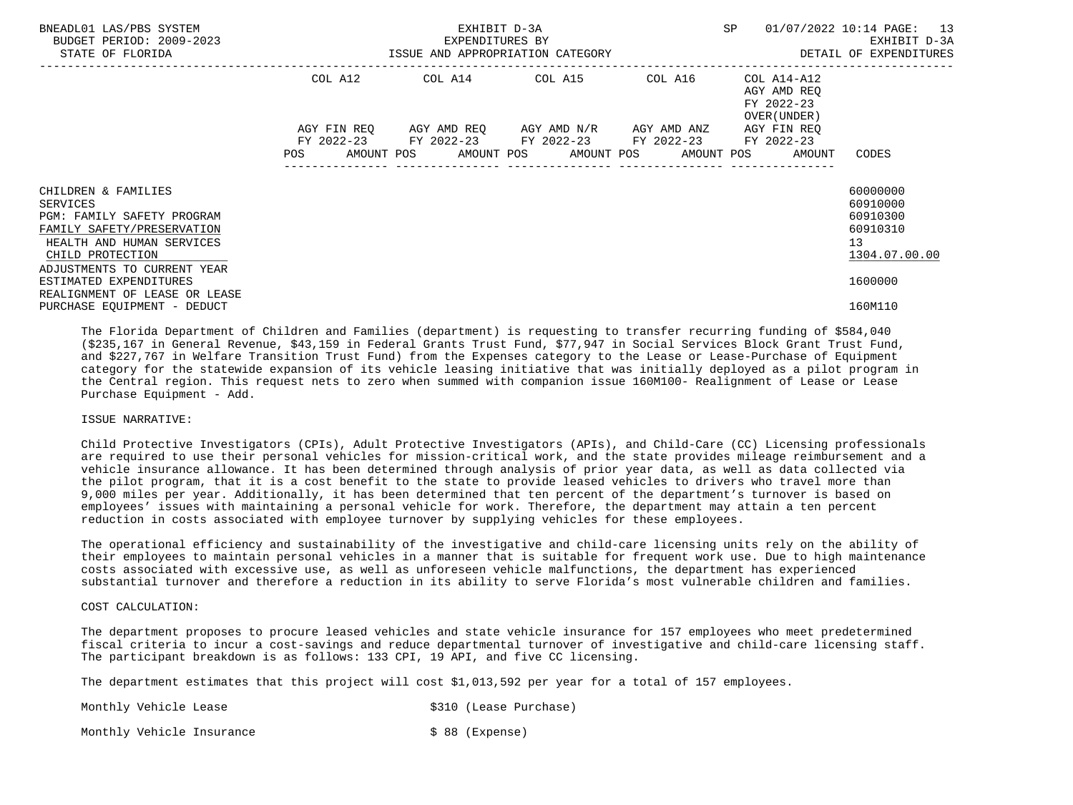| BNEADL01 LAS/PBS SYSTEM<br>BUDGET PERIOD: 2009-2023<br>STATE OF FLORIDA                                                                                                                                                                |         | EXHIBIT D-3A<br>EXPENDITURES BY<br>ISSUE AND APPROPRIATION CATEGORY                                                                           | SP | 01/07/2022 10:14 PAGE: 13<br>EXHIBIT D-3A<br>DETAIL OF EXPENDITURES |                                                                                |
|----------------------------------------------------------------------------------------------------------------------------------------------------------------------------------------------------------------------------------------|---------|-----------------------------------------------------------------------------------------------------------------------------------------------|----|---------------------------------------------------------------------|--------------------------------------------------------------------------------|
|                                                                                                                                                                                                                                        | COL A12 |                                                                                                                                               |    | AGY AMD REO<br>FY 2022-23<br>OVER (UNDER )                          |                                                                                |
|                                                                                                                                                                                                                                        | POS     | AGY FIN REO AGY AMD REO AGY AMD N/R AGY AMD ANZ<br>FY 2022-23 FY 2022-23 FY 2022-23 FY 2022-23<br>AMOUNT POS AMOUNT POS AMOUNT POS AMOUNT POS |    | AGY FIN REO<br>FY 2022-23<br>AMOUNT                                 | CODES                                                                          |
| CHILDREN & FAMILIES<br>SERVICES<br>PGM: FAMILY SAFETY PROGRAM<br>FAMILY SAFETY/PRESERVATION<br>HEALTH AND HUMAN SERVICES<br>CHILD PROTECTION<br>ADJUSTMENTS TO CURRENT YEAR<br>ESTIMATED EXPENDITURES<br>REALIGNMENT OF LEASE OR LEASE |         |                                                                                                                                               |    |                                                                     | 60000000<br>60910000<br>60910300<br>60910310<br>13<br>1304.07.00.00<br>1600000 |
| PURCHASE EQUIPMENT - DEDUCT                                                                                                                                                                                                            |         |                                                                                                                                               |    |                                                                     | 160M110                                                                        |

 The Florida Department of Children and Families (department) is requesting to transfer recurring funding of \$584,040 (\$235,167 in General Revenue, \$43,159 in Federal Grants Trust Fund, \$77,947 in Social Services Block Grant Trust Fund, and \$227,767 in Welfare Transition Trust Fund) from the Expenses category to the Lease or Lease-Purchase of Equipment category for the statewide expansion of its vehicle leasing initiative that was initially deployed as a pilot program in the Central region. This request nets to zero when summed with companion issue 160M100- Realignment of Lease or Lease Purchase Equipment - Add.

### ISSUE NARRATIVE:

 Child Protective Investigators (CPIs), Adult Protective Investigators (APIs), and Child-Care (CC) Licensing professionals are required to use their personal vehicles for mission-critical work, and the state provides mileage reimbursement and a vehicle insurance allowance. It has been determined through analysis of prior year data, as well as data collected via the pilot program, that it is a cost benefit to the state to provide leased vehicles to drivers who travel more than 9,000 miles per year. Additionally, it has been determined that ten percent of the department's turnover is based on employees' issues with maintaining a personal vehicle for work. Therefore, the department may attain a ten percent reduction in costs associated with employee turnover by supplying vehicles for these employees.

 The operational efficiency and sustainability of the investigative and child-care licensing units rely on the ability of their employees to maintain personal vehicles in a manner that is suitable for frequent work use. Due to high maintenance costs associated with excessive use, as well as unforeseen vehicle malfunctions, the department has experienced substantial turnover and therefore a reduction in its ability to serve Florida's most vulnerable children and families.

# COST CALCULATION:

 The department proposes to procure leased vehicles and state vehicle insurance for 157 employees who meet predetermined fiscal criteria to incur a cost-savings and reduce departmental turnover of investigative and child-care licensing staff. The participant breakdown is as follows: 133 CPI, 19 API, and five CC licensing.

The department estimates that this project will cost \$1,013,592 per year for a total of 157 employees.

Monthly Vehicle Lease  $\sim$  \$310 (Lease Purchase)

Monthly Vehicle Insurance  $\sim$  \$ 88 (Expense)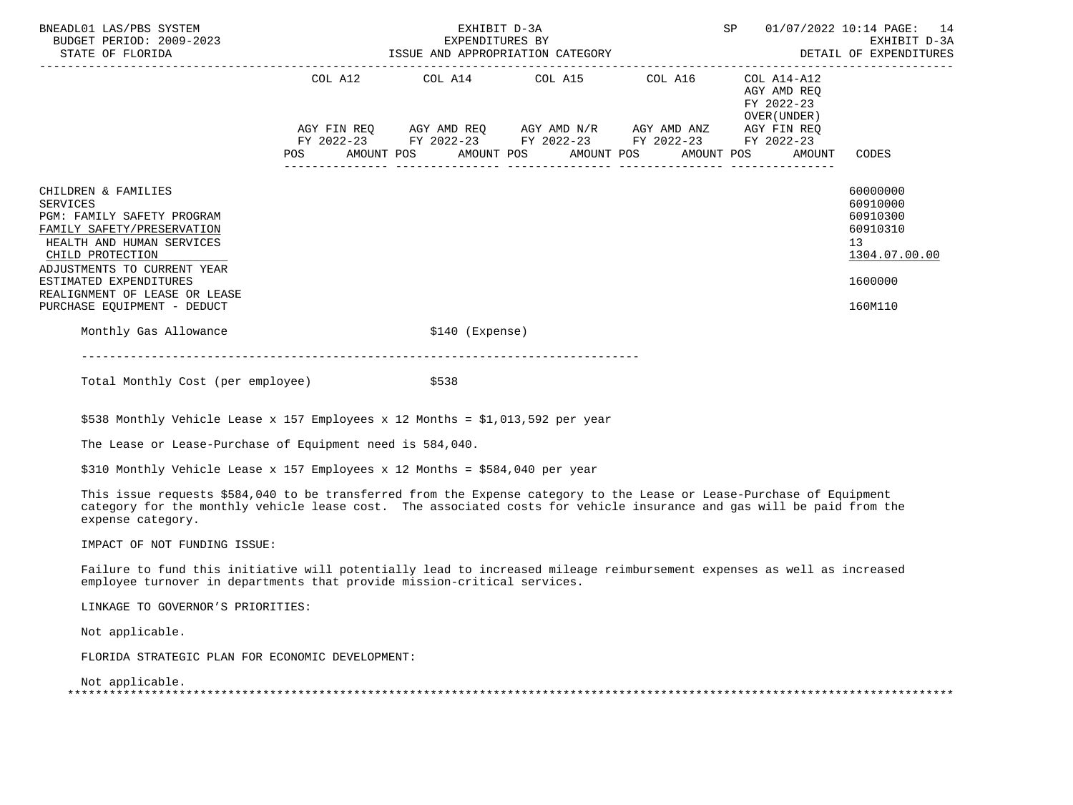| BNEADL01 LAS/PBS SYSTEM<br>BUDGET PERIOD: 2009-2023<br>STATE OF FLORIDA                                                                                                                                                                                                      |                                                             | EXHIBIT D-3A     |  |  | SP |                                                          | 01/07/2022 10:14 PAGE: 14                                                                              |
|------------------------------------------------------------------------------------------------------------------------------------------------------------------------------------------------------------------------------------------------------------------------------|-------------------------------------------------------------|------------------|--|--|----|----------------------------------------------------------|--------------------------------------------------------------------------------------------------------|
|                                                                                                                                                                                                                                                                              | COL A12 COL A14 COL A15 COL A16                             |                  |  |  |    | COL A14-A12<br>AGY AMD REO<br>FY 2022-23<br>OVER (UNDER) |                                                                                                        |
|                                                                                                                                                                                                                                                                              | AGY FIN REQ AGY AMD REQ AGY AMD N/R AGY AMD ANZ AGY FIN REQ |                  |  |  |    |                                                          |                                                                                                        |
|                                                                                                                                                                                                                                                                              | FY 2022-23 FY 2022-23 FY 2022-23 FY 2022-23 FY 2022-23      |                  |  |  |    | POS AMOUNT POS AMOUNT POS AMOUNT POS AMOUNT POS AMOUNT   | CODES                                                                                                  |
| CHILDREN & FAMILIES<br><b>SERVICES</b><br>PGM: FAMILY SAFETY PROGRAM<br>FAMILY SAFETY/PRESERVATION<br>HEALTH AND HUMAN SERVICES<br>CHILD PROTECTION<br>ADJUSTMENTS TO CURRENT YEAR<br>ESTIMATED EXPENDITURES<br>REALIGNMENT OF LEASE OR LEASE<br>PURCHASE EQUIPMENT - DEDUCT |                                                             |                  |  |  |    |                                                          | 60000000<br>60910000<br>60910300<br>60910310<br>13 <sup>°</sup><br>1304.07.00.00<br>1600000<br>160M110 |
| Monthly Gas Allowance                                                                                                                                                                                                                                                        |                                                             | $$140$ (Expense) |  |  |    |                                                          |                                                                                                        |
|                                                                                                                                                                                                                                                                              |                                                             |                  |  |  |    |                                                          |                                                                                                        |

Total Monthly Cost (per employee)  $$538$ 

\$538 Monthly Vehicle Lease x 157 Employees x 12 Months = \$1,013,592 per year

The Lease or Lease-Purchase of Equipment need is 584,040.

\$310 Monthly Vehicle Lease x 157 Employees x 12 Months = \$584,040 per year

 This issue requests \$584,040 to be transferred from the Expense category to the Lease or Lease-Purchase of Equipment category for the monthly vehicle lease cost. The associated costs for vehicle insurance and gas will be paid from the expense category.

IMPACT OF NOT FUNDING ISSUE:

 Failure to fund this initiative will potentially lead to increased mileage reimbursement expenses as well as increased employee turnover in departments that provide mission-critical services.

LINKAGE TO GOVERNOR'S PRIORITIES:

Not applicable.

FLORIDA STRATEGIC PLAN FOR ECONOMIC DEVELOPMENT:

Not applicable.

| -- |  |
|----|--|
|    |  |
|    |  |
|    |  |
|    |  |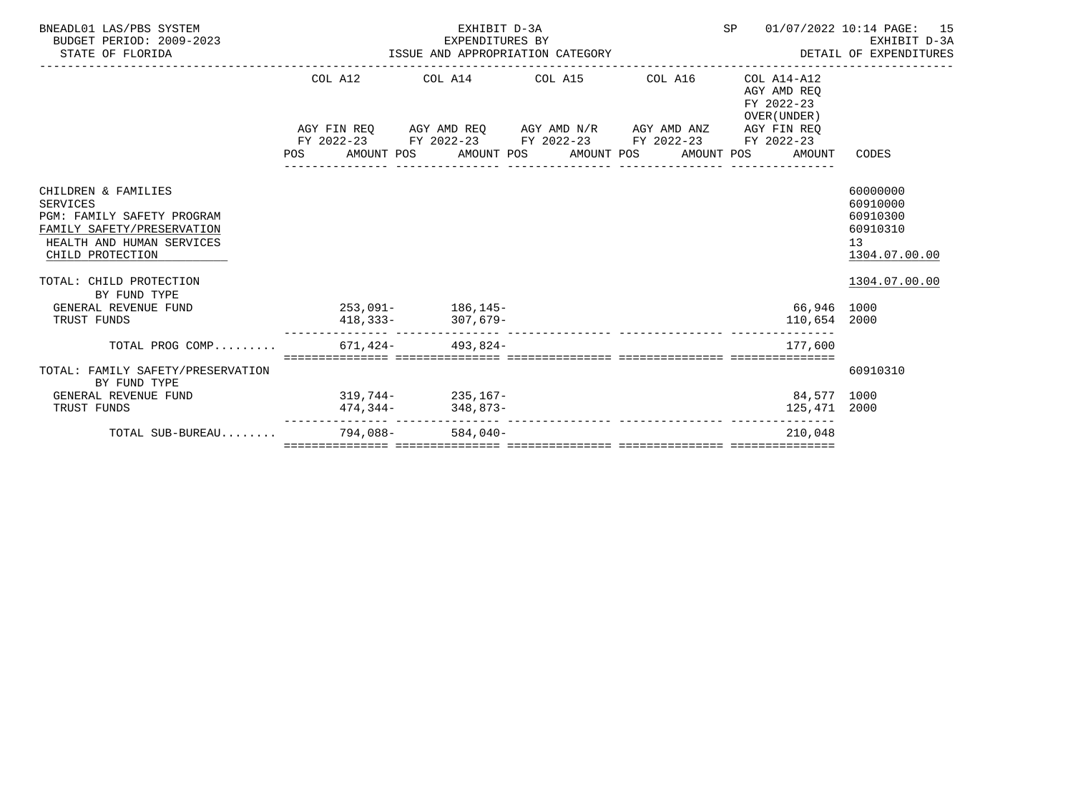| BNEADL01 LAS/PBS SYSTEM<br>BUDGET PERIOD: 2009-2023<br>STATE OF FLORIDA                                                                                                                                                |  | EXHIBIT D-3A                                           | SP |  | 01/07/2022 10:14 PAGE: 15<br>EXPENDITURES BY EXPENDENT D-3A EXPENDITURES BY EXHIBIT D-3A EXPENDITURES BY EXPENDITURES |                                                          |                                                                                      |
|------------------------------------------------------------------------------------------------------------------------------------------------------------------------------------------------------------------------|--|--------------------------------------------------------|----|--|-----------------------------------------------------------------------------------------------------------------------|----------------------------------------------------------|--------------------------------------------------------------------------------------|
|                                                                                                                                                                                                                        |  | COL A12 COL A14 COL A15 COL A16                        |    |  |                                                                                                                       | COL A14-A12<br>AGY AMD REO<br>FY 2022-23<br>OVER (UNDER) |                                                                                      |
|                                                                                                                                                                                                                        |  | AGY FIN REQ AGY AMD REQ AGY AMD N/R AGY AMD ANZ        |    |  |                                                                                                                       | AGY FIN REO                                              |                                                                                      |
|                                                                                                                                                                                                                        |  | FY 2022-23 FY 2022-23 FY 2022-23 FY 2022-23 FY 2022-23 |    |  |                                                                                                                       |                                                          |                                                                                      |
|                                                                                                                                                                                                                        |  | POS AMOUNT POS AMOUNT POS AMOUNT POS AMOUNT POS        |    |  |                                                                                                                       | AMOUNT                                                   | CODES                                                                                |
| CHILDREN & FAMILIES<br><b>SERVICES</b><br>PGM: FAMILY SAFETY PROGRAM<br>FAMILY SAFETY/PRESERVATION<br>HEALTH AND HUMAN SERVICES<br>CHILD PROTECTION<br>TOTAL: CHILD PROTECTION<br>BY FUND TYPE<br>GENERAL REVENUE FUND |  | $253.091 - 186.145 -$                                  |    |  |                                                                                                                       | 66,946 1000                                              | 60000000<br>60910000<br>60910300<br>60910310<br>13<br>1304.07.00.00<br>1304.07.00.00 |
| TRUST FUNDS                                                                                                                                                                                                            |  | $418,333 307,679-$                                     |    |  |                                                                                                                       | 110,654 2000                                             |                                                                                      |
| TOTAL PROG COMP 671,424- 493,824-                                                                                                                                                                                      |  |                                                        |    |  |                                                                                                                       | 177.600                                                  |                                                                                      |
| TOTAL: FAMILY SAFETY/PRESERVATION<br>BY FUND TYPE                                                                                                                                                                      |  |                                                        |    |  |                                                                                                                       |                                                          | 60910310                                                                             |
| $319,744-235,167-$<br>GENERAL REVENUE FUND                                                                                                                                                                             |  |                                                        |    |  |                                                                                                                       | 84,577 1000                                              |                                                                                      |
| TRUST FUNDS                                                                                                                                                                                                            |  |                                                        |    |  |                                                                                                                       | 125,471 2000                                             |                                                                                      |
| TOTAL SUB-BUREAU                                                                                                                                                                                                       |  | $794,088 - 584,040 -$                                  |    |  |                                                                                                                       | 210,048                                                  |                                                                                      |
|                                                                                                                                                                                                                        |  |                                                        |    |  |                                                                                                                       |                                                          |                                                                                      |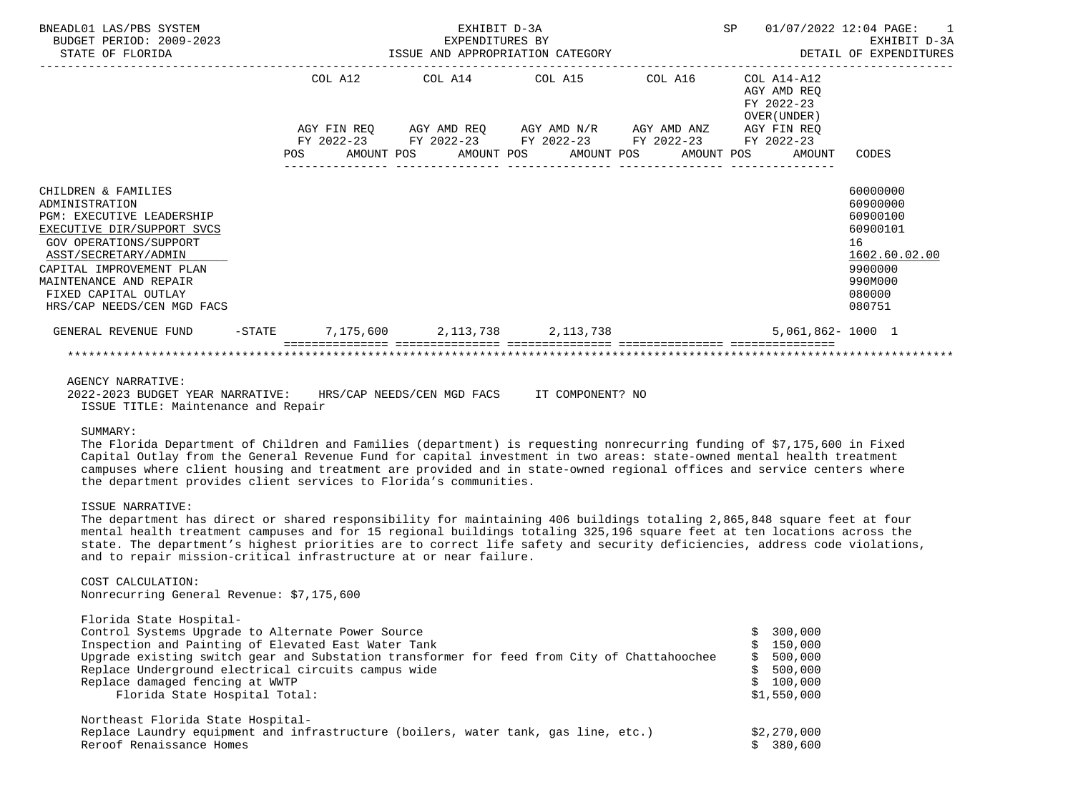| BNEADL01 LAS/PBS SYSTEM<br>BUDGET PERIOD: 2009-2023<br>STATE OF FLORIDA                                                                                                                                                                                               |           |         | EXHIBIT D-3A<br>EXPENDITURES BY | ISSUE AND APPROPRIATION CATEGORY                                                                                                                                                |         | SP | 01/07/2022 12:04 PAGE:                                                            | DETAIL OF EXPENDITURES                                                                                        | $\overline{1}$<br>EXHIBIT D-3A |
|-----------------------------------------------------------------------------------------------------------------------------------------------------------------------------------------------------------------------------------------------------------------------|-----------|---------|---------------------------------|---------------------------------------------------------------------------------------------------------------------------------------------------------------------------------|---------|----|-----------------------------------------------------------------------------------|---------------------------------------------------------------------------------------------------------------|--------------------------------|
|                                                                                                                                                                                                                                                                       |           | COL A12 |                                 | COL A14 COL A15<br>AGY FIN REQ 6GY AMD REQ 6GY AMD N/R 6GY AMD ANZ<br>FY 2022-23 FY 2022-23 FY 2022-23 FY 2022-23 FY 2022-23<br>POS AMOUNT POS AMOUNT POS AMOUNT POS AMOUNT POS | COL A16 |    | COL A14-A12<br>AGY AMD REQ<br>FY 2022-23<br>OVER (UNDER)<br>AGY FIN REQ<br>AMOUNT | CODES                                                                                                         |                                |
| CHILDREN & FAMILIES<br>ADMINISTRATION<br><b>PGM: EXECUTIVE LEADERSHIP</b><br>EXECUTIVE DIR/SUPPORT SVCS<br>GOV OPERATIONS/SUPPORT<br>ASST/SECRETARY/ADMIN<br>CAPITAL IMPROVEMENT PLAN<br>MAINTENANCE AND REPAIR<br>FIXED CAPITAL OUTLAY<br>HRS/CAP NEEDS/CEN MGD FACS |           |         |                                 |                                                                                                                                                                                 |         |    |                                                                                   | 60000000<br>60900000<br>60900100<br>60900101<br>16<br>1602.60.02.00<br>9900000<br>990M000<br>080000<br>080751 |                                |
| GENERAL REVENUE FUND                                                                                                                                                                                                                                                  | $-$ STATE |         |                                 | 7,175,600 2,113,738 2,113,738                                                                                                                                                   |         |    | $5.061.862 - 1000$ 1                                                              |                                                                                                               |                                |
|                                                                                                                                                                                                                                                                       |           |         |                                 |                                                                                                                                                                                 |         |    |                                                                                   |                                                                                                               |                                |

### AGENCY NARRATIVE:

 2022-2023 BUDGET YEAR NARRATIVE: HRS/CAP NEEDS/CEN MGD FACS IT COMPONENT? NO ISSUE TITLE: Maintenance and Repair

SUMMARY:

 The Florida Department of Children and Families (department) is requesting nonrecurring funding of \$7,175,600 in Fixed Capital Outlay from the General Revenue Fund for capital investment in two areas: state-owned mental health treatment campuses where client housing and treatment are provided and in state-owned regional offices and service centers where the department provides client services to Florida's communities.

# ISSUE NARRATIVE:

 The department has direct or shared responsibility for maintaining 406 buildings totaling 2,865,848 square feet at four mental health treatment campuses and for 15 regional buildings totaling 325,196 square feet at ten locations across the state. The department's highest priorities are to correct life safety and security deficiencies, address code violations, and to repair mission-critical infrastructure at or near failure.

#### COST CALCULATION:

Nonrecurring General Revenue: \$7,175,600

| Florida State Hospital-                                                                     |    |             |
|---------------------------------------------------------------------------------------------|----|-------------|
| Control Systems Upgrade to Alternate Power Source                                           |    | 300,000     |
| Inspection and Painting of Elevated East Water Tank                                         |    | \$150,000   |
| Upgrade existing switch gear and Substation transformer for feed from City of Chattahoochee | S. | 500,000     |
| Replace Underground electrical circuits campus wide                                         |    | 500,000     |
| Replace damaged fencing at WWTP                                                             |    | \$100,000   |
| Florida State Hospital Total:                                                               |    | \$1,550,000 |
| Northeast Florida State Hospital-                                                           |    |             |
| Replace Laundry equipment and infrastructure (boilers, water tank, gas line, etc.)          |    | \$2,270,000 |
| Reroof Renaissance Homes                                                                    |    | \$380.600   |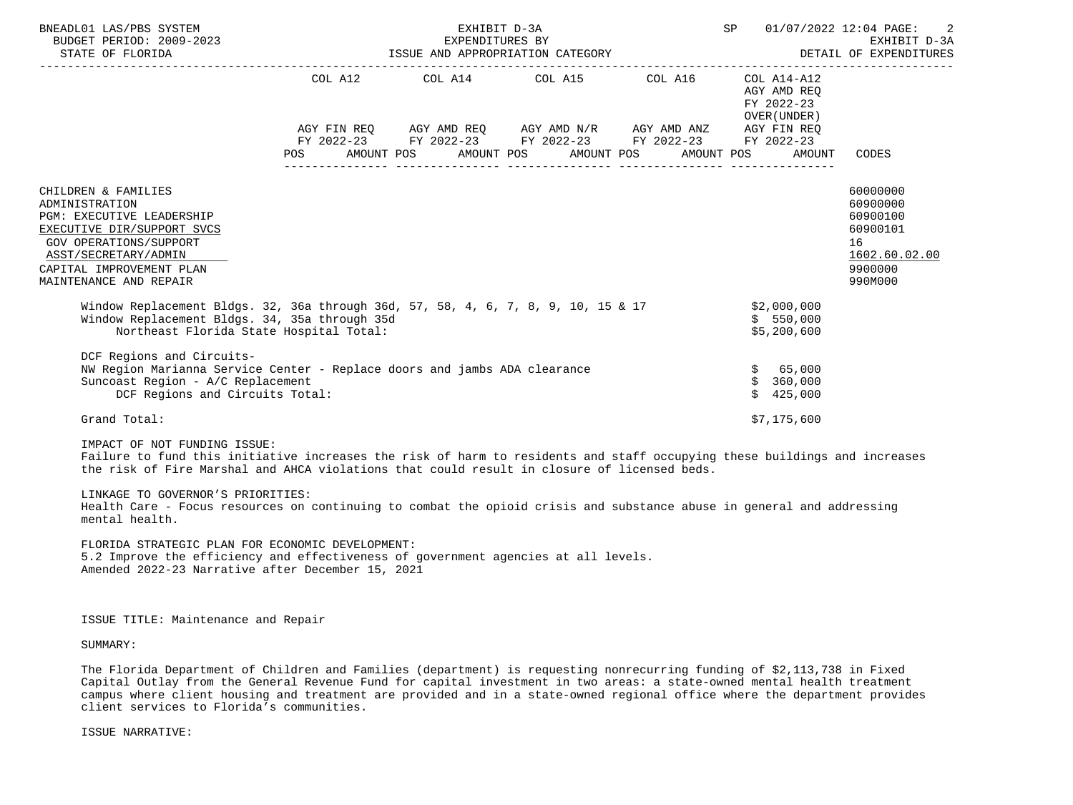| BNEADL01 LAS/PBS SYSTEM<br>BUDGET PERIOD: 2009-2023<br>STATE OF FLORIDA                                                                                                                                  |                                      | EXHIBIT D-3A<br>EXPENDITURES BY<br>EXPENDITURES BY<br>ISSUE AND APPROPRIATION CATEGORY         |                                                                                           |  | SP                                                       | -2<br>01/07/2022 12:04 PAGE:<br>EXHIBIT D-3A<br>DETAIL OF EXPENDITURES |
|----------------------------------------------------------------------------------------------------------------------------------------------------------------------------------------------------------|--------------------------------------|------------------------------------------------------------------------------------------------|-------------------------------------------------------------------------------------------|--|----------------------------------------------------------|------------------------------------------------------------------------|
|                                                                                                                                                                                                          |                                      | COL A12 COL A14 COL A15 COL A16                                                                |                                                                                           |  | COL A14-A12<br>AGY AMD REO<br>FY 2022-23<br>OVER (UNDER) |                                                                        |
|                                                                                                                                                                                                          |                                      | AGY FIN REQ AGY AMD REQ AGY AMD N/R AGY AMD ANZ<br>FY 2022-23 FY 2022-23 FY 2022-23 FY 2022-23 |                                                                                           |  | AGY FIN REO<br>FY 2022-23                                |                                                                        |
|                                                                                                                                                                                                          | <b>POS</b>                           | AMOUNT POS AMOUNT POS AMOUNT POS AMOUNT POS                                                    |                                                                                           |  | AMOUNT                                                   | CODES                                                                  |
| CHILDREN & FAMILIES<br>ADMINISTRATION<br>PGM: EXECUTIVE LEADERSHIP<br>EXECUTIVE DIR/SUPPORT SVCS<br>GOV OPERATIONS/SUPPORT<br>ASST/SECRETARY/ADMIN<br>CAPITAL IMPROVEMENT PLAN<br>MAINTENANCE AND REPAIR |                                      |                                                                                                | 60000000<br>60900000<br>60900100<br>60900101<br>16<br>1602.60.02.00<br>9900000<br>990M000 |  |                                                          |                                                                        |
| Window Replacement Bldgs. 32, 36a through 36d, 57, 58, 4, 6, 7, 8, 9, 10, 15 & 17<br>Window Replacement Bldgs. 34, 35a through 35d<br>Northeast Florida State Hospital Total:                            |                                      |                                                                                                |                                                                                           |  | \$2,000,000<br>\$550,000<br>\$5,200,600                  |                                                                        |
| DCF Regions and Circuits-<br>NW Region Marianna Service Center - Replace doors and jambs ADA clearance<br>Suncoast Region - A/C Replacement<br>DCF Regions and Circuits Total:                           | \$65,000<br>360,000<br>\$<br>425,000 |                                                                                                |                                                                                           |  |                                                          |                                                                        |
| Grand Total:                                                                                                                                                                                             |                                      |                                                                                                |                                                                                           |  | \$7,175,600                                              |                                                                        |
| IMPACT OF NOT FUNDING ISSUE:                                                                                                                                                                             |                                      |                                                                                                |                                                                                           |  |                                                          |                                                                        |

 Failure to fund this initiative increases the risk of harm to residents and staff occupying these buildings and increases the risk of Fire Marshal and AHCA violations that could result in closure of licensed beds.

# LINKAGE TO GOVERNOR'S PRIORITIES:

 Health Care - Focus resources on continuing to combat the opioid crisis and substance abuse in general and addressing mental health.

 FLORIDA STRATEGIC PLAN FOR ECONOMIC DEVELOPMENT: 5.2 Improve the efficiency and effectiveness of government agencies at all levels. Amended 2022-23 Narrative after December 15, 2021

ISSUE TITLE: Maintenance and Repair

SUMMARY:

 The Florida Department of Children and Families (department) is requesting nonrecurring funding of \$2,113,738 in Fixed Capital Outlay from the General Revenue Fund for capital investment in two areas: a state-owned mental health treatment campus where client housing and treatment are provided and in a state-owned regional office where the department provides client services to Florida's communities.

ISSUE NARRATIVE: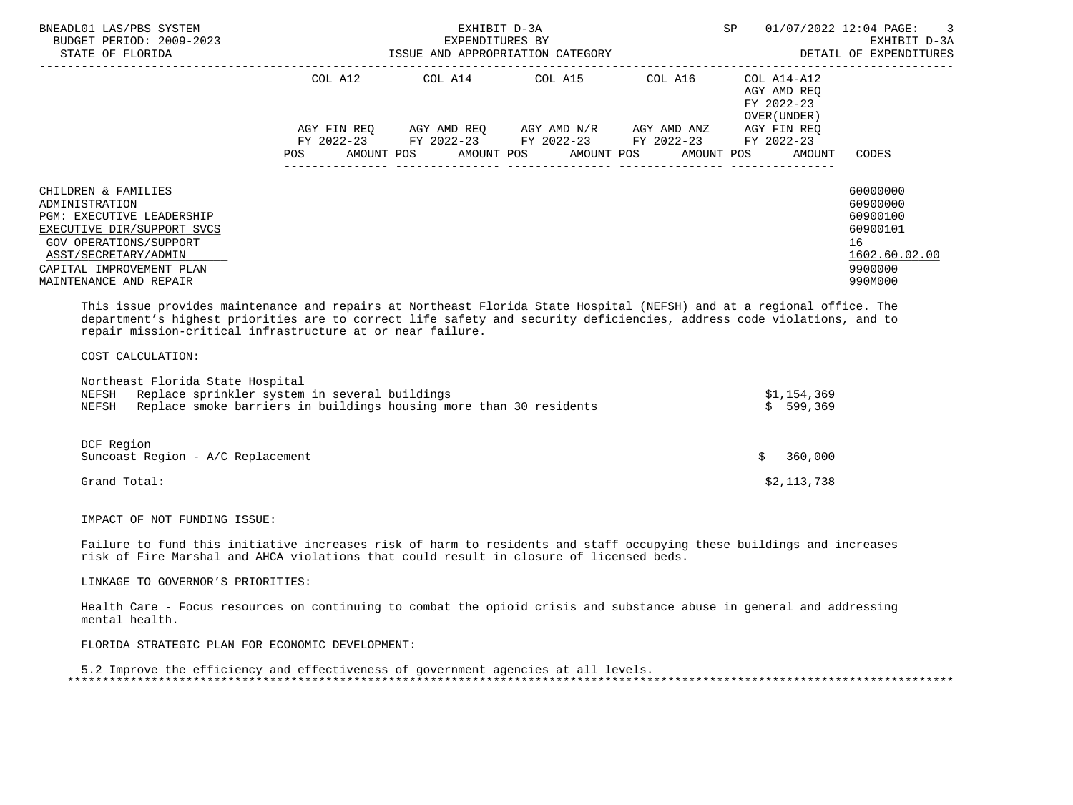| COL A12<br>COL A14 COL A15<br>COL A16<br>COL A14-A12<br>AGY AMD REO<br>FY 2022-23<br>OVER (UNDER)<br>AGY FIN REO<br>AGY AMD REO      AGY AMD N/R      AGY AMD ANZ<br>AGY FIN REO<br>FY 2022-23 FY 2022-23 FY 2022-23 FY 2022-23<br>FY 2022-23<br>AMOUNT POS AMOUNT POS AMOUNT POS AMOUNT POS<br>POS<br>CODES<br>AMOUNT<br>60000000<br>CHILDREN & FAMILIES<br>60900000<br>ADMINISTRATION<br>60900100<br>PGM: EXECUTIVE LEADERSHIP<br>60900101<br>EXECUTIVE DIR/SUPPORT SVCS | BNEADL01 LAS/PBS SYSTEM<br>BUDGET PERIOD: 2009-2023<br>STATE OF FLORIDA | EXHIBIT D-3A<br>EXPENDITURES BY<br>ISSUE AND APPROPRIATION CATEGORY | SP | 01/07/2022 12:04 PAGE: 3<br>EXHIBIT D-3A<br>DETAIL OF EXPENDITURES |               |
|----------------------------------------------------------------------------------------------------------------------------------------------------------------------------------------------------------------------------------------------------------------------------------------------------------------------------------------------------------------------------------------------------------------------------------------------------------------------------|-------------------------------------------------------------------------|---------------------------------------------------------------------|----|--------------------------------------------------------------------|---------------|
|                                                                                                                                                                                                                                                                                                                                                                                                                                                                            |                                                                         |                                                                     |    |                                                                    |               |
|                                                                                                                                                                                                                                                                                                                                                                                                                                                                            |                                                                         |                                                                     |    |                                                                    |               |
| 16<br>GOV OPERATIONS/SUPPORT<br>ASST/SECRETARY/ADMIN<br>CAPITAL IMPROVEMENT PLAN<br>9900000<br>990M000<br>MAINTENANCE AND REPAIR                                                                                                                                                                                                                                                                                                                                           |                                                                         |                                                                     |    |                                                                    | 1602.60.02.00 |

 This issue provides maintenance and repairs at Northeast Florida State Hospital (NEFSH) and at a regional office. The department's highest priorities are to correct life safety and security deficiencies, address code violations, and to repair mission-critical infrastructure at or near failure.

COST CALCULATION:

DCF Region

| NEFSH | Replace sprinkler system in several buildings                      | \$1,154,369 |
|-------|--------------------------------------------------------------------|-------------|
| NEFSH | Replace smoke barriers in buildings housing more than 30 residents | \$599.369   |

| Suncoast Region - A/C Replacement | 360,000     |
|-----------------------------------|-------------|
| Grand Total:                      | \$2,113,738 |

IMPACT OF NOT FUNDING ISSUE:

 Failure to fund this initiative increases risk of harm to residents and staff occupying these buildings and increases risk of Fire Marshal and AHCA violations that could result in closure of licensed beds.

LINKAGE TO GOVERNOR'S PRIORITIES:

 Health Care - Focus resources on continuing to combat the opioid crisis and substance abuse in general and addressing mental health.

FLORIDA STRATEGIC PLAN FOR ECONOMIC DEVELOPMENT:

 5.2 Improve the efficiency and effectiveness of government agencies at all levels. \*\*\*\*\*\*\*\*\*\*\*\*\*\*\*\*\*\*\*\*\*\*\*\*\*\*\*\*\*\*\*\*\*\*\*\*\*\*\*\*\*\*\*\*\*\*\*\*\*\*\*\*\*\*\*\*\*\*\*\*\*\*\*\*\*\*\*\*\*\*\*\*\*\*\*\*\*\*\*\*\*\*\*\*\*\*\*\*\*\*\*\*\*\*\*\*\*\*\*\*\*\*\*\*\*\*\*\*\*\*\*\*\*\*\*\*\*\*\*\*\*\*\*\*\*\*\*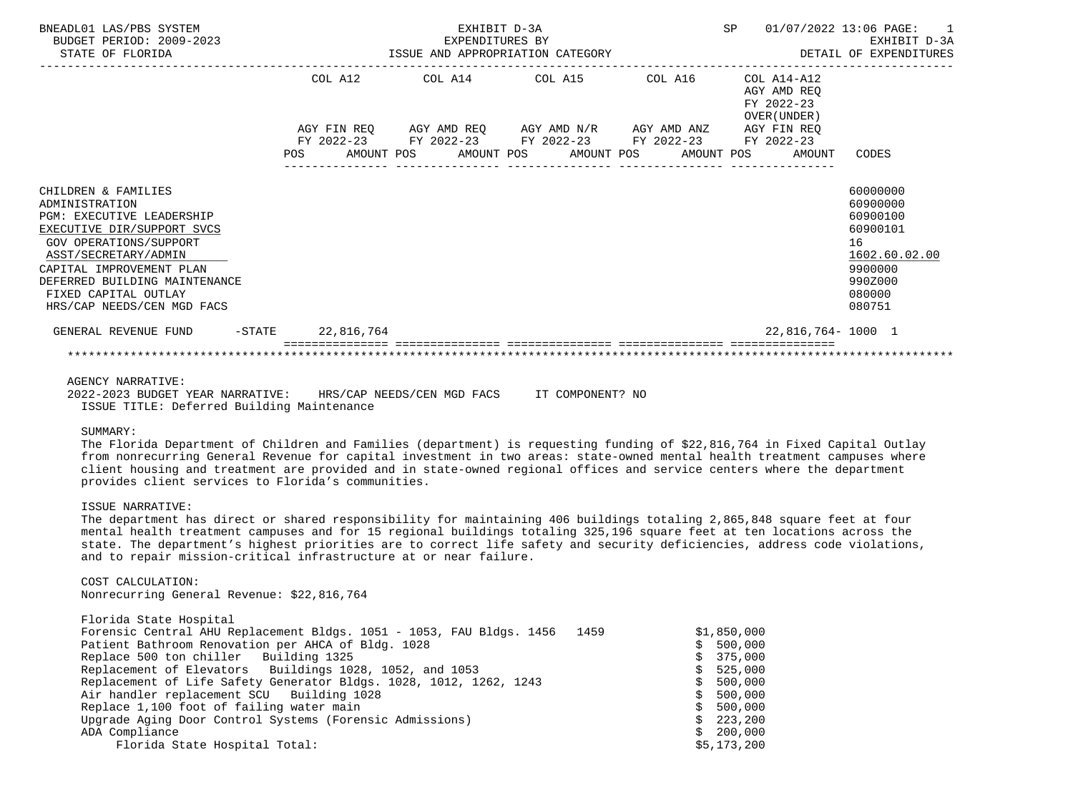| BNEADL01 LAS/PBS SYSTEM<br>BUDGET PERIOD: 2009-2023<br>STATE OF FLORIDA                                                                                                                                                                                                      |         | EXHIBIT D-3A<br>EXPENDITURES BY |                 | EXPENDITURES BY<br>ISSUE AND APPROPRIATION CATEGORY                                                                                                                 | SP 01/07/2022 13:06 PAGE:                                | EXHIBIT D-3A<br>DETAIL OF EXPENDITURES                                                                        | $\overline{1}$ |
|------------------------------------------------------------------------------------------------------------------------------------------------------------------------------------------------------------------------------------------------------------------------------|---------|---------------------------------|-----------------|---------------------------------------------------------------------------------------------------------------------------------------------------------------------|----------------------------------------------------------|---------------------------------------------------------------------------------------------------------------|----------------|
|                                                                                                                                                                                                                                                                              | COL A12 |                                 | COL A14 COL A15 | COL A16                                                                                                                                                             | COL A14-A12<br>AGY AMD REO<br>FY 2022-23<br>OVER (UNDER) |                                                                                                               |                |
|                                                                                                                                                                                                                                                                              |         |                                 |                 | AGY FIN REQ 6GY AMD REQ 6GY AMD N/R 6GY AMD ANZ<br>FY 2022-23 FY 2022-23 FY 2022-23 FY 2022-23 FY 2022-23<br>POS AMOUNT POS AMOUNT POS AMOUNT POS AMOUNT POS AMOUNT | AGY FIN REO                                              | CODES                                                                                                         |                |
| CHILDREN & FAMILIES<br>ADMINISTRATION<br><b>PGM: EXECUTIVE LEADERSHIP</b><br>EXECUTIVE DIR/SUPPORT SVCS<br>GOV OPERATIONS/SUPPORT<br>ASST/SECRETARY/ADMIN<br>CAPITAL IMPROVEMENT PLAN<br>DEFERRED BUILDING MAINTENANCE<br>FIXED CAPITAL OUTLAY<br>HRS/CAP NEEDS/CEN MGD FACS |         |                                 |                 |                                                                                                                                                                     |                                                          | 60000000<br>60900000<br>60900100<br>60900101<br>16<br>1602.60.02.00<br>9900000<br>990Z000<br>080000<br>080751 |                |
| GENERAL REVENUE FUND -STATE 22,816,764                                                                                                                                                                                                                                       |         |                                 |                 |                                                                                                                                                                     | 22,816,764-1000 1                                        |                                                                                                               |                |
|                                                                                                                                                                                                                                                                              |         |                                 |                 |                                                                                                                                                                     |                                                          |                                                                                                               |                |

# AGENCY NARRATIVE:

 2022-2023 BUDGET YEAR NARRATIVE: HRS/CAP NEEDS/CEN MGD FACS IT COMPONENT? NO ISSUE TITLE: Deferred Building Maintenance

SUMMARY:

 The Florida Department of Children and Families (department) is requesting funding of \$22,816,764 in Fixed Capital Outlay from nonrecurring General Revenue for capital investment in two areas: state-owned mental health treatment campuses where client housing and treatment are provided and in state-owned regional offices and service centers where the department provides client services to Florida's communities.

# ISSUE NARRATIVE:

 The department has direct or shared responsibility for maintaining 406 buildings totaling 2,865,848 square feet at four mental health treatment campuses and for 15 regional buildings totaling 325,196 square feet at ten locations across the state. The department's highest priorities are to correct life safety and security deficiencies, address code violations, and to repair mission-critical infrastructure at or near failure.

# COST CALCULATION:

Nonrecurring General Revenue: \$22,816,764

| Florida State Hospital                                                    |             |
|---------------------------------------------------------------------------|-------------|
| Forensic Central AHU Replacement Bldgs. 1051 - 1053, FAU Bldgs. 1456 1459 | \$1,850,000 |
| Patient Bathroom Renovation per AHCA of Bldg. 1028                        | \$500,000   |
| Replace 500 ton chiller Building 1325                                     | \$375.000   |
| Replacement of Elevators Buildings 1028, 1052, and 1053                   | \$525,000   |
| Replacement of Life Safety Generator Bldgs. 1028, 1012, 1262, 1243        | \$500,000   |
| Air handler replacement SCU Building 1028                                 | \$500,000   |
| Replace 1,100 foot of failing water main                                  | \$500.000   |
| Upgrade Aging Door Control Systems (Forensic Admissions)                  | \$223,200   |
| ADA Compliance                                                            | \$200.000   |
| Florida State Hospital Total:                                             | \$5.173.200 |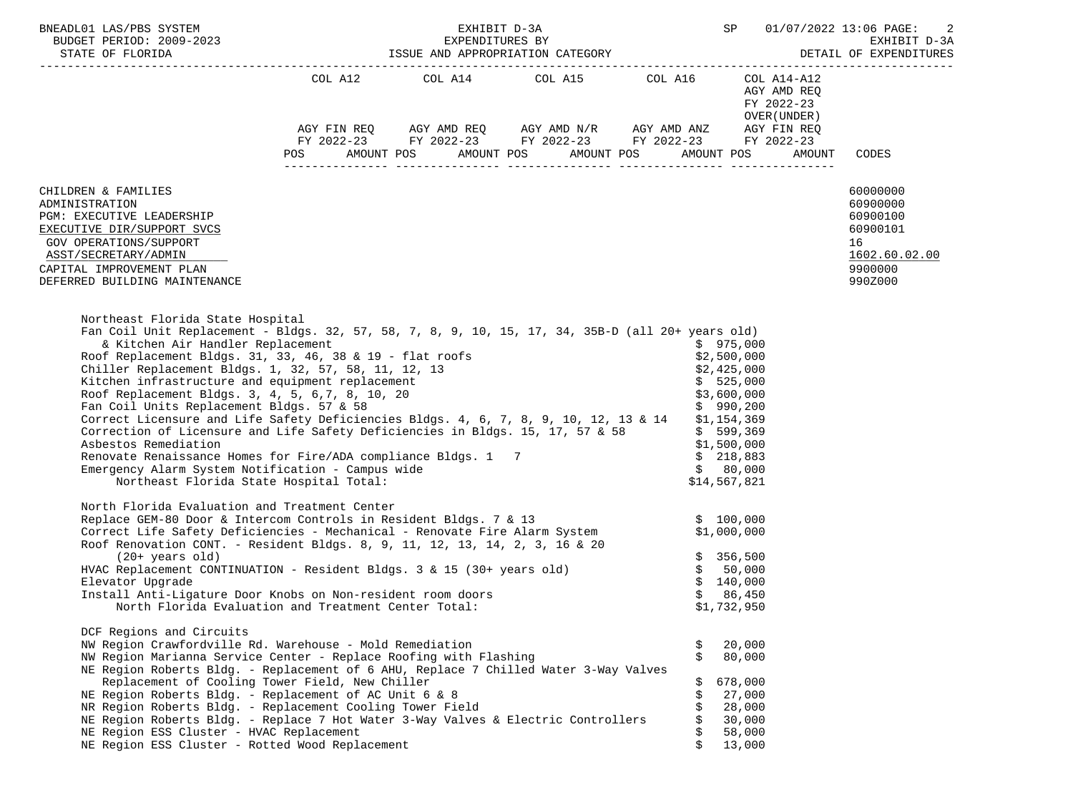|                                                                                                                                                                                                                                                                                                                                                                                                                                                                                                                                                                                                                                                                                                                                                                                                                                    |                                                                                                                |  |  | BNEADL01 LAS/PBS SYSTEM ${\tt EXHIBIT~D-3A} \hspace{1.5cm} {\tt SPP~01/07/2022~13:06~PAGE:~2} \\ {\tt BUDGET~PERIOD:~2009-2023} \hspace{2.5cm} {\tt EXHIBIT~D-3A} \hspace{2.5cm} {\tt EXHIBIT~D-3A} \\ {\tt STATE~OF~ELORIDA} \hspace{2.5cm} {\tt EXHIBIT~D-3A} \hspace{2.5cm} {\tt EXHIND~01/07/2022~13:06~PAGE:~2} \\ {\tt SSE~AND~APPROPR$                                                                                                  |                                                                         |                                                                                           |  |
|------------------------------------------------------------------------------------------------------------------------------------------------------------------------------------------------------------------------------------------------------------------------------------------------------------------------------------------------------------------------------------------------------------------------------------------------------------------------------------------------------------------------------------------------------------------------------------------------------------------------------------------------------------------------------------------------------------------------------------------------------------------------------------------------------------------------------------|----------------------------------------------------------------------------------------------------------------|--|--|------------------------------------------------------------------------------------------------------------------------------------------------------------------------------------------------------------------------------------------------------------------------------------------------------------------------------------------------------------------------------------------------------------------------------------------------|-------------------------------------------------------------------------|-------------------------------------------------------------------------------------------|--|
|                                                                                                                                                                                                                                                                                                                                                                                                                                                                                                                                                                                                                                                                                                                                                                                                                                    |                                                                                                                |  |  | $\begin{tabular}{lllllllllll} \multicolumn{2}{l}{{\text{COL A14}} } & \multicolumn{2}{c}{\text{COL A15}} & \multicolumn{2}{c}{\text{COL A16}} & \multicolumn{2}{c}{\text{COL A14}--\text{A12}}\\ \multicolumn{2}{c}{\text{COL A14}} & \multicolumn{2}{c}{\text{COL A15}} & \multicolumn{2}{c}{\text{COL A16}} & \multicolumn{2}{c}{\text{COL A14}--\text{A12}}\\ \end{tabular}$<br>AGY FIN REQ AGY AMD REQ AGY AMD N/R AGY AMD ANZ AGY FIN REQ | AGY AMD REQ<br>FY 2022-23<br>OVER (UNDER )                              |                                                                                           |  |
|                                                                                                                                                                                                                                                                                                                                                                                                                                                                                                                                                                                                                                                                                                                                                                                                                                    |                                                                                                                |  |  | FY 2022-23 FY 2022-23 FY 2022-23 FY 2022-23 FY 2022-23                                                                                                                                                                                                                                                                                                                                                                                         |                                                                         |                                                                                           |  |
|                                                                                                                                                                                                                                                                                                                                                                                                                                                                                                                                                                                                                                                                                                                                                                                                                                    | POS FOR THE POST OF THE STATE STATE STATE STATE STATE STATE STATE STATE STATE STATE STATE STATE STATE STATE ST |  |  | AMOUNT POS AMOUNT POS AMOUNT POS AMOUNT POS                                                                                                                                                                                                                                                                                                                                                                                                    | AMOUNT                                                                  | CODES                                                                                     |  |
| CHILDREN & FAMILIES<br>ADMINISTRATION<br>PGM: EXECUTIVE LEADERSHIP<br>EXECUTIVE DIR/SUPPORT SVCS<br>GOV OPERATIONS/SUPPORT<br>ASST/SECRETARY/ADMIN<br>CAPITAL IMPROVEMENT PLAN<br>DEFERRED BUILDING MAINTENANCE                                                                                                                                                                                                                                                                                                                                                                                                                                                                                                                                                                                                                    |                                                                                                                |  |  |                                                                                                                                                                                                                                                                                                                                                                                                                                                |                                                                         | 60000000<br>60900000<br>60900100<br>60900101<br>16<br>1602.60.02.00<br>9900000<br>990Z000 |  |
| Northeast Florida State Hospital<br>Fan Coil Unit Replacement - Bldgs. 32, 57, 58, 7, 8, 9, 10, 15, 17, 34, 35B-D (all 20+ years old)<br>& Kitchen Air Handler Replacement<br>Roof Replacement Bldgs. 31, 33, 46, 38 & 19 - flat roofs<br>Chiller Replacement Bldgs. 1, 32, 57, 58, 11, 12, 13<br>Kitchen infrastructure and equipment replacement<br>Roof Replacement Bldgs. 3, 4, 5, 6, 7, 8, 10, 20<br>Fan Coil Units Replacement Bldgs. 57 & 58<br>Correct Licensure and Life Safety Deficiencies Bldgs. 4, 6, 7, 8, 9, 10, 12, 13 & 14 \$1,154,369<br>Correction of Licensure and Life Safety Deficiencies in Bldgs. 15, 17, 57 & 58<br>Asbestos Remediation<br>Renovate Renaissance Homes for Fire/ADA compliance Bldgs. 1 7<br>Emergency Alarm System Notification - Campus wide<br>Northeast Florida State Hospital Total: |                                                                                                                |  |  | \$975,000<br>\$2,500,000<br>\$2,425,000<br>\$599,369<br>\$1,500,000<br>\$218,883                                                                                                                                                                                                                                                                                                                                                               | \$525,000<br>\$3,600,000<br>\$990,200<br>\$80,000<br>\$14,567,821       |                                                                                           |  |
| North Florida Evaluation and Treatment Center<br>Replace GEM-80 Door & Intercom Controls in Resident Bldgs. 7 & 13<br>Correct Life Safety Deficiencies - Mechanical - Renovate Fire Alarm System \$1,000,000<br>Roof Renovation CONT. - Resident Bldgs. 8, 9, 11, 12, 13, 14, 2, 3, 16 & 20<br>$(20+ \text{ years old})$<br>HVAC Replacement CONTINUATION - Resident Bldgs. 3 & 15 (30+ years old)<br>Elevator Upgrade<br>Install Anti-Ligature Door Knobs on Non-resident room doors<br>North Florida Evaluation and Treatment Center Total:<br>DCF Regions and Circuits<br>NW Region Crawfordville Rd. Warehouse - Mold Remediation                                                                                                                                                                                              |                                                                                                                |  |  | Ş                                                                                                                                                                                                                                                                                                                                                                                                                                              | \$356,500<br>\$50,000<br>\$140,000<br>\$86,450<br>\$1,732,950<br>20,000 |                                                                                           |  |
| NW Region Marianna Service Center - Replace Roofing with Flashing<br>NE Region Roberts Bldg. - Replacement of 6 AHU, Replace 7 Chilled Water 3-Way Valves<br>Replacement of Cooling Tower Field, New Chiller<br>NE Region Roberts Bldg. - Replacement of AC Unit 6 & 8<br>NR Region Roberts Bldg. - Replacement Cooling Tower Field<br>NE Region Roberts Bldg. - Replace 7 Hot Water 3-Way Valves & Electric Controllers<br>NE Region ESS Cluster - HVAC Replacement<br>NE Region ESS Cluster - Rotted Wood Replacement                                                                                                                                                                                                                                                                                                            |                                                                                                                |  |  | Ŝ.                                                                                                                                                                                                                                                                                                                                                                                                                                             | 80,000<br>678,000<br>27,000<br>28,000<br>30,000<br>58,000<br>13,000     |                                                                                           |  |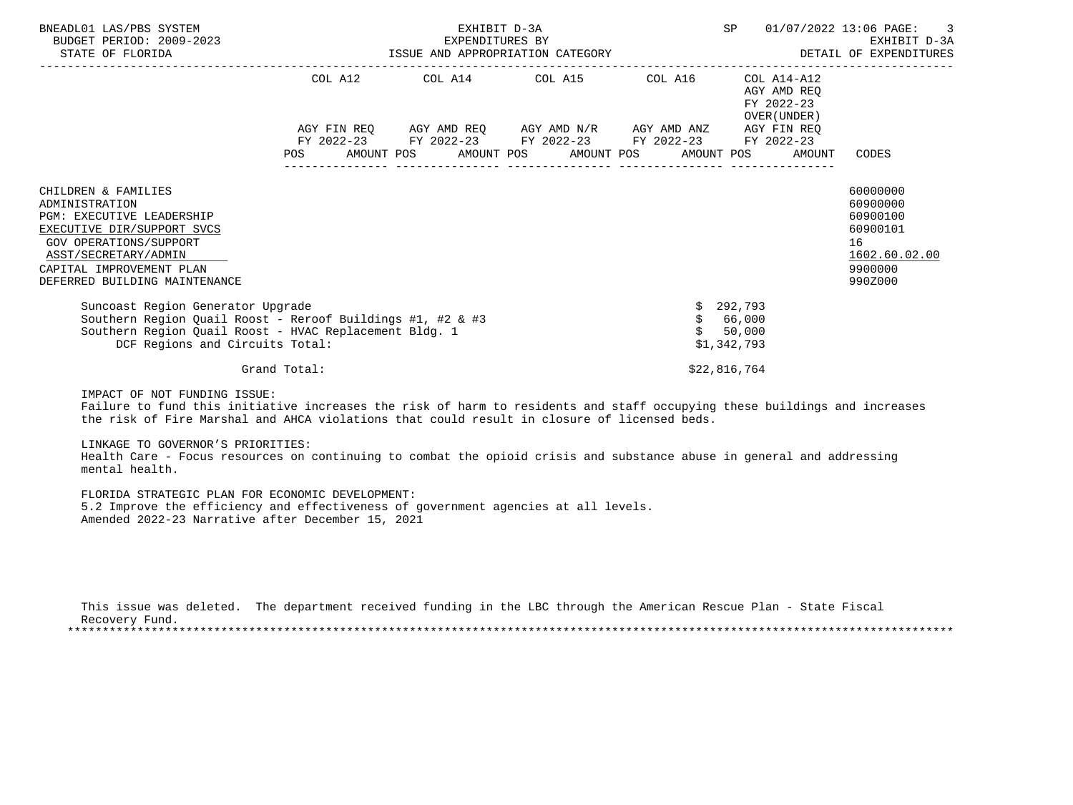| BNEADL01 LAS/PBS SYSTEM<br>BUDGET PERIOD: 2009-2023<br>STATE OF FLORIDA                                                                                                                                                | EXHIBIT D-3A<br>EXPENDITURES BY<br>ISSUE AND APPROPRIATION CATEGORY |  |  |  |                                                                                                 |                                             |                                             | SP           |                                                                                       | 01/07/2022 13:06 PAGE: 3<br>EXHIBIT D-3A<br>DETAIL OF EXPENDITURES |                                                                                           |
|------------------------------------------------------------------------------------------------------------------------------------------------------------------------------------------------------------------------|---------------------------------------------------------------------|--|--|--|-------------------------------------------------------------------------------------------------|---------------------------------------------|---------------------------------------------|--------------|---------------------------------------------------------------------------------------|--------------------------------------------------------------------|-------------------------------------------------------------------------------------------|
|                                                                                                                                                                                                                        |                                                                     |  |  |  | COL A12 COL A14 COL A15 COL A16<br>AGY FIN REQ      AGY AMD REQ     AGY AMD N/R     AGY AMD ANZ |                                             | FY 2022-23 FY 2022-23 FY 2022-23 FY 2022-23 |              | COL A14-A12<br>AGY AMD REO<br>FY 2022-23<br>OVER (UNDER)<br>AGY FIN REO<br>FY 2022-23 |                                                                    |                                                                                           |
|                                                                                                                                                                                                                        | <b>POS</b>                                                          |  |  |  |                                                                                                 | AMOUNT POS AMOUNT POS AMOUNT POS AMOUNT POS |                                             |              |                                                                                       | AMOUNT                                                             | CODES                                                                                     |
| CHILDREN & FAMILIES<br>ADMINISTRATION<br><b>PGM: EXECUTIVE LEADERSHIP</b><br>EXECUTIVE DIR/SUPPORT SVCS<br>GOV OPERATIONS/SUPPORT<br>ASST/SECRETARY/ADMIN<br>CAPITAL IMPROVEMENT PLAN<br>DEFERRED BUILDING MAINTENANCE |                                                                     |  |  |  |                                                                                                 |                                             |                                             |              |                                                                                       |                                                                    | 60000000<br>60900000<br>60900100<br>60900101<br>16<br>1602.60.02.00<br>9900000<br>990Z000 |
| Suncoast Region Generator Upgrade<br>Southern Region Quail Roost - Reroof Buildings #1, #2 & #3<br>Southern Region Quail Roost - HVAC Replacement Bldg. 1<br>DCF Regions and Circuits Total:                           |                                                                     |  |  |  |                                                                                                 |                                             |                                             |              | 292,793<br>\$66,000<br>50,000<br>\$1,342,793                                          |                                                                    |                                                                                           |
|                                                                                                                                                                                                                        | Grand Total:                                                        |  |  |  |                                                                                                 |                                             |                                             | \$22,816,764 |                                                                                       |                                                                    |                                                                                           |

IMPACT OF NOT FUNDING ISSUE:

 Failure to fund this initiative increases the risk of harm to residents and staff occupying these buildings and increases the risk of Fire Marshal and AHCA violations that could result in closure of licensed beds.

LINKAGE TO GOVERNOR'S PRIORITIES:

 Health Care - Focus resources on continuing to combat the opioid crisis and substance abuse in general and addressing mental health.

 FLORIDA STRATEGIC PLAN FOR ECONOMIC DEVELOPMENT: 5.2 Improve the efficiency and effectiveness of government agencies at all levels. Amended 2022-23 Narrative after December 15, 2021

 This issue was deleted. The department received funding in the LBC through the American Rescue Plan - State Fiscal Recovery Fund. \*\*\*\*\*\*\*\*\*\*\*\*\*\*\*\*\*\*\*\*\*\*\*\*\*\*\*\*\*\*\*\*\*\*\*\*\*\*\*\*\*\*\*\*\*\*\*\*\*\*\*\*\*\*\*\*\*\*\*\*\*\*\*\*\*\*\*\*\*\*\*\*\*\*\*\*\*\*\*\*\*\*\*\*\*\*\*\*\*\*\*\*\*\*\*\*\*\*\*\*\*\*\*\*\*\*\*\*\*\*\*\*\*\*\*\*\*\*\*\*\*\*\*\*\*\*\*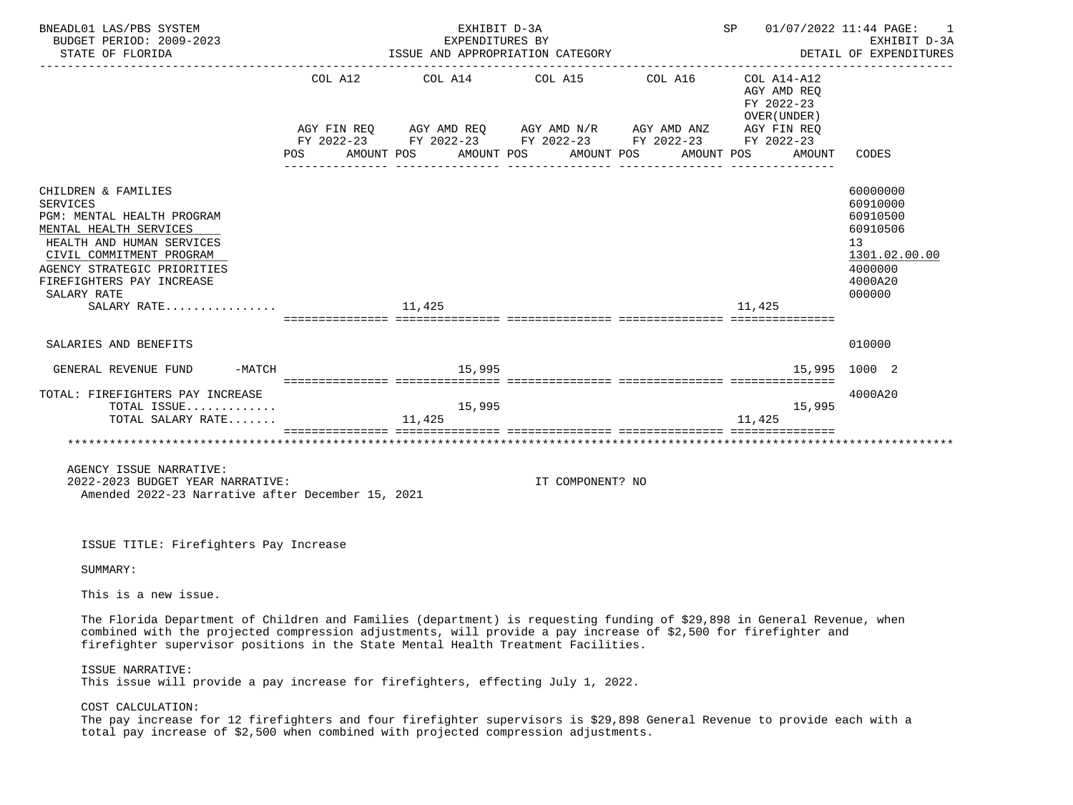| BNEADL01 LAS/PBS SYSTEM<br>BUDGET PERIOD: 2009-2023<br>STATE OF FLORIDA                                                                                                                                                                                                                                                         |                               | EXHIBIT D-3A<br>EXPENDITURES BY<br>ISSUE AND APPROPRIATION CATEGORY                                                                        | SP               | 01/07/2022 11:44 PAGE:<br>1<br>EXHIBIT D-3A<br>DETAIL OF EXPENDITURES |                                                                                   |                                                                                                     |
|---------------------------------------------------------------------------------------------------------------------------------------------------------------------------------------------------------------------------------------------------------------------------------------------------------------------------------|-------------------------------|--------------------------------------------------------------------------------------------------------------------------------------------|------------------|-----------------------------------------------------------------------|-----------------------------------------------------------------------------------|-----------------------------------------------------------------------------------------------------|
|                                                                                                                                                                                                                                                                                                                                 | COL A12<br>AGY FIN REQ<br>POS | COL A14<br>AGY AMD REQ      AGY AMD N/R     AGY AMD ANZ<br>FY 2022-23 FY 2022-23 FY 2022-23 FY 2022-23 FY 2022-23<br>AMOUNT POS AMOUNT POS | COL A15 COL A16  | AMOUNT POS<br>AMOUNT POS                                              | COL A14-A12<br>AGY AMD REQ<br>FY 2022-23<br>OVER (UNDER)<br>AGY FIN REQ<br>AMOUNT | CODES                                                                                               |
| CHILDREN & FAMILIES<br><b>SERVICES</b><br>PGM: MENTAL HEALTH PROGRAM<br>MENTAL HEALTH SERVICES<br>HEALTH AND HUMAN SERVICES<br>CIVIL COMMITMENT PROGRAM<br>AGENCY STRATEGIC PRIORITIES<br>FIREFIGHTERS PAY INCREASE<br>SALARY RATE<br>SALARY RATE                                                                               |                               | 11,425                                                                                                                                     |                  |                                                                       | 11,425                                                                            | 60000000<br>60910000<br>60910500<br>60910506<br>13<br>1301.02.00.00<br>4000000<br>4000A20<br>000000 |
| SALARIES AND BENEFITS                                                                                                                                                                                                                                                                                                           |                               |                                                                                                                                            |                  |                                                                       |                                                                                   | 010000                                                                                              |
| -MATCH<br>GENERAL REVENUE FUND                                                                                                                                                                                                                                                                                                  |                               | 15,995                                                                                                                                     |                  |                                                                       | 15,995                                                                            | 1000 2                                                                                              |
| TOTAL: FIREFIGHTERS PAY INCREASE<br>TOTAL ISSUE<br>TOTAL SALARY RATE                                                                                                                                                                                                                                                            |                               | 15,995<br>11,425                                                                                                                           |                  |                                                                       | 15,995<br>11,425                                                                  | 4000A20                                                                                             |
| AGENCY ISSUE NARRATIVE:<br>2022-2023 BUDGET YEAR NARRATIVE:<br>Amended 2022-23 Narrative after December 15, 2021                                                                                                                                                                                                                |                               |                                                                                                                                            | IT COMPONENT? NO |                                                                       |                                                                                   |                                                                                                     |
| ISSUE TITLE: Firefighters Pay Increase                                                                                                                                                                                                                                                                                          |                               |                                                                                                                                            |                  |                                                                       |                                                                                   |                                                                                                     |
| SUMMARY:                                                                                                                                                                                                                                                                                                                        |                               |                                                                                                                                            |                  |                                                                       |                                                                                   |                                                                                                     |
| This is a new issue.                                                                                                                                                                                                                                                                                                            |                               |                                                                                                                                            |                  |                                                                       |                                                                                   |                                                                                                     |
| The Florida Department of Children and Families (department) is requesting funding of \$29,898 in General Revenue, when<br>combined with the projected compression adjustments, will provide a pay increase of \$2,500 for firefighter and<br>firefighter supervisor positions in the State Mental Health Treatment Facilities. |                               |                                                                                                                                            |                  |                                                                       |                                                                                   |                                                                                                     |

ISSUE NARRATIVE:

This issue will provide a pay increase for firefighters, effecting July 1, 2022.

COST CALCULATION:

 The pay increase for 12 firefighters and four firefighter supervisors is \$29,898 General Revenue to provide each with a total pay increase of \$2,500 when combined with projected compression adjustments.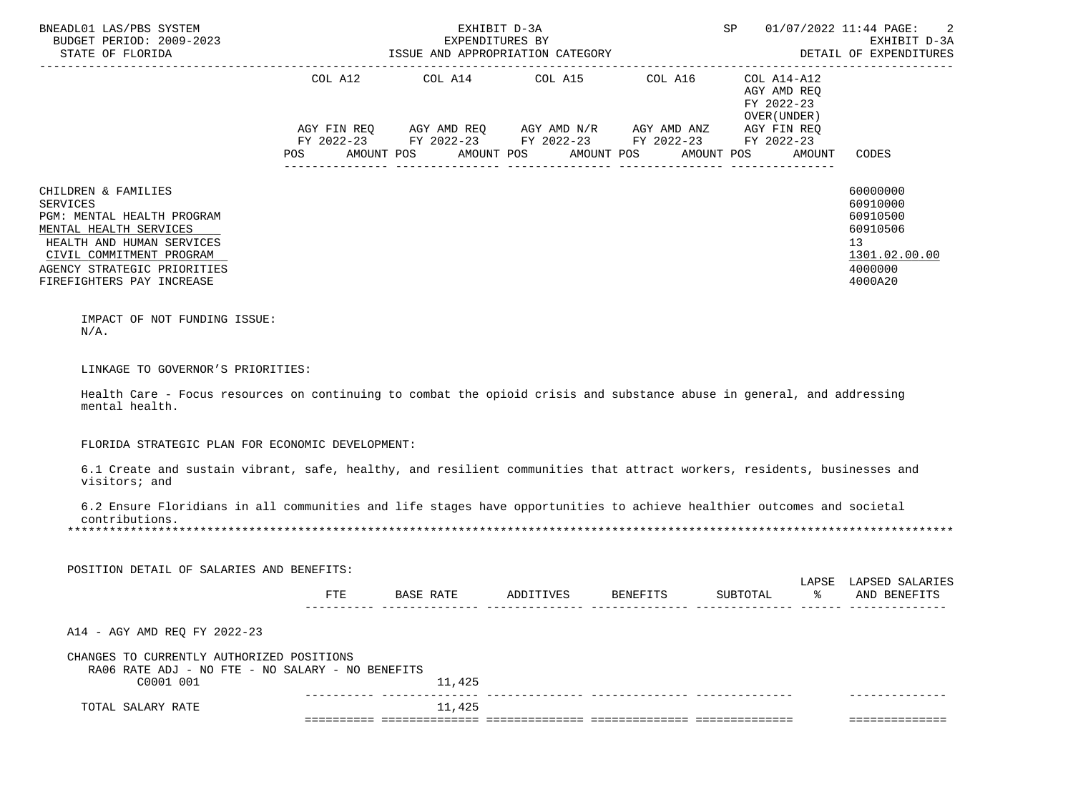| BNEADL01 LAS/PBS SYSTEM<br>BUDGET PERIOD: 2009-2023<br>STATE OF FLORIDA<br>___________________________________                                                                                               | SP<br>EXHIBIT D-3A<br>EXPENDITURES BY<br>ISSUE AND APPROPRIATION CATEGORY |                                                                                                                                                                           |  |                       |                                                          |        | 2<br>01/07/2022 11:44 PAGE:<br>EXHIBIT D-3A<br>DETAIL OF EXPENDITURES                     |
|--------------------------------------------------------------------------------------------------------------------------------------------------------------------------------------------------------------|---------------------------------------------------------------------------|---------------------------------------------------------------------------------------------------------------------------------------------------------------------------|--|-----------------------|----------------------------------------------------------|--------|-------------------------------------------------------------------------------------------|
|                                                                                                                                                                                                              | COL A12<br>POS                                                            | COL A14 COL A15 COL A16<br>AGY FIN REQ AGY AMD REQ AGY AMD N/R AGY AMD ANZ AGY FIN REQ<br>FY 2022-23 FY 2022-23 FY 2022-23 FY 2022-23 FY 2022-23<br>AMOUNT POS AMOUNT POS |  | AMOUNT POS AMOUNT POS | COL A14-A12<br>AGY AMD REQ<br>FY 2022-23<br>OVER (UNDER) | AMOUNT | CODES                                                                                     |
| CHILDREN & FAMILIES<br>SERVICES<br>PGM: MENTAL HEALTH PROGRAM<br>MENTAL HEALTH SERVICES<br>HEALTH AND HUMAN SERVICES<br>CIVIL COMMITMENT PROGRAM<br>AGENCY STRATEGIC PRIORITIES<br>FIREFIGHTERS PAY INCREASE |                                                                           |                                                                                                                                                                           |  |                       |                                                          |        | 60000000<br>60910000<br>60910500<br>60910506<br>13<br>1301.02.00.00<br>4000000<br>4000A20 |
| IMPACT OF NOT FUNDING ISSUE:<br>$N/A$ .                                                                                                                                                                      |                                                                           |                                                                                                                                                                           |  |                       |                                                          |        |                                                                                           |
| LINKAGE TO GOVERNOR'S PRIORITIES:<br>Health Care - Focus resources on continuing to combat the opioid crisis and substance abuse in general, and addressing<br>mental health.                                |                                                                           |                                                                                                                                                                           |  |                       |                                                          |        |                                                                                           |
| FLORIDA STRATEGIC PLAN FOR ECONOMIC DEVELOPMENT:                                                                                                                                                             |                                                                           |                                                                                                                                                                           |  |                       |                                                          |        |                                                                                           |
| 6.1 Create and sustain vibrant, safe, healthy, and resilient communities that attract workers, residents, businesses and<br>visitors; and                                                                    |                                                                           |                                                                                                                                                                           |  |                       |                                                          |        |                                                                                           |
| 6.2 Ensure Floridians in all communities and life stages have opportunities to achieve healthier outcomes and societal<br>contributions.                                                                     |                                                                           |                                                                                                                                                                           |  |                       |                                                          |        |                                                                                           |
| POSITION DETAIL OF SALARIES AND BENEFITS:                                                                                                                                                                    |                                                                           |                                                                                                                                                                           |  |                       |                                                          |        |                                                                                           |
|                                                                                                                                                                                                              | FTE                                                                       | BASE RATE ADDITIVES BENEFITS                                                                                                                                              |  |                       |                                                          |        | LAPSE LAPSED SALARIES<br>SUBTOTAL % AND BENEFITS                                          |
| A14 - AGY AMD REQ FY 2022-23                                                                                                                                                                                 |                                                                           |                                                                                                                                                                           |  |                       |                                                          |        |                                                                                           |
| CHANGES TO CURRENTLY AUTHORIZED POSITIONS<br>RA06 RATE ADJ - NO FTE - NO SALARY - NO BENEFITS<br>C0001 001                                                                                                   |                                                                           | 11,425                                                                                                                                                                    |  |                       |                                                          |        |                                                                                           |
| TOTAL SALARY RATE                                                                                                                                                                                            |                                                                           | 11,425                                                                                                                                                                    |  |                       |                                                          |        | ==============                                                                            |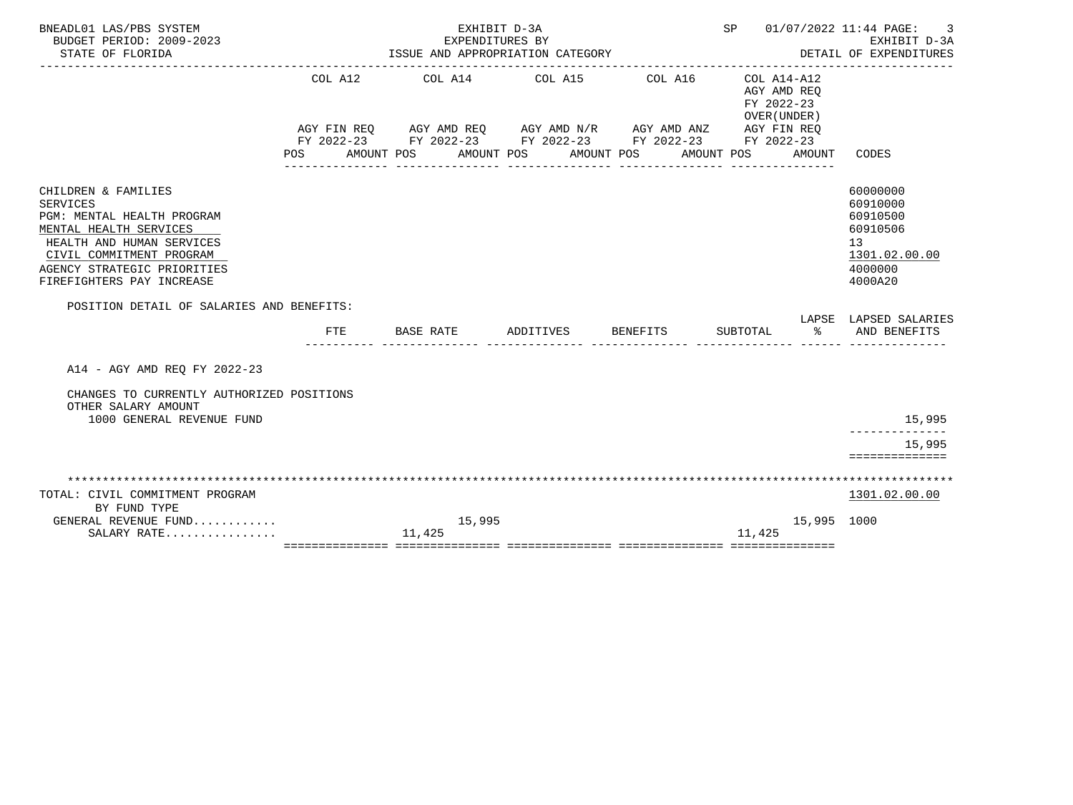| BNEADL01 LAS/PBS SYSTEM<br>BUDGET PERIOD: 2009-2023<br>STATE OF FLORIDA                                                                                                                                             |         | EXHIBIT D-3A<br>EXPENDITURES BY<br>ISSUE AND APPROPRIATION CATEGORY | SP 01/07/2022 11:44 PAGE: | 3<br>EXHIBIT D-3A<br>DETAIL OF EXPENDITURES                                                                                                                                         |                                                                    |                                                                                                        |
|---------------------------------------------------------------------------------------------------------------------------------------------------------------------------------------------------------------------|---------|---------------------------------------------------------------------|---------------------------|-------------------------------------------------------------------------------------------------------------------------------------------------------------------------------------|--------------------------------------------------------------------|--------------------------------------------------------------------------------------------------------|
|                                                                                                                                                                                                                     | COL A12 | COL A14 COL A15                                                     |                           | COL A16<br>AGY FIN REQ AGY AMD REQ AGY AMD N/R AGY AMD ANZ AGY FIN REQ<br>FY 2022-23 FY 2022-23 FY 2022-23 FY 2022-23 FY 2022-23<br>POS AMOUNT POS AMOUNT POS AMOUNT POS AMOUNT POS | COL A14-A12<br>AGY AMD REO<br>FY 2022-23<br>OVER (UNDER)<br>AMOUNT | CODES                                                                                                  |
| CHILDREN & FAMILIES<br><b>SERVICES</b><br>PGM: MENTAL HEALTH PROGRAM<br>MENTAL HEALTH SERVICES<br>HEALTH AND HUMAN SERVICES<br>CIVIL COMMITMENT PROGRAM<br>AGENCY STRATEGIC PRIORITIES<br>FIREFIGHTERS PAY INCREASE |         |                                                                     |                           |                                                                                                                                                                                     |                                                                    | 60000000<br>60910000<br>60910500<br>60910506<br>13 <sup>°</sup><br>1301.02.00.00<br>4000000<br>4000A20 |
| POSITION DETAIL OF SALARIES AND BENEFITS:                                                                                                                                                                           | FTE     | BASE RATE                                                           | ADDITIVES BENEFITS        |                                                                                                                                                                                     | SUBTOTAL                                                           | LAPSE LAPSED SALARIES<br>% AND BENEFITS                                                                |
| A14 - AGY AMD REO FY 2022-23<br>CHANGES TO CURRENTLY AUTHORIZED POSITIONS<br>OTHER SALARY AMOUNT<br>1000 GENERAL REVENUE FUND                                                                                       |         |                                                                     |                           |                                                                                                                                                                                     |                                                                    | 15,995<br>15,995<br>==============                                                                     |
| TOTAL: CIVIL COMMITMENT PROGRAM<br>BY FUND TYPE<br>GENERAL REVENUE FUND<br>$SALARY$ RATE                                                                                                                            |         | 15,995<br>11,425                                                    |                           |                                                                                                                                                                                     | 11,425                                                             | 1301.02.00.00<br>15,995 1000                                                                           |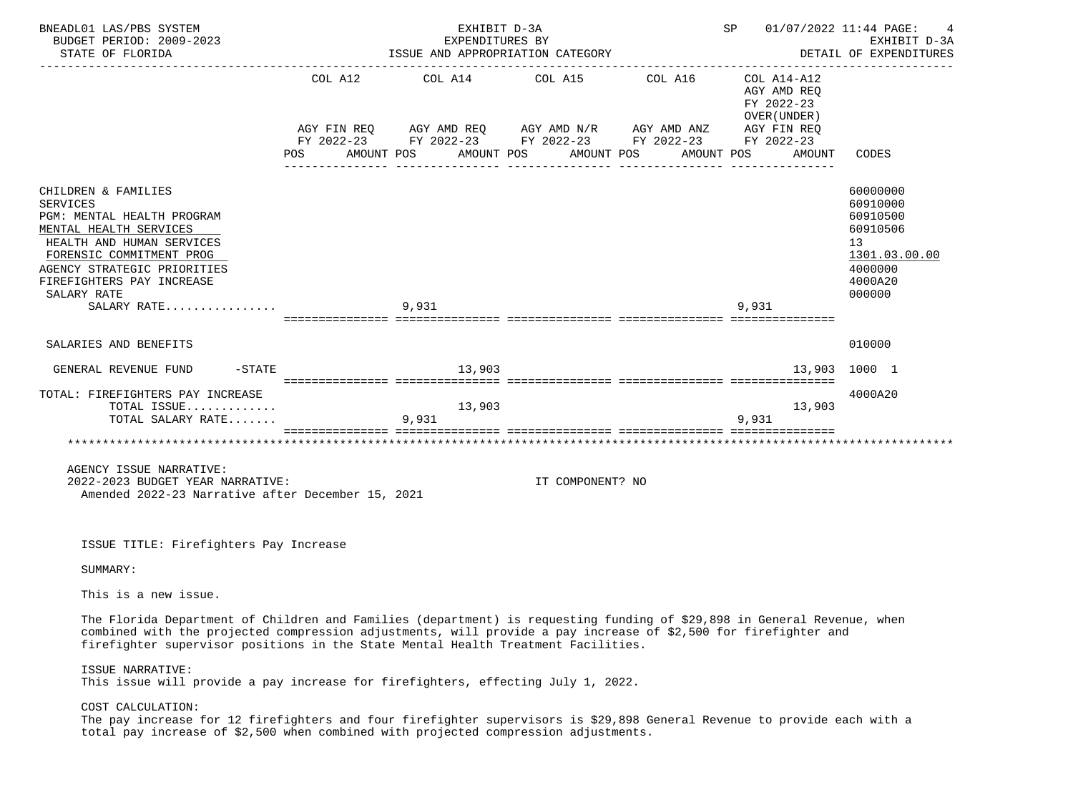| BNEADL01 LAS/PBS SYSTEM<br>BUDGET PERIOD: 2009-2023<br>STATE OF FLORIDA                                                                                                                                                                           |         | EXHIBIT D-3A<br>ISSUE AND APPROPRIATION CATEGORY                                                                                                                                     | EXPENDITURES BY  |                     | SP 01/07/2022 11:44 PAGE:                                         | 4<br>EXHIBIT D-3A<br>DETAIL OF EXPENDITURES                                                         |
|---------------------------------------------------------------------------------------------------------------------------------------------------------------------------------------------------------------------------------------------------|---------|--------------------------------------------------------------------------------------------------------------------------------------------------------------------------------------|------------------|---------------------|-------------------------------------------------------------------|-----------------------------------------------------------------------------------------------------|
|                                                                                                                                                                                                                                                   | POS FOR | COL A12 COL A14 COL A15<br>AGY FIN REQ AGY AMD REQ AGY AMD N/R AGY AMD ANZ AGY FIN REQ<br>FY 2022-23 FY 2022-23 FY 2022-23 FY 2022-23 FY 2022-23<br>AMOUNT POS AMOUNT POS AMOUNT POS |                  | COL A16 COL A14-A12 | AGY AMD REO<br>FY 2022-23<br>OVER (UNDER)<br>AMOUNT POS<br>AMOUNT | CODES                                                                                               |
| CHILDREN & FAMILIES<br><b>SERVICES</b><br>PGM: MENTAL HEALTH PROGRAM<br>MENTAL HEALTH SERVICES<br>HEALTH AND HUMAN SERVICES<br>FORENSIC COMMITMENT PROG<br>AGENCY STRATEGIC PRIORITIES<br>FIREFIGHTERS PAY INCREASE<br>SALARY RATE<br>SALARY RATE |         | 9,931                                                                                                                                                                                |                  |                     | 9,931                                                             | 60000000<br>60910000<br>60910500<br>60910506<br>13<br>1301.03.00.00<br>4000000<br>4000A20<br>000000 |
| SALARIES AND BENEFITS                                                                                                                                                                                                                             |         |                                                                                                                                                                                      |                  |                     |                                                                   | 010000                                                                                              |
| GENERAL REVENUE FUND -STATE                                                                                                                                                                                                                       |         | 13,903                                                                                                                                                                               |                  |                     |                                                                   | 13,903 1000 1                                                                                       |
| TOTAL: FIREFIGHTERS PAY INCREASE<br>TOTAL ISSUE<br>TOTAL SALARY RATE                                                                                                                                                                              |         | 13,903<br>9,931                                                                                                                                                                      |                  |                     | 13,903<br>9.931                                                   | 4000A20                                                                                             |
| AGENCY ISSUE NARRATIVE:<br>2022-2023 BUDGET YEAR NARRATIVE:<br>Amended 2022-23 Narrative after December 15, 2021                                                                                                                                  |         |                                                                                                                                                                                      | IT COMPONENT? NO |                     |                                                                   |                                                                                                     |
| ISSUE TITLE: Firefighters Pay Increase                                                                                                                                                                                                            |         |                                                                                                                                                                                      |                  |                     |                                                                   |                                                                                                     |
| SUMMARY:                                                                                                                                                                                                                                          |         |                                                                                                                                                                                      |                  |                     |                                                                   |                                                                                                     |

This is a new issue.

 The Florida Department of Children and Families (department) is requesting funding of \$29,898 in General Revenue, when combined with the projected compression adjustments, will provide a pay increase of \$2,500 for firefighter and firefighter supervisor positions in the State Mental Health Treatment Facilities.

ISSUE NARRATIVE:

This issue will provide a pay increase for firefighters, effecting July 1, 2022.

COST CALCULATION:

 The pay increase for 12 firefighters and four firefighter supervisors is \$29,898 General Revenue to provide each with a total pay increase of \$2,500 when combined with projected compression adjustments.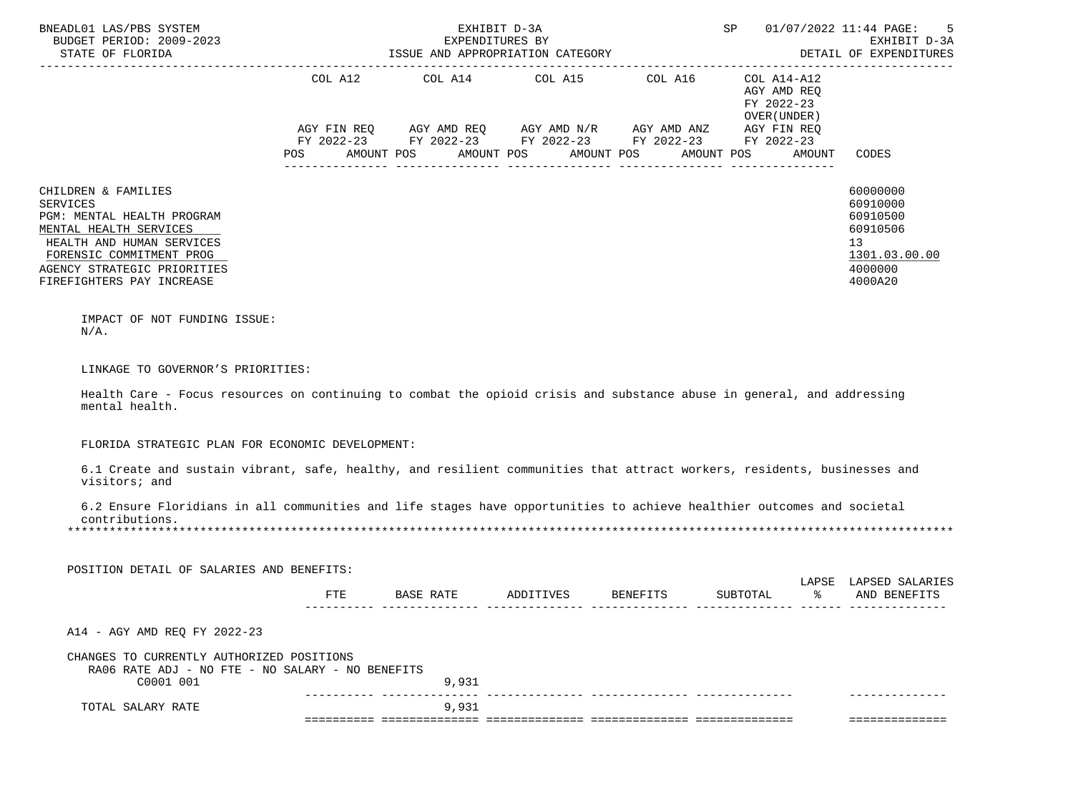| BNEADL01 LAS/PBS SYSTEM<br>BUDGET PERIOD: 2009-2023<br>STATE OF FLORIDA                                                                                                                                             |            | EXHIBIT D-3A<br>EXPENDITURES BY<br>ISSUE AND APPROPRIATION CATEGORY                                                                                                               |                       |                                                           | 5<br>SP 01/07/2022 11:44 PAGE:<br>EXHIBIT D-3A<br>DETAIL OF EXPENDITURES |                                                                                           |
|---------------------------------------------------------------------------------------------------------------------------------------------------------------------------------------------------------------------|------------|-----------------------------------------------------------------------------------------------------------------------------------------------------------------------------------|-----------------------|-----------------------------------------------------------|--------------------------------------------------------------------------|-------------------------------------------------------------------------------------------|
|                                                                                                                                                                                                                     | POS        | COL A12 COL A14 COL A15 COL A16<br>AGY FIN REQ AGY AMD REQ AGY AMD N/R AGY AMD ANZ AGY FIN REQ<br>FY 2022-23 FY 2022-23 FY 2022-23 FY 2022-23 FY 2022-23<br>AMOUNT POS AMOUNT POS | AMOUNT POS AMOUNT POS | COL A14-A12<br>AGY AMD REQ<br>FY 2022-23<br>OVER (UNDER ) | AMOUNT                                                                   | CODES                                                                                     |
| CHILDREN & FAMILIES<br><b>SERVICES</b><br>PGM: MENTAL HEALTH PROGRAM<br>MENTAL HEALTH SERVICES<br>HEALTH AND HUMAN SERVICES<br>FORENSIC COMMITMENT PROG<br>AGENCY STRATEGIC PRIORITIES<br>FIREFIGHTERS PAY INCREASE |            |                                                                                                                                                                                   |                       |                                                           |                                                                          | 60000000<br>60910000<br>60910500<br>60910506<br>13<br>1301.03.00.00<br>4000000<br>4000A20 |
| IMPACT OF NOT FUNDING ISSUE:<br>$N/A$ .                                                                                                                                                                             |            |                                                                                                                                                                                   |                       |                                                           |                                                                          |                                                                                           |
| LINKAGE TO GOVERNOR'S PRIORITIES:                                                                                                                                                                                   |            |                                                                                                                                                                                   |                       |                                                           |                                                                          |                                                                                           |
| Health Care - Focus resources on continuing to combat the opioid crisis and substance abuse in general, and addressing<br>mental health.                                                                            |            |                                                                                                                                                                                   |                       |                                                           |                                                                          |                                                                                           |
| FLORIDA STRATEGIC PLAN FOR ECONOMIC DEVELOPMENT:                                                                                                                                                                    |            |                                                                                                                                                                                   |                       |                                                           |                                                                          |                                                                                           |
| 6.1 Create and sustain vibrant, safe, healthy, and resilient communities that attract workers, residents, businesses and<br>visitors; and                                                                           |            |                                                                                                                                                                                   |                       |                                                           |                                                                          |                                                                                           |
| 6.2 Ensure Floridians in all communities and life stages have opportunities to achieve healthier outcomes and societal<br>contributions.                                                                            |            |                                                                                                                                                                                   |                       |                                                           |                                                                          |                                                                                           |
| POSITION DETAIL OF SALARIES AND BENEFITS:                                                                                                                                                                           |            |                                                                                                                                                                                   |                       |                                                           |                                                                          |                                                                                           |
|                                                                                                                                                                                                                     | <b>FTE</b> | BASE RATE ADDITIVES BENEFITS                                                                                                                                                      |                       |                                                           |                                                                          | LAPSE LAPSED SALARIES<br>SUBTOTAL % AND BENEFITS                                          |
| A14 - AGY AMD REQ FY 2022-23                                                                                                                                                                                        |            |                                                                                                                                                                                   |                       |                                                           |                                                                          |                                                                                           |
| CHANGES TO CURRENTLY AUTHORIZED POSITIONS<br>RA06 RATE ADJ - NO FTE - NO SALARY - NO BENEFITS<br>C0001 001                                                                                                          |            | 9,931                                                                                                                                                                             |                       |                                                           |                                                                          |                                                                                           |
| TOTAL SALARY RATE                                                                                                                                                                                                   |            | 9,931                                                                                                                                                                             |                       |                                                           |                                                                          | <b>Cooperacters and</b>                                                                   |
|                                                                                                                                                                                                                     |            |                                                                                                                                                                                   |                       |                                                           |                                                                          |                                                                                           |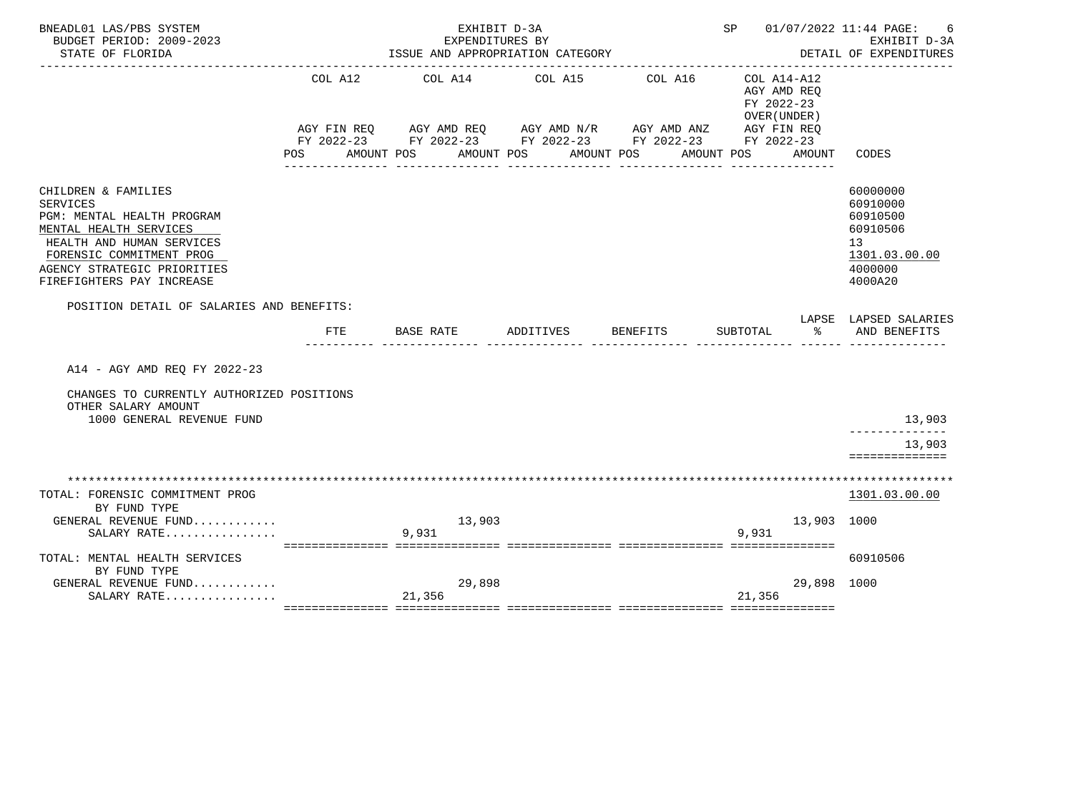| BNEADL01 LAS/PBS SYSTEM<br>BUDGET PERIOD: 2009-2023                                                                                                                                                                 |                                  | EXHIBIT D-3A<br>EXPENDITURES BY |                                                                                                                                                   |                       | SP 01/07/2022 11:44 PAGE:<br>6<br>EXHIBIT D-3A           |             |                                                                                                        |
|---------------------------------------------------------------------------------------------------------------------------------------------------------------------------------------------------------------------|----------------------------------|---------------------------------|---------------------------------------------------------------------------------------------------------------------------------------------------|-----------------------|----------------------------------------------------------|-------------|--------------------------------------------------------------------------------------------------------|
| STATE OF FLORIDA                                                                                                                                                                                                    | ISSUE AND APPROPRIATION CATEGORY |                                 | DETAIL OF EXPENDITURES                                                                                                                            |                       |                                                          |             |                                                                                                        |
|                                                                                                                                                                                                                     | COL A12<br>POS DO                | COL A14 COL A15<br>AMOUNT POS   | AGY FIN REQ AGY AMD REQ AGY AMD N/R AGY AMD ANZ AGY FIN REQ<br>FY 2022-23 FY 2022-23 FY 2022-23 FY 2022-23 FY 2022-23<br>AMOUNT POS<br>AMOUNT POS | COL A16<br>AMOUNT POS | COL A14-A12<br>AGY AMD REO<br>FY 2022-23<br>OVER (UNDER) | AMOUNT      | CODES                                                                                                  |
| CHILDREN & FAMILIES<br><b>SERVICES</b><br>PGM: MENTAL HEALTH PROGRAM<br>MENTAL HEALTH SERVICES<br>HEALTH AND HUMAN SERVICES<br>FORENSIC COMMITMENT PROG<br>AGENCY STRATEGIC PRIORITIES<br>FIREFIGHTERS PAY INCREASE |                                  |                                 |                                                                                                                                                   |                       |                                                          |             | 60000000<br>60910000<br>60910500<br>60910506<br>13 <sup>7</sup><br>1301.03.00.00<br>4000000<br>4000A20 |
| POSITION DETAIL OF SALARIES AND BENEFITS:                                                                                                                                                                           |                                  |                                 |                                                                                                                                                   |                       |                                                          |             |                                                                                                        |
|                                                                                                                                                                                                                     | FTE                              | BASE RATE                       | ADDITIVES                                                                                                                                         | BENEFITS              | SUBTOTAL                                                 | $\approx$   | LAPSE LAPSED SALARIES<br>AND BENEFITS                                                                  |
| A14 - AGY AMD REO FY 2022-23                                                                                                                                                                                        |                                  |                                 |                                                                                                                                                   |                       |                                                          |             |                                                                                                        |
| CHANGES TO CURRENTLY AUTHORIZED POSITIONS<br>OTHER SALARY AMOUNT<br>1000 GENERAL REVENUE FUND                                                                                                                       |                                  |                                 |                                                                                                                                                   |                       |                                                          |             | 13,903<br>13,903<br>==============                                                                     |
|                                                                                                                                                                                                                     |                                  |                                 |                                                                                                                                                   |                       |                                                          |             |                                                                                                        |
| TOTAL: FORENSIC COMMITMENT PROG<br>BY FUND TYPE<br>GENERAL REVENUE FUND                                                                                                                                             |                                  | 13,903                          |                                                                                                                                                   |                       |                                                          | 13,903 1000 | 1301.03.00.00                                                                                          |
| SALARY RATE                                                                                                                                                                                                         |                                  | 9,931                           |                                                                                                                                                   |                       | 9,931                                                    |             |                                                                                                        |
| TOTAL: MENTAL HEALTH SERVICES<br>BY FUND TYPE                                                                                                                                                                       |                                  |                                 |                                                                                                                                                   |                       |                                                          |             | 60910506                                                                                               |
| GENERAL REVENUE FUND<br>SALARY RATE                                                                                                                                                                                 |                                  | 29,898<br>21,356                |                                                                                                                                                   |                       | 21,356                                                   | 29,898 1000 |                                                                                                        |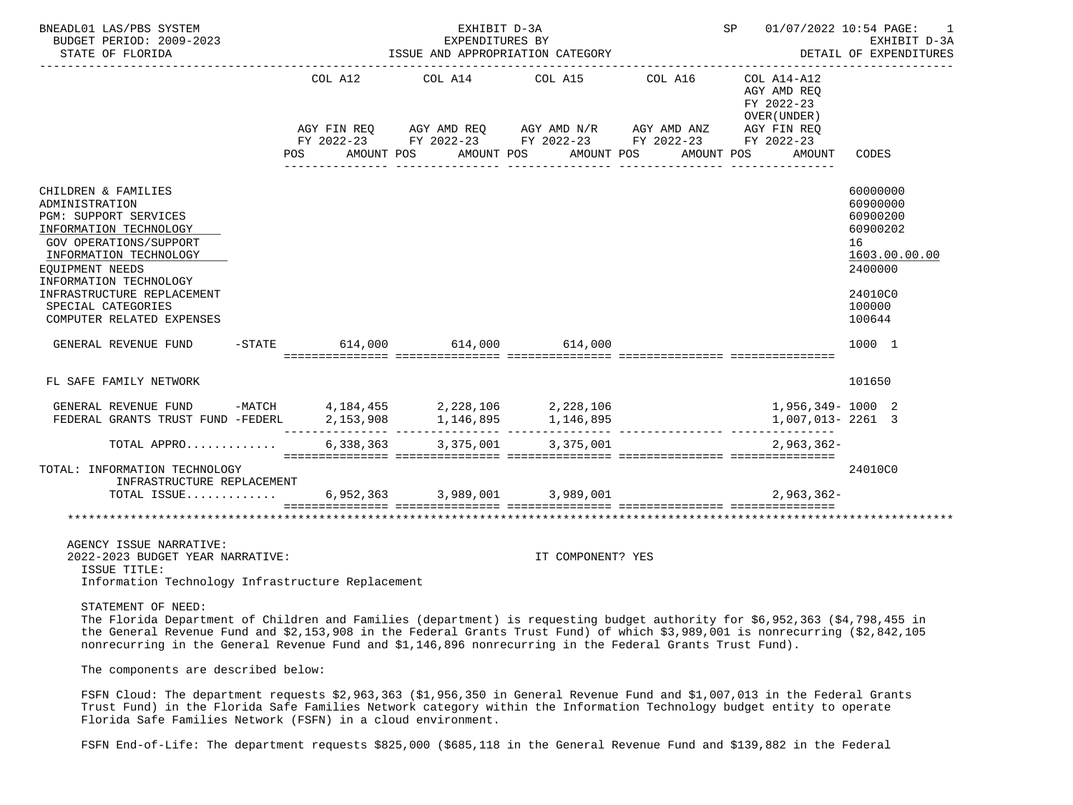| BNEADL01 LAS/PBS SYSTEM<br>BUDGET PERIOD: 2009-2023<br>STATE OF FLORIDA                                                                                                                                                                                                           | EXHIBIT D-3A<br>EXPENDITURES BY<br>ISSUE AND APPROPRIATION CATEGORY |         |  |                                                 |  |                   |                                                                                                                                                | SP 01/07/2022 10:54 PAGE: 1<br>EXHIBIT D-3A<br>DETAIL OF EXPENDITURES |                                                                                                               |  |
|-----------------------------------------------------------------------------------------------------------------------------------------------------------------------------------------------------------------------------------------------------------------------------------|---------------------------------------------------------------------|---------|--|-------------------------------------------------|--|-------------------|------------------------------------------------------------------------------------------------------------------------------------------------|-----------------------------------------------------------------------|---------------------------------------------------------------------------------------------------------------|--|
|                                                                                                                                                                                                                                                                                   |                                                                     | COL A12 |  | COL A14<br>POS AMOUNT POS AMOUNT POS AMOUNT POS |  | COL A15           | COL A16<br>AGY FIN REQ AGY AMD REQ AGY AMD N/R AGY AMD ANZ AGY FIN REQ<br>FY 2022-23 FY 2022-23 FY 2022-23 FY 2022-23 FY 2022-23<br>AMOUNT POS | COL A14-A12<br>AGY AMD REO<br>FY 2022-23<br>OVER (UNDER)<br>AMOUNT    | CODES                                                                                                         |  |
| CHILDREN & FAMILIES<br>ADMINISTRATION<br>PGM: SUPPORT SERVICES<br>INFORMATION TECHNOLOGY<br><b>GOV OPERATIONS/SUPPORT</b><br>INFORMATION TECHNOLOGY<br>EOUIPMENT NEEDS<br>INFORMATION TECHNOLOGY<br>INFRASTRUCTURE REPLACEMENT<br>SPECIAL CATEGORIES<br>COMPUTER RELATED EXPENSES |                                                                     |         |  |                                                 |  |                   |                                                                                                                                                |                                                                       | 60000000<br>60900000<br>60900200<br>60900202<br>16<br>1603.00.00.00<br>2400000<br>24010C0<br>100000<br>100644 |  |
| GENERAL REVENUE FUND                                                                                                                                                                                                                                                              |                                                                     |         |  | $-$ STATE 614,000 614,000 614,000               |  |                   |                                                                                                                                                |                                                                       | 1000 1                                                                                                        |  |
| FL SAFE FAMILY NETWORK                                                                                                                                                                                                                                                            |                                                                     |         |  |                                                 |  |                   |                                                                                                                                                |                                                                       | 101650                                                                                                        |  |
| GENERAL REVENUE FUND -MATCH 4,184,455 2,228,106 2,228,106 1,956,349-1000 2<br>FEDERAL GRANTS TRUST FUND -FEDERL 2, 153, 908 1, 146, 895 1, 146, 895                                                                                                                               |                                                                     |         |  |                                                 |  |                   |                                                                                                                                                | 1,007,013-2261 3                                                      |                                                                                                               |  |
| TOTAL APPRO                                                                                                                                                                                                                                                                       |                                                                     |         |  | 6,338,363 3,375,001                             |  | 3,375,001         |                                                                                                                                                | $2.963.362 -$                                                         |                                                                                                               |  |
| TOTAL: INFORMATION TECHNOLOGY<br>INFRASTRUCTURE REPLACEMENT<br>TOTAL ISSUE 6,952,363 3,989,001 3,989,001                                                                                                                                                                          |                                                                     |         |  |                                                 |  |                   |                                                                                                                                                | $2.963.362-$                                                          | 24010C0                                                                                                       |  |
| AGENCY ISSUE NARRATIVE:<br>2022-2023 BUDGET YEAR NARRATIVE:<br>ISSUE TITLE:<br>Information Technology Infrastructure Replacement                                                                                                                                                  |                                                                     |         |  |                                                 |  | IT COMPONENT? YES |                                                                                                                                                |                                                                       |                                                                                                               |  |

## STATEMENT OF NEED:

 The Florida Department of Children and Families (department) is requesting budget authority for \$6,952,363 (\$4,798,455 in the General Revenue Fund and \$2,153,908 in the Federal Grants Trust Fund) of which \$3,989,001 is nonrecurring (\$2,842,105 nonrecurring in the General Revenue Fund and \$1,146,896 nonrecurring in the Federal Grants Trust Fund).

The components are described below:

 FSFN Cloud: The department requests \$2,963,363 (\$1,956,350 in General Revenue Fund and \$1,007,013 in the Federal Grants Trust Fund) in the Florida Safe Families Network category within the Information Technology budget entity to operate Florida Safe Families Network (FSFN) in a cloud environment.

FSFN End-of-Life: The department requests \$825,000 (\$685,118 in the General Revenue Fund and \$139,882 in the Federal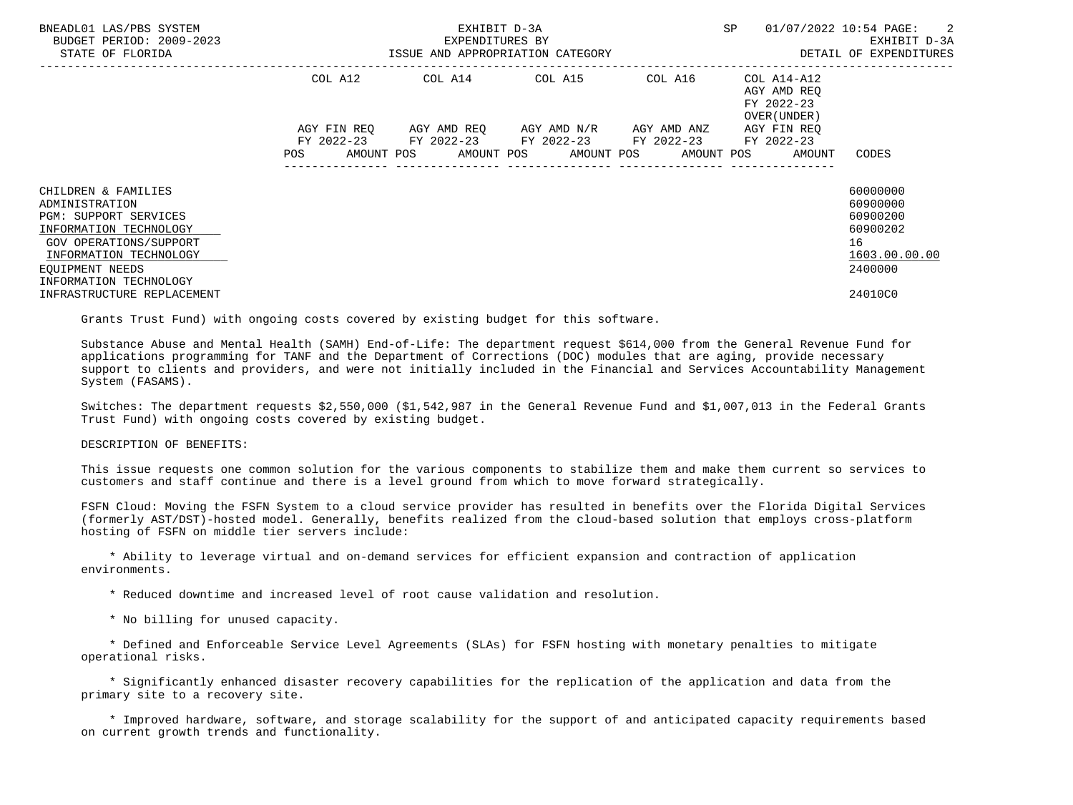| BNEADL01 LAS/PBS SYSTEM<br>BUDGET PERIOD: 2009-2023<br>STATE OF FLORIDA                                                                                                                          | ISSUE AND APPROPRIATION CATEGORY | EXHIBIT D-3A<br>EXPENDITURES BY | SP                                                                                                                                                         | 01/07/2022 10:54 PAGE: 2<br>EXHIBIT D-3A<br>DETAIL OF EXPENDITURES |                                                           |                                                                                |
|--------------------------------------------------------------------------------------------------------------------------------------------------------------------------------------------------|----------------------------------|---------------------------------|------------------------------------------------------------------------------------------------------------------------------------------------------------|--------------------------------------------------------------------|-----------------------------------------------------------|--------------------------------------------------------------------------------|
|                                                                                                                                                                                                  | COL A12                          |                                 | COL A14 COL A15                                                                                                                                            | -------------------------------<br>COL A16                         | COL A14-A12<br>AGY AMD REO<br>FY 2022-23<br>OVER (UNDER ) |                                                                                |
|                                                                                                                                                                                                  | <b>POS</b>                       |                                 | AGY FIN REO AGY AMD REO AGY AMD N/R AGY AMD ANZ<br>FY 2022-23 FY 2022-23 FY 2022-23 FY 2022-23<br>AMOUNT POS      AMOUNT POS     AMOUNT POS     AMOUNT POS |                                                                    | AGY FIN REO<br>FY 2022-23<br>AMOUNT                       | CODES                                                                          |
| CHILDREN & FAMILIES<br>ADMINISTRATION<br><b>PGM: SUPPORT SERVICES</b><br>INFORMATION TECHNOLOGY<br>GOV OPERATIONS/SUPPORT<br>INFORMATION TECHNOLOGY<br>EOUIPMENT NEEDS<br>INFORMATION TECHNOLOGY |                                  |                                 |                                                                                                                                                            |                                                                    |                                                           | 60000000<br>60900000<br>60900200<br>60900202<br>16<br>1603.00.00.00<br>2400000 |
| INFRASTRUCTURE REPLACEMENT                                                                                                                                                                       |                                  |                                 |                                                                                                                                                            |                                                                    |                                                           | 24010C0                                                                        |

Grants Trust Fund) with ongoing costs covered by existing budget for this software.

 Substance Abuse and Mental Health (SAMH) End-of-Life: The department request \$614,000 from the General Revenue Fund for applications programming for TANF and the Department of Corrections (DOC) modules that are aging, provide necessary support to clients and providers, and were not initially included in the Financial and Services Accountability Management System (FASAMS).

 Switches: The department requests \$2,550,000 (\$1,542,987 in the General Revenue Fund and \$1,007,013 in the Federal Grants Trust Fund) with ongoing costs covered by existing budget.

## DESCRIPTION OF BENEFITS:

 This issue requests one common solution for the various components to stabilize them and make them current so services to customers and staff continue and there is a level ground from which to move forward strategically.

 FSFN Cloud: Moving the FSFN System to a cloud service provider has resulted in benefits over the Florida Digital Services (formerly AST/DST)-hosted model. Generally, benefits realized from the cloud-based solution that employs cross-platform hosting of FSFN on middle tier servers include:

 \* Ability to leverage virtual and on-demand services for efficient expansion and contraction of application environments.

- \* Reduced downtime and increased level of root cause validation and resolution.
- \* No billing for unused capacity.

 \* Defined and Enforceable Service Level Agreements (SLAs) for FSFN hosting with monetary penalties to mitigate operational risks.

 \* Significantly enhanced disaster recovery capabilities for the replication of the application and data from the primary site to a recovery site.

 \* Improved hardware, software, and storage scalability for the support of and anticipated capacity requirements based on current growth trends and functionality.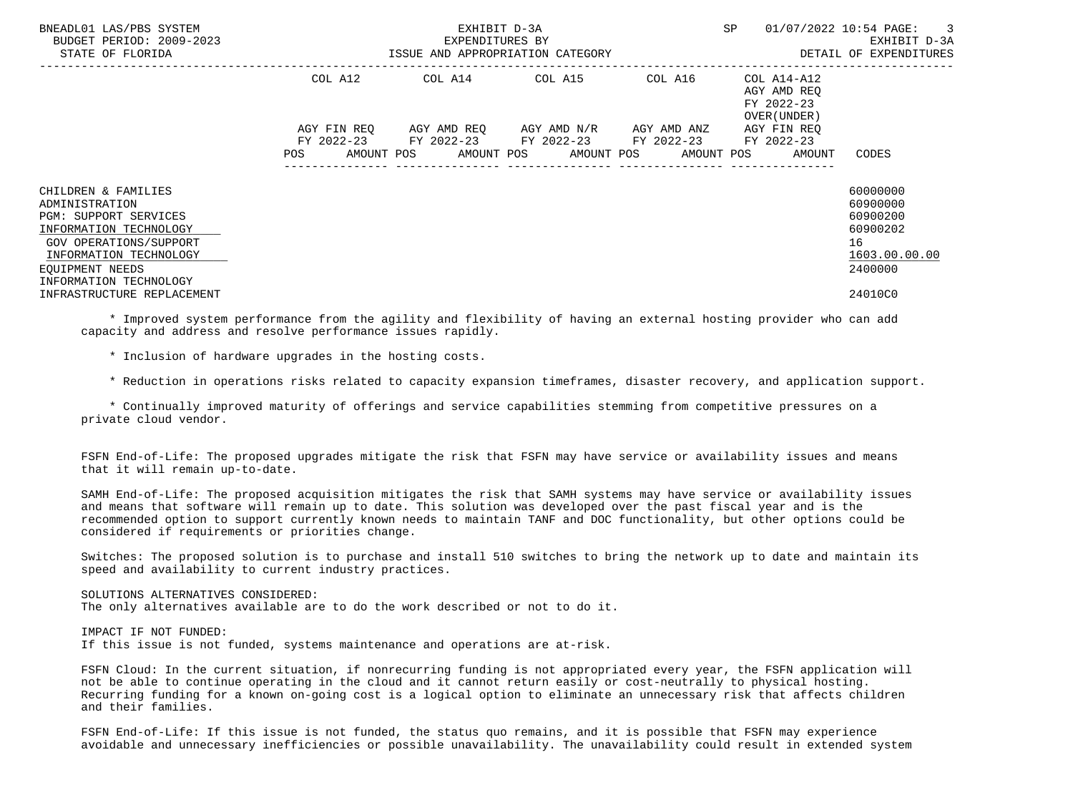| BNEADL01 LAS/PBS SYSTEM<br>BUDGET PERIOD: 2009-2023<br>STATE OF FLORIDA                                                                                                                   | ISSUE AND APPROPRIATION CATEGORY                                                                                              | EXHIBIT D-3A<br>EXPENDITURES BY | SP                                                                                 | 01/07/2022 10:54 PAGE: 3<br>EXHIBIT D-3A<br>DETAIL OF EXPENDITURES |                                                                                 |                                                                                |
|-------------------------------------------------------------------------------------------------------------------------------------------------------------------------------------------|-------------------------------------------------------------------------------------------------------------------------------|---------------------------------|------------------------------------------------------------------------------------|--------------------------------------------------------------------|---------------------------------------------------------------------------------|--------------------------------------------------------------------------------|
|                                                                                                                                                                                           | COL A12                                                                                                                       |                                 | COL A14 COL A15 COL A16                                                            |                                                                    | COL A14-A12<br>AGY AMD REQ<br>FY 2022-23<br>OVER (UNDER)                        |                                                                                |
|                                                                                                                                                                                           | AGY FIN REO<br>POS FOR THE POST OF THE STATE STATE STATE STATE STATE STATE STATE STATE STATE STATE STATE STATE STATE STATE ST |                                 | AGY AMD REQ AGY AMD N/R AGY AMD ANZ<br>FY 2022-23 FY 2022-23 FY 2022-23 FY 2022-23 |                                                                    | AGY FIN REO<br>FY 2022-23<br>AMOUNT POS AMOUNT POS AMOUNT POS AMOUNT POS AMOUNT | CODES                                                                          |
| CHILDREN & FAMILIES<br>ADMINISTRATION<br>PGM: SUPPORT SERVICES<br>INFORMATION TECHNOLOGY<br>GOV OPERATIONS/SUPPORT<br>INFORMATION TECHNOLOGY<br>EOUIPMENT NEEDS<br>INFORMATION TECHNOLOGY |                                                                                                                               |                                 |                                                                                    |                                                                    |                                                                                 | 60000000<br>60900000<br>60900200<br>60900202<br>16<br>1603.00.00.00<br>2400000 |
| INFRASTRUCTURE REPLACEMENT                                                                                                                                                                |                                                                                                                               |                                 |                                                                                    |                                                                    |                                                                                 | 24010C0                                                                        |

 \* Improved system performance from the agility and flexibility of having an external hosting provider who can add capacity and address and resolve performance issues rapidly.

\* Inclusion of hardware upgrades in the hosting costs.

\* Reduction in operations risks related to capacity expansion timeframes, disaster recovery, and application support.

 \* Continually improved maturity of offerings and service capabilities stemming from competitive pressures on a private cloud vendor.

 FSFN End-of-Life: The proposed upgrades mitigate the risk that FSFN may have service or availability issues and means that it will remain up-to-date.

 SAMH End-of-Life: The proposed acquisition mitigates the risk that SAMH systems may have service or availability issues and means that software will remain up to date. This solution was developed over the past fiscal year and is the recommended option to support currently known needs to maintain TANF and DOC functionality, but other options could be considered if requirements or priorities change.

 Switches: The proposed solution is to purchase and install 510 switches to bring the network up to date and maintain its speed and availability to current industry practices.

 SOLUTIONS ALTERNATIVES CONSIDERED: The only alternatives available are to do the work described or not to do it.

 IMPACT IF NOT FUNDED: If this issue is not funded, systems maintenance and operations are at-risk.

 FSFN Cloud: In the current situation, if nonrecurring funding is not appropriated every year, the FSFN application will not be able to continue operating in the cloud and it cannot return easily or cost-neutrally to physical hosting. Recurring funding for a known on-going cost is a logical option to eliminate an unnecessary risk that affects children and their families.

 FSFN End-of-Life: If this issue is not funded, the status quo remains, and it is possible that FSFN may experience avoidable and unnecessary inefficiencies or possible unavailability. The unavailability could result in extended system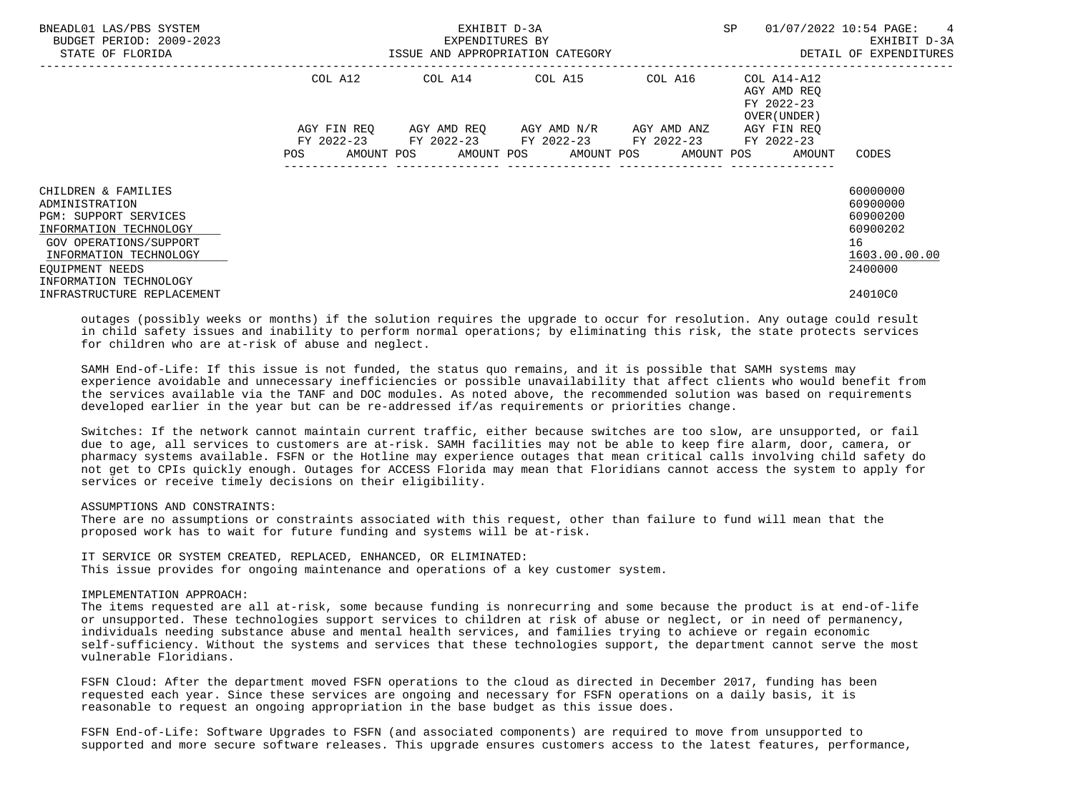| BNEADL01 LAS/PBS SYSTEM<br>BUDGET PERIOD: 2009-2023<br>STATE OF FLORIDA                                                                                                                          | ISSUE AND APPROPRIATION CATEGORY | SP                                                                              | 01/07/2022 10:54 PAGE:<br>$\frac{4}{3}$<br>EXHIBIT D-3A<br>DETAIL OF EXPENDITURES |                                                                         |                                                                                |
|--------------------------------------------------------------------------------------------------------------------------------------------------------------------------------------------------|----------------------------------|---------------------------------------------------------------------------------|-----------------------------------------------------------------------------------|-------------------------------------------------------------------------|--------------------------------------------------------------------------------|
|                                                                                                                                                                                                  | COL A12<br>AGY FIN REO           | COL A14 COL A15 COL A16                                                         | AGY AMD REO AGY AMD N/R AGY AMD ANZ                                               | COL A14-A12<br>AGY AMD REO<br>FY 2022-23<br>OVER (UNDER)<br>AGY FIN REO |                                                                                |
|                                                                                                                                                                                                  | FY 2022-23<br>POS                | FY 2022-23 FY 2022-23 FY 2022-23<br>AMOUNT POS AMOUNT POS AMOUNT POS AMOUNT POS |                                                                                   | FY 2022-23<br>AMOUNT                                                    | CODES                                                                          |
| CHILDREN & FAMILIES<br>ADMINISTRATION<br><b>PGM: SUPPORT SERVICES</b><br>INFORMATION TECHNOLOGY<br>GOV OPERATIONS/SUPPORT<br>INFORMATION TECHNOLOGY<br>EOUIPMENT NEEDS<br>INFORMATION TECHNOLOGY |                                  |                                                                                 |                                                                                   |                                                                         | 60000000<br>60900000<br>60900200<br>60900202<br>16<br>1603.00.00.00<br>2400000 |
| INFRASTRUCTURE REPLACEMENT                                                                                                                                                                       |                                  |                                                                                 |                                                                                   |                                                                         | 24010C0                                                                        |

 outages (possibly weeks or months) if the solution requires the upgrade to occur for resolution. Any outage could result in child safety issues and inability to perform normal operations; by eliminating this risk, the state protects services for children who are at-risk of abuse and neglect.

 SAMH End-of-Life: If this issue is not funded, the status quo remains, and it is possible that SAMH systems may experience avoidable and unnecessary inefficiencies or possible unavailability that affect clients who would benefit from the services available via the TANF and DOC modules. As noted above, the recommended solution was based on requirements developed earlier in the year but can be re-addressed if/as requirements or priorities change.

 Switches: If the network cannot maintain current traffic, either because switches are too slow, are unsupported, or fail due to age, all services to customers are at-risk. SAMH facilities may not be able to keep fire alarm, door, camera, or pharmacy systems available. FSFN or the Hotline may experience outages that mean critical calls involving child safety do not get to CPIs quickly enough. Outages for ACCESS Florida may mean that Floridians cannot access the system to apply for services or receive timely decisions on their eligibility.

#### ASSUMPTIONS AND CONSTRAINTS:

 There are no assumptions or constraints associated with this request, other than failure to fund will mean that the proposed work has to wait for future funding and systems will be at-risk.

 IT SERVICE OR SYSTEM CREATED, REPLACED, ENHANCED, OR ELIMINATED: This issue provides for ongoing maintenance and operations of a key customer system.

#### IMPLEMENTATION APPROACH:

 The items requested are all at-risk, some because funding is nonrecurring and some because the product is at end-of-life or unsupported. These technologies support services to children at risk of abuse or neglect, or in need of permanency, individuals needing substance abuse and mental health services, and families trying to achieve or regain economic self-sufficiency. Without the systems and services that these technologies support, the department cannot serve the most vulnerable Floridians.

 FSFN Cloud: After the department moved FSFN operations to the cloud as directed in December 2017, funding has been requested each year. Since these services are ongoing and necessary for FSFN operations on a daily basis, it is reasonable to request an ongoing appropriation in the base budget as this issue does.

 FSFN End-of-Life: Software Upgrades to FSFN (and associated components) are required to move from unsupported to supported and more secure software releases. This upgrade ensures customers access to the latest features, performance,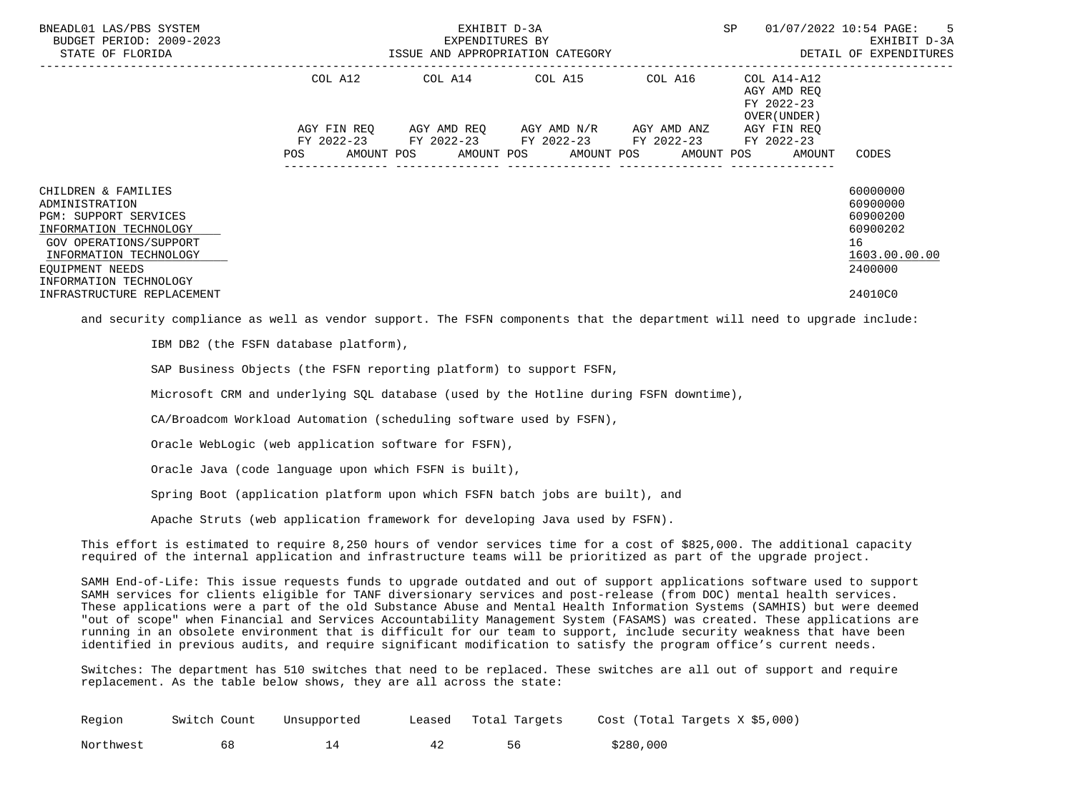| BNEADL01 LAS/PBS SYSTEM<br>BUDGET PERIOD: 2009-2023<br>STATE OF FLORIDA                                                                                                                                                 | ISSUE AND APPROPRIATION CATEGORY | SP                                                                                                              | 01/07/2022 10:54 PAGE: 5<br>EXHIBIT D-3A<br>DETAIL OF EXPENDITURES |                                                                                       |                                                                                                    |
|-------------------------------------------------------------------------------------------------------------------------------------------------------------------------------------------------------------------------|----------------------------------|-----------------------------------------------------------------------------------------------------------------|--------------------------------------------------------------------|---------------------------------------------------------------------------------------|----------------------------------------------------------------------------------------------------|
|                                                                                                                                                                                                                         | COL A12<br>AGY FIN REO           | COL A14 COL A15<br>AGY AMD REQ      AGY AMD N/R      AGY AMD ANZ<br>FY 2022-23 FY 2022-23 FY 2022-23 FY 2022-23 | COL A16                                                            | COL A14-A12<br>AGY AMD REO<br>FY 2022-23<br>OVER (UNDER)<br>AGY FIN REO<br>FY 2022-23 |                                                                                                    |
| CHILDREN & FAMILIES<br>ADMINISTRATION<br>PGM: SUPPORT SERVICES<br>INFORMATION TECHNOLOGY<br>GOV OPERATIONS/SUPPORT<br>INFORMATION TECHNOLOGY<br>EOUIPMENT NEEDS<br>INFORMATION TECHNOLOGY<br>INFRASTRUCTURE REPLACEMENT | POS                              | AMOUNT POS AMOUNT POS AMOUNT POS AMOUNT POS                                                                     |                                                                    | AMOUNT                                                                                | CODES<br>60000000<br>60900000<br>60900200<br>60900202<br>16<br>1603.00.00.00<br>2400000<br>24010C0 |

and security compliance as well as vendor support. The FSFN components that the department will need to upgrade include:

IBM DB2 (the FSFN database platform),

SAP Business Objects (the FSFN reporting platform) to support FSFN,

Microsoft CRM and underlying SQL database (used by the Hotline during FSFN downtime),

CA/Broadcom Workload Automation (scheduling software used by FSFN),

Oracle WebLogic (web application software for FSFN),

Oracle Java (code language upon which FSFN is built),

Spring Boot (application platform upon which FSFN batch jobs are built), and

Apache Struts (web application framework for developing Java used by FSFN).

 This effort is estimated to require 8,250 hours of vendor services time for a cost of \$825,000. The additional capacity required of the internal application and infrastructure teams will be prioritized as part of the upgrade project.

 SAMH End-of-Life: This issue requests funds to upgrade outdated and out of support applications software used to support SAMH services for clients eligible for TANF diversionary services and post-release (from DOC) mental health services. These applications were a part of the old Substance Abuse and Mental Health Information Systems (SAMHIS) but were deemed "out of scope" when Financial and Services Accountability Management System (FASAMS) was created. These applications are running in an obsolete environment that is difficult for our team to support, include security weakness that have been identified in previous audits, and require significant modification to satisfy the program office's current needs.

 Switches: The department has 510 switches that need to be replaced. These switches are all out of support and require replacement. As the table below shows, they are all across the state:

| Region    | Switch Count | Unsupported | Leased | Total Targets | Cost (Total Targets X \$5,000) |
|-----------|--------------|-------------|--------|---------------|--------------------------------|
| Northwest |              |             |        |               | \$280,000                      |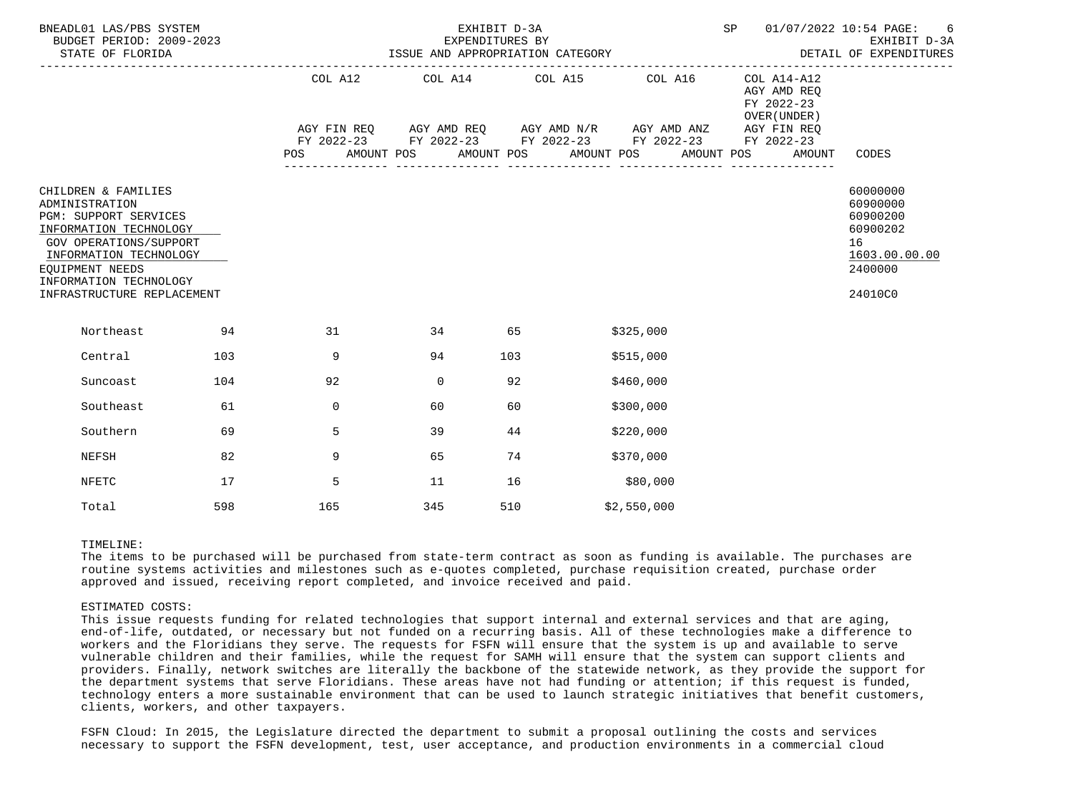| BNEADL01 LAS/PBS SYSTEM<br>BUDGET PERIOD: 2009-2023<br>STATE OF FLORIDA |                                                                                                                                                                                           | EXHIBIT D-3A<br>EXPENDITURES BY<br>ISSUE AND APPROPRIATION CATEGORY |     |          |  |             | SP  |                                                                                                                                                                             | 01/07/2022 10:54 PAGE: 6<br>EXHIBIT D-3A<br>DETAIL OF EXPENDITURES |            |  |                                                                                                 |                                                                                           |
|-------------------------------------------------------------------------|-------------------------------------------------------------------------------------------------------------------------------------------------------------------------------------------|---------------------------------------------------------------------|-----|----------|--|-------------|-----|-----------------------------------------------------------------------------------------------------------------------------------------------------------------------------|--------------------------------------------------------------------|------------|--|-------------------------------------------------------------------------------------------------|-------------------------------------------------------------------------------------------|
|                                                                         |                                                                                                                                                                                           |                                                                     | POS |          |  |             |     | COL A12 COL A14 COL A15 COL A16<br>AGY FIN REQ 6 AGY AMD REQ 6 AGY AMD N/R 6 AGY AMD ANZ<br>FY 2022-23 FY 2022-23 FY 2022-23 FY 2022-23<br>AMOUNT POS AMOUNT POS AMOUNT POS |                                                                    | AMOUNT POS |  | COL A14-A12<br>AGY AMD REO<br>FY 2022-23<br>OVER (UNDER)<br>AGY FIN REQ<br>FY 2022-23<br>AMOUNT | -----------------<br>CODES                                                                |
| ADMINISTRATION<br>EQUIPMENT NEEDS                                       | CHILDREN & FAMILIES<br>PGM: SUPPORT SERVICES<br>INFORMATION TECHNOLOGY<br><b>GOV OPERATIONS/SUPPORT</b><br>INFORMATION TECHNOLOGY<br>INFORMATION TECHNOLOGY<br>INFRASTRUCTURE REPLACEMENT |                                                                     |     |          |  |             |     |                                                                                                                                                                             |                                                                    |            |  |                                                                                                 | 60000000<br>60900000<br>60900200<br>60900202<br>16<br>1603.00.00.00<br>2400000<br>24010C0 |
|                                                                         | Northeast<br>94                                                                                                                                                                           |                                                                     |     | 31       |  | 34 65       |     |                                                                                                                                                                             | \$325,000                                                          |            |  |                                                                                                 |                                                                                           |
|                                                                         | Central                                                                                                                                                                                   | 103                                                                 |     | 9        |  | 94          | 103 |                                                                                                                                                                             | \$515,000                                                          |            |  |                                                                                                 |                                                                                           |
|                                                                         | Suncoast                                                                                                                                                                                  | 104                                                                 |     | 92       |  | $\mathbf 0$ | 92  |                                                                                                                                                                             | \$460,000                                                          |            |  |                                                                                                 |                                                                                           |
|                                                                         | Southeast                                                                                                                                                                                 | 61                                                                  |     | $\Omega$ |  | 60          | 60  |                                                                                                                                                                             | \$300,000                                                          |            |  |                                                                                                 |                                                                                           |
|                                                                         | Southern                                                                                                                                                                                  | 69                                                                  |     | 5        |  | 39          | 44  |                                                                                                                                                                             | \$220,000                                                          |            |  |                                                                                                 |                                                                                           |
|                                                                         | NEFSH                                                                                                                                                                                     | 82                                                                  |     | 9        |  | 65          | 74  |                                                                                                                                                                             | \$370,000                                                          |            |  |                                                                                                 |                                                                                           |
|                                                                         | <b>NFETC</b>                                                                                                                                                                              | 17                                                                  |     | 5        |  | 11          | 16  |                                                                                                                                                                             | \$80,000                                                           |            |  |                                                                                                 |                                                                                           |
|                                                                         | Total                                                                                                                                                                                     | 598                                                                 |     | 165      |  | 345         | 510 |                                                                                                                                                                             | \$2,550,000                                                        |            |  |                                                                                                 |                                                                                           |

#### TIMELINE:

 The items to be purchased will be purchased from state-term contract as soon as funding is available. The purchases are routine systems activities and milestones such as e-quotes completed, purchase requisition created, purchase order approved and issued, receiving report completed, and invoice received and paid.

#### ESTIMATED COSTS:

 This issue requests funding for related technologies that support internal and external services and that are aging, end-of-life, outdated, or necessary but not funded on a recurring basis. All of these technologies make a difference to workers and the Floridians they serve. The requests for FSFN will ensure that the system is up and available to serve vulnerable children and their families, while the request for SAMH will ensure that the system can support clients and providers. Finally, network switches are literally the backbone of the statewide network, as they provide the support for the department systems that serve Floridians. These areas have not had funding or attention; if this request is funded, technology enters a more sustainable environment that can be used to launch strategic initiatives that benefit customers, clients, workers, and other taxpayers.

 FSFN Cloud: In 2015, the Legislature directed the department to submit a proposal outlining the costs and services necessary to support the FSFN development, test, user acceptance, and production environments in a commercial cloud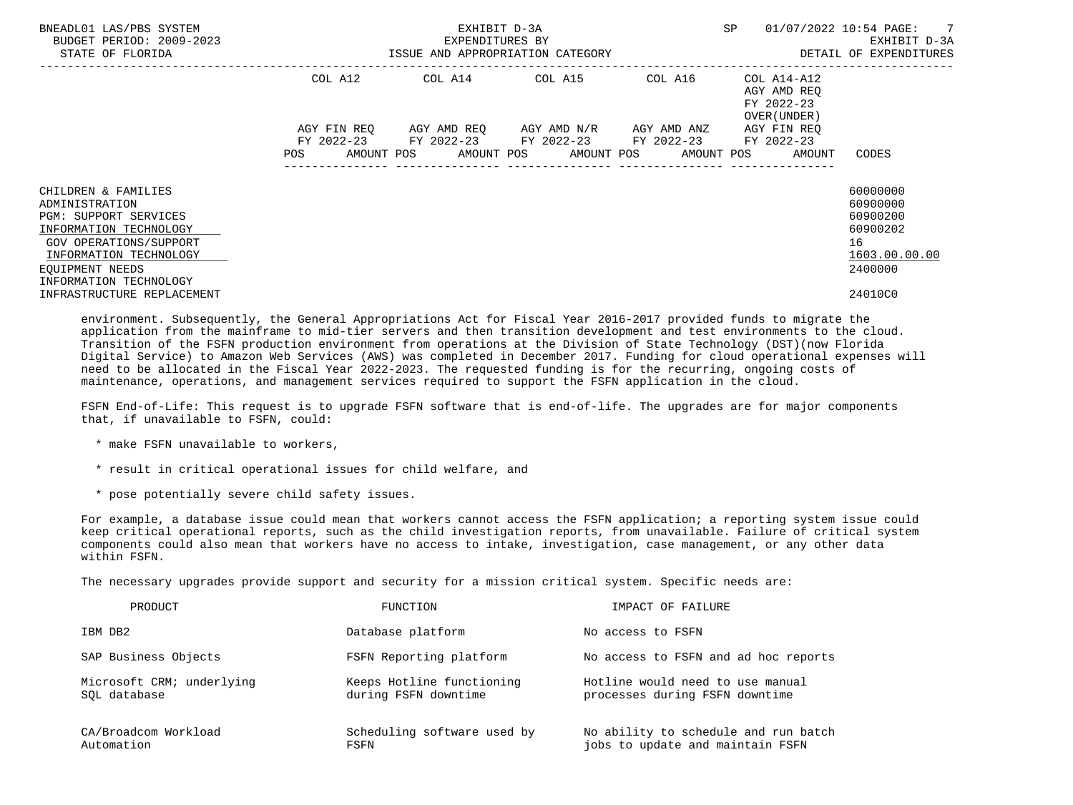| BNEADL01 LAS/PBS SYSTEM<br>BUDGET PERIOD: 2009-2023<br>STATE OF FLORIDA                                                                                                                   | SP<br>EXHIBIT D-3A<br>01/07/2022 10:54 PAGE:<br>EXPENDITURES BY<br>ISSUE AND APPROPRIATION CATEGORY<br>-------------------------------------                                                              | $\overline{7}$<br>EXHIBIT D-3A<br>DETAIL OF EXPENDITURES                       |
|-------------------------------------------------------------------------------------------------------------------------------------------------------------------------------------------|-----------------------------------------------------------------------------------------------------------------------------------------------------------------------------------------------------------|--------------------------------------------------------------------------------|
|                                                                                                                                                                                           | COL A12<br>AGY AMD REO<br>FY 2022-23<br>OVER (UNDER)                                                                                                                                                      |                                                                                |
|                                                                                                                                                                                           | AGY AMD REO      AGY AMD N/R      AGY AMD ANZ<br>AGY FIN REO<br>AGY FIN REO<br>FY 2022-23 FY 2022-23 FY 2022-23 FY 2022-23 FY 2022-23<br>AMOUNT POS AMOUNT POS AMOUNT POS AMOUNT POS AMOUNT<br><b>POS</b> | CODES                                                                          |
| CHILDREN & FAMILIES<br>ADMINISTRATION<br>PGM: SUPPORT SERVICES<br>INFORMATION TECHNOLOGY<br>GOV OPERATIONS/SUPPORT<br>INFORMATION TECHNOLOGY<br>EOUIPMENT NEEDS<br>INFORMATION TECHNOLOGY |                                                                                                                                                                                                           | 60000000<br>60900000<br>60900200<br>60900202<br>16<br>1603.00.00.00<br>2400000 |
| INFRASTRUCTURE REPLACEMENT                                                                                                                                                                |                                                                                                                                                                                                           | 24010C0                                                                        |

 environment. Subsequently, the General Appropriations Act for Fiscal Year 2016-2017 provided funds to migrate the application from the mainframe to mid-tier servers and then transition development and test environments to the cloud. Transition of the FSFN production environment from operations at the Division of State Technology (DST)(now Florida Digital Service) to Amazon Web Services (AWS) was completed in December 2017. Funding for cloud operational expenses will need to be allocated in the Fiscal Year 2022-2023. The requested funding is for the recurring, ongoing costs of maintenance, operations, and management services required to support the FSFN application in the cloud.

 FSFN End-of-Life: This request is to upgrade FSFN software that is end-of-life. The upgrades are for major components that, if unavailable to FSFN, could:

\* make FSFN unavailable to workers,

\* result in critical operational issues for child welfare, and

\* pose potentially severe child safety issues.

 For example, a database issue could mean that workers cannot access the FSFN application; a reporting system issue could keep critical operational reports, such as the child investigation reports, from unavailable. Failure of critical system components could also mean that workers have no access to intake, investigation, case management, or any other data within FSFN.

The necessary upgrades provide support and security for a mission critical system. Specific needs are:

| PRODUCT                                   | FUNCTION                                          | IMPACT OF FAILURE                                                        |
|-------------------------------------------|---------------------------------------------------|--------------------------------------------------------------------------|
| IBM DB2                                   | Database platform                                 | No access to FSFN                                                        |
| SAP Business Objects                      | FSFN Reporting platform                           | No access to FSFN and ad hoc reports                                     |
| Microsoft CRM; underlying<br>SOL database | Keeps Hotline functioning<br>during FSFN downtime | Hotline would need to use manual<br>processes during FSFN downtime       |
| CA/Broadcom Workload<br>Automation        | Scheduling software used by<br>FSFN               | No ability to schedule and run batch<br>jobs to update and maintain FSFN |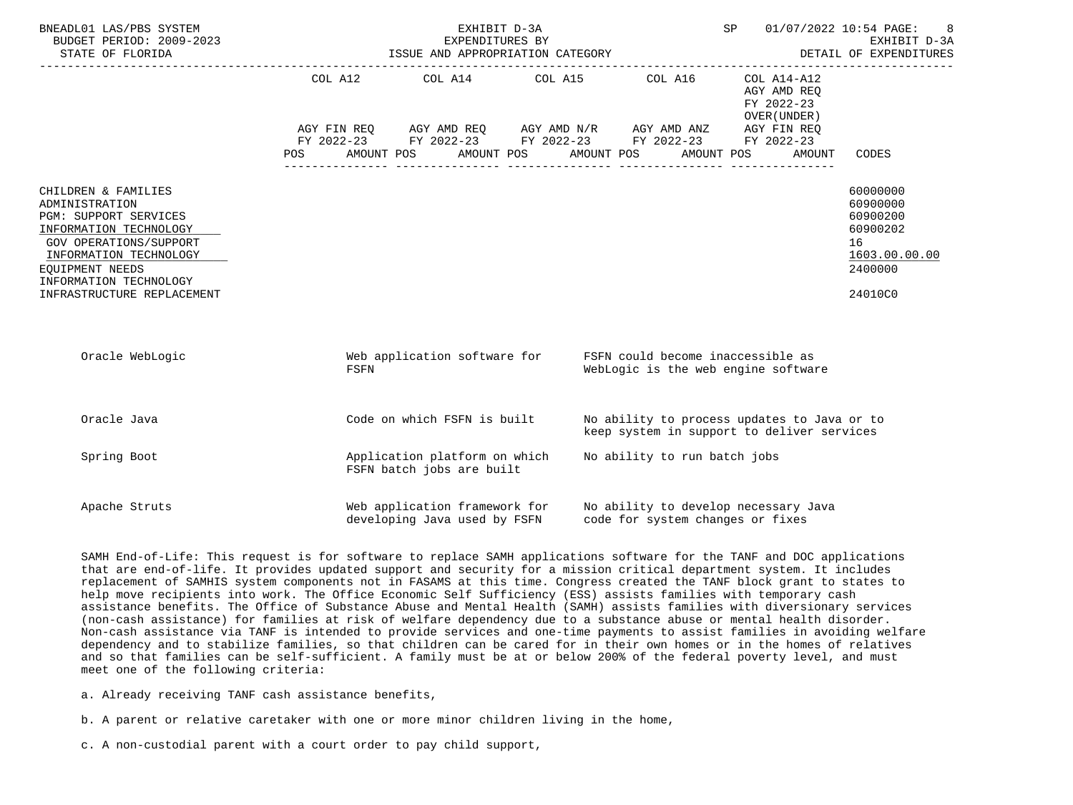| BNEADL01 LAS/PBS SYSTEM<br>BUDGET PERIOD: 2009-2023<br>STATE OF FLORIDA                                                                                                                                                 |      | 01/07/2022 10:54 PAGE: 8<br>EXHIBIT D-3A<br>SP <sub>2</sub><br>EXPENDITURES BY<br>ISSUE AND APPROPRIATION CATEGORY <b>EXPENDITURES</b>                                                                                                                                                                                                                                                                                                                              |  |                                     |                                                                                           |                                                                                           |
|-------------------------------------------------------------------------------------------------------------------------------------------------------------------------------------------------------------------------|------|---------------------------------------------------------------------------------------------------------------------------------------------------------------------------------------------------------------------------------------------------------------------------------------------------------------------------------------------------------------------------------------------------------------------------------------------------------------------|--|-------------------------------------|-------------------------------------------------------------------------------------------|-------------------------------------------------------------------------------------------|
|                                                                                                                                                                                                                         |      | COL A12 COL A14 COL A15 COL A16<br>$\begin{array}{lllllll} \textsc{AGY} & \textsc{FIN} & \textsc{REG} & \textsc{AGY} & \textsc{AND} & \textsc{NN} \textsc{N} / \textsc{R} & \textsc{AGY} & \textsc{AND} & \textsc{ANZ} & \textsc{AGY} & \textsc{FIN} & \textsc{REG} \\ \textsc{FY} & 2022-23 & \textsc{FY} & 2022-23 & \textsc{FY} & 2022-23 & \textsc{FY} & 2022-23 & \textsc{FY} & 2022-23 \end{array}$<br>POS AMOUNT POS AMOUNT POS AMOUNT POS AMOUNT POS AMOUNT |  |                                     | COL A14-A12<br>AGY AMD REQ<br>FY 2022-23<br>OVER (UNDER)                                  | CODES                                                                                     |
| CHILDREN & FAMILIES<br>ADMINISTRATION<br>PGM: SUPPORT SERVICES<br>INFORMATION TECHNOLOGY<br>GOV OPERATIONS/SUPPORT<br>INFORMATION TECHNOLOGY<br>EOUIPMENT NEEDS<br>INFORMATION TECHNOLOGY<br>INFRASTRUCTURE REPLACEMENT |      |                                                                                                                                                                                                                                                                                                                                                                                                                                                                     |  |                                     |                                                                                           | 60000000<br>60900000<br>60900200<br>60900202<br>16<br>1603.00.00.00<br>2400000<br>24010C0 |
| Oracle WebLogic                                                                                                                                                                                                         | FSFN | Web application software for FSFN could become inaccessible as                                                                                                                                                                                                                                                                                                                                                                                                      |  | WebLogic is the web engine software |                                                                                           |                                                                                           |
| Oracle Java                                                                                                                                                                                                             |      | Code on which FSFN is built                                                                                                                                                                                                                                                                                                                                                                                                                                         |  |                                     | No ability to process updates to Java or to<br>keep system in support to deliver services |                                                                                           |
| Spring Boot                                                                                                                                                                                                             |      | Application platform on which<br>FSFN batch jobs are built                                                                                                                                                                                                                                                                                                                                                                                                          |  | No ability to run batch jobs        |                                                                                           |                                                                                           |
| Apache Struts                                                                                                                                                                                                           |      | Web application framework for No ability to develop necessary Java<br>developing Java used by FSFN                                                                                                                                                                                                                                                                                                                                                                  |  | code for system changes or fixes    |                                                                                           |                                                                                           |

 SAMH End-of-Life: This request is for software to replace SAMH applications software for the TANF and DOC applications that are end-of-life. It provides updated support and security for a mission critical department system. It includes replacement of SAMHIS system components not in FASAMS at this time. Congress created the TANF block grant to states to help move recipients into work. The Office Economic Self Sufficiency (ESS) assists families with temporary cash assistance benefits. The Office of Substance Abuse and Mental Health (SAMH) assists families with diversionary services (non-cash assistance) for families at risk of welfare dependency due to a substance abuse or mental health disorder. Non-cash assistance via TANF is intended to provide services and one-time payments to assist families in avoiding welfare dependency and to stabilize families, so that children can be cared for in their own homes or in the homes of relatives and so that families can be self-sufficient. A family must be at or below 200% of the federal poverty level, and must meet one of the following criteria:

a. Already receiving TANF cash assistance benefits,

- b. A parent or relative caretaker with one or more minor children living in the home,
- c. A non-custodial parent with a court order to pay child support,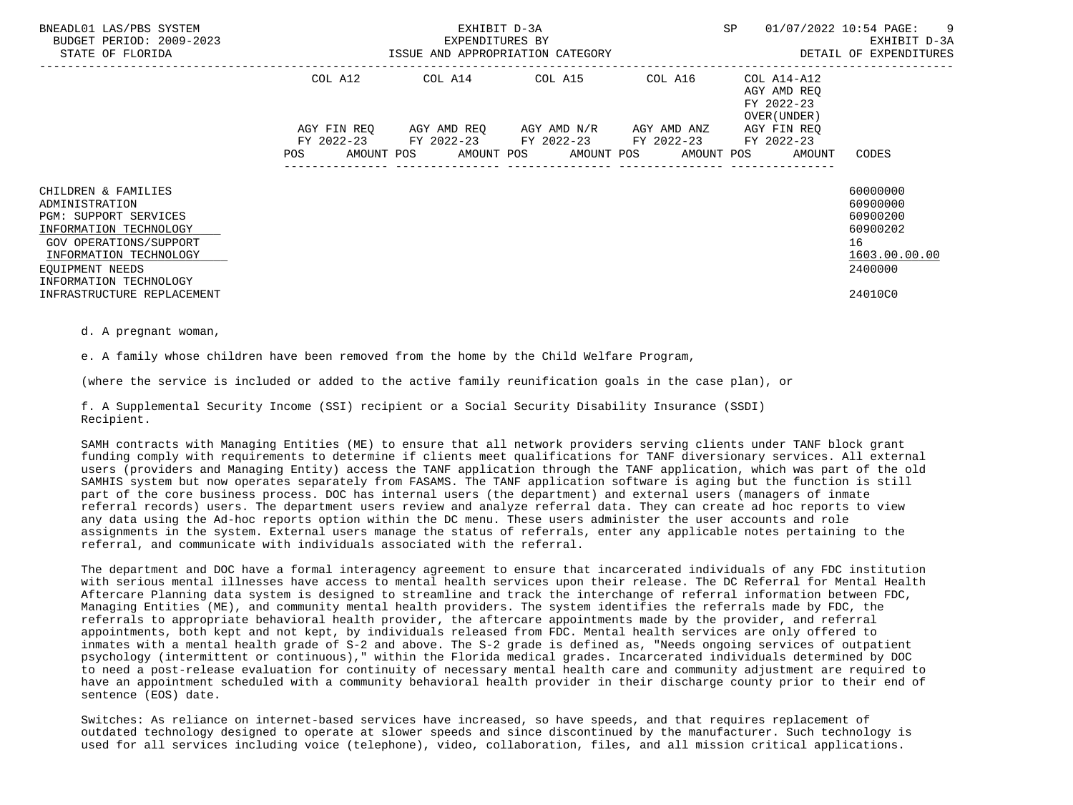| BNEADL01 LAS/PBS SYSTEM<br>BUDGET PERIOD: 2009-2023<br>STATE OF FLORIDA                                                                                                                          |                                         | EXHIBIT D-3A<br>EXPENDITURES BY | ISSUE AND APPROPRIATION CATEGORY                                                                                                   |         | SP                                                        | - 9<br>01/07/2022 10:54 PAGE:<br>EXHIBIT D-3A<br>DETAIL OF EXPENDITURES        |
|--------------------------------------------------------------------------------------------------------------------------------------------------------------------------------------------------|-----------------------------------------|---------------------------------|------------------------------------------------------------------------------------------------------------------------------------|---------|-----------------------------------------------------------|--------------------------------------------------------------------------------|
|                                                                                                                                                                                                  | COL A12                                 |                                 | COL A14 COL A15                                                                                                                    | COL A16 | COL A14-A12<br>AGY AMD REQ<br>FY 2022-23<br>OVER (UNDER ) |                                                                                |
|                                                                                                                                                                                                  | AGY FIN REO<br>FY 2022-23<br><b>POS</b> |                                 | AGY AMD REQ       AGY AMD N/R       AGY AMD ANZ<br>FY 2022-23 FY 2022-23 FY 2022-23<br>AMOUNT POS AMOUNT POS AMOUNT POS AMOUNT POS |         | AGY FIN REO<br>FY 2022-23<br>AMOUNT                       | CODES                                                                          |
| CHILDREN & FAMILIES<br>ADMINISTRATION<br><b>PGM: SUPPORT SERVICES</b><br>INFORMATION TECHNOLOGY<br>GOV OPERATIONS/SUPPORT<br>INFORMATION TECHNOLOGY<br>EOUIPMENT NEEDS<br>INFORMATION TECHNOLOGY |                                         |                                 |                                                                                                                                    |         |                                                           | 60000000<br>60900000<br>60900200<br>60900202<br>16<br>1603.00.00.00<br>2400000 |
| INFRASTRUCTURE REPLACEMENT                                                                                                                                                                       |                                         |                                 |                                                                                                                                    |         |                                                           | 24010C0                                                                        |

d. A pregnant woman,

e. A family whose children have been removed from the home by the Child Welfare Program,

(where the service is included or added to the active family reunification goals in the case plan), or

 f. A Supplemental Security Income (SSI) recipient or a Social Security Disability Insurance (SSDI) Recipient.

 SAMH contracts with Managing Entities (ME) to ensure that all network providers serving clients under TANF block grant funding comply with requirements to determine if clients meet qualifications for TANF diversionary services. All external users (providers and Managing Entity) access the TANF application through the TANF application, which was part of the old SAMHIS system but now operates separately from FASAMS. The TANF application software is aging but the function is still part of the core business process. DOC has internal users (the department) and external users (managers of inmate referral records) users. The department users review and analyze referral data. They can create ad hoc reports to view any data using the Ad-hoc reports option within the DC menu. These users administer the user accounts and role assignments in the system. External users manage the status of referrals, enter any applicable notes pertaining to the referral, and communicate with individuals associated with the referral.

 The department and DOC have a formal interagency agreement to ensure that incarcerated individuals of any FDC institution with serious mental illnesses have access to mental health services upon their release. The DC Referral for Mental Health Aftercare Planning data system is designed to streamline and track the interchange of referral information between FDC, Managing Entities (ME), and community mental health providers. The system identifies the referrals made by FDC, the referrals to appropriate behavioral health provider, the aftercare appointments made by the provider, and referral appointments, both kept and not kept, by individuals released from FDC. Mental health services are only offered to inmates with a mental health grade of S-2 and above. The S-2 grade is defined as, "Needs ongoing services of outpatient psychology (intermittent or continuous)," within the Florida medical grades. Incarcerated individuals determined by DOC to need a post-release evaluation for continuity of necessary mental health care and community adjustment are required to have an appointment scheduled with a community behavioral health provider in their discharge county prior to their end of sentence (EOS) date.

 Switches: As reliance on internet-based services have increased, so have speeds, and that requires replacement of outdated technology designed to operate at slower speeds and since discontinued by the manufacturer. Such technology is used for all services including voice (telephone), video, collaboration, files, and all mission critical applications.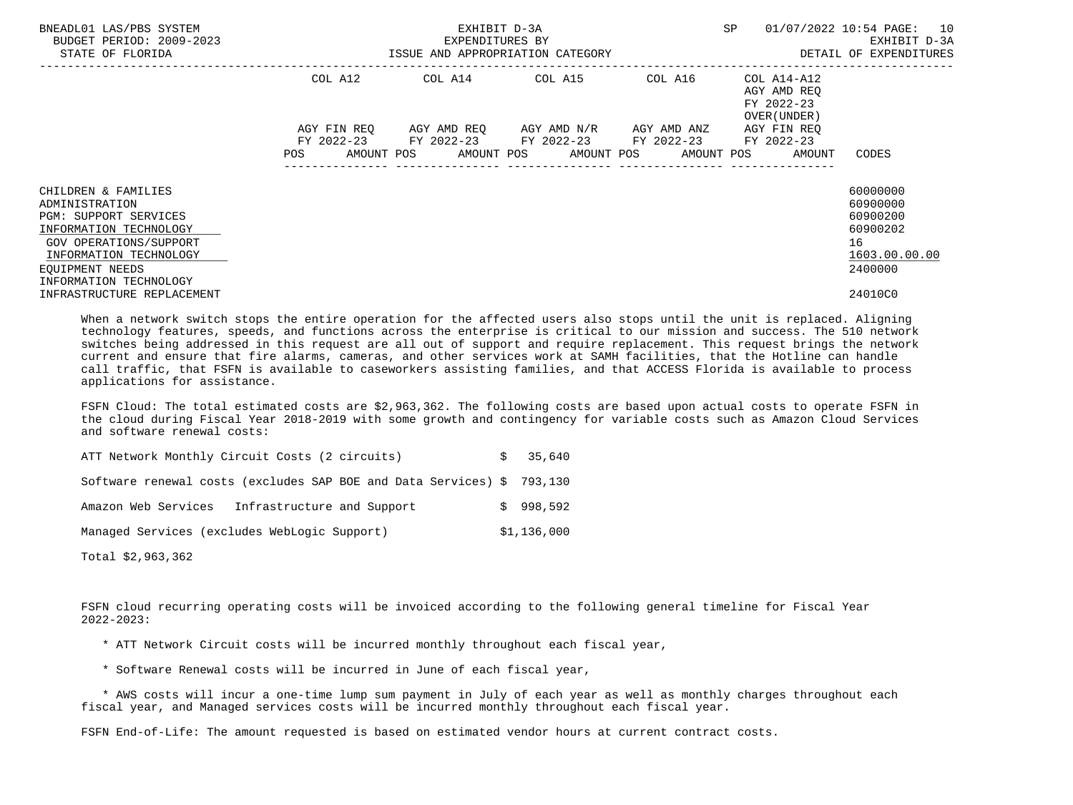| BNEADL01 LAS/PBS SYSTEM<br>BUDGET PERIOD: 2009-2023<br>STATE OF FLORIDA                                                                                                                   | ISSUE AND APPROPRIATION CATEGORY | EXPENDITURES BY | EXHIBIT D-3A                                                                                 | SP                                                                                                   | 01/07/2022 10:54 PAGE: 10<br>EXHIBIT D-3A<br>DETAIL OF EXPENDITURES            |
|-------------------------------------------------------------------------------------------------------------------------------------------------------------------------------------------|----------------------------------|-----------------|----------------------------------------------------------------------------------------------|------------------------------------------------------------------------------------------------------|--------------------------------------------------------------------------------|
|                                                                                                                                                                                           | COL A12                          |                 | COL A14 COL A15 COL A16                                                                      | COL A14-A12<br>AGY AMD REO<br>FY 2022-23<br>OVER (UNDER )                                            |                                                                                |
|                                                                                                                                                                                           | AGY FIN REO<br><b>POS</b>        |                 | AGY AMD REO      AGY AMD N/R      AGY AMD ANZ<br>FY 2022-23 FY 2022-23 FY 2022-23 FY 2022-23 | AGY FIN REO<br>FY 2022-23<br>AMOUNT POS       AMOUNT POS      AMOUNT POS      AMOUNT POS      AMOUNT | CODES                                                                          |
| CHILDREN & FAMILIES<br>ADMINISTRATION<br>PGM: SUPPORT SERVICES<br>INFORMATION TECHNOLOGY<br>GOV OPERATIONS/SUPPORT<br>INFORMATION TECHNOLOGY<br>EOUIPMENT NEEDS<br>INFORMATION TECHNOLOGY |                                  |                 |                                                                                              |                                                                                                      | 60000000<br>60900000<br>60900200<br>60900202<br>16<br>1603.00.00.00<br>2400000 |
| INFRASTRUCTURE REPLACEMENT                                                                                                                                                                |                                  |                 |                                                                                              |                                                                                                      | 24010C0                                                                        |

 When a network switch stops the entire operation for the affected users also stops until the unit is replaced. Aligning technology features, speeds, and functions across the enterprise is critical to our mission and success. The 510 network switches being addressed in this request are all out of support and require replacement. This request brings the network current and ensure that fire alarms, cameras, and other services work at SAMH facilities, that the Hotline can handle call traffic, that FSFN is available to caseworkers assisting families, and that ACCESS Florida is available to process applications for assistance.

 FSFN Cloud: The total estimated costs are \$2,963,362. The following costs are based upon actual costs to operate FSFN in the cloud during Fiscal Year 2018-2019 with some growth and contingency for variable costs such as Amazon Cloud Services and software renewal costs:

| ATT Network Monthly Circuit Costs (2 circuits)                         |  | \$35.640  |  |  |  |  |
|------------------------------------------------------------------------|--|-----------|--|--|--|--|
| Software renewal costs (excludes SAP BOE and Data Services) \$ 793,130 |  |           |  |  |  |  |
| Infrastructure and Support<br>Amazon Web Services                      |  | \$998.592 |  |  |  |  |
| Managed Services (excludes WebLogic Support)                           |  |           |  |  |  |  |

Total \$2,963,362

 FSFN cloud recurring operating costs will be invoiced according to the following general timeline for Fiscal Year 2022-2023:

- \* ATT Network Circuit costs will be incurred monthly throughout each fiscal year,
- \* Software Renewal costs will be incurred in June of each fiscal year,

 \* AWS costs will incur a one-time lump sum payment in July of each year as well as monthly charges throughout each fiscal year, and Managed services costs will be incurred monthly throughout each fiscal year.

FSFN End-of-Life: The amount requested is based on estimated vendor hours at current contract costs.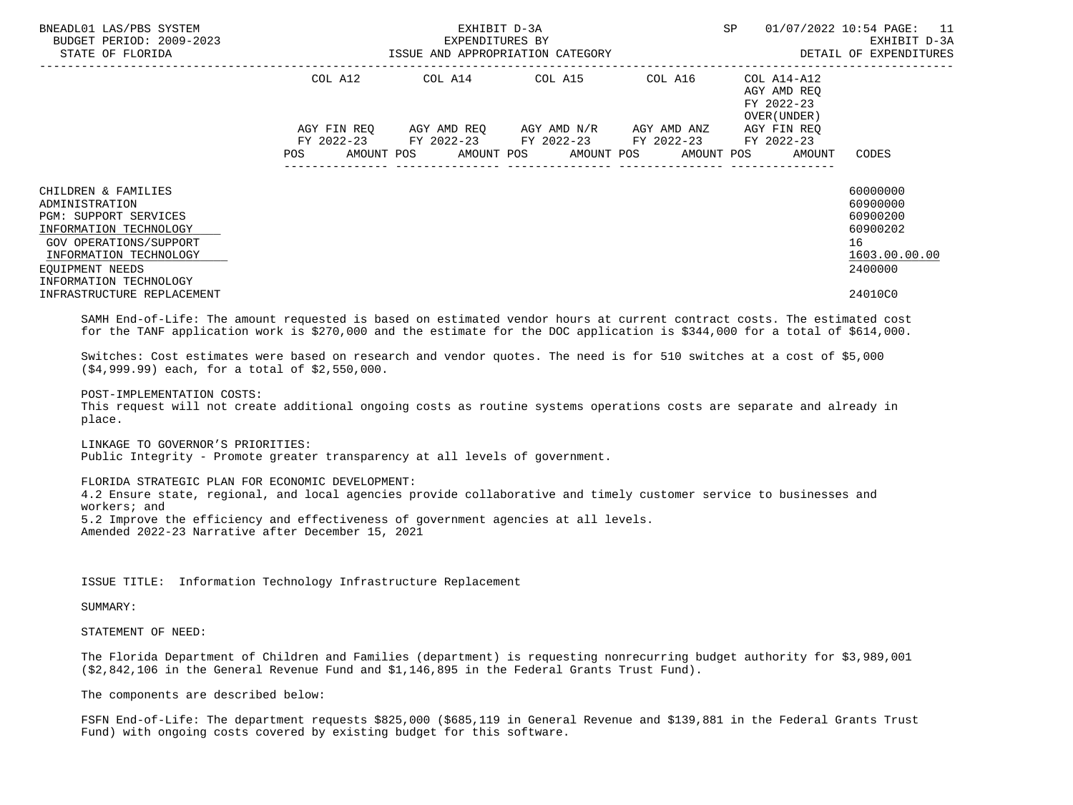| BNEADL01 LAS/PBS SYSTEM<br>BUDGET PERIOD: 2009-2023<br>STATE OF FLORIDA                                                                                                                   |            | EXPENDITURES BY | EXHIBIT D-3A<br>ISSUE AND APPROPRIATION CATEGORY                                                                                                                | SP                                                       | 01/07/2022 10:54 PAGE: 11<br>EXHIBIT D-3A<br>DETAIL OF EXPENDITURES            |
|-------------------------------------------------------------------------------------------------------------------------------------------------------------------------------------------|------------|-----------------|-----------------------------------------------------------------------------------------------------------------------------------------------------------------|----------------------------------------------------------|--------------------------------------------------------------------------------|
|                                                                                                                                                                                           | COL A12    |                 | COL A14 COL A15 COL A16                                                                                                                                         | COL A14-A12<br>AGY AMD REO<br>FY 2022-23<br>OVER (UNDER) |                                                                                |
|                                                                                                                                                                                           | <b>POS</b> |                 | AGY FIN REO AGY AMD REO AGY AMD N/R AGY AMD ANZ<br>FY 2022-23 FY 2022-23 FY 2022-23 FY 2022-23 FY 2022-23<br>AMOUNT POS AMOUNT POS AMOUNT POS AMOUNT POS AMOUNT | AGY FIN REO                                              | CODES                                                                          |
| CHILDREN & FAMILIES<br>ADMINISTRATION<br>PGM: SUPPORT SERVICES<br>INFORMATION TECHNOLOGY<br>GOV OPERATIONS/SUPPORT<br>INFORMATION TECHNOLOGY<br>EOUIPMENT NEEDS<br>INFORMATION TECHNOLOGY |            |                 |                                                                                                                                                                 |                                                          | 60000000<br>60900000<br>60900200<br>60900202<br>16<br>1603.00.00.00<br>2400000 |
| INFRASTRUCTURE REPLACEMENT                                                                                                                                                                |            |                 |                                                                                                                                                                 |                                                          | 24010C0                                                                        |

 SAMH End-of-Life: The amount requested is based on estimated vendor hours at current contract costs. The estimated cost for the TANF application work is \$270,000 and the estimate for the DOC application is \$344,000 for a total of \$614,000.

 Switches: Cost estimates were based on research and vendor quotes. The need is for 510 switches at a cost of \$5,000 (\$4,999.99) each, for a total of \$2,550,000.

 POST-IMPLEMENTATION COSTS: This request will not create additional ongoing costs as routine systems operations costs are separate and already in place.

 LINKAGE TO GOVERNOR'S PRIORITIES: Public Integrity - Promote greater transparency at all levels of government.

 FLORIDA STRATEGIC PLAN FOR ECONOMIC DEVELOPMENT: 4.2 Ensure state, regional, and local agencies provide collaborative and timely customer service to businesses and workers; and 5.2 Improve the efficiency and effectiveness of government agencies at all levels. Amended 2022-23 Narrative after December 15, 2021

ISSUE TITLE: Information Technology Infrastructure Replacement

SUMMARY:

STATEMENT OF NEED:

 The Florida Department of Children and Families (department) is requesting nonrecurring budget authority for \$3,989,001 (\$2,842,106 in the General Revenue Fund and \$1,146,895 in the Federal Grants Trust Fund).

The components are described below:

 FSFN End-of-Life: The department requests \$825,000 (\$685,119 in General Revenue and \$139,881 in the Federal Grants Trust Fund) with ongoing costs covered by existing budget for this software.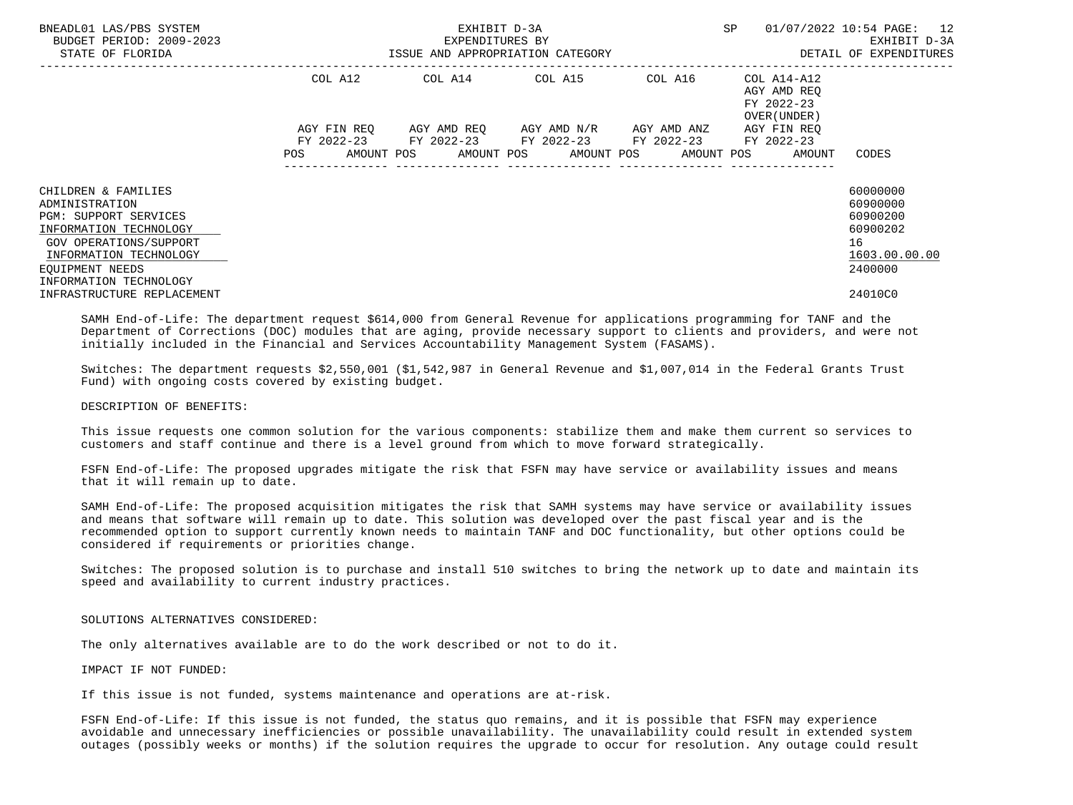| BNEADL01 LAS/PBS SYSTEM<br>BUDGET PERIOD: 2009-2023<br>STATE OF FLORIDA                                                                                                                   | ISSUE AND APPROPRIATION CATEGORY | EXPENDITURES BY | EXHIBIT D-3A                                                                                              | SP                                                                    | 01/07/2022 10:54 PAGE: 12<br>EXHIBIT D-3A<br>DETAIL OF EXPENDITURES            |
|-------------------------------------------------------------------------------------------------------------------------------------------------------------------------------------------|----------------------------------|-----------------|-----------------------------------------------------------------------------------------------------------|-----------------------------------------------------------------------|--------------------------------------------------------------------------------|
|                                                                                                                                                                                           | COL A12                          |                 | COL A14 COL A15 COL A16                                                                                   | COL A14-A12<br>AGY AMD REO<br>FY 2022-23<br>OVER (UNDER )             |                                                                                |
|                                                                                                                                                                                           |                                  |                 | AGY FIN REO AGY AMD REO AGY AMD N/R AGY AMD ANZ<br>FY 2022-23 FY 2022-23 FY 2022-23 FY 2022-23 FY 2022-23 | AGY FIN REQ<br>POS AMOUNT POS AMOUNT POS AMOUNT POS AMOUNT POS AMOUNT | CODES                                                                          |
| CHILDREN & FAMILIES<br>ADMINISTRATION<br>PGM: SUPPORT SERVICES<br>INFORMATION TECHNOLOGY<br>GOV OPERATIONS/SUPPORT<br>INFORMATION TECHNOLOGY<br>EOUIPMENT NEEDS<br>INFORMATION TECHNOLOGY |                                  |                 |                                                                                                           |                                                                       | 60000000<br>60900000<br>60900200<br>60900202<br>16<br>1603.00.00.00<br>2400000 |
| INFRASTRUCTURE REPLACEMENT                                                                                                                                                                |                                  |                 |                                                                                                           |                                                                       | 24010C0                                                                        |

 SAMH End-of-Life: The department request \$614,000 from General Revenue for applications programming for TANF and the Department of Corrections (DOC) modules that are aging, provide necessary support to clients and providers, and were not initially included in the Financial and Services Accountability Management System (FASAMS).

 Switches: The department requests \$2,550,001 (\$1,542,987 in General Revenue and \$1,007,014 in the Federal Grants Trust Fund) with ongoing costs covered by existing budget.

## DESCRIPTION OF BENEFITS:

 This issue requests one common solution for the various components: stabilize them and make them current so services to customers and staff continue and there is a level ground from which to move forward strategically.

 FSFN End-of-Life: The proposed upgrades mitigate the risk that FSFN may have service or availability issues and means that it will remain up to date.

 SAMH End-of-Life: The proposed acquisition mitigates the risk that SAMH systems may have service or availability issues and means that software will remain up to date. This solution was developed over the past fiscal year and is the recommended option to support currently known needs to maintain TANF and DOC functionality, but other options could be considered if requirements or priorities change.

 Switches: The proposed solution is to purchase and install 510 switches to bring the network up to date and maintain its speed and availability to current industry practices.

### SOLUTIONS ALTERNATIVES CONSIDERED:

The only alternatives available are to do the work described or not to do it.

#### IMPACT IF NOT FUNDED:

If this issue is not funded, systems maintenance and operations are at-risk.

 FSFN End-of-Life: If this issue is not funded, the status quo remains, and it is possible that FSFN may experience avoidable and unnecessary inefficiencies or possible unavailability. The unavailability could result in extended system outages (possibly weeks or months) if the solution requires the upgrade to occur for resolution. Any outage could result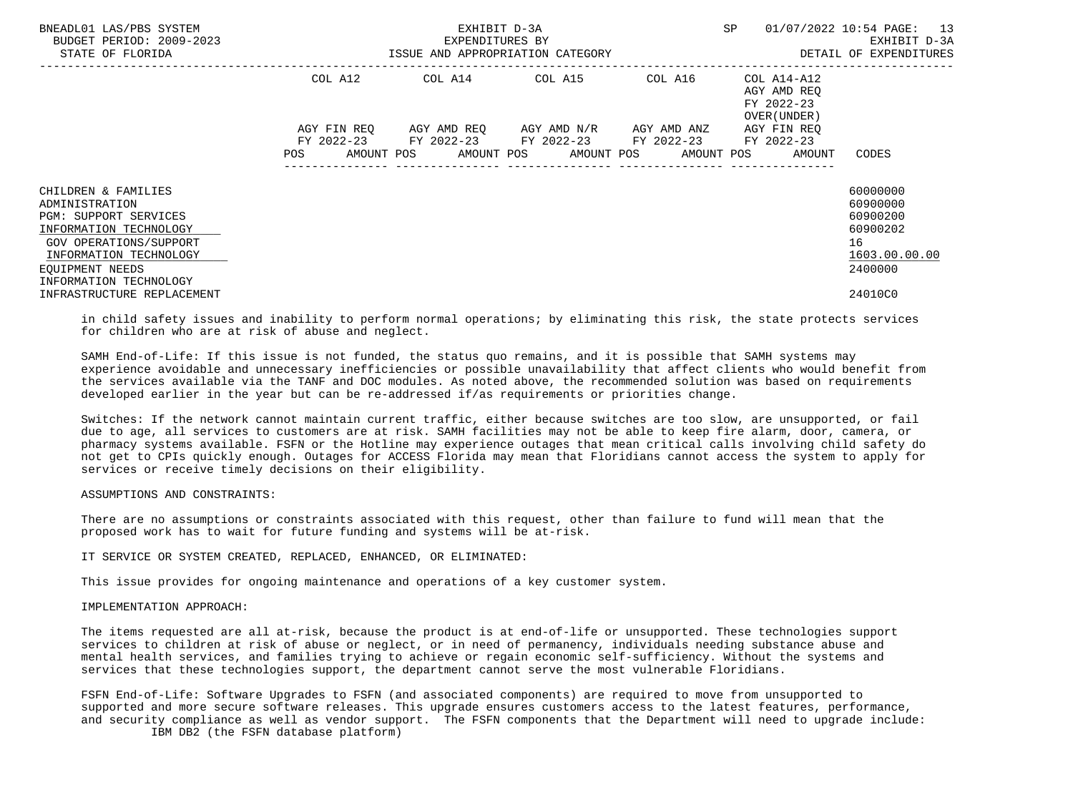| BNEADL01 LAS/PBS SYSTEM<br>BUDGET PERIOD: 2009-2023<br>STATE OF FLORIDA                                                                                                                          | ISSUE AND APPROPRIATION CATEGORY | EXHIBIT D-3A<br>EXPENDITURES BY                                                                                                                                     | SP                                                        | 01/07/2022 10:54 PAGE: 13<br>EXHIBIT D-3A<br>DETAIL OF EXPENDITURES            |
|--------------------------------------------------------------------------------------------------------------------------------------------------------------------------------------------------|----------------------------------|---------------------------------------------------------------------------------------------------------------------------------------------------------------------|-----------------------------------------------------------|--------------------------------------------------------------------------------|
|                                                                                                                                                                                                  | COL A12                          | COL A14 COL A15 COL A16                                                                                                                                             | COL A14-A12<br>AGY AMD REO<br>FY 2022-23<br>OVER (UNDER ) |                                                                                |
|                                                                                                                                                                                                  |                                  | AGY FIN REO AGY AMD REO AGY AMD N/R AGY AMD ANZ<br>FY 2022-23 FY 2022-23 FY 2022-23 FY 2022-23 FY 2022-23<br>POS AMOUNT POS AMOUNT POS AMOUNT POS AMOUNT POS AMOUNT | AGY FIN REO                                               | CODES                                                                          |
| CHILDREN & FAMILIES<br>ADMINISTRATION<br><b>PGM: SUPPORT SERVICES</b><br>INFORMATION TECHNOLOGY<br>GOV OPERATIONS/SUPPORT<br>INFORMATION TECHNOLOGY<br>EOUIPMENT NEEDS<br>INFORMATION TECHNOLOGY |                                  |                                                                                                                                                                     |                                                           | 60000000<br>60900000<br>60900200<br>60900202<br>16<br>1603.00.00.00<br>2400000 |
| INFRASTRUCTURE REPLACEMENT                                                                                                                                                                       |                                  |                                                                                                                                                                     |                                                           | 24010C0                                                                        |

 in child safety issues and inability to perform normal operations; by eliminating this risk, the state protects services for children who are at risk of abuse and neglect.

 SAMH End-of-Life: If this issue is not funded, the status quo remains, and it is possible that SAMH systems may experience avoidable and unnecessary inefficiencies or possible unavailability that affect clients who would benefit from the services available via the TANF and DOC modules. As noted above, the recommended solution was based on requirements developed earlier in the year but can be re-addressed if/as requirements or priorities change.

 Switches: If the network cannot maintain current traffic, either because switches are too slow, are unsupported, or fail due to age, all services to customers are at risk. SAMH facilities may not be able to keep fire alarm, door, camera, or pharmacy systems available. FSFN or the Hotline may experience outages that mean critical calls involving child safety do not get to CPIs quickly enough. Outages for ACCESS Florida may mean that Floridians cannot access the system to apply for services or receive timely decisions on their eligibility.

### ASSUMPTIONS AND CONSTRAINTS:

 There are no assumptions or constraints associated with this request, other than failure to fund will mean that the proposed work has to wait for future funding and systems will be at-risk.

IT SERVICE OR SYSTEM CREATED, REPLACED, ENHANCED, OR ELIMINATED:

This issue provides for ongoing maintenance and operations of a key customer system.

### IMPLEMENTATION APPROACH:

 The items requested are all at-risk, because the product is at end-of-life or unsupported. These technologies support services to children at risk of abuse or neglect, or in need of permanency, individuals needing substance abuse and mental health services, and families trying to achieve or regain economic self-sufficiency. Without the systems and services that these technologies support, the department cannot serve the most vulnerable Floridians.

 FSFN End-of-Life: Software Upgrades to FSFN (and associated components) are required to move from unsupported to supported and more secure software releases. This upgrade ensures customers access to the latest features, performance, and security compliance as well as vendor support. The FSFN components that the Department will need to upgrade include:

IBM DB2 (the FSFN database platform)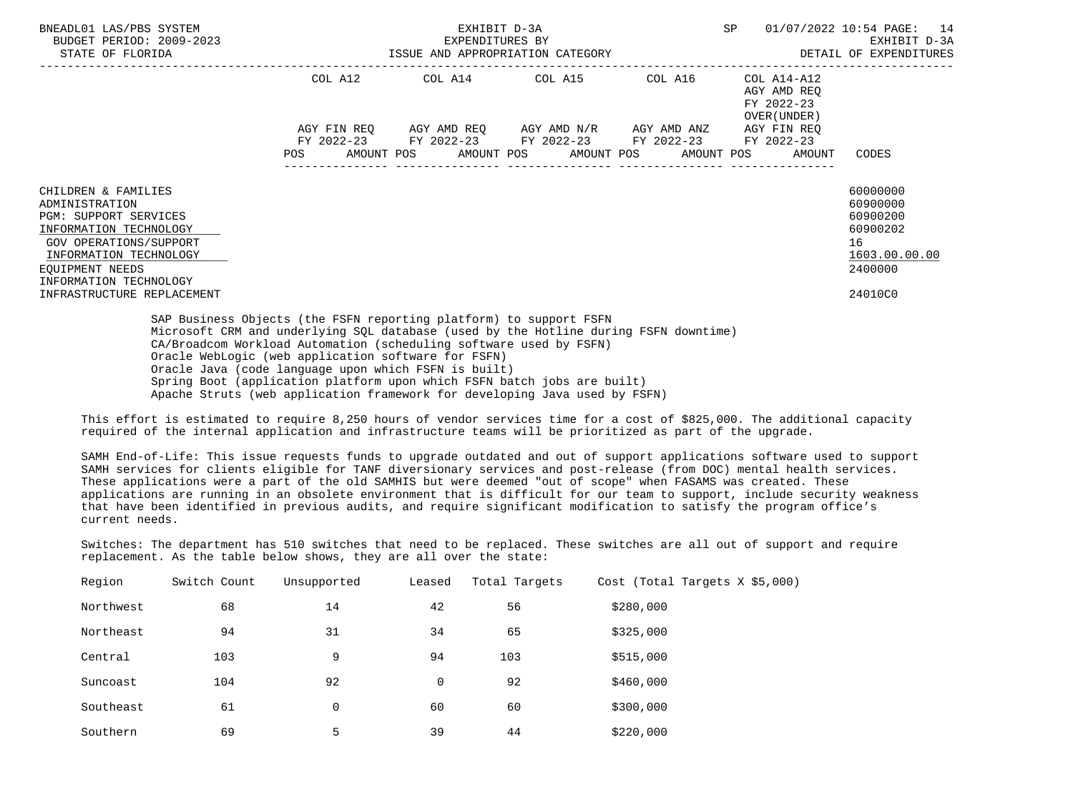| BNEADL01 LAS/PBS SYSTEM<br>BUDGET PERIOD: 2009-2023<br>STATE OF FLORIDA                                                                                                                                 | EXHIBIT D-3A<br>SP<br>01/07/2022 10:54 PAGE: 14<br>EXPENDITURES BY<br>ISSUE AND APPROPRIATION CATEGORY<br>DETAIL OF EXPENDITURES<br>--------------------------------                                                                                                      |                                                                                                                                     |  |                          |                                                          |                                                                                |
|---------------------------------------------------------------------------------------------------------------------------------------------------------------------------------------------------------|---------------------------------------------------------------------------------------------------------------------------------------------------------------------------------------------------------------------------------------------------------------------------|-------------------------------------------------------------------------------------------------------------------------------------|--|--------------------------|----------------------------------------------------------|--------------------------------------------------------------------------------|
|                                                                                                                                                                                                         |                                                                                                                                                                                                                                                                           | COL A12 COL A14 COL A15 COL A16                                                                                                     |  |                          | COL A14-A12<br>AGY AMD REO<br>FY 2022-23<br>OVER (UNDER) |                                                                                |
|                                                                                                                                                                                                         | POS                                                                                                                                                                                                                                                                       | AGY FIN REO AGY AMD REO AGY AMD N/R AGY AMD ANZ AGY FIN REO<br>FY 2022-23 FY 2022-23 FY 2022-23 FY 2022-23<br>AMOUNT POS AMOUNT POS |  | AMOUNT POS<br>AMOUNT POS | FY 2022-23<br>AMOUNT                                     | CODES                                                                          |
| CHILDREN & FAMILIES<br>ADMINISTRATION<br><b>PGM: SUPPORT SERVICES</b><br>INFORMATION TECHNOLOGY<br><b>GOV OPERATIONS/SUPPORT</b><br>INFORMATION TECHNOLOGY<br>EOUIPMENT NEEDS<br>INFORMATION TECHNOLOGY |                                                                                                                                                                                                                                                                           |                                                                                                                                     |  |                          |                                                          | 60000000<br>60900000<br>60900200<br>60900202<br>16<br>1603.00.00.00<br>2400000 |
| INFRASTRUCTURE REPLACEMENT                                                                                                                                                                              | SAP Business Objects (the FSFN reporting platform) to support FSFN                                                                                                                                                                                                        |                                                                                                                                     |  |                          |                                                          | 24010C0                                                                        |
|                                                                                                                                                                                                         | Microsoft CRM and underlying SQL database (used by the Hotline during FSFN downtime)<br>CA/Broadcom Workload Automation (scheduling software used by FSFN)<br>Oracle WebLogic (web application software for FSFN)<br>Oracle Java (code language upon which FSFN is built) |                                                                                                                                     |  |                          |                                                          |                                                                                |

Spring Boot (application platform upon which FSFN batch jobs are built)

Apache Struts (web application framework for developing Java used by FSFN)

 This effort is estimated to require 8,250 hours of vendor services time for a cost of \$825,000. The additional capacity required of the internal application and infrastructure teams will be prioritized as part of the upgrade.

 SAMH End-of-Life: This issue requests funds to upgrade outdated and out of support applications software used to support SAMH services for clients eligible for TANF diversionary services and post-release (from DOC) mental health services. These applications were a part of the old SAMHIS but were deemed "out of scope" when FASAMS was created. These applications are running in an obsolete environment that is difficult for our team to support, include security weakness that have been identified in previous audits, and require significant modification to satisfy the program office's current needs.

 Switches: The department has 510 switches that need to be replaced. These switches are all out of support and require replacement. As the table below shows, they are all over the state:

| Region    | Switch Count | Unsupported | Leased      | Total Targets | Cost (Total Targets X \$5,000) |
|-----------|--------------|-------------|-------------|---------------|--------------------------------|
| Northwest | 68           | 14          | 42          | 56            | \$280,000                      |
| Northeast | 94           | 31          | 34          | 65            | \$325,000                      |
| Central   | 103          | 9           | 94          | 103           | \$515,000                      |
| Suncoast  | 104          | 92          | $\mathbf 0$ | 92            | \$460,000                      |
| Southeast | 61           | $\mathbf 0$ | 60          | 60            | \$300,000                      |
| Southern  | 69           | 5           | 39          | 44            | \$220,000                      |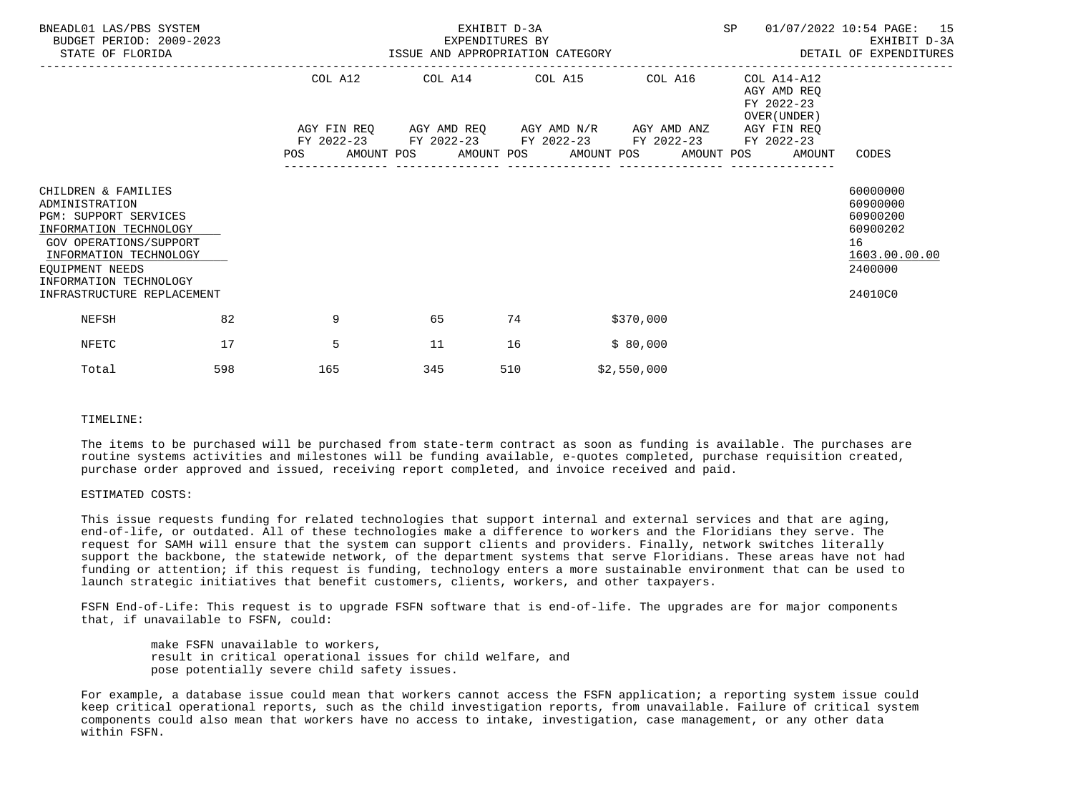| BNEADL01 LAS/PBS SYSTEM<br>BUDGET PERIOD: 2009-2023<br>STATE OF FLORIDA                                                                                                                                                               |     | EXPENDITURES BY<br>ISSUE AND APPROPRIATION CATEGORY | EXHIBIT D-3A                                                                                                                                                                     |     | <b>SP</b>   | 01/07/2022 10:54 PAGE: 15<br>EXHIBIT D-3A<br>DETAIL OF EXPENDITURES                             |                                                                                           |
|---------------------------------------------------------------------------------------------------------------------------------------------------------------------------------------------------------------------------------------|-----|-----------------------------------------------------|----------------------------------------------------------------------------------------------------------------------------------------------------------------------------------|-----|-------------|-------------------------------------------------------------------------------------------------|-------------------------------------------------------------------------------------------|
|                                                                                                                                                                                                                                       |     | <b>POS</b>                                          | COL A12 COL A14 COL A15 COL A16<br>AGY FIN REQ 6GY AMD REQ 6GY AMD N/R 6GY AMD ANZ<br>FY 2022-23 FY 2022-23 FY 2022-23 FY 2022-23<br>AMOUNT POS AMOUNT POS AMOUNT POS AMOUNT POS |     |             | COL A14-A12<br>AGY AMD REO<br>FY 2022-23<br>OVER (UNDER)<br>AGY FIN REO<br>FY 2022-23<br>AMOUNT | CODES                                                                                     |
| CHILDREN & FAMILIES<br>ADMINISTRATION<br><b>PGM: SUPPORT SERVICES</b><br>INFORMATION TECHNOLOGY<br><b>GOV OPERATIONS/SUPPORT</b><br>INFORMATION TECHNOLOGY<br>EOUIPMENT NEEDS<br>INFORMATION TECHNOLOGY<br>INFRASTRUCTURE REPLACEMENT |     |                                                     |                                                                                                                                                                                  |     |             |                                                                                                 | 60000000<br>60900000<br>60900200<br>60900202<br>16<br>1603.00.00.00<br>2400000<br>24010C0 |
| <b>NEFSH</b>                                                                                                                                                                                                                          | 82  | 9                                                   | 65                                                                                                                                                                               | 74  | \$370,000   |                                                                                                 |                                                                                           |
| NFETC                                                                                                                                                                                                                                 | 17  | 5                                                   | 11                                                                                                                                                                               | 16  | \$80,000    |                                                                                                 |                                                                                           |
| Total                                                                                                                                                                                                                                 | 598 | 165                                                 | 345                                                                                                                                                                              | 510 | \$2,550,000 |                                                                                                 |                                                                                           |

#### TIMELINE:

 The items to be purchased will be purchased from state-term contract as soon as funding is available. The purchases are routine systems activities and milestones will be funding available, e-quotes completed, purchase requisition created, purchase order approved and issued, receiving report completed, and invoice received and paid.

### ESTIMATED COSTS:

 This issue requests funding for related technologies that support internal and external services and that are aging, end-of-life, or outdated. All of these technologies make a difference to workers and the Floridians they serve. The request for SAMH will ensure that the system can support clients and providers. Finally, network switches literally support the backbone, the statewide network, of the department systems that serve Floridians. These areas have not had funding or attention; if this request is funding, technology enters a more sustainable environment that can be used to launch strategic initiatives that benefit customers, clients, workers, and other taxpayers.

 FSFN End-of-Life: This request is to upgrade FSFN software that is end-of-life. The upgrades are for major components that, if unavailable to FSFN, could:

 make FSFN unavailable to workers, result in critical operational issues for child welfare, and pose potentially severe child safety issues.

 For example, a database issue could mean that workers cannot access the FSFN application; a reporting system issue could keep critical operational reports, such as the child investigation reports, from unavailable. Failure of critical system components could also mean that workers have no access to intake, investigation, case management, or any other data within FSFN.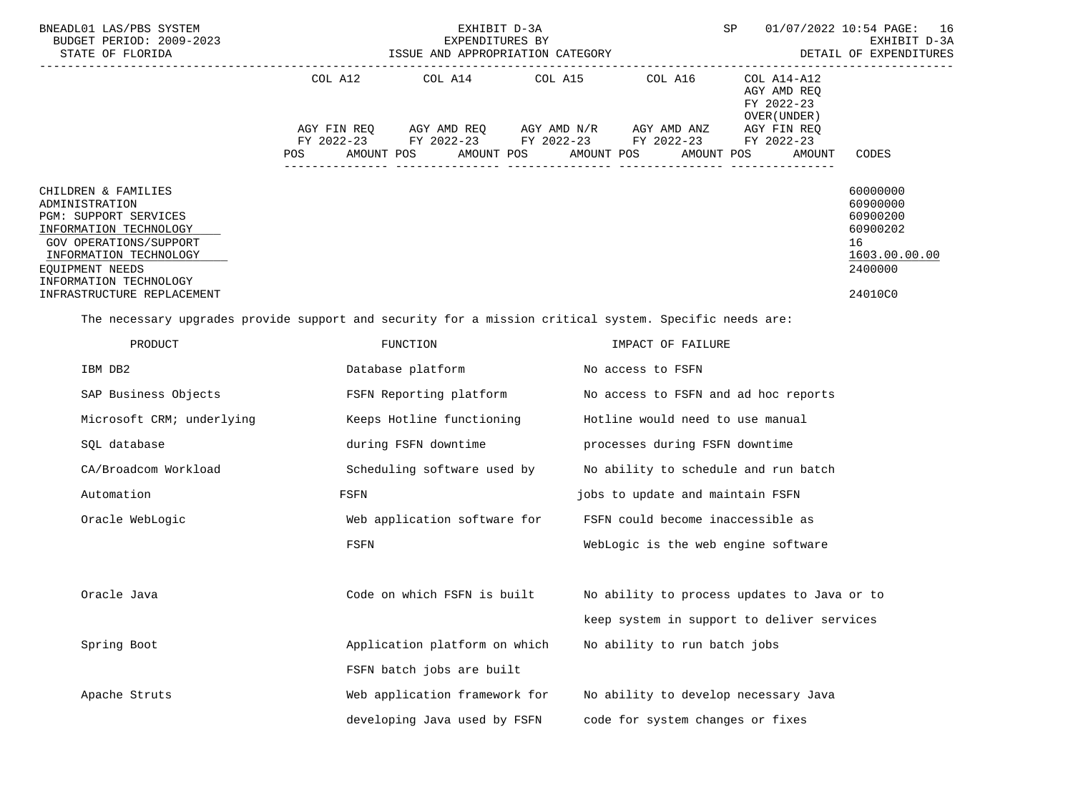| BNEADL01 LAS/PBS SYSTEM<br>BUDGET PERIOD: 2009-2023<br>STATE OF FLORIDA                                                                                                                                                 | EXHIBIT D-3A<br>EXPENDITURES BY<br>ISSUE AND APPROPRIATION CATEGORY |                                                                                                                         |                 |                                      | SP<br>16<br>01/07/2022 10:54 PAGE:<br>EXHIBIT D-3A<br>DETAIL OF EXPENDITURES                    |                                                                                           |
|-------------------------------------------------------------------------------------------------------------------------------------------------------------------------------------------------------------------------|---------------------------------------------------------------------|-------------------------------------------------------------------------------------------------------------------------|-----------------|--------------------------------------|-------------------------------------------------------------------------------------------------|-------------------------------------------------------------------------------------------|
|                                                                                                                                                                                                                         | COL A12<br>POS                                                      | AGY FIN REQ AGY AMD REQ AGY AMD N/R AGY AMD ANZ<br>FY 2022-23 FY 2022-23 FY 2022-23 FY 2022-23<br>AMOUNT POS AMOUNT POS | COL A14 COL A15 | COL A16<br>AMOUNT POS<br>AMOUNT POS  | COL A14-A12<br>AGY AMD REQ<br>FY 2022-23<br>OVER (UNDER)<br>AGY FIN REQ<br>FY 2022-23<br>AMOUNT | CODES                                                                                     |
| CHILDREN & FAMILIES<br>ADMINISTRATION<br>PGM: SUPPORT SERVICES<br>INFORMATION TECHNOLOGY<br>GOV OPERATIONS/SUPPORT<br>INFORMATION TECHNOLOGY<br>EQUIPMENT NEEDS<br>INFORMATION TECHNOLOGY<br>INFRASTRUCTURE REPLACEMENT |                                                                     |                                                                                                                         |                 |                                      |                                                                                                 | 60000000<br>60900000<br>60900200<br>60900202<br>16<br>1603.00.00.00<br>2400000<br>24010C0 |
| The necessary upgrades provide support and security for a mission critical system. Specific needs are:                                                                                                                  |                                                                     |                                                                                                                         |                 |                                      |                                                                                                 |                                                                                           |
| PRODUCT                                                                                                                                                                                                                 | FUNCTION                                                            |                                                                                                                         |                 | IMPACT OF FAILURE                    |                                                                                                 |                                                                                           |
| IBM DB2                                                                                                                                                                                                                 | Database platform Mo access to FSFN                                 |                                                                                                                         |                 |                                      |                                                                                                 |                                                                                           |
| SAP Business Objects                                                                                                                                                                                                    | FSFN Reporting platform Mo access to FSFN and ad hoc reports        |                                                                                                                         |                 |                                      |                                                                                                 |                                                                                           |
| Microsoft CRM; underlying                                                                                                                                                                                               |                                                                     | Keeps Hotline functioning                                                                                               |                 | Hotline would need to use manual     |                                                                                                 |                                                                                           |
| SQL database                                                                                                                                                                                                            |                                                                     | during FSFN downtime                                                                                                    |                 | processes during FSFN downtime       |                                                                                                 |                                                                                           |
| CA/Broadcom Workload                                                                                                                                                                                                    |                                                                     | Scheduling software used by                                                                                             |                 | No ability to schedule and run batch |                                                                                                 |                                                                                           |
| Automation                                                                                                                                                                                                              | FSFN                                                                |                                                                                                                         |                 | jobs to update and maintain FSFN     |                                                                                                 |                                                                                           |
| Oracle WebLogic                                                                                                                                                                                                         |                                                                     | Web application software for                                                                                            |                 | FSFN could become inaccessible as    |                                                                                                 |                                                                                           |
|                                                                                                                                                                                                                         | FSFN                                                                |                                                                                                                         |                 | WebLogic is the web engine software  |                                                                                                 |                                                                                           |
| Oracle Java                                                                                                                                                                                                             |                                                                     |                                                                                                                         |                 |                                      | Code on which FSFN is built Mo ability to process updates to Java or to                         |                                                                                           |
|                                                                                                                                                                                                                         |                                                                     |                                                                                                                         |                 |                                      | keep system in support to deliver services                                                      |                                                                                           |
| Spring Boot                                                                                                                                                                                                             |                                                                     | Application platform on which                                                                                           |                 | No ability to run batch jobs         |                                                                                                 |                                                                                           |
|                                                                                                                                                                                                                         |                                                                     | FSFN batch jobs are built                                                                                               |                 |                                      |                                                                                                 |                                                                                           |
| Apache Struts                                                                                                                                                                                                           |                                                                     | Web application framework for                                                                                           |                 |                                      | No ability to develop necessary Java                                                            |                                                                                           |
|                                                                                                                                                                                                                         |                                                                     | developing Java used by FSFN                                                                                            |                 | code for system changes or fixes     |                                                                                                 |                                                                                           |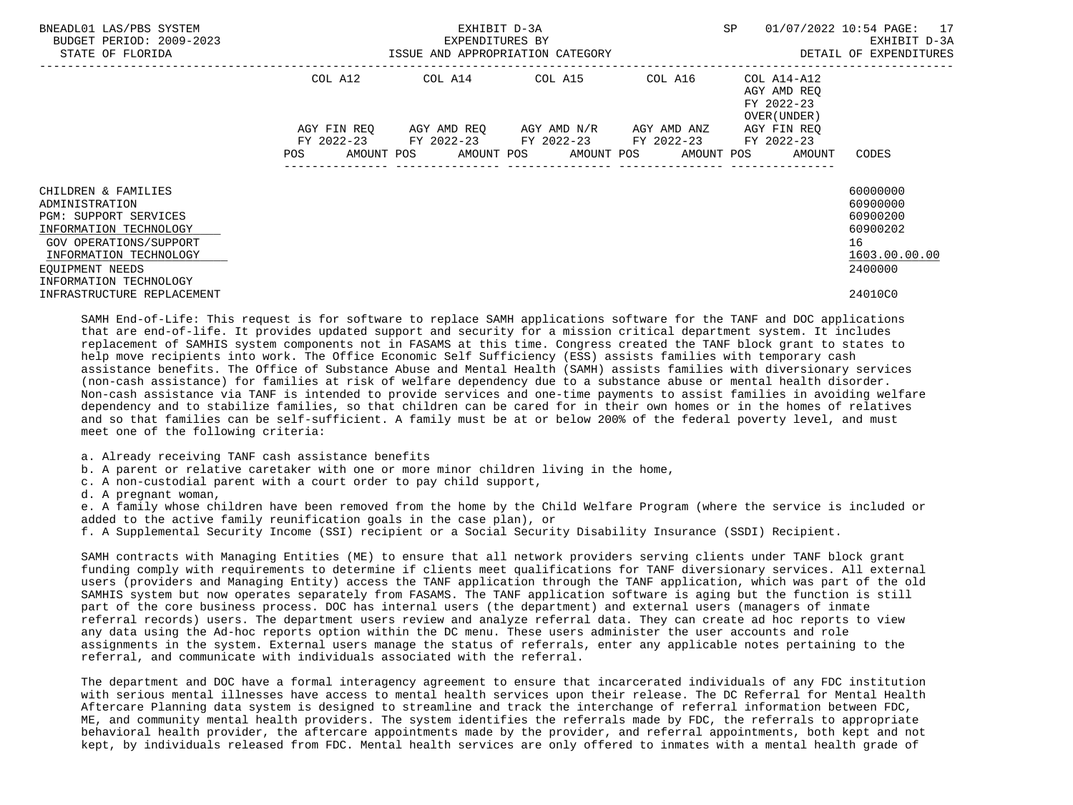| BNEADL01 LAS/PBS SYSTEM<br>BUDGET PERIOD: 2009-2023<br>STATE OF FLORIDA                                                                                                                   | ISSUE AND APPROPRIATION CATEGORY | EXHIBIT D-3A<br>EXPENDITURES BY | <b>SP</b><br>--------------------------------------                               | 01/07/2022 10:54 PAGE: 17<br>EXHIBIT D-3A<br>DETAIL OF EXPENDITURES |                                                                   |                                                                                |
|-------------------------------------------------------------------------------------------------------------------------------------------------------------------------------------------|----------------------------------|---------------------------------|-----------------------------------------------------------------------------------|---------------------------------------------------------------------|-------------------------------------------------------------------|--------------------------------------------------------------------------------|
|                                                                                                                                                                                           |                                  |                                 | COL A12 COL A14 COL A15 COL A16                                                   |                                                                     | COL A14-A12<br>AGY AMD REO<br>FY 2022-23<br>OVER (UNDER )         |                                                                                |
|                                                                                                                                                                                           | AGY FIN REO<br><b>POS</b>        |                                 | AGY AMD REO AGY AMD N/R<br>FY 2022-23 FY 2022-23 FY 2022-23 FY 2022-23 FY 2022-23 | AGY AMD ANZ                                                         | AGY FIN REQ<br>AMOUNT POS AMOUNT POS AMOUNT POS AMOUNT POS AMOUNT | CODES                                                                          |
| CHILDREN & FAMILIES<br>ADMINISTRATION<br>PGM: SUPPORT SERVICES<br>INFORMATION TECHNOLOGY<br>GOV OPERATIONS/SUPPORT<br>INFORMATION TECHNOLOGY<br>EOUIPMENT NEEDS<br>INFORMATION TECHNOLOGY |                                  |                                 |                                                                                   |                                                                     |                                                                   | 60000000<br>60900000<br>60900200<br>60900202<br>16<br>1603.00.00.00<br>2400000 |
| INFRASTRUCTURE REPLACEMENT                                                                                                                                                                |                                  |                                 |                                                                                   |                                                                     |                                                                   | 24010C0                                                                        |

 SAMH End-of-Life: This request is for software to replace SAMH applications software for the TANF and DOC applications that are end-of-life. It provides updated support and security for a mission critical department system. It includes replacement of SAMHIS system components not in FASAMS at this time. Congress created the TANF block grant to states to help move recipients into work. The Office Economic Self Sufficiency (ESS) assists families with temporary cash assistance benefits. The Office of Substance Abuse and Mental Health (SAMH) assists families with diversionary services (non-cash assistance) for families at risk of welfare dependency due to a substance abuse or mental health disorder. Non-cash assistance via TANF is intended to provide services and one-time payments to assist families in avoiding welfare dependency and to stabilize families, so that children can be cared for in their own homes or in the homes of relatives and so that families can be self-sufficient. A family must be at or below 200% of the federal poverty level, and must meet one of the following criteria:

- a. Already receiving TANF cash assistance benefits
- b. A parent or relative caretaker with one or more minor children living in the home,
- c. A non-custodial parent with a court order to pay child support,
- d. A pregnant woman,

 e. A family whose children have been removed from the home by the Child Welfare Program (where the service is included or added to the active family reunification goals in the case plan), or

f. A Supplemental Security Income (SSI) recipient or a Social Security Disability Insurance (SSDI) Recipient.

 SAMH contracts with Managing Entities (ME) to ensure that all network providers serving clients under TANF block grant funding comply with requirements to determine if clients meet qualifications for TANF diversionary services. All external users (providers and Managing Entity) access the TANF application through the TANF application, which was part of the old SAMHIS system but now operates separately from FASAMS. The TANF application software is aging but the function is still part of the core business process. DOC has internal users (the department) and external users (managers of inmate referral records) users. The department users review and analyze referral data. They can create ad hoc reports to view any data using the Ad-hoc reports option within the DC menu. These users administer the user accounts and role assignments in the system. External users manage the status of referrals, enter any applicable notes pertaining to the referral, and communicate with individuals associated with the referral.

 The department and DOC have a formal interagency agreement to ensure that incarcerated individuals of any FDC institution with serious mental illnesses have access to mental health services upon their release. The DC Referral for Mental Health Aftercare Planning data system is designed to streamline and track the interchange of referral information between FDC, ME, and community mental health providers. The system identifies the referrals made by FDC, the referrals to appropriate behavioral health provider, the aftercare appointments made by the provider, and referral appointments, both kept and not kept, by individuals released from FDC. Mental health services are only offered to inmates with a mental health grade of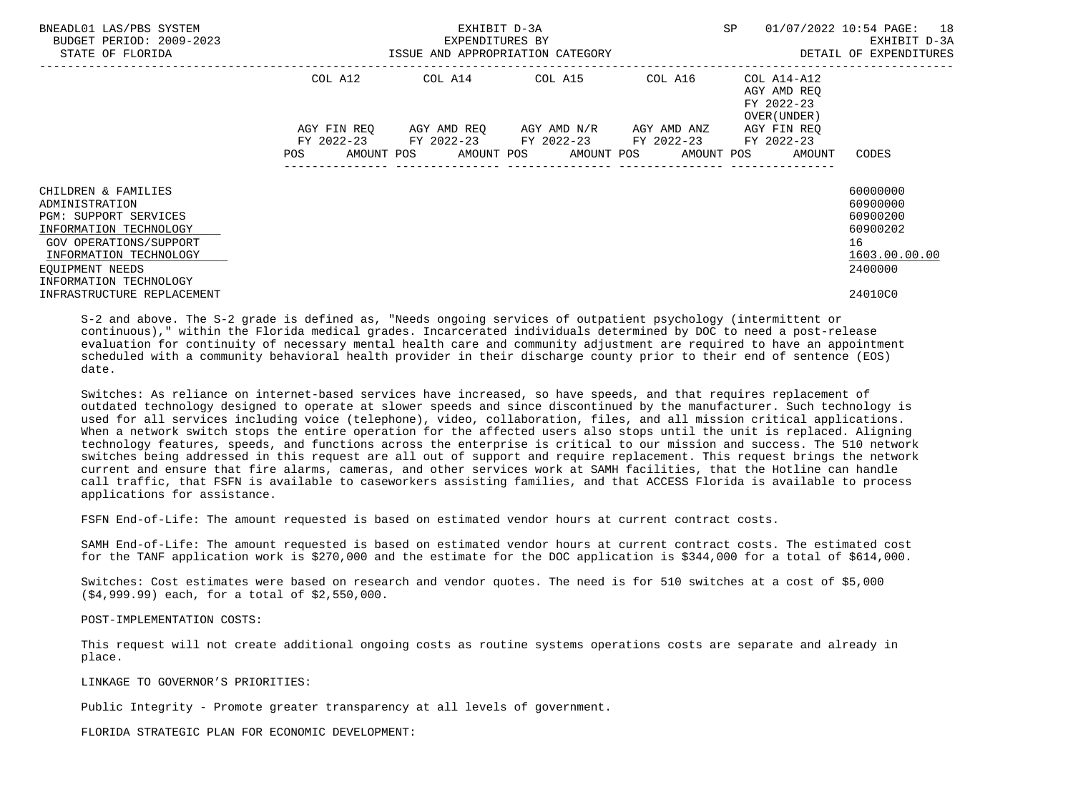| BNEADL01 LAS/PBS SYSTEM<br>BUDGET PERIOD: 2009-2023<br>STATE OF FLORIDA                                                                                                                          | EXHIBIT D-3A<br>EXPENDITURES BY<br>ISSUE AND APPROPRIATION CATEGORY |  |                                                                                                           |  | SP                                                                          | 01/07/2022 10:54 PAGE: 18<br>EXHIBIT D-3A<br>DETAIL OF EXPENDITURES            |
|--------------------------------------------------------------------------------------------------------------------------------------------------------------------------------------------------|---------------------------------------------------------------------|--|-----------------------------------------------------------------------------------------------------------|--|-----------------------------------------------------------------------------|--------------------------------------------------------------------------------|
|                                                                                                                                                                                                  | COL A12                                                             |  |                                                                                                           |  | AGY AMD REO<br>FY 2022-23<br>OVER (UNDER)                                   |                                                                                |
|                                                                                                                                                                                                  | AGY FIN REO                                                         |  | AGY AMD REQ       AGY AMD N/R       AGY AMD ANZ<br>FY 2022-23 FY 2022-23 FY 2022-23 FY 2022-23 FY 2022-23 |  | AGY FIN REO<br>POS AMOUNT POS AMOUNT POS AMOUNT POS AMOUNT POS AMOUNT CODES |                                                                                |
| CHILDREN & FAMILIES<br>ADMINISTRATION<br><b>PGM: SUPPORT SERVICES</b><br>INFORMATION TECHNOLOGY<br>GOV OPERATIONS/SUPPORT<br>INFORMATION TECHNOLOGY<br>EOUIPMENT NEEDS<br>INFORMATION TECHNOLOGY |                                                                     |  |                                                                                                           |  |                                                                             | 60000000<br>60900000<br>60900200<br>60900202<br>16<br>1603.00.00.00<br>2400000 |
| INFRASTRUCTURE REPLACEMENT                                                                                                                                                                       |                                                                     |  |                                                                                                           |  |                                                                             | 24010C0                                                                        |

 S-2 and above. The S-2 grade is defined as, "Needs ongoing services of outpatient psychology (intermittent or continuous)," within the Florida medical grades. Incarcerated individuals determined by DOC to need a post-release evaluation for continuity of necessary mental health care and community adjustment are required to have an appointment scheduled with a community behavioral health provider in their discharge county prior to their end of sentence (EOS) date.

 Switches: As reliance on internet-based services have increased, so have speeds, and that requires replacement of outdated technology designed to operate at slower speeds and since discontinued by the manufacturer. Such technology is used for all services including voice (telephone), video, collaboration, files, and all mission critical applications. When a network switch stops the entire operation for the affected users also stops until the unit is replaced. Aligning technology features, speeds, and functions across the enterprise is critical to our mission and success. The 510 network switches being addressed in this request are all out of support and require replacement. This request brings the network current and ensure that fire alarms, cameras, and other services work at SAMH facilities, that the Hotline can handle call traffic, that FSFN is available to caseworkers assisting families, and that ACCESS Florida is available to process applications for assistance.

FSFN End-of-Life: The amount requested is based on estimated vendor hours at current contract costs.

 SAMH End-of-Life: The amount requested is based on estimated vendor hours at current contract costs. The estimated cost for the TANF application work is \$270,000 and the estimate for the DOC application is \$344,000 for a total of \$614,000.

 Switches: Cost estimates were based on research and vendor quotes. The need is for 510 switches at a cost of \$5,000 (\$4,999.99) each, for a total of \$2,550,000.

POST-IMPLEMENTATION COSTS:

 This request will not create additional ongoing costs as routine systems operations costs are separate and already in place.

LINKAGE TO GOVERNOR'S PRIORITIES:

Public Integrity - Promote greater transparency at all levels of government.

FLORIDA STRATEGIC PLAN FOR ECONOMIC DEVELOPMENT: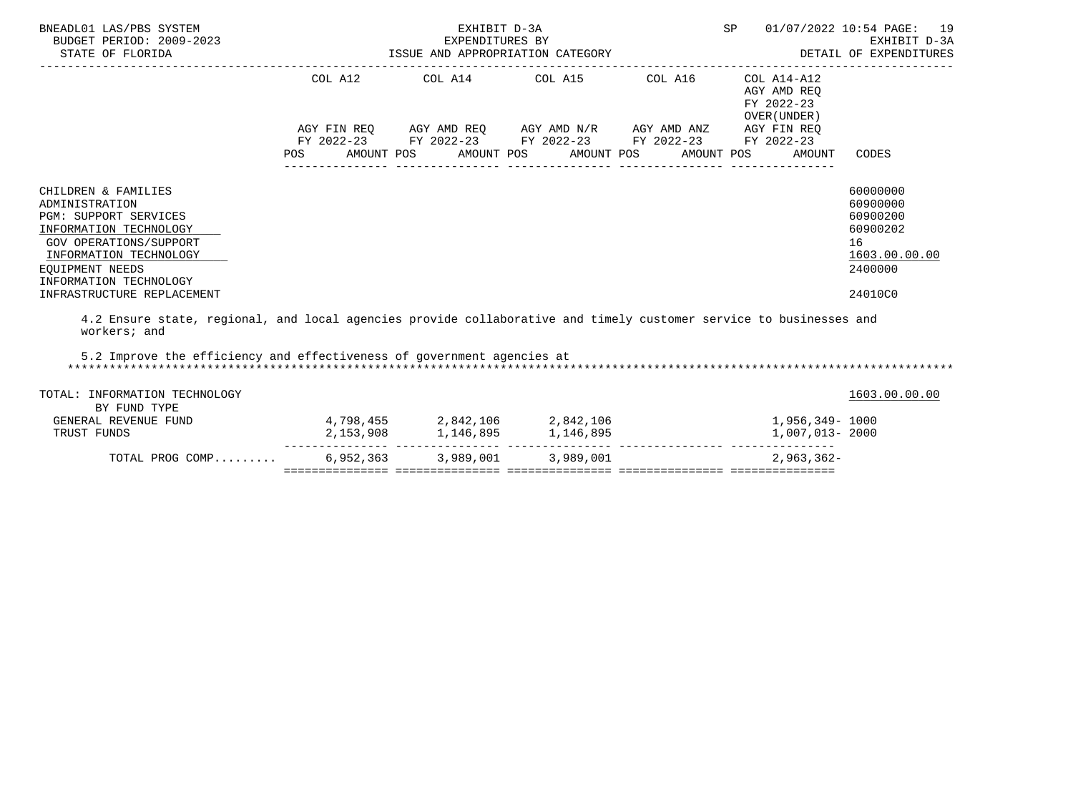|                 |  |                                                                                                                                  | EXHIBIT D-3A                                        |                                                                                                                                                                                                                                                                                                                                                                                                                                                                                                                                                                                                                                                 |
|-----------------|--|----------------------------------------------------------------------------------------------------------------------------------|-----------------------------------------------------|-------------------------------------------------------------------------------------------------------------------------------------------------------------------------------------------------------------------------------------------------------------------------------------------------------------------------------------------------------------------------------------------------------------------------------------------------------------------------------------------------------------------------------------------------------------------------------------------------------------------------------------------------|
|                 |  |                                                                                                                                  | AGY AMD REO<br>FY 2022-23<br>OVER (UNDER)<br>AMOUNT | CODES                                                                                                                                                                                                                                                                                                                                                                                                                                                                                                                                                                                                                                           |
|                 |  |                                                                                                                                  |                                                     | 60000000<br>60900000<br>60900200<br>60900202<br>16<br>1603.00.00.00<br>2400000<br>24010C0                                                                                                                                                                                                                                                                                                                                                                                                                                                                                                                                                       |
|                 |  |                                                                                                                                  |                                                     |                                                                                                                                                                                                                                                                                                                                                                                                                                                                                                                                                                                                                                                 |
|                 |  |                                                                                                                                  |                                                     | 1603.00.00.00                                                                                                                                                                                                                                                                                                                                                                                                                                                                                                                                                                                                                                   |
|                 |  |                                                                                                                                  |                                                     |                                                                                                                                                                                                                                                                                                                                                                                                                                                                                                                                                                                                                                                 |
|                 |  |                                                                                                                                  |                                                     |                                                                                                                                                                                                                                                                                                                                                                                                                                                                                                                                                                                                                                                 |
| TOTAL PROG COMP |  |                                                                                                                                  | $2.963.362 -$                                       |                                                                                                                                                                                                                                                                                                                                                                                                                                                                                                                                                                                                                                                 |
|                 |  | EXHIBIT D-3A<br>EXPENDITURES BY<br>5.2 Improve the efficiency and effectiveness of government agencies at<br>6,952,363 3,989,001 | ISSUE AND APPROPRIATION CATEGORY<br>3,989,001       | SP 01/07/2022 10:54 PAGE: 19<br>DETAIL OF EXPENDITURES<br>--------------------------------<br>$COL A12$ $COL A14$ $COL A15$ $COL A16$ $COL A14-A12$<br>AGY FIN REQ AGY AMD REQ AGY AMD N/R AGY AMD ANZ AGY FIN REQ<br>FY 2022-23 FY 2022-23 FY 2022-23 FY 2022-23 FY 2022-23<br>POS AMOUNT POS AMOUNT POS AMOUNT POS AMOUNT POS<br>4.2 Ensure state, regional, and local agencies provide collaborative and timely customer service to businesses and<br>$4,798,455$ $2,842,106$ $2,842,106$ $1,956,349$ $1000$<br>2, 153, 908 1, 146, 895 1, 146, 895<br>1,007,013- 2000<br>.cooper.cooper.cooper.cooper.cooper.cooper.cooper.cooper.cooper.co |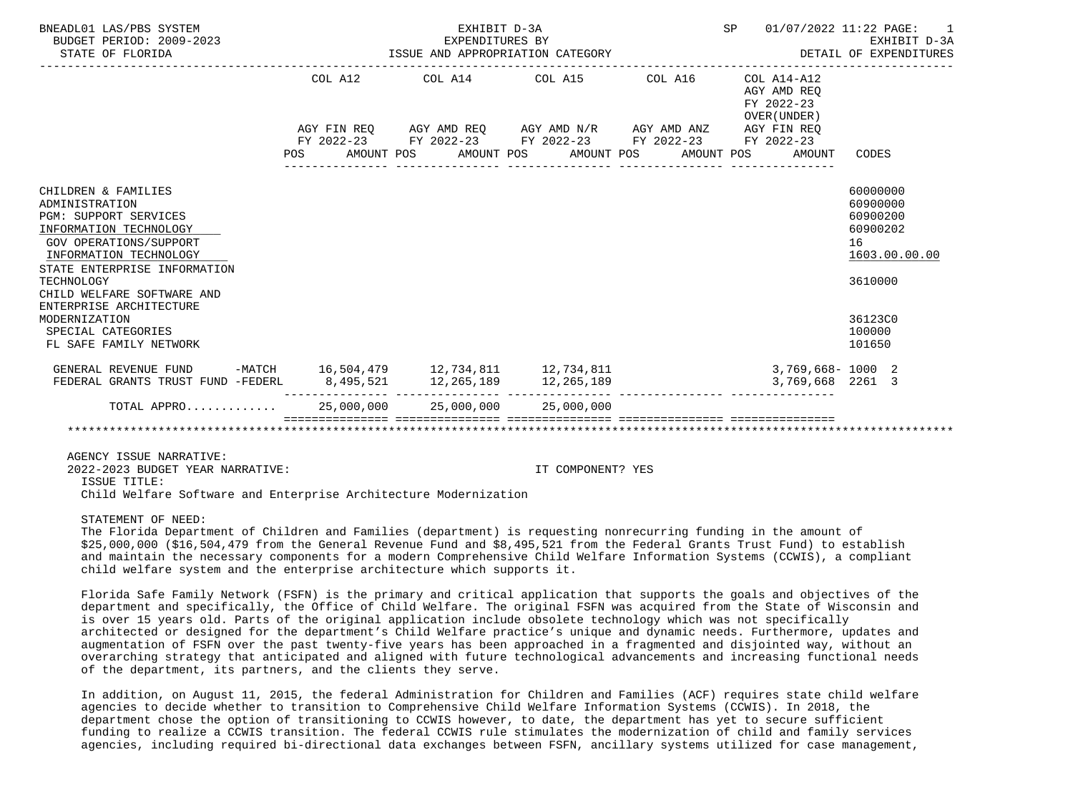| BNEADL01 LAS/PBS SYSTEM<br>BUDGET PERIOD: 2009-2023<br>STATE OF FLORIDA                                                                                                                                                                                                                                                     |         | EXHIBIT D-3A<br>EXPENDITURES BY | ISSUE AND APPROPRIATION CATEGORY                                                               | SP 01/07/2022 11:22 PAGE:                                    | EXHIBIT D-3A<br>DETAIL OF EXPENDITURES                                                                        |
|-----------------------------------------------------------------------------------------------------------------------------------------------------------------------------------------------------------------------------------------------------------------------------------------------------------------------------|---------|---------------------------------|------------------------------------------------------------------------------------------------|--------------------------------------------------------------|---------------------------------------------------------------------------------------------------------------|
|                                                                                                                                                                                                                                                                                                                             | COL A12 |                                 | COL A14 COL A15 COL A16                                                                        | $COL A14 - A12$<br>AGY AMD REQ<br>FY 2022-23<br>OVER (UNDER) |                                                                                                               |
|                                                                                                                                                                                                                                                                                                                             |         |                                 | AGY FIN REQ AGY AMD REQ AGY AMD N/R AGY AMD ANZ AGY FIN REQ                                    |                                                              |                                                                                                               |
|                                                                                                                                                                                                                                                                                                                             |         |                                 | FY 2022-23 FY 2022-23 FY 2022-23 FY 2022-23 FY 2022-23<br>POS AMOUNT POS AMOUNT POS AMOUNT POS | AMOUNT POS<br>AMOUNT                                         | CODES                                                                                                         |
| CHILDREN & FAMILIES<br>ADMINISTRATION<br><b>PGM: SUPPORT SERVICES</b><br>INFORMATION TECHNOLOGY<br>GOV OPERATIONS/SUPPORT<br>INFORMATION TECHNOLOGY<br>STATE ENTERPRISE INFORMATION<br>TECHNOLOGY<br>CHILD WELFARE SOFTWARE AND<br>ENTERPRISE ARCHITECTURE<br>MODERNIZATION<br>SPECIAL CATEGORIES<br>FL SAFE FAMILY NETWORK |         |                                 |                                                                                                |                                                              | 60000000<br>60900000<br>60900200<br>60900202<br>16<br>1603.00.00.00<br>3610000<br>36123C0<br>100000<br>101650 |
| GENERAL REVENUE FUND                                                                                                                                                                                                                                                                                                        |         |                                 | -MATCH 16,504,479 12,734,811 12,734,811                                                        | $3,769,668 - 1000$ 2                                         |                                                                                                               |
| FEDERAL GRANTS TRUST FUND -FEDERL                                                                                                                                                                                                                                                                                           |         |                                 | 8,495,521 12,265,189 12,265,189                                                                | 3,769,668 2261 3                                             |                                                                                                               |
| TOTAL APPRO 25,000,000 25,000,000 25,000,000                                                                                                                                                                                                                                                                                |         |                                 |                                                                                                |                                                              |                                                                                                               |
|                                                                                                                                                                                                                                                                                                                             |         |                                 |                                                                                                |                                                              |                                                                                                               |

AGENCY ISSUE NARRATIVE:

 2022-2023 BUDGET YEAR NARRATIVE: IT COMPONENT? YES ISSUE TITLE: Child Welfare Software and Enterprise Architecture Modernization

STATEMENT OF NEED:

 The Florida Department of Children and Families (department) is requesting nonrecurring funding in the amount of \$25,000,000 (\$16,504,479 from the General Revenue Fund and \$8,495,521 from the Federal Grants Trust Fund) to establish and maintain the necessary components for a modern Comprehensive Child Welfare Information Systems (CCWIS), a compliant child welfare system and the enterprise architecture which supports it.

 Florida Safe Family Network (FSFN) is the primary and critical application that supports the goals and objectives of the department and specifically, the Office of Child Welfare. The original FSFN was acquired from the State of Wisconsin and is over 15 years old. Parts of the original application include obsolete technology which was not specifically architected or designed for the department's Child Welfare practice's unique and dynamic needs. Furthermore, updates and augmentation of FSFN over the past twenty-five years has been approached in a fragmented and disjointed way, without an overarching strategy that anticipated and aligned with future technological advancements and increasing functional needs of the department, its partners, and the clients they serve.

 In addition, on August 11, 2015, the federal Administration for Children and Families (ACF) requires state child welfare agencies to decide whether to transition to Comprehensive Child Welfare Information Systems (CCWIS). In 2018, the department chose the option of transitioning to CCWIS however, to date, the department has yet to secure sufficient funding to realize a CCWIS transition. The federal CCWIS rule stimulates the modernization of child and family services agencies, including required bi-directional data exchanges between FSFN, ancillary systems utilized for case management,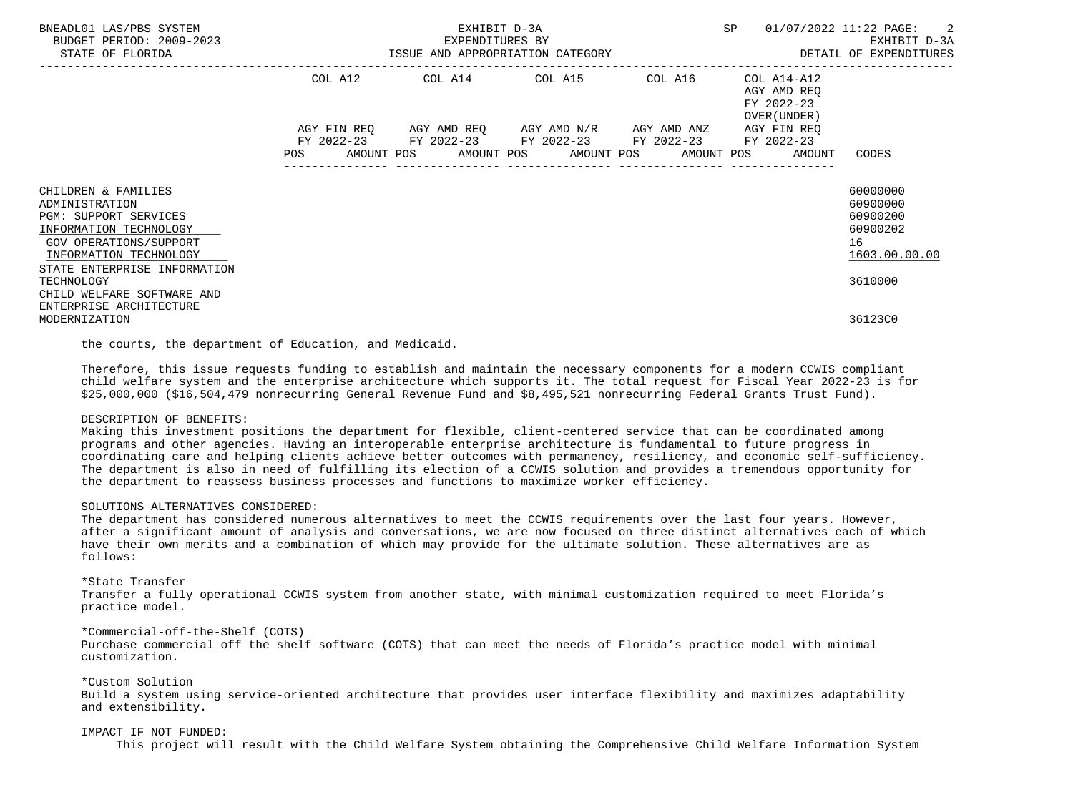| BNEADL01 LAS/PBS SYSTEM<br>BUDGET PERIOD: 2009-2023<br>STATE OF FLORIDA                                                                                                      |            | EXHIBIT D-3A<br>EXPENDITURES BY<br>ISSUE AND APPROPRIATION CATEGORY | SP                                                                                                                                                                    | $01/07/2022$ 11:22 PAGE: 2<br>EXHIBIT D-3A<br>DETAIL OF EXPENDITURES |                                                           |                                                                     |
|------------------------------------------------------------------------------------------------------------------------------------------------------------------------------|------------|---------------------------------------------------------------------|-----------------------------------------------------------------------------------------------------------------------------------------------------------------------|----------------------------------------------------------------------|-----------------------------------------------------------|---------------------------------------------------------------------|
|                                                                                                                                                                              | COL A12    |                                                                     | COL A14 COL A15 COL A16                                                                                                                                               |                                                                      | COL A14-A12<br>AGY AMD REO<br>FY 2022-23<br>OVER (UNDER ) |                                                                     |
|                                                                                                                                                                              | <b>POS</b> |                                                                     | AGY FIN REO AGY AMD REO AGY AMD N/R AGY AMD ANZ<br>FY 2022-23 FY 2022-23 FY 2022-23 FY 2022-23 FY 2022-23<br>AMOUNT POS      AMOUNT POS     AMOUNT POS     AMOUNT POS |                                                                      | AGY FIN REO<br>AMOUNT                                     | CODES                                                               |
| CHILDREN & FAMILIES<br>ADMINISTRATION<br>PGM: SUPPORT SERVICES<br>INFORMATION TECHNOLOGY<br>GOV OPERATIONS/SUPPORT<br>INFORMATION TECHNOLOGY<br>STATE ENTERPRISE INFORMATION |            |                                                                     |                                                                                                                                                                       |                                                                      |                                                           | 60000000<br>60900000<br>60900200<br>60900202<br>16<br>1603.00.00.00 |
| TECHNOLOGY<br>CHILD WELFARE SOFTWARE AND<br>ENTERPRISE ARCHITECTURE<br>MODERNIZATION                                                                                         |            |                                                                     |                                                                                                                                                                       |                                                                      |                                                           | 3610000<br>36123C0                                                  |

the courts, the department of Education, and Medicaid.

 Therefore, this issue requests funding to establish and maintain the necessary components for a modern CCWIS compliant child welfare system and the enterprise architecture which supports it. The total request for Fiscal Year 2022-23 is for \$25,000,000 (\$16,504,479 nonrecurring General Revenue Fund and \$8,495,521 nonrecurring Federal Grants Trust Fund).

#### DESCRIPTION OF BENEFITS:

 Making this investment positions the department for flexible, client-centered service that can be coordinated among programs and other agencies. Having an interoperable enterprise architecture is fundamental to future progress in coordinating care and helping clients achieve better outcomes with permanency, resiliency, and economic self-sufficiency. The department is also in need of fulfilling its election of a CCWIS solution and provides a tremendous opportunity for the department to reassess business processes and functions to maximize worker efficiency.

### SOLUTIONS ALTERNATIVES CONSIDERED:

 The department has considered numerous alternatives to meet the CCWIS requirements over the last four years. However, after a significant amount of analysis and conversations, we are now focused on three distinct alternatives each of which have their own merits and a combination of which may provide for the ultimate solution. These alternatives are as follows:

#### \*State Transfer

 Transfer a fully operational CCWIS system from another state, with minimal customization required to meet Florida's practice model.

## \*Commercial-off-the-Shelf (COTS)

 Purchase commercial off the shelf software (COTS) that can meet the needs of Florida's practice model with minimal customization.

### \*Custom Solution

 Build a system using service-oriented architecture that provides user interface flexibility and maximizes adaptability and extensibility.

#### IMPACT IF NOT FUNDED:

This project will result with the Child Welfare System obtaining the Comprehensive Child Welfare Information System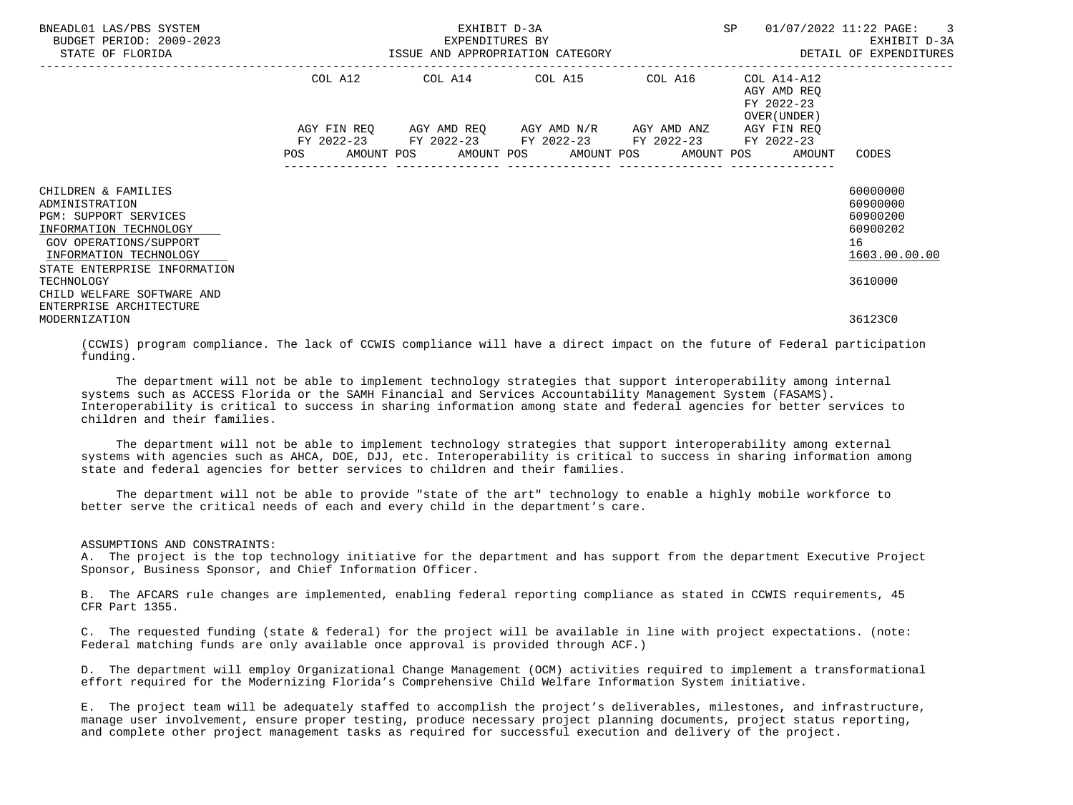| BNEADL01 LAS/PBS SYSTEM<br>BUDGET PERIOD: 2009-2023<br>STATE OF FLORIDA                                                                                                                    | EXHIBIT D-3A<br>EXPENDITURES BY | SP                                                     | 01/07/2022 11:22 PAGE: 3<br>EXHIBIT D-3A |                                                                       |                                                                                |
|--------------------------------------------------------------------------------------------------------------------------------------------------------------------------------------------|---------------------------------|--------------------------------------------------------|------------------------------------------|-----------------------------------------------------------------------|--------------------------------------------------------------------------------|
|                                                                                                                                                                                            |                                 | COL A12 COL A14 COL A15 COL A16                        |                                          | COL A14-A12<br>AGY AMD REO<br>FY 2022-23<br>OVER (UNDER )             |                                                                                |
|                                                                                                                                                                                            |                                 | FY 2022-23 FY 2022-23 FY 2022-23 FY 2022-23 FY 2022-23 |                                          | AGY FIN REO<br>POS AMOUNT POS AMOUNT POS AMOUNT POS AMOUNT POS AMOUNT | CODES                                                                          |
| CHILDREN & FAMILIES<br>ADMINISTRATION<br>PGM: SUPPORT SERVICES<br>INFORMATION TECHNOLOGY<br>GOV OPERATIONS/SUPPORT<br>INFORMATION TECHNOLOGY<br>STATE ENTERPRISE INFORMATION<br>TECHNOLOGY |                                 |                                                        |                                          |                                                                       | 60000000<br>60900000<br>60900200<br>60900202<br>16<br>1603.00.00.00<br>3610000 |
| CHILD WELFARE SOFTWARE AND<br>ENTERPRISE ARCHITECTURE<br>MODERNIZATION                                                                                                                     |                                 |                                                        |                                          |                                                                       | 36123C0                                                                        |

 (CCWIS) program compliance. The lack of CCWIS compliance will have a direct impact on the future of Federal participation funding.

 The department will not be able to implement technology strategies that support interoperability among internal systems such as ACCESS Florida or the SAMH Financial and Services Accountability Management System (FASAMS). Interoperability is critical to success in sharing information among state and federal agencies for better services to children and their families.

 The department will not be able to implement technology strategies that support interoperability among external systems with agencies such as AHCA, DOE, DJJ, etc. Interoperability is critical to success in sharing information among state and federal agencies for better services to children and their families.

 The department will not be able to provide "state of the art" technology to enable a highly mobile workforce to better serve the critical needs of each and every child in the department's care.

#### ASSUMPTIONS AND CONSTRAINTS:

 A. The project is the top technology initiative for the department and has support from the department Executive Project Sponsor, Business Sponsor, and Chief Information Officer.

 B. The AFCARS rule changes are implemented, enabling federal reporting compliance as stated in CCWIS requirements, 45 CFR Part 1355.

 C. The requested funding (state & federal) for the project will be available in line with project expectations. (note: Federal matching funds are only available once approval is provided through ACF.)

 D. The department will employ Organizational Change Management (OCM) activities required to implement a transformational effort required for the Modernizing Florida's Comprehensive Child Welfare Information System initiative.

 E. The project team will be adequately staffed to accomplish the project's deliverables, milestones, and infrastructure, manage user involvement, ensure proper testing, produce necessary project planning documents, project status reporting, and complete other project management tasks as required for successful execution and delivery of the project.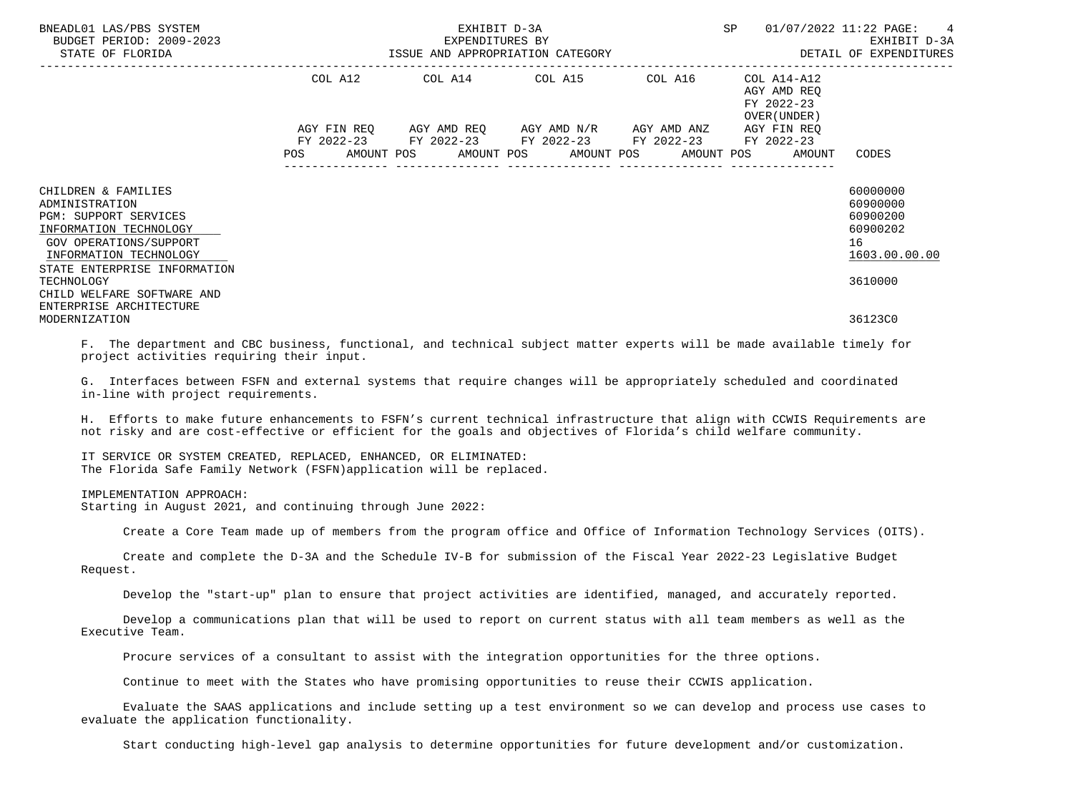| BNEADL01 LAS/PBS SYSTEM<br>BUDGET PERIOD: 2009-2023<br>STATE OF FLORIDA                                                                                                                           |  | EXHIBIT D-3A<br>EXPENDITURES BY                                                                           | SP<br>ISSUE AND APPROPRIATION CATEGORY <b>Example 20 and 20 and 20 and 20 and 20 and 20 and 20 and 20 and 20 and 20 and</b> | 01/07/2022 11:22 PAGE: 4<br>EXHIBIT D-3A                                       |
|---------------------------------------------------------------------------------------------------------------------------------------------------------------------------------------------------|--|-----------------------------------------------------------------------------------------------------------|-----------------------------------------------------------------------------------------------------------------------------|--------------------------------------------------------------------------------|
|                                                                                                                                                                                                   |  | COL A12 COL A14 COL A15 COL A16                                                                           | COL A14-A12<br>AGY AMD REO<br>FY 2022-23<br>OVER (UNDER )                                                                   |                                                                                |
|                                                                                                                                                                                                   |  | AGY FIN REQ AGY AMD REQ AGY AMD N/R AGY AMD ANZ<br>FY 2022-23 FY 2022-23 FY 2022-23 FY 2022-23 FY 2022-23 | AGY FIN REO<br>POS AMOUNT POS AMOUNT POS AMOUNT POS AMOUNT POS AMOUNT                                                       | CODES                                                                          |
| CHILDREN & FAMILIES<br>ADMINISTRATION<br><b>PGM: SUPPORT SERVICES</b><br>INFORMATION TECHNOLOGY<br>GOV OPERATIONS/SUPPORT<br>INFORMATION TECHNOLOGY<br>STATE ENTERPRISE INFORMATION<br>TECHNOLOGY |  |                                                                                                           |                                                                                                                             | 60000000<br>60900000<br>60900200<br>60900202<br>16<br>1603.00.00.00<br>3610000 |
| CHILD WELFARE SOFTWARE AND<br>ENTERPRISE ARCHITECTURE<br>MODERNIZATION                                                                                                                            |  |                                                                                                           |                                                                                                                             | 36123C0                                                                        |

 F. The department and CBC business, functional, and technical subject matter experts will be made available timely for project activities requiring their input.

 G. Interfaces between FSFN and external systems that require changes will be appropriately scheduled and coordinated in-line with project requirements.

 H. Efforts to make future enhancements to FSFN's current technical infrastructure that align with CCWIS Requirements are not risky and are cost-effective or efficient for the goals and objectives of Florida's child welfare community.

 IT SERVICE OR SYSTEM CREATED, REPLACED, ENHANCED, OR ELIMINATED: The Florida Safe Family Network (FSFN)application will be replaced.

## IMPLEMENTATION APPROACH:

Starting in August 2021, and continuing through June 2022:

Create a Core Team made up of members from the program office and Office of Information Technology Services (OITS).

 Create and complete the D-3A and the Schedule IV-B for submission of the Fiscal Year 2022-23 Legislative Budget Request.

Develop the "start-up" plan to ensure that project activities are identified, managed, and accurately reported.

 Develop a communications plan that will be used to report on current status with all team members as well as the Executive Team.

Procure services of a consultant to assist with the integration opportunities for the three options.

Continue to meet with the States who have promising opportunities to reuse their CCWIS application.

 Evaluate the SAAS applications and include setting up a test environment so we can develop and process use cases to evaluate the application functionality.

Start conducting high-level gap analysis to determine opportunities for future development and/or customization.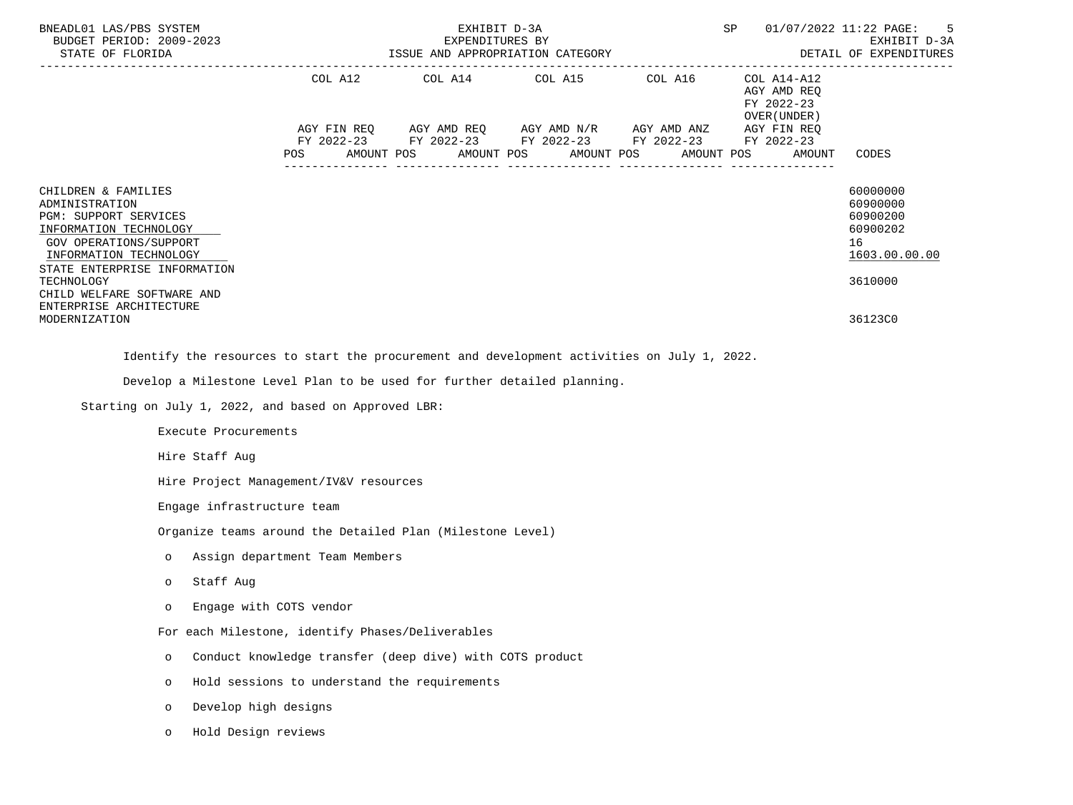| BNEADL01 LAS/PBS SYSTEM<br>BUDGET PERIOD: 2009-2023<br>STATE OF FLORIDA                                                                                                                                                  |                                                           | EXHIBIT D-3A<br>EXPENDITURES BY<br>ISSUE AND APPROPRIATION CATEGORY                                                                                        |            |            | SP<br>----------------------------                                                | 5<br>01/07/2022 11:22 PAGE:<br>EXHIBIT D-3A<br>DETAIL OF EXPENDITURES          |
|--------------------------------------------------------------------------------------------------------------------------------------------------------------------------------------------------------------------------|-----------------------------------------------------------|------------------------------------------------------------------------------------------------------------------------------------------------------------|------------|------------|-----------------------------------------------------------------------------------|--------------------------------------------------------------------------------|
|                                                                                                                                                                                                                          | AMOUNT POS<br>POS                                         | COL A12 COL A14 COL A15 COL A16<br>AGY FIN REQ AGY AMD REQ AGY AMD N/R AGY AMD ANZ<br>FY 2022-23 FY 2022-23 FY 2022-23 FY 2022-23 FY 2022-23<br>AMOUNT POS | AMOUNT POS | AMOUNT POS | COL A14-A12<br>AGY AMD REQ<br>FY 2022-23<br>OVER (UNDER)<br>AGY FIN REQ<br>AMOUNT | CODES                                                                          |
| CHILDREN & FAMILIES<br>ADMINISTRATION<br>PGM: SUPPORT SERVICES<br>INFORMATION TECHNOLOGY<br>GOV OPERATIONS/SUPPORT<br>INFORMATION TECHNOLOGY<br>STATE ENTERPRISE INFORMATION<br>TECHNOLOGY<br>CHILD WELFARE SOFTWARE AND |                                                           |                                                                                                                                                            |            |            |                                                                                   | 60000000<br>60900000<br>60900200<br>60900202<br>16<br>1603.00.00.00<br>3610000 |
| ENTERPRISE ARCHITECTURE<br>MODERNIZATION                                                                                                                                                                                 |                                                           |                                                                                                                                                            |            |            |                                                                                   | 36123C0                                                                        |
| Identify the resources to start the procurement and development activities on July 1, 2022.                                                                                                                              |                                                           |                                                                                                                                                            |            |            |                                                                                   |                                                                                |
| Develop a Milestone Level Plan to be used for further detailed planning.                                                                                                                                                 |                                                           |                                                                                                                                                            |            |            |                                                                                   |                                                                                |
| Starting on July 1, 2022, and based on Approved LBR:                                                                                                                                                                     |                                                           |                                                                                                                                                            |            |            |                                                                                   |                                                                                |
| Execute Procurements                                                                                                                                                                                                     |                                                           |                                                                                                                                                            |            |            |                                                                                   |                                                                                |
| Hire Staff Aug                                                                                                                                                                                                           |                                                           |                                                                                                                                                            |            |            |                                                                                   |                                                                                |
|                                                                                                                                                                                                                          | Hire Project Management/IV&V resources                    |                                                                                                                                                            |            |            |                                                                                   |                                                                                |
| Engage infrastructure team                                                                                                                                                                                               |                                                           |                                                                                                                                                            |            |            |                                                                                   |                                                                                |
|                                                                                                                                                                                                                          | Organize teams around the Detailed Plan (Milestone Level) |                                                                                                                                                            |            |            |                                                                                   |                                                                                |
| $\circ$                                                                                                                                                                                                                  | Assign department Team Members                            |                                                                                                                                                            |            |            |                                                                                   |                                                                                |
| Staff Aug<br>$\circ$                                                                                                                                                                                                     |                                                           |                                                                                                                                                            |            |            |                                                                                   |                                                                                |
| $\circ$                                                                                                                                                                                                                  | Engage with COTS vendor                                   |                                                                                                                                                            |            |            |                                                                                   |                                                                                |
|                                                                                                                                                                                                                          | For each Milestone, identify Phases/Deliverables          |                                                                                                                                                            |            |            |                                                                                   |                                                                                |
| $\circ$                                                                                                                                                                                                                  | Conduct knowledge transfer (deep dive) with COTS product  |                                                                                                                                                            |            |            |                                                                                   |                                                                                |
| $\circ$                                                                                                                                                                                                                  | Hold sessions to understand the requirements              |                                                                                                                                                            |            |            |                                                                                   |                                                                                |
| Develop high designs<br>O                                                                                                                                                                                                |                                                           |                                                                                                                                                            |            |            |                                                                                   |                                                                                |

o Hold Design reviews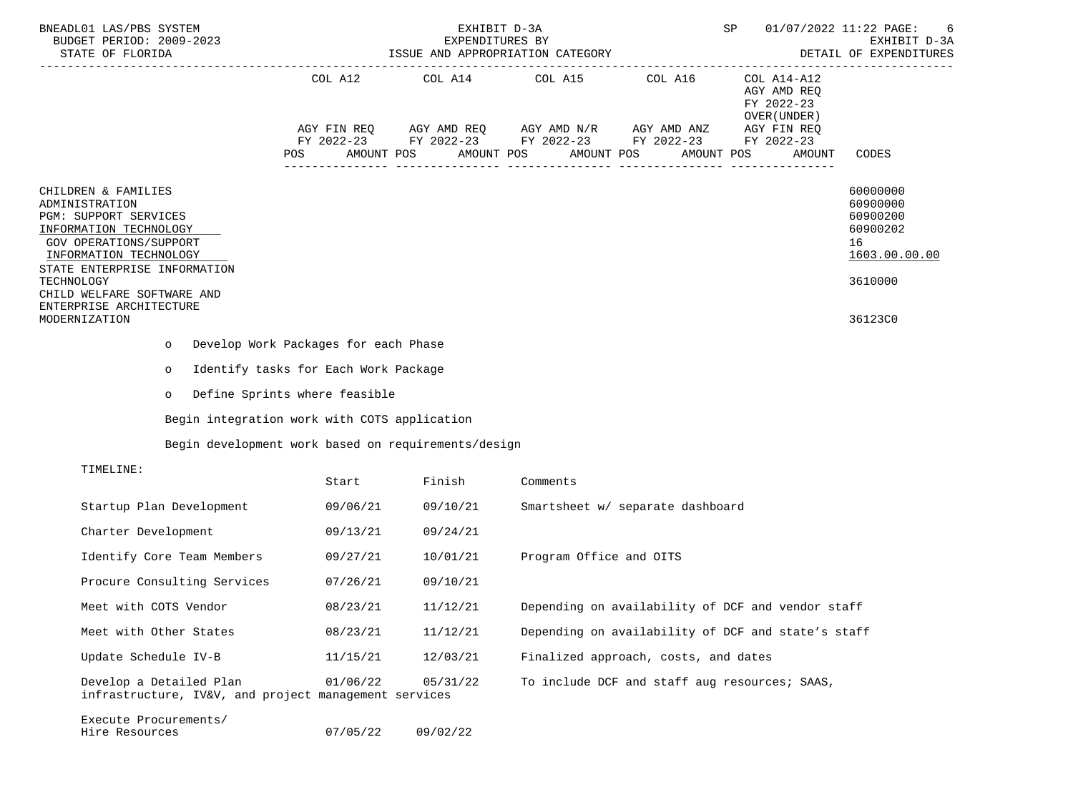| BNEADL01 LAS/PBS SYSTEM<br>BUDGET PERIOD: 2009-2023<br>STATE OF FLORIDA                                                                                                                                                                                              | EXHIBIT D-3A<br>EXPENDITURES BY<br>ISSUE AND APPROPRIATION CATEGORY |            |                                                                                                                                                            |                                                    | SP                                                                                               | 01/07/2022 11:22 PAGE:<br>-6<br>EXHIBIT D-3A<br>DETAIL OF EXPENDITURES                    |  |
|----------------------------------------------------------------------------------------------------------------------------------------------------------------------------------------------------------------------------------------------------------------------|---------------------------------------------------------------------|------------|------------------------------------------------------------------------------------------------------------------------------------------------------------|----------------------------------------------------|--------------------------------------------------------------------------------------------------|-------------------------------------------------------------------------------------------|--|
|                                                                                                                                                                                                                                                                      | POS                                                                 | AMOUNT POS | COL A12 COL A14 COL A15 COL A16<br>AGY FIN REQ AGY AMD REQ AGY AMD N/R AGY AMD ANZ<br>FY 2022-23 FY 2022-23 FY 2022-23 FY 2022-23 FY 2022-23<br>AMOUNT POS | AMOUNT POS                                         | COL A14-A12<br>AGY AMD REQ<br>FY 2022-23<br>OVER (UNDER )<br>AGY FIN REQ<br>AMOUNT POS<br>AMOUNT | CODES                                                                                     |  |
| CHILDREN & FAMILIES<br>ADMINISTRATION<br>PGM: SUPPORT SERVICES<br>INFORMATION TECHNOLOGY<br>GOV OPERATIONS/SUPPORT<br>INFORMATION TECHNOLOGY<br>STATE ENTERPRISE INFORMATION<br>TECHNOLOGY<br>CHILD WELFARE SOFTWARE AND<br>ENTERPRISE ARCHITECTURE<br>MODERNIZATION |                                                                     |            |                                                                                                                                                            |                                                    |                                                                                                  | 60000000<br>60900000<br>60900200<br>60900202<br>16<br>1603.00.00.00<br>3610000<br>36123C0 |  |
| $\circ$                                                                                                                                                                                                                                                              | Develop Work Packages for each Phase                                |            |                                                                                                                                                            |                                                    |                                                                                                  |                                                                                           |  |
| $\circ$                                                                                                                                                                                                                                                              | Identify tasks for Each Work Package                                |            |                                                                                                                                                            |                                                    |                                                                                                  |                                                                                           |  |
| $\circ$                                                                                                                                                                                                                                                              | Define Sprints where feasible                                       |            |                                                                                                                                                            |                                                    |                                                                                                  |                                                                                           |  |
| Begin integration work with COTS application                                                                                                                                                                                                                         |                                                                     |            |                                                                                                                                                            |                                                    |                                                                                                  |                                                                                           |  |
| Begin development work based on requirements/design                                                                                                                                                                                                                  |                                                                     |            |                                                                                                                                                            |                                                    |                                                                                                  |                                                                                           |  |
| TIMELINE:                                                                                                                                                                                                                                                            |                                                                     |            |                                                                                                                                                            |                                                    |                                                                                                  |                                                                                           |  |
|                                                                                                                                                                                                                                                                      | Start                                                               | Finish     | Comments                                                                                                                                                   |                                                    |                                                                                                  |                                                                                           |  |
| Startup Plan Development                                                                                                                                                                                                                                             | 09/06/21                                                            | 09/10/21   |                                                                                                                                                            | Smartsheet w/ separate dashboard                   |                                                                                                  |                                                                                           |  |
| Charter Development                                                                                                                                                                                                                                                  | 09/13/21                                                            | 09/24/21   |                                                                                                                                                            |                                                    |                                                                                                  |                                                                                           |  |
| Identify Core Team Members                                                                                                                                                                                                                                           | 09/27/21                                                            | 10/01/21   | Program Office and OITS                                                                                                                                    |                                                    |                                                                                                  |                                                                                           |  |
| Procure Consulting Services                                                                                                                                                                                                                                          | 07/26/21                                                            | 09/10/21   |                                                                                                                                                            |                                                    |                                                                                                  |                                                                                           |  |
| Meet with COTS Vendor                                                                                                                                                                                                                                                | 08/23/21                                                            | 11/12/21   |                                                                                                                                                            | Depending on availability of DCF and vendor staff  |                                                                                                  |                                                                                           |  |
| Meet with Other States                                                                                                                                                                                                                                               | 08/23/21                                                            | 11/12/21   |                                                                                                                                                            | Depending on availability of DCF and state's staff |                                                                                                  |                                                                                           |  |
| Update Schedule IV-B                                                                                                                                                                                                                                                 | 11/15/21                                                            | 12/03/21   |                                                                                                                                                            | Finalized approach, costs, and dates               |                                                                                                  |                                                                                           |  |
| Develop a Detailed Plan<br>infrastructure, IV&V, and project management services                                                                                                                                                                                     | 01/06/22                                                            | 05/31/22   |                                                                                                                                                            | To include DCF and staff aug resources; SAAS,      |                                                                                                  |                                                                                           |  |
| Execute Procurements/<br>Hire Resources                                                                                                                                                                                                                              | 07/05/22                                                            | 09/02/22   |                                                                                                                                                            |                                                    |                                                                                                  |                                                                                           |  |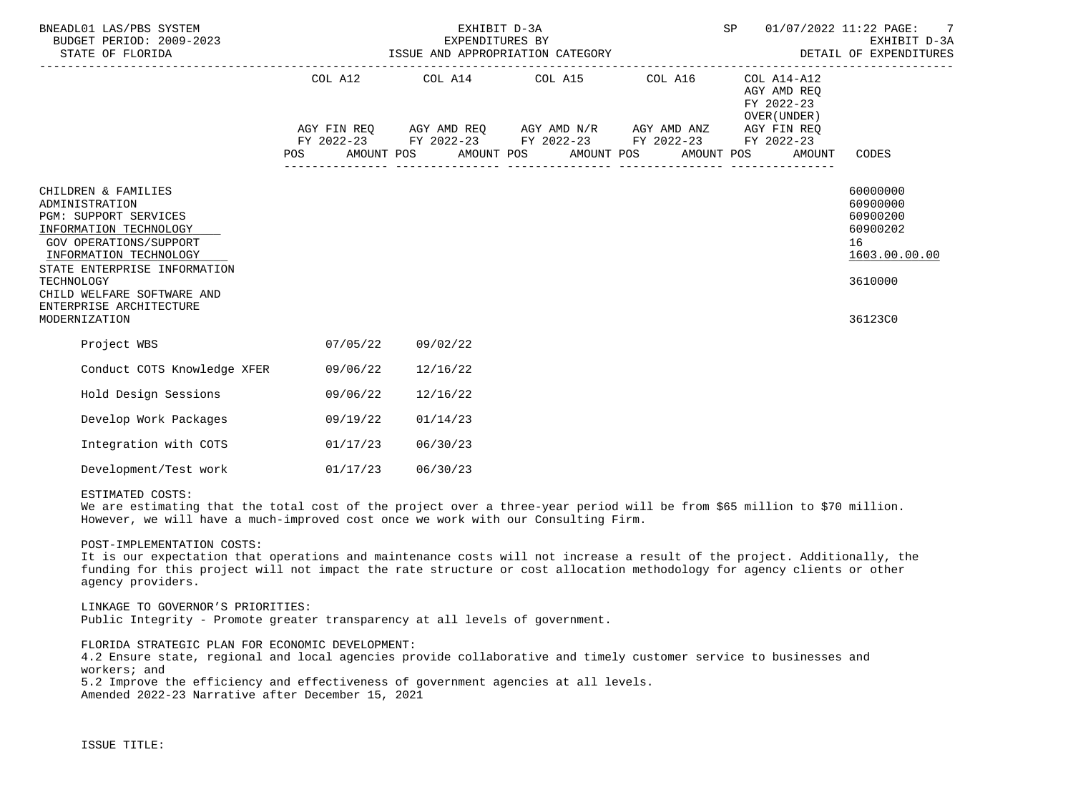| BNEADL01 LAS/PBS SYSTEM<br>BUDGET PERIOD: 2009-2023<br>STATE OF FLORIDA                                                                                                                                                                                              |          | EXHIBIT D-3A<br>EXPENDITURES BY | SP                                                                                                                                                       | 01/07/2022 11:22 PAGE: 7<br>EXHIBIT D-3A<br>EXPENDITORES BI<br>ISSUE AND APPROPRIATION CATEGORY <b>And DETAIL OF EXPENDITURES</b> |                                                                                                                    |                                                                                           |
|----------------------------------------------------------------------------------------------------------------------------------------------------------------------------------------------------------------------------------------------------------------------|----------|---------------------------------|----------------------------------------------------------------------------------------------------------------------------------------------------------|-----------------------------------------------------------------------------------------------------------------------------------|--------------------------------------------------------------------------------------------------------------------|-------------------------------------------------------------------------------------------|
|                                                                                                                                                                                                                                                                      |          |                                 | COL A12 COL A14 COL A15 COL A16<br>AGY FIN REQ AGY AMD REQ AGY AMD N/R AGY AMD ANZ AGY FIN REQ<br>FY 2022-23 FY 2022-23 FY 2022-23 FY 2022-23 FY 2022-23 |                                                                                                                                   | COL A14-A12<br>AGY AMD REO<br>FY 2022-23<br>OVER (UNDER)<br>POS AMOUNT POS AMOUNT POS AMOUNT POS AMOUNT POS AMOUNT | CODES                                                                                     |
| CHILDREN & FAMILIES<br>ADMINISTRATION<br>PGM: SUPPORT SERVICES<br>INFORMATION TECHNOLOGY<br>GOV OPERATIONS/SUPPORT<br>INFORMATION TECHNOLOGY<br>STATE ENTERPRISE INFORMATION<br>TECHNOLOGY<br>CHILD WELFARE SOFTWARE AND<br>ENTERPRISE ARCHITECTURE<br>MODERNIZATION |          |                                 |                                                                                                                                                          |                                                                                                                                   |                                                                                                                    | 60000000<br>60900000<br>60900200<br>60900202<br>16<br>1603.00.00.00<br>3610000<br>36123C0 |
| Project WBS                                                                                                                                                                                                                                                          | 07/05/22 | 09/02/22                        |                                                                                                                                                          |                                                                                                                                   |                                                                                                                    |                                                                                           |
| Conduct COTS Knowledge XFER                                                                                                                                                                                                                                          | 09/06/22 | 12/16/22                        |                                                                                                                                                          |                                                                                                                                   |                                                                                                                    |                                                                                           |
| Hold Design Sessions                                                                                                                                                                                                                                                 | 09/06/22 | 12/16/22                        |                                                                                                                                                          |                                                                                                                                   |                                                                                                                    |                                                                                           |
| Develop Work Packages                                                                                                                                                                                                                                                | 09/19/22 | 01/14/23                        |                                                                                                                                                          |                                                                                                                                   |                                                                                                                    |                                                                                           |
| Integration with COTS                                                                                                                                                                                                                                                | 01/17/23 | 06/30/23                        |                                                                                                                                                          |                                                                                                                                   |                                                                                                                    |                                                                                           |
| Development/Test work                                                                                                                                                                                                                                                | 01/17/23 | 06/30/23                        |                                                                                                                                                          |                                                                                                                                   |                                                                                                                    |                                                                                           |

## ESTIMATED COSTS:

We are estimating that the total cost of the project over a three-year period will be from \$65 million to \$70 million. However, we will have a much-improved cost once we work with our Consulting Firm.

## POST-IMPLEMENTATION COSTS:

 It is our expectation that operations and maintenance costs will not increase a result of the project. Additionally, the funding for this project will not impact the rate structure or cost allocation methodology for agency clients or other agency providers.

## LINKAGE TO GOVERNOR'S PRIORITIES: Public Integrity - Promote greater transparency at all levels of government.

FLORIDA STRATEGIC PLAN FOR ECONOMIC DEVELOPMENT:

 4.2 Ensure state, regional and local agencies provide collaborative and timely customer service to businesses and workers; and 5.2 Improve the efficiency and effectiveness of government agencies at all levels.

Amended 2022-23 Narrative after December 15, 2021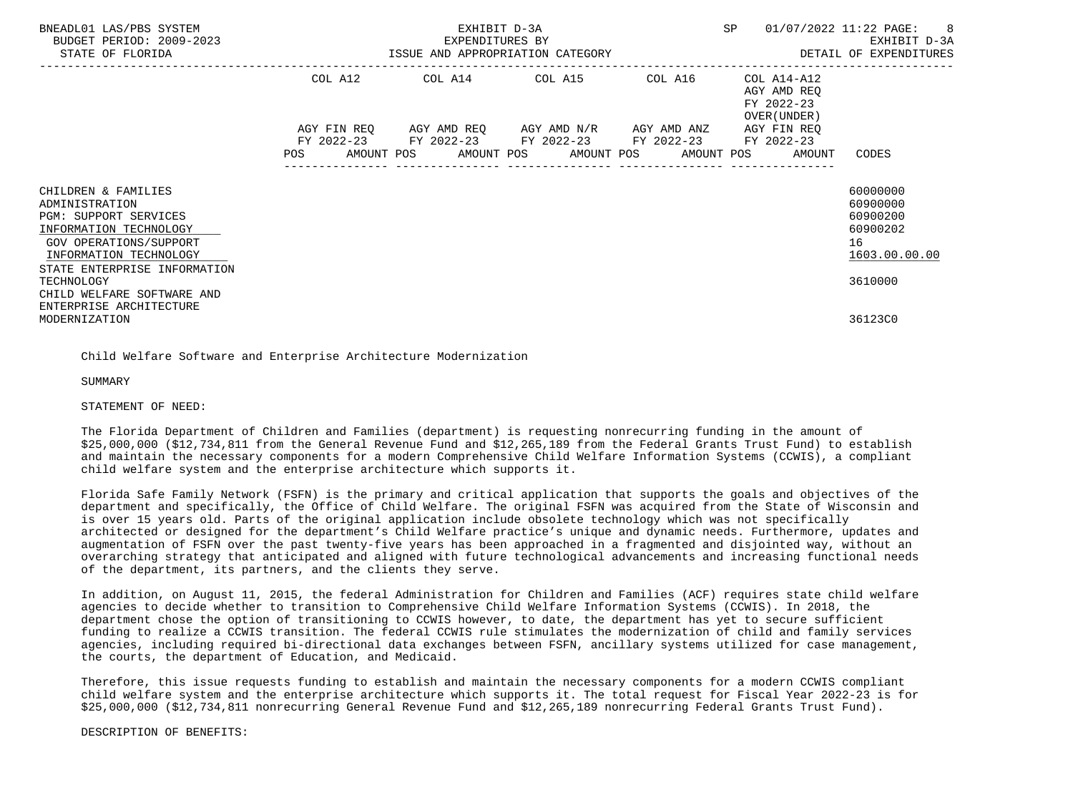| BNEADL01 LAS/PBS SYSTEM<br>BUDGET PERIOD: 2009-2023<br>STATE OF FLORIDA                                                                                                             | SP<br>EXHIBIT D-3A<br>EXPENDITURES BY<br>ISSUE AND APPROPRIATION CATEGORY <b>ALL SEEM</b> DETAIL OF EXPENDITURES                                                                          | 01/07/2022 11:22 PAGE: 8<br>EXHIBIT D-3A                            |
|-------------------------------------------------------------------------------------------------------------------------------------------------------------------------------------|-------------------------------------------------------------------------------------------------------------------------------------------------------------------------------------------|---------------------------------------------------------------------|
|                                                                                                                                                                                     | COL A12<br>COL A14 COL A15 COL A16<br>COL A14-A12<br>AGY AMD REO<br>FY 2022-23<br>OVER (UNDER )                                                                                           |                                                                     |
|                                                                                                                                                                                     | AGY FIN REQ AGY AMD REQ AGY AMD N/R AGY AMD ANZ AGY FIN REQ<br>FY 2022-23 FY 2022-23 FY 2022-23 FY 2022-23 FY 2022-23<br>AMOUNT POS AMOUNT POS AMOUNT POS AMOUNT POS AMOUNT<br><b>POS</b> | CODES                                                               |
| CHILDREN & FAMILIES<br>ADMINISTRATION<br><b>PGM: SUPPORT SERVICES</b><br>INFORMATION TECHNOLOGY<br>GOV OPERATIONS/SUPPORT<br>INFORMATION TECHNOLOGY<br>STATE ENTERPRISE INFORMATION |                                                                                                                                                                                           | 60000000<br>60900000<br>60900200<br>60900202<br>16<br>1603.00.00.00 |
| TECHNOLOGY<br>CHILD WELFARE SOFTWARE AND<br>ENTERPRISE ARCHITECTURE<br>MODERNIZATION                                                                                                |                                                                                                                                                                                           | 3610000<br>36123C0                                                  |

Child Welfare Software and Enterprise Architecture Modernization

**SUMMARY** 

STATEMENT OF NEED:

 The Florida Department of Children and Families (department) is requesting nonrecurring funding in the amount of \$25,000,000 (\$12,734,811 from the General Revenue Fund and \$12,265,189 from the Federal Grants Trust Fund) to establish and maintain the necessary components for a modern Comprehensive Child Welfare Information Systems (CCWIS), a compliant child welfare system and the enterprise architecture which supports it.

 Florida Safe Family Network (FSFN) is the primary and critical application that supports the goals and objectives of the department and specifically, the Office of Child Welfare. The original FSFN was acquired from the State of Wisconsin and is over 15 years old. Parts of the original application include obsolete technology which was not specifically architected or designed for the department's Child Welfare practice's unique and dynamic needs. Furthermore, updates and augmentation of FSFN over the past twenty-five years has been approached in a fragmented and disjointed way, without an overarching strategy that anticipated and aligned with future technological advancements and increasing functional needs of the department, its partners, and the clients they serve.

 In addition, on August 11, 2015, the federal Administration for Children and Families (ACF) requires state child welfare agencies to decide whether to transition to Comprehensive Child Welfare Information Systems (CCWIS). In 2018, the department chose the option of transitioning to CCWIS however, to date, the department has yet to secure sufficient funding to realize a CCWIS transition. The federal CCWIS rule stimulates the modernization of child and family services agencies, including required bi-directional data exchanges between FSFN, ancillary systems utilized for case management, the courts, the department of Education, and Medicaid.

 Therefore, this issue requests funding to establish and maintain the necessary components for a modern CCWIS compliant child welfare system and the enterprise architecture which supports it. The total request for Fiscal Year 2022-23 is for \$25,000,000 (\$12,734,811 nonrecurring General Revenue Fund and \$12,265,189 nonrecurring Federal Grants Trust Fund).

DESCRIPTION OF BENEFITS: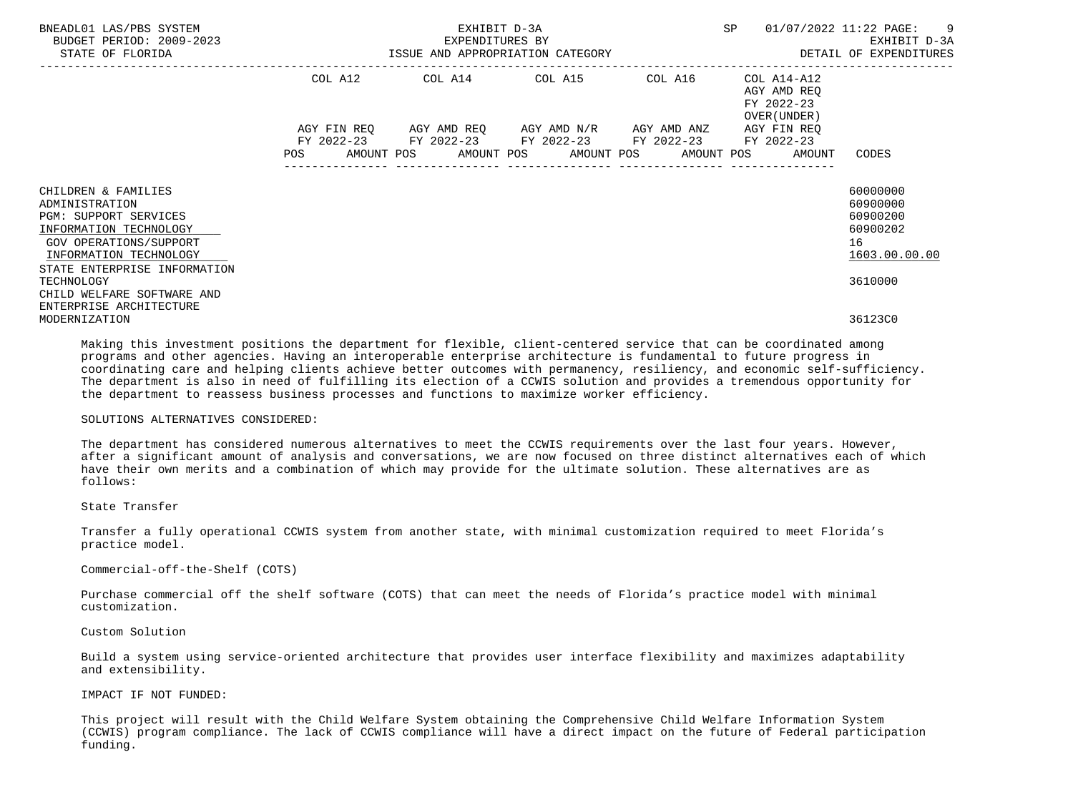| BNEADL01 LAS/PBS SYSTEM<br>BUDGET PERIOD: 2009-2023<br>STATE OF FLORIDA                                                                                                             | EXHIBIT D-3A<br>EXPENDITURES BY<br>ISSUE AND APPROPRIATION CATEGORY |                                                                                                                                                                           |  |         | SP                                                        | 01/07/2022 11:22 PAGE: 9<br>EXHIBIT D-3A<br>DETAIL OF EXPENDITURES  |
|-------------------------------------------------------------------------------------------------------------------------------------------------------------------------------------|---------------------------------------------------------------------|---------------------------------------------------------------------------------------------------------------------------------------------------------------------------|--|---------|-----------------------------------------------------------|---------------------------------------------------------------------|
|                                                                                                                                                                                     |                                                                     | COL A12 COL A14 COL A15                                                                                                                                                   |  | COL A16 | COL A14-A12<br>AGY AMD REO<br>FY 2022-23<br>OVER (UNDER ) |                                                                     |
|                                                                                                                                                                                     |                                                                     | AGY FIN REQ 6GY AMD REQ 6GY AMD N/R 6GY AMD ANZ<br>FY 2022-23 FY 2022-23 FY 2022-23 FY 2022-23 FY 2022-23<br>POS AMOUNT POS AMOUNT POS AMOUNT POS AMOUNT POS AMOUNT CODES |  |         | AGY FIN REO                                               |                                                                     |
| CHILDREN & FAMILIES<br>ADMINISTRATION<br><b>PGM: SUPPORT SERVICES</b><br>INFORMATION TECHNOLOGY<br>GOV OPERATIONS/SUPPORT<br>INFORMATION TECHNOLOGY<br>STATE ENTERPRISE INFORMATION |                                                                     |                                                                                                                                                                           |  |         |                                                           | 60000000<br>60900000<br>60900200<br>60900202<br>16<br>1603.00.00.00 |
| TECHNOLOGY<br>CHILD WELFARE SOFTWARE AND<br>ENTERPRISE ARCHITECTURE                                                                                                                 |                                                                     |                                                                                                                                                                           |  |         |                                                           | 3610000                                                             |
| MODERNIZATION                                                                                                                                                                       |                                                                     |                                                                                                                                                                           |  |         |                                                           | 36123C0                                                             |

 Making this investment positions the department for flexible, client-centered service that can be coordinated among programs and other agencies. Having an interoperable enterprise architecture is fundamental to future progress in coordinating care and helping clients achieve better outcomes with permanency, resiliency, and economic self-sufficiency. The department is also in need of fulfilling its election of a CCWIS solution and provides a tremendous opportunity for the department to reassess business processes and functions to maximize worker efficiency.

#### SOLUTIONS ALTERNATIVES CONSIDERED:

 The department has considered numerous alternatives to meet the CCWIS requirements over the last four years. However, after a significant amount of analysis and conversations, we are now focused on three distinct alternatives each of which have their own merits and a combination of which may provide for the ultimate solution. These alternatives are as follows:

## State Transfer

 Transfer a fully operational CCWIS system from another state, with minimal customization required to meet Florida's practice model.

### Commercial-off-the-Shelf (COTS)

 Purchase commercial off the shelf software (COTS) that can meet the needs of Florida's practice model with minimal customization.

### Custom Solution

 Build a system using service-oriented architecture that provides user interface flexibility and maximizes adaptability and extensibility.

## IMPACT IF NOT FUNDED:

 This project will result with the Child Welfare System obtaining the Comprehensive Child Welfare Information System (CCWIS) program compliance. The lack of CCWIS compliance will have a direct impact on the future of Federal participation funding.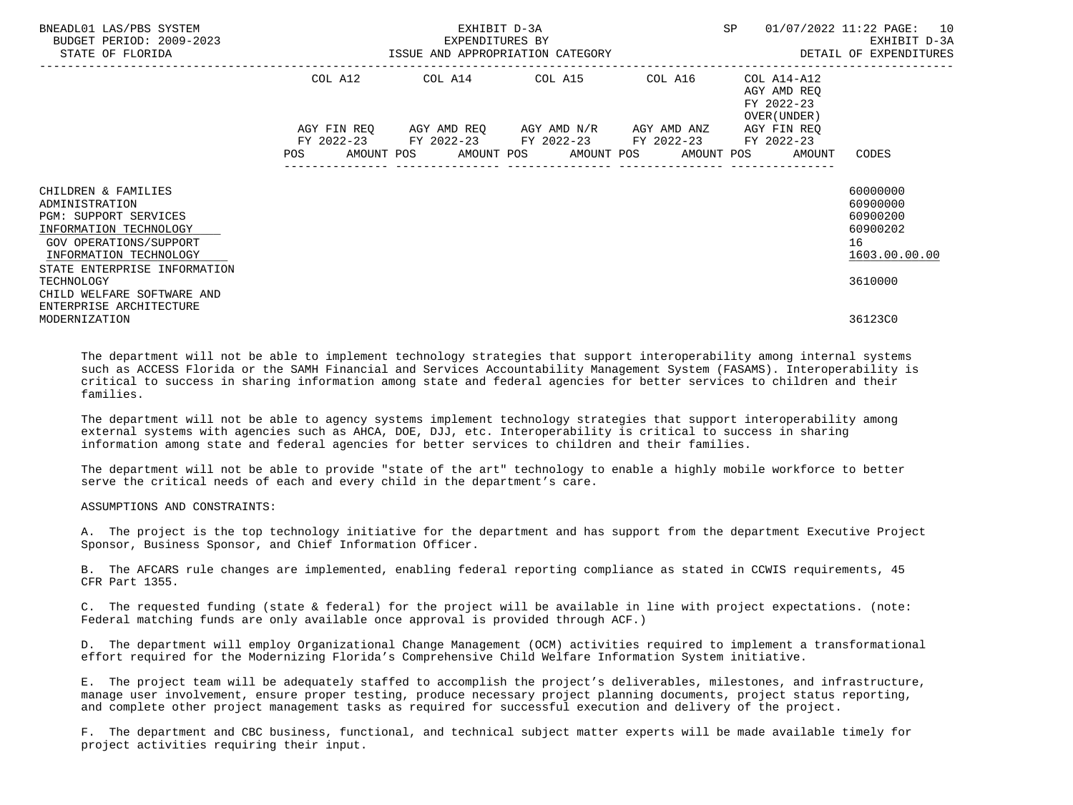| BNEADL01 LAS/PBS SYSTEM<br>BUDGET PERIOD: 2009-2023<br>STATE OF FLORIDA                                                                                                                           | EXHIBIT D-3A<br>EXPENDITURES BY<br>ISSUE AND APPROPRIATION CATEGORY <b>ALL SECONS</b> DETAIL OF EXPENDITURES |  |                                                        |  | SP                                                                    | 01/07/2022 11:22 PAGE: 10<br>EXHIBIT D-3A                                      |
|---------------------------------------------------------------------------------------------------------------------------------------------------------------------------------------------------|--------------------------------------------------------------------------------------------------------------|--|--------------------------------------------------------|--|-----------------------------------------------------------------------|--------------------------------------------------------------------------------|
|                                                                                                                                                                                                   |                                                                                                              |  | COL A12 COL A14 COL A15 COL A16                        |  | COL A14-A12<br>AGY AMD REO<br>FY 2022-23<br>OVER (UNDER )             |                                                                                |
|                                                                                                                                                                                                   |                                                                                                              |  | FY 2022-23 FY 2022-23 FY 2022-23 FY 2022-23 FY 2022-23 |  | AGY FIN REO<br>POS AMOUNT POS AMOUNT POS AMOUNT POS AMOUNT POS AMOUNT | CODES                                                                          |
| CHILDREN & FAMILIES<br>ADMINISTRATION<br><b>PGM: SUPPORT SERVICES</b><br>INFORMATION TECHNOLOGY<br>GOV OPERATIONS/SUPPORT<br>INFORMATION TECHNOLOGY<br>STATE ENTERPRISE INFORMATION<br>TECHNOLOGY |                                                                                                              |  |                                                        |  |                                                                       | 60000000<br>60900000<br>60900200<br>60900202<br>16<br>1603.00.00.00<br>3610000 |
| CHILD WELFARE SOFTWARE AND<br>ENTERPRISE ARCHITECTURE<br>MODERNIZATION                                                                                                                            |                                                                                                              |  |                                                        |  |                                                                       | 36123C0                                                                        |

 The department will not be able to implement technology strategies that support interoperability among internal systems such as ACCESS Florida or the SAMH Financial and Services Accountability Management System (FASAMS). Interoperability is critical to success in sharing information among state and federal agencies for better services to children and their families.

 The department will not be able to agency systems implement technology strategies that support interoperability among external systems with agencies such as AHCA, DOE, DJJ, etc. Interoperability is critical to success in sharing information among state and federal agencies for better services to children and their families.

 The department will not be able to provide "state of the art" technology to enable a highly mobile workforce to better serve the critical needs of each and every child in the department's care.

#### ASSUMPTIONS AND CONSTRAINTS:

 A. The project is the top technology initiative for the department and has support from the department Executive Project Sponsor, Business Sponsor, and Chief Information Officer.

 B. The AFCARS rule changes are implemented, enabling federal reporting compliance as stated in CCWIS requirements, 45 CFR Part 1355.

 C. The requested funding (state & federal) for the project will be available in line with project expectations. (note: Federal matching funds are only available once approval is provided through ACF.)

 D. The department will employ Organizational Change Management (OCM) activities required to implement a transformational effort required for the Modernizing Florida's Comprehensive Child Welfare Information System initiative.

 E. The project team will be adequately staffed to accomplish the project's deliverables, milestones, and infrastructure, manage user involvement, ensure proper testing, produce necessary project planning documents, project status reporting, and complete other project management tasks as required for successful execution and delivery of the project.

 F. The department and CBC business, functional, and technical subject matter experts will be made available timely for project activities requiring their input.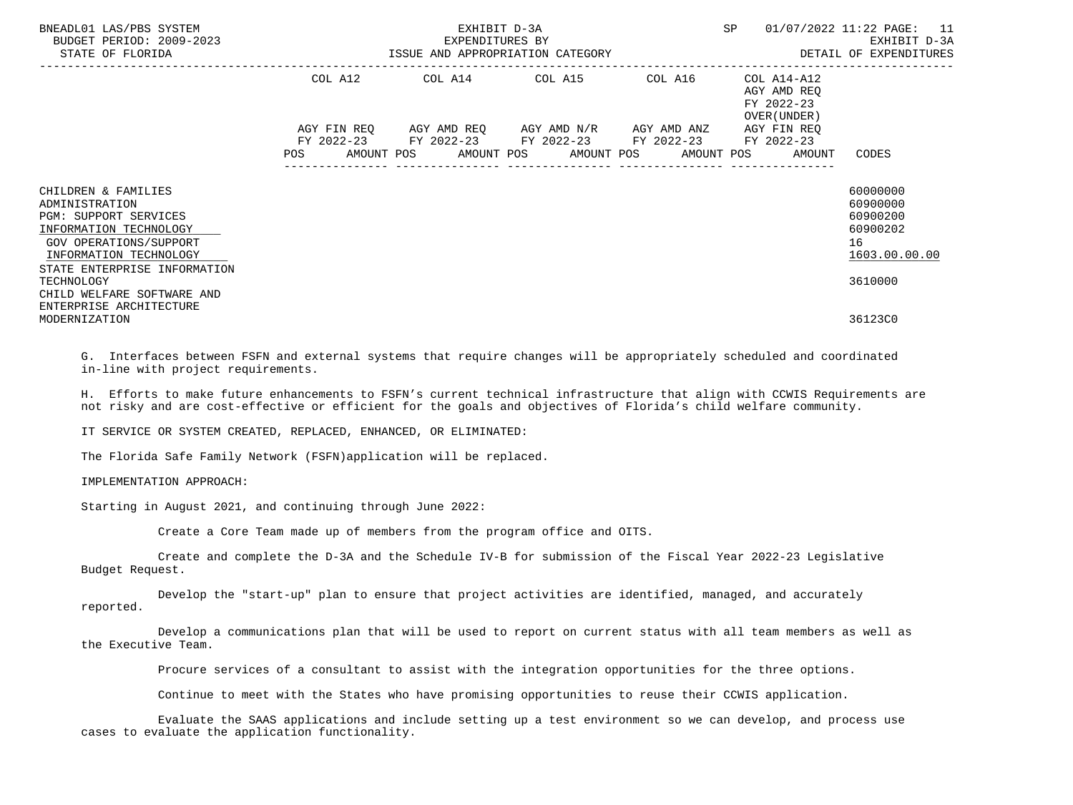| BNEADL01 LAS/PBS SYSTEM<br>BUDGET PERIOD: 2009-2023<br>STATE OF FLORIDA                                                                                                      | EXHIBIT D-3A<br>EXPENDITURES BY<br>EXPENDITURES BY<br>ISSUE AND APPROPRIATION CATEGORY |  |                                                                                                                                                                   |                  | SP                                                       | 01/07/2022 11:22 PAGE: 11<br>EXHIBIT D-3A<br>DETAIL OF EXPENDITURES |
|------------------------------------------------------------------------------------------------------------------------------------------------------------------------------|----------------------------------------------------------------------------------------|--|-------------------------------------------------------------------------------------------------------------------------------------------------------------------|------------------|----------------------------------------------------------|---------------------------------------------------------------------|
|                                                                                                                                                                              | COL A12                                                                                |  | COL A14 COL A15 COL A16                                                                                                                                           |                  | COL A14-A12<br>AGY AMD REO<br>FY 2022-23<br>OVER (UNDER) |                                                                     |
|                                                                                                                                                                              | <b>POS</b>                                                                             |  | AGY FIN REQ AGY AMD REQ AGY AMD N/R AGY AMD ANZ<br>FY 2022-23 FY 2022-23 FY 2022-23 FY 2022-23<br>AMOUNT POS AMOUNT POS AMOUNT POS AMOUNT POS<br>---------------- | ---------------- | AGY FIN REO<br>FY 2022-23<br>AMOUNT                      | CODES                                                               |
| CHILDREN & FAMILIES<br>ADMINISTRATION<br>PGM: SUPPORT SERVICES<br>INFORMATION TECHNOLOGY<br>GOV OPERATIONS/SUPPORT<br>INFORMATION TECHNOLOGY<br>STATE ENTERPRISE INFORMATION |                                                                                        |  |                                                                                                                                                                   |                  |                                                          | 60000000<br>60900000<br>60900200<br>60900202<br>16<br>1603.00.00.00 |
| TECHNOLOGY<br>CHILD WELFARE SOFTWARE AND<br>ENTERPRISE ARCHITECTURE<br>MODERNIZATION                                                                                         |                                                                                        |  |                                                                                                                                                                   |                  |                                                          | 3610000<br>36123C0                                                  |

 G. Interfaces between FSFN and external systems that require changes will be appropriately scheduled and coordinated in-line with project requirements.

 H. Efforts to make future enhancements to FSFN's current technical infrastructure that align with CCWIS Requirements are not risky and are cost-effective or efficient for the goals and objectives of Florida's child welfare community.

IT SERVICE OR SYSTEM CREATED, REPLACED, ENHANCED, OR ELIMINATED:

The Florida Safe Family Network (FSFN)application will be replaced.

# IMPLEMENTATION APPROACH:

Starting in August 2021, and continuing through June 2022:

Create a Core Team made up of members from the program office and OITS.

 Create and complete the D-3A and the Schedule IV-B for submission of the Fiscal Year 2022-23 Legislative Budget Request.

 Develop the "start-up" plan to ensure that project activities are identified, managed, and accurately reported.

 Develop a communications plan that will be used to report on current status with all team members as well as the Executive Team.

Procure services of a consultant to assist with the integration opportunities for the three options.

Continue to meet with the States who have promising opportunities to reuse their CCWIS application.

 Evaluate the SAAS applications and include setting up a test environment so we can develop, and process use cases to evaluate the application functionality.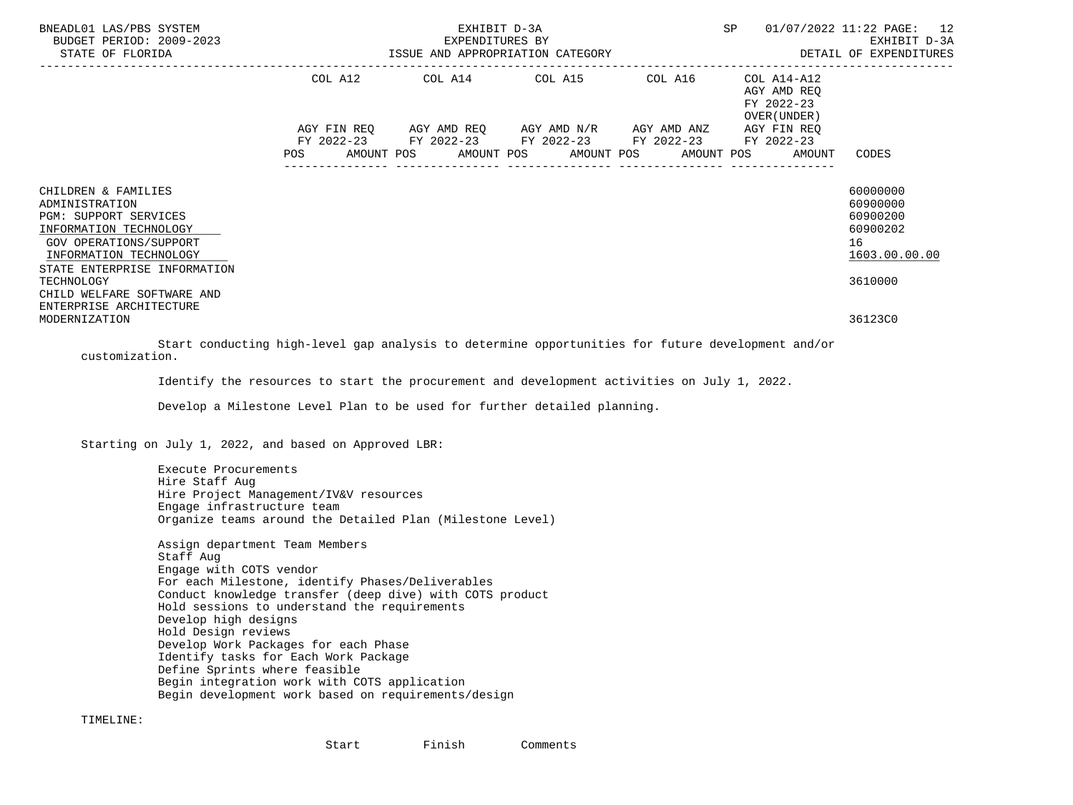| BNEADL01 LAS/PBS SYSTEM<br>BUDGET PERIOD: 2009-2023<br>STATE OF FLORIDA                                                                                                      |            | EXHIBIT D-3A | SP                                                                                                                                                   | 01/07/2022 11:22 PAGE: 12 |                                                           |                                                                     |
|------------------------------------------------------------------------------------------------------------------------------------------------------------------------------|------------|--------------|------------------------------------------------------------------------------------------------------------------------------------------------------|---------------------------|-----------------------------------------------------------|---------------------------------------------------------------------|
|                                                                                                                                                                              |            |              | COL A12 COL A14 COL A15 COL A16                                                                                                                      |                           | COL A14-A12<br>AGY AMD REO<br>FY 2022-23<br>OVER (UNDER ) |                                                                     |
|                                                                                                                                                                              | <b>POS</b> |              | AGY FIN REQ AGY AMD REQ AGY AMD N/R AGY AMD ANZ<br>FY 2022-23 FY 2022-23 FY 2022-23 FY 2022-23<br>AMOUNT POS AMOUNT POS AMOUNT POS AMOUNT POS AMOUNT |                           | AGY FIN REO<br>FY 2022-23                                 | CODES                                                               |
| CHILDREN & FAMILIES<br>ADMINISTRATION<br>PGM: SUPPORT SERVICES<br>INFORMATION TECHNOLOGY<br>GOV OPERATIONS/SUPPORT<br>INFORMATION TECHNOLOGY<br>STATE ENTERPRISE INFORMATION |            |              |                                                                                                                                                      |                           |                                                           | 60000000<br>60900000<br>60900200<br>60900202<br>16<br>1603.00.00.00 |
| TECHNOLOGY<br>CHILD WELFARE SOFTWARE AND<br>ENTERPRISE ARCHITECTURE<br>MODERNIZATION                                                                                         |            |              |                                                                                                                                                      |                           |                                                           | 3610000<br>36123C0                                                  |

 Start conducting high-level gap analysis to determine opportunities for future development and/or customization.

Identify the resources to start the procurement and development activities on July 1, 2022.

Develop a Milestone Level Plan to be used for further detailed planning.

Starting on July 1, 2022, and based on Approved LBR:

 Execute Procurements Hire Staff Aug Hire Project Management/IV&V resources Engage infrastructure team Organize teams around the Detailed Plan (Milestone Level)

 Assign department Team Members Staff Aug Engage with COTS vendor For each Milestone, identify Phases/Deliverables Conduct knowledge transfer (deep dive) with COTS product Hold sessions to understand the requirements Develop high designs Hold Design reviews Develop Work Packages for each Phase Identify tasks for Each Work Package Define Sprints where feasible Begin integration work with COTS application Begin development work based on requirements/design

TIMELINE:

Start Finish Comments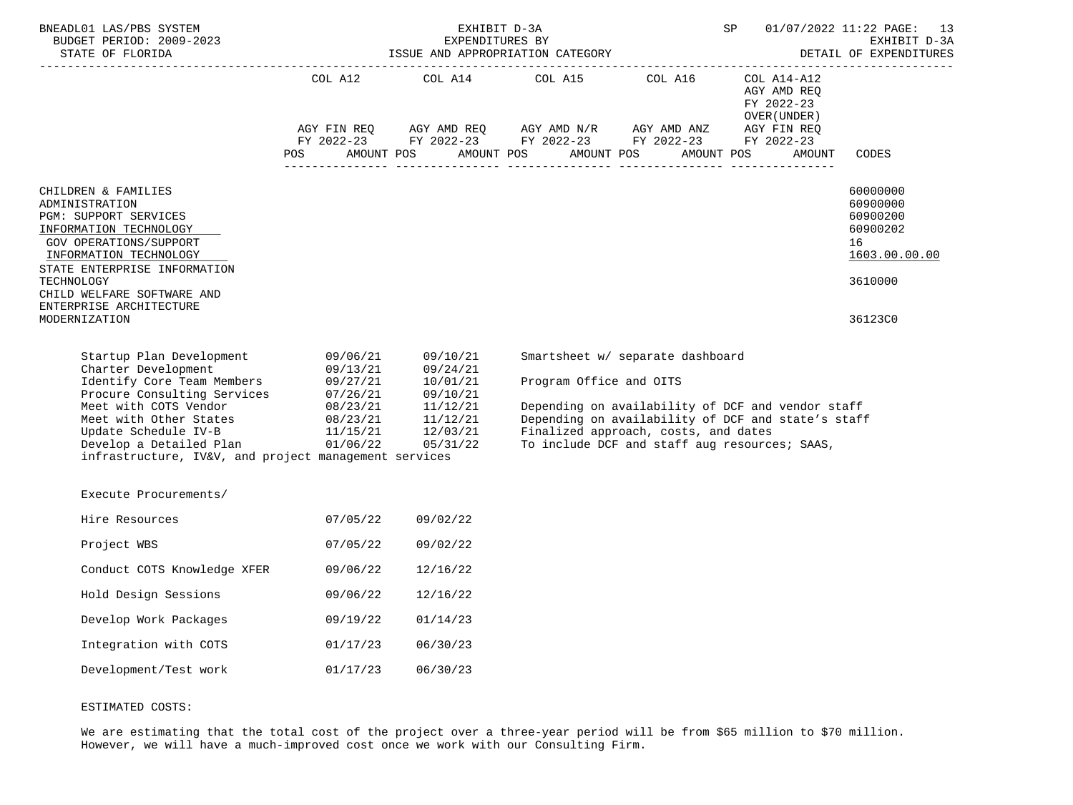| BNEADL01 LAS/PBS SYSTEM<br>BUDGET PERIOD: 2009-2023<br>STATE OF FLORIDA                                                                                                                                                                                                                                                                                         |                      |                      | EXHIBIT D-3A<br>EXPENDITURES BY<br>ISSUE AND APPROPRIATION CATEGORY                                                                                                                                                                                                                                                                                                                                                                                                                                                                                                                                                                                                                                                                                                                                                |                                                                          | SP                                                                                                                                                       | 01/07/2022 11:22 PAGE: 13<br>EXHIBIT D-3A<br>DETAIL OF EXPENDITURES            |
|-----------------------------------------------------------------------------------------------------------------------------------------------------------------------------------------------------------------------------------------------------------------------------------------------------------------------------------------------------------------|----------------------|----------------------|--------------------------------------------------------------------------------------------------------------------------------------------------------------------------------------------------------------------------------------------------------------------------------------------------------------------------------------------------------------------------------------------------------------------------------------------------------------------------------------------------------------------------------------------------------------------------------------------------------------------------------------------------------------------------------------------------------------------------------------------------------------------------------------------------------------------|--------------------------------------------------------------------------|----------------------------------------------------------------------------------------------------------------------------------------------------------|--------------------------------------------------------------------------------|
|                                                                                                                                                                                                                                                                                                                                                                 | POS                  |                      | $\begin{tabular}{lllllllllll} \multicolumn{2}{l}{{\text{COL A14}} } & \multicolumn{2}{c}{{\text{COL A15}} } & \multicolumn{2}{c}{{\text{COL A16}} } & \multicolumn{2}{c}{{\text{COL A14} - A12}} \\ & \multicolumn{2}{c}{{\text{COL A14}} } & \multicolumn{2}{c}{{\text{COL A15}} } & \multicolumn{2}{c}{{\text{COL A16}} } & \multicolumn{2}{c}{{\text{COL A14} - A12}} \\ & \multicolumn{2}{c}{{\text{AGT AMD REQ}}} & \multicolumn{2}{c}{{\text{COL A1$<br>$\begin{array}{lllllll} \text{AGY}\ \text{FIN}\ \text{REQ} & \text{AGY}\ \text{AMD}\ \text{REQ} & \text{AGY}\ \text{AMD}\ \text{N/R} & \text{AGY}\ \text{AMD}\ \text{ANZ} & \text{AGY}\ \text{FIN}\ \text{REQ} \\ \text{FY}\ 2022-23 & \text{FY}\ 2022-23 & \text{FY}\ 2022-23 & \text{FY}\ 2022-23 \end{array}$<br>AMOUNT POS AMOUNT POS AMOUNT POS |                                                                          | FY 2022-23<br>OVER (UNDER )<br>AMOUNT POS<br>AMOUNT                                                                                                      | CODES                                                                          |
| CHILDREN & FAMILIES<br>ADMINISTRATION<br>PGM: SUPPORT SERVICES<br>INFORMATION TECHNOLOGY<br>GOV OPERATIONS/SUPPORT<br>INFORMATION TECHNOLOGY<br>STATE ENTERPRISE INFORMATION<br>TECHNOLOGY<br>CHILD WELFARE SOFTWARE AND                                                                                                                                        |                      |                      |                                                                                                                                                                                                                                                                                                                                                                                                                                                                                                                                                                                                                                                                                                                                                                                                                    |                                                                          |                                                                                                                                                          | 60000000<br>60900000<br>60900200<br>60900202<br>16<br>1603.00.00.00<br>3610000 |
| ENTERPRISE ARCHITECTURE<br>MODERNIZATION                                                                                                                                                                                                                                                                                                                        |                      |                      |                                                                                                                                                                                                                                                                                                                                                                                                                                                                                                                                                                                                                                                                                                                                                                                                                    |                                                                          |                                                                                                                                                          | 36123C0                                                                        |
| Startup Plan Development 09/06/21 09/10/21<br>Charter Development<br>Charter Development<br>Identify Core Team Members<br>$09/13/21$<br>$09/24/21$<br>$10/01/21$<br>Procure Consulting Services<br>$07/26/21$<br>$09/10/21$<br>$09/10/21$<br>Meet with COTS Vendor<br>$08/23/21$<br>$11/12/21$<br>Meet<br>infrastructure, IV&V, and project management services |                      |                      | Program Office and OITS                                                                                                                                                                                                                                                                                                                                                                                                                                                                                                                                                                                                                                                                                                                                                                                            | Smartsheet w/ separate dashboard<br>Finalized approach, costs, and dates | Depending on availability of DCF and vendor staff<br>Depending on availability of DCF and state's staff<br>To include DCF and staff aug resources; SAAS, |                                                                                |
| Execute Procurements/                                                                                                                                                                                                                                                                                                                                           |                      |                      |                                                                                                                                                                                                                                                                                                                                                                                                                                                                                                                                                                                                                                                                                                                                                                                                                    |                                                                          |                                                                                                                                                          |                                                                                |
| Hire Resources                                                                                                                                                                                                                                                                                                                                                  | 07/05/22             | 09/02/22             |                                                                                                                                                                                                                                                                                                                                                                                                                                                                                                                                                                                                                                                                                                                                                                                                                    |                                                                          |                                                                                                                                                          |                                                                                |
| Project WBS                                                                                                                                                                                                                                                                                                                                                     | 07/05/22             | 09/02/22             |                                                                                                                                                                                                                                                                                                                                                                                                                                                                                                                                                                                                                                                                                                                                                                                                                    |                                                                          |                                                                                                                                                          |                                                                                |
| Conduct COTS Knowledge XFER<br>Hold Design Sessions                                                                                                                                                                                                                                                                                                             | 09/06/22<br>09/06/22 | 12/16/22<br>12/16/22 |                                                                                                                                                                                                                                                                                                                                                                                                                                                                                                                                                                                                                                                                                                                                                                                                                    |                                                                          |                                                                                                                                                          |                                                                                |
| Develop Work Packages                                                                                                                                                                                                                                                                                                                                           | 09/19/22             | 01/14/23             |                                                                                                                                                                                                                                                                                                                                                                                                                                                                                                                                                                                                                                                                                                                                                                                                                    |                                                                          |                                                                                                                                                          |                                                                                |
| Integration with COTS                                                                                                                                                                                                                                                                                                                                           | 01/17/23             | 06/30/23             |                                                                                                                                                                                                                                                                                                                                                                                                                                                                                                                                                                                                                                                                                                                                                                                                                    |                                                                          |                                                                                                                                                          |                                                                                |
| Development/Test work                                                                                                                                                                                                                                                                                                                                           | 01/17/23             | 06/30/23             |                                                                                                                                                                                                                                                                                                                                                                                                                                                                                                                                                                                                                                                                                                                                                                                                                    |                                                                          |                                                                                                                                                          |                                                                                |

# ESTIMATED COSTS:

We are estimating that the total cost of the project over a three-year period will be from \$65 million to \$70 million. However, we will have a much-improved cost once we work with our Consulting Firm.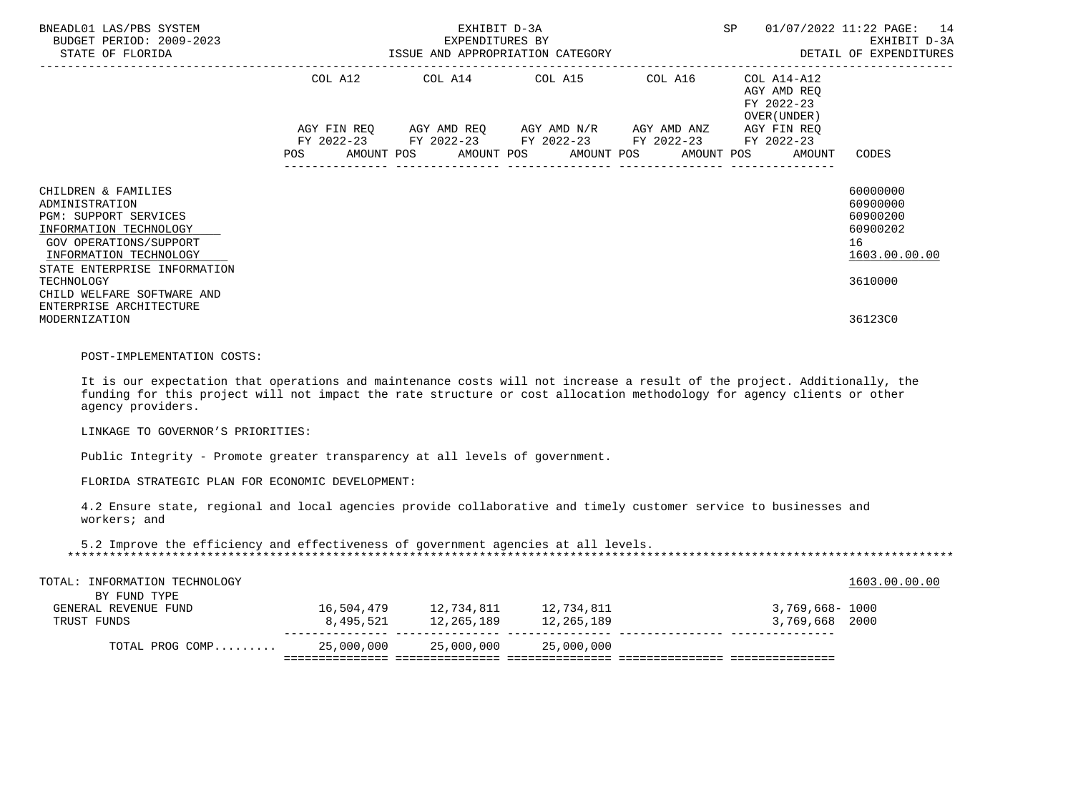| BNEADL01 LAS/PBS SYSTEM<br>BUDGET PERIOD: 2009-2023<br>STATE OF FLORIDA                                                                                                                                                                                                 |        | EXHIBIT D-3A<br>SP<br>EXPENDITURES BY<br>EXPENDITORES BI<br>ISSUE AND APPROPRIATION CATEGORY THE SECTION OF EXPENDITURES                                                                                                   |  |  |  |                                  |  |            |  |                                                                    | 01/07/2022 11:22 PAGE: 14<br>EXHIBIT D-3A                                      |
|-------------------------------------------------------------------------------------------------------------------------------------------------------------------------------------------------------------------------------------------------------------------------|--------|----------------------------------------------------------------------------------------------------------------------------------------------------------------------------------------------------------------------------|--|--|--|----------------------------------|--|------------|--|--------------------------------------------------------------------|--------------------------------------------------------------------------------|
|                                                                                                                                                                                                                                                                         | POS DO | COL A12 COL A14 COL A15 COL A16<br>$AGY \text{ FIN REQ} \qquad \text{AGY AMD REQ} \qquad \text{AGY AMD N/R} \qquad \text{AGY AMD ANZ} \qquad \text{AGY FIN REQ}$<br>FY 2022-23 FY 2022-23 FY 2022-23 FY 2022-23 FY 2022-23 |  |  |  | AMOUNT POS AMOUNT POS AMOUNT POS |  | AMOUNT POS |  | COL A14-A12<br>AGY AMD REO<br>FY 2022-23<br>OVER (UNDER)<br>AMOUNT | CODES                                                                          |
| CHILDREN & FAMILIES<br>ADMINISTRATION<br><b>PGM: SUPPORT SERVICES</b><br>INFORMATION TECHNOLOGY<br>GOV OPERATIONS/SUPPORT<br>INFORMATION TECHNOLOGY<br>STATE ENTERPRISE INFORMATION<br>TECHNOLOGY<br>CHILD WELFARE SOFTWARE AND<br>ENTERPRISE ARCHITECTURE              |        |                                                                                                                                                                                                                            |  |  |  |                                  |  |            |  |                                                                    | 60000000<br>60900000<br>60900200<br>60900202<br>16<br>1603.00.00.00<br>3610000 |
| MODERNIZATION                                                                                                                                                                                                                                                           |        |                                                                                                                                                                                                                            |  |  |  |                                  |  |            |  |                                                                    | 36123C0                                                                        |
| POST-IMPLEMENTATION COSTS:                                                                                                                                                                                                                                              |        |                                                                                                                                                                                                                            |  |  |  |                                  |  |            |  |                                                                    |                                                                                |
| It is our expectation that operations and maintenance costs will not increase a result of the project. Additionally, the<br>funding for this project will not impact the rate structure or cost allocation methodology for agency clients or other<br>agency providers. |        |                                                                                                                                                                                                                            |  |  |  |                                  |  |            |  |                                                                    |                                                                                |
| LINKAGE TO GOVERNOR'S PRIORITIES:                                                                                                                                                                                                                                       |        |                                                                                                                                                                                                                            |  |  |  |                                  |  |            |  |                                                                    |                                                                                |
| Public Integrity - Promote greater transparency at all levels of government.                                                                                                                                                                                            |        |                                                                                                                                                                                                                            |  |  |  |                                  |  |            |  |                                                                    |                                                                                |

FLORIDA STRATEGIC PLAN FOR ECONOMIC DEVELOPMENT:

 4.2 Ensure state, regional and local agencies provide collaborative and timely customer service to businesses and workers; and

 5.2 Improve the efficiency and effectiveness of government agencies at all levels. \*\*\*\*\*\*\*\*\*\*\*\*\*\*\*\*\*\*\*\*\*\*\*\*\*\*\*\*\*\*\*\*\*\*\*\*\*\*\*\*\*\*\*\*\*\*\*\*\*\*\*\*\*\*\*\*\*\*\*\*\*\*\*\*\*\*\*\*\*\*\*\*\*\*\*\*\*\*\*\*\*\*\*\*\*\*\*\*\*\*\*\*\*\*\*\*\*\*\*\*\*\*\*\*\*\*\*\*\*\*\*\*\*\*\*\*\*\*\*\*\*\*\*\*\*\*\*

| TOTAL: INFORMATION TECHNOLOGY<br>BY FUND TYPE |            |            |            | 1603.00.00.00     |
|-----------------------------------------------|------------|------------|------------|-------------------|
| GENERAL REVENUE FUND                          | 16,504,479 | 12,734,811 | 12,734,811 | 3,769,668- 1000   |
| TRUST FUNDS                                   | 8,495,521  | 12,265,189 | 12,265,189 | 2000<br>3,769,668 |
| TOTAL PROG COMP                               | 25,000,000 | 25,000,000 | 25,000,000 |                   |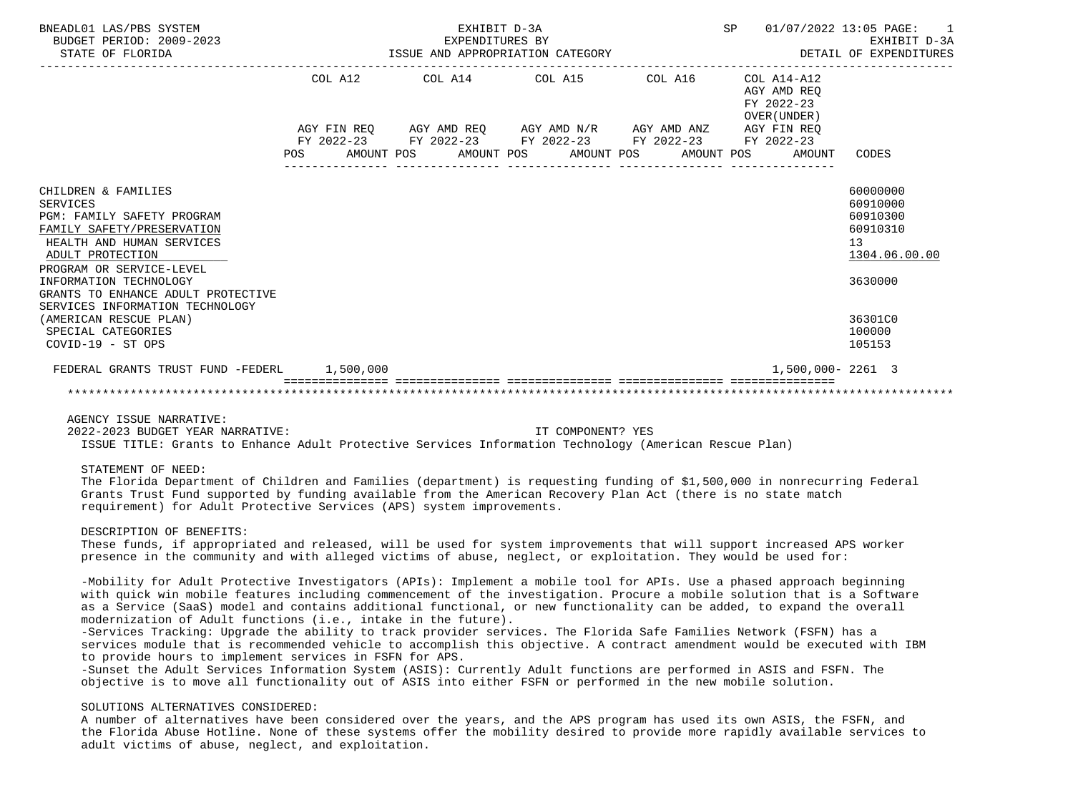| BNEADL01 LAS/PBS SYSTEM<br>BUDGET PERIOD: 2009-2023<br>STATE OF FLORIDA | EXHIBIT D-3A<br>EXPENDITURES BY<br>ISSUE AND APPROPRIATION CATEGORY                                            |                                                             |  |  |  |                                             |  | <b>SP</b><br>01/07/2022 13:05 PAGE:<br>EXHIBIT D-3A<br>DETAIL OF EXPENDITURES |  |                                                          |               |
|-------------------------------------------------------------------------|----------------------------------------------------------------------------------------------------------------|-------------------------------------------------------------|--|--|--|---------------------------------------------|--|-------------------------------------------------------------------------------|--|----------------------------------------------------------|---------------|
|                                                                         |                                                                                                                | COL A12                                                     |  |  |  | COL A14 COL A15 COL A16                     |  |                                                                               |  | COL A14-A12<br>AGY AMD REO<br>FY 2022-23<br>OVER (UNDER) |               |
|                                                                         |                                                                                                                | AGY FIN REQ AGY AMD REQ AGY AMD N/R AGY AMD ANZ AGY FIN REQ |  |  |  |                                             |  |                                                                               |  |                                                          |               |
|                                                                         |                                                                                                                | FY 2022-23 FY 2022-23 FY 2022-23 FY 2022-23 FY 2022-23      |  |  |  |                                             |  |                                                                               |  |                                                          |               |
|                                                                         | POS FOR THE POST OF THE POST OF THE POST OF THE POST OF THE POST OF THE POST OF THE POST OF THE POST OF THE PO |                                                             |  |  |  | AMOUNT POS AMOUNT POS AMOUNT POS AMOUNT POS |  |                                                                               |  | AMOUNT                                                   | CODES         |
|                                                                         |                                                                                                                |                                                             |  |  |  |                                             |  |                                                                               |  |                                                          |               |
| CHILDREN & FAMILIES                                                     |                                                                                                                |                                                             |  |  |  |                                             |  |                                                                               |  |                                                          | 60000000      |
| <b>SERVICES</b>                                                         |                                                                                                                |                                                             |  |  |  |                                             |  |                                                                               |  |                                                          | 60910000      |
| PGM: FAMILY SAFETY PROGRAM                                              |                                                                                                                |                                                             |  |  |  |                                             |  |                                                                               |  |                                                          | 60910300      |
| FAMILY SAFETY/PRESERVATION                                              |                                                                                                                |                                                             |  |  |  |                                             |  |                                                                               |  |                                                          | 60910310      |
| HEALTH AND HUMAN SERVICES                                               |                                                                                                                |                                                             |  |  |  |                                             |  |                                                                               |  |                                                          | 13            |
| ADULT PROTECTION                                                        |                                                                                                                |                                                             |  |  |  |                                             |  |                                                                               |  |                                                          | 1304.06.00.00 |
| PROGRAM OR SERVICE-LEVEL                                                |                                                                                                                |                                                             |  |  |  |                                             |  |                                                                               |  |                                                          |               |
| INFORMATION TECHNOLOGY                                                  |                                                                                                                |                                                             |  |  |  |                                             |  |                                                                               |  |                                                          | 3630000       |
| GRANTS TO ENHANCE ADULT PROTECTIVE                                      |                                                                                                                |                                                             |  |  |  |                                             |  |                                                                               |  |                                                          |               |
| SERVICES INFORMATION TECHNOLOGY                                         |                                                                                                                |                                                             |  |  |  |                                             |  |                                                                               |  |                                                          |               |
| (AMERICAN RESCUE PLAN)                                                  |                                                                                                                |                                                             |  |  |  |                                             |  |                                                                               |  |                                                          | 36301C0       |
| SPECIAL CATEGORIES                                                      |                                                                                                                |                                                             |  |  |  |                                             |  |                                                                               |  |                                                          | 100000        |
| COVID-19 - ST OPS                                                       |                                                                                                                |                                                             |  |  |  |                                             |  |                                                                               |  |                                                          | 105153        |
| FEDERAL GRANTS TRUST FUND -FEDERL 1,500,000                             |                                                                                                                |                                                             |  |  |  |                                             |  |                                                                               |  | 1,500,000-2261 3                                         |               |
|                                                                         |                                                                                                                |                                                             |  |  |  |                                             |  |                                                                               |  |                                                          |               |

2022-2023 BUDGET YEAR NARRATIVE: IT COMPONENT? YES

ISSUE TITLE: Grants to Enhance Adult Protective Services Information Technology (American Rescue Plan)

STATEMENT OF NEED:

 The Florida Department of Children and Families (department) is requesting funding of \$1,500,000 in nonrecurring Federal Grants Trust Fund supported by funding available from the American Recovery Plan Act (there is no state match requirement) for Adult Protective Services (APS) system improvements.

DESCRIPTION OF BENEFITS:

 These funds, if appropriated and released, will be used for system improvements that will support increased APS worker presence in the community and with alleged victims of abuse, neglect, or exploitation. They would be used for:

 -Mobility for Adult Protective Investigators (APIs): Implement a mobile tool for APIs. Use a phased approach beginning with quick win mobile features including commencement of the investigation. Procure a mobile solution that is a Software as a Service (SaaS) model and contains additional functional, or new functionality can be added, to expand the overall modernization of Adult functions (i.e., intake in the future).

 -Services Tracking: Upgrade the ability to track provider services. The Florida Safe Families Network (FSFN) has a services module that is recommended vehicle to accomplish this objective. A contract amendment would be executed with IBM to provide hours to implement services in FSFN for APS.

 -Sunset the Adult Services Information System (ASIS): Currently Adult functions are performed in ASIS and FSFN. The objective is to move all functionality out of ASIS into either FSFN or performed in the new mobile solution.

# SOLUTIONS ALTERNATIVES CONSIDERED:

 A number of alternatives have been considered over the years, and the APS program has used its own ASIS, the FSFN, and the Florida Abuse Hotline. None of these systems offer the mobility desired to provide more rapidly available services to adult victims of abuse, neglect, and exploitation.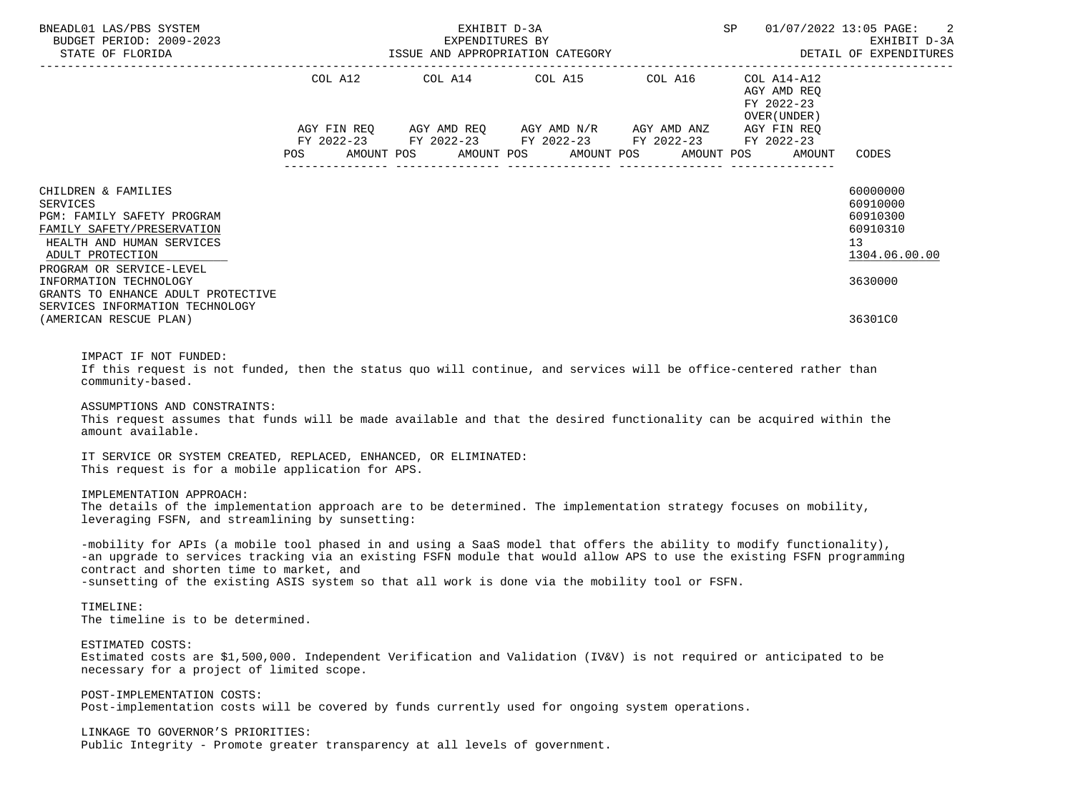|                                                                                                                                                                                                                                                                                                                                                                                                                                                                                                                                                                                                                                                                                                                                                                                                                                                                                                                                                                          |                                                 |                                                                                                                                                                              |                                          | 01/07/2022 13:05 PAGE:<br>2<br>EXHIBIT D-3A<br>DETAIL OF EXPENDITURES                       |
|--------------------------------------------------------------------------------------------------------------------------------------------------------------------------------------------------------------------------------------------------------------------------------------------------------------------------------------------------------------------------------------------------------------------------------------------------------------------------------------------------------------------------------------------------------------------------------------------------------------------------------------------------------------------------------------------------------------------------------------------------------------------------------------------------------------------------------------------------------------------------------------------------------------------------------------------------------------------------|-------------------------------------------------|------------------------------------------------------------------------------------------------------------------------------------------------------------------------------|------------------------------------------|---------------------------------------------------------------------------------------------|
|                                                                                                                                                                                                                                                                                                                                                                                                                                                                                                                                                                                                                                                                                                                                                                                                                                                                                                                                                                          |                                                 | COL A12 $COL$ A14 $COL$ A15 $COL$ A16 $COL$ A14-A12<br>AGY FIN REQ AGY AMD REQ AGY AMD N/R AGY AMD ANZ AGY FIN REQ<br>FY 2022-23 FY 2022-23 FY 2022-23 FY 2022-23 FY 2022-23 | AGY AMD REQ<br>FY 2022-23<br>OVER(UNDER) |                                                                                             |
|                                                                                                                                                                                                                                                                                                                                                                                                                                                                                                                                                                                                                                                                                                                                                                                                                                                                                                                                                                          | POS AMOUNT POS AMOUNT POS AMOUNT POS AMOUNT POS |                                                                                                                                                                              | AMOUNT                                   | CODES                                                                                       |
| CHILDREN & FAMILIES<br><b>SERVICES</b><br>PGM: FAMILY SAFETY PROGRAM<br>FAMILY SAFETY/PRESERVATION<br>HEALTH AND HUMAN SERVICES<br>ADULT PROTECTION<br>PROGRAM OR SERVICE-LEVEL<br>INFORMATION TECHNOLOGY<br>GRANTS TO ENHANCE ADULT PROTECTIVE                                                                                                                                                                                                                                                                                                                                                                                                                                                                                                                                                                                                                                                                                                                          |                                                 |                                                                                                                                                                              |                                          | 60000000<br>60910000<br>60910300<br>60910310<br>13 <sup>°</sup><br>1304.06.00.00<br>3630000 |
| SERVICES INFORMATION TECHNOLOGY<br>(AMERICAN RESCUE PLAN)                                                                                                                                                                                                                                                                                                                                                                                                                                                                                                                                                                                                                                                                                                                                                                                                                                                                                                                |                                                 |                                                                                                                                                                              |                                          | 36301C0                                                                                     |
| IMPACT IF NOT FUNDED:<br>If this request is not funded, then the status quo will continue, and services will be office-centered rather than<br>community-based.<br>ASSUMPTIONS AND CONSTRAINTS:<br>This request assumes that funds will be made available and that the desired functionality can be acquired within the<br>amount available.<br>IT SERVICE OR SYSTEM CREATED, REPLACED, ENHANCED, OR ELIMINATED:<br>This request is for a mobile application for APS.<br>IMPLEMENTATION APPROACH:<br>The details of the implementation approach are to be determined. The implementation strategy focuses on mobility,<br>leveraging FSFN, and streamlining by sunsetting:<br>-mobility for APIs (a mobile tool phased in and using a SaaS model that offers the ability to modify functionality),<br>-an upgrade to services tracking via an existing FSFN module that would allow APS to use the existing FSFN programming<br>contract and shorten time to market, and |                                                 |                                                                                                                                                                              |                                          |                                                                                             |
| -sunsetting of the existing ASIS system so that all work is done via the mobility tool or FSFN.<br>TIMELINE:                                                                                                                                                                                                                                                                                                                                                                                                                                                                                                                                                                                                                                                                                                                                                                                                                                                             |                                                 |                                                                                                                                                                              |                                          |                                                                                             |
| The timeline is to be determined.                                                                                                                                                                                                                                                                                                                                                                                                                                                                                                                                                                                                                                                                                                                                                                                                                                                                                                                                        |                                                 |                                                                                                                                                                              |                                          |                                                                                             |
| ESTIMATED COSTS:<br>Estimated costs are \$1,500,000. Independent Verification and Validation (IV&V) is not required or anticipated to be<br>necessary for a project of limited scope.                                                                                                                                                                                                                                                                                                                                                                                                                                                                                                                                                                                                                                                                                                                                                                                    |                                                 |                                                                                                                                                                              |                                          |                                                                                             |
| POST-IMPLEMENTATION COSTS:<br>Post-implementation costs will be covered by funds currently used for ongoing system operations.                                                                                                                                                                                                                                                                                                                                                                                                                                                                                                                                                                                                                                                                                                                                                                                                                                           |                                                 |                                                                                                                                                                              |                                          |                                                                                             |
| LINKAGE TO GOVERNOR'S PRIORITIES:<br>Public Integrity - Promote greater transparency at all levels of government.                                                                                                                                                                                                                                                                                                                                                                                                                                                                                                                                                                                                                                                                                                                                                                                                                                                        |                                                 |                                                                                                                                                                              |                                          |                                                                                             |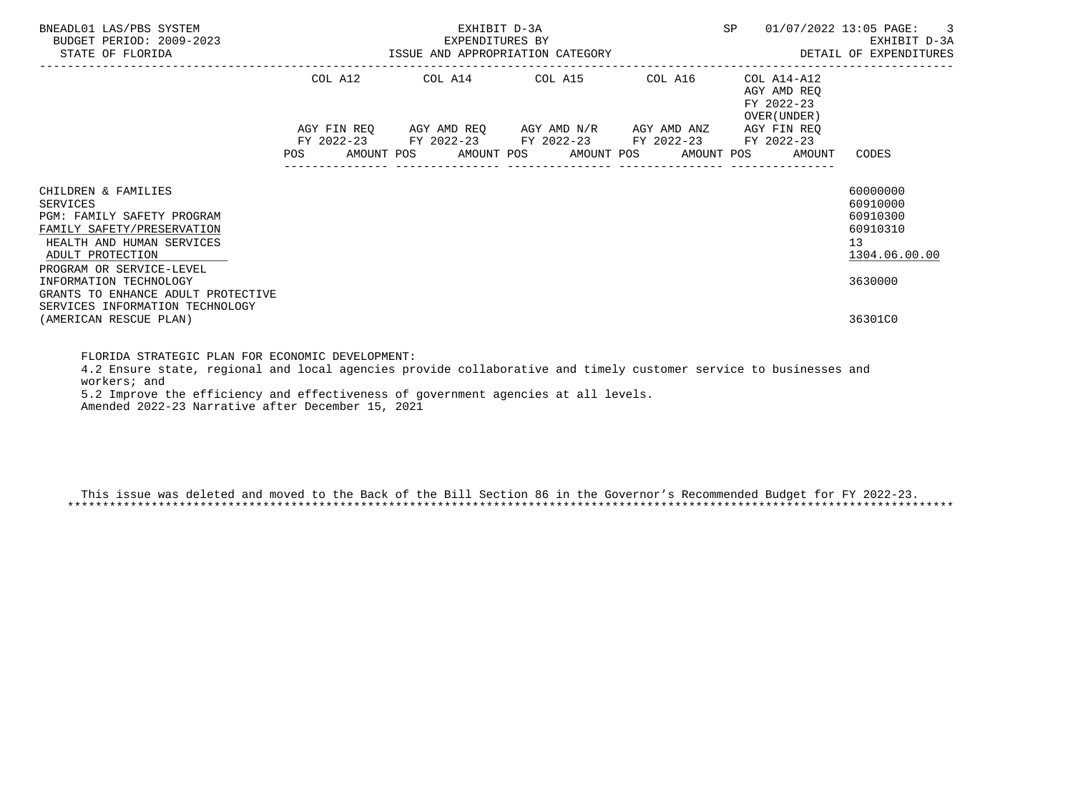| BNEADL01 LAS/PBS SYSTEM<br>BUDGET PERIOD: 2009-2023<br>STATE OF FLORIDA                                                                                                         |         | EXHIBIT D-3A<br>EXPENDITURES BY<br>ISSUE AND APPROPRIATION CATEGORY                                       | SP | $01/07/2022$ 13:05 PAGE: 3<br>EXHIBIT D-3A<br>DETAIL OF EXPENDITURES  |                                                                     |
|---------------------------------------------------------------------------------------------------------------------------------------------------------------------------------|---------|-----------------------------------------------------------------------------------------------------------|----|-----------------------------------------------------------------------|---------------------------------------------------------------------|
|                                                                                                                                                                                 | COL A12 | COL A14 COL A15 COL A16                                                                                   |    | COL A14-A12<br>AGY AMD REO<br>FY 2022-23<br>OVER (UNDER )             |                                                                     |
|                                                                                                                                                                                 |         | AGY FIN REQ AGY AMD REQ AGY AMD N/R AGY AMD ANZ<br>FY 2022-23 FY 2022-23 FY 2022-23 FY 2022-23 FY 2022-23 |    | AGY FIN REO<br>POS AMOUNT POS AMOUNT POS AMOUNT POS AMOUNT POS AMOUNT | CODES                                                               |
| CHILDREN & FAMILIES<br>SERVICES<br><b>PGM: FAMILY SAFETY PROGRAM</b><br>FAMILY SAFETY/PRESERVATION<br>HEALTH AND HUMAN SERVICES<br>ADULT PROTECTION<br>PROGRAM OR SERVICE-LEVEL |         |                                                                                                           |    |                                                                       | 60000000<br>60910000<br>60910300<br>60910310<br>13<br>1304.06.00.00 |
| INFORMATION TECHNOLOGY<br>GRANTS TO ENHANCE ADULT PROTECTIVE<br>SERVICES INFORMATION TECHNOLOGY<br>(AMERICAN RESCUE PLAN)                                                       |         |                                                                                                           |    |                                                                       | 3630000<br>36301C0                                                  |

 FLORIDA STRATEGIC PLAN FOR ECONOMIC DEVELOPMENT: 4.2 Ensure state, regional and local agencies provide collaborative and timely customer service to businesses and workers; and 5.2 Improve the efficiency and effectiveness of government agencies at all levels.

Amended 2022-23 Narrative after December 15, 2021

 This issue was deleted and moved to the Back of the Bill Section 86 in the Governor's Recommended Budget for FY 2022-23. \*\*\*\*\*\*\*\*\*\*\*\*\*\*\*\*\*\*\*\*\*\*\*\*\*\*\*\*\*\*\*\*\*\*\*\*\*\*\*\*\*\*\*\*\*\*\*\*\*\*\*\*\*\*\*\*\*\*\*\*\*\*\*\*\*\*\*\*\*\*\*\*\*\*\*\*\*\*\*\*\*\*\*\*\*\*\*\*\*\*\*\*\*\*\*\*\*\*\*\*\*\*\*\*\*\*\*\*\*\*\*\*\*\*\*\*\*\*\*\*\*\*\*\*\*\*\*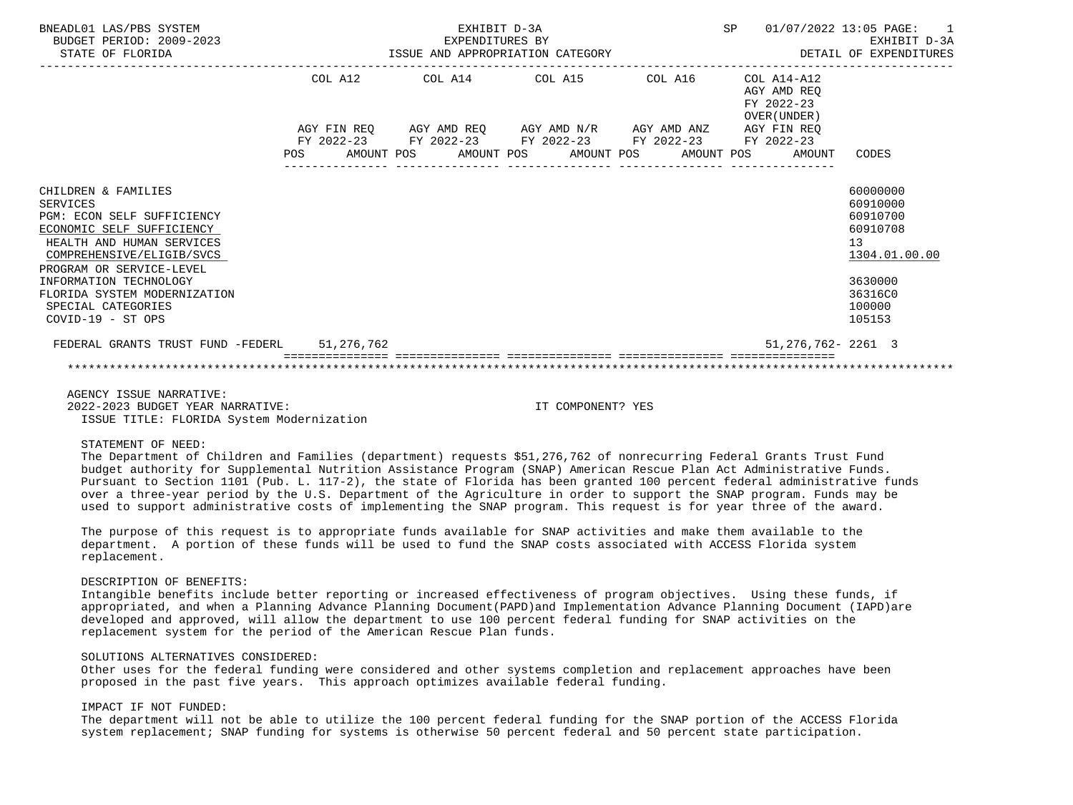| BNEADL01 LAS/PBS SYSTEM<br>BUDGET PERIOD: 2009-2023<br>STATE OF FLORIDA                                                                                                                                                                                                                        |         | EXPENDITURES BY<br>ISSUE AND APPROPRIATION CATEGORY                                                                                                                                                                                                     | EXHIBIT D-3A |                                                     | SP 01/07/2022 13:05 PAGE: 1<br>EXHIBIT D-3A<br>DETAIL OF EXPENDITURES                                         |
|------------------------------------------------------------------------------------------------------------------------------------------------------------------------------------------------------------------------------------------------------------------------------------------------|---------|---------------------------------------------------------------------------------------------------------------------------------------------------------------------------------------------------------------------------------------------------------|--------------|-----------------------------------------------------|---------------------------------------------------------------------------------------------------------------|
|                                                                                                                                                                                                                                                                                                | COL A12 | COL A14 $\phantom{000}$ COL A15 $\phantom{000}$ COL $\phantom{000}$ A14-A12<br>AGY FIN REQ AGY AMD REQ AGY AMD N/R AGY AMD ANZ AGY FIN REQ<br>FY 2022-23 FY 2022-23 FY 2022-23 FY 2022-23 FY 2022-23<br>POS AMOUNT POS AMOUNT POS AMOUNT POS AMOUNT POS |              | AGY AMD REO<br>FY 2022-23<br>OVER (UNDER)<br>AMOUNT | CODES                                                                                                         |
| CHILDREN & FAMILIES<br><b>SERVICES</b><br>PGM: ECON SELF SUFFICIENCY<br>ECONOMIC SELF SUFFICIENCY<br>HEALTH AND HUMAN SERVICES<br>COMPREHENSIVE/ELIGIB/SVCS<br>PROGRAM OR SERVICE-LEVEL<br>INFORMATION TECHNOLOGY<br>FLORIDA SYSTEM MODERNIZATION<br>SPECIAL CATEGORIES<br>$COVID-19 - ST OPS$ |         |                                                                                                                                                                                                                                                         |              |                                                     | 60000000<br>60910000<br>60910700<br>60910708<br>13<br>1304.01.00.00<br>3630000<br>36316C0<br>100000<br>105153 |
| FEDERAL GRANTS TRUST FUND -FEDERL 51,276,762                                                                                                                                                                                                                                                   |         |                                                                                                                                                                                                                                                         |              | 51, 276, 762 - 2261 3                               |                                                                                                               |
|                                                                                                                                                                                                                                                                                                |         |                                                                                                                                                                                                                                                         |              |                                                     |                                                                                                               |

 AGENCY ISSUE NARRATIVE: 2022-2023 BUDGET YEAR NARRATIVE: IT COMPONENT? YES ISSUE TITLE: FLORIDA System Modernization

### STATEMENT OF NEED:

 The Department of Children and Families (department) requests \$51,276,762 of nonrecurring Federal Grants Trust Fund budget authority for Supplemental Nutrition Assistance Program (SNAP) American Rescue Plan Act Administrative Funds. Pursuant to Section 1101 (Pub. L. 117-2), the state of Florida has been granted 100 percent federal administrative funds over a three-year period by the U.S. Department of the Agriculture in order to support the SNAP program. Funds may be used to support administrative costs of implementing the SNAP program. This request is for year three of the award.

 The purpose of this request is to appropriate funds available for SNAP activities and make them available to the department. A portion of these funds will be used to fund the SNAP costs associated with ACCESS Florida system replacement.

## DESCRIPTION OF BENEFITS:

 Intangible benefits include better reporting or increased effectiveness of program objectives. Using these funds, if appropriated, and when a Planning Advance Planning Document(PAPD)and Implementation Advance Planning Document (IAPD)are developed and approved, will allow the department to use 100 percent federal funding for SNAP activities on the replacement system for the period of the American Rescue Plan funds.

# SOLUTIONS ALTERNATIVES CONSIDERED:

 Other uses for the federal funding were considered and other systems completion and replacement approaches have been proposed in the past five years. This approach optimizes available federal funding.

# IMPACT IF NOT FUNDED:

 The department will not be able to utilize the 100 percent federal funding for the SNAP portion of the ACCESS Florida system replacement; SNAP funding for systems is otherwise 50 percent federal and 50 percent state participation.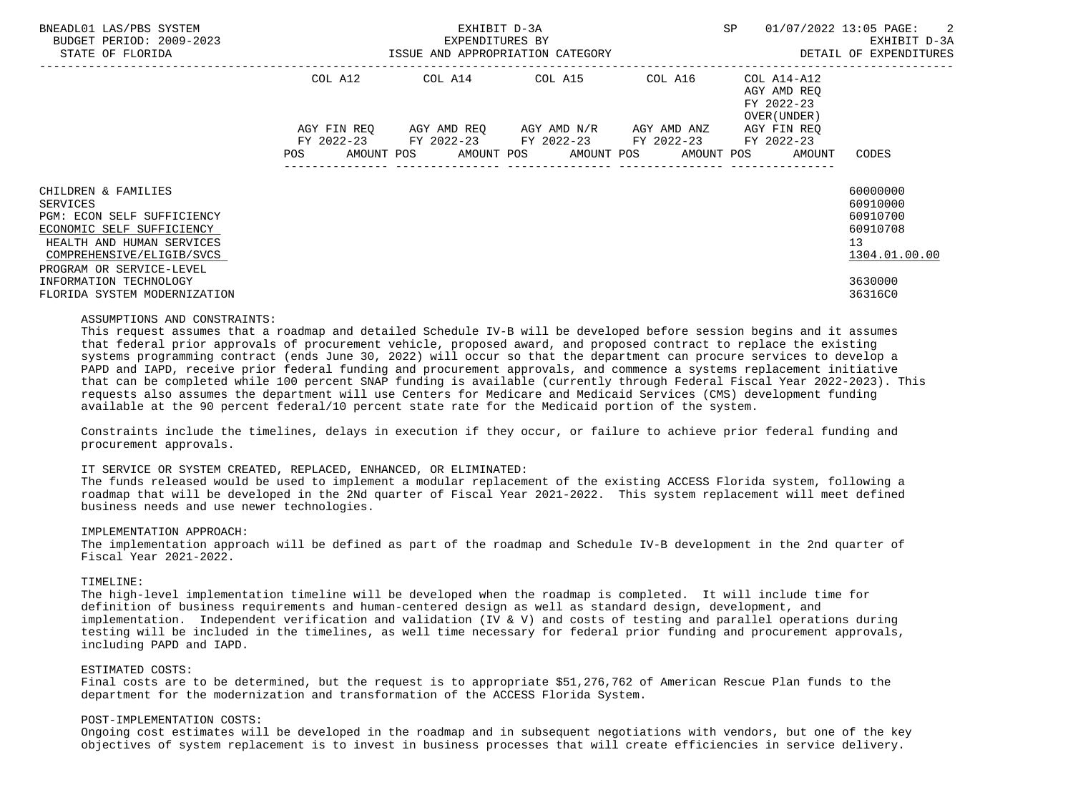| BNEADL01 LAS/PBS SYSTEM<br>BUDGET PERIOD: 2009-2023<br>STATE OF FLORIDA                                                                                                          | ISSUE AND APPROPRIATION CATEGORY | EXHIBIT D-3A<br>EXPENDITURES BY | SP                                                                                                      | 01/07/2022 13:05 PAGE: 2<br>EXHIBIT D-3A<br>DETAIL OF EXPENDITURES |                                                                             |                                                                     |
|----------------------------------------------------------------------------------------------------------------------------------------------------------------------------------|----------------------------------|---------------------------------|---------------------------------------------------------------------------------------------------------|--------------------------------------------------------------------|-----------------------------------------------------------------------------|---------------------------------------------------------------------|
|                                                                                                                                                                                  | COL A12                          |                                 | COL A14 COL A15 COL A16 COL A14-A12                                                                     |                                                                    | AGY AMD REO<br>FY 2022-23<br>OVER (UNDER )                                  |                                                                     |
|                                                                                                                                                                                  | AGY FIN REO                      |                                 | AGY AMD REO      AGY AMD N/R      AGY AMD ANZ<br>FY 2022-23 FY 2022-23 FY 2022-23 FY 2022-23 FY 2022-23 |                                                                    | AGY FIN REO<br>POS AMOUNT POS AMOUNT POS AMOUNT POS AMOUNT POS AMOUNT CODES |                                                                     |
| CHILDREN & FAMILIES<br>SERVICES<br>PGM: ECON SELF SUFFICIENCY<br>ECONOMIC SELF SUFFICIENCY<br>HEALTH AND HUMAN SERVICES<br>COMPREHENSIVE/ELIGIB/SVCS<br>PROGRAM OR SERVICE-LEVEL |                                  |                                 |                                                                                                         |                                                                    |                                                                             | 60000000<br>60910000<br>60910700<br>60910708<br>13<br>1304.01.00.00 |
| INFORMATION TECHNOLOGY<br>FLORIDA SYSTEM MODERNIZATION                                                                                                                           |                                  |                                 |                                                                                                         |                                                                    |                                                                             | 3630000<br>36316C0                                                  |

#### ASSUMPTIONS AND CONSTRAINTS:

 This request assumes that a roadmap and detailed Schedule IV-B will be developed before session begins and it assumes that federal prior approvals of procurement vehicle, proposed award, and proposed contract to replace the existing systems programming contract (ends June 30, 2022) will occur so that the department can procure services to develop a PAPD and IAPD, receive prior federal funding and procurement approvals, and commence a systems replacement initiative that can be completed while 100 percent SNAP funding is available (currently through Federal Fiscal Year 2022-2023). This requests also assumes the department will use Centers for Medicare and Medicaid Services (CMS) development funding available at the 90 percent federal/10 percent state rate for the Medicaid portion of the system.

 Constraints include the timelines, delays in execution if they occur, or failure to achieve prior federal funding and procurement approvals.

#### IT SERVICE OR SYSTEM CREATED, REPLACED, ENHANCED, OR ELIMINATED:

 The funds released would be used to implement a modular replacement of the existing ACCESS Florida system, following a roadmap that will be developed in the 2Nd quarter of Fiscal Year 2021-2022. This system replacement will meet defined business needs and use newer technologies.

## IMPLEMENTATION APPROACH:

 The implementation approach will be defined as part of the roadmap and Schedule IV-B development in the 2nd quarter of Fiscal Year 2021-2022.

### TIMELINE:

 The high-level implementation timeline will be developed when the roadmap is completed. It will include time for definition of business requirements and human-centered design as well as standard design, development, and implementation. Independent verification and validation (IV & V) and costs of testing and parallel operations during testing will be included in the timelines, as well time necessary for federal prior funding and procurement approvals, including PAPD and IAPD.

## ESTIMATED COSTS:

 Final costs are to be determined, but the request is to appropriate \$51,276,762 of American Rescue Plan funds to the department for the modernization and transformation of the ACCESS Florida System.

#### POST-IMPLEMENTATION COSTS:

 Ongoing cost estimates will be developed in the roadmap and in subsequent negotiations with vendors, but one of the key objectives of system replacement is to invest in business processes that will create efficiencies in service delivery.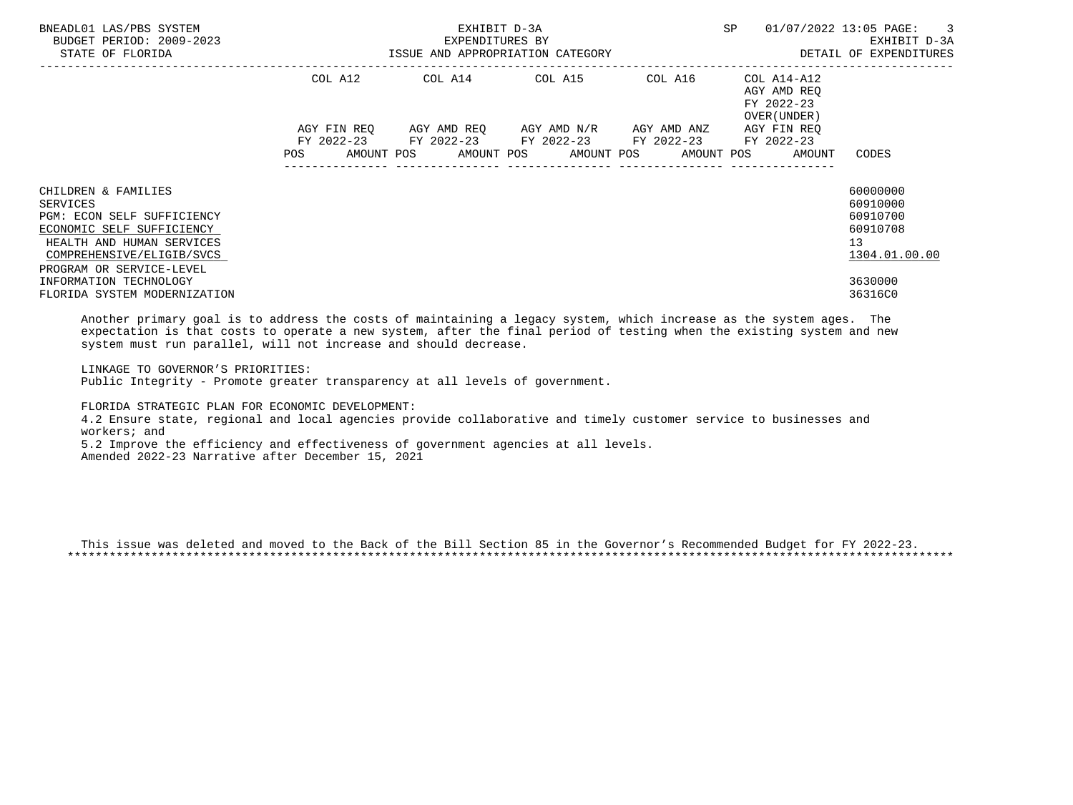| BNEADL01 LAS/PBS SYSTEM<br>BUDGET PERIOD: 2009-2023<br>STATE OF FLORIDA                                                                                                          |         | EXHIBIT D-3A<br>EXPENDITURES BY<br>ISSUE AND APPROPRIATION CATEGORY | SP                                                                                                                                                                  | 01/07/2022 13:05 PAGE: 3<br>EXHIBIT D-3A<br>DETAIL OF EXPENDITURES |                                            |                                                                     |
|----------------------------------------------------------------------------------------------------------------------------------------------------------------------------------|---------|---------------------------------------------------------------------|---------------------------------------------------------------------------------------------------------------------------------------------------------------------|--------------------------------------------------------------------|--------------------------------------------|---------------------------------------------------------------------|
|                                                                                                                                                                                  | COL A12 |                                                                     |                                                                                                                                                                     |                                                                    | AGY AMD REO<br>FY 2022-23<br>OVER (UNDER ) |                                                                     |
|                                                                                                                                                                                  |         |                                                                     | AGY FIN REQ AGY AMD REQ AGY AMD N/R AGY AMD ANZ<br>FY 2022-23 FY 2022-23 FY 2022-23 FY 2022-23 FY 2022-23<br>POS AMOUNT POS AMOUNT POS AMOUNT POS AMOUNT POS AMOUNT |                                                                    | AGY FIN REO                                | CODES                                                               |
| CHILDREN & FAMILIES<br>SERVICES<br>PGM: ECON SELF SUFFICIENCY<br>ECONOMIC SELF SUFFICIENCY<br>HEALTH AND HUMAN SERVICES<br>COMPREHENSIVE/ELIGIB/SVCS<br>PROGRAM OR SERVICE-LEVEL |         |                                                                     |                                                                                                                                                                     |                                                                    |                                            | 60000000<br>60910000<br>60910700<br>60910708<br>13<br>1304.01.00.00 |
| INFORMATION TECHNOLOGY<br>FLORIDA SYSTEM MODERNIZATION                                                                                                                           |         |                                                                     |                                                                                                                                                                     |                                                                    |                                            | 3630000<br>36316C0                                                  |

 Another primary goal is to address the costs of maintaining a legacy system, which increase as the system ages. The expectation is that costs to operate a new system, after the final period of testing when the existing system and new system must run parallel, will not increase and should decrease.

 LINKAGE TO GOVERNOR'S PRIORITIES: Public Integrity - Promote greater transparency at all levels of government.

 FLORIDA STRATEGIC PLAN FOR ECONOMIC DEVELOPMENT: 4.2 Ensure state, regional and local agencies provide collaborative and timely customer service to businesses and workers; and 5.2 Improve the efficiency and effectiveness of government agencies at all levels. Amended 2022-23 Narrative after December 15, 2021

 This issue was deleted and moved to the Back of the Bill Section 85 in the Governor's Recommended Budget for FY 2022-23. \*\*\*\*\*\*\*\*\*\*\*\*\*\*\*\*\*\*\*\*\*\*\*\*\*\*\*\*\*\*\*\*\*\*\*\*\*\*\*\*\*\*\*\*\*\*\*\*\*\*\*\*\*\*\*\*\*\*\*\*\*\*\*\*\*\*\*\*\*\*\*\*\*\*\*\*\*\*\*\*\*\*\*\*\*\*\*\*\*\*\*\*\*\*\*\*\*\*\*\*\*\*\*\*\*\*\*\*\*\*\*\*\*\*\*\*\*\*\*\*\*\*\*\*\*\*\*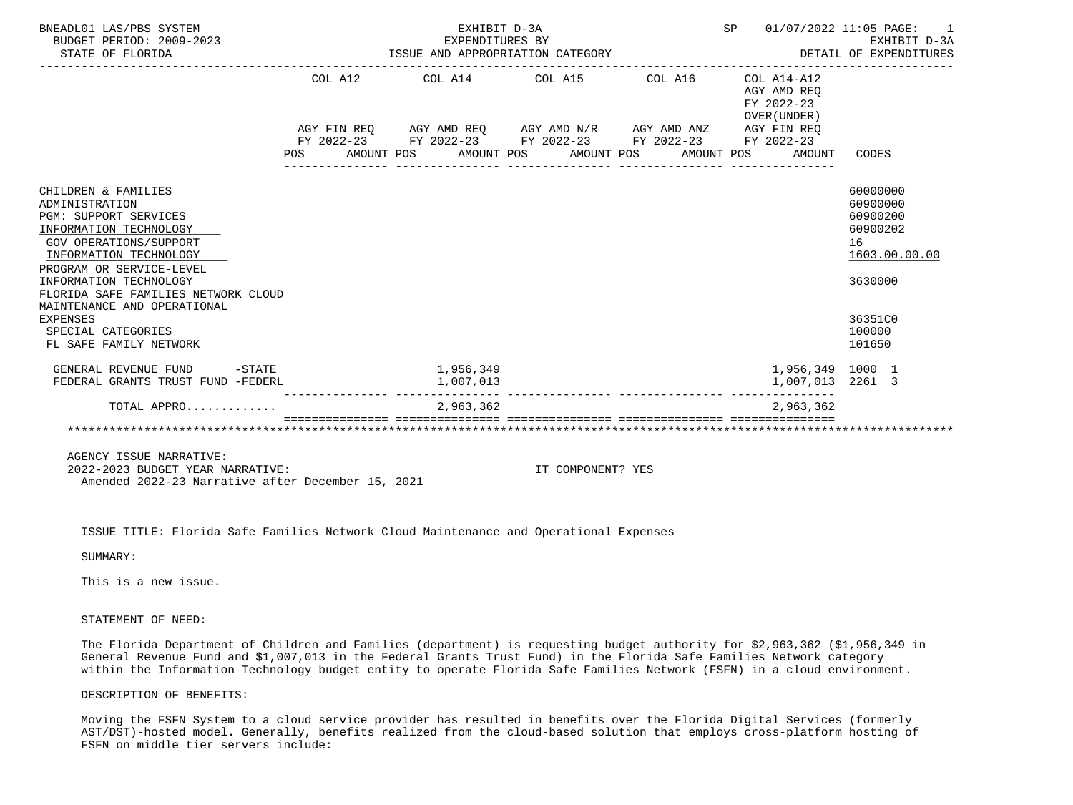| BNEADL01 LAS/PBS SYSTEM<br>BUDGET PERIOD: 2009-2023<br>STATE OF FLORIDA                                                                                                                                                                                                                                                                                   |     | EXPENDITURES BY<br>ISSUE AND APPROPRIATION CATEGORY | SP 01/07/2022 11:05 PAGE: | 1<br>EXHIBIT D-3A<br>DETAIL OF EXPENDITURES |                                                             |                                                             |                                                                                                               |
|-----------------------------------------------------------------------------------------------------------------------------------------------------------------------------------------------------------------------------------------------------------------------------------------------------------------------------------------------------------|-----|-----------------------------------------------------|---------------------------|---------------------------------------------|-------------------------------------------------------------|-------------------------------------------------------------|---------------------------------------------------------------------------------------------------------------|
|                                                                                                                                                                                                                                                                                                                                                           |     |                                                     |                           |                                             | COL A12 COL A14 COL A15 COL A16                             | $COL A14- A12$<br>AGY AMD REQ<br>FY 2022-23<br>OVER (UNDER) |                                                                                                               |
|                                                                                                                                                                                                                                                                                                                                                           |     |                                                     |                           |                                             | AGY FIN REQ AGY AMD REQ AGY AMD N/R AGY AMD ANZ AGY FIN REQ |                                                             |                                                                                                               |
|                                                                                                                                                                                                                                                                                                                                                           | POS |                                                     |                           | AMOUNT POS AMOUNT POS AMOUNT POS            | FY 2022-23 FY 2022-23 FY 2022-23 FY 2022-23 FY 2022-23      | AMOUNT POS<br>AMOUNT                                        | CODES                                                                                                         |
| CHILDREN & FAMILIES<br>ADMINISTRATION<br><b>PGM: SUPPORT SERVICES</b><br>INFORMATION TECHNOLOGY<br><b>GOV OPERATIONS/SUPPORT</b><br>INFORMATION TECHNOLOGY<br>PROGRAM OR SERVICE-LEVEL<br>INFORMATION TECHNOLOGY<br>FLORIDA SAFE FAMILIES NETWORK CLOUD<br>MAINTENANCE AND OPERATIONAL<br><b>EXPENSES</b><br>SPECIAL CATEGORIES<br>FL SAFE FAMILY NETWORK |     |                                                     |                           |                                             |                                                             |                                                             | 60000000<br>60900000<br>60900200<br>60900202<br>16<br>1603.00.00.00<br>3630000<br>36351C0<br>100000<br>101650 |
| GENERAL REVENUE FUND -STATE - 1,956,349<br>FEDERAL GRANTS TRUST FUND -FEDERL                                                                                                                                                                                                                                                                              |     |                                                     | 1,007,013                 |                                             |                                                             | 1,956,349 1000 1<br>1,007,013 2261 3                        |                                                                                                               |
| TOTAL APPRO                                                                                                                                                                                                                                                                                                                                               |     |                                                     | ---------<br>2,963,362    |                                             | ------------ --------------- -----                          | 2,963,362                                                   |                                                                                                               |
|                                                                                                                                                                                                                                                                                                                                                           |     |                                                     |                           |                                             |                                                             |                                                             |                                                                                                               |

 2022-2023 BUDGET YEAR NARRATIVE: IT COMPONENT? YES Amended 2022-23 Narrative after December 15, 2021

ISSUE TITLE: Florida Safe Families Network Cloud Maintenance and Operational Expenses

SUMMARY:

This is a new issue.

STATEMENT OF NEED:

 The Florida Department of Children and Families (department) is requesting budget authority for \$2,963,362 (\$1,956,349 in General Revenue Fund and \$1,007,013 in the Federal Grants Trust Fund) in the Florida Safe Families Network category within the Information Technology budget entity to operate Florida Safe Families Network (FSFN) in a cloud environment.

DESCRIPTION OF BENEFITS:

 Moving the FSFN System to a cloud service provider has resulted in benefits over the Florida Digital Services (formerly AST/DST)-hosted model. Generally, benefits realized from the cloud-based solution that employs cross-platform hosting of FSFN on middle tier servers include: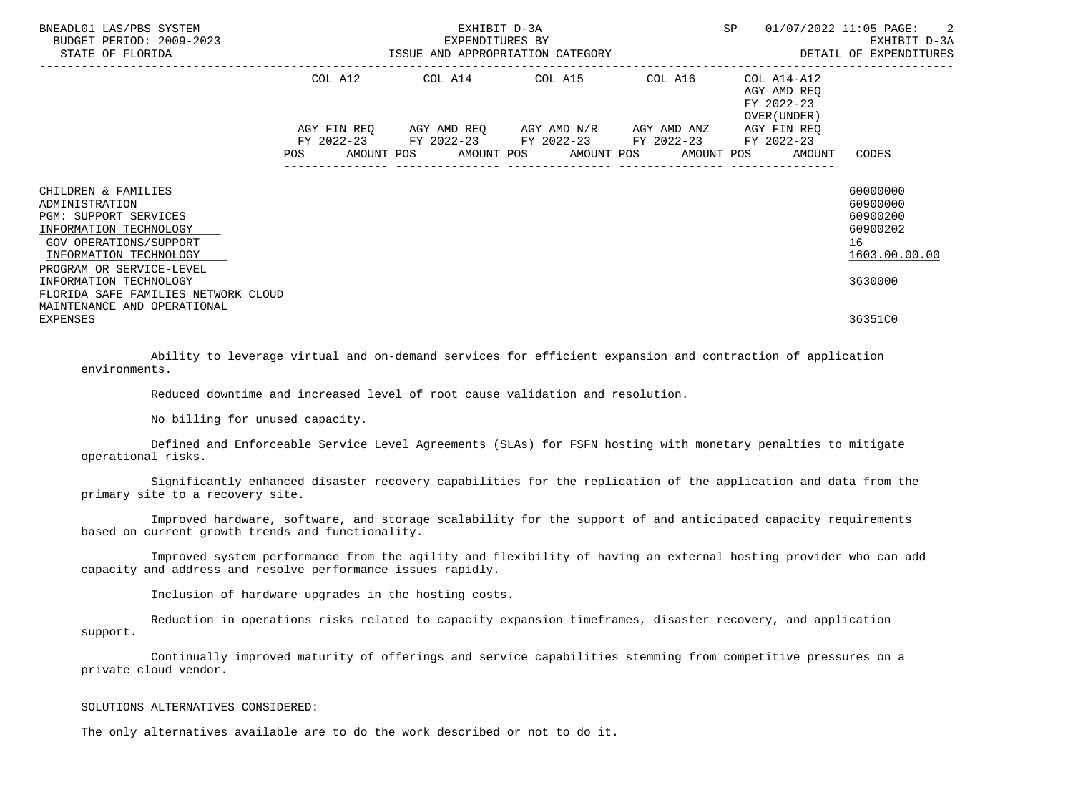| BNEADL01 LAS/PBS SYSTEM<br>BUDGET PERIOD: 2009-2023<br>STATE OF FLORIDA                                                                                                         | EXHIBIT D-3A<br>EXPENDITURES BY<br>ISSUE AND APPROPRIATION CATEGORY | SP                                          | 01/07/2022 11:05 PAGE: 2<br>EXHIBIT D-3A<br>DETAIL OF EXPENDITURES |                                                                                     |                                                                     |
|---------------------------------------------------------------------------------------------------------------------------------------------------------------------------------|---------------------------------------------------------------------|---------------------------------------------|--------------------------------------------------------------------|-------------------------------------------------------------------------------------|---------------------------------------------------------------------|
|                                                                                                                                                                                 |                                                                     | COL A12 COL A14 COL A15                     | COL A16                                                            | COL A14-A12<br>AGY AMD REO<br>FY 2022-23<br>OVER (UNDER)                            |                                                                     |
|                                                                                                                                                                                 |                                                                     | FY 2022-23 FY 2022-23 FY 2022-23 FY 2022-23 |                                                                    | AGY FIN REO<br>FY 2022-23<br>POS AMOUNT POS AMOUNT POS AMOUNT POS AMOUNT POS AMOUNT | CODES                                                               |
| CHILDREN & FAMILIES<br>ADMINISTRATION<br><b>PGM: SUPPORT SERVICES</b><br>INFORMATION TECHNOLOGY<br>GOV OPERATIONS/SUPPORT<br>INFORMATION TECHNOLOGY<br>PROGRAM OR SERVICE-LEVEL |                                                                     |                                             |                                                                    |                                                                                     | 60000000<br>60900000<br>60900200<br>60900202<br>16<br>1603.00.00.00 |
| INFORMATION TECHNOLOGY<br>FLORIDA SAFE FAMILIES NETWORK CLOUD<br>MAINTENANCE AND OPERATIONAL<br><b>EXPENSES</b>                                                                 |                                                                     |                                             |                                                                    |                                                                                     | 3630000<br>36351C0                                                  |

 Ability to leverage virtual and on-demand services for efficient expansion and contraction of application environments.

Reduced downtime and increased level of root cause validation and resolution.

No billing for unused capacity.

 Defined and Enforceable Service Level Agreements (SLAs) for FSFN hosting with monetary penalties to mitigate operational risks.

 Significantly enhanced disaster recovery capabilities for the replication of the application and data from the primary site to a recovery site.

 Improved hardware, software, and storage scalability for the support of and anticipated capacity requirements based on current growth trends and functionality.

 Improved system performance from the agility and flexibility of having an external hosting provider who can add capacity and address and resolve performance issues rapidly.

Inclusion of hardware upgrades in the hosting costs.

 Reduction in operations risks related to capacity expansion timeframes, disaster recovery, and application support.

 Continually improved maturity of offerings and service capabilities stemming from competitive pressures on a private cloud vendor.

## SOLUTIONS ALTERNATIVES CONSIDERED:

The only alternatives available are to do the work described or not to do it.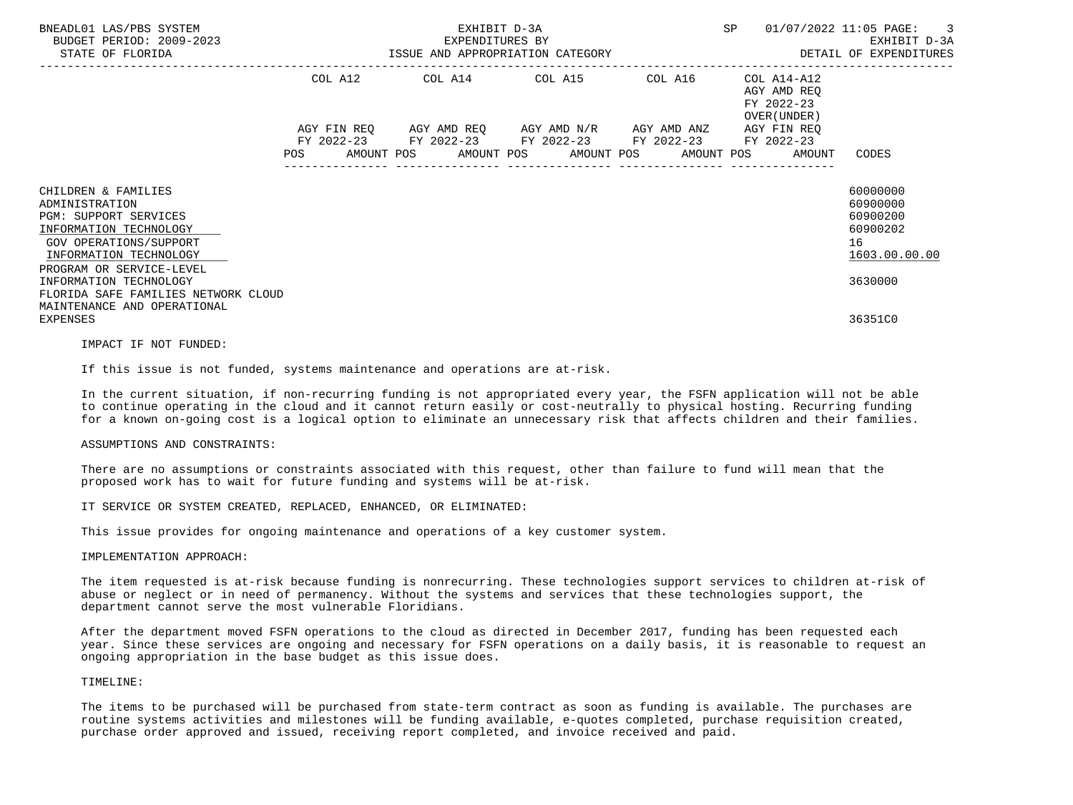| BNEADL01 LAS/PBS SYSTEM<br>BUDGET PERIOD: 2009-2023<br>STATE OF FLORIDA                                                                                                  |            | EXHIBIT D-3A<br>EXPENDITURES BY<br>ISSUE AND APPROPRIATION CATEGORY                                                                                 | SP      | 01/07/2022 11:05 PAGE:<br>$\overline{\phantom{a}}$<br>EXHIBIT D-3A<br>DETAIL OF EXPENDITURES |                                                                     |
|--------------------------------------------------------------------------------------------------------------------------------------------------------------------------|------------|-----------------------------------------------------------------------------------------------------------------------------------------------------|---------|----------------------------------------------------------------------------------------------|---------------------------------------------------------------------|
|                                                                                                                                                                          | COL A12    | COL A14 COL A15                                                                                                                                     | COL A16 | COL A14-A12<br>AGY AMD REO<br>FY 2022-23<br>OVER (UNDER )                                    |                                                                     |
|                                                                                                                                                                          | <b>POS</b> | AGY FIN REQ 6 AGY AMD REQ 6 AGY AMD N/R 6 AGY AMD ANZ<br>FY 2022-23 FY 2022-23 FY 2022-23 FY 2022-23<br>AMOUNT POS AMOUNT POS AMOUNT POS AMOUNT POS |         | AGY FIN REO<br>FY 2022-23<br>AMOUNT                                                          | CODES                                                               |
| CHILDREN & FAMILIES<br>ADMINISTRATION<br>PGM: SUPPORT SERVICES<br>INFORMATION TECHNOLOGY<br>GOV OPERATIONS/SUPPORT<br>INFORMATION TECHNOLOGY<br>PROGRAM OR SERVICE-LEVEL |            |                                                                                                                                                     |         |                                                                                              | 60000000<br>60900000<br>60900200<br>60900202<br>16<br>1603.00.00.00 |
| INFORMATION TECHNOLOGY<br>FLORIDA SAFE FAMILIES NETWORK CLOUD<br>MAINTENANCE AND OPERATIONAL<br><b>EXPENSES</b>                                                          |            |                                                                                                                                                     |         |                                                                                              | 3630000<br>36351C0                                                  |

IMPACT IF NOT FUNDED:

If this issue is not funded, systems maintenance and operations are at-risk.

 In the current situation, if non-recurring funding is not appropriated every year, the FSFN application will not be able to continue operating in the cloud and it cannot return easily or cost-neutrally to physical hosting. Recurring funding for a known on-going cost is a logical option to eliminate an unnecessary risk that affects children and their families.

## ASSUMPTIONS AND CONSTRAINTS:

 There are no assumptions or constraints associated with this request, other than failure to fund will mean that the proposed work has to wait for future funding and systems will be at-risk.

IT SERVICE OR SYSTEM CREATED, REPLACED, ENHANCED, OR ELIMINATED:

This issue provides for ongoing maintenance and operations of a key customer system.

## IMPLEMENTATION APPROACH:

 The item requested is at-risk because funding is nonrecurring. These technologies support services to children at-risk of abuse or neglect or in need of permanency. Without the systems and services that these technologies support, the department cannot serve the most vulnerable Floridians.

 After the department moved FSFN operations to the cloud as directed in December 2017, funding has been requested each year. Since these services are ongoing and necessary for FSFN operations on a daily basis, it is reasonable to request an ongoing appropriation in the base budget as this issue does.

# TIMELINE:

 The items to be purchased will be purchased from state-term contract as soon as funding is available. The purchases are routine systems activities and milestones will be funding available, e-quotes completed, purchase requisition created, purchase order approved and issued, receiving report completed, and invoice received and paid.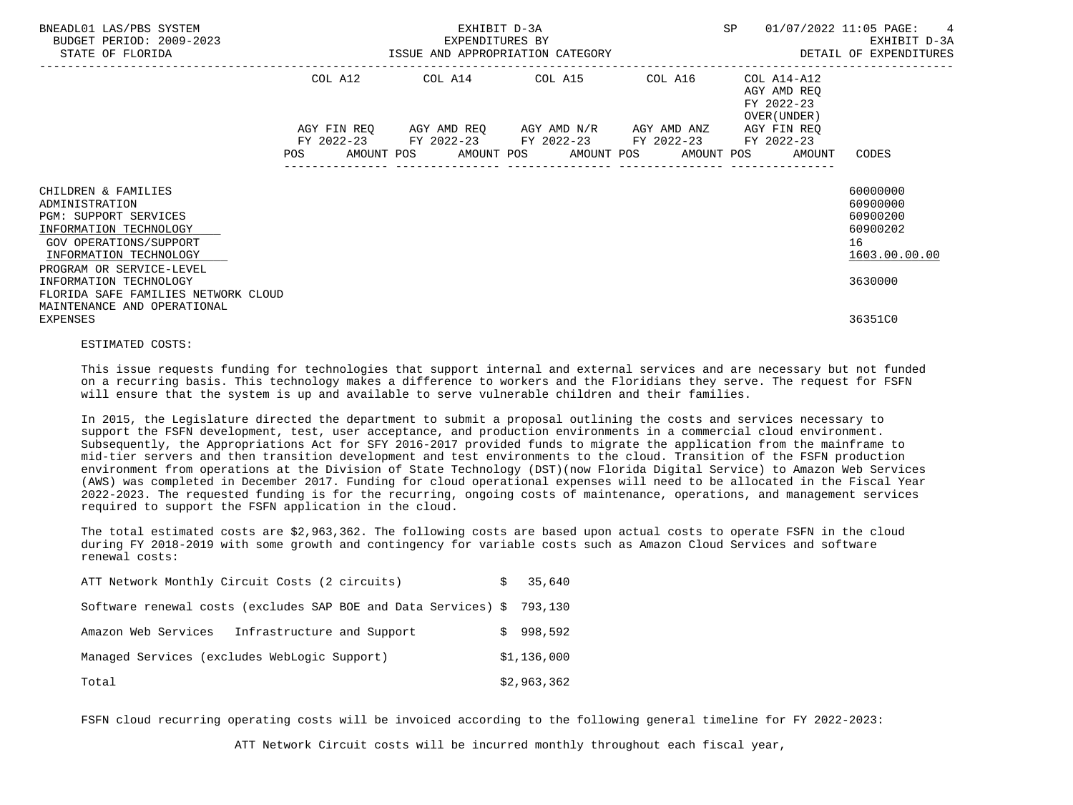| BNEADL01 LAS/PBS SYSTEM<br>BUDGET PERIOD: 2009-2023<br>STATE OF FLORIDA                                                                                                  | EXHIBIT D-3A<br>EXPENDITURES BY<br>EXPENDITURES BY<br>ISSUE AND APPROPRIATION CATEGORY |             |  |  |  |                                                                                                                                   |  |  | <b>SP</b> |                                                          | 01/07/2022 11:05 PAGE:<br>$\overline{4}$<br>EXHIBIT D-3A<br>DETAIL OF EXPENDITURES |
|--------------------------------------------------------------------------------------------------------------------------------------------------------------------------|----------------------------------------------------------------------------------------|-------------|--|--|--|-----------------------------------------------------------------------------------------------------------------------------------|--|--|-----------|----------------------------------------------------------|------------------------------------------------------------------------------------|
|                                                                                                                                                                          | COL A12                                                                                |             |  |  |  | COL A14 COL A15 COL A16                                                                                                           |  |  |           | COL A14-A12<br>AGY AMD REO<br>FY 2022-23<br>OVER (UNDER) |                                                                                    |
|                                                                                                                                                                          | POS                                                                                    | AGY FIN REO |  |  |  | AGY AMD REQ AGY AMD N/R AGY AMD ANZ<br>FY 2022-23 FY 2022-23 FY 2022-23 FY 2022-23<br>AMOUNT POS AMOUNT POS AMOUNT POS AMOUNT POS |  |  |           | AGY FIN REO<br>FY 2022-23<br>AMOUNT                      | CODES                                                                              |
| CHILDREN & FAMILIES<br>ADMINISTRATION<br>PGM: SUPPORT SERVICES<br>INFORMATION TECHNOLOGY<br>GOV OPERATIONS/SUPPORT<br>INFORMATION TECHNOLOGY<br>PROGRAM OR SERVICE-LEVEL |                                                                                        |             |  |  |  |                                                                                                                                   |  |  |           |                                                          | 60000000<br>60900000<br>60900200<br>60900202<br>16<br>1603.00.00.00                |
| INFORMATION TECHNOLOGY<br>FLORIDA SAFE FAMILIES NETWORK CLOUD<br>MAINTENANCE AND OPERATIONAL                                                                             |                                                                                        |             |  |  |  |                                                                                                                                   |  |  |           |                                                          | 3630000                                                                            |
| <b>EXPENSES</b>                                                                                                                                                          |                                                                                        |             |  |  |  |                                                                                                                                   |  |  |           |                                                          | 36351C0                                                                            |

## ESTIMATED COSTS:

 This issue requests funding for technologies that support internal and external services and are necessary but not funded on a recurring basis. This technology makes a difference to workers and the Floridians they serve. The request for FSFN will ensure that the system is up and available to serve vulnerable children and their families.

 In 2015, the Legislature directed the department to submit a proposal outlining the costs and services necessary to support the FSFN development, test, user acceptance, and production environments in a commercial cloud environment. Subsequently, the Appropriations Act for SFY 2016-2017 provided funds to migrate the application from the mainframe to mid-tier servers and then transition development and test environments to the cloud. Transition of the FSFN production environment from operations at the Division of State Technology (DST)(now Florida Digital Service) to Amazon Web Services (AWS) was completed in December 2017. Funding for cloud operational expenses will need to be allocated in the Fiscal Year 2022-2023. The requested funding is for the recurring, ongoing costs of maintenance, operations, and management services required to support the FSFN application in the cloud.

 The total estimated costs are \$2,963,362. The following costs are based upon actual costs to operate FSFN in the cloud during FY 2018-2019 with some growth and contingency for variable costs such as Amazon Cloud Services and software renewal costs:

| ATT Network Monthly Circuit Costs (2 circuits)                         | S | 35,640      |
|------------------------------------------------------------------------|---|-------------|
| Software renewal costs (excludes SAP BOE and Data Services) \$ 793,130 |   |             |
| Amazon Web Services<br>Infrastructure and Support                      |   | \$998.592   |
| Managed Services (excludes WebLogic Support)                           |   | \$1,136,000 |
| Total                                                                  |   | \$2,963,362 |

FSFN cloud recurring operating costs will be invoiced according to the following general timeline for FY 2022-2023:

ATT Network Circuit costs will be incurred monthly throughout each fiscal year,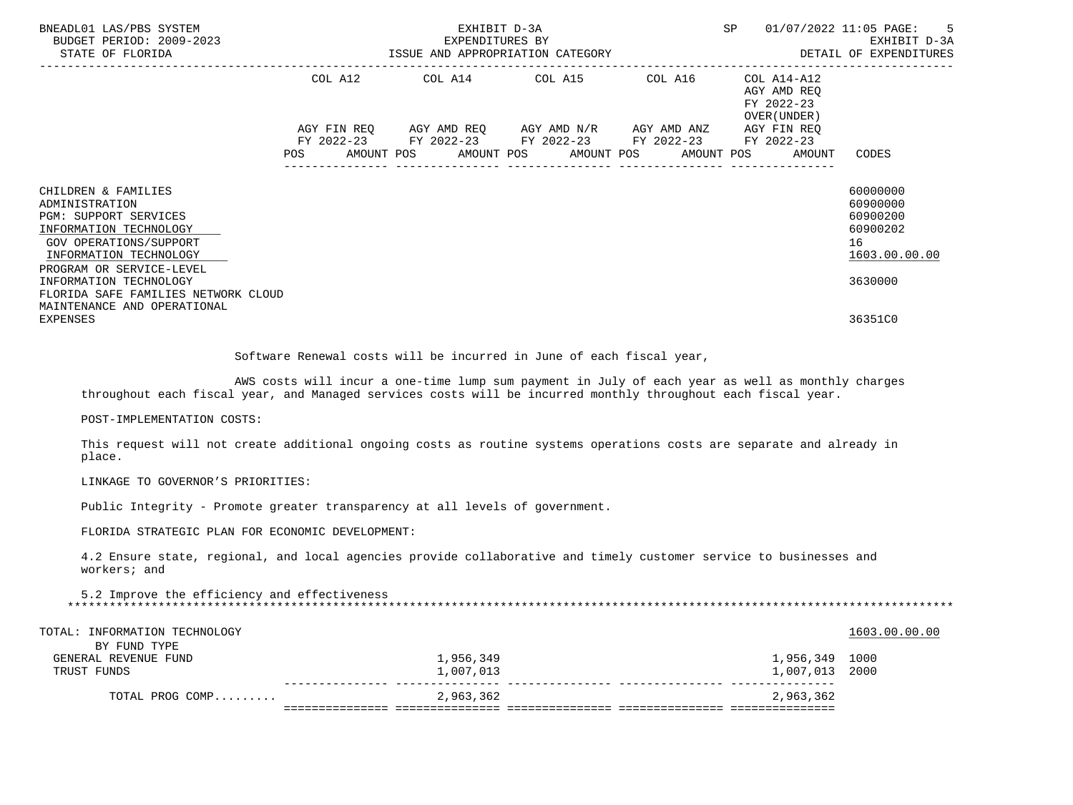| BNEADL01 LAS/PBS SYSTEM<br>BUDGET PERIOD: 2009-2023                                                                                          | SP <sub>3</sub><br>EXHIBIT D-3A<br>EXPENDITURES BY<br>EXPENDITURES BY<br>STATE OF FLORIDA BEXPENDITURES AND APPROPRIATION CATEGORY AND STATE OF FLORIDA BEXPENDITURES |  |  |  |  |                                                        |  |                                                           |  |                                                        | 01/07/2022 11:05 PAGE: 5<br>EXHIBIT D-3A                            |
|----------------------------------------------------------------------------------------------------------------------------------------------|-----------------------------------------------------------------------------------------------------------------------------------------------------------------------|--|--|--|--|--------------------------------------------------------|--|-----------------------------------------------------------|--|--------------------------------------------------------|---------------------------------------------------------------------|
|                                                                                                                                              |                                                                                                                                                                       |  |  |  |  | COL A12 COL A14 COL A15 COL A16                        |  | COL A14-A12<br>AGY AMD REO<br>FY 2022-23<br>OVER (UNDER ) |  |                                                        |                                                                     |
|                                                                                                                                              |                                                                                                                                                                       |  |  |  |  | AGY FIN REQ AGY AMD REQ AGY AMD N/R AGY AMD ANZ        |  |                                                           |  | AGY FIN REO                                            |                                                                     |
|                                                                                                                                              |                                                                                                                                                                       |  |  |  |  | FY 2022-23 FY 2022-23 FY 2022-23 FY 2022-23 FY 2022-23 |  |                                                           |  | POS AMOUNT POS AMOUNT POS AMOUNT POS AMOUNT POS AMOUNT | CODES                                                               |
| CHILDREN & FAMILIES<br>ADMINISTRATION<br>PGM: SUPPORT SERVICES<br>INFORMATION TECHNOLOGY<br>GOV OPERATIONS/SUPPORT<br>INFORMATION TECHNOLOGY |                                                                                                                                                                       |  |  |  |  |                                                        |  |                                                           |  |                                                        | 60000000<br>60900000<br>60900200<br>60900202<br>16<br>1603.00.00.00 |
| PROGRAM OR SERVICE-LEVEL<br>INFORMATION TECHNOLOGY<br>FLORIDA SAFE FAMILIES NETWORK CLOUD                                                    |                                                                                                                                                                       |  |  |  |  |                                                        |  |                                                           |  |                                                        | 3630000                                                             |
| MAINTENANCE AND OPERATIONAL<br>EXPENSES                                                                                                      |                                                                                                                                                                       |  |  |  |  |                                                        |  |                                                           |  |                                                        | 36351C0                                                             |
|                                                                                                                                              |                                                                                                                                                                       |  |  |  |  |                                                        |  |                                                           |  |                                                        |                                                                     |

Software Renewal costs will be incurred in June of each fiscal year,

 AWS costs will incur a one-time lump sum payment in July of each year as well as monthly charges throughout each fiscal year, and Managed services costs will be incurred monthly throughout each fiscal year.

POST-IMPLEMENTATION COSTS:

 This request will not create additional ongoing costs as routine systems operations costs are separate and already in place.

LINKAGE TO GOVERNOR'S PRIORITIES:

Public Integrity - Promote greater transparency at all levels of government.

FLORIDA STRATEGIC PLAN FOR ECONOMIC DEVELOPMENT:

 4.2 Ensure state, regional, and local agencies provide collaborative and timely customer service to businesses and workers; and

 5.2 Improve the efficiency and effectiveness \*\*\*\*\*\*\*\*\*\*\*\*\*\*\*\*\*\*\*\*\*\*\*\*\*\*\*\*\*\*\*\*\*\*\*\*\*\*\*\*\*\*\*\*\*\*\*\*\*\*\*\*\*\*\*\*\*\*\*\*\*\*\*\*\*\*\*\*\*\*\*\*\*\*\*\*\*\*\*\*\*\*\*\*\*\*\*\*\*\*\*\*\*\*\*\*\*\*\*\*\*\*\*\*\*\*\*\*\*\*\*\*\*\*\*\*\*\*\*\*\*\*\*\*\*\*\*

| TOTAL: INFORMATION TECHNOLOGY |           | 1603.00.00.00  |
|-------------------------------|-----------|----------------|
| BY FUND TYPE                  |           |                |
| GENERAL REVENUE FUND          | 1,956,349 | 1,956,349 1000 |
| TRUST FUNDS                   | 1,007,013 | 1,007,013 2000 |
| TOTAL PROG COMP               | 2,963,362 | 2,963,362      |
|                               |           |                |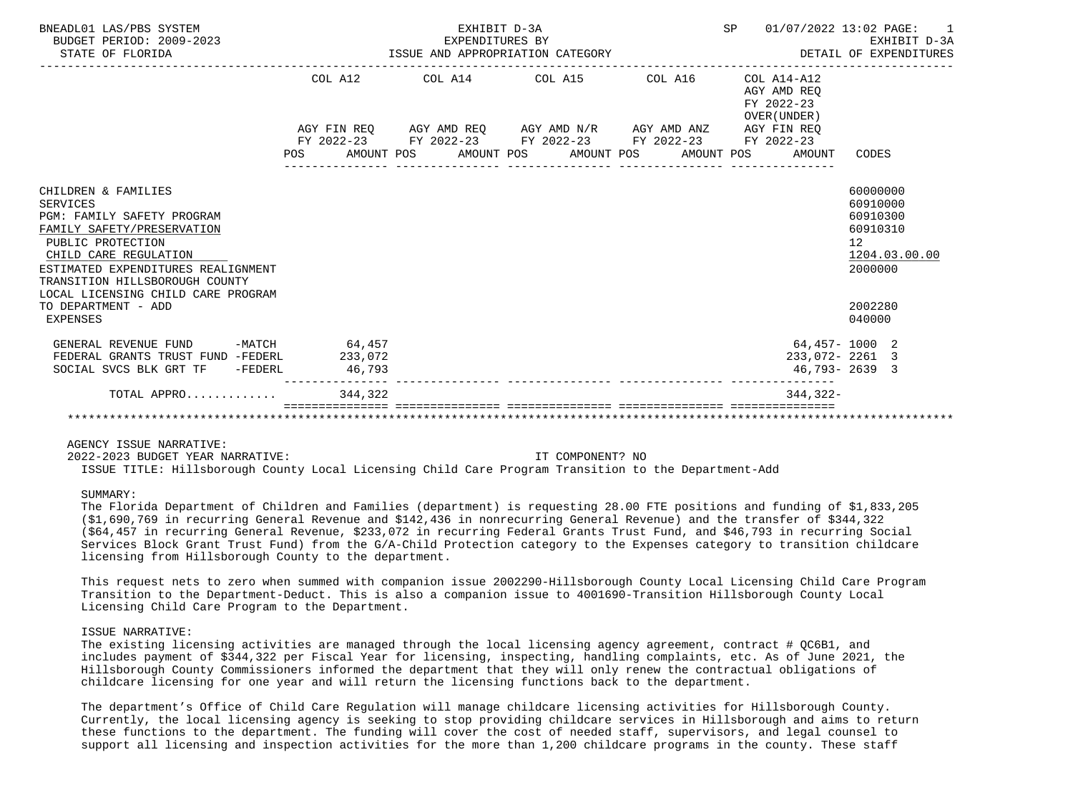| BNEADL01 LAS/PBS SYSTEM<br>BUDGET PERIOD: 2009-2023<br>STATE OF FLORIDA                                                                                                                                                                                                                    |                                                 | EXHIBIT D-3A<br>EXPENDITURES BY<br>-------------------- | EXPENDITURES BY<br>ISSUE AND APPROPRIATION CATEGORY                                                                           | 01/07/2022 13:02 PAGE:<br>SP              | EXHIBIT D-3A<br>DETAIL OF EXPENDITURES                                                              |
|--------------------------------------------------------------------------------------------------------------------------------------------------------------------------------------------------------------------------------------------------------------------------------------------|-------------------------------------------------|---------------------------------------------------------|-------------------------------------------------------------------------------------------------------------------------------|-------------------------------------------|-----------------------------------------------------------------------------------------------------|
|                                                                                                                                                                                                                                                                                            |                                                 |                                                         | COL A12 COL A14 COL A15 COL A16 COL A14-A12                                                                                   | AGY AMD REO<br>FY 2022-23<br>OVER (UNDER) |                                                                                                     |
|                                                                                                                                                                                                                                                                                            |                                                 |                                                         | $AGY \text{ FIN REQ} \qquad \text{AGY AMD REQ} \qquad \text{AGY AMD N/R} \qquad \text{AGY AMD ANZ} \qquad \text{AGY FIN REQ}$ |                                           |                                                                                                     |
|                                                                                                                                                                                                                                                                                            | POS AMOUNT POS AMOUNT POS AMOUNT POS AMOUNT POS |                                                         | FY 2022-23 FY 2022-23 FY 2022-23 FY 2022-23 FY 2022-23                                                                        | AMOUNT                                    | CODES                                                                                               |
| CHILDREN & FAMILIES<br>SERVICES<br>PGM: FAMILY SAFETY PROGRAM<br>FAMILY SAFETY/PRESERVATION<br>PUBLIC PROTECTION<br>CHILD CARE REGULATION<br>ESTIMATED EXPENDITURES REALIGNMENT<br>TRANSITION HILLSBOROUGH COUNTY<br>LOCAL LICENSING CHILD CARE PROGRAM<br>TO DEPARTMENT - ADD<br>EXPENSES |                                                 |                                                         |                                                                                                                               |                                           | 60000000<br>60910000<br>60910300<br>60910310<br>12<br>1204.03.00.00<br>2000000<br>2002280<br>040000 |
| GENERAL REVENUE FUND<br>FEDERAL GRANTS TRUST FUND -FEDERL                                                                                                                                                                                                                                  | $-MATCH$ 64,457<br>233,072                      |                                                         |                                                                                                                               | $233,072 - 2261$ 3                        | 64,457-1000 2                                                                                       |
| SOCIAL SVCS BLK GRT TF -FEDERL                                                                                                                                                                                                                                                             | 46,793                                          |                                                         |                                                                                                                               | 46,793-2639 3                             |                                                                                                     |
| TOTAL APPRO                                                                                                                                                                                                                                                                                | 344,322                                         |                                                         |                                                                                                                               | $344, 322 -$                              |                                                                                                     |
|                                                                                                                                                                                                                                                                                            |                                                 |                                                         |                                                                                                                               |                                           |                                                                                                     |

 2022-2023 BUDGET YEAR NARRATIVE: IT COMPONENT? NO ISSUE TITLE: Hillsborough County Local Licensing Child Care Program Transition to the Department-Add

# SUMMARY:

 The Florida Department of Children and Families (department) is requesting 28.00 FTE positions and funding of \$1,833,205 (\$1,690,769 in recurring General Revenue and \$142,436 in nonrecurring General Revenue) and the transfer of \$344,322 (\$64,457 in recurring General Revenue, \$233,072 in recurring Federal Grants Trust Fund, and \$46,793 in recurring Social Services Block Grant Trust Fund) from the G/A-Child Protection category to the Expenses category to transition childcare licensing from Hillsborough County to the department.

 This request nets to zero when summed with companion issue 2002290-Hillsborough County Local Licensing Child Care Program Transition to the Department-Deduct. This is also a companion issue to 4001690-Transition Hillsborough County Local Licensing Child Care Program to the Department.

# ISSUE NARRATIVE:

The existing licensing activities are managed through the local licensing agency agreement, contract # QC6B1, and includes payment of \$344,322 per Fiscal Year for licensing, inspecting, handling complaints, etc. As of June 2021, the Hillsborough County Commissioners informed the department that they will only renew the contractual obligations of childcare licensing for one year and will return the licensing functions back to the department.

 The department's Office of Child Care Regulation will manage childcare licensing activities for Hillsborough County. Currently, the local licensing agency is seeking to stop providing childcare services in Hillsborough and aims to return these functions to the department. The funding will cover the cost of needed staff, supervisors, and legal counsel to support all licensing and inspection activities for the more than 1,200 childcare programs in the county. These staff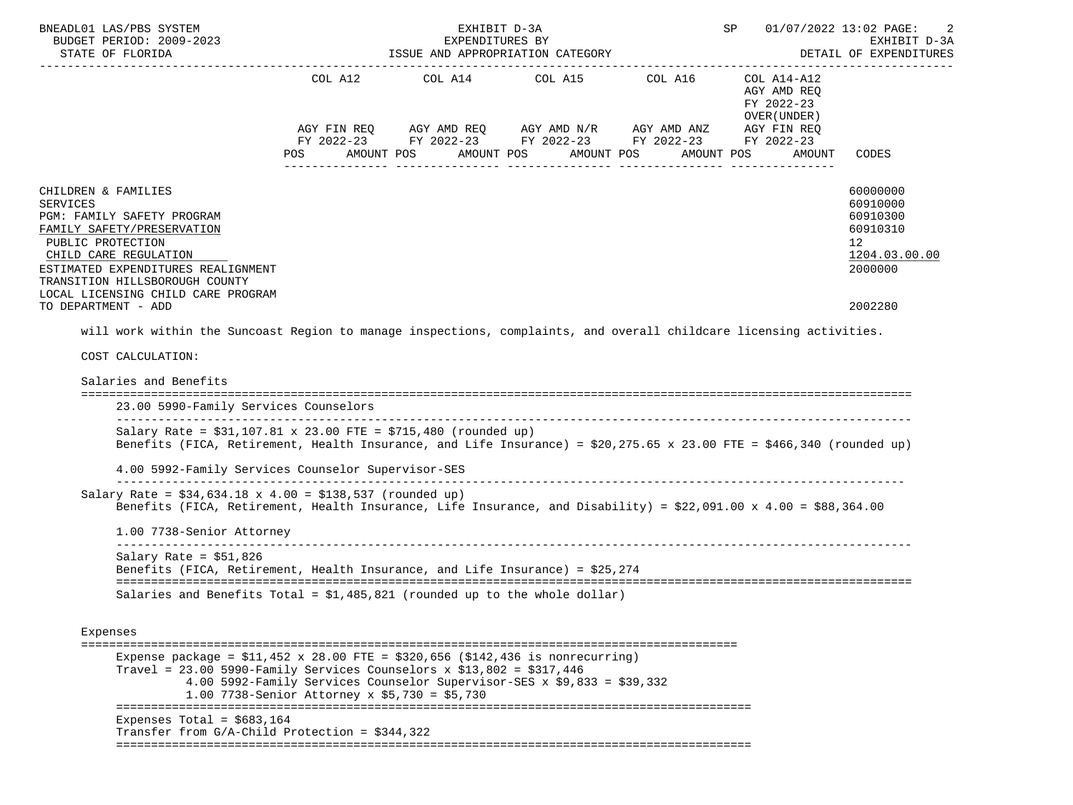| BNEADL01 LAS/PBS SYSTEM<br>BUDGET PERIOD: 2009-2023                                                                                                                                                                                                                                                                          |                                                                                                                          | EXHIBIT D-3A<br>EXPENDITURES BY  |                                                                                                                                                 |                        | SP                                                                                                            | 01/07/2022 13:02 PAGE:<br>2<br>EXHIBIT D-3A                                    |
|------------------------------------------------------------------------------------------------------------------------------------------------------------------------------------------------------------------------------------------------------------------------------------------------------------------------------|--------------------------------------------------------------------------------------------------------------------------|----------------------------------|-------------------------------------------------------------------------------------------------------------------------------------------------|------------------------|---------------------------------------------------------------------------------------------------------------|--------------------------------------------------------------------------------|
| STATE OF FLORIDA                                                                                                                                                                                                                                                                                                             |                                                                                                                          | ISSUE AND APPROPRIATION CATEGORY |                                                                                                                                                 | DETAIL OF EXPENDITURES |                                                                                                               |                                                                                |
|                                                                                                                                                                                                                                                                                                                              | POS<br>AMOUNT POS                                                                                                        |                                  | COL A12 COL A14 COL A15 COL A16<br>AGY FIN REQ AGY AMD REQ AGY AMD N/R AGY AMD ANZ<br>FY 2022-23 FY 2022-23 FY 2022-23 FY 2022-23<br>AMOUNT POS | AMOUNT POS             | COL A14-A12<br>AGY AMD REQ<br>FY 2022-23<br>OVER (UNDER)<br>AGY FIN REQ<br>FY 2022-23<br>AMOUNT POS<br>AMOUNT | <b>CODES</b>                                                                   |
| CHILDREN & FAMILIES<br><b>SERVICES</b><br>PGM: FAMILY SAFETY PROGRAM<br>FAMILY SAFETY/PRESERVATION<br>PUBLIC PROTECTION<br>CHILD CARE REGULATION<br>ESTIMATED EXPENDITURES REALIGNMENT<br>TRANSITION HILLSBOROUGH COUNTY<br>LOCAL LICENSING CHILD CARE PROGRAM                                                               |                                                                                                                          |                                  |                                                                                                                                                 |                        |                                                                                                               | 60000000<br>60910000<br>60910300<br>60910310<br>12<br>1204.03.00.00<br>2000000 |
| TO DEPARTMENT - ADD                                                                                                                                                                                                                                                                                                          |                                                                                                                          |                                  |                                                                                                                                                 |                        |                                                                                                               | 2002280                                                                        |
| Salaries and Benefits<br>23.00 5990-Family Services Counselors<br>Salary Rate = $$31,107.81 \times 23.00$ FTE = $$715,480$ (rounded up)<br>Benefits (FICA, Retirement, Health Insurance, and Life Insurance) = $$20,275.65 \times 23.00$ FTE = $$466,340$ (rounded up)<br>4.00 5992-Family Services Counselor Supervisor-SES |                                                                                                                          |                                  |                                                                                                                                                 |                        |                                                                                                               |                                                                                |
| Salary Rate = $$34,634.18 \times 4.00 = $138,537$ (rounded up)<br>Benefits (FICA, Retirement, Health Insurance, Life Insurance, and Disability) = \$22,091.00 x 4.00 = \$88,364.00<br>1.00 7738-Senior Attorney                                                                                                              |                                                                                                                          |                                  |                                                                                                                                                 |                        |                                                                                                               |                                                                                |
| Salary Rate = $$51,826$<br>Benefits (FICA, Retirement, Health Insurance, and Life Insurance) = \$25,274<br>Salaries and Benefits Total = $$1,485,821$ (rounded up to the whole dollar)                                                                                                                                       |                                                                                                                          |                                  |                                                                                                                                                 |                        |                                                                                                               |                                                                                |
| Expenses                                                                                                                                                                                                                                                                                                                     |                                                                                                                          |                                  |                                                                                                                                                 |                        |                                                                                                               |                                                                                |
| $\qquad \qquad \equiv \equiv \equiv \equiv \equiv \equiv \equiv \equiv$<br>Expense package = $$11,452 \times 28.00$ FTE = $$320,656$ ( $$142,436$ is nonrecurring)<br>Travel = $23.00$ 5990-Family Services Counselors x \$13,802 = \$317,446                                                                                | 4.00 5992-Family Services Counselor Supervisor-SES x \$9,833 = \$39,332<br>1.00 7738-Senior Attorney x \$5,730 = \$5,730 |                                  |                                                                                                                                                 |                        |                                                                                                               |                                                                                |
| Expenses Total = $$683,164$<br>Transfer from $G/A$ -Child Protection = \$344,322                                                                                                                                                                                                                                             |                                                                                                                          |                                  |                                                                                                                                                 |                        |                                                                                                               |                                                                                |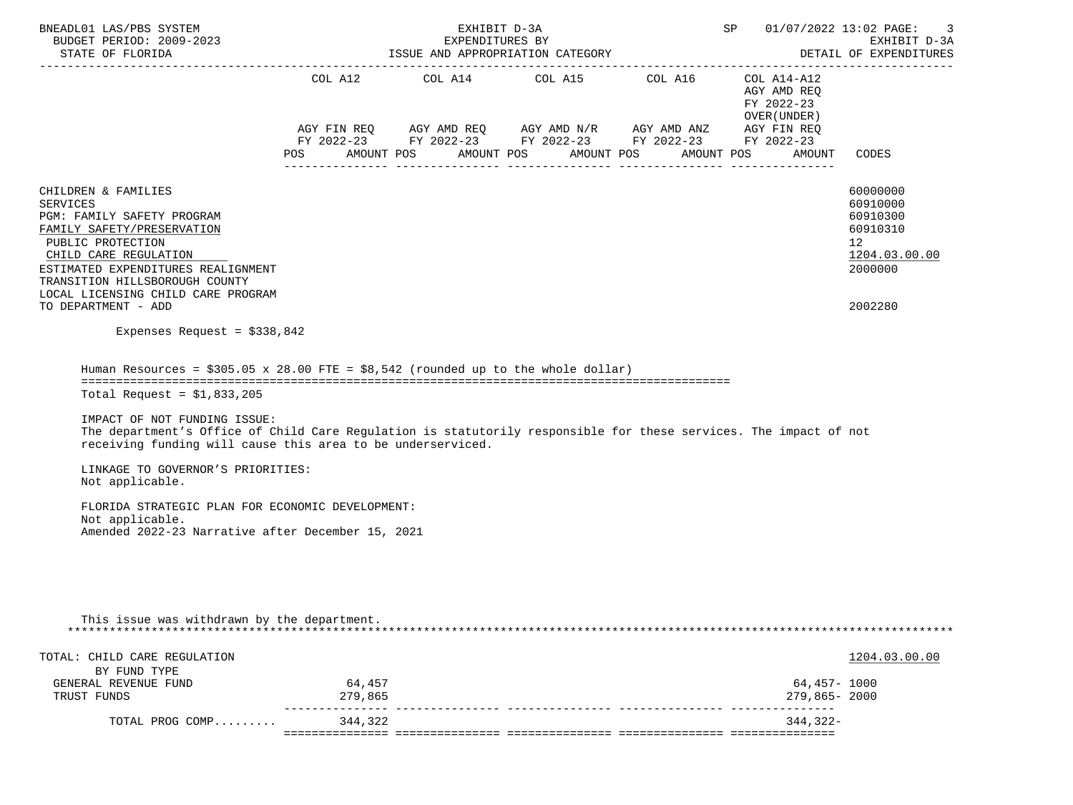| BNEADL01 LAS/PBS SYSTEM<br>BUDGET PERIOD: 2009-2023<br>STATE OF FLORIDA                                                                                                                                                                                                                                                                                                                                                                                                                                                          |                   | EXHIBIT D-3A<br>EXPENDITURES BY<br>ISSUE AND APPROPRIATION CATEGORY |                                                             | 01/07/2022 13:02 PAGE:<br>SP<br>EXHIBIT D-3A<br>DETAIL OF EXPENDITURES<br>------------------                                                                                                          |                                                                    |                                                                                           |  |
|----------------------------------------------------------------------------------------------------------------------------------------------------------------------------------------------------------------------------------------------------------------------------------------------------------------------------------------------------------------------------------------------------------------------------------------------------------------------------------------------------------------------------------|-------------------|---------------------------------------------------------------------|-------------------------------------------------------------|-------------------------------------------------------------------------------------------------------------------------------------------------------------------------------------------------------|--------------------------------------------------------------------|-------------------------------------------------------------------------------------------|--|
|                                                                                                                                                                                                                                                                                                                                                                                                                                                                                                                                  | POS<br>AMOUNT POS |                                                                     | COL A12 COL A14 COL A15 COL A16<br>AMOUNT POS<br>AMOUNT POS | $AGY \text{ FIN REQ} \qquad \text{AGY AMD REQ} \qquad \text{AGY AMD N/R} \qquad \text{AGY AMD ANZ} \qquad \text{AGY FIN REQ}$<br>FY 2022-23 FY 2022-23 FY 2022-23 FY 2022-23 FY 2022-23<br>AMOUNT POS | COL A14-A12<br>AGY AMD REQ<br>FY 2022-23<br>OVER (UNDER)<br>AMOUNT | CODES                                                                                     |  |
| CHILDREN & FAMILIES<br>SERVICES<br>PGM: FAMILY SAFETY PROGRAM<br>FAMILY SAFETY/PRESERVATION<br>PUBLIC PROTECTION<br>CHILD CARE REGULATION<br>ESTIMATED EXPENDITURES REALIGNMENT<br>TRANSITION HILLSBOROUGH COUNTY<br>LOCAL LICENSING CHILD CARE PROGRAM<br>TO DEPARTMENT - ADD                                                                                                                                                                                                                                                   |                   |                                                                     |                                                             |                                                                                                                                                                                                       |                                                                    | 60000000<br>60910000<br>60910300<br>60910310<br>12<br>1204.03.00.00<br>2000000<br>2002280 |  |
| Expenses Request = $$338,842$                                                                                                                                                                                                                                                                                                                                                                                                                                                                                                    |                   |                                                                     |                                                             |                                                                                                                                                                                                       |                                                                    |                                                                                           |  |
| Human Resources = $$305.05 \times 28.00$ FTE = $$8,542$ (rounded up to the whole dollar)<br>Total Request = $$1,833,205$<br>IMPACT OF NOT FUNDING ISSUE:<br>The department's Office of Child Care Regulation is statutorily responsible for these services. The impact of not<br>receiving funding will cause this area to be underserviced.<br>LINKAGE TO GOVERNOR'S PRIORITIES:<br>Not applicable.<br>FLORIDA STRATEGIC PLAN FOR ECONOMIC DEVELOPMENT:<br>Not applicable.<br>Amended 2022-23 Narrative after December 15, 2021 |                   |                                                                     |                                                             |                                                                                                                                                                                                       |                                                                    |                                                                                           |  |
| This issue was withdrawn by the department.                                                                                                                                                                                                                                                                                                                                                                                                                                                                                      |                   |                                                                     |                                                             |                                                                                                                                                                                                       |                                                                    |                                                                                           |  |
| TOTAL: CHILD CARE REGULATION<br>BY FUND TYPE                                                                                                                                                                                                                                                                                                                                                                                                                                                                                     |                   |                                                                     |                                                             |                                                                                                                                                                                                       |                                                                    | 1204.03.00.00                                                                             |  |
| GENERAL REVENUE FUND<br>TRUST FUNDS                                                                                                                                                                                                                                                                                                                                                                                                                                                                                              | 64,457<br>279,865 |                                                                     |                                                             |                                                                                                                                                                                                       | 64,457- 1000<br>279,865-2000                                       |                                                                                           |  |
|                                                                                                                                                                                                                                                                                                                                                                                                                                                                                                                                  | -----------       |                                                                     |                                                             |                                                                                                                                                                                                       |                                                                    |                                                                                           |  |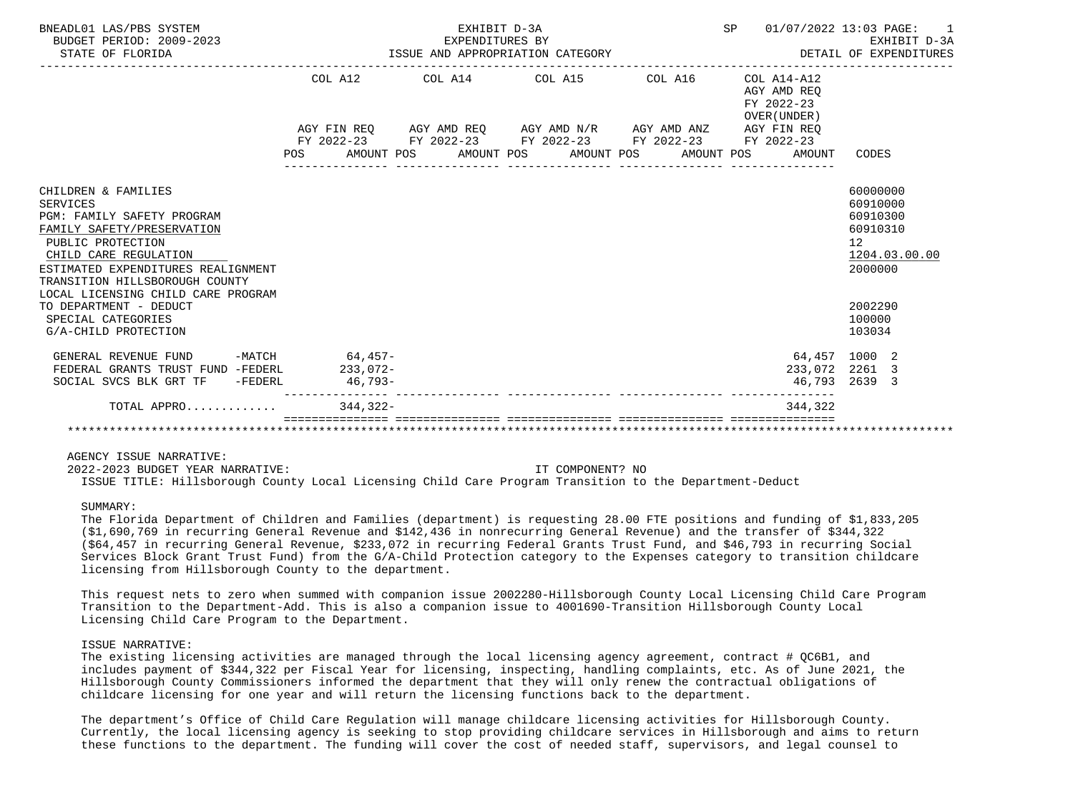| BNEADL01 LAS/PBS SYSTEM<br>BUDGET PERIOD: 2009-2023<br>STATE OF FLORIDA                                                                                                                                                                                                                                                                |            | EXHIBIT D-3A<br>EXPENDITURES BY<br>EXPENDITURES BY<br>ISSUE AND APPROPRIATION CATEGORY | SP 01/07/2022 13:03 PAGE:                                                                                 | $\sim$ 1<br>EXHIBIT D-3A<br>DETAIL OF EXPENDITURES |                                                             |                                                                                                               |
|----------------------------------------------------------------------------------------------------------------------------------------------------------------------------------------------------------------------------------------------------------------------------------------------------------------------------------------|------------|----------------------------------------------------------------------------------------|-----------------------------------------------------------------------------------------------------------|----------------------------------------------------|-------------------------------------------------------------|---------------------------------------------------------------------------------------------------------------|
|                                                                                                                                                                                                                                                                                                                                        |            |                                                                                        | COL A12 COL A14 COL A15 COL A16                                                                           |                                                    | $COL A14- A12$<br>AGY AMD REO<br>FY 2022-23<br>OVER (UNDER) |                                                                                                               |
|                                                                                                                                                                                                                                                                                                                                        |            |                                                                                        | AGY FIN REQ AGY AMD REQ AGY AMD N/R AGY AMD ANZ AGY FIN REQ                                               |                                                    |                                                             |                                                                                                               |
|                                                                                                                                                                                                                                                                                                                                        |            |                                                                                        | FY 2022-23 FY 2022-23 FY 2022-23 FY 2022-23 FY 2022-23<br>POS AMOUNT POS AMOUNT POS AMOUNT POS AMOUNT POS |                                                    | AMOUNT                                                      | CODES                                                                                                         |
|                                                                                                                                                                                                                                                                                                                                        |            |                                                                                        |                                                                                                           |                                                    |                                                             |                                                                                                               |
| CHILDREN & FAMILIES<br><b>SERVICES</b><br>PGM: FAMILY SAFETY PROGRAM<br>FAMILY SAFETY/PRESERVATION<br>PUBLIC PROTECTION<br>CHILD CARE REGULATION<br>ESTIMATED EXPENDITURES REALIGNMENT<br>TRANSITION HILLSBOROUGH COUNTY<br>LOCAL LICENSING CHILD CARE PROGRAM<br>TO DEPARTMENT - DEDUCT<br>SPECIAL CATEGORIES<br>G/A-CHILD PROTECTION |            |                                                                                        |                                                                                                           |                                                    |                                                             | 60000000<br>60910000<br>60910300<br>60910310<br>12<br>1204.03.00.00<br>2000000<br>2002290<br>100000<br>103034 |
| GENERAL REVENUE FUND -MATCH 64,457-                                                                                                                                                                                                                                                                                                    |            |                                                                                        |                                                                                                           |                                                    |                                                             | 64,457 1000 2                                                                                                 |
| FEDERAL GRANTS TRUST FUND -FEDERL                                                                                                                                                                                                                                                                                                      | $233.072-$ |                                                                                        |                                                                                                           |                                                    |                                                             | 233,072 2261 3                                                                                                |
| SOCIAL SVCS BLK GRT TF - FEDERL                                                                                                                                                                                                                                                                                                        | $46,793-$  |                                                                                        |                                                                                                           |                                                    |                                                             | 46,793 2639 3                                                                                                 |
| TOTAL APPRO $\ldots \ldots \ldots$                                                                                                                                                                                                                                                                                                     |            |                                                                                        |                                                                                                           |                                                    | 344.322                                                     |                                                                                                               |
|                                                                                                                                                                                                                                                                                                                                        |            |                                                                                        |                                                                                                           |                                                    |                                                             |                                                                                                               |

2022-2023 BUDGET YEAR NARRATIVE: IT COMPONENT? NO

ISSUE TITLE: Hillsborough County Local Licensing Child Care Program Transition to the Department-Deduct

SUMMARY:

 The Florida Department of Children and Families (department) is requesting 28.00 FTE positions and funding of \$1,833,205 (\$1,690,769 in recurring General Revenue and \$142,436 in nonrecurring General Revenue) and the transfer of \$344,322 (\$64,457 in recurring General Revenue, \$233,072 in recurring Federal Grants Trust Fund, and \$46,793 in recurring Social Services Block Grant Trust Fund) from the G/A-Child Protection category to the Expenses category to transition childcare licensing from Hillsborough County to the department.

 This request nets to zero when summed with companion issue 2002280-Hillsborough County Local Licensing Child Care Program Transition to the Department-Add. This is also a companion issue to 4001690-Transition Hillsborough County Local Licensing Child Care Program to the Department.

## ISSUE NARRATIVE:

The existing licensing activities are managed through the local licensing agency agreement, contract # QC6B1, and includes payment of \$344,322 per Fiscal Year for licensing, inspecting, handling complaints, etc. As of June 2021, the Hillsborough County Commissioners informed the department that they will only renew the contractual obligations of childcare licensing for one year and will return the licensing functions back to the department.

 The department's Office of Child Care Regulation will manage childcare licensing activities for Hillsborough County. Currently, the local licensing agency is seeking to stop providing childcare services in Hillsborough and aims to return these functions to the department. The funding will cover the cost of needed staff, supervisors, and legal counsel to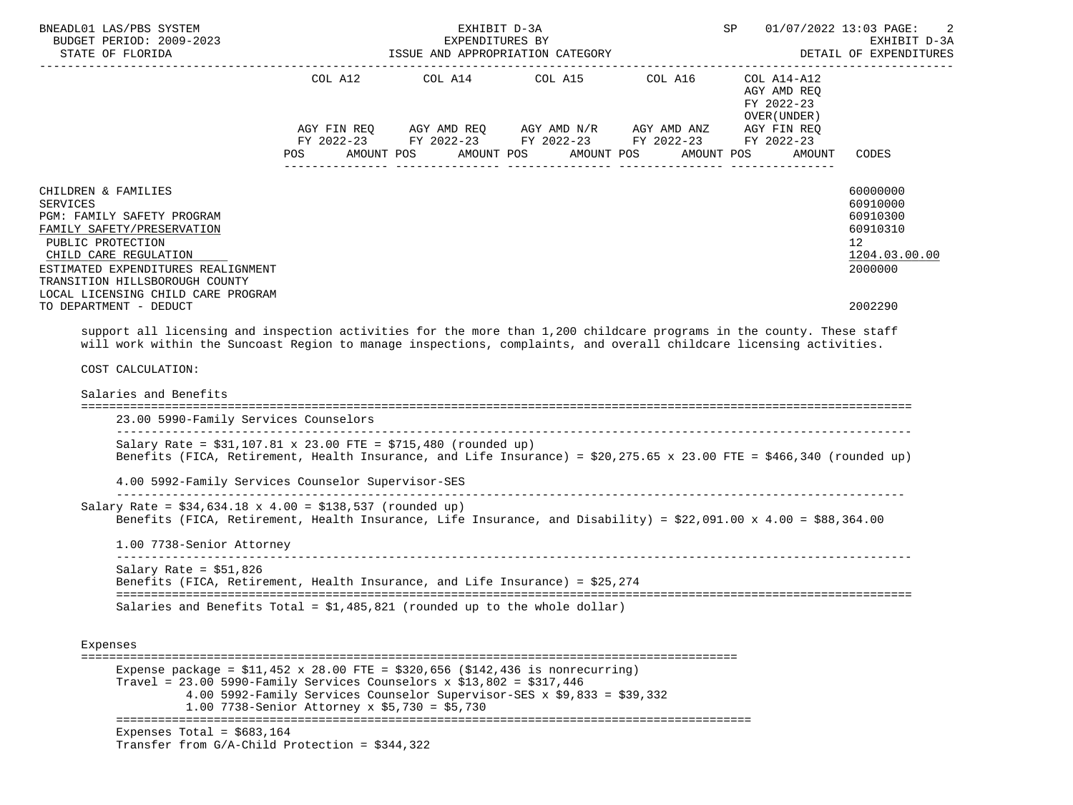| BNEADL01 LAS/PBS SYSTEM<br>BUDGET PERIOD: 2009-2023                                                                                                                                                                                                                                      |                                                                                                                          | EXHIBIT D-3A<br>EXPENDITURES BY                                                                                                                            | SP                    | 01/07/2022 13:03 PAGE:<br>2<br>EXHIBIT D-3A                                                     |                                                                                           |
|------------------------------------------------------------------------------------------------------------------------------------------------------------------------------------------------------------------------------------------------------------------------------------------|--------------------------------------------------------------------------------------------------------------------------|------------------------------------------------------------------------------------------------------------------------------------------------------------|-----------------------|-------------------------------------------------------------------------------------------------|-------------------------------------------------------------------------------------------|
| STATE OF FLORIDA                                                                                                                                                                                                                                                                         |                                                                                                                          | ISSUE AND APPROPRIATION CATEGORY                                                                                                                           |                       |                                                                                                 | DETAIL OF EXPENDITURES                                                                    |
|                                                                                                                                                                                                                                                                                          | <b>POS</b>                                                                                                               | COL A12 COL A14 COL A15 COL A16<br>AGY FIN REQ AGY AMD REQ AGY AMD N/R AGY AMD ANZ<br>FY 2022-23 FY 2022-23 FY 2022-23 FY 2022-23<br>AMOUNT POS AMOUNT POS | AMOUNT POS AMOUNT POS | COL A14-A12<br>AGY AMD REQ<br>FY 2022-23<br>OVER (UNDER)<br>AGY FIN REQ<br>FY 2022-23<br>AMOUNT | CODES                                                                                     |
| CHILDREN & FAMILIES<br><b>SERVICES</b><br>PGM: FAMILY SAFETY PROGRAM<br>FAMILY SAFETY/PRESERVATION<br>PUBLIC PROTECTION<br>CHILD CARE REGULATION<br>ESTIMATED EXPENDITURES REALIGNMENT<br>TRANSITION HILLSBOROUGH COUNTY<br>LOCAL LICENSING CHILD CARE PROGRAM<br>TO DEPARTMENT - DEDUCT |                                                                                                                          |                                                                                                                                                            |                       |                                                                                                 | 60000000<br>60910000<br>60910300<br>60910310<br>12<br>1204.03.00.00<br>2000000<br>2002290 |
| support all licensing and inspection activities for the more than 1,200 childcare programs in the county. These staff                                                                                                                                                                    |                                                                                                                          |                                                                                                                                                            |                       |                                                                                                 |                                                                                           |
| will work within the Suncoast Region to manage inspections, complaints, and overall childcare licensing activities.                                                                                                                                                                      |                                                                                                                          |                                                                                                                                                            |                       |                                                                                                 |                                                                                           |
| COST CALCULATION:                                                                                                                                                                                                                                                                        |                                                                                                                          |                                                                                                                                                            |                       |                                                                                                 |                                                                                           |
| Salaries and Benefits<br>23.00 5990-Family Services Counselors                                                                                                                                                                                                                           |                                                                                                                          |                                                                                                                                                            |                       |                                                                                                 |                                                                                           |
| Salary Rate = $$31,107.81 \times 23.00$ FTE = $$715,480$ (rounded up)<br>Benefits (FICA, Retirement, Health Insurance, and Life Insurance) = $$20,275.65 \times 23.00$ FTE = $$466,340$ (rounded up)                                                                                     |                                                                                                                          |                                                                                                                                                            |                       |                                                                                                 |                                                                                           |
| 4.00 5992-Family Services Counselor Supervisor-SES                                                                                                                                                                                                                                       |                                                                                                                          |                                                                                                                                                            |                       |                                                                                                 |                                                                                           |
| Salary Rate = $$34,634.18 \times 4.00 = $138,537$ (rounded up)<br>Benefits (FICA, Retirement, Health Insurance, Life Insurance, and Disability) = \$22,091.00 x 4.00 = \$88,364.00                                                                                                       |                                                                                                                          |                                                                                                                                                            |                       |                                                                                                 |                                                                                           |
| 1.00 7738-Senior Attorney                                                                                                                                                                                                                                                                |                                                                                                                          |                                                                                                                                                            |                       |                                                                                                 |                                                                                           |
| Salary Rate = $$51,826$<br>Benefits (FICA, Retirement, Health Insurance, and Life Insurance) = \$25,274                                                                                                                                                                                  |                                                                                                                          |                                                                                                                                                            |                       |                                                                                                 |                                                                                           |
| Salaries and Benefits Total = $$1,485,821$ (rounded up to the whole dollar)                                                                                                                                                                                                              |                                                                                                                          |                                                                                                                                                            |                       |                                                                                                 |                                                                                           |
|                                                                                                                                                                                                                                                                                          |                                                                                                                          |                                                                                                                                                            |                       |                                                                                                 |                                                                                           |
| Expenses                                                                                                                                                                                                                                                                                 |                                                                                                                          |                                                                                                                                                            |                       |                                                                                                 |                                                                                           |
| Expense package = $$11,452 \times 28.00$ FTE = $$320,656$ ( $$142,436$ is nonrecurring)<br>Travel = $23.00$ 5990-Family Services Counselors x \$13,802 = \$317,446                                                                                                                       | 4.00 5992-Family Services Counselor Supervisor-SES x \$9,833 = \$39,332<br>1.00 7738-Senior Attorney x \$5,730 = \$5,730 |                                                                                                                                                            |                       |                                                                                                 |                                                                                           |
| Expenses Total = $$683,164$<br>Transfer from G/A-Child Protection = \$344,322                                                                                                                                                                                                            |                                                                                                                          |                                                                                                                                                            |                       |                                                                                                 |                                                                                           |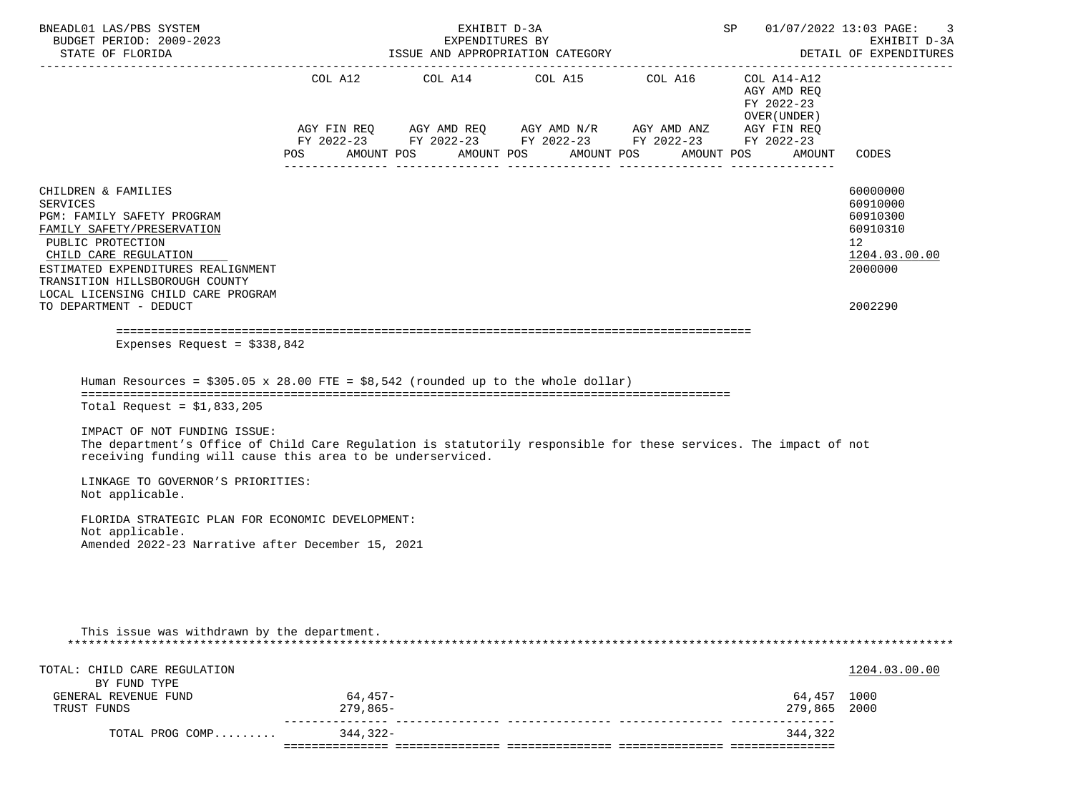| BNEADL01 LAS/PBS SYSTEM<br>BUDGET PERIOD: 2009-2023<br>STATE OF FLORIDA                                                                                                                                                                                                                                                                                                                                                                                                                                                          | EXHIBIT D-3A<br>EXPENDITURES BY<br>ISSUE AND APPROPRIATION CATEGORY |                     |                                                                                                                                                                                                                                                                                                                                                                                                                                                                                                                                                                                                                                                      |  |            |  |            |            |  | SP 01/07/2022 13:03 PAGE:<br>EXHIBIT D-3A<br>DETAIL OF EXPENDITURES |                                                                                           |  |
|----------------------------------------------------------------------------------------------------------------------------------------------------------------------------------------------------------------------------------------------------------------------------------------------------------------------------------------------------------------------------------------------------------------------------------------------------------------------------------------------------------------------------------|---------------------------------------------------------------------|---------------------|------------------------------------------------------------------------------------------------------------------------------------------------------------------------------------------------------------------------------------------------------------------------------------------------------------------------------------------------------------------------------------------------------------------------------------------------------------------------------------------------------------------------------------------------------------------------------------------------------------------------------------------------------|--|------------|--|------------|------------|--|---------------------------------------------------------------------|-------------------------------------------------------------------------------------------|--|
|                                                                                                                                                                                                                                                                                                                                                                                                                                                                                                                                  |                                                                     |                     | $\begin{tabular}{lllllllllll} \multicolumn{2}{l}{{\text{COL}}}\  \  \, & \multicolumn{2}{l}{\text{COL}}\  \  \, & \multicolumn{2}{l}{\text{COL}}\  \  \, & \multicolumn{2}{l}{\text{COL}}\  \  \, & \multicolumn{2}{l}{\text{COL}}\  \  \, & \multicolumn{2}{l}{\text{COL}}\  \  \, & \multicolumn{2}{l}{\text{COL}}\  \  \, & \multicolumn{2}{l}{\text{COL}}\  \  \, & \multicolumn{2}{l}{\text{COL}}\  \  \, & \multicolumn{2}{l}{\text{COL}}\  \$<br>$AGY \text{ FIN REQ} \qquad AGY \text{ AMD REQ} \qquad AGY \text{ AMD } N/R \qquad AGY \text{ AMD ANZ} \qquad AGY \text{ FIN REQ}$<br>FY 2022-23 FY 2022-23 FY 2022-23 FY 2022-23 FY 2022-23 |  |            |  |            |            |  | COL A14-A12<br>AGY AMD REO<br>FY 2022-23<br>OVER (UNDER)            |                                                                                           |  |
|                                                                                                                                                                                                                                                                                                                                                                                                                                                                                                                                  | POS DO                                                              |                     | AMOUNT POS                                                                                                                                                                                                                                                                                                                                                                                                                                                                                                                                                                                                                                           |  | AMOUNT POS |  | AMOUNT POS | AMOUNT POS |  | AMOUNT                                                              | CODES                                                                                     |  |
| CHILDREN & FAMILIES<br><b>SERVICES</b><br>PGM: FAMILY SAFETY PROGRAM<br>FAMILY SAFETY/PRESERVATION<br>PUBLIC PROTECTION<br>CHILD CARE REGULATION<br>ESTIMATED EXPENDITURES REALIGNMENT<br>TRANSITION HILLSBOROUGH COUNTY<br>LOCAL LICENSING CHILD CARE PROGRAM<br>TO DEPARTMENT - DEDUCT                                                                                                                                                                                                                                         |                                                                     |                     |                                                                                                                                                                                                                                                                                                                                                                                                                                                                                                                                                                                                                                                      |  |            |  |            |            |  |                                                                     | 60000000<br>60910000<br>60910300<br>60910310<br>12<br>1204.03.00.00<br>2000000<br>2002290 |  |
| Expenses Request = $$338,842$                                                                                                                                                                                                                                                                                                                                                                                                                                                                                                    |                                                                     |                     |                                                                                                                                                                                                                                                                                                                                                                                                                                                                                                                                                                                                                                                      |  |            |  |            |            |  |                                                                     |                                                                                           |  |
| Human Resources = $$305.05 \times 28.00$ FTE = $$8,542$ (rounded up to the whole dollar)<br>Total Request = $$1,833,205$<br>IMPACT OF NOT FUNDING ISSUE:<br>The department's Office of Child Care Regulation is statutorily responsible for these services. The impact of not<br>receiving funding will cause this area to be underserviced.<br>LINKAGE TO GOVERNOR'S PRIORITIES:<br>Not applicable.<br>FLORIDA STRATEGIC PLAN FOR ECONOMIC DEVELOPMENT:<br>Not applicable.<br>Amended 2022-23 Narrative after December 15, 2021 |                                                                     |                     |                                                                                                                                                                                                                                                                                                                                                                                                                                                                                                                                                                                                                                                      |  |            |  |            |            |  |                                                                     |                                                                                           |  |
| This issue was withdrawn by the department.                                                                                                                                                                                                                                                                                                                                                                                                                                                                                      |                                                                     |                     |                                                                                                                                                                                                                                                                                                                                                                                                                                                                                                                                                                                                                                                      |  |            |  |            |            |  |                                                                     |                                                                                           |  |
| TOTAL: CHILD CARE REGULATION<br>BY FUND TYPE                                                                                                                                                                                                                                                                                                                                                                                                                                                                                     |                                                                     |                     |                                                                                                                                                                                                                                                                                                                                                                                                                                                                                                                                                                                                                                                      |  |            |  |            |            |  |                                                                     | 1204.03.00.00                                                                             |  |
| GENERAL REVENUE FUND<br>TRUST FUNDS                                                                                                                                                                                                                                                                                                                                                                                                                                                                                              |                                                                     | 64,457-<br>279,865- |                                                                                                                                                                                                                                                                                                                                                                                                                                                                                                                                                                                                                                                      |  |            |  |            |            |  | 64,457 1000<br>279,865                                              | 2000                                                                                      |  |
| TOTAL PROG COMP                                                                                                                                                                                                                                                                                                                                                                                                                                                                                                                  |                                                                     | 344,322-            |                                                                                                                                                                                                                                                                                                                                                                                                                                                                                                                                                                                                                                                      |  |            |  |            |            |  | 344,322                                                             |                                                                                           |  |
|                                                                                                                                                                                                                                                                                                                                                                                                                                                                                                                                  |                                                                     |                     |                                                                                                                                                                                                                                                                                                                                                                                                                                                                                                                                                                                                                                                      |  |            |  |            |            |  |                                                                     |                                                                                           |  |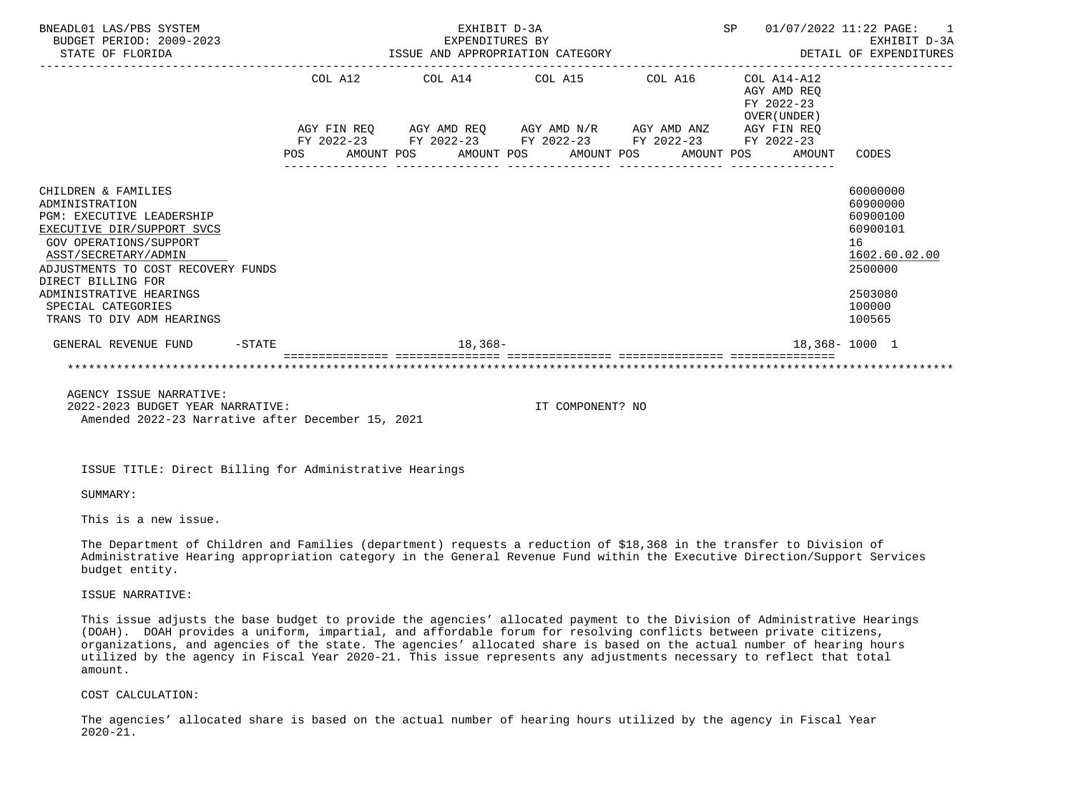| BNEADL01 LAS/PBS SYSTEM<br>BUDGET PERIOD: 2009-2023<br>STATE OF FLORIDA                                                                                                                                                                                                                                    |  |  | EXHIBIT D-3A                                                                                                          |                  |  | SP |                                                        | 01/07/2022 11:22 PAGE:<br>$\overline{1}$<br>EXPENDITURES BY EXHIBIT D-3A<br>ISSUE AND APPROPRIATION CATEGORY THE SERIE OF EXPENDITURES |
|------------------------------------------------------------------------------------------------------------------------------------------------------------------------------------------------------------------------------------------------------------------------------------------------------------|--|--|-----------------------------------------------------------------------------------------------------------------------|------------------|--|----|--------------------------------------------------------|----------------------------------------------------------------------------------------------------------------------------------------|
|                                                                                                                                                                                                                                                                                                            |  |  | COL A12 COL A14 COL A15 COL A16 COL A14-A12                                                                           |                  |  |    | AGY AMD REO<br>FY 2022-23<br>OVER (UNDER)              |                                                                                                                                        |
|                                                                                                                                                                                                                                                                                                            |  |  | AGY FIN REQ AGY AMD REQ AGY AMD N/R AGY AMD ANZ AGY FIN REQ<br>FY 2022-23 FY 2022-23 FY 2022-23 FY 2022-23 FY 2022-23 |                  |  |    | POS AMOUNT POS AMOUNT POS AMOUNT POS AMOUNT POS AMOUNT | CODES                                                                                                                                  |
| CHILDREN & FAMILIES<br>ADMINISTRATION<br><b>PGM: EXECUTIVE LEADERSHIP</b><br>EXECUTIVE DIR/SUPPORT SVCS<br><b>GOV OPERATIONS/SUPPORT</b><br>ASST/SECRETARY/ADMIN<br>ADJUSTMENTS TO COST RECOVERY FUNDS<br>DIRECT BILLING FOR<br>ADMINISTRATIVE HEARINGS<br>SPECIAL CATEGORIES<br>TRANS TO DIV ADM HEARINGS |  |  |                                                                                                                       |                  |  |    |                                                        | 60000000<br>60900000<br>60900100<br>60900101<br>16<br>1602.60.02.00<br>2500000<br>2503080<br>100000<br>100565                          |
| GENERAL REVENUE FUND -STATE                                                                                                                                                                                                                                                                                |  |  | 18,368-                                                                                                               |                  |  |    |                                                        | 18,368-1000 1                                                                                                                          |
|                                                                                                                                                                                                                                                                                                            |  |  |                                                                                                                       |                  |  |    |                                                        |                                                                                                                                        |
| AGENCY ISSUE NARRATIVE:<br>2022-2023 BUDGET YEAR NARRATIVE:<br>Amended 2022-23 Narrative after December 15, 2021                                                                                                                                                                                           |  |  |                                                                                                                       | IT COMPONENT? NO |  |    |                                                        |                                                                                                                                        |

ISSUE TITLE: Direct Billing for Administrative Hearings

SUMMARY:

This is a new issue.

 The Department of Children and Families (department) requests a reduction of \$18,368 in the transfer to Division of Administrative Hearing appropriation category in the General Revenue Fund within the Executive Direction/Support Services budget entity.

ISSUE NARRATIVE:

 This issue adjusts the base budget to provide the agencies' allocated payment to the Division of Administrative Hearings (DOAH). DOAH provides a uniform, impartial, and affordable forum for resolving conflicts between private citizens, organizations, and agencies of the state. The agencies' allocated share is based on the actual number of hearing hours utilized by the agency in Fiscal Year 2020-21. This issue represents any adjustments necessary to reflect that total amount.

# COST CALCULATION:

 The agencies' allocated share is based on the actual number of hearing hours utilized by the agency in Fiscal Year 2020-21.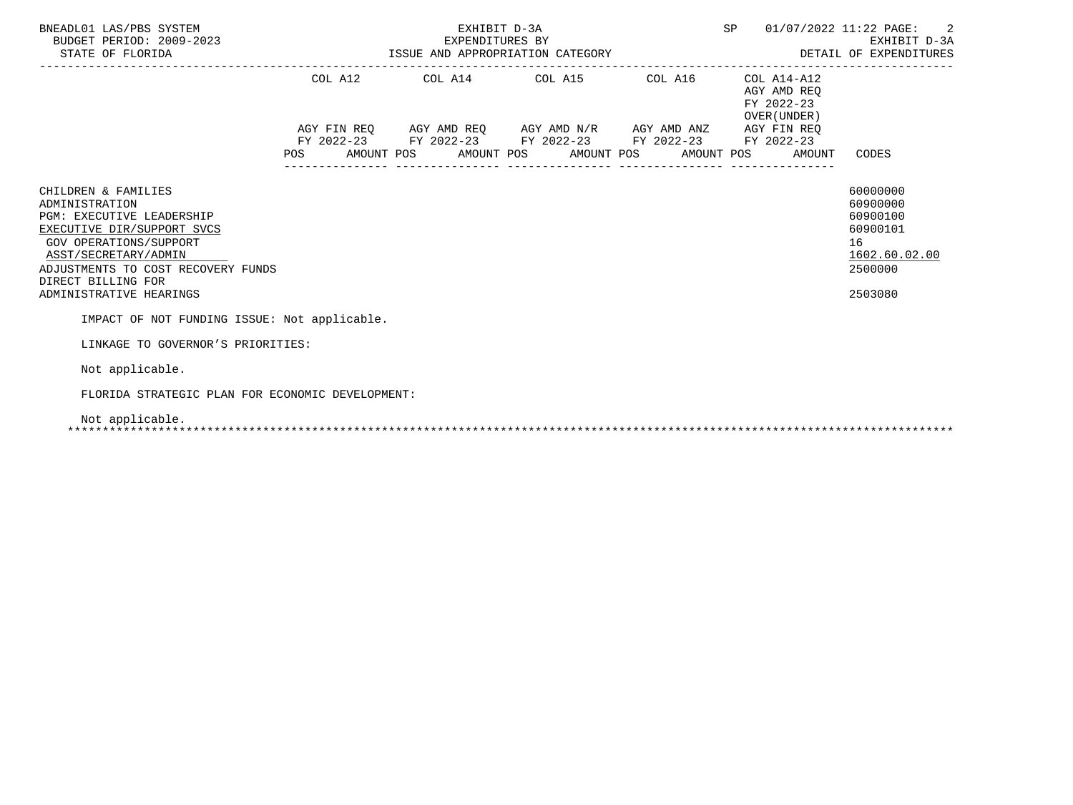| BNEADL01 LAS/PBS SYSTEM<br>BUDGET PERIOD: 2009-2023<br>STATE OF FLORIDA                                                                                                                                                                          |                                                                                                           |  |  | SP 01/07/2022 11:22 PAGE: 2<br>EXHIBIT D-3A<br>EXPENDITURES BY<br>ISSUE AND APPROPRIATION CATEGORY STORE AND APPROPRIATION CATEGORY |  |                                           |                                                                                           |
|--------------------------------------------------------------------------------------------------------------------------------------------------------------------------------------------------------------------------------------------------|-----------------------------------------------------------------------------------------------------------|--|--|-------------------------------------------------------------------------------------------------------------------------------------|--|-------------------------------------------|-------------------------------------------------------------------------------------------|
|                                                                                                                                                                                                                                                  | COL A12 COL A14 COL A15 COL A16 COL A14-A12                                                               |  |  |                                                                                                                                     |  | AGY AMD REO<br>FY 2022-23<br>OVER (UNDER) |                                                                                           |
|                                                                                                                                                                                                                                                  | AGY FIN REQ AGY AMD REQ AGY AMD N/R AGY AMD ANZ AGY FIN REQ                                               |  |  |                                                                                                                                     |  |                                           |                                                                                           |
|                                                                                                                                                                                                                                                  | FY 2022-23 FY 2022-23 FY 2022-23 FY 2022-23 FY 2022-23<br>POS AMOUNT POS AMOUNT POS AMOUNT POS AMOUNT POS |  |  |                                                                                                                                     |  |                                           | AMOUNT CODES                                                                              |
| CHILDREN & FAMILIES<br>ADMINISTRATION<br><b>PGM: EXECUTIVE LEADERSHIP</b><br>EXECUTIVE DIR/SUPPORT SVCS<br>GOV OPERATIONS/SUPPORT<br>ASST/SECRETARY/ADMIN<br>ADJUSTMENTS TO COST RECOVERY FUNDS<br>DIRECT BILLING FOR<br>ADMINISTRATIVE HEARINGS |                                                                                                           |  |  |                                                                                                                                     |  |                                           | 60000000<br>60900000<br>60900100<br>60900101<br>16<br>1602.60.02.00<br>2500000<br>2503080 |
| IMPACT OF NOT FUNDING ISSUE: Not applicable.                                                                                                                                                                                                     |                                                                                                           |  |  |                                                                                                                                     |  |                                           |                                                                                           |
| LINKAGE TO GOVERNOR'S PRIORITIES:                                                                                                                                                                                                                |                                                                                                           |  |  |                                                                                                                                     |  |                                           |                                                                                           |
| Not applicable.                                                                                                                                                                                                                                  |                                                                                                           |  |  |                                                                                                                                     |  |                                           |                                                                                           |
| FLORIDA STRATEGIC PLAN FOR ECONOMIC DEVELOPMENT:                                                                                                                                                                                                 |                                                                                                           |  |  |                                                                                                                                     |  |                                           |                                                                                           |
| Not applicable.                                                                                                                                                                                                                                  |                                                                                                           |  |  |                                                                                                                                     |  |                                           |                                                                                           |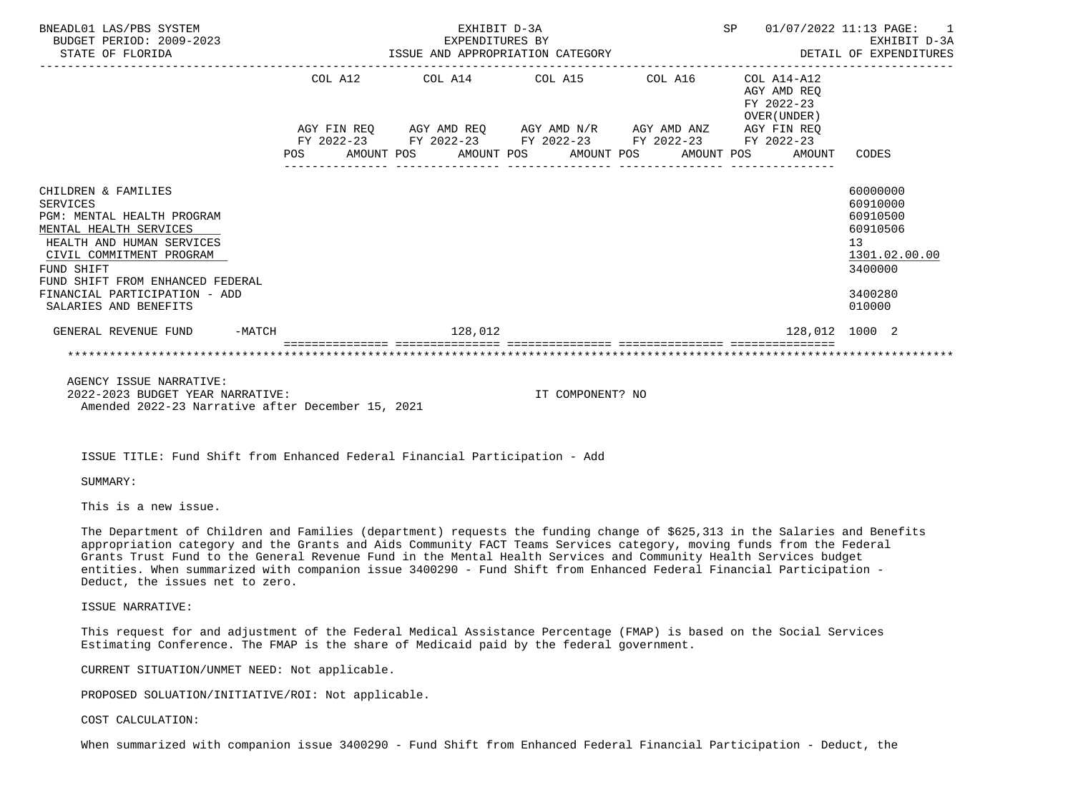| BNEADL01 LAS/PBS SYSTEM<br>BUDGET PERIOD: 2009-2023<br>STATE OF FLORIDA                                                                                                                                                                                             |  |                                                                                                            |                                       |  | EXHIBIT D-3A                                                                                                           |  | SP 01/07/2022 11:13 PAGE: 1<br>DETAIL OF EXPENDITURES |                                                                                                 | EXHIBIT D-3A  |
|---------------------------------------------------------------------------------------------------------------------------------------------------------------------------------------------------------------------------------------------------------------------|--|------------------------------------------------------------------------------------------------------------|---------------------------------------|--|------------------------------------------------------------------------------------------------------------------------|--|-------------------------------------------------------|-------------------------------------------------------------------------------------------------|---------------|
|                                                                                                                                                                                                                                                                     |  | COL A12 COL A14 COL A15 COL A16 COL A14-A12<br>AGY FIN REQ AGY AMD REQ AGY AMD N/R AGY AMD ANZ AGY FIN REQ |                                       |  |                                                                                                                        |  | AGY AMD REO<br>FY 2022-23<br>OVER (UNDER)             |                                                                                                 |               |
|                                                                                                                                                                                                                                                                     |  |                                                                                                            | _____________________________________ |  | FY 2022-23 FY 2022-23 FY 2022-23 FY 2022-23 FY 2022-23<br>POS AMOUNT POS AMOUNT POS AMOUNT POS AMOUNT POS AMOUNT CODES |  |                                                       |                                                                                                 |               |
| CHILDREN & FAMILIES<br><b>SERVICES</b><br>PGM: MENTAL HEALTH PROGRAM<br>MENTAL HEALTH SERVICES<br>HEALTH AND HUMAN SERVICES<br>CIVIL COMMITMENT PROGRAM<br>FUND SHIFT<br>FUND SHIFT FROM ENHANCED FEDERAL<br>FINANCIAL PARTICIPATION - ADD<br>SALARIES AND BENEFITS |  |                                                                                                            |                                       |  |                                                                                                                        |  |                                                       | 60000000<br>60910000<br>60910500<br>60910506<br>13 <sup>7</sup><br>3400000<br>3400280<br>010000 | 1301.02.00.00 |
| GENERAL REVENUE FUND -MATCH                                                                                                                                                                                                                                         |  |                                                                                                            | 128,012                               |  |                                                                                                                        |  | 128,012 1000 2                                        |                                                                                                 |               |
|                                                                                                                                                                                                                                                                     |  |                                                                                                            |                                       |  |                                                                                                                        |  |                                                       |                                                                                                 |               |

 AGENCY ISSUE NARRATIVE: 2022-2023 BUDGET YEAR NARRATIVE: IT COMPONENT? NO Amended 2022-23 Narrative after December 15, 2021

ISSUE TITLE: Fund Shift from Enhanced Federal Financial Participation - Add

SUMMARY:

This is a new issue.

 The Department of Children and Families (department) requests the funding change of \$625,313 in the Salaries and Benefits appropriation category and the Grants and Aids Community FACT Teams Services category, moving funds from the Federal Grants Trust Fund to the General Revenue Fund in the Mental Health Services and Community Health Services budget entities. When summarized with companion issue 3400290 - Fund Shift from Enhanced Federal Financial Participation - Deduct, the issues net to zero.

ISSUE NARRATIVE:

 This request for and adjustment of the Federal Medical Assistance Percentage (FMAP) is based on the Social Services Estimating Conference. The FMAP is the share of Medicaid paid by the federal government.

CURRENT SITUATION/UNMET NEED: Not applicable.

PROPOSED SOLUATION/INITIATIVE/ROI: Not applicable.

# COST CALCULATION:

When summarized with companion issue 3400290 - Fund Shift from Enhanced Federal Financial Participation - Deduct, the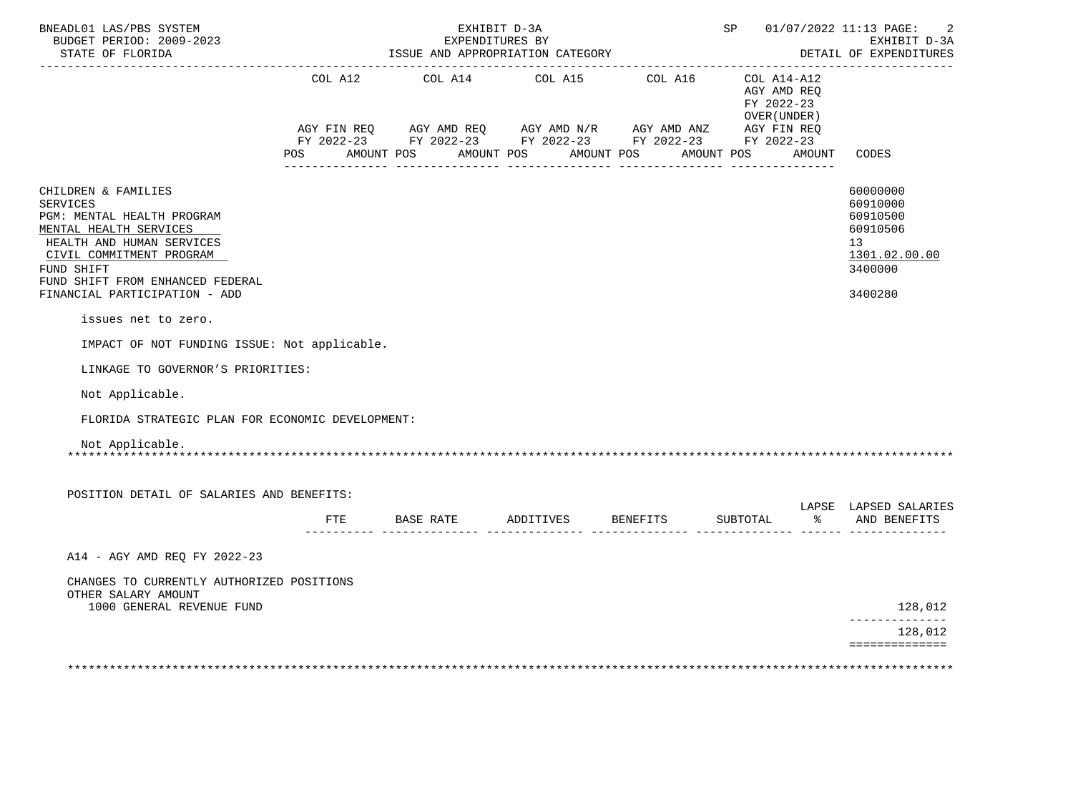| BNEADL01 LAS/PBS SYSTEM<br>BUDGET PERIOD: 2009-2023<br>STATE OF FLORIDA                                                                                                                                   |         | EXHIBIT D-3A<br>EXPENDITURES BY<br>ISSUE AND APPROPRIATION CATEGORY<br>--------------------------------                              | -------------      |         |                                                          | SP 01/07/2022 11:13 PAGE:<br>2<br>EXHIBIT D-3A<br>DETAIL OF EXPENDITURES |                                                                                             |
|-----------------------------------------------------------------------------------------------------------------------------------------------------------------------------------------------------------|---------|--------------------------------------------------------------------------------------------------------------------------------------|--------------------|---------|----------------------------------------------------------|--------------------------------------------------------------------------|---------------------------------------------------------------------------------------------|
|                                                                                                                                                                                                           | COL A12 | COL A14 COL A15                                                                                                                      |                    | COL A16 | COL A14-A12<br>AGY AMD REQ<br>FY 2022-23<br>OVER (UNDER) |                                                                          |                                                                                             |
|                                                                                                                                                                                                           |         | AGY FIN REQ AGY AMD REQ AGY AMD N/R AGY AMD ANZ AGY FIN REQ FY 2022-23 FY 2022-23 FY 2022-23<br>POS AMOUNT POS AMOUNT POS AMOUNT POS |                    |         | AMOUNT POS AMOUNT                                        |                                                                          | CODES                                                                                       |
| CHILDREN & FAMILIES<br><b>SERVICES</b><br>PGM: MENTAL HEALTH PROGRAM<br>MENTAL HEALTH SERVICES<br>HEALTH AND HUMAN SERVICES<br>CIVIL COMMITMENT PROGRAM<br>FUND SHIFT<br>FUND SHIFT FROM ENHANCED FEDERAL |         |                                                                                                                                      |                    |         |                                                          |                                                                          | 60000000<br>60910000<br>60910500<br>60910506<br>13 <sup>7</sup><br>1301.02.00.00<br>3400000 |
| FINANCIAL PARTICIPATION - ADD                                                                                                                                                                             |         |                                                                                                                                      |                    |         |                                                          |                                                                          | 3400280                                                                                     |
| issues net to zero.                                                                                                                                                                                       |         |                                                                                                                                      |                    |         |                                                          |                                                                          |                                                                                             |
| IMPACT OF NOT FUNDING ISSUE: Not applicable.                                                                                                                                                              |         |                                                                                                                                      |                    |         |                                                          |                                                                          |                                                                                             |
| LINKAGE TO GOVERNOR'S PRIORITIES:                                                                                                                                                                         |         |                                                                                                                                      |                    |         |                                                          |                                                                          |                                                                                             |
| Not Applicable.                                                                                                                                                                                           |         |                                                                                                                                      |                    |         |                                                          |                                                                          |                                                                                             |
| FLORIDA STRATEGIC PLAN FOR ECONOMIC DEVELOPMENT:                                                                                                                                                          |         |                                                                                                                                      |                    |         |                                                          |                                                                          |                                                                                             |
| Not Applicable.                                                                                                                                                                                           |         |                                                                                                                                      |                    |         |                                                          |                                                                          |                                                                                             |
| POSITION DETAIL OF SALARIES AND BENEFITS:                                                                                                                                                                 |         |                                                                                                                                      |                    |         |                                                          |                                                                          |                                                                                             |
|                                                                                                                                                                                                           | FTE     | BASE RATE                                                                                                                            | ADDITIVES BENEFITS |         | SUBTOTAL                                                 | $\frac{1}{2}$                                                            | LAPSE LAPSED SALARIES<br>AND BENEFITS                                                       |
| A14 - AGY AMD REO FY 2022-23                                                                                                                                                                              |         |                                                                                                                                      |                    |         |                                                          |                                                                          |                                                                                             |
| CHANGES TO CURRENTLY AUTHORIZED POSITIONS<br>OTHER SALARY AMOUNT                                                                                                                                          |         |                                                                                                                                      |                    |         |                                                          |                                                                          |                                                                                             |
| 1000 GENERAL REVENUE FUND                                                                                                                                                                                 |         |                                                                                                                                      |                    |         |                                                          |                                                                          | 128,012<br>______________                                                                   |
|                                                                                                                                                                                                           |         |                                                                                                                                      |                    |         |                                                          |                                                                          | 128,012<br>==============                                                                   |
|                                                                                                                                                                                                           |         |                                                                                                                                      |                    |         |                                                          |                                                                          |                                                                                             |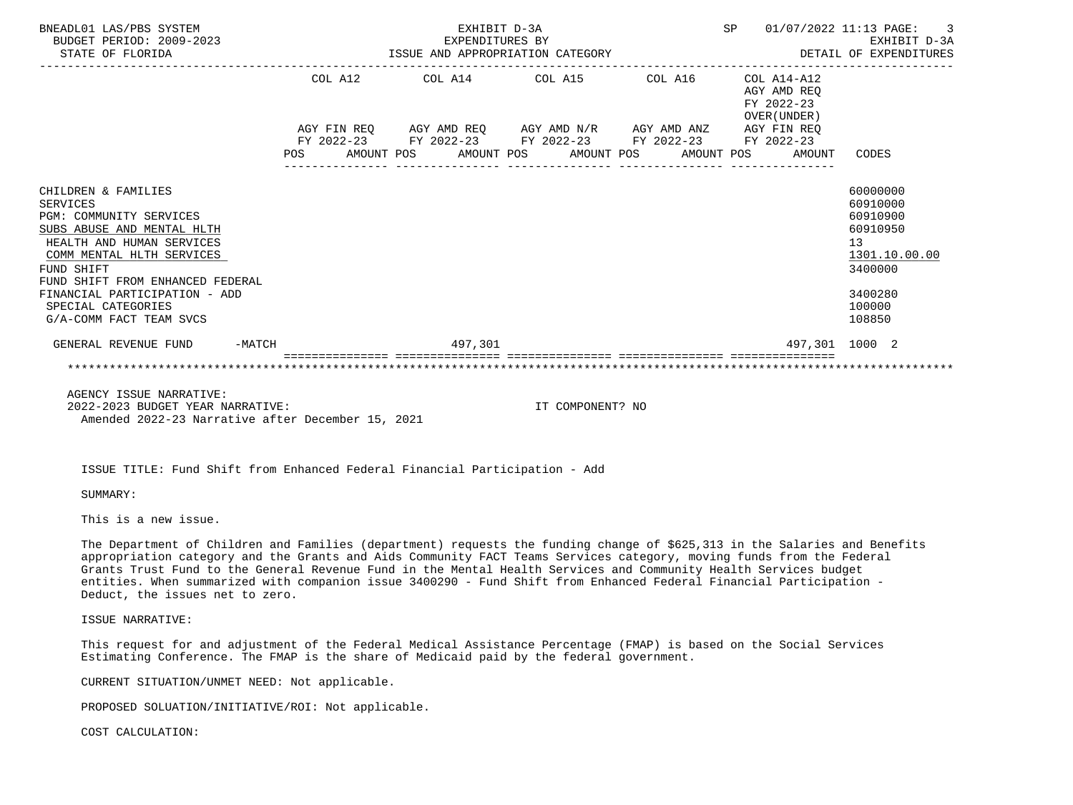| BNEADL01 LAS/PBS SYSTEM<br>BUDGET PERIOD: 2009-2023<br>STATE OF FLORIDA | EXHIBIT D-3A                                                                                              | SP 01/07/2022 11:13 PAGE: | $\overline{\phantom{a}}$ 3<br>EXPENDITURES BY EXHIBIT D-3A<br>ISSUE AND APPROPRIATION CATEGORY DETAIL OF EXPENDITURES |                          |
|-------------------------------------------------------------------------|-----------------------------------------------------------------------------------------------------------|---------------------------|-----------------------------------------------------------------------------------------------------------------------|--------------------------|
|                                                                         | COL A12 COL A14 COL A15 COL A16 COL A14-A12                                                               |                           | AGY AMD REO<br>FY 2022-23<br>OVER (UNDER)                                                                             |                          |
|                                                                         | AGY FIN REQ AGY AMD REQ AGY AMD N/R AGY AMD ANZ AGY FIN REQ                                               |                           |                                                                                                                       |                          |
|                                                                         | FY 2022-23 FY 2022-23 FY 2022-23 FY 2022-23 FY 2022-23<br>POS AMOUNT POS AMOUNT POS AMOUNT POS AMOUNT POS |                           | AMOUNT                                                                                                                | CODES                    |
| CHILDREN & FAMILIES                                                     |                                                                                                           |                           |                                                                                                                       | 60000000                 |
| <b>SERVICES</b><br><b>PGM: COMMUNITY SERVICES</b>                       |                                                                                                           |                           |                                                                                                                       | 60910000<br>60910900     |
| SUBS ABUSE AND MENTAL HLTH                                              |                                                                                                           |                           |                                                                                                                       | 60910950                 |
| HEALTH AND HUMAN SERVICES                                               |                                                                                                           |                           |                                                                                                                       | 13                       |
| COMM MENTAL HLTH SERVICES<br>FUND SHIFT                                 |                                                                                                           |                           |                                                                                                                       | 1301.10.00.00<br>3400000 |
| FUND SHIFT FROM ENHANCED FEDERAL                                        |                                                                                                           |                           |                                                                                                                       |                          |
| FINANCIAL PARTICIPATION - ADD                                           |                                                                                                           |                           |                                                                                                                       | 3400280                  |
| SPECIAL CATEGORIES<br>G/A-COMM FACT TEAM SVCS                           |                                                                                                           |                           |                                                                                                                       | 100000<br>108850         |
| GENERAL REVENUE FUND -MATCH                                             | 497,301                                                                                                   |                           | 497,301 1000 2                                                                                                        |                          |
|                                                                         |                                                                                                           |                           |                                                                                                                       |                          |
| AGENCY ISSUE NARRATIVE:                                                 |                                                                                                           |                           |                                                                                                                       |                          |
|                                                                         |                                                                                                           |                           |                                                                                                                       |                          |

 2022-2023 BUDGET YEAR NARRATIVE: IT COMPONENT? NO Amended 2022-23 Narrative after December 15, 2021

ISSUE TITLE: Fund Shift from Enhanced Federal Financial Participation - Add

SUMMARY:

This is a new issue.

 The Department of Children and Families (department) requests the funding change of \$625,313 in the Salaries and Benefits appropriation category and the Grants and Aids Community FACT Teams Services category, moving funds from the Federal Grants Trust Fund to the General Revenue Fund in the Mental Health Services and Community Health Services budget entities. When summarized with companion issue 3400290 - Fund Shift from Enhanced Federal Financial Participation - Deduct, the issues net to zero.

ISSUE NARRATIVE:

 This request for and adjustment of the Federal Medical Assistance Percentage (FMAP) is based on the Social Services Estimating Conference. The FMAP is the share of Medicaid paid by the federal government.

CURRENT SITUATION/UNMET NEED: Not applicable.

PROPOSED SOLUATION/INITIATIVE/ROI: Not applicable.

COST CALCULATION: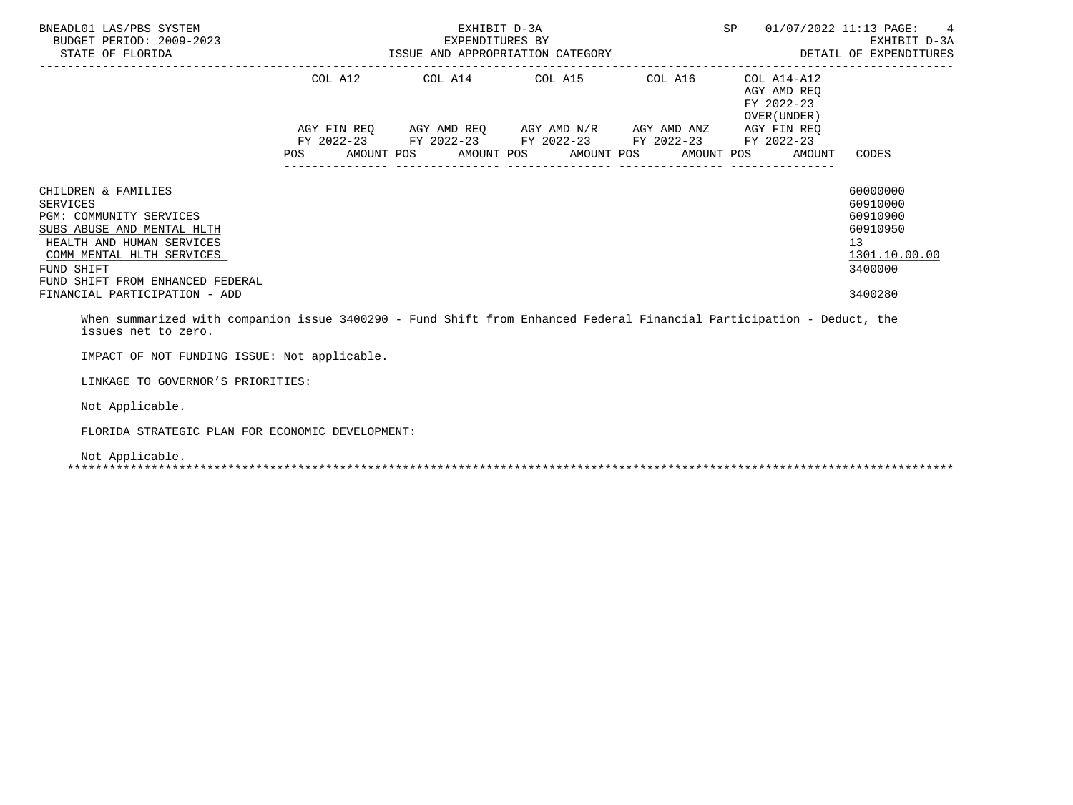| BNEADL01 LAS/PBS SYSTEM<br>BUDGET PERIOD: 2009-2023<br>STATE OF FLORIDA                                                                                                                                                                      | EXHIBIT D-3A<br>EXPENDITURES BY | EXPENDITURES BY<br>ISSUE AND APPROPRIATION CATEGORY                                                                                                                             |                                  | SP |                                                          | 01/07/2022 11:13 PAGE:<br>-4<br>EXHIBIT D-3A<br>DETAIL OF EXPENDITURES                    |
|----------------------------------------------------------------------------------------------------------------------------------------------------------------------------------------------------------------------------------------------|---------------------------------|---------------------------------------------------------------------------------------------------------------------------------------------------------------------------------|----------------------------------|----|----------------------------------------------------------|-------------------------------------------------------------------------------------------|
|                                                                                                                                                                                                                                              |                                 | COL A12 COL A14 COL A15 COL A16                                                                                                                                                 | -------------------------------- |    | COL A14-A12<br>AGY AMD REO<br>FY 2022-23<br>OVER (UNDER) |                                                                                           |
|                                                                                                                                                                                                                                              |                                 | AGY FIN REQ AGY AMD REQ AGY AMD N/R AGY AMD ANZ AGY FIN REQ<br>FY 2022-23 FY 2022-23 FY 2022-23 FY 2022-23 FY 2022-23<br>POS AMOUNT POS AMOUNT POS AMOUNT POS AMOUNT POS AMOUNT |                                  |    |                                                          | CODES                                                                                     |
| CHILDREN & FAMILIES<br><b>SERVICES</b><br>PGM: COMMUNITY SERVICES<br>SUBS ABUSE AND MENTAL HLTH<br>HEALTH AND HUMAN SERVICES<br>COMM MENTAL HLTH SERVICES<br>FUND SHIFT<br>FUND SHIFT FROM ENHANCED FEDERAL<br>FINANCIAL PARTICIPATION - ADD |                                 |                                                                                                                                                                                 |                                  |    |                                                          | 60000000<br>60910000<br>60910900<br>60910950<br>13<br>1301.10.00.00<br>3400000<br>3400280 |
| When summarized with companion issue 3400290 - Fund Shift from Enhanced Federal Financial Participation - Deduct, the<br>issues net to zero.                                                                                                 |                                 |                                                                                                                                                                                 |                                  |    |                                                          |                                                                                           |
| IMPACT OF NOT FUNDING ISSUE: Not applicable.                                                                                                                                                                                                 |                                 |                                                                                                                                                                                 |                                  |    |                                                          |                                                                                           |
| LINKAGE TO GOVERNOR'S PRIORITIES:                                                                                                                                                                                                            |                                 |                                                                                                                                                                                 |                                  |    |                                                          |                                                                                           |
| Not Applicable.                                                                                                                                                                                                                              |                                 |                                                                                                                                                                                 |                                  |    |                                                          |                                                                                           |

FLORIDA STRATEGIC PLAN FOR ECONOMIC DEVELOPMENT:

Not Applicable.

\*\*\*\*\*\*\*\*\*\*\*\*\*\*\*\*\*\*\*\*\*\*\*\*\*\*\*\*\*\*\*\*\*\*\*\*\*\*\*\*\*\*\*\*\*\*\*\*\*\*\*\*\*\*\*\*\*\*\*\*\*\*\*\*\*\*\*\*\*\*\*\*\*\*\*\*\*\*\*\*\*\*\*\*\*\*\*\*\*\*\*\*\*\*\*\*\*\*\*\*\*\*\*\*\*\*\*\*\*\*\*\*\*\*\*\*\*\*\*\*\*\*\*\*\*\*\*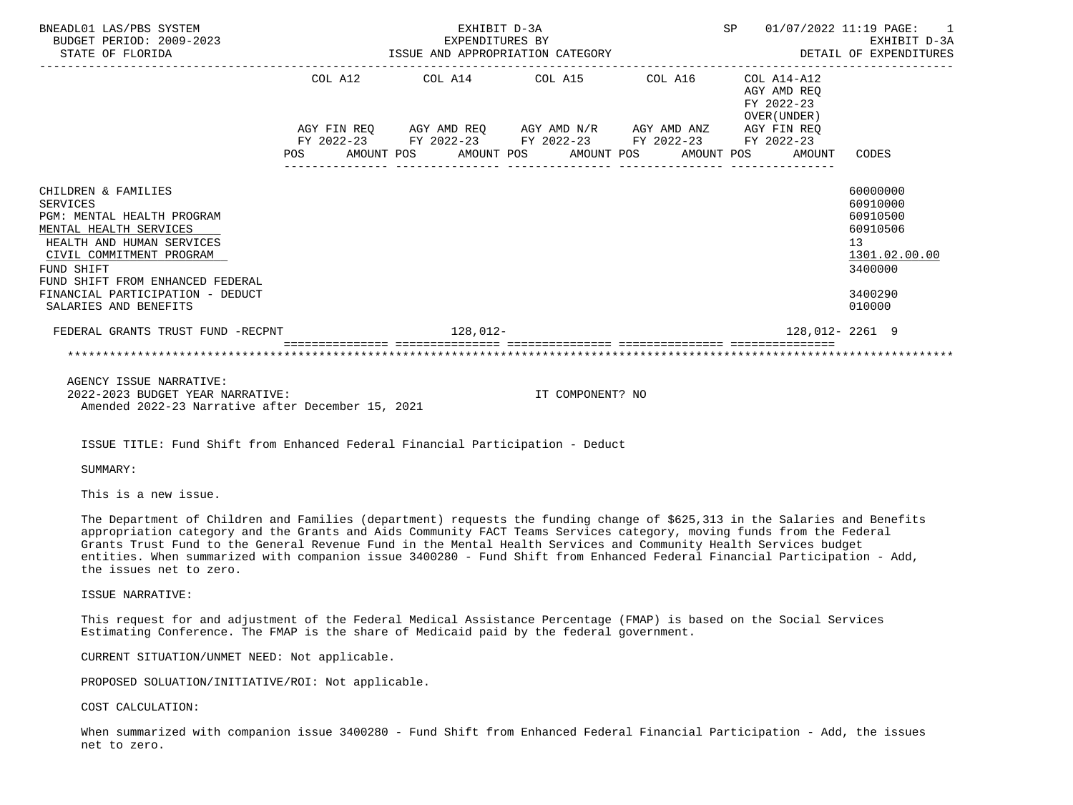| BNEADL01 LAS/PBS SYSTEM<br>BUDGET PERIOD: 2009-2023<br>STATE OF FLORIDA                                                                                                                                                                                                |  | EXPENDITURES BY | EXHIBIT D-3A                                                                                                                                                         |  | SP 01/07/2022 11:19 PAGE: 1                                                                                |                                                                                                 | EXHIBIT D-3A  |
|------------------------------------------------------------------------------------------------------------------------------------------------------------------------------------------------------------------------------------------------------------------------|--|-----------------|----------------------------------------------------------------------------------------------------------------------------------------------------------------------|--|------------------------------------------------------------------------------------------------------------|-------------------------------------------------------------------------------------------------|---------------|
|                                                                                                                                                                                                                                                                        |  |                 | COL A12 COL A14 COL A15 COL A16 COL A14-A12<br>AGY FIN REQ AGY AMD REQ AGY AMD N/R AGY AMD ANZ AGY FIN REQ<br>FY 2022-23 FY 2022-23 FY 2022-23 FY 2022-23 FY 2022-23 |  | AGY AMD REO<br>FY 2022-23<br>OVER (UNDER )<br>POS AMOUNT POS AMOUNT POS AMOUNT POS AMOUNT POS AMOUNT CODES |                                                                                                 |               |
| CHILDREN & FAMILIES<br><b>SERVICES</b><br>PGM: MENTAL HEALTH PROGRAM<br>MENTAL HEALTH SERVICES<br>HEALTH AND HUMAN SERVICES<br>CIVIL COMMITMENT PROGRAM<br>FUND SHIFT<br>FUND SHIFT FROM ENHANCED FEDERAL<br>FINANCIAL PARTICIPATION - DEDUCT<br>SALARIES AND BENEFITS |  |                 |                                                                                                                                                                      |  |                                                                                                            | 60000000<br>60910000<br>60910500<br>60910506<br>13 <sup>7</sup><br>3400000<br>3400290<br>010000 | 1301.02.00.00 |
| FEDERAL GRANTS TRUST FUND -RECPNT FOR THE RESERVE THAT AND THE RESERVE THAT AND THE RESERVE THAT AND THE RESERVE THAT AND THE RESERVE THAT AND THE RESERVE THAT ANY AND THE RESERVE THAT AND THE RESERVE THAT ANY AND THE RESE                                         |  |                 |                                                                                                                                                                      |  | 128,012- 2261 9                                                                                            |                                                                                                 |               |
|                                                                                                                                                                                                                                                                        |  |                 |                                                                                                                                                                      |  |                                                                                                            |                                                                                                 |               |

 AGENCY ISSUE NARRATIVE: 2022-2023 BUDGET YEAR NARRATIVE: IT COMPONENT? NO Amended 2022-23 Narrative after December 15, 2021

ISSUE TITLE: Fund Shift from Enhanced Federal Financial Participation - Deduct

SUMMARY:

This is a new issue.

 The Department of Children and Families (department) requests the funding change of \$625,313 in the Salaries and Benefits appropriation category and the Grants and Aids Community FACT Teams Services category, moving funds from the Federal Grants Trust Fund to the General Revenue Fund in the Mental Health Services and Community Health Services budget entities. When summarized with companion issue 3400280 - Fund Shift from Enhanced Federal Financial Participation - Add, the issues net to zero.

ISSUE NARRATIVE:

 This request for and adjustment of the Federal Medical Assistance Percentage (FMAP) is based on the Social Services Estimating Conference. The FMAP is the share of Medicaid paid by the federal government.

CURRENT SITUATION/UNMET NEED: Not applicable.

PROPOSED SOLUATION/INITIATIVE/ROI: Not applicable.

COST CALCULATION:

 When summarized with companion issue 3400280 - Fund Shift from Enhanced Federal Financial Participation - Add, the issues net to zero.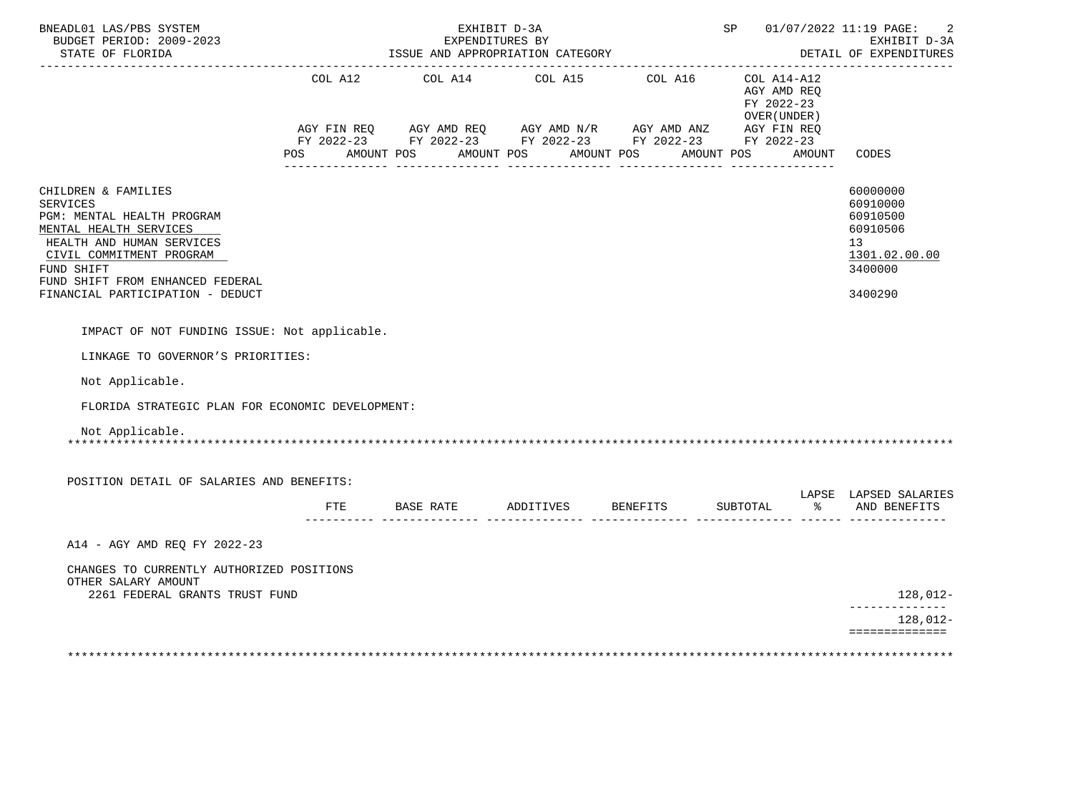| BNEADL01 LAS/PBS SYSTEM<br>BUDGET PERIOD: 2009-2023<br>STATE OF FLORIDA                                                                                                                                                                       |         |                     | EXHIBIT D-3A<br>EXPENDITURES BY<br>ISSUE AND APPROPRIATION CATEGORY                                                                      |                 |                                                             |        | SP 01/07/2022 11:19 PAGE:<br>EXHIBIT D-3A<br>DETAIL OF EXPENDITURES                                    |
|-----------------------------------------------------------------------------------------------------------------------------------------------------------------------------------------------------------------------------------------------|---------|---------------------|------------------------------------------------------------------------------------------------------------------------------------------|-----------------|-------------------------------------------------------------|--------|--------------------------------------------------------------------------------------------------------|
|                                                                                                                                                                                                                                               | COL A12 |                     | COL A14 COL A15<br>AGY FIN REQ AGY AMD REQ AGY AMD N/R AGY AMD ANZ AGY FIN REQ<br>FY 2022-23 FY 2022-23 FY 2022-23 FY 2022-23 FY 2022-23 | COL A16         | $COL A14- A12$<br>AGY AMD REQ<br>FY 2022-23<br>OVER (UNDER) |        |                                                                                                        |
|                                                                                                                                                                                                                                               | POS     | AMOUNT POS          | AMOUNT POS                                                                                                                               | AMOUNT POS      | AMOUNT POS                                                  | AMOUNT | CODES                                                                                                  |
| CHILDREN & FAMILIES<br><b>SERVICES</b><br>PGM: MENTAL HEALTH PROGRAM<br>MENTAL HEALTH SERVICES<br>HEALTH AND HUMAN SERVICES<br>CIVIL COMMITMENT PROGRAM<br>FUND SHIFT<br>FUND SHIFT FROM ENHANCED FEDERAL<br>FINANCIAL PARTICIPATION - DEDUCT |         |                     |                                                                                                                                          |                 |                                                             |        | 60000000<br>60910000<br>60910500<br>60910506<br>13 <sup>7</sup><br>1301.02.00.00<br>3400000<br>3400290 |
|                                                                                                                                                                                                                                               |         |                     |                                                                                                                                          |                 |                                                             |        |                                                                                                        |
| IMPACT OF NOT FUNDING ISSUE: Not applicable.                                                                                                                                                                                                  |         |                     |                                                                                                                                          |                 |                                                             |        |                                                                                                        |
| LINKAGE TO GOVERNOR'S PRIORITIES:                                                                                                                                                                                                             |         |                     |                                                                                                                                          |                 |                                                             |        |                                                                                                        |
| Not Applicable.                                                                                                                                                                                                                               |         |                     |                                                                                                                                          |                 |                                                             |        |                                                                                                        |
| FLORIDA STRATEGIC PLAN FOR ECONOMIC DEVELOPMENT:                                                                                                                                                                                              |         |                     |                                                                                                                                          |                 |                                                             |        |                                                                                                        |
| Not Applicable.                                                                                                                                                                                                                               |         |                     |                                                                                                                                          |                 |                                                             |        |                                                                                                        |
| POSITION DETAIL OF SALARIES AND BENEFITS:                                                                                                                                                                                                     |         |                     |                                                                                                                                          |                 |                                                             |        | LAPSE LAPSED SALARIES                                                                                  |
|                                                                                                                                                                                                                                               | FTE.    | BASE RATE ADDITIVES |                                                                                                                                          | <b>BENEFITS</b> | SUBTOTAL                                                    |        | % AND BENEFITS                                                                                         |
| A14 - AGY AMD REO FY 2022-23                                                                                                                                                                                                                  |         |                     |                                                                                                                                          |                 |                                                             |        |                                                                                                        |
| CHANGES TO CURRENTLY AUTHORIZED POSITIONS<br>OTHER SALARY AMOUNT<br>2261 FEDERAL GRANTS TRUST FUND                                                                                                                                            |         |                     |                                                                                                                                          |                 |                                                             |        | 128,012-                                                                                               |
|                                                                                                                                                                                                                                               |         |                     |                                                                                                                                          |                 |                                                             |        | ______________<br>128,012-                                                                             |
|                                                                                                                                                                                                                                               |         |                     |                                                                                                                                          |                 |                                                             |        | ==============                                                                                         |
|                                                                                                                                                                                                                                               |         |                     |                                                                                                                                          |                 |                                                             |        |                                                                                                        |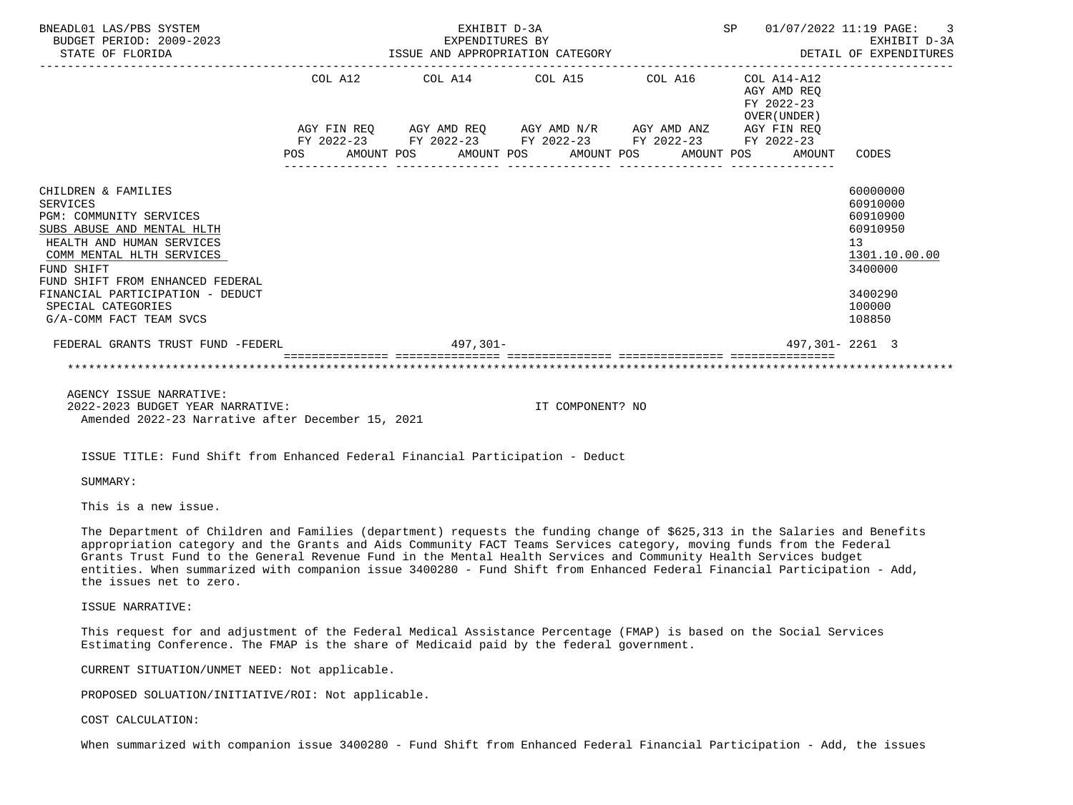| BNEADL01 LAS/PBS SYSTEM<br>BUDGET PERIOD: 2009-2023<br>STATE OF FLORIDA                                                                                                                                                                                                                          | EXHIBIT D-3A<br>EXPENDITURES BY<br>ISSUE AND APPROPRIATION CATEGORY                                                                                                      | SP 01/07/2022 11:19 PAGE: | $\overline{\phantom{a}}$ 3<br>EXHIBIT D-3A<br>DETAIL OF EXPENDITURES |                                            |                                                                                                                            |
|--------------------------------------------------------------------------------------------------------------------------------------------------------------------------------------------------------------------------------------------------------------------------------------------------|--------------------------------------------------------------------------------------------------------------------------------------------------------------------------|---------------------------|----------------------------------------------------------------------|--------------------------------------------|----------------------------------------------------------------------------------------------------------------------------|
|                                                                                                                                                                                                                                                                                                  | COL A12 $\qquad$ COL A14 $\qquad$ COL A15 $\qquad$ COL A16 $\qquad$ COL A14-A12                                                                                          |                           |                                                                      | AGY AMD REO<br>FY 2022-23<br>OVER (UNDER ) |                                                                                                                            |
|                                                                                                                                                                                                                                                                                                  | AGY FIN REQ AGY AMD REQ AGY AMD N/R AGY AMD ANZ AGY FIN REQ<br>FY 2022-23 FY 2022-23 FY 2022-23 FY 2022-23 FY 2022-23<br>POS AMOUNT POS AMOUNT POS AMOUNT POS AMOUNT POS |                           |                                                                      | AMOUNT                                     | CODES                                                                                                                      |
| CHILDREN & FAMILIES<br><b>SERVICES</b><br>PGM: COMMUNITY SERVICES<br>SUBS ABUSE AND MENTAL HLTH<br>HEALTH AND HUMAN SERVICES<br>COMM MENTAL HLTH SERVICES<br>FUND SHIFT<br>FUND SHIFT FROM ENHANCED FEDERAL<br>FINANCIAL PARTICIPATION - DEDUCT<br>SPECIAL CATEGORIES<br>G/A-COMM FACT TEAM SVCS |                                                                                                                                                                          |                           |                                                                      |                                            | 60000000<br>60910000<br>60910900<br>60910950<br>13 <sup>7</sup><br>1301.10.00.00<br>3400000<br>3400290<br>100000<br>108850 |
| FEDERAL GRANTS TRUST FUND -FEDERL                                                                                                                                                                                                                                                                | $497.301 -$                                                                                                                                                              |                           |                                                                      |                                            | 497,301-2261 3                                                                                                             |
|                                                                                                                                                                                                                                                                                                  |                                                                                                                                                                          |                           |                                                                      |                                            |                                                                                                                            |
| AGENCY ISSUE NARRATIVE:<br>2022-2023 BUDGET YEAR NARRATIVE:<br>Amended 2022-23 Narrative after December 15, 2021                                                                                                                                                                                 |                                                                                                                                                                          | IT COMPONENT? NO          |                                                                      |                                            |                                                                                                                            |

ISSUE TITLE: Fund Shift from Enhanced Federal Financial Participation - Deduct

SUMMARY:

This is a new issue.

 The Department of Children and Families (department) requests the funding change of \$625,313 in the Salaries and Benefits appropriation category and the Grants and Aids Community FACT Teams Services category, moving funds from the Federal Grants Trust Fund to the General Revenue Fund in the Mental Health Services and Community Health Services budget entities. When summarized with companion issue 3400280 - Fund Shift from Enhanced Federal Financial Participation - Add, the issues net to zero.

ISSUE NARRATIVE:

 This request for and adjustment of the Federal Medical Assistance Percentage (FMAP) is based on the Social Services Estimating Conference. The FMAP is the share of Medicaid paid by the federal government.

CURRENT SITUATION/UNMET NEED: Not applicable.

PROPOSED SOLUATION/INITIATIVE/ROI: Not applicable.

# COST CALCULATION:

When summarized with companion issue 3400280 - Fund Shift from Enhanced Federal Financial Participation - Add, the issues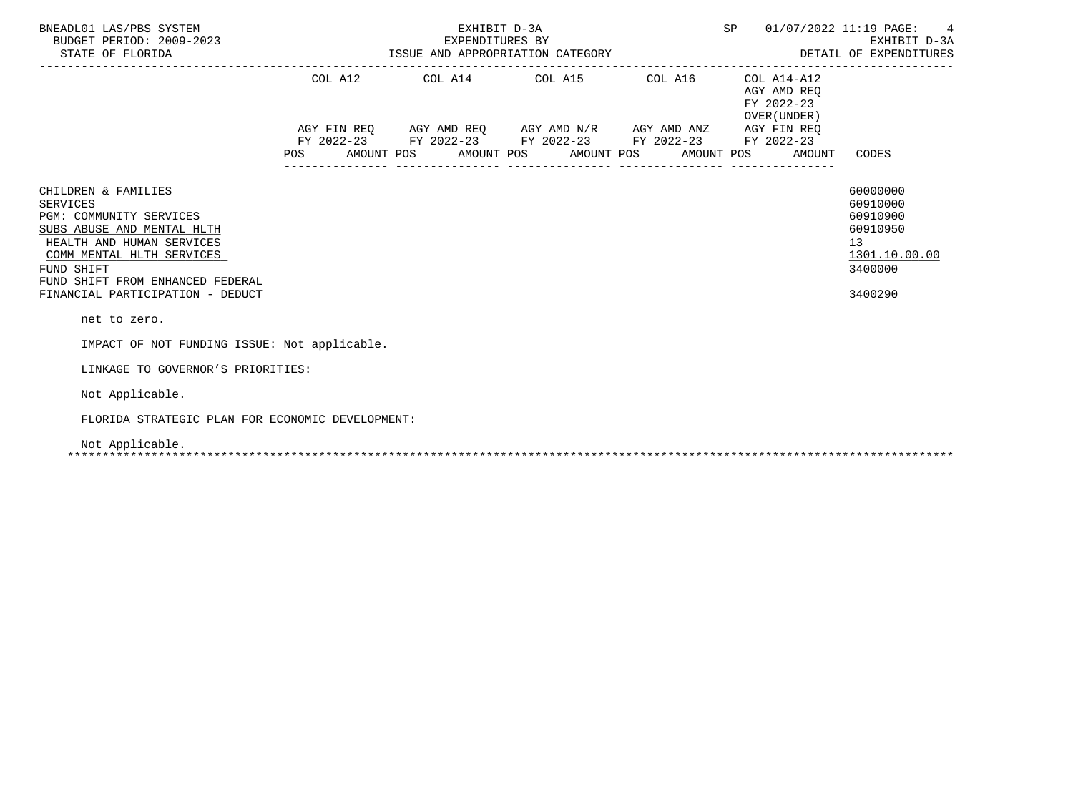| BNEADL01 LAS/PBS SYSTEM<br>BUDGET PERIOD: 2009-2023<br>STATE OF FLORIDA                                                                                                                                                                         |     | ISSUE AND APPROPRIATION CATEGORY |  | SP                                                                                                                                                                                                                                                  |  | 01/07/2022 11:19 PAGE:<br>$4\overline{ }$<br>EXHIBIT D-3A<br>DETAIL OF EXPENDITURES |  |                                                                    |                                                                                           |
|-------------------------------------------------------------------------------------------------------------------------------------------------------------------------------------------------------------------------------------------------|-----|----------------------------------|--|-----------------------------------------------------------------------------------------------------------------------------------------------------------------------------------------------------------------------------------------------------|--|-------------------------------------------------------------------------------------|--|--------------------------------------------------------------------|-------------------------------------------------------------------------------------------|
|                                                                                                                                                                                                                                                 | POS |                                  |  | COL A12 COL A14 COL A15 COL A16<br>$AGY \text{ FIN REQ} \qquad \text{AGY AMD REQ} \qquad \text{AGY AMD N/R} \qquad \text{AGY AMD ANZ} \qquad \text{AGY FIN REQ}$<br>FY 2022-23 FY 2022-23 FY 2022-23 FY 2022-23 FY 2022-23<br>AMOUNT POS AMOUNT POS |  | AMOUNT POS AMOUNT POS                                                               |  | COL A14-A12<br>AGY AMD REO<br>FY 2022-23<br>OVER (UNDER)<br>AMOUNT | CODES                                                                                     |
| CHILDREN & FAMILIES<br>SERVICES<br><b>PGM: COMMUNITY SERVICES</b><br>SUBS ABUSE AND MENTAL HLTH<br>HEALTH AND HUMAN SERVICES<br>COMM MENTAL HLTH SERVICES<br>FUND SHIFT<br>FUND SHIFT FROM ENHANCED FEDERAL<br>FINANCIAL PARTICIPATION - DEDUCT |     |                                  |  |                                                                                                                                                                                                                                                     |  |                                                                                     |  |                                                                    | 60000000<br>60910000<br>60910900<br>60910950<br>13<br>1301.10.00.00<br>3400000<br>3400290 |
| net to zero.<br>IMPACT OF NOT FUNDING ISSUE: Not applicable.                                                                                                                                                                                    |     |                                  |  |                                                                                                                                                                                                                                                     |  |                                                                                     |  |                                                                    |                                                                                           |
| LINKAGE TO GOVERNOR'S PRIORITIES:                                                                                                                                                                                                               |     |                                  |  |                                                                                                                                                                                                                                                     |  |                                                                                     |  |                                                                    |                                                                                           |
| Not Applicable.                                                                                                                                                                                                                                 |     |                                  |  |                                                                                                                                                                                                                                                     |  |                                                                                     |  |                                                                    |                                                                                           |
| FLORIDA STRATEGIC PLAN FOR ECONOMIC DEVELOPMENT:                                                                                                                                                                                                |     |                                  |  |                                                                                                                                                                                                                                                     |  |                                                                                     |  |                                                                    |                                                                                           |
| Not Applicable.                                                                                                                                                                                                                                 |     |                                  |  |                                                                                                                                                                                                                                                     |  |                                                                                     |  |                                                                    |                                                                                           |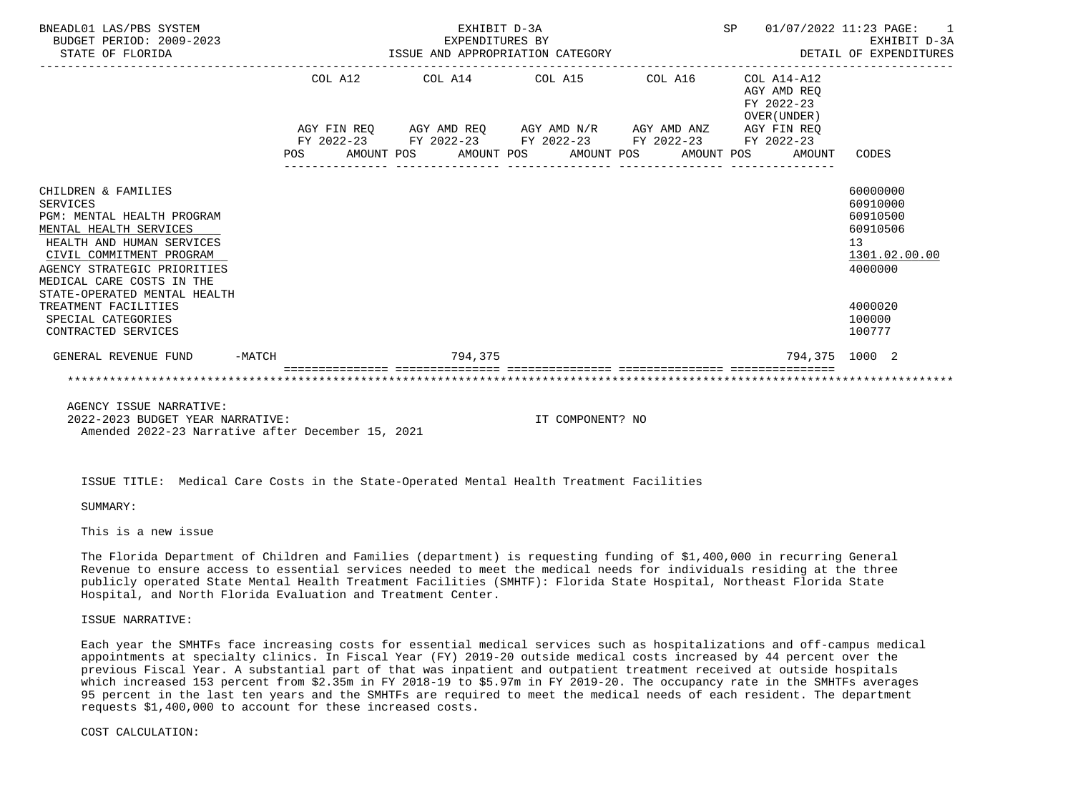| BNEADL01 LAS/PBS SYSTEM<br>BUDGET PERIOD: 2009-2023<br>STATE OF FLORIDA                                                                                                                                             |          | EXHIBIT D-3A<br>EXPENDITURES BY<br>EXPENDITURES BY<br>ISSUE AND APPROPRIATION CATEGORY |                                    |  |         |                                                                                                            |                                             |  |  |  |                                                          |        | 01/07/2022 11:23 PAGE:                                        | $\overline{1}$<br>EXHIBIT D-3A<br>DETAIL OF EXPENDITURES |  |
|---------------------------------------------------------------------------------------------------------------------------------------------------------------------------------------------------------------------|----------|----------------------------------------------------------------------------------------|------------------------------------|--|---------|------------------------------------------------------------------------------------------------------------|---------------------------------------------|--|--|--|----------------------------------------------------------|--------|---------------------------------------------------------------|----------------------------------------------------------|--|
|                                                                                                                                                                                                                     |          |                                                                                        | COL A14 COL A15 COL A16<br>COL A12 |  |         |                                                                                                            |                                             |  |  |  | COL A14-A12<br>AGY AMD REO<br>FY 2022-23<br>OVER (UNDER) |        |                                                               |                                                          |  |
|                                                                                                                                                                                                                     |          |                                                                                        |                                    |  |         | AGY FIN REQ AGY AMD REQ AGY AMD N/R AGY AMD ANZ AGY FIN REQ<br>FY 2022-23 FY 2022-23 FY 2022-23 FY 2022-23 |                                             |  |  |  |                                                          |        |                                                               |                                                          |  |
|                                                                                                                                                                                                                     |          | POS                                                                                    |                                    |  |         |                                                                                                            | AMOUNT POS AMOUNT POS AMOUNT POS AMOUNT POS |  |  |  | FY 2022-23                                               | AMOUNT | CODES                                                         |                                                          |  |
| CHILDREN & FAMILIES<br><b>SERVICES</b><br>PGM: MENTAL HEALTH PROGRAM<br>MENTAL HEALTH SERVICES<br>HEALTH AND HUMAN SERVICES<br>CIVIL COMMITMENT PROGRAM<br>AGENCY STRATEGIC PRIORITIES<br>MEDICAL CARE COSTS IN THE |          |                                                                                        |                                    |  |         |                                                                                                            |                                             |  |  |  |                                                          |        | 60000000<br>60910000<br>60910500<br>60910506<br>13<br>4000000 | 1301.02.00.00                                            |  |
| STATE-OPERATED MENTAL HEALTH<br>TREATMENT FACILITIES<br>SPECIAL CATEGORIES<br>CONTRACTED SERVICES                                                                                                                   |          |                                                                                        |                                    |  |         |                                                                                                            |                                             |  |  |  |                                                          |        | 4000020<br>100000<br>100777                                   |                                                          |  |
| GENERAL REVENUE FUND                                                                                                                                                                                                | $-MATCH$ |                                                                                        |                                    |  | 794,375 |                                                                                                            |                                             |  |  |  |                                                          |        | 794,375 1000 2                                                |                                                          |  |
|                                                                                                                                                                                                                     |          |                                                                                        |                                    |  |         |                                                                                                            |                                             |  |  |  |                                                          |        |                                                               |                                                          |  |

 2022-2023 BUDGET YEAR NARRATIVE: IT COMPONENT? NO Amended 2022-23 Narrative after December 15, 2021

ISSUE TITLE: Medical Care Costs in the State-Operated Mental Health Treatment Facilities

SUMMARY:

This is a new issue

 The Florida Department of Children and Families (department) is requesting funding of \$1,400,000 in recurring General Revenue to ensure access to essential services needed to meet the medical needs for individuals residing at the three publicly operated State Mental Health Treatment Facilities (SMHTF): Florida State Hospital, Northeast Florida State Hospital, and North Florida Evaluation and Treatment Center.

## ISSUE NARRATIVE:

 Each year the SMHTFs face increasing costs for essential medical services such as hospitalizations and off-campus medical appointments at specialty clinics. In Fiscal Year (FY) 2019-20 outside medical costs increased by 44 percent over the previous Fiscal Year. A substantial part of that was inpatient and outpatient treatment received at outside hospitals which increased 153 percent from \$2.35m in FY 2018-19 to \$5.97m in FY 2019-20. The occupancy rate in the SMHTFs averages 95 percent in the last ten years and the SMHTFs are required to meet the medical needs of each resident. The department requests \$1,400,000 to account for these increased costs.

#### COST CALCULATION: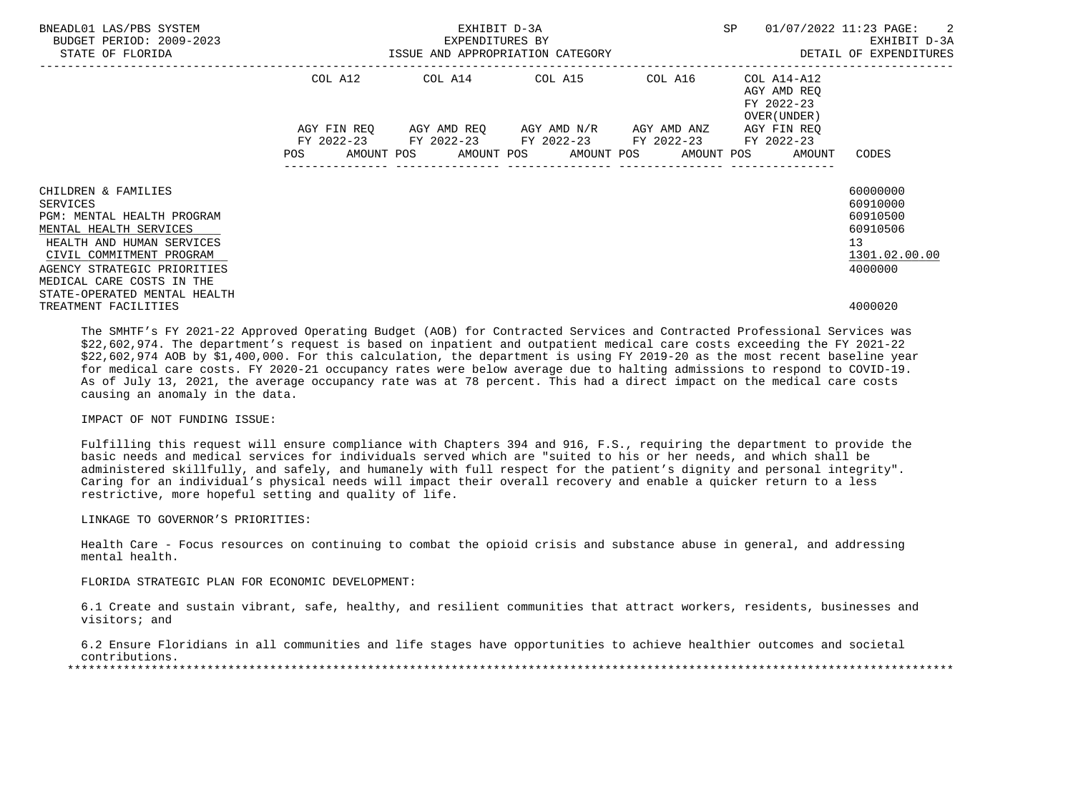| BNEADL01 LAS/PBS SYSTEM<br>BUDGET PERIOD: 2009-2023<br>STATE OF FLORIDA | EXPENDITURES BY<br>ISSUE AND APPROPRIATION CATEGORY |                                                                                                           | EXHIBIT D-3A | SP                                                 | $01/07/2022$ 11:23 PAGE: 2<br>EXHIBIT D-3A<br>DETAIL OF EXPENDITURES |
|-------------------------------------------------------------------------|-----------------------------------------------------|-----------------------------------------------------------------------------------------------------------|--------------|----------------------------------------------------|----------------------------------------------------------------------|
|                                                                         | COL A12                                             |                                                                                                           |              | AGY AMD REO<br>FY 2022-23<br>OVER (UNDER)          |                                                                      |
|                                                                         |                                                     | AGY FIN REQ 6GY AMD REQ 6GY AMD N/R 6GY AMD ANZ<br>FY 2022-23 FY 2022-23 FY 2022-23 FY 2022-23 FY 2022-23 |              | AGY FIN REO                                        |                                                                      |
|                                                                         | <b>POS</b>                                          |                                                                                                           |              | AMOUNT POS AMOUNT POS AMOUNT POS AMOUNT POS AMOUNT | CODES                                                                |
| CHILDREN & FAMILIES                                                     |                                                     |                                                                                                           |              |                                                    | 60000000                                                             |
| SERVICES                                                                |                                                     |                                                                                                           |              |                                                    | 60910000                                                             |
| PGM: MENTAL HEALTH PROGRAM                                              |                                                     |                                                                                                           |              |                                                    | 60910500                                                             |
| MENTAL HEALTH SERVICES                                                  |                                                     |                                                                                                           |              |                                                    | 60910506                                                             |
| HEALTH AND HUMAN SERVICES                                               |                                                     |                                                                                                           |              |                                                    | 13                                                                   |
| CIVIL COMMITMENT PROGRAM                                                |                                                     |                                                                                                           |              |                                                    | 1301.02.00.00                                                        |
| AGENCY STRATEGIC PRIORITIES                                             |                                                     |                                                                                                           |              |                                                    | 4000000                                                              |
| MEDICAL CARE COSTS IN THE                                               |                                                     |                                                                                                           |              |                                                    |                                                                      |
| STATE-OPERATED MENTAL HEALTH                                            |                                                     |                                                                                                           |              |                                                    |                                                                      |
| TREATMENT FACILITIES                                                    |                                                     |                                                                                                           |              |                                                    | 4000020                                                              |

 The SMHTF's FY 2021-22 Approved Operating Budget (AOB) for Contracted Services and Contracted Professional Services was \$22,602,974. The department's request is based on inpatient and outpatient medical care costs exceeding the FY 2021-22 \$22,602,974 AOB by \$1,400,000. For this calculation, the department is using FY 2019-20 as the most recent baseline year for medical care costs. FY 2020-21 occupancy rates were below average due to halting admissions to respond to COVID-19. As of July 13, 2021, the average occupancy rate was at 78 percent. This had a direct impact on the medical care costs causing an anomaly in the data.

# IMPACT OF NOT FUNDING ISSUE:

 Fulfilling this request will ensure compliance with Chapters 394 and 916, F.S., requiring the department to provide the basic needs and medical services for individuals served which are "suited to his or her needs, and which shall be administered skillfully, and safely, and humanely with full respect for the patient's dignity and personal integrity". Caring for an individual's physical needs will impact their overall recovery and enable a quicker return to a less restrictive, more hopeful setting and quality of life.

# LINKAGE TO GOVERNOR'S PRIORITIES:

 Health Care - Focus resources on continuing to combat the opioid crisis and substance abuse in general, and addressing mental health.

#### FLORIDA STRATEGIC PLAN FOR ECONOMIC DEVELOPMENT:

 6.1 Create and sustain vibrant, safe, healthy, and resilient communities that attract workers, residents, businesses and visitors; and

 6.2 Ensure Floridians in all communities and life stages have opportunities to achieve healthier outcomes and societal contributions.

\*\*\*\*\*\*\*\*\*\*\*\*\*\*\*\*\*\*\*\*\*\*\*\*\*\*\*\*\*\*\*\*\*\*\*\*\*\*\*\*\*\*\*\*\*\*\*\*\*\*\*\*\*\*\*\*\*\*\*\*\*\*\*\*\*\*\*\*\*\*\*\*\*\*\*\*\*\*\*\*\*\*\*\*\*\*\*\*\*\*\*\*\*\*\*\*\*\*\*\*\*\*\*\*\*\*\*\*\*\*\*\*\*\*\*\*\*\*\*\*\*\*\*\*\*\*\*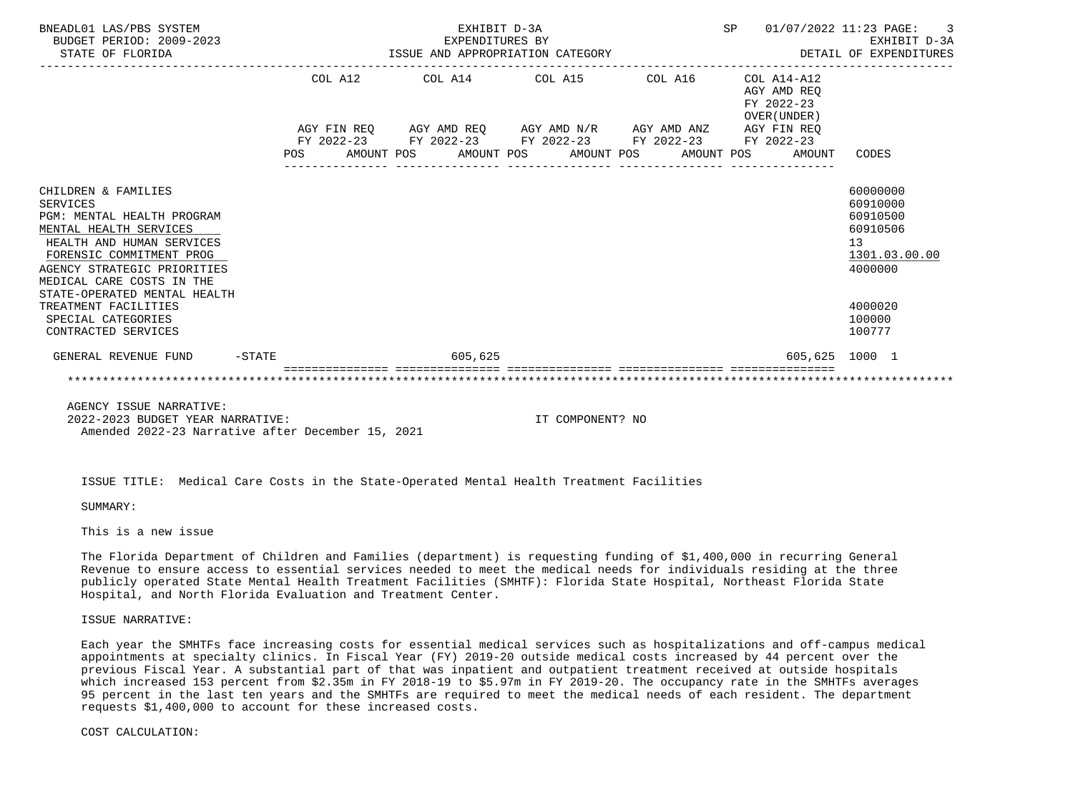| BNEADL01 LAS/PBS SYSTEM<br>BUDGET PERIOD: 2009-2023<br>STATE OF FLORIDA                                                                                                                                                                             | EXHIBIT D-3A<br>EXPENDITURES BY<br>ISSUE AND APPROPRIATION CATEGORY |  |  |                                                                                                                                                                      |  |  |  |  |  |                                                          |        | 01/07/2022 11:23 PAGE:<br>$\overline{\phantom{a}}$<br>EXHIBIT D-3A<br>DETAIL OF EXPENDITURES |
|-----------------------------------------------------------------------------------------------------------------------------------------------------------------------------------------------------------------------------------------------------|---------------------------------------------------------------------|--|--|----------------------------------------------------------------------------------------------------------------------------------------------------------------------|--|--|--|--|--|----------------------------------------------------------|--------|----------------------------------------------------------------------------------------------|
|                                                                                                                                                                                                                                                     | COL A12                                                             |  |  | COL A14 COL A15 COL A16                                                                                                                                              |  |  |  |  |  | COL A14-A12<br>AGY AMD REO<br>FY 2022-23<br>OVER (UNDER) |        |                                                                                              |
|                                                                                                                                                                                                                                                     | POS                                                                 |  |  | AGY FIN REQ AGY AMD REQ AGY AMD N/R AGY AMD ANZ AGY FIN REQ<br>FY 2022-23 FY 2022-23 FY 2022-23 FY 2022-23 FY 2022-23<br>AMOUNT POS AMOUNT POS AMOUNT POS AMOUNT POS |  |  |  |  |  |                                                          | AMOUNT | CODES                                                                                        |
| CHILDREN & FAMILIES<br><b>SERVICES</b><br>PGM: MENTAL HEALTH PROGRAM<br>MENTAL HEALTH SERVICES<br>HEALTH AND HUMAN SERVICES<br>FORENSIC COMMITMENT PROG<br>AGENCY STRATEGIC PRIORITIES<br>MEDICAL CARE COSTS IN THE<br>STATE-OPERATED MENTAL HEALTH |                                                                     |  |  |                                                                                                                                                                      |  |  |  |  |  |                                                          |        | 60000000<br>60910000<br>60910500<br>60910506<br>13<br>1301.03.00.00<br>4000000               |
| TREATMENT FACILITIES<br>SPECIAL CATEGORIES<br>CONTRACTED SERVICES                                                                                                                                                                                   |                                                                     |  |  |                                                                                                                                                                      |  |  |  |  |  |                                                          |        | 4000020<br>100000<br>100777                                                                  |
| GENERAL REVENUE FUND<br>$-$ STATE                                                                                                                                                                                                                   |                                                                     |  |  | 605,625                                                                                                                                                              |  |  |  |  |  |                                                          |        | 605,625 1000 1                                                                               |
|                                                                                                                                                                                                                                                     |                                                                     |  |  |                                                                                                                                                                      |  |  |  |  |  |                                                          |        |                                                                                              |

 2022-2023 BUDGET YEAR NARRATIVE: IT COMPONENT? NO Amended 2022-23 Narrative after December 15, 2021

ISSUE TITLE: Medical Care Costs in the State-Operated Mental Health Treatment Facilities

SUMMARY:

This is a new issue

 The Florida Department of Children and Families (department) is requesting funding of \$1,400,000 in recurring General Revenue to ensure access to essential services needed to meet the medical needs for individuals residing at the three publicly operated State Mental Health Treatment Facilities (SMHTF): Florida State Hospital, Northeast Florida State Hospital, and North Florida Evaluation and Treatment Center.

# ISSUE NARRATIVE:

 Each year the SMHTFs face increasing costs for essential medical services such as hospitalizations and off-campus medical appointments at specialty clinics. In Fiscal Year (FY) 2019-20 outside medical costs increased by 44 percent over the previous Fiscal Year. A substantial part of that was inpatient and outpatient treatment received at outside hospitals which increased 153 percent from \$2.35m in FY 2018-19 to \$5.97m in FY 2019-20. The occupancy rate in the SMHTFs averages 95 percent in the last ten years and the SMHTFs are required to meet the medical needs of each resident. The department requests \$1,400,000 to account for these increased costs.

#### COST CALCULATION: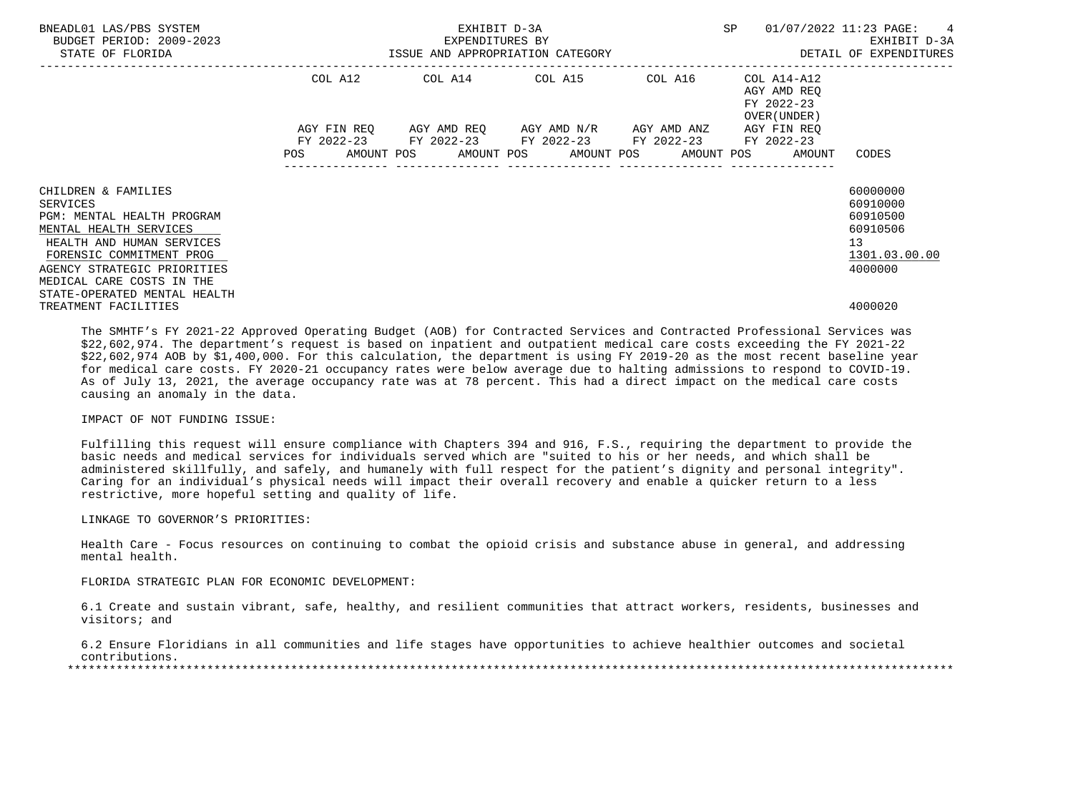| BNEADL01 LAS/PBS SYSTEM<br>BUDGET PERIOD: 2009-2023<br>STATE OF FLORIDA | EXPENDITURES BY<br>ISSUE AND APPROPRIATION CATEGORY | EXHIBIT D-3A<br>EXPENDITURES BY                                                                           | SP | $01/07/2022$ 11:23 PAGE: 4<br>EXHIBIT D-3A<br>DETAIL OF EXPENDITURES |               |  |
|-------------------------------------------------------------------------|-----------------------------------------------------|-----------------------------------------------------------------------------------------------------------|----|----------------------------------------------------------------------|---------------|--|
|                                                                         | COL A12                                             | COL A14 COL A15 COL A16                                                                                   |    | COL A14-A12<br>AGY AMD REO<br>FY 2022-23<br>OVER (UNDER)             |               |  |
|                                                                         |                                                     | AGY FIN REQ AGY AMD REQ AGY AMD N/R AGY AMD ANZ<br>FY 2022-23 FY 2022-23 FY 2022-23 FY 2022-23 FY 2022-23 |    | AGY FIN REO                                                          |               |  |
|                                                                         |                                                     |                                                                                                           |    | POS AMOUNT POS AMOUNT POS AMOUNT POS AMOUNT POS AMOUNT               | CODES         |  |
| CHILDREN & FAMILIES                                                     |                                                     |                                                                                                           |    |                                                                      | 60000000      |  |
| SERVICES                                                                |                                                     |                                                                                                           |    |                                                                      | 60910000      |  |
| PGM: MENTAL HEALTH PROGRAM                                              |                                                     |                                                                                                           |    |                                                                      | 60910500      |  |
| MENTAL HEALTH SERVICES                                                  |                                                     |                                                                                                           |    |                                                                      | 60910506      |  |
| HEALTH AND HUMAN SERVICES                                               |                                                     |                                                                                                           |    |                                                                      | 13            |  |
| FORENSIC COMMITMENT PROG                                                |                                                     |                                                                                                           |    |                                                                      | 1301.03.00.00 |  |
| AGENCY STRATEGIC PRIORITIES                                             |                                                     |                                                                                                           |    |                                                                      | 4000000       |  |
| MEDICAL CARE COSTS IN THE                                               |                                                     |                                                                                                           |    |                                                                      |               |  |
| STATE-OPERATED MENTAL HEALTH                                            |                                                     |                                                                                                           |    |                                                                      |               |  |
| TREATMENT FACILITIES                                                    |                                                     |                                                                                                           |    |                                                                      | 4000020       |  |

 The SMHTF's FY 2021-22 Approved Operating Budget (AOB) for Contracted Services and Contracted Professional Services was \$22,602,974. The department's request is based on inpatient and outpatient medical care costs exceeding the FY 2021-22 \$22,602,974 AOB by \$1,400,000. For this calculation, the department is using FY 2019-20 as the most recent baseline year for medical care costs. FY 2020-21 occupancy rates were below average due to halting admissions to respond to COVID-19. As of July 13, 2021, the average occupancy rate was at 78 percent. This had a direct impact on the medical care costs causing an anomaly in the data.

# IMPACT OF NOT FUNDING ISSUE:

 Fulfilling this request will ensure compliance with Chapters 394 and 916, F.S., requiring the department to provide the basic needs and medical services for individuals served which are "suited to his or her needs, and which shall be administered skillfully, and safely, and humanely with full respect for the patient's dignity and personal integrity". Caring for an individual's physical needs will impact their overall recovery and enable a quicker return to a less restrictive, more hopeful setting and quality of life.

## LINKAGE TO GOVERNOR'S PRIORITIES:

 Health Care - Focus resources on continuing to combat the opioid crisis and substance abuse in general, and addressing mental health.

#### FLORIDA STRATEGIC PLAN FOR ECONOMIC DEVELOPMENT:

 6.1 Create and sustain vibrant, safe, healthy, and resilient communities that attract workers, residents, businesses and visitors; and

 6.2 Ensure Floridians in all communities and life stages have opportunities to achieve healthier outcomes and societal contributions.

\*\*\*\*\*\*\*\*\*\*\*\*\*\*\*\*\*\*\*\*\*\*\*\*\*\*\*\*\*\*\*\*\*\*\*\*\*\*\*\*\*\*\*\*\*\*\*\*\*\*\*\*\*\*\*\*\*\*\*\*\*\*\*\*\*\*\*\*\*\*\*\*\*\*\*\*\*\*\*\*\*\*\*\*\*\*\*\*\*\*\*\*\*\*\*\*\*\*\*\*\*\*\*\*\*\*\*\*\*\*\*\*\*\*\*\*\*\*\*\*\*\*\*\*\*\*\*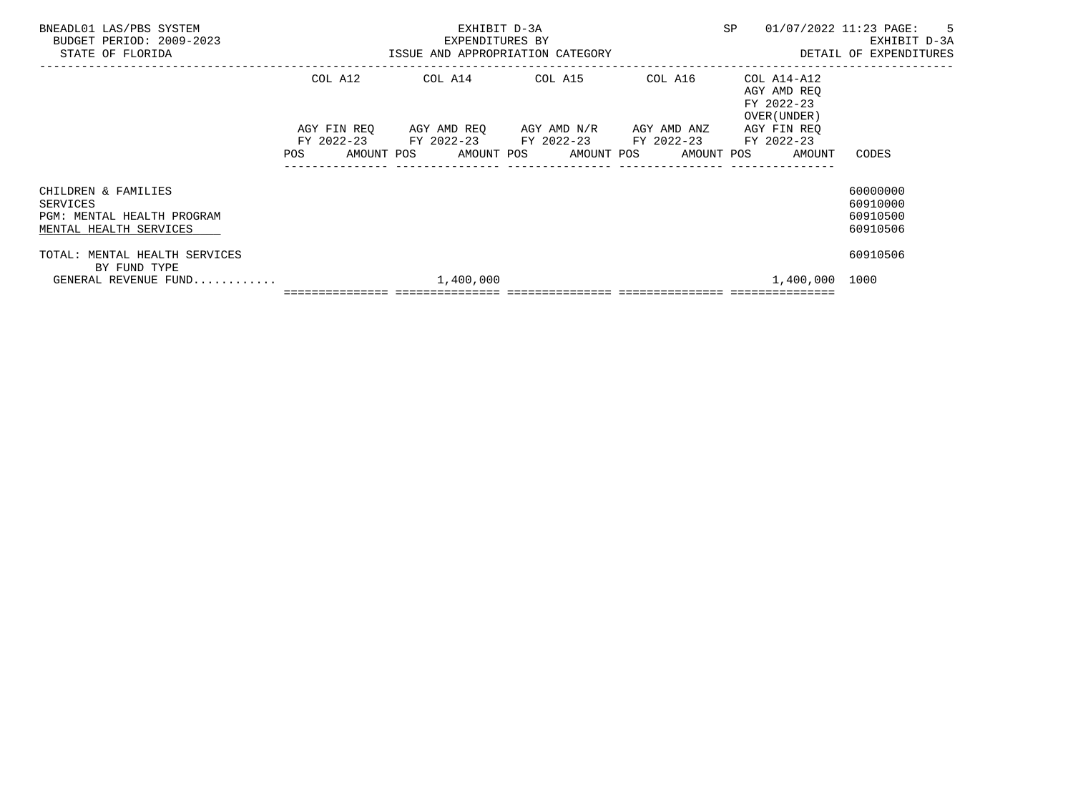| BNEADL01 LAS/PBS SYSTEM<br>BUDGET PERIOD: 2009-2023<br>STATE OF FLORIDA                 | EXHIBIT D-3A                                                                                                                                                                    |  | SP 01/07/2022 11:23 PAGE: 5<br>EXPENDITURES BY THE SERVICE OF SAND RESOUR A SAME AND APPROPRIATION CATEGORY SAND SAND TO SAND TURES SHELL OF SAND TURES |                                              |  |
|-----------------------------------------------------------------------------------------|---------------------------------------------------------------------------------------------------------------------------------------------------------------------------------|--|---------------------------------------------------------------------------------------------------------------------------------------------------------|----------------------------------------------|--|
|                                                                                         | COL A12 COL A14 COL A15 COL A16 COL A14-A12                                                                                                                                     |  | AGY AMD REO<br>FY 2022-23<br>OVER (UNDER )                                                                                                              |                                              |  |
|                                                                                         | AGY FIN REQ AGY AMD REQ AGY AMD N/R AGY AMD ANZ AGY FIN REQ<br>FY 2022-23 FY 2022-23 FY 2022-23 FY 2022-23 FY 2022-23<br>POS AMOUNT POS AMOUNT POS AMOUNT POS AMOUNT POS AMOUNT |  |                                                                                                                                                         | CODES                                        |  |
| CHILDREN & FAMILIES<br>SERVICES<br>PGM: MENTAL HEALTH PROGRAM<br>MENTAL HEALTH SERVICES |                                                                                                                                                                                 |  |                                                                                                                                                         | 60000000<br>60910000<br>60910500<br>60910506 |  |
| TOTAL: MENTAL HEALTH SERVICES<br>BY FUND TYPE                                           |                                                                                                                                                                                 |  | 1,400,000 1000                                                                                                                                          | 60910506                                     |  |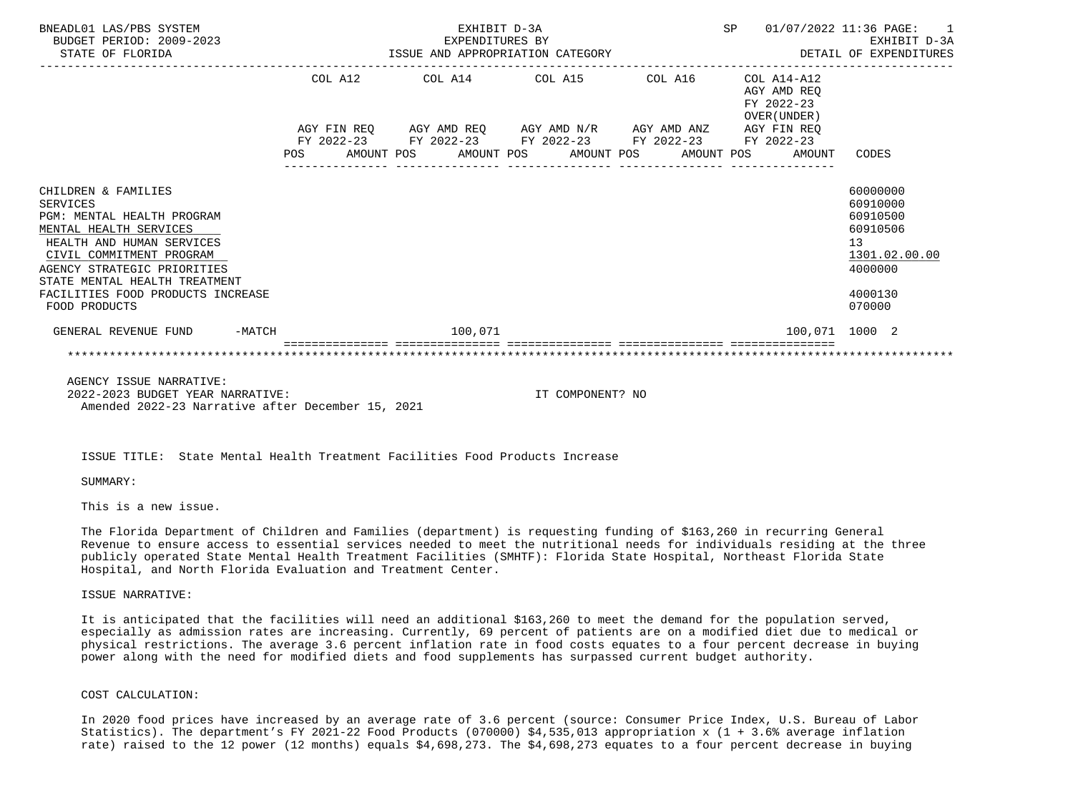| BNEADL01 LAS/PBS SYSTEM<br>BUDGET PERIOD: 2009-2023<br>STATE OF FLORIDA                                                                                                                                                                                                | EXHIBIT D-3A<br>EXPENDITURES BY<br>ISSUE AND APPROPRIATION CATEGORY |  |                                             |         |  |                                                                                                                                                                                       |  |  |                                           | SP 01/07/2022 11:36 PAGE: 1<br>DETAIL OF EXPENDITURES |                                                                                    | EXHIBIT D-3A  |
|------------------------------------------------------------------------------------------------------------------------------------------------------------------------------------------------------------------------------------------------------------------------|---------------------------------------------------------------------|--|---------------------------------------------|---------|--|---------------------------------------------------------------------------------------------------------------------------------------------------------------------------------------|--|--|-------------------------------------------|-------------------------------------------------------|------------------------------------------------------------------------------------|---------------|
|                                                                                                                                                                                                                                                                        |                                                                     |  | COL A12 COL A14 COL A15 COL A16 COL A14-A12 |         |  |                                                                                                                                                                                       |  |  | AGY AMD REO<br>FY 2022-23<br>OVER (UNDER) |                                                       |                                                                                    |               |
|                                                                                                                                                                                                                                                                        |                                                                     |  |                                             |         |  | AGY FIN REQ AGY AMD REQ AGY AMD N/R AGY AMD ANZ AGY FIN REQ<br>FY 2022-23 FY 2022-23 FY 2022-23 FY 2022-23 FY 2022-23<br>POS AMOUNT POS AMOUNT POS AMOUNT POS AMOUNT POS AMOUNT CODES |  |  |                                           |                                                       |                                                                                    |               |
| CHILDREN & FAMILIES<br>SERVICES<br>PGM: MENTAL HEALTH PROGRAM<br>MENTAL HEALTH SERVICES<br>HEALTH AND HUMAN SERVICES<br>CIVIL COMMITMENT PROGRAM<br>AGENCY STRATEGIC PRIORITIES<br>STATE MENTAL HEALTH TREATMENT<br>FACILITIES FOOD PRODUCTS INCREASE<br>FOOD PRODUCTS |                                                                     |  |                                             |         |  |                                                                                                                                                                                       |  |  |                                           |                                                       | 60000000<br>60910000<br>60910500<br>60910506<br>13<br>4000000<br>4000130<br>070000 | 1301.02.00.00 |
| GENERAL REVENUE FUND -MATCH                                                                                                                                                                                                                                            |                                                                     |  |                                             | 100.071 |  |                                                                                                                                                                                       |  |  |                                           | 100.071 1000 2                                        |                                                                                    |               |
|                                                                                                                                                                                                                                                                        |                                                                     |  |                                             |         |  |                                                                                                                                                                                       |  |  |                                           |                                                       |                                                                                    |               |

 AGENCY ISSUE NARRATIVE: 2022-2023 BUDGET YEAR NARRATIVE: IT COMPONENT? NO Amended 2022-23 Narrative after December 15, 2021

ISSUE TITLE: State Mental Health Treatment Facilities Food Products Increase

SUMMARY:

This is a new issue.

 The Florida Department of Children and Families (department) is requesting funding of \$163,260 in recurring General Revenue to ensure access to essential services needed to meet the nutritional needs for individuals residing at the three publicly operated State Mental Health Treatment Facilities (SMHTF): Florida State Hospital, Northeast Florida State Hospital, and North Florida Evaluation and Treatment Center.

ISSUE NARRATIVE:

 It is anticipated that the facilities will need an additional \$163,260 to meet the demand for the population served, especially as admission rates are increasing. Currently, 69 percent of patients are on a modified diet due to medical or physical restrictions. The average 3.6 percent inflation rate in food costs equates to a four percent decrease in buying power along with the need for modified diets and food supplements has surpassed current budget authority.

# COST CALCULATION:

 In 2020 food prices have increased by an average rate of 3.6 percent (source: Consumer Price Index, U.S. Bureau of Labor Statistics). The department's FY 2021-22 Food Products (070000) \$4,535,013 appropriation x (1 + 3.6% average inflation rate) raised to the 12 power (12 months) equals \$4,698,273. The \$4,698,273 equates to a four percent decrease in buying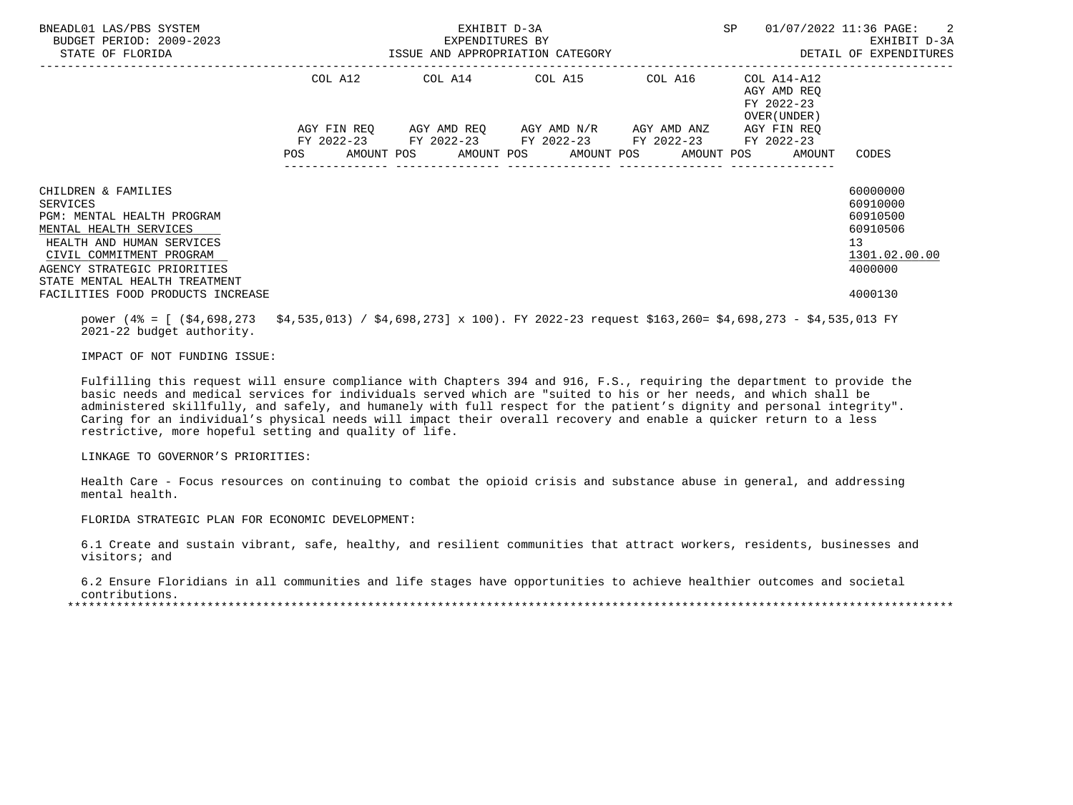| BNEADL01 LAS/PBS SYSTEM<br>BUDGET PERIOD: 2009-2023<br>STATE OF FLORIDA | EXHIBIT D-3A<br>EXPENDITURES BY | SP                                                                                                                                                                               | 01/07/2022 11:36 PAGE: 2<br>EXHIBIT D-3A |                                                          |                     |
|-------------------------------------------------------------------------|---------------------------------|----------------------------------------------------------------------------------------------------------------------------------------------------------------------------------|------------------------------------------|----------------------------------------------------------|---------------------|
|                                                                         |                                 | COL A12 COL A14 COL A15 COL A16                                                                                                                                                  |                                          | COL A14-A12<br>AGY AMD REO<br>FY 2022-23<br>OVER (UNDER) |                     |
|                                                                         |                                 | AGY FIN REQ      AGY AMD REQ     AGY AMD N/R     AGY AMD ANZ<br>FY 2022-23 FY 2022-23 FY 2022-23 FY 2022-23 FY 2022-23<br>POS AMOUNT POS AMOUNT POS AMOUNT POS AMOUNT POS AMOUNT |                                          | AGY FIN REO                                              | CODES               |
| CHILDREN & FAMILIES                                                     |                                 |                                                                                                                                                                                  |                                          |                                                          | 60000000            |
| SERVICES                                                                |                                 |                                                                                                                                                                                  |                                          |                                                          | 60910000            |
| PGM: MENTAL HEALTH PROGRAM                                              |                                 |                                                                                                                                                                                  |                                          |                                                          | 60910500            |
| MENTAL HEALTH SERVICES                                                  |                                 |                                                                                                                                                                                  |                                          |                                                          | 60910506            |
| HEALTH AND HUMAN SERVICES<br>CIVIL COMMITMENT PROGRAM                   |                                 |                                                                                                                                                                                  |                                          |                                                          | 13<br>1301.02.00.00 |
| AGENCY STRATEGIC PRIORITIES<br>STATE MENTAL HEALTH TREATMENT            |                                 |                                                                                                                                                                                  |                                          |                                                          | 4000000             |
| FACILITIES FOOD PRODUCTS INCREASE                                       |                                 |                                                                                                                                                                                  |                                          |                                                          | 4000130             |

 power (4% = [ (\$4,698,273 \$4,535,013) / \$4,698,273] x 100). FY 2022-23 request \$163,260= \$4,698,273 - \$4,535,013 FY 2021-22 budget authority.

IMPACT OF NOT FUNDING ISSUE:

 Fulfilling this request will ensure compliance with Chapters 394 and 916, F.S., requiring the department to provide the basic needs and medical services for individuals served which are "suited to his or her needs, and which shall be administered skillfully, and safely, and humanely with full respect for the patient's dignity and personal integrity". Caring for an individual's physical needs will impact their overall recovery and enable a quicker return to a less restrictive, more hopeful setting and quality of life.

LINKAGE TO GOVERNOR'S PRIORITIES:

 Health Care - Focus resources on continuing to combat the opioid crisis and substance abuse in general, and addressing mental health.

FLORIDA STRATEGIC PLAN FOR ECONOMIC DEVELOPMENT:

 6.1 Create and sustain vibrant, safe, healthy, and resilient communities that attract workers, residents, businesses and visitors; and

 6.2 Ensure Floridians in all communities and life stages have opportunities to achieve healthier outcomes and societal contributions.

\*\*\*\*\*\*\*\*\*\*\*\*\*\*\*\*\*\*\*\*\*\*\*\*\*\*\*\*\*\*\*\*\*\*\*\*\*\*\*\*\*\*\*\*\*\*\*\*\*\*\*\*\*\*\*\*\*\*\*\*\*\*\*\*\*\*\*\*\*\*\*\*\*\*\*\*\*\*\*\*\*\*\*\*\*\*\*\*\*\*\*\*\*\*\*\*\*\*\*\*\*\*\*\*\*\*\*\*\*\*\*\*\*\*\*\*\*\*\*\*\*\*\*\*\*\*\*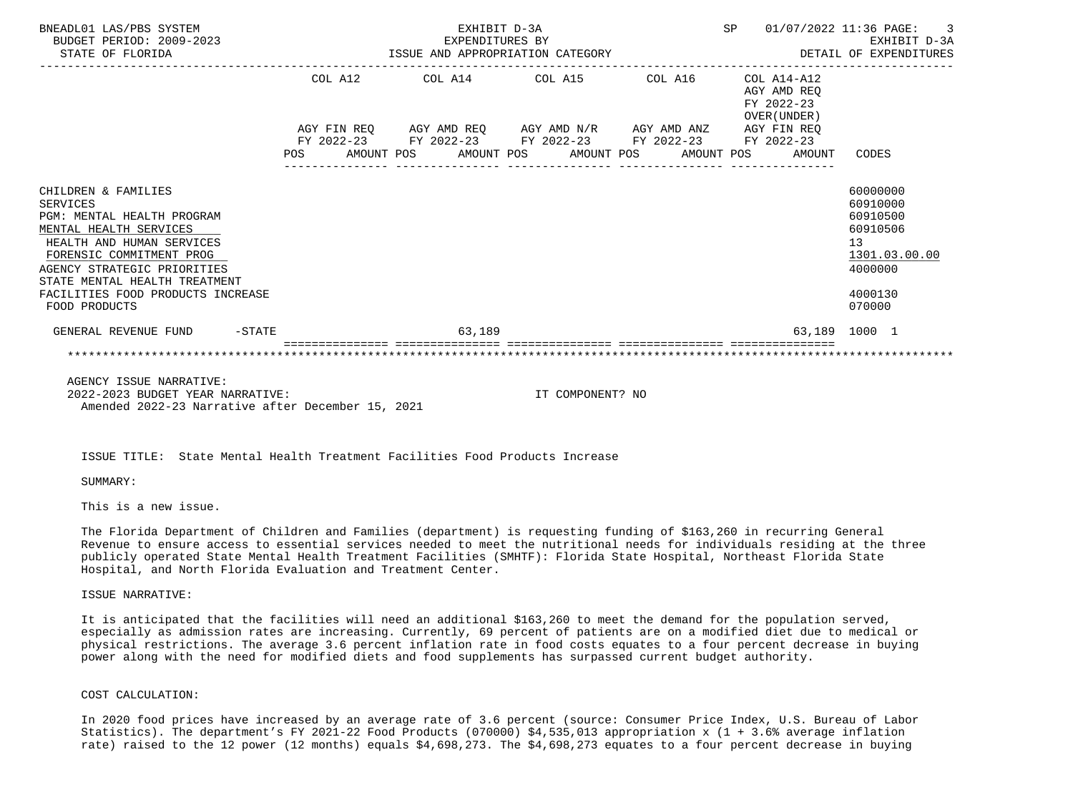| BNEADL01 LAS/PBS SYSTEM<br>BUDGET PERIOD: 2009-2023<br>STATE OF FLORIDA                                                                                                                                                                                                | EXHIBIT D-3A<br>EXPENDITURES BY<br>ISSUE AND APPROPRIATION CATEGORY |  |        |  |                                                                                                                        |  |  |  | SP 01/07/2022 11:36 PAGE: 3<br>DETAIL OF EXPENDITURES |                                                                                    | EXHIBIT D-3A  |
|------------------------------------------------------------------------------------------------------------------------------------------------------------------------------------------------------------------------------------------------------------------------|---------------------------------------------------------------------|--|--------|--|------------------------------------------------------------------------------------------------------------------------|--|--|--|-------------------------------------------------------|------------------------------------------------------------------------------------|---------------|
|                                                                                                                                                                                                                                                                        |                                                                     |  |        |  | COL A12 COL A14 COL A15 COL A16 COL A14-A12<br>AGY FIN REQ AGY AMD REQ AGY AMD N/R AGY AMD ANZ AGY FIN REQ             |  |  |  | AGY AMD REO<br>FY 2022-23<br>OVER (UNDER )            |                                                                                    |               |
|                                                                                                                                                                                                                                                                        |                                                                     |  |        |  | FY 2022-23 FY 2022-23 FY 2022-23 FY 2022-23 FY 2022-23<br>POS AMOUNT POS AMOUNT POS AMOUNT POS AMOUNT POS AMOUNT CODES |  |  |  |                                                       |                                                                                    |               |
| CHILDREN & FAMILIES<br>SERVICES<br>PGM: MENTAL HEALTH PROGRAM<br>MENTAL HEALTH SERVICES<br>HEALTH AND HUMAN SERVICES<br>FORENSIC COMMITMENT PROG<br>AGENCY STRATEGIC PRIORITIES<br>STATE MENTAL HEALTH TREATMENT<br>FACILITIES FOOD PRODUCTS INCREASE<br>FOOD PRODUCTS |                                                                     |  |        |  |                                                                                                                        |  |  |  |                                                       | 60000000<br>60910000<br>60910500<br>60910506<br>13<br>4000000<br>4000130<br>070000 | 1301.03.00.00 |
| GENERAL REVENUE FUND -STATE                                                                                                                                                                                                                                            |                                                                     |  | 63,189 |  |                                                                                                                        |  |  |  |                                                       | 63,189 1000 1                                                                      |               |
|                                                                                                                                                                                                                                                                        |                                                                     |  |        |  |                                                                                                                        |  |  |  |                                                       |                                                                                    |               |

 AGENCY ISSUE NARRATIVE: 2022-2023 BUDGET YEAR NARRATIVE: IT COMPONENT? NO Amended 2022-23 Narrative after December 15, 2021

ISSUE TITLE: State Mental Health Treatment Facilities Food Products Increase

SUMMARY:

This is a new issue.

 The Florida Department of Children and Families (department) is requesting funding of \$163,260 in recurring General Revenue to ensure access to essential services needed to meet the nutritional needs for individuals residing at the three publicly operated State Mental Health Treatment Facilities (SMHTF): Florida State Hospital, Northeast Florida State Hospital, and North Florida Evaluation and Treatment Center.

ISSUE NARRATIVE:

 It is anticipated that the facilities will need an additional \$163,260 to meet the demand for the population served, especially as admission rates are increasing. Currently, 69 percent of patients are on a modified diet due to medical or physical restrictions. The average 3.6 percent inflation rate in food costs equates to a four percent decrease in buying power along with the need for modified diets and food supplements has surpassed current budget authority.

## COST CALCULATION:

 In 2020 food prices have increased by an average rate of 3.6 percent (source: Consumer Price Index, U.S. Bureau of Labor Statistics). The department's FY 2021-22 Food Products (070000) \$4,535,013 appropriation x (1 + 3.6% average inflation rate) raised to the 12 power (12 months) equals \$4,698,273. The \$4,698,273 equates to a four percent decrease in buying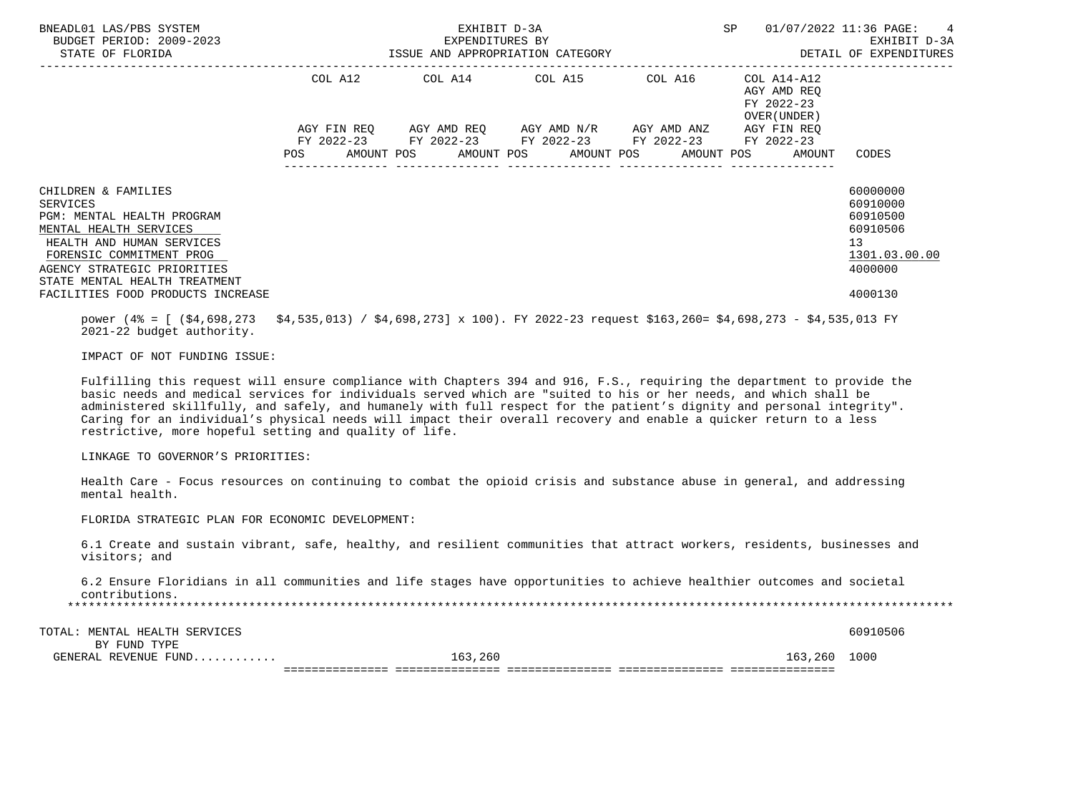| BNEADL01 LAS/PBS SYSTEM<br>BUDGET PERIOD: 2009-2023<br>STATE OF FLORIDA                                                                                                                                          |            | EXHIBIT D-3A | EXPENDITURES BY<br>ISSUE AND APPROPRIATION CATEGORY                                                                                                      |  | 01/07/2022 11:36 PAGE: 4<br>EXHIBIT D-3A<br>DETAIL OF EXPENDITURES |                                                                                             |
|------------------------------------------------------------------------------------------------------------------------------------------------------------------------------------------------------------------|------------|--------------|----------------------------------------------------------------------------------------------------------------------------------------------------------|--|--------------------------------------------------------------------|---------------------------------------------------------------------------------------------|
|                                                                                                                                                                                                                  | COL A12    |              | COL A14 COL A15 COL A16                                                                                                                                  |  | COL A14-A12<br>AGY AMD REO<br>FY 2022-23<br>OVER (UNDER)           |                                                                                             |
|                                                                                                                                                                                                                  | <b>POS</b> |              | AGY FIN REQ AGY AMD REQ AGY AMD N/R AGY AMD ANZ<br>FY 2022-23 FY 2022-23 FY 2022-23 FY 2022-23 FY 2022-23<br>AMOUNT POS AMOUNT POS AMOUNT POS AMOUNT POS |  | AGY FIN REO<br>AMOUNT                                              | CODES                                                                                       |
| CHILDREN & FAMILIES<br>SERVICES<br>PGM: MENTAL HEALTH PROGRAM<br>MENTAL HEALTH SERVICES<br>HEALTH AND HUMAN SERVICES<br>FORENSIC COMMITMENT PROG<br>AGENCY STRATEGIC PRIORITIES<br>STATE MENTAL HEALTH TREATMENT |            |              |                                                                                                                                                          |  |                                                                    | 60000000<br>60910000<br>60910500<br>60910506<br>13 <sup>7</sup><br>1301.03.00.00<br>4000000 |
| FACILITIES FOOD PRODUCTS INCREASE                                                                                                                                                                                |            |              |                                                                                                                                                          |  |                                                                    | 4000130                                                                                     |

 power (4% = [ (\$4,698,273 \$4,535,013) / \$4,698,273] x 100). FY 2022-23 request \$163,260= \$4,698,273 - \$4,535,013 FY 2021-22 budget authority.

IMPACT OF NOT FUNDING ISSUE:

 Fulfilling this request will ensure compliance with Chapters 394 and 916, F.S., requiring the department to provide the basic needs and medical services for individuals served which are "suited to his or her needs, and which shall be administered skillfully, and safely, and humanely with full respect for the patient's dignity and personal integrity". Caring for an individual's physical needs will impact their overall recovery and enable a quicker return to a less restrictive, more hopeful setting and quality of life.

LINKAGE TO GOVERNOR'S PRIORITIES:

 Health Care - Focus resources on continuing to combat the opioid crisis and substance abuse in general, and addressing mental health.

FLORIDA STRATEGIC PLAN FOR ECONOMIC DEVELOPMENT:

 6.1 Create and sustain vibrant, safe, healthy, and resilient communities that attract workers, residents, businesses and visitors; and

 6.2 Ensure Floridians in all communities and life stages have opportunities to achieve healthier outcomes and societal contributions.

\*\*\*\*\*\*\*\*\*\*\*\*\*\*\*\*\*\*\*\*\*\*\*\*\*\*\*\*\*\*\*\*\*\*\*\*\*\*\*\*\*\*\*\*\*\*\*\*\*\*\*\*\*\*\*\*\*\*\*\*\*\*\*\*\*\*\*\*\*\*\*\*\*\*\*\*\*\*\*\*\*\*\*\*\*\*\*\*\*\*\*\*\*\*\*\*\*\*\*\*\*\*\*\*\*\*\*\*\*\*\*\*\*\*\*\*\*\*\*\*\*\*\*\*\*\*\*

| MENTAL HEALTH SERVICES<br>TOTAL: |        | 60910506        |
|----------------------------------|--------|-----------------|
| TYPE<br>FUND                     |        |                 |
| GENERAL REVENUE FUND             | 63.260 | 1000<br>163.260 |

 GENERAL REVENUE FUND............ 163,260 163,260 1000 =============== =============== =============== =============== ===============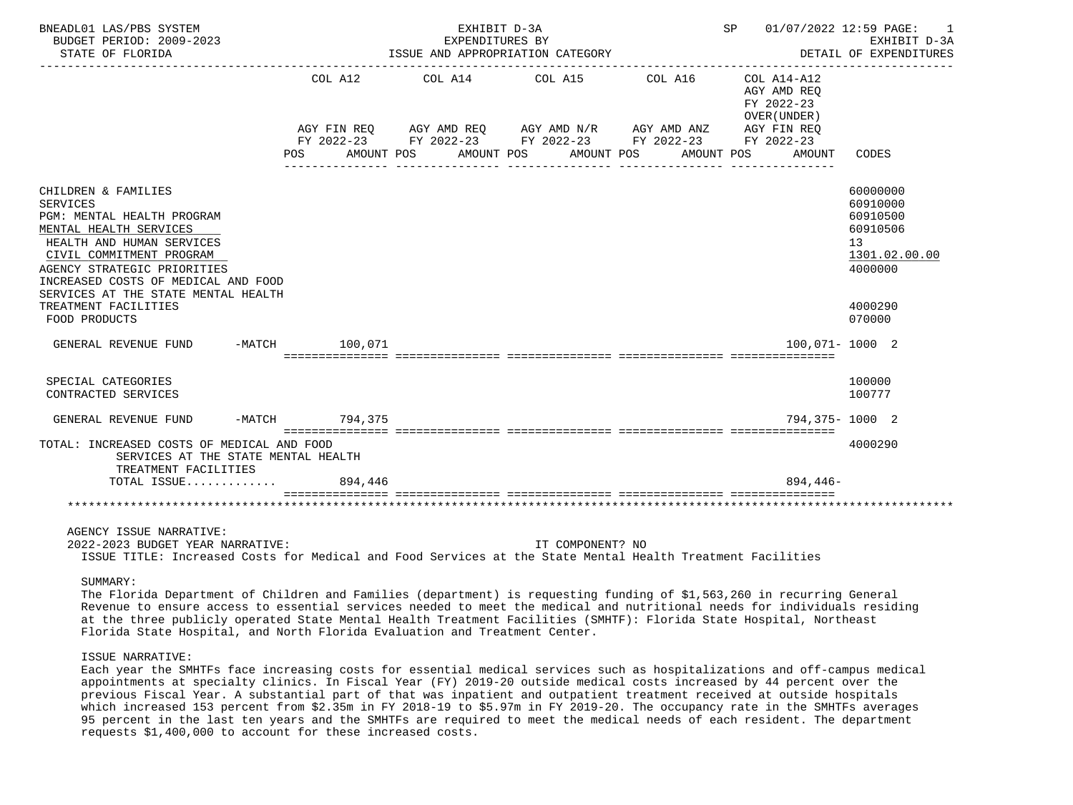| BNEADL01 LAS/PBS SYSTEM<br>BUDGET PERIOD: 2009-2023<br>STATE OF FLORIDA                                                                                                                                                                                                                      |                           |         | ISSUE AND APPROPRIATION CATEGORY                                                                                                         | EXHIBIT D-3A<br>EXPENDITURES BY |         |            | SP 01/07/2022 12:59 PAGE: 1<br>EXHIBIT D-3A<br>DETAIL OF EXPENDITURES |                                                                                           |
|----------------------------------------------------------------------------------------------------------------------------------------------------------------------------------------------------------------------------------------------------------------------------------------------|---------------------------|---------|------------------------------------------------------------------------------------------------------------------------------------------|---------------------------------|---------|------------|-----------------------------------------------------------------------|-------------------------------------------------------------------------------------------|
|                                                                                                                                                                                                                                                                                              | COL A12<br>POS AMOUNT POS |         | COL A14 COL A15<br>AGY FIN REQ AGY AMD REQ AGY AMD N/R AGY AMD ANZ AGY FIN REQ<br>FY 2022-23 FY 2022-23 FY 2022-23 FY 2022-23 FY 2022-23 | AMOUNT POS AMOUNT POS           | COL A16 | AMOUNT POS | COL A14-A12<br>AGY AMD REQ<br>FY 2022-23<br>OVER (UNDER)<br>AMOUNT    | CODES                                                                                     |
| CHILDREN & FAMILIES<br><b>SERVICES</b><br>PGM: MENTAL HEALTH PROGRAM<br>MENTAL HEALTH SERVICES<br>HEALTH AND HUMAN SERVICES<br>CIVIL COMMITMENT PROGRAM<br>AGENCY STRATEGIC PRIORITIES<br>INCREASED COSTS OF MEDICAL AND FOOD<br>SERVICES AT THE STATE MENTAL HEALTH<br>TREATMENT FACILITIES |                           |         |                                                                                                                                          |                                 |         |            |                                                                       | 60000000<br>60910000<br>60910500<br>60910506<br>13<br>1301.02.00.00<br>4000000<br>4000290 |
| FOOD PRODUCTS                                                                                                                                                                                                                                                                                |                           |         |                                                                                                                                          |                                 |         |            |                                                                       | 070000                                                                                    |
| GENERAL REVENUE FUND                                                                                                                                                                                                                                                                         | -MATCH 100,071            |         |                                                                                                                                          |                                 |         |            |                                                                       | $100.071 - 1000$ 2                                                                        |
| SPECIAL CATEGORIES<br>CONTRACTED SERVICES                                                                                                                                                                                                                                                    |                           |         |                                                                                                                                          |                                 |         |            |                                                                       | 100000<br>100777                                                                          |
| GENERAL REVENUE FUND                                                                                                                                                                                                                                                                         | -MATCH 794,375            |         |                                                                                                                                          |                                 |         |            |                                                                       | 794,375-1000 2                                                                            |
| TOTAL: INCREASED COSTS OF MEDICAL AND FOOD<br>SERVICES AT THE STATE MENTAL HEALTH<br>TREATMENT FACILITIES                                                                                                                                                                                    |                           |         |                                                                                                                                          |                                 |         |            |                                                                       | 4000290                                                                                   |
| TOTAL ISSUE                                                                                                                                                                                                                                                                                  |                           | 894,446 |                                                                                                                                          |                                 |         |            | $894.446-$                                                            |                                                                                           |
|                                                                                                                                                                                                                                                                                              |                           |         |                                                                                                                                          |                                 |         |            |                                                                       |                                                                                           |
| AGENCY ISSUE NARRATIVE:                                                                                                                                                                                                                                                                      |                           |         |                                                                                                                                          |                                 |         |            |                                                                       |                                                                                           |

 2022-2023 BUDGET YEAR NARRATIVE: IT COMPONENT? NO ISSUE TITLE: Increased Costs for Medical and Food Services at the State Mental Health Treatment Facilities

SUMMARY:

 The Florida Department of Children and Families (department) is requesting funding of \$1,563,260 in recurring General Revenue to ensure access to essential services needed to meet the medical and nutritional needs for individuals residing at the three publicly operated State Mental Health Treatment Facilities (SMHTF): Florida State Hospital, Northeast Florida State Hospital, and North Florida Evaluation and Treatment Center.

## ISSUE NARRATIVE:

 Each year the SMHTFs face increasing costs for essential medical services such as hospitalizations and off-campus medical appointments at specialty clinics. In Fiscal Year (FY) 2019-20 outside medical costs increased by 44 percent over the previous Fiscal Year. A substantial part of that was inpatient and outpatient treatment received at outside hospitals which increased 153 percent from \$2.35m in FY 2018-19 to \$5.97m in FY 2019-20. The occupancy rate in the SMHTFs averages 95 percent in the last ten years and the SMHTFs are required to meet the medical needs of each resident. The department requests \$1,400,000 to account for these increased costs.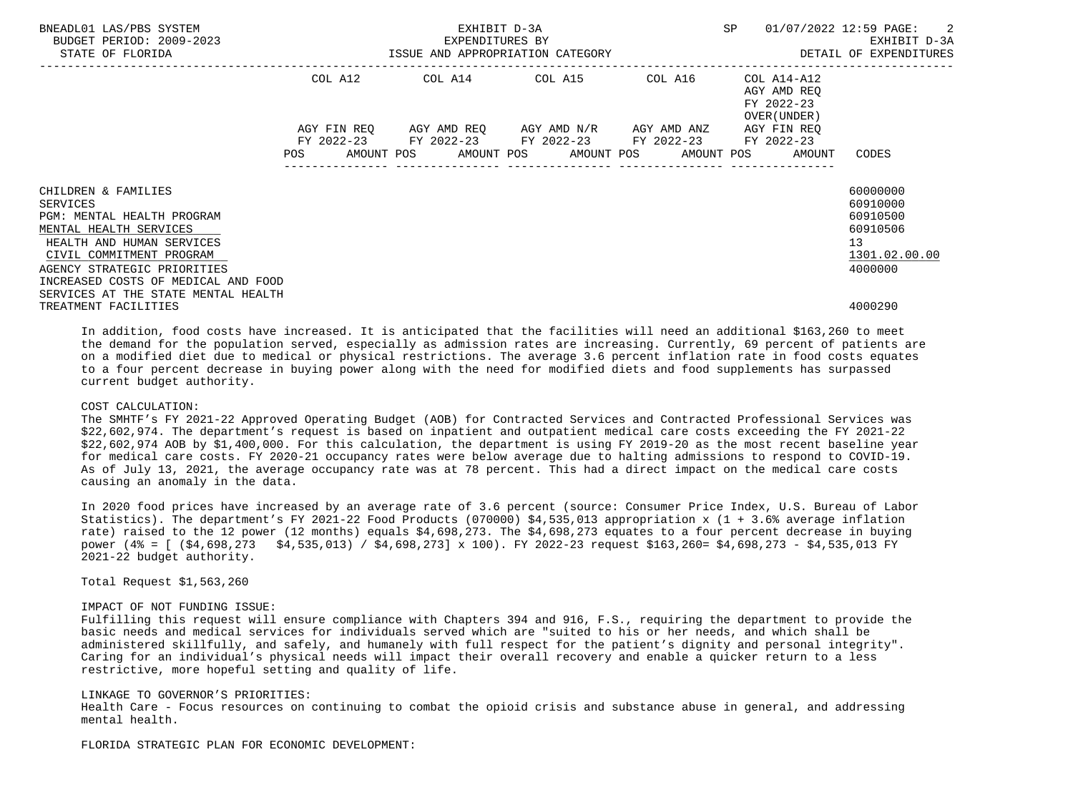| BNEADL01 LAS/PBS SYSTEM<br>BUDGET PERIOD: 2009-2023<br>STATE OF FLORIDA | EXHIBIT D-3A<br>)-2023<br>ISSUE AND APPROPRIATION CATEGORY |  |  |  |  |                                                        |  | SP |  | 01/07/2022 12:59 PAGE: 2<br>EXHIBIT D-3A<br>DETAIL OF EXPENDITURES |               |
|-------------------------------------------------------------------------|------------------------------------------------------------|--|--|--|--|--------------------------------------------------------|--|----|--|--------------------------------------------------------------------|---------------|
|                                                                         |                                                            |  |  |  |  | COL A12 COL A14 COL A15 COL A16 COL A14-A12            |  |    |  | AGY AMD REO<br>FY 2022-23<br>OVER (UNDER)                          |               |
|                                                                         |                                                            |  |  |  |  | AGY FIN REQ 6GY AMD REQ 6GY AMD N/R 6GY AMD ANZ        |  |    |  | AGY FIN REO                                                        |               |
|                                                                         |                                                            |  |  |  |  | FY 2022-23 FY 2022-23 FY 2022-23 FY 2022-23 FY 2022-23 |  |    |  |                                                                    |               |
|                                                                         |                                                            |  |  |  |  |                                                        |  |    |  | POS AMOUNT POS AMOUNT POS AMOUNT POS AMOUNT POS AMOUNT             | CODES         |
| CHILDREN & FAMILIES                                                     |                                                            |  |  |  |  |                                                        |  |    |  |                                                                    | 60000000      |
| <b>SERVICES</b>                                                         |                                                            |  |  |  |  |                                                        |  |    |  |                                                                    | 60910000      |
| PGM: MENTAL HEALTH PROGRAM                                              |                                                            |  |  |  |  |                                                        |  |    |  |                                                                    | 60910500      |
| MENTAL HEALTH SERVICES                                                  |                                                            |  |  |  |  |                                                        |  |    |  |                                                                    | 60910506      |
| HEALTH AND HUMAN SERVICES                                               |                                                            |  |  |  |  |                                                        |  |    |  |                                                                    | 13            |
| CIVIL COMMITMENT PROGRAM                                                |                                                            |  |  |  |  |                                                        |  |    |  |                                                                    | 1301.02.00.00 |
| AGENCY STRATEGIC PRIORITIES                                             |                                                            |  |  |  |  |                                                        |  |    |  |                                                                    | 4000000       |
| INCREASED COSTS OF MEDICAL AND FOOD                                     |                                                            |  |  |  |  |                                                        |  |    |  |                                                                    |               |
| SERVICES AT THE STATE MENTAL HEALTH                                     |                                                            |  |  |  |  |                                                        |  |    |  |                                                                    |               |
| TREATMENT FACILITIES                                                    |                                                            |  |  |  |  |                                                        |  |    |  |                                                                    | 4000290       |

 In addition, food costs have increased. It is anticipated that the facilities will need an additional \$163,260 to meet the demand for the population served, especially as admission rates are increasing. Currently, 69 percent of patients are on a modified diet due to medical or physical restrictions. The average 3.6 percent inflation rate in food costs equates to a four percent decrease in buying power along with the need for modified diets and food supplements has surpassed current budget authority.

### COST CALCULATION:

 The SMHTF's FY 2021-22 Approved Operating Budget (AOB) for Contracted Services and Contracted Professional Services was \$22,602,974. The department's request is based on inpatient and outpatient medical care costs exceeding the FY 2021-22 \$22,602,974 AOB by \$1,400,000. For this calculation, the department is using FY 2019-20 as the most recent baseline year for medical care costs. FY 2020-21 occupancy rates were below average due to halting admissions to respond to COVID-19. As of July 13, 2021, the average occupancy rate was at 78 percent. This had a direct impact on the medical care costs causing an anomaly in the data.

 In 2020 food prices have increased by an average rate of 3.6 percent (source: Consumer Price Index, U.S. Bureau of Labor Statistics). The department's FY 2021-22 Food Products (070000) \$4,535,013 appropriation x (1 + 3.6% average inflation rate) raised to the 12 power (12 months) equals \$4,698,273. The \$4,698,273 equates to a four percent decrease in buying power (4% = [ (\$4,698,273 \$4,535,013) / \$4,698,273] x 100). FY 2022-23 request \$163,260= \$4,698,273 - \$4,535,013 FY 2021-22 budget authority.

Total Request \$1,563,260

## IMPACT OF NOT FUNDING ISSUE:

 Fulfilling this request will ensure compliance with Chapters 394 and 916, F.S., requiring the department to provide the basic needs and medical services for individuals served which are "suited to his or her needs, and which shall be administered skillfully, and safely, and humanely with full respect for the patient's dignity and personal integrity". Caring for an individual's physical needs will impact their overall recovery and enable a quicker return to a less restrictive, more hopeful setting and quality of life.

### LINKAGE TO GOVERNOR'S PRIORITIES:

 Health Care - Focus resources on continuing to combat the opioid crisis and substance abuse in general, and addressing mental health.

FLORIDA STRATEGIC PLAN FOR ECONOMIC DEVELOPMENT: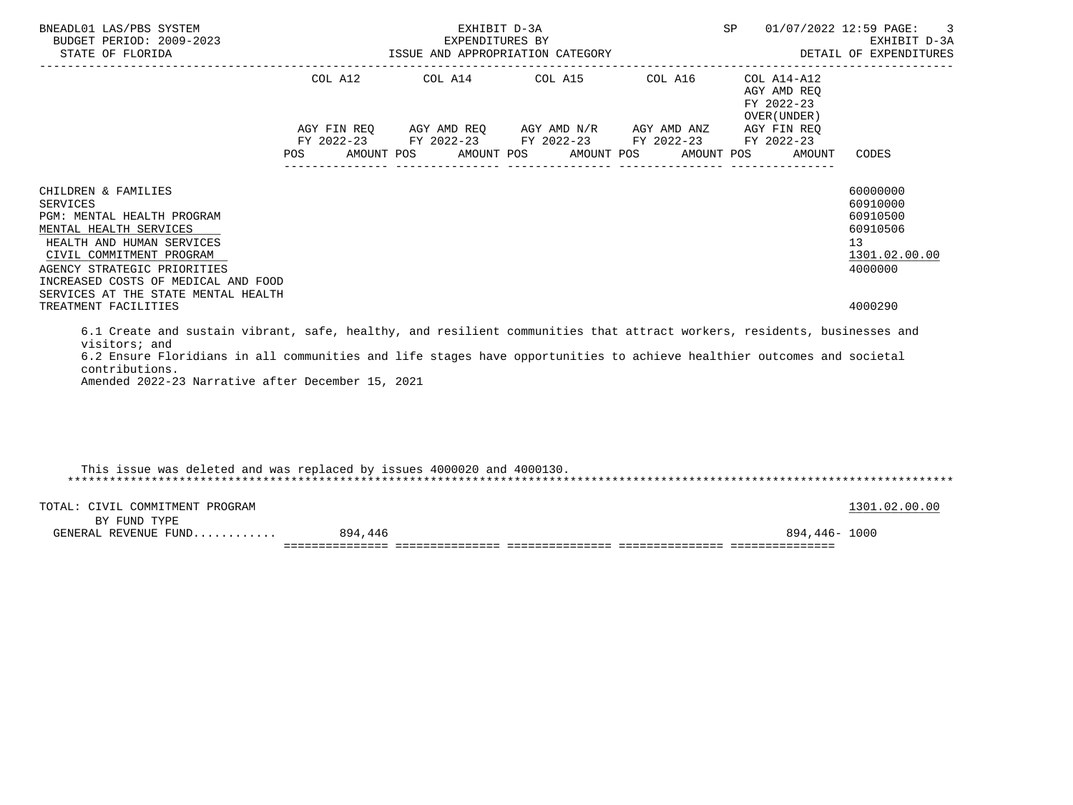| BNEADL01 LAS/PBS SYSTEM<br>BUDGET PERIOD: 2009-2023<br>STATE OF FLORIDA                                                                                                                                                                                                                                                                    |                | EXHIBIT D-3A<br>EXPENDITURES BY | ISSUE AND APPROPRIATION CATEGORY                                                                                                                      |            | <b>SP</b><br>DETAIL OF EXPENDITURES                                                             | -3<br>01/07/2022 12:59 PAGE:<br>EXHIBIT D-3A                                   |
|--------------------------------------------------------------------------------------------------------------------------------------------------------------------------------------------------------------------------------------------------------------------------------------------------------------------------------------------|----------------|---------------------------------|-------------------------------------------------------------------------------------------------------------------------------------------------------|------------|-------------------------------------------------------------------------------------------------|--------------------------------------------------------------------------------|
|                                                                                                                                                                                                                                                                                                                                            | COL A12<br>POS | AMOUNT POS                      | COL A14 COL A15 COL A16<br>AGY FIN REO AGY AMD REO AGY AMD N/R AGY AMD ANZ<br>FY 2022-23 FY 2022-23 FY 2022-23 FY 2022-23<br>AMOUNT POS<br>AMOUNT POS | AMOUNT POS | COL A14-A12<br>AGY AMD REO<br>FY 2022-23<br>OVER (UNDER)<br>AGY FIN REQ<br>FY 2022-23<br>AMOUNT | CODES                                                                          |
| CHILDREN & FAMILIES<br><b>SERVICES</b><br>PGM: MENTAL HEALTH PROGRAM<br>MENTAL HEALTH SERVICES<br>HEALTH AND HUMAN SERVICES<br>CIVIL COMMITMENT PROGRAM<br>AGENCY STRATEGIC PRIORITIES<br>INCREASED COSTS OF MEDICAL AND FOOD<br>SERVICES AT THE STATE MENTAL HEALTH                                                                       |                |                                 |                                                                                                                                                       |            |                                                                                                 | 60000000<br>60910000<br>60910500<br>60910506<br>13<br>1301.02.00.00<br>4000000 |
| TREATMENT FACILITIES                                                                                                                                                                                                                                                                                                                       |                |                                 |                                                                                                                                                       |            |                                                                                                 | 4000290                                                                        |
| 6.1 Create and sustain vibrant, safe, healthy, and resilient communities that attract workers, residents, businesses and<br>visitors; and<br>6.2 Ensure Floridians in all communities and life stages have opportunities to achieve healthier outcomes and societal<br>contributions.<br>Amended 2022-23 Narrative after December 15, 2021 |                |                                 |                                                                                                                                                       |            |                                                                                                 |                                                                                |
| This issue was deleted and was replaced by issues 4000020 and 4000130.                                                                                                                                                                                                                                                                     |                |                                 |                                                                                                                                                       |            |                                                                                                 |                                                                                |
| TOTAL: CIVIL COMMITMENT PROGRAM<br>$\mathbf{r}$                                                                                                                                                                                                                                                                                            |                |                                 |                                                                                                                                                       |            |                                                                                                 | 1301.02.00.00                                                                  |

| RV<br>ּ וזוד<br>້<br><u>.</u> |                        |                           |                                  |                                      |     |
|-------------------------------|------------------------|---------------------------|----------------------------------|--------------------------------------|-----|
| REVENUE<br>RΔ<br>1111         | oΩ<br>44               |                           |                                  | ິ                                    | 000 |
|                               | $-$<br>--------------- | . _ _ _ _ _ _ _ _ _ _ _ _ | -------------------------------- | ________________<br>________________ |     |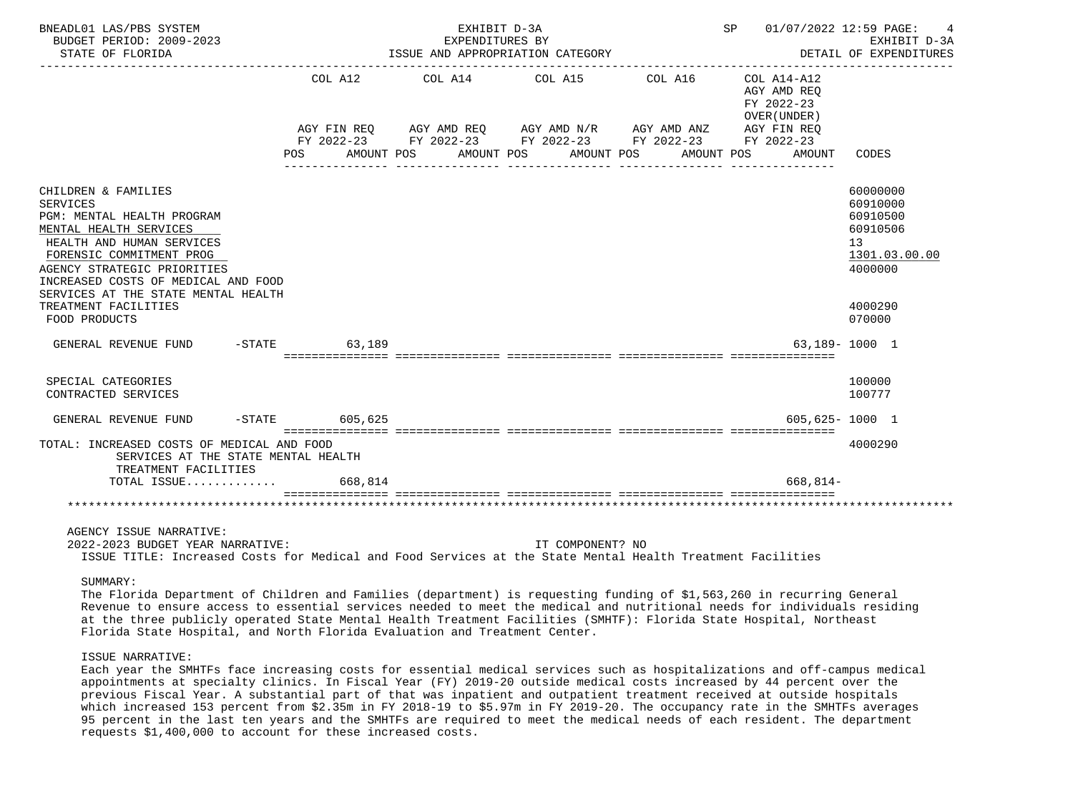| BNEADL01 LAS/PBS SYSTEM<br>BUDGET PERIOD: 2009-2023<br>STATE OF FLORIDA                                                                                                                                                                                              |                  | EXHIBIT D-3A<br>EXPENDITURES BY<br>ISSUE AND APPROPRIATION CATEGORY                                                                      |                       |                     | SP 01/07/2022 12:59 PAGE:                 | $\overline{4}$<br>EXHIBIT D-3A<br>DETAIL OF EXPENDITURES                       |
|----------------------------------------------------------------------------------------------------------------------------------------------------------------------------------------------------------------------------------------------------------------------|------------------|------------------------------------------------------------------------------------------------------------------------------------------|-----------------------|---------------------|-------------------------------------------|--------------------------------------------------------------------------------|
|                                                                                                                                                                                                                                                                      | COL A12          | COL A14 COL A15<br>AGY FIN REQ AGY AMD REQ AGY AMD N/R AGY AMD ANZ AGY FIN REQ<br>FY 2022-23 FY 2022-23 FY 2022-23 FY 2022-23 FY 2022-23 |                       | COL A16 COL A14-A12 | AGY AMD REQ<br>FY 2022-23<br>OVER (UNDER) |                                                                                |
|                                                                                                                                                                                                                                                                      | POS AMOUNT POS   |                                                                                                                                          | AMOUNT POS AMOUNT POS |                     | AMOUNT POS<br>AMOUNT                      | CODES                                                                          |
| CHILDREN & FAMILIES<br><b>SERVICES</b><br>PGM: MENTAL HEALTH PROGRAM<br>MENTAL HEALTH SERVICES<br>HEALTH AND HUMAN SERVICES<br>FORENSIC COMMITMENT PROG<br>AGENCY STRATEGIC PRIORITIES<br>INCREASED COSTS OF MEDICAL AND FOOD<br>SERVICES AT THE STATE MENTAL HEALTH |                  |                                                                                                                                          |                       |                     |                                           | 60000000<br>60910000<br>60910500<br>60910506<br>13<br>1301.03.00.00<br>4000000 |
| TREATMENT FACILITIES<br>FOOD PRODUCTS                                                                                                                                                                                                                                |                  |                                                                                                                                          |                       |                     |                                           | 4000290<br>070000                                                              |
| GENERAL REVENUE FUND                                                                                                                                                                                                                                                 | -STATE 63.189    |                                                                                                                                          |                       |                     |                                           | 63.189-1000 1                                                                  |
| SPECIAL CATEGORIES<br>CONTRACTED SERVICES                                                                                                                                                                                                                            |                  |                                                                                                                                          |                       |                     |                                           | 100000<br>100777                                                               |
| GENERAL REVENUE FUND                                                                                                                                                                                                                                                 | $-STATE$ 605,625 |                                                                                                                                          |                       |                     | $605.625 - 1000$ 1                        |                                                                                |
| TOTAL: INCREASED COSTS OF MEDICAL AND FOOD<br>SERVICES AT THE STATE MENTAL HEALTH<br>TREATMENT FACILITIES                                                                                                                                                            |                  |                                                                                                                                          |                       |                     |                                           | 4000290                                                                        |
| TOTAL ISSUE 668,814                                                                                                                                                                                                                                                  |                  |                                                                                                                                          |                       |                     | 668,814-                                  |                                                                                |
|                                                                                                                                                                                                                                                                      |                  |                                                                                                                                          |                       |                     |                                           |                                                                                |
| AGENCY ISSUE NARRATIVE:                                                                                                                                                                                                                                              |                  |                                                                                                                                          |                       |                     |                                           |                                                                                |

 2022-2023 BUDGET YEAR NARRATIVE: IT COMPONENT? NO ISSUE TITLE: Increased Costs for Medical and Food Services at the State Mental Health Treatment Facilities

SUMMARY:

 The Florida Department of Children and Families (department) is requesting funding of \$1,563,260 in recurring General Revenue to ensure access to essential services needed to meet the medical and nutritional needs for individuals residing at the three publicly operated State Mental Health Treatment Facilities (SMHTF): Florida State Hospital, Northeast Florida State Hospital, and North Florida Evaluation and Treatment Center.

## ISSUE NARRATIVE:

 Each year the SMHTFs face increasing costs for essential medical services such as hospitalizations and off-campus medical appointments at specialty clinics. In Fiscal Year (FY) 2019-20 outside medical costs increased by 44 percent over the previous Fiscal Year. A substantial part of that was inpatient and outpatient treatment received at outside hospitals which increased 153 percent from \$2.35m in FY 2018-19 to \$5.97m in FY 2019-20. The occupancy rate in the SMHTFs averages 95 percent in the last ten years and the SMHTFs are required to meet the medical needs of each resident. The department requests \$1,400,000 to account for these increased costs.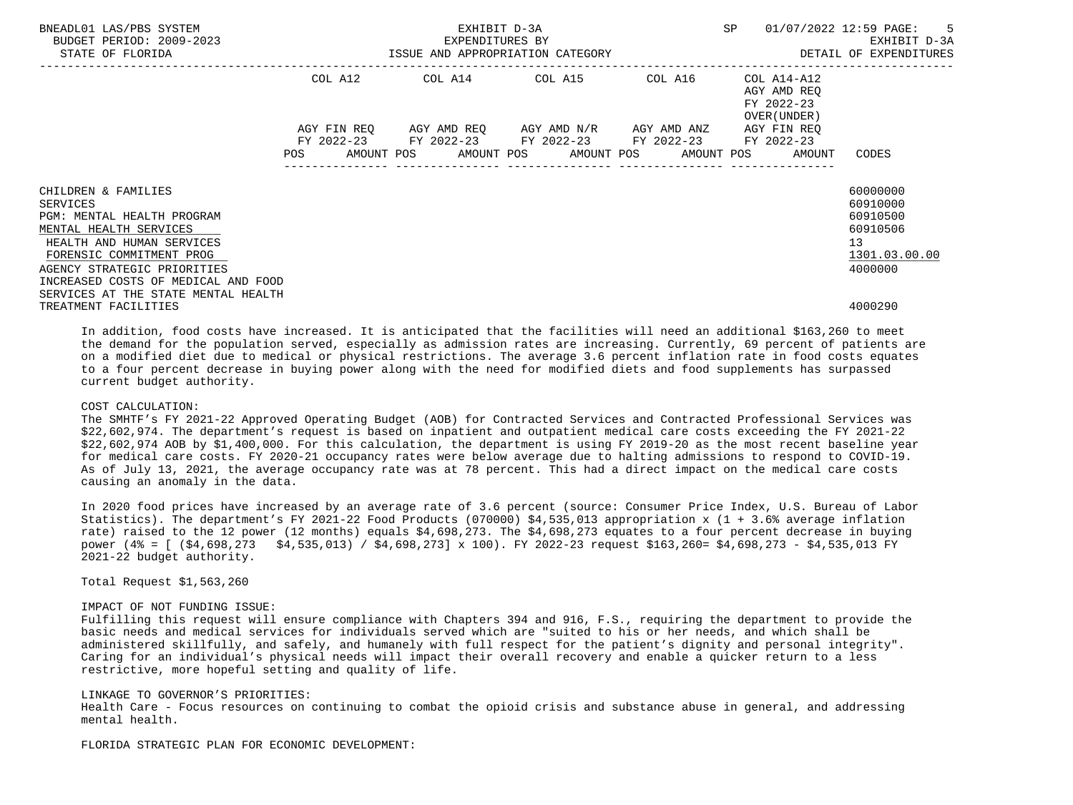| BNEADL01 LAS/PBS SYSTEM<br>BUDGET PERIOD: 2009-2023<br>STATE OF FLORIDA | EXHIBIT D-3A<br>EXPENDITURES BY<br>ISSUE AND APPROPRIATION CATEGORY |         |  |  |  |                                                                                                       |  | SP |  | 01/07/2022 12:59 PAGE:<br>$5^{\circ}$<br>EXHIBIT D-3A<br>DETAIL OF EXPENDITURES |                 |
|-------------------------------------------------------------------------|---------------------------------------------------------------------|---------|--|--|--|-------------------------------------------------------------------------------------------------------|--|----|--|---------------------------------------------------------------------------------|-----------------|
|                                                                         |                                                                     | COL A12 |  |  |  |                                                                                                       |  |    |  | AGY AMD REO<br>FY 2022-23<br>OVER (UNDER)                                       |                 |
|                                                                         |                                                                     |         |  |  |  | AGY FIN REQ 6GY AMD REQ 6GY AMD N/R 6GY AMD ANZ                                                       |  |    |  | AGY FIN REO                                                                     |                 |
|                                                                         | <b>POS</b>                                                          |         |  |  |  | FY 2022-23 FY 2022-23 FY 2022-23 FY 2022-23 FY 2022-23<br>AMOUNT POS AMOUNT POS AMOUNT POS AMOUNT POS |  |    |  | AMOUNT                                                                          | CODES           |
| CHILDREN & FAMILIES                                                     |                                                                     |         |  |  |  |                                                                                                       |  |    |  |                                                                                 | 60000000        |
| SERVICES                                                                |                                                                     |         |  |  |  |                                                                                                       |  |    |  |                                                                                 | 60910000        |
| PGM: MENTAL HEALTH PROGRAM                                              |                                                                     |         |  |  |  |                                                                                                       |  |    |  |                                                                                 | 60910500        |
| MENTAL HEALTH SERVICES                                                  |                                                                     |         |  |  |  |                                                                                                       |  |    |  |                                                                                 | 60910506        |
| HEALTH AND HUMAN SERVICES                                               |                                                                     |         |  |  |  |                                                                                                       |  |    |  |                                                                                 | 13 <sup>°</sup> |
| FORENSIC COMMITMENT PROG                                                |                                                                     |         |  |  |  |                                                                                                       |  |    |  |                                                                                 | 1301.03.00.00   |
| AGENCY STRATEGIC PRIORITIES                                             |                                                                     |         |  |  |  |                                                                                                       |  |    |  |                                                                                 | 4000000         |
| INCREASED COSTS OF MEDICAL AND FOOD                                     |                                                                     |         |  |  |  |                                                                                                       |  |    |  |                                                                                 |                 |
| SERVICES AT THE STATE MENTAL HEALTH                                     |                                                                     |         |  |  |  |                                                                                                       |  |    |  |                                                                                 |                 |
| TREATMENT FACILITIES                                                    |                                                                     |         |  |  |  |                                                                                                       |  |    |  |                                                                                 | 4000290         |

 In addition, food costs have increased. It is anticipated that the facilities will need an additional \$163,260 to meet the demand for the population served, especially as admission rates are increasing. Currently, 69 percent of patients are on a modified diet due to medical or physical restrictions. The average 3.6 percent inflation rate in food costs equates to a four percent decrease in buying power along with the need for modified diets and food supplements has surpassed current budget authority.

### COST CALCULATION:

 The SMHTF's FY 2021-22 Approved Operating Budget (AOB) for Contracted Services and Contracted Professional Services was \$22,602,974. The department's request is based on inpatient and outpatient medical care costs exceeding the FY 2021-22 \$22,602,974 AOB by \$1,400,000. For this calculation, the department is using FY 2019-20 as the most recent baseline year for medical care costs. FY 2020-21 occupancy rates were below average due to halting admissions to respond to COVID-19. As of July 13, 2021, the average occupancy rate was at 78 percent. This had a direct impact on the medical care costs causing an anomaly in the data.

 In 2020 food prices have increased by an average rate of 3.6 percent (source: Consumer Price Index, U.S. Bureau of Labor Statistics). The department's FY 2021-22 Food Products (070000) \$4,535,013 appropriation x (1 + 3.6% average inflation rate) raised to the 12 power (12 months) equals \$4,698,273. The \$4,698,273 equates to a four percent decrease in buying power (4% = [ (\$4,698,273 \$4,535,013) / \$4,698,273] x 100). FY 2022-23 request \$163,260= \$4,698,273 - \$4,535,013 FY 2021-22 budget authority.

Total Request \$1,563,260

## IMPACT OF NOT FUNDING ISSUE:

 Fulfilling this request will ensure compliance with Chapters 394 and 916, F.S., requiring the department to provide the basic needs and medical services for individuals served which are "suited to his or her needs, and which shall be administered skillfully, and safely, and humanely with full respect for the patient's dignity and personal integrity". Caring for an individual's physical needs will impact their overall recovery and enable a quicker return to a less restrictive, more hopeful setting and quality of life.

### LINKAGE TO GOVERNOR'S PRIORITIES:

 Health Care - Focus resources on continuing to combat the opioid crisis and substance abuse in general, and addressing mental health.

FLORIDA STRATEGIC PLAN FOR ECONOMIC DEVELOPMENT: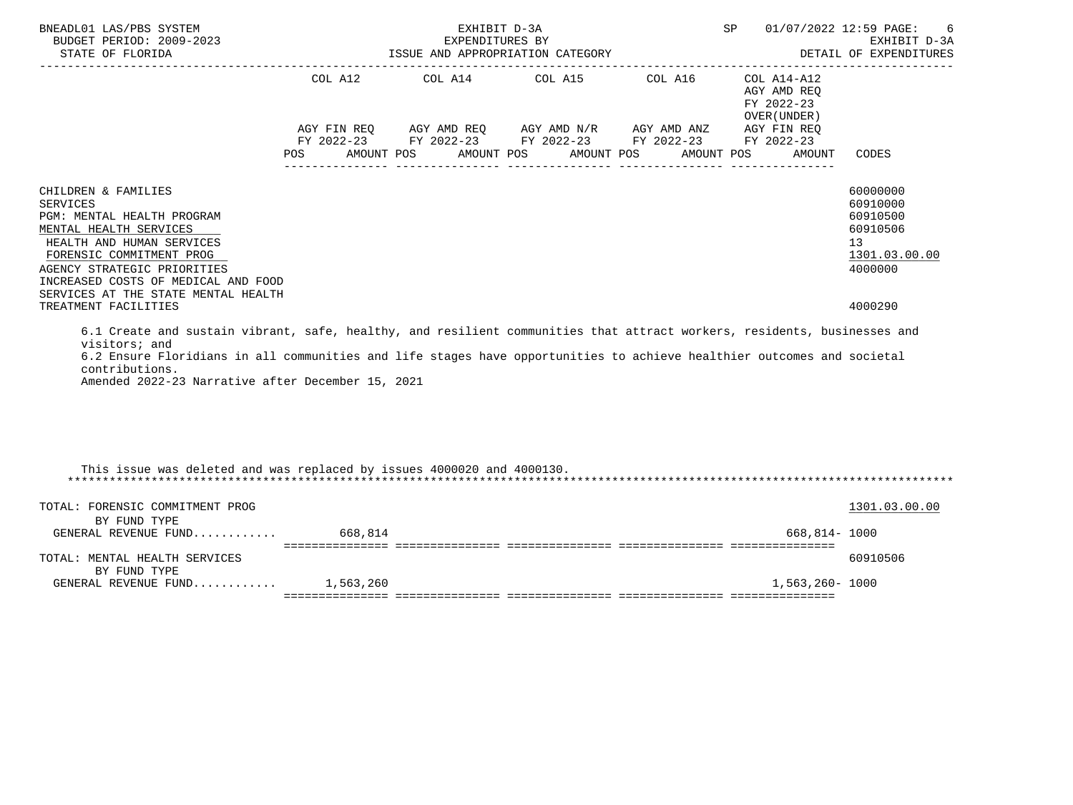| BNEADL01 LAS/PBS SYSTEM<br>BUDGET PERIOD: 2009-2023<br>STATE OF FLORIDA                                                                                                                                                                                                                                                                    |         | EXHIBIT D-3A<br>EXPENDITURES BY<br>ISSUE AND APPROPRIATION CATEGORY | SP 01/07/2022 12:59 PAGE:                                                                                                                                                                                                                                                                                                                                                                                | 6<br>EXHIBIT D-3A<br>DETAIL OF EXPENDITURES |                                                                                  |                                                                                |
|--------------------------------------------------------------------------------------------------------------------------------------------------------------------------------------------------------------------------------------------------------------------------------------------------------------------------------------------|---------|---------------------------------------------------------------------|----------------------------------------------------------------------------------------------------------------------------------------------------------------------------------------------------------------------------------------------------------------------------------------------------------------------------------------------------------------------------------------------------------|---------------------------------------------|----------------------------------------------------------------------------------|--------------------------------------------------------------------------------|
|                                                                                                                                                                                                                                                                                                                                            | POS FOR | COL A12 COL A14 COL A15                                             | $\begin{array}{lllllll} \textsc{AGY} & \textsc{FIN} & \textsc{REG} & \textsc{AGY} & \textsc{AND} & \textsc{NN} \textsc{N} \textsc{N} & \textsc{AGY} & \textsc{AND} & \textsc{ANZ} & \textsc{AGY} & \textsc{FIN} & \textsc{REG} \\ \textsc{FY} & 2022-23 & \textsc{FY} & 2022-23 & \textsc{FY} & 2022-23 & \textsc{FY} & 2022-23 & \textsc{FY} & 2022-23 \end{array}$<br>AMOUNT POS AMOUNT POS AMOUNT POS | COL A16                                     | COL A14-A12<br>AGY AMD REQ<br>FY 2022-23<br>OVER (UNDER)<br>AMOUNT POS<br>AMOUNT | CODES                                                                          |
|                                                                                                                                                                                                                                                                                                                                            |         |                                                                     |                                                                                                                                                                                                                                                                                                                                                                                                          |                                             |                                                                                  |                                                                                |
| CHILDREN & FAMILIES<br>SERVICES<br>PGM: MENTAL HEALTH PROGRAM<br>MENTAL HEALTH SERVICES<br>HEALTH AND HUMAN SERVICES<br>FORENSIC COMMITMENT PROG<br>AGENCY STRATEGIC PRIORITIES<br>INCREASED COSTS OF MEDICAL AND FOOD<br>SERVICES AT THE STATE MENTAL HEALTH                                                                              |         |                                                                     |                                                                                                                                                                                                                                                                                                                                                                                                          |                                             |                                                                                  | 60000000<br>60910000<br>60910500<br>60910506<br>13<br>1301.03.00.00<br>4000000 |
| TREATMENT FACILITIES                                                                                                                                                                                                                                                                                                                       |         |                                                                     |                                                                                                                                                                                                                                                                                                                                                                                                          |                                             |                                                                                  | 4000290                                                                        |
| 6.1 Create and sustain vibrant, safe, healthy, and resilient communities that attract workers, residents, businesses and<br>visitors; and<br>6.2 Ensure Floridians in all communities and life stages have opportunities to achieve healthier outcomes and societal<br>contributions.<br>Amended 2022-23 Narrative after December 15, 2021 |         |                                                                     |                                                                                                                                                                                                                                                                                                                                                                                                          |                                             |                                                                                  |                                                                                |
| This issue was deleted and was replaced by issues 4000020 and 4000130.                                                                                                                                                                                                                                                                     |         |                                                                     |                                                                                                                                                                                                                                                                                                                                                                                                          |                                             |                                                                                  |                                                                                |
| TOTAL: FORENSIC COMMITMENT PROG<br>BY FUND TYPE                                                                                                                                                                                                                                                                                            |         |                                                                     |                                                                                                                                                                                                                                                                                                                                                                                                          |                                             |                                                                                  | 1301.03.00.00                                                                  |
| GENERAL REVENUE FUND 668,814                                                                                                                                                                                                                                                                                                               |         |                                                                     |                                                                                                                                                                                                                                                                                                                                                                                                          |                                             | 668,814- 1000                                                                    |                                                                                |
| TOTAL: MENTAL HEALTH SERVICES<br>BY FUND TYPE                                                                                                                                                                                                                                                                                              |         |                                                                     |                                                                                                                                                                                                                                                                                                                                                                                                          |                                             |                                                                                  | 60910506                                                                       |
| GENERAL REVENUE FUND $1.563.260$                                                                                                                                                                                                                                                                                                           |         |                                                                     |                                                                                                                                                                                                                                                                                                                                                                                                          |                                             | 1,563,260- 1000                                                                  |                                                                                |
|                                                                                                                                                                                                                                                                                                                                            |         |                                                                     |                                                                                                                                                                                                                                                                                                                                                                                                          |                                             |                                                                                  |                                                                                |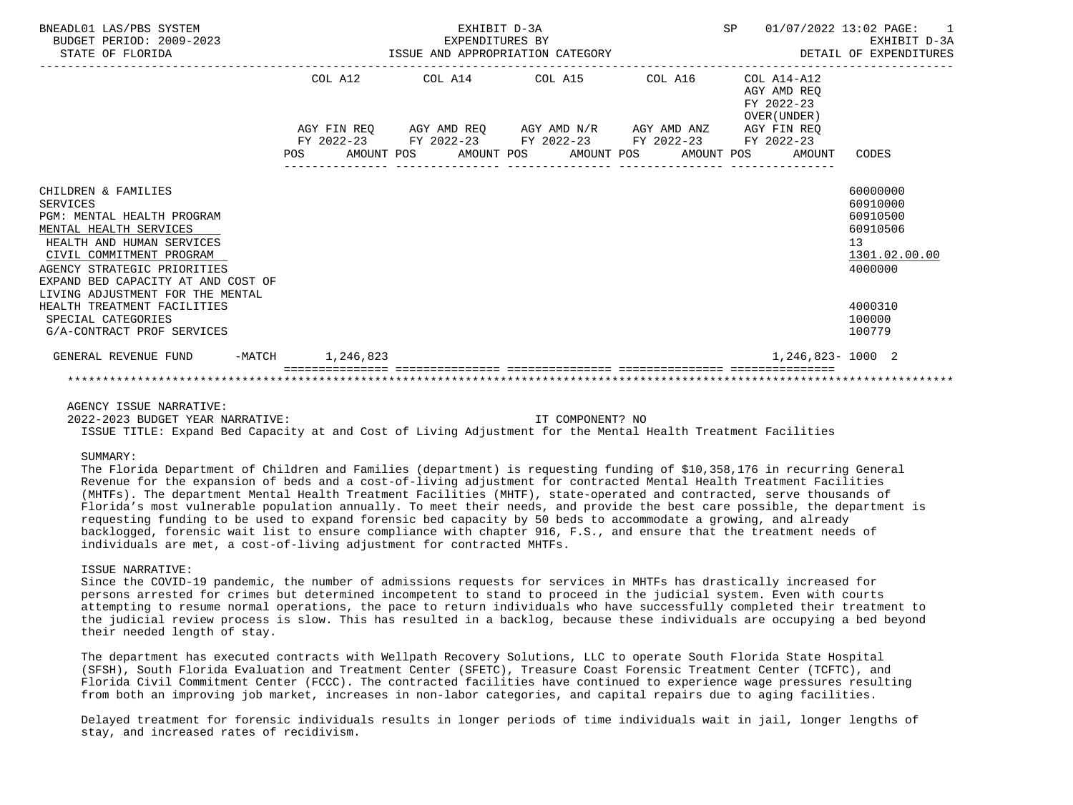| BNEADL01 LAS/PBS SYSTEM<br>BUDGET PERIOD: 2009-2023<br>STATE OF FLORIDA                                                                                                                                                      |     | EXHIBIT D-3A<br><b>SP</b><br>EXPENDITURES BY<br>ISSUE AND APPROPRIATION CATEGORY |  |  |  |                                                             |  |  |  |                                                                           | 01/07/2022 13:02 PAGE: 1<br>EXHIBIT D-3A<br>DETAIL OF EXPENDITURES             |
|------------------------------------------------------------------------------------------------------------------------------------------------------------------------------------------------------------------------------|-----|----------------------------------------------------------------------------------|--|--|--|-------------------------------------------------------------|--|--|--|---------------------------------------------------------------------------|--------------------------------------------------------------------------------|
|                                                                                                                                                                                                                              |     | COL A12                                                                          |  |  |  | COL A14 COL A15 COL A16                                     |  |  |  | COL A14-A12<br>AGY AMD REO<br>FY 2022-23<br>OVER (UNDER)                  |                                                                                |
|                                                                                                                                                                                                                              |     |                                                                                  |  |  |  | AGY FIN REQ AGY AMD REQ AGY AMD N/R AGY AMD ANZ AGY FIN REQ |  |  |  |                                                                           |                                                                                |
|                                                                                                                                                                                                                              | POS |                                                                                  |  |  |  | FY 2022-23 FY 2022-23 FY 2022-23 FY 2022-23 FY 2022-23      |  |  |  | AMOUNT POS       AMOUNT POS       AMOUNT POS       AMOUNT POS      AMOUNT | CODES                                                                          |
| CHILDREN & FAMILIES<br><b>SERVICES</b><br>PGM: MENTAL HEALTH PROGRAM<br>MENTAL HEALTH SERVICES<br>HEALTH AND HUMAN SERVICES<br>CIVIL COMMITMENT PROGRAM<br>AGENCY STRATEGIC PRIORITIES<br>EXPAND BED CAPACITY AT AND COST OF |     |                                                                                  |  |  |  |                                                             |  |  |  |                                                                           | 60000000<br>60910000<br>60910500<br>60910506<br>13<br>1301.02.00.00<br>4000000 |
| LIVING ADJUSTMENT FOR THE MENTAL<br>HEALTH TREATMENT FACILITIES<br>SPECIAL CATEGORIES<br>G/A-CONTRACT PROF SERVICES                                                                                                          |     |                                                                                  |  |  |  |                                                             |  |  |  |                                                                           | 4000310<br>100000<br>100779                                                    |
| -MATCH 1, 246, 823<br>GENERAL REVENUE FUND                                                                                                                                                                                   |     |                                                                                  |  |  |  |                                                             |  |  |  | 1,246,823-1000 2                                                          |                                                                                |
|                                                                                                                                                                                                                              |     |                                                                                  |  |  |  |                                                             |  |  |  |                                                                           |                                                                                |

# AGENCY ISSUE NARRATIVE:

 2022-2023 BUDGET YEAR NARRATIVE: IT COMPONENT? NO ISSUE TITLE: Expand Bed Capacity at and Cost of Living Adjustment for the Mental Health Treatment Facilities

### SUMMARY:

 The Florida Department of Children and Families (department) is requesting funding of \$10,358,176 in recurring General Revenue for the expansion of beds and a cost-of-living adjustment for contracted Mental Health Treatment Facilities (MHTFs). The department Mental Health Treatment Facilities (MHTF), state-operated and contracted, serve thousands of Florida's most vulnerable population annually. To meet their needs, and provide the best care possible, the department is requesting funding to be used to expand forensic bed capacity by 50 beds to accommodate a growing, and already backlogged, forensic wait list to ensure compliance with chapter 916, F.S., and ensure that the treatment needs of individuals are met, a cost-of-living adjustment for contracted MHTFs.

### ISSUE NARRATIVE:

 Since the COVID-19 pandemic, the number of admissions requests for services in MHTFs has drastically increased for persons arrested for crimes but determined incompetent to stand to proceed in the judicial system. Even with courts attempting to resume normal operations, the pace to return individuals who have successfully completed their treatment to the judicial review process is slow. This has resulted in a backlog, because these individuals are occupying a bed beyond their needed length of stay.

 The department has executed contracts with Wellpath Recovery Solutions, LLC to operate South Florida State Hospital (SFSH), South Florida Evaluation and Treatment Center (SFETC), Treasure Coast Forensic Treatment Center (TCFTC), and Florida Civil Commitment Center (FCCC). The contracted facilities have continued to experience wage pressures resulting from both an improving job market, increases in non-labor categories, and capital repairs due to aging facilities.

 Delayed treatment for forensic individuals results in longer periods of time individuals wait in jail, longer lengths of stay, and increased rates of recidivism.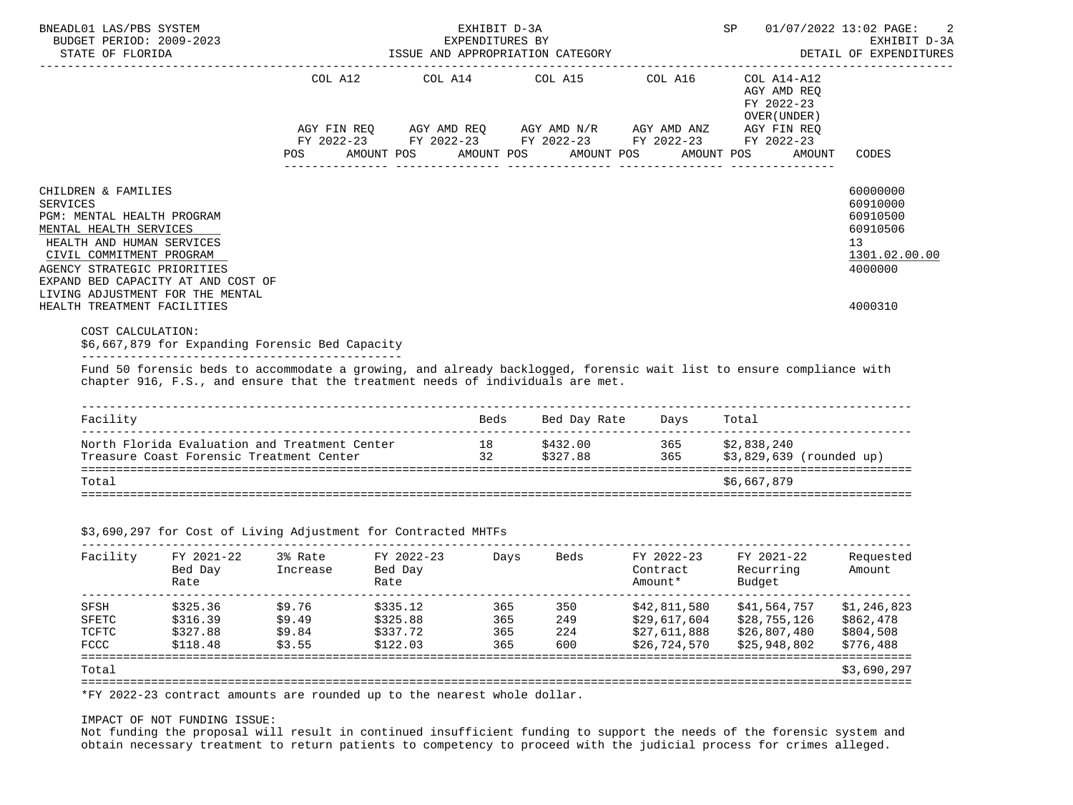| BUDGET PERIOD: 2009-2023                                                                                             |                                                                                                                                   |                                             |                       | EXPENDITURES BY       | EXHIBIT D-3A                                                                                                |                                 |                                                                                                                                                                  | 01/07/2022 13:02 PAGE:<br>EXHIBIT D-3A             |
|----------------------------------------------------------------------------------------------------------------------|-----------------------------------------------------------------------------------------------------------------------------------|---------------------------------------------|-----------------------|-----------------------|-------------------------------------------------------------------------------------------------------------|---------------------------------|------------------------------------------------------------------------------------------------------------------------------------------------------------------|----------------------------------------------------|
| STATE OF FLORIDA                                                                                                     |                                                                                                                                   |                                             |                       |                       | ISSUE AND APPROPRIATION CATEGORY                                                                            |                                 |                                                                                                                                                                  | DETAIL OF EXPENDITURES                             |
|                                                                                                                      |                                                                                                                                   | COL A12<br>AGY FIN REO<br>FY 2022-23<br>POS | AMOUNT POS            | COL A14<br>AMOUNT POS | COL A15<br>AGY AMD REQ AGY AMD N/R AGY AMD ANZ<br>FY 2022-23 FY 2022-23 FY 2022-23 FY 2022-23<br>AMOUNT POS | COL A16                         | COL A14-A12<br>AGY AMD REO<br>FY 2022-23<br>OVER (UNDER)<br>AGY FIN REQ<br>AMOUNT POS<br>AMOUNT                                                                  | CODES                                              |
| CHILDREN & FAMILIES<br>SERVICES<br>PGM: MENTAL HEALTH PROGRAM<br>MENTAL HEALTH SERVICES<br>HEALTH AND HUMAN SERVICES |                                                                                                                                   |                                             |                       |                       |                                                                                                             |                                 |                                                                                                                                                                  | 60000000<br>60910000<br>60910500<br>60910506<br>13 |
| CIVIL COMMITMENT PROGRAM<br>AGENCY STRATEGIC PRIORITIES                                                              | EXPAND BED CAPACITY AT AND COST OF<br>LIVING ADJUSTMENT FOR THE MENTAL                                                            |                                             |                       |                       |                                                                                                             |                                 |                                                                                                                                                                  | 1301.02.00.00<br>4000000                           |
|                                                                                                                      |                                                                                                                                   |                                             |                       |                       |                                                                                                             |                                 |                                                                                                                                                                  | 4000310                                            |
| HEALTH TREATMENT FACILITIES<br>COST CALCULATION:                                                                     | \$6,667,879 for Expanding Forensic Bed Capacity<br>chapter 916, F.S., and ensure that the treatment needs of individuals are met. |                                             |                       |                       |                                                                                                             |                                 | Fund 50 forensic beds to accommodate a growing, and already backlogged, forensic wait list to ensure compliance with                                             |                                                    |
|                                                                                                                      |                                                                                                                                   |                                             |                       |                       |                                                                                                             |                                 |                                                                                                                                                                  |                                                    |
| Facility                                                                                                             |                                                                                                                                   |                                             |                       | Beds                  | Bed Day Rate                                                                                                | Days                            | Total                                                                                                                                                            |                                                    |
|                                                                                                                      | North Florida Evaluation and Treatment Center<br>Treasure Coast Forensic Treatment Center                                         |                                             |                       | 32                    | 18 \$432.00<br>\$327.88                                                                                     | 365                             | 365 \$2,838,240<br>\$3,829,639 (rounded up)                                                                                                                      |                                                    |
| Total                                                                                                                |                                                                                                                                   |                                             |                       |                       |                                                                                                             |                                 | \$6,667,879                                                                                                                                                      |                                                    |
| Facility                                                                                                             | \$3,690,297 for Cost of Living Adjustment for Contracted MHTFs<br>FY 2021-22<br>Bed Day                                           | 3% Rate<br>Increase                         | FY 2022-23<br>Bed Day | Days                  |                                                                                                             | _______________________________ | Beds FY 2022-23 FY 2021-22<br>Contract Recurring                                                                                                                 | Requested<br>Amount                                |
|                                                                                                                      | Rate                                                                                                                              |                                             | Rate                  |                       |                                                                                                             | Amount*                         | Budget                                                                                                                                                           |                                                    |
| SFSH<br>SFETC                                                                                                        | \$325.36<br>\$316.39                                                                                                              | \$9.76<br>\$9.49                            | \$335.12<br>\$325.88  |                       |                                                                                                             |                                 | \$29,617,604 \$28,755,126 \$862,478                                                                                                                              | \$1,246,823                                        |
| TCFTC<br>FCCC                                                                                                        | \$327.88<br>\$118.48                                                                                                              | \$9.84<br>\$3.55                            | \$337.72<br>\$122.03  |                       |                                                                                                             | \$26,724,570                    | 365 350 \$42,811,580 \$41,564,757<br>365 249 \$29,617,604 \$28,755,126<br>365 224 \$27,611,888 \$26,807,480<br>365 600 \$26,724,570 \$25,948,802<br>\$25,948,802 | \$804,508<br>\$776,488                             |

# IMPACT OF NOT FUNDING ISSUE:

 Not funding the proposal will result in continued insufficient funding to support the needs of the forensic system and obtain necessary treatment to return patients to competency to proceed with the judicial process for crimes alleged.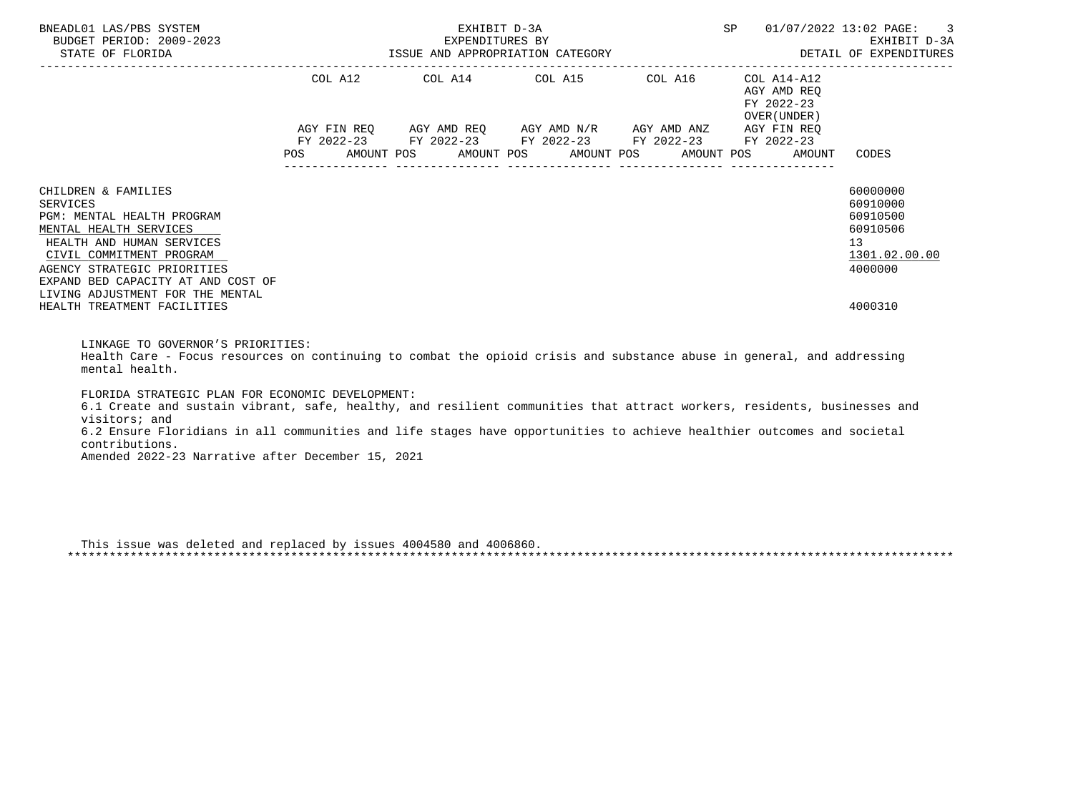| BNEADL01 LAS/PBS SYSTEM<br>BUDGET PERIOD: 2009-2023<br>STATE OF FLORIDA                                                                                                                                                                                   | -2023 EXPENDITURES BY<br>ISSUE AND APPROPRIATION CATEGORY | EXHIBIT D-3A | SP                                                     | 01/07/2022 13:02 PAGE: 3<br>EXHIBIT D-3A<br>DETAIL OF EXPENDITURES |                                                                   |                                                                                |
|-----------------------------------------------------------------------------------------------------------------------------------------------------------------------------------------------------------------------------------------------------------|-----------------------------------------------------------|--------------|--------------------------------------------------------|--------------------------------------------------------------------|-------------------------------------------------------------------|--------------------------------------------------------------------------------|
|                                                                                                                                                                                                                                                           |                                                           |              | COL A12 COL A14 COL A15 COL A16                        |                                                                    | COL A14-A12<br>AGY AMD REO<br>FY 2022-23<br>OVER (UNDER)          |                                                                                |
|                                                                                                                                                                                                                                                           | <b>POS</b>                                                |              | FY 2022-23 FY 2022-23 FY 2022-23 FY 2022-23 FY 2022-23 |                                                                    | AGY FIN REO<br>AMOUNT POS AMOUNT POS AMOUNT POS AMOUNT POS AMOUNT | CODES                                                                          |
| CHILDREN & FAMILIES<br>SERVICES<br>PGM: MENTAL HEALTH PROGRAM<br>MENTAL HEALTH SERVICES<br>HEALTH AND HUMAN SERVICES<br>CIVIL COMMITMENT PROGRAM<br>AGENCY STRATEGIC PRIORITIES<br>EXPAND BED CAPACITY AT AND COST OF<br>LIVING ADJUSTMENT FOR THE MENTAL |                                                           |              |                                                        |                                                                    |                                                                   | 60000000<br>60910000<br>60910500<br>60910506<br>13<br>1301.02.00.00<br>4000000 |
| HEALTH TREATMENT FACILITIES                                                                                                                                                                                                                               |                                                           |              |                                                        |                                                                    |                                                                   | 4000310                                                                        |

LINKAGE TO GOVERNOR'S PRIORITIES:

 Health Care - Focus resources on continuing to combat the opioid crisis and substance abuse in general, and addressing mental health.

FLORIDA STRATEGIC PLAN FOR ECONOMIC DEVELOPMENT:

 6.1 Create and sustain vibrant, safe, healthy, and resilient communities that attract workers, residents, businesses and visitors; and 6.2 Ensure Floridians in all communities and life stages have opportunities to achieve healthier outcomes and societal contributions.

Amended 2022-23 Narrative after December 15, 2021

 This issue was deleted and replaced by issues 4004580 and 4006860. \*\*\*\*\*\*\*\*\*\*\*\*\*\*\*\*\*\*\*\*\*\*\*\*\*\*\*\*\*\*\*\*\*\*\*\*\*\*\*\*\*\*\*\*\*\*\*\*\*\*\*\*\*\*\*\*\*\*\*\*\*\*\*\*\*\*\*\*\*\*\*\*\*\*\*\*\*\*\*\*\*\*\*\*\*\*\*\*\*\*\*\*\*\*\*\*\*\*\*\*\*\*\*\*\*\*\*\*\*\*\*\*\*\*\*\*\*\*\*\*\*\*\*\*\*\*\*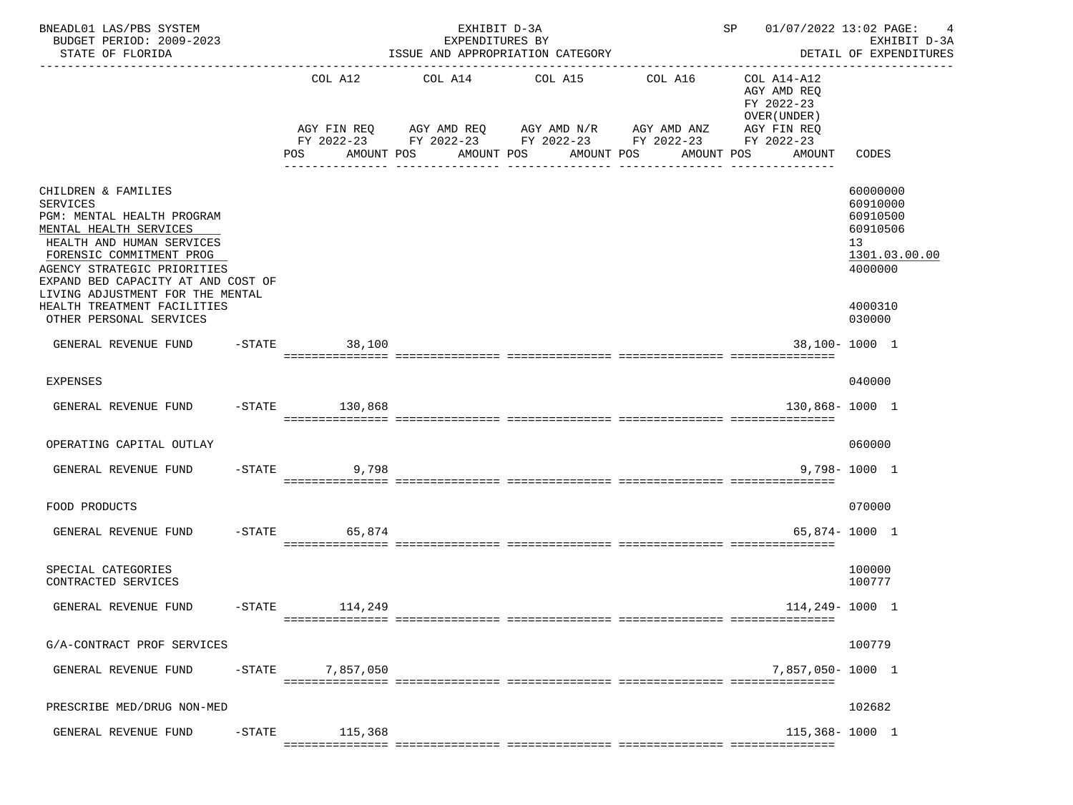| BNEADL01 LAS/PBS SYSTEM<br>BUDGET PERIOD: 2009-2023<br>STATE OF FLORIDA                                                                                                                                                                                                                                                    |           |                     | EXHIBIT D-3A<br>EXPENDITURES BY<br>ISSUE AND APPROPRIATION CATEGORY                                                                                                   |                                                       |              | SP 01/07/2022 13:02 PAGE: 4                                                                          | EXHIBIT D-3A<br>DETAIL OF EXPENDITURES                                                              |
|----------------------------------------------------------------------------------------------------------------------------------------------------------------------------------------------------------------------------------------------------------------------------------------------------------------------------|-----------|---------------------|-----------------------------------------------------------------------------------------------------------------------------------------------------------------------|-------------------------------------------------------|--------------|------------------------------------------------------------------------------------------------------|-----------------------------------------------------------------------------------------------------|
|                                                                                                                                                                                                                                                                                                                            |           | COL A12<br>POS      | AGY FIN REQ AGY AMD REQ AGY AMD N/R AGY AMD ANZ<br>FY 2022-23 FY 2022-23 FY 2022-23 FY 2022-23 FY 2022-23<br>AMOUNT POS      AMOUNT POS     AMOUNT POS     AMOUNT POS | COL A14 COL A15 COL A16<br><u>-- ----------------</u> | ------------ | COL A14-A12<br>AGY AMD REQ<br>FY 2022-23<br>OVER (UNDER)<br>AGY FIN REQ<br>AMOUNT<br>_______________ | CODES                                                                                               |
| CHILDREN & FAMILIES<br><b>SERVICES</b><br>PGM: MENTAL HEALTH PROGRAM<br>MENTAL HEALTH SERVICES<br>HEALTH AND HUMAN SERVICES<br>FORENSIC COMMITMENT PROG<br>AGENCY STRATEGIC PRIORITIES<br>EXPAND BED CAPACITY AT AND COST OF<br>LIVING ADJUSTMENT FOR THE MENTAL<br>HEALTH TREATMENT FACILITIES<br>OTHER PERSONAL SERVICES |           |                     |                                                                                                                                                                       |                                                       |              |                                                                                                      | 60000000<br>60910000<br>60910500<br>60910506<br>13<br>1301.03.00.00<br>4000000<br>4000310<br>030000 |
| GENERAL REVENUE FUND                                                                                                                                                                                                                                                                                                       |           | $-$ STATE<br>38,100 |                                                                                                                                                                       |                                                       |              |                                                                                                      | 38,100-1000 1                                                                                       |
| <b>EXPENSES</b>                                                                                                                                                                                                                                                                                                            |           |                     |                                                                                                                                                                       |                                                       |              |                                                                                                      | 040000                                                                                              |
| GENERAL REVENUE FUND                                                                                                                                                                                                                                                                                                       |           | $-STATE$ 130,868    |                                                                                                                                                                       |                                                       |              | 130,868-1000 1                                                                                       |                                                                                                     |
| OPERATING CAPITAL OUTLAY                                                                                                                                                                                                                                                                                                   |           |                     |                                                                                                                                                                       |                                                       |              |                                                                                                      | 060000                                                                                              |
| GENERAL REVENUE FUND                                                                                                                                                                                                                                                                                                       |           | $-STATE$<br>9,798   |                                                                                                                                                                       |                                                       |              |                                                                                                      | $9.798 - 1000$ 1                                                                                    |
| FOOD PRODUCTS                                                                                                                                                                                                                                                                                                              |           |                     |                                                                                                                                                                       |                                                       |              |                                                                                                      | 070000                                                                                              |
| GENERAL REVENUE FUND                                                                                                                                                                                                                                                                                                       |           | 65,874<br>$-$ STATE |                                                                                                                                                                       |                                                       |              |                                                                                                      | 65,874-1000 1                                                                                       |
| SPECIAL CATEGORIES<br>CONTRACTED SERVICES                                                                                                                                                                                                                                                                                  |           |                     |                                                                                                                                                                       |                                                       |              |                                                                                                      | 100000<br>100777                                                                                    |
| GENERAL REVENUE FUND                                                                                                                                                                                                                                                                                                       | $-STATE$  | 114,249             |                                                                                                                                                                       |                                                       |              | 114,249-1000 1                                                                                       |                                                                                                     |
| G/A-CONTRACT PROF SERVICES                                                                                                                                                                                                                                                                                                 |           |                     |                                                                                                                                                                       |                                                       |              |                                                                                                      | 100779                                                                                              |
| GENERAL REVENUE FUND                                                                                                                                                                                                                                                                                                       | $-$ STATE | 7,857,050           |                                                                                                                                                                       |                                                       |              | 7,857,050-1000 1                                                                                     |                                                                                                     |
| PRESCRIBE MED/DRUG NON-MED                                                                                                                                                                                                                                                                                                 |           |                     |                                                                                                                                                                       |                                                       |              |                                                                                                      | 102682                                                                                              |
| GENERAL REVENUE FUND                                                                                                                                                                                                                                                                                                       | $-$ STATE | 115,368             |                                                                                                                                                                       |                                                       |              | $115,368 - 1000$ 1                                                                                   |                                                                                                     |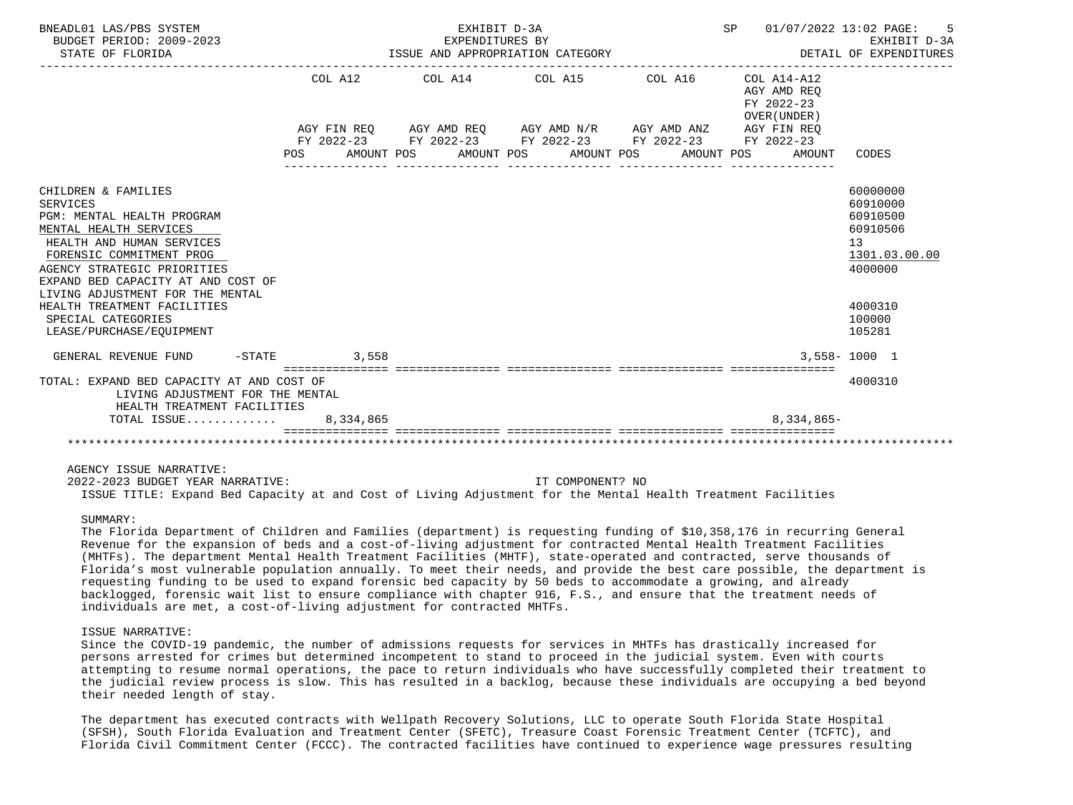| BNEADL01 LAS/PBS SYSTEM<br>BUDGET PERIOD: 2009-2023<br>STATE OF FLORIDA                                                                                                                                                                                                                                                                    |       | SP 01/07/2022 13:02 PAGE:<br>EXHIBIT D-3A<br>EARLBIT D-SA<br>ISSUE AND APPROPRIATION CATEGORY <b>AND ALLE AND APPROPRIATION</b> CATEGORY                                                     |            |                                                                    |                                                                                                               |
|--------------------------------------------------------------------------------------------------------------------------------------------------------------------------------------------------------------------------------------------------------------------------------------------------------------------------------------------|-------|----------------------------------------------------------------------------------------------------------------------------------------------------------------------------------------------|------------|--------------------------------------------------------------------|---------------------------------------------------------------------------------------------------------------|
|                                                                                                                                                                                                                                                                                                                                            | POS   | COL A12 COL A14 COL A15 COL A16<br>AGY FIN REQ AGY AMD REQ AGY AMD N/R AGY AMD ANZ AGY FIN REQ<br>FY 2022-23 FY 2022-23 FY 2022-23 FY 2022-23 FY 2022-23<br>AMOUNT POS AMOUNT POS AMOUNT POS | AMOUNT POS | COL A14-A12<br>AGY AMD REO<br>FY 2022-23<br>OVER (UNDER)<br>AMOUNT | CODES                                                                                                         |
| CHILDREN & FAMILIES<br>SERVICES<br>PGM: MENTAL HEALTH PROGRAM<br>MENTAL HEALTH SERVICES<br>HEALTH AND HUMAN SERVICES<br>FORENSIC COMMITMENT PROG<br>AGENCY STRATEGIC PRIORITIES<br>EXPAND BED CAPACITY AT AND COST OF<br>LIVING ADJUSTMENT FOR THE MENTAL<br>HEALTH TREATMENT FACILITIES<br>SPECIAL CATEGORIES<br>LEASE/PURCHASE/EQUIPMENT |       |                                                                                                                                                                                              |            |                                                                    | 60000000<br>60910000<br>60910500<br>60910506<br>13<br>1301.03.00.00<br>4000000<br>4000310<br>100000<br>105281 |
| GENERAL REVENUE FUND<br>$-STATE$                                                                                                                                                                                                                                                                                                           | 3,558 |                                                                                                                                                                                              |            | tet titettettettettet                                              | $3,558 - 1000$ 1                                                                                              |
| TOTAL: EXPAND BED CAPACITY AT AND COST OF<br>LIVING ADJUSTMENT FOR THE MENTAL<br>HEALTH TREATMENT FACILITIES<br>TOTAL ISSUE 8,334,865                                                                                                                                                                                                      |       |                                                                                                                                                                                              |            | 8,334,865-                                                         | 4000310                                                                                                       |
|                                                                                                                                                                                                                                                                                                                                            |       |                                                                                                                                                                                              |            |                                                                    |                                                                                                               |
| AGENCY ISSUE NARRATIVE:                                                                                                                                                                                                                                                                                                                    |       |                                                                                                                                                                                              |            |                                                                    |                                                                                                               |

 2022-2023 BUDGET YEAR NARRATIVE: IT COMPONENT? NO ISSUE TITLE: Expand Bed Capacity at and Cost of Living Adjustment for the Mental Health Treatment Facilities

### SUMMARY:

 The Florida Department of Children and Families (department) is requesting funding of \$10,358,176 in recurring General Revenue for the expansion of beds and a cost-of-living adjustment for contracted Mental Health Treatment Facilities (MHTFs). The department Mental Health Treatment Facilities (MHTF), state-operated and contracted, serve thousands of Florida's most vulnerable population annually. To meet their needs, and provide the best care possible, the department is requesting funding to be used to expand forensic bed capacity by 50 beds to accommodate a growing, and already backlogged, forensic wait list to ensure compliance with chapter 916, F.S., and ensure that the treatment needs of individuals are met, a cost-of-living adjustment for contracted MHTFs.

## ISSUE NARRATIVE:

 Since the COVID-19 pandemic, the number of admissions requests for services in MHTFs has drastically increased for persons arrested for crimes but determined incompetent to stand to proceed in the judicial system. Even with courts attempting to resume normal operations, the pace to return individuals who have successfully completed their treatment to the judicial review process is slow. This has resulted in a backlog, because these individuals are occupying a bed beyond their needed length of stay.

 The department has executed contracts with Wellpath Recovery Solutions, LLC to operate South Florida State Hospital (SFSH), South Florida Evaluation and Treatment Center (SFETC), Treasure Coast Forensic Treatment Center (TCFTC), and Florida Civil Commitment Center (FCCC). The contracted facilities have continued to experience wage pressures resulting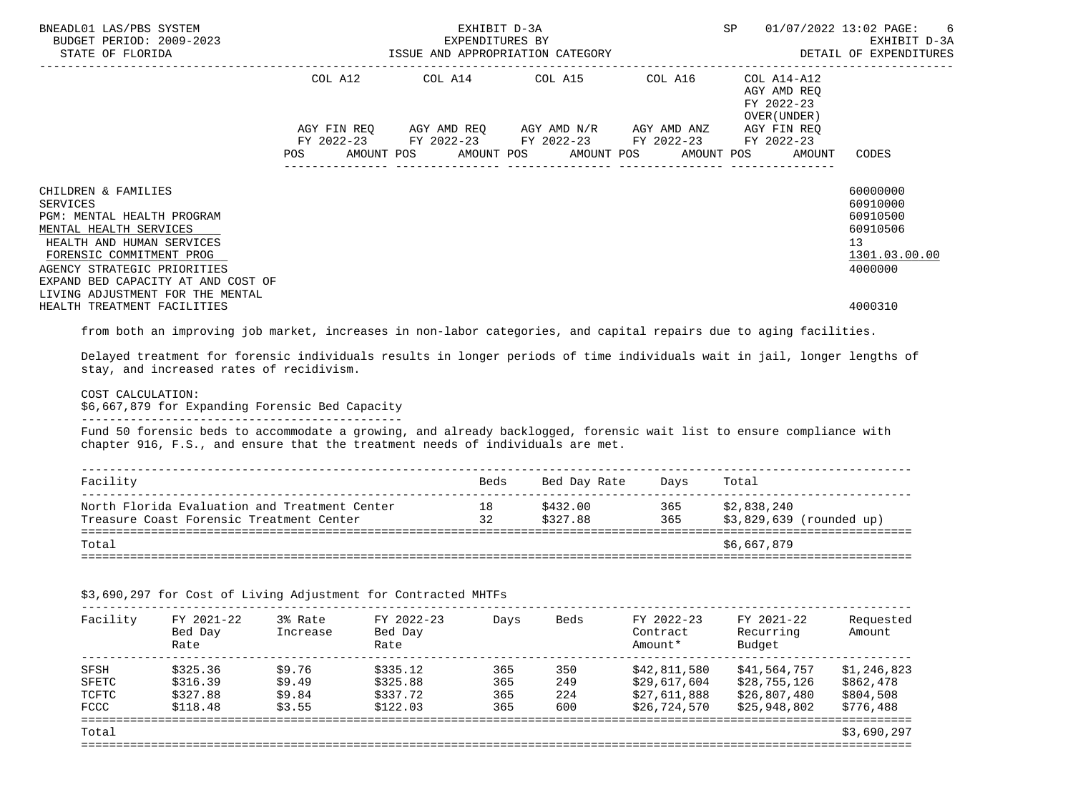| BNEADL01 LAS/PBS SYSTEM<br>BUDGET PERIOD: 2009-2023<br>STATE OF FLORIDA                                                                                                                                                      | ISSUE AND APPROPRIATION CATEGORY | SP                    | 01/07/2022 13:02 PAGE:<br>-6<br>EXHIBIT D-3A<br>DETAIL OF EXPENDITURES                                                                                         |              |                                                                       |                                                                                             |
|------------------------------------------------------------------------------------------------------------------------------------------------------------------------------------------------------------------------------|----------------------------------|-----------------------|----------------------------------------------------------------------------------------------------------------------------------------------------------------|--------------|-----------------------------------------------------------------------|---------------------------------------------------------------------------------------------|
|                                                                                                                                                                                                                              | COL A12<br>POS                   | AMOUNT POS AMOUNT POS | COL A14 COL A15 COL A16<br>AGY FIN REQ AGY AMD REQ AGY AMD N/R AGY AMD ANZ AGY FIN REQ<br>FY 2022-23 FY 2022-23 FY 2022-23 FY 2022-23 FY 2022-23<br>AMOUNT POS | AMOUNT POS   | $COL A14- A12$<br>AGY AMD REQ<br>FY 2022-23<br>OVER (UNDER)<br>AMOUNT | CODES                                                                                       |
| CHILDREN & FAMILIES<br><b>SERVICES</b><br>PGM: MENTAL HEALTH PROGRAM<br>MENTAL HEALTH SERVICES<br>HEALTH AND HUMAN SERVICES<br>FORENSIC COMMITMENT PROG<br>AGENCY STRATEGIC PRIORITIES<br>EXPAND BED CAPACITY AT AND COST OF |                                  |                       |                                                                                                                                                                |              |                                                                       | 60000000<br>60910000<br>60910500<br>60910506<br>13 <sup>°</sup><br>1301.03.00.00<br>4000000 |
| LIVING ADJUSTMENT FOR THE MENTAL<br>HEALTH TREATMENT FACILITIES                                                                                                                                                              |                                  |                       |                                                                                                                                                                |              |                                                                       | 4000310                                                                                     |
| from both an improving job market, increases in non-labor categories, and capital repairs due to aging facilities.                                                                                                           |                                  |                       |                                                                                                                                                                |              |                                                                       |                                                                                             |
| Delayed treatment for forensic individuals results in longer periods of time individuals wait in jail, longer lengths of<br>stay, and increased rates of recidivism.                                                         |                                  |                       |                                                                                                                                                                |              |                                                                       |                                                                                             |
| COST CALCULATION:<br>\$6,667,879 for Expanding Forensic Bed Capacity                                                                                                                                                         |                                  |                       |                                                                                                                                                                |              |                                                                       |                                                                                             |
| Fund 50 forensic beds to accommodate a growing, and already backlogged, forensic wait list to ensure compliance with<br>chapter 916, F.S., and ensure that the treatment needs of individuals are met.                       |                                  |                       |                                                                                                                                                                |              |                                                                       |                                                                                             |
| Facility                                                                                                                                                                                                                     |                                  |                       | Beds Bed Day Rate Days Total                                                                                                                                   |              |                                                                       |                                                                                             |
| North Florida Evaluation and Treatment Center                                                                                                                                                                                |                                  |                       | 18                                                                                                                                                             | \$432.00 365 | \$2,838,240                                                           |                                                                                             |

Treasure Coast Forensic Treatment Center 32 \$327.88 365 \$3,829,639 (rounded up) =======================================================================================================================  $\verb|Total|\ \verb|+567,879$ =======================================================================================================================

| Facility | FY 2021-22     | 3% Rate    | FY 2022-23 | Davs | Beds | FY 2022-23   | FY 2021-22  | Reauested       |
|----------|----------------|------------|------------|------|------|--------------|-------------|-----------------|
|          | ⊸פ<br>$\Gamma$ | $Tmax 0 0$ | Dod Dott   |      |      | $Oon+on +on$ | $D_{OMIVY}$ | $\lambda$ mount |

\$3,690,297 for Cost of Living Adjustment for Contracted MHTFs

| Facility | FY 2021-22<br>Bed Day<br>Rate | 3% Rate<br>Increase | FY 2022-23<br>Bed Day<br>Rate | Days | Beds | FY 2022-23<br>Contract<br>Amount* | FY 2021-22<br>Recurring<br>Budget | Requested<br>Amount |
|----------|-------------------------------|---------------------|-------------------------------|------|------|-----------------------------------|-----------------------------------|---------------------|
| SFSH     | \$325.36                      | \$9.76              | \$335.12                      | 365  | 350  | \$42,811,580                      | \$41,564,757                      | \$1,246,823         |
| SFETC    | \$316.39                      | \$9.49              | \$325.88                      | 365  | 249  | \$29,617,604                      | \$28,755,126                      | \$862,478           |
| TCFTC    | \$327.88                      | \$9.84              | \$337.72                      | 365  | 224  | \$27,611,888                      | \$26,807,480                      | \$804,508           |
| FCCC     | \$118.48                      | \$3.55              | \$122.03                      | 365  | 600  | \$26,724,570                      | \$25,948,802                      | \$776,488           |
| Total    |                               |                     |                               |      |      |                                   |                                   | \$3,690,297         |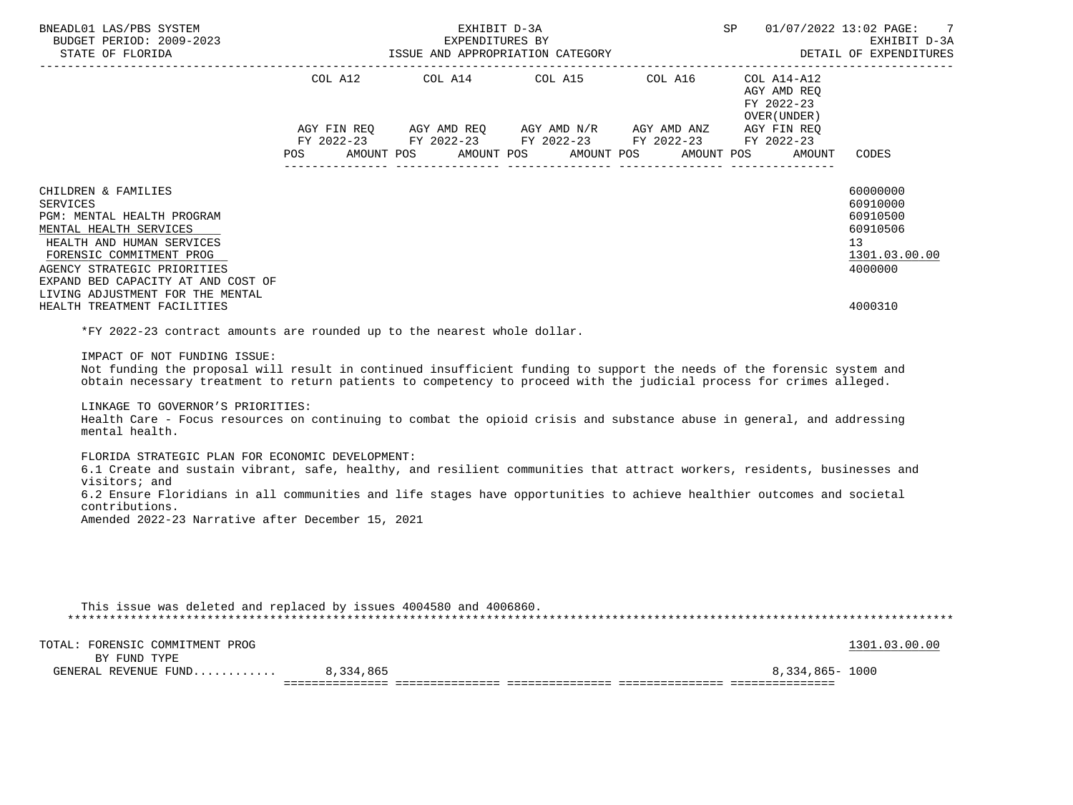| BNEADL01 LAS/PBS SYSTEM<br>BUDGET PERIOD: 2009-2023<br>STATE OF FLORIDA                                                                                                                                                                                                                                                                                    | ISSUE AND APPROPRIATION CATEGORY | EXHIBIT D-3A<br>EXPENDITURES BY |                                                                                                                                                                                                                                                                                                                                                                                                                                                                                                                                                                                                                                                                                                                                                                                                                                   | SP |                                                           | 01/07/2022 13:02 PAGE:<br>7<br>EXHIBIT D-3A<br>DETAIL OF EXPENDITURES          |
|------------------------------------------------------------------------------------------------------------------------------------------------------------------------------------------------------------------------------------------------------------------------------------------------------------------------------------------------------------|----------------------------------|---------------------------------|-----------------------------------------------------------------------------------------------------------------------------------------------------------------------------------------------------------------------------------------------------------------------------------------------------------------------------------------------------------------------------------------------------------------------------------------------------------------------------------------------------------------------------------------------------------------------------------------------------------------------------------------------------------------------------------------------------------------------------------------------------------------------------------------------------------------------------------|----|-----------------------------------------------------------|--------------------------------------------------------------------------------|
|                                                                                                                                                                                                                                                                                                                                                            | AMOUNT POS<br>POS                |                                 | $\begin{tabular}{lllllllllll} \multicolumn{2}{l}{{\text{COL A14}} } & \multicolumn{2}{c}{{\text{COL A15}} } & \multicolumn{2}{c}{{\text{COL A16}} } & \multicolumn{2}{c}{{\text{COL A14} - A12}}\\ \multicolumn{2}{c}{{\text{COL A14}} } & \multicolumn{2}{c}{{\text{COL A15}} } & \multicolumn{2}{c}{{\text{COL A16}} } & \multicolumn{2}{c}{{\text{COL A14} - A12}}\\ \multicolumn{2}{c}{{\text{COL A14}} } & \multicolumn{2}{c}{{\text{COL A14}} }$<br>$AGY \text{ } \text{FIN } \text{REQ} \text{ } \qquad \text{AGY} \text{ } \text{AMD } \text{REQ} \text{ } \qquad \text{AGY} \text{ } \text{AMD } \text{N/R} \text{ } \qquad \text{AGY} \text{ } \text{AMD } \text{ANZ} \text{ } \qquad \text{AGY} \text{ } \text{FIN } \text{REQ}$<br>FY 2022-23 FY 2022-23 FY 2022-23 FY 2022-23 FY 2022-23<br>AMOUNT POS<br>AMOUNT POS |    | AGY AMD REQ<br>FY 2022-23<br>OVER ( UNDER )<br>AMOUNT POS | AMOUNT CODES                                                                   |
|                                                                                                                                                                                                                                                                                                                                                            |                                  |                                 |                                                                                                                                                                                                                                                                                                                                                                                                                                                                                                                                                                                                                                                                                                                                                                                                                                   |    |                                                           |                                                                                |
| CHILDREN & FAMILIES<br><b>SERVICES</b><br>PGM: MENTAL HEALTH PROGRAM<br>MENTAL HEALTH SERVICES<br>HEALTH AND HUMAN SERVICES<br>FORENSIC COMMITMENT PROG<br>AGENCY STRATEGIC PRIORITIES<br>EXPAND BED CAPACITY AT AND COST OF<br>LIVING ADJUSTMENT FOR THE MENTAL                                                                                           |                                  |                                 |                                                                                                                                                                                                                                                                                                                                                                                                                                                                                                                                                                                                                                                                                                                                                                                                                                   |    |                                                           | 60000000<br>60910000<br>60910500<br>60910506<br>13<br>1301.03.00.00<br>4000000 |
| HEALTH TREATMENT FACILITIES                                                                                                                                                                                                                                                                                                                                |                                  |                                 |                                                                                                                                                                                                                                                                                                                                                                                                                                                                                                                                                                                                                                                                                                                                                                                                                                   |    |                                                           | 4000310                                                                        |
| *FY 2022-23 contract amounts are rounded up to the nearest whole dollar.<br>IMPACT OF NOT FUNDING ISSUE:<br>Not funding the proposal will result in continued insufficient funding to support the needs of the forensic system and<br>obtain necessary treatment to return patients to competency to proceed with the judicial process for crimes alleged. |                                  |                                 |                                                                                                                                                                                                                                                                                                                                                                                                                                                                                                                                                                                                                                                                                                                                                                                                                                   |    |                                                           |                                                                                |
| LINKAGE TO GOVERNOR'S PRIORITIES:<br>Health Care - Focus resources on continuing to combat the opioid crisis and substance abuse in general, and addressing<br>mental health.                                                                                                                                                                              |                                  |                                 |                                                                                                                                                                                                                                                                                                                                                                                                                                                                                                                                                                                                                                                                                                                                                                                                                                   |    |                                                           |                                                                                |
| FLORIDA STRATEGIC PLAN FOR ECONOMIC DEVELOPMENT:<br>6.1 Create and sustain vibrant, safe, healthy, and resilient communities that attract workers, residents, businesses and<br>visitors; and<br>6.2 Ensure Floridians in all communities and life stages have opportunities to achieve healthier outcomes and societal                                    |                                  |                                 |                                                                                                                                                                                                                                                                                                                                                                                                                                                                                                                                                                                                                                                                                                                                                                                                                                   |    |                                                           |                                                                                |
| contributions.<br>Amended 2022-23 Narrative after December 15, 2021                                                                                                                                                                                                                                                                                        |                                  |                                 |                                                                                                                                                                                                                                                                                                                                                                                                                                                                                                                                                                                                                                                                                                                                                                                                                                   |    |                                                           |                                                                                |
| This issue was deleted and replaced by issues 4004580 and 4006860.                                                                                                                                                                                                                                                                                         |                                  |                                 |                                                                                                                                                                                                                                                                                                                                                                                                                                                                                                                                                                                                                                                                                                                                                                                                                                   |    |                                                           |                                                                                |
|                                                                                                                                                                                                                                                                                                                                                            |                                  |                                 |                                                                                                                                                                                                                                                                                                                                                                                                                                                                                                                                                                                                                                                                                                                                                                                                                                   |    |                                                           |                                                                                |
| TOTAL: FORENSIC COMMITMENT PROG                                                                                                                                                                                                                                                                                                                            |                                  |                                 |                                                                                                                                                                                                                                                                                                                                                                                                                                                                                                                                                                                                                                                                                                                                                                                                                                   |    |                                                           | 1301.03.00.00                                                                  |
| BY FUND TYPE<br>GENERAL REVENUE FUND 8,334,865                                                                                                                                                                                                                                                                                                             |                                  |                                 |                                                                                                                                                                                                                                                                                                                                                                                                                                                                                                                                                                                                                                                                                                                                                                                                                                   |    | 8,334,865- 1000                                           |                                                                                |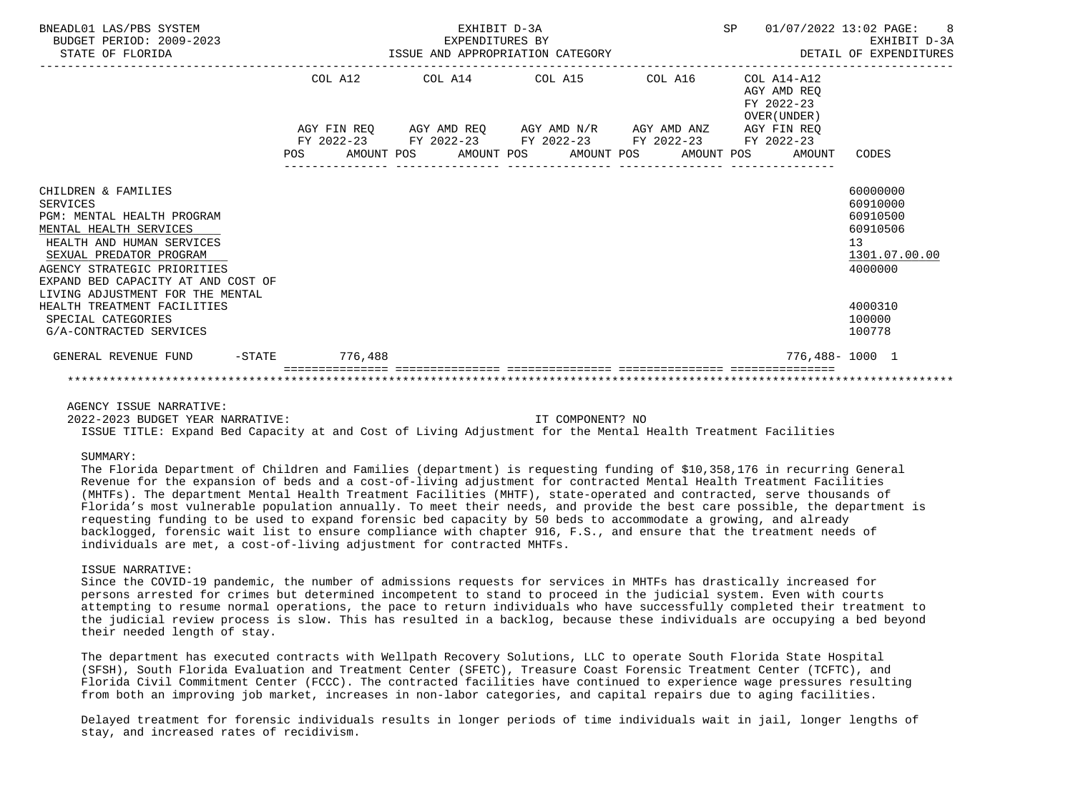| BNEADL01 LAS/PBS SYSTEM<br>BUDGET PERIOD: 2009-2023<br>STATE OF FLORIDA                                                                                                                                                     |                | EXHIBIT D-3A<br>EXPENDITURES BY<br>ISSUE AND APPROPRIATION CATEGORY |  | SP 01/07/2022 13:02 PAGE: 8                                         | EXHIBIT D-3A<br>DETAIL OF EXPENDITURES                                         |
|-----------------------------------------------------------------------------------------------------------------------------------------------------------------------------------------------------------------------------|----------------|---------------------------------------------------------------------|--|---------------------------------------------------------------------|--------------------------------------------------------------------------------|
|                                                                                                                                                                                                                             |                | COL A12 COL A14 COL A15 COL A16                                     |  | COL A14-A12<br>AGY AMD REO<br>FY 2022-23<br>OVER (UNDER)            |                                                                                |
|                                                                                                                                                                                                                             |                | AGY FIN REQ AGY AMD REQ AGY AMD N/R AGY AMD ANZ AGY FIN REQ         |  |                                                                     |                                                                                |
|                                                                                                                                                                                                                             | POS            | FY 2022-23 FY 2022-23 FY 2022-23 FY 2022-23 FY 2022-23              |  | AMOUNT POS      AMOUNT POS     AMOUNT POS     AMOUNT POS     AMOUNT | CODES                                                                          |
| CHILDREN & FAMILIES<br><b>SERVICES</b><br>PGM: MENTAL HEALTH PROGRAM<br>MENTAL HEALTH SERVICES<br>HEALTH AND HUMAN SERVICES<br>SEXUAL PREDATOR PROGRAM<br>AGENCY STRATEGIC PRIORITIES<br>EXPAND BED CAPACITY AT AND COST OF |                |                                                                     |  |                                                                     | 60000000<br>60910000<br>60910500<br>60910506<br>13<br>1301.07.00.00<br>4000000 |
| LIVING ADJUSTMENT FOR THE MENTAL<br>HEALTH TREATMENT FACILITIES<br>SPECIAL CATEGORIES<br>G/A-CONTRACTED SERVICES                                                                                                            |                |                                                                     |  |                                                                     | 4000310<br>100000<br>100778                                                    |
| GENERAL REVENUE FUND                                                                                                                                                                                                        | -STATE 776,488 |                                                                     |  |                                                                     | 776,488-1000 1                                                                 |
|                                                                                                                                                                                                                             |                |                                                                     |  |                                                                     |                                                                                |

# AGENCY ISSUE NARRATIVE:

 2022-2023 BUDGET YEAR NARRATIVE: IT COMPONENT? NO ISSUE TITLE: Expand Bed Capacity at and Cost of Living Adjustment for the Mental Health Treatment Facilities

### SUMMARY:

 The Florida Department of Children and Families (department) is requesting funding of \$10,358,176 in recurring General Revenue for the expansion of beds and a cost-of-living adjustment for contracted Mental Health Treatment Facilities (MHTFs). The department Mental Health Treatment Facilities (MHTF), state-operated and contracted, serve thousands of Florida's most vulnerable population annually. To meet their needs, and provide the best care possible, the department is requesting funding to be used to expand forensic bed capacity by 50 beds to accommodate a growing, and already backlogged, forensic wait list to ensure compliance with chapter 916, F.S., and ensure that the treatment needs of individuals are met, a cost-of-living adjustment for contracted MHTFs.

### ISSUE NARRATIVE:

 Since the COVID-19 pandemic, the number of admissions requests for services in MHTFs has drastically increased for persons arrested for crimes but determined incompetent to stand to proceed in the judicial system. Even with courts attempting to resume normal operations, the pace to return individuals who have successfully completed their treatment to the judicial review process is slow. This has resulted in a backlog, because these individuals are occupying a bed beyond their needed length of stay.

 The department has executed contracts with Wellpath Recovery Solutions, LLC to operate South Florida State Hospital (SFSH), South Florida Evaluation and Treatment Center (SFETC), Treasure Coast Forensic Treatment Center (TCFTC), and Florida Civil Commitment Center (FCCC). The contracted facilities have continued to experience wage pressures resulting from both an improving job market, increases in non-labor categories, and capital repairs due to aging facilities.

 Delayed treatment for forensic individuals results in longer periods of time individuals wait in jail, longer lengths of stay, and increased rates of recidivism.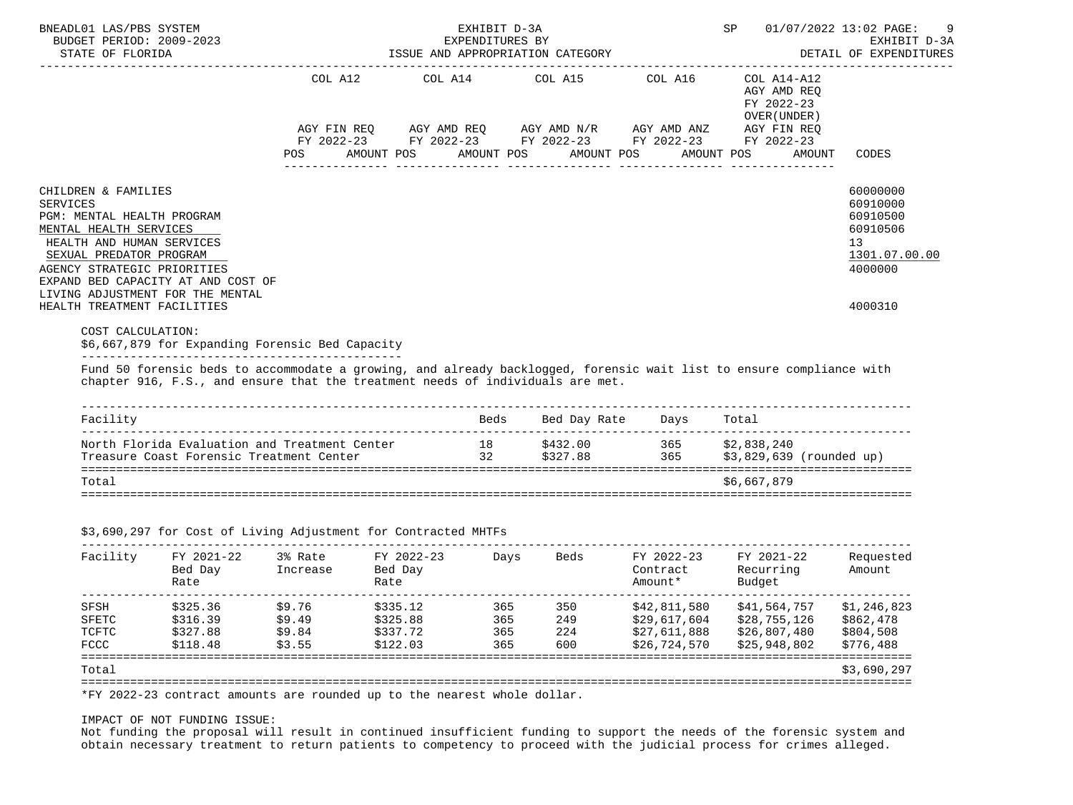|                                                        | BUDGET PERIOD: 2009-2023                                                                                                                                                                                                                                  |                                             |            | EXPENDITURES BY       |                                                                                                                                                  |              |                                 |            |                                                                                   | 01/07/2022 13:02 PAGE:<br>EXHIBIT D-3A |
|--------------------------------------------------------|-----------------------------------------------------------------------------------------------------------------------------------------------------------------------------------------------------------------------------------------------------------|---------------------------------------------|------------|-----------------------|--------------------------------------------------------------------------------------------------------------------------------------------------|--------------|---------------------------------|------------|-----------------------------------------------------------------------------------|----------------------------------------|
| STATE OF FLORIDA                                       |                                                                                                                                                                                                                                                           |                                             |            |                       | ISSUE AND APPROPRIATION CATEGORY                                                                                                                 |              |                                 |            |                                                                                   | DETAIL OF EXPENDITURES                 |
|                                                        |                                                                                                                                                                                                                                                           | COL A12<br>AGY FIN REO<br>FY 2022-23<br>POS | AMOUNT POS | COL A14<br>AMOUNT POS | COL A15<br>AGY AMD REQ AGY AMD N/R AGY AMD ANZ<br>FY 2022-23 FY 2022-23 FY 2022-23 FY 2022-23                                                    | AMOUNT POS   | COL A16                         | AMOUNT POS | COL A14-A12<br>AGY AMD REO<br>FY 2022-23<br>OVER (UNDER)<br>AGY FIN REQ<br>AMOUNT | CODES                                  |
|                                                        |                                                                                                                                                                                                                                                           |                                             |            |                       |                                                                                                                                                  |              |                                 |            |                                                                                   |                                        |
| CHILDREN & FAMILIES                                    |                                                                                                                                                                                                                                                           |                                             |            |                       |                                                                                                                                                  |              |                                 |            |                                                                                   | 60000000                               |
| SERVICES<br>PGM: MENTAL HEALTH PROGRAM                 |                                                                                                                                                                                                                                                           |                                             |            |                       |                                                                                                                                                  |              |                                 |            |                                                                                   | 60910000<br>60910500                   |
| MENTAL HEALTH SERVICES                                 |                                                                                                                                                                                                                                                           |                                             |            |                       |                                                                                                                                                  |              |                                 |            |                                                                                   | 60910506                               |
| HEALTH AND HUMAN SERVICES                              |                                                                                                                                                                                                                                                           |                                             |            |                       |                                                                                                                                                  |              |                                 |            |                                                                                   | 13                                     |
| SEXUAL PREDATOR PROGRAM<br>AGENCY STRATEGIC PRIORITIES |                                                                                                                                                                                                                                                           |                                             |            |                       |                                                                                                                                                  |              |                                 |            |                                                                                   | 1301.07.00.00<br>4000000               |
|                                                        | EXPAND BED CAPACITY AT AND COST OF                                                                                                                                                                                                                        |                                             |            |                       |                                                                                                                                                  |              |                                 |            |                                                                                   |                                        |
|                                                        | LIVING ADJUSTMENT FOR THE MENTAL                                                                                                                                                                                                                          |                                             |            |                       |                                                                                                                                                  |              |                                 |            |                                                                                   |                                        |
| HEALTH TREATMENT FACILITIES                            |                                                                                                                                                                                                                                                           |                                             |            |                       |                                                                                                                                                  |              |                                 |            |                                                                                   | 4000310                                |
| COST CALCULATION:                                      | \$6,667,879 for Expanding Forensic Bed Capacity<br>Fund 50 forensic beds to accommodate a growing, and already backlogged, forensic wait list to ensure compliance with<br>chapter 916, F.S., and ensure that the treatment needs of individuals are met. |                                             |            |                       |                                                                                                                                                  |              |                                 |            |                                                                                   |                                        |
|                                                        |                                                                                                                                                                                                                                                           |                                             |            |                       |                                                                                                                                                  |              |                                 |            |                                                                                   |                                        |
| Facility                                               |                                                                                                                                                                                                                                                           |                                             |            | Beds                  |                                                                                                                                                  | Bed Day Rate | Days                            | Total      |                                                                                   |                                        |
|                                                        | North Florida Evaluation and Treatment Center<br>Treasure Coast Forensic Treatment Center                                                                                                                                                                 |                                             |            | 32                    | 18 \$432.00<br>\$327.88                                                                                                                          |              | 365 \$2,838,240<br>365          |            |                                                                                   | \$3,829,639 (rounded up)               |
| Total                                                  |                                                                                                                                                                                                                                                           |                                             |            |                       |                                                                                                                                                  |              |                                 |            | \$6,667,879                                                                       |                                        |
|                                                        |                                                                                                                                                                                                                                                           |                                             |            |                       |                                                                                                                                                  |              |                                 |            |                                                                                   |                                        |
|                                                        | \$3,690,297 for Cost of Living Adjustment for Contracted MHTFs                                                                                                                                                                                            |                                             |            |                       |                                                                                                                                                  |              | _______________________________ |            |                                                                                   |                                        |
| Facility                                               | FY 2021-22                                                                                                                                                                                                                                                | 3% Rate                                     | FY 2022-23 |                       | Days                                                                                                                                             |              | Beds FY 2022-23 FY 2021-22      |            |                                                                                   | Requested                              |
|                                                        | Bed Day                                                                                                                                                                                                                                                   | Increase                                    | Bed Day    |                       |                                                                                                                                                  |              | Contract Recurring              |            |                                                                                   | Amount                                 |
|                                                        | Rate                                                                                                                                                                                                                                                      |                                             | Rate       |                       |                                                                                                                                                  |              | Amount*                         | Budget     |                                                                                   |                                        |
| SFSH                                                   | \$325.36                                                                                                                                                                                                                                                  | \$9.76                                      | \$335.12   |                       |                                                                                                                                                  |              |                                 |            |                                                                                   | \$1,246,823                            |
| SFETC                                                  | \$316.39                                                                                                                                                                                                                                                  | \$9.49                                      | \$325.88   |                       |                                                                                                                                                  |              |                                 |            |                                                                                   | \$29,617,604 \$28,755,126 \$862,478    |
| TCFTC                                                  | \$327.88                                                                                                                                                                                                                                                  | \$9.84                                      | \$337.72   |                       |                                                                                                                                                  |              |                                 |            |                                                                                   | \$804,508                              |
| FCCC                                                   | \$118.48                                                                                                                                                                                                                                                  | \$3.55                                      | \$122.03   |                       | 365 350 \$42,811,580 \$41,564,757<br>365 249 \$29,617,604 \$28,755,126<br>365 224 \$27,611,888 \$26,807,480<br>365 600 \$26,724,570 \$25,948,802 |              | \$26,724,570                    |            | \$25,948,802                                                                      | \$776,488                              |

# IMPACT OF NOT FUNDING ISSUE:

 Not funding the proposal will result in continued insufficient funding to support the needs of the forensic system and obtain necessary treatment to return patients to competency to proceed with the judicial process for crimes alleged.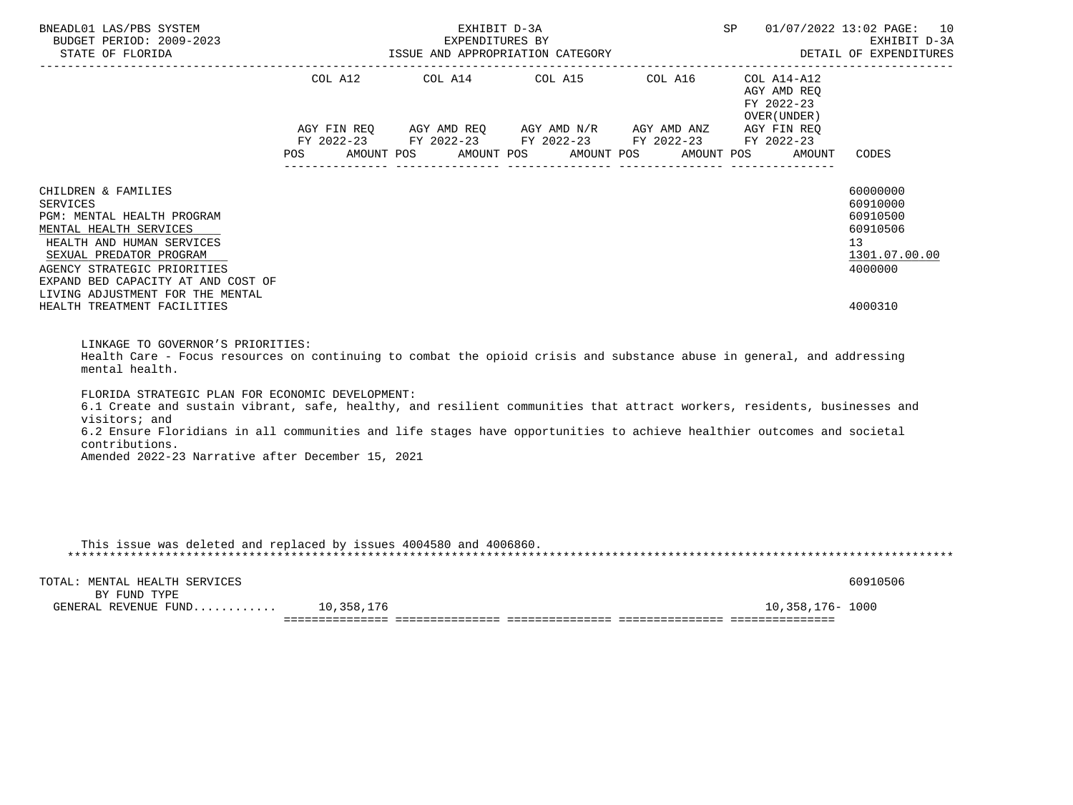| BNEADL01 LAS/PBS SYSTEM<br>BUDGET PERIOD: 2009-2023<br>STATE OF FLORIDA                                                                                                                                                                                  | SP<br>EXHIBIT D-3A<br>EXPENDITURES BY<br>ISSUE AND APPROPRIATION CATEGORY <b>ALL SEE ASSESSED AND APPROPRIATION</b> CATEGORY<br>------------------------------- |  |  |  |  |                                                                                                                       |  | 01/07/2022 13:02 PAGE: 10<br>EXHIBIT D-3A                 |                                                                                             |  |
|----------------------------------------------------------------------------------------------------------------------------------------------------------------------------------------------------------------------------------------------------------|-----------------------------------------------------------------------------------------------------------------------------------------------------------------|--|--|--|--|-----------------------------------------------------------------------------------------------------------------------|--|-----------------------------------------------------------|---------------------------------------------------------------------------------------------|--|
|                                                                                                                                                                                                                                                          |                                                                                                                                                                 |  |  |  |  | COL A12 COL A14 COL A15 COL A16                                                                                       |  | COL A14-A12<br>AGY AMD REO<br>FY 2022-23<br>OVER (UNDER ) |                                                                                             |  |
|                                                                                                                                                                                                                                                          |                                                                                                                                                                 |  |  |  |  | AGY FIN REQ AGY AMD REQ AGY AMD N/R AGY AMD ANZ AGY FIN REQ<br>FY 2022-23 FY 2022-23 FY 2022-23 FY 2022-23 FY 2022-23 |  | POS AMOUNT POS AMOUNT POS AMOUNT POS AMOUNT POS AMOUNT    | CODES                                                                                       |  |
| CHILDREN & FAMILIES<br>SERVICES<br>PGM: MENTAL HEALTH PROGRAM<br>MENTAL HEALTH SERVICES<br>HEALTH AND HUMAN SERVICES<br>SEXUAL PREDATOR PROGRAM<br>AGENCY STRATEGIC PRIORITIES<br>EXPAND BED CAPACITY AT AND COST OF<br>LIVING ADJUSTMENT FOR THE MENTAL |                                                                                                                                                                 |  |  |  |  |                                                                                                                       |  |                                                           | 60000000<br>60910000<br>60910500<br>60910506<br>13 <sup>7</sup><br>1301.07.00.00<br>4000000 |  |
| HEALTH TREATMENT FACILITIES                                                                                                                                                                                                                              |                                                                                                                                                                 |  |  |  |  |                                                                                                                       |  |                                                           | 4000310                                                                                     |  |
| LINKAGE TO GOVERNOR'S PRIORITIES:                                                                                                                                                                                                                        |                                                                                                                                                                 |  |  |  |  |                                                                                                                       |  |                                                           |                                                                                             |  |

 Health Care - Focus resources on continuing to combat the opioid crisis and substance abuse in general, and addressing mental health.

FLORIDA STRATEGIC PLAN FOR ECONOMIC DEVELOPMENT:

 6.1 Create and sustain vibrant, safe, healthy, and resilient communities that attract workers, residents, businesses and visitors; and 6.2 Ensure Floridians in all communities and life stages have opportunities to achieve healthier outcomes and societal contributions. Amended 2022-23 Narrative after December 15, 2021

| This issue was deleted and replaced by issues 4004580 and 4006860. |            |                 |          |
|--------------------------------------------------------------------|------------|-----------------|----------|
| TOTAL: MENTAL HEALTH SERVICES                                      |            |                 | 60910506 |
| BY FUND TYPE<br>GENERAL REVENUE FUND                               | 10,358,176 | 10,358,176-1000 |          |
|                                                                    |            |                 |          |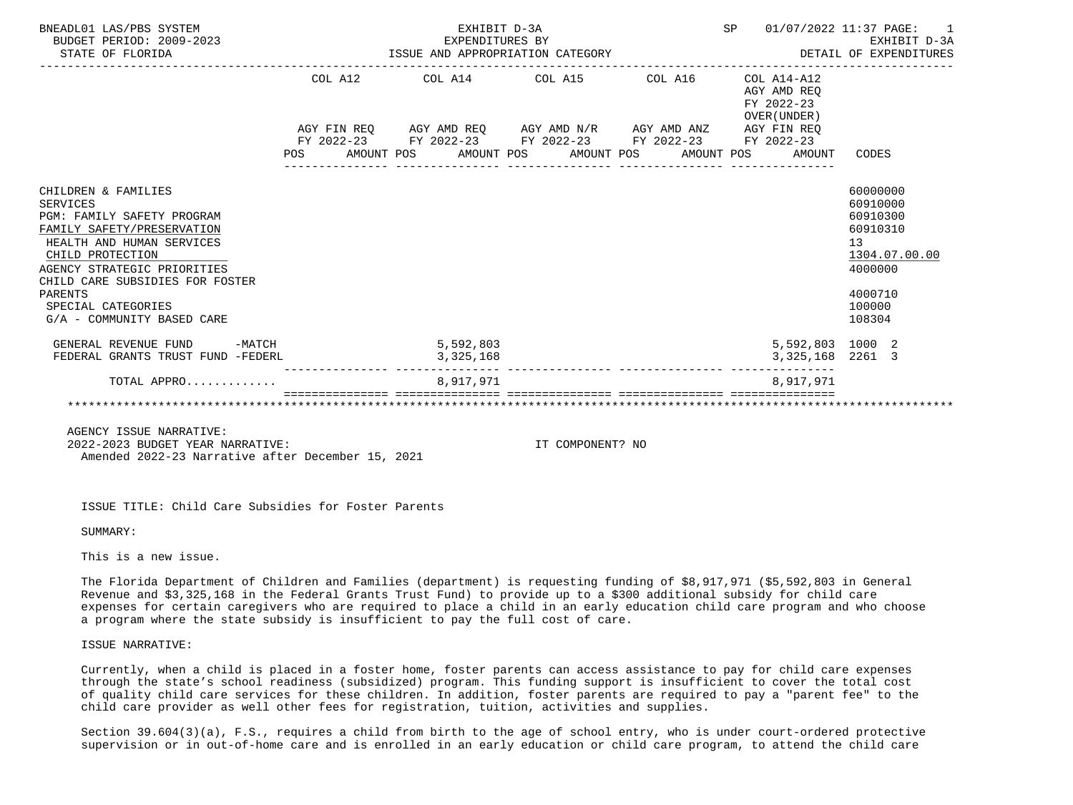| BNEADL01 LAS/PBS SYSTEM<br>BUDGET PERIOD: 2009-2023<br>STATE OF FLORIDA                                                                                                                                                                                                       |         | EXHIBIT D-3A                                                                                                                                                             | SP | 01/07/2022 11:37 PAGE: 1                  |                                                                                                               |
|-------------------------------------------------------------------------------------------------------------------------------------------------------------------------------------------------------------------------------------------------------------------------------|---------|--------------------------------------------------------------------------------------------------------------------------------------------------------------------------|----|-------------------------------------------|---------------------------------------------------------------------------------------------------------------|
|                                                                                                                                                                                                                                                                               | COL A12 | COL A14 $\phantom{00}$ COL A15 $\phantom{000}$ COL A16 $\phantom{000}$ COL A14-A12                                                                                       |    | AGY AMD REO<br>FY 2022-23<br>OVER (UNDER) |                                                                                                               |
|                                                                                                                                                                                                                                                                               |         | AGY FIN REQ AGY AMD REQ AGY AMD N/R AGY AMD ANZ AGY FIN REQ<br>FY 2022-23 FY 2022-23 FY 2022-23 FY 2022-23 FY 2022-23<br>POS AMOUNT POS AMOUNT POS AMOUNT POS AMOUNT POS |    | AMOUNT                                    | CODES                                                                                                         |
| CHILDREN & FAMILIES<br>SERVICES<br>PGM: FAMILY SAFETY PROGRAM<br>FAMILY SAFETY/PRESERVATION<br>HEALTH AND HUMAN SERVICES<br>CHILD PROTECTION<br>AGENCY STRATEGIC PRIORITIES<br>CHILD CARE SUBSIDIES FOR FOSTER<br>PARENTS<br>SPECIAL CATEGORIES<br>G/A - COMMUNITY BASED CARE |         |                                                                                                                                                                          |    |                                           | 60000000<br>60910000<br>60910300<br>60910310<br>13<br>1304.07.00.00<br>4000000<br>4000710<br>100000<br>108304 |
| GENERAL REVENUE FUND -MATCH<br>FEDERAL GRANTS TRUST FUND -FEDERL                                                                                                                                                                                                              |         | 5,592,803<br>3,325,168                                                                                                                                                   |    | 5,592,803 1000 2<br>3, 325, 168 2261 3    |                                                                                                               |
| TOTAL APPRO                                                                                                                                                                                                                                                                   |         | 8,917,971<br>==========================                                                                                                                                  |    | 8.917.971                                 |                                                                                                               |
|                                                                                                                                                                                                                                                                               |         |                                                                                                                                                                          |    |                                           |                                                                                                               |
| AGENCY ISSUE NARRATIVE:                                                                                                                                                                                                                                                       |         |                                                                                                                                                                          |    |                                           |                                                                                                               |

2022-2023 BUDGET YEAR NARRATIVE: IT COMPONENT? NO

Amended 2022-23 Narrative after December 15, 2021

ISSUE TITLE: Child Care Subsidies for Foster Parents

SIIMMARY:

This is a new issue.

 The Florida Department of Children and Families (department) is requesting funding of \$8,917,971 (\$5,592,803 in General Revenue and \$3,325,168 in the Federal Grants Trust Fund) to provide up to a \$300 additional subsidy for child care expenses for certain caregivers who are required to place a child in an early education child care program and who choose a program where the state subsidy is insufficient to pay the full cost of care.

ISSUE NARRATIVE:

 Currently, when a child is placed in a foster home, foster parents can access assistance to pay for child care expenses through the state's school readiness (subsidized) program. This funding support is insufficient to cover the total cost of quality child care services for these children. In addition, foster parents are required to pay a "parent fee" to the child care provider as well other fees for registration, tuition, activities and supplies.

 Section 39.604(3)(a), F.S., requires a child from birth to the age of school entry, who is under court-ordered protective supervision or in out-of-home care and is enrolled in an early education or child care program, to attend the child care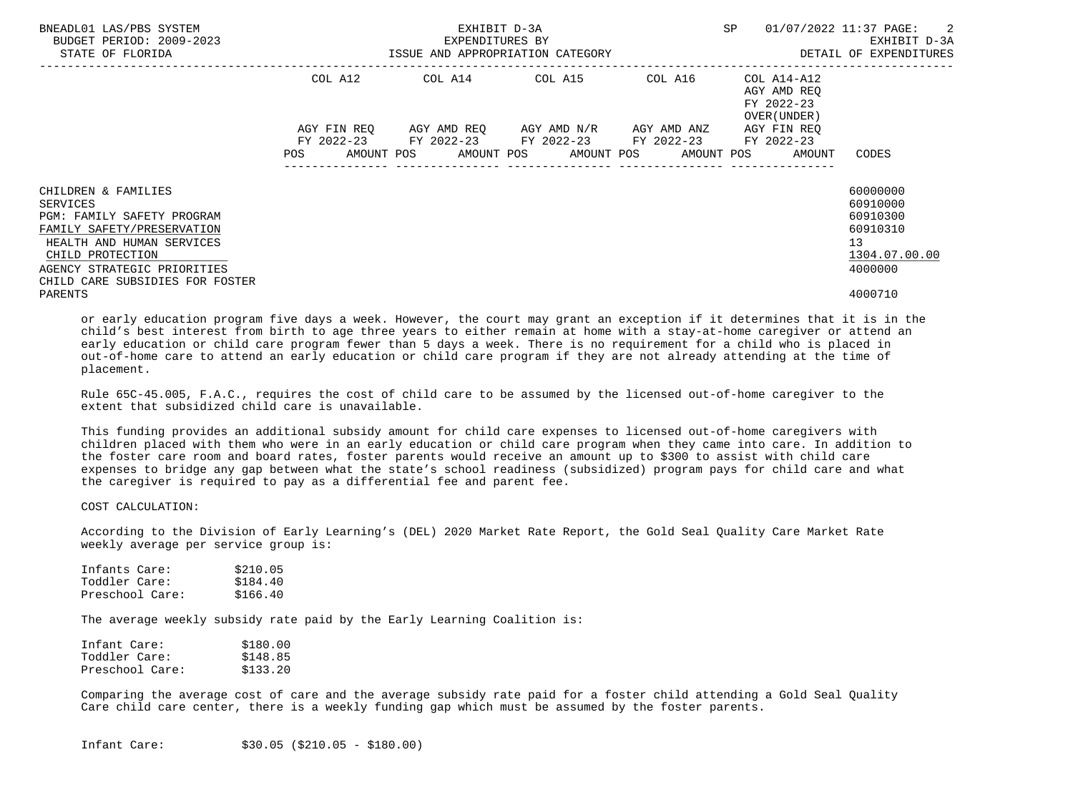| BNEADL01 LAS/PBS SYSTEM<br>BUDGET PERIOD: 2009-2023<br>STATE OF FLORIDA                                                                                                                                        | ISSUE AND APPROPRIATION CATEGORY | EXHIBIT D-3A<br>EXPENDITURES BY | SP                                                                                                        | -2<br>01/07/2022 11:37 PAGE:<br>EXHIBIT D-3A<br>DETAIL OF EXPENDITURES |                                                                       |                                                                                |
|----------------------------------------------------------------------------------------------------------------------------------------------------------------------------------------------------------------|----------------------------------|---------------------------------|-----------------------------------------------------------------------------------------------------------|------------------------------------------------------------------------|-----------------------------------------------------------------------|--------------------------------------------------------------------------------|
|                                                                                                                                                                                                                | COL A12                          |                                 | COL A14 COL A15 COL A16                                                                                   |                                                                        | COL A14-A12<br>AGY AMD REO<br>FY 2022-23<br>OVER (UNDER )             |                                                                                |
|                                                                                                                                                                                                                |                                  |                                 | AGY FIN REO AGY AMD REO AGY AMD N/R AGY AMD ANZ<br>FY 2022-23 FY 2022-23 FY 2022-23 FY 2022-23 FY 2022-23 |                                                                        | AGY FIN REO<br>POS AMOUNT POS AMOUNT POS AMOUNT POS AMOUNT POS AMOUNT | CODES                                                                          |
| CHILDREN & FAMILIES<br>SERVICES<br>PGM: FAMILY SAFETY PROGRAM<br>FAMILY SAFETY/PRESERVATION<br>HEALTH AND HUMAN SERVICES<br>CHILD PROTECTION<br>AGENCY STRATEGIC PRIORITIES<br>CHILD CARE SUBSIDIES FOR FOSTER |                                  |                                 |                                                                                                           |                                                                        |                                                                       | 60000000<br>60910000<br>60910300<br>60910310<br>13<br>1304.07.00.00<br>4000000 |
| PARENTS                                                                                                                                                                                                        |                                  |                                 |                                                                                                           |                                                                        |                                                                       | 4000710                                                                        |

 or early education program five days a week. However, the court may grant an exception if it determines that it is in the child's best interest from birth to age three years to either remain at home with a stay-at-home caregiver or attend an early education or child care program fewer than 5 days a week. There is no requirement for a child who is placed in out-of-home care to attend an early education or child care program if they are not already attending at the time of placement.

 Rule 65C-45.005, F.A.C., requires the cost of child care to be assumed by the licensed out-of-home caregiver to the extent that subsidized child care is unavailable.

 This funding provides an additional subsidy amount for child care expenses to licensed out-of-home caregivers with children placed with them who were in an early education or child care program when they came into care. In addition to the foster care room and board rates, foster parents would receive an amount up to \$300 to assist with child care expenses to bridge any gap between what the state's school readiness (subsidized) program pays for child care and what the caregiver is required to pay as a differential fee and parent fee.

## COST CALCULATION:

 According to the Division of Early Learning's (DEL) 2020 Market Rate Report, the Gold Seal Quality Care Market Rate weekly average per service group is:

| Infants Care:   | \$210.05 |
|-----------------|----------|
| Toddler Care:   | \$184.40 |
| Preschool Care: | \$166.40 |

The average weekly subsidy rate paid by the Early Learning Coalition is:

| Infant Care:    | \$180.00 |
|-----------------|----------|
| Toddler Care:   | \$148.85 |
| Preschool Care: | \$133.20 |

 Comparing the average cost of care and the average subsidy rate paid for a foster child attending a Gold Seal Quality Care child care center, there is a weekly funding gap which must be assumed by the foster parents.

Infant Care: \$30.05 (\$210.05 - \$180.00)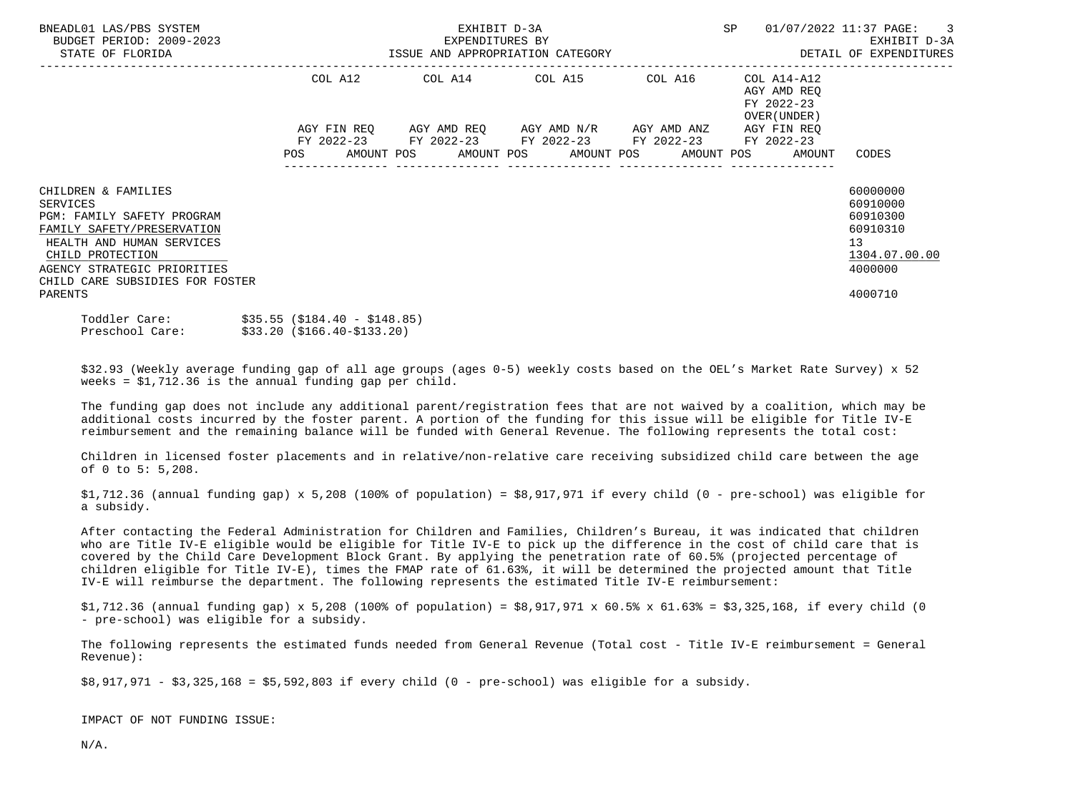| BNEADL01 LAS/PBS SYSTEM<br>BUDGET PERIOD: 2009-2023<br>STATE OF FLORIDA                                                                                                                                                          |                             | EXHIBIT D-3A<br>EXPENDITURES BY | SP<br>ISSUE AND APPROPRIATION CATEGORY <b>Example 20 SETALL OF EXPENDITURES</b>                                                                                                 | 01/07/2022 11:37 PAGE: 3<br>EXHIBIT D-3A |                                                           |                                                                                                        |
|----------------------------------------------------------------------------------------------------------------------------------------------------------------------------------------------------------------------------------|-----------------------------|---------------------------------|---------------------------------------------------------------------------------------------------------------------------------------------------------------------------------|------------------------------------------|-----------------------------------------------------------|--------------------------------------------------------------------------------------------------------|
|                                                                                                                                                                                                                                  |                             |                                 | COL A12 COL A14 COL A15 COL A16                                                                                                                                                 |                                          | COL A14-A12<br>AGY AMD REO<br>FY 2022-23<br>OVER (UNDER ) |                                                                                                        |
|                                                                                                                                                                                                                                  |                             |                                 | AGY FIN REQ AGY AMD REQ AGY AMD N/R AGY AMD ANZ AGY FIN REQ<br>FY 2022-23 FY 2022-23 FY 2022-23 FY 2022-23 FY 2022-23<br>POS AMOUNT POS AMOUNT POS AMOUNT POS AMOUNT POS AMOUNT |                                          |                                                           | CODES                                                                                                  |
| CHILDREN & FAMILIES<br>SERVICES<br><b>PGM: FAMILY SAFETY PROGRAM</b><br>FAMILY SAFETY/PRESERVATION<br>HEALTH AND HUMAN SERVICES<br>CHILD PROTECTION<br>AGENCY STRATEGIC PRIORITIES<br>CHILD CARE SUBSIDIES FOR FOSTER<br>PARENTS |                             |                                 |                                                                                                                                                                                 |                                          |                                                           | 60000000<br>60910000<br>60910300<br>60910310<br>13 <sup>°</sup><br>1304.07.00.00<br>4000000<br>4000710 |
| Toddler Care: \$35.55 (\$184.40 - \$148.85)<br>Preschool Care:                                                                                                                                                                   | \$33.20 (\$166.40-\$133.20) |                                 |                                                                                                                                                                                 |                                          |                                                           |                                                                                                        |

 \$32.93 (Weekly average funding gap of all age groups (ages 0-5) weekly costs based on the OEL's Market Rate Survey) x 52 weeks = \$1,712.36 is the annual funding gap per child.

 The funding gap does not include any additional parent/registration fees that are not waived by a coalition, which may be additional costs incurred by the foster parent. A portion of the funding for this issue will be eligible for Title IV-E reimbursement and the remaining balance will be funded with General Revenue. The following represents the total cost:

 Children in licensed foster placements and in relative/non-relative care receiving subsidized child care between the age of 0 to 5: 5,208.

 $$1,712.36$  (annual funding gap) x 5,208 (100% of population) =  $$8,917,971$  if every child (0 - pre-school) was eligible for a subsidy.

 After contacting the Federal Administration for Children and Families, Children's Bureau, it was indicated that children who are Title IV-E eligible would be eligible for Title IV-E to pick up the difference in the cost of child care that is covered by the Child Care Development Block Grant. By applying the penetration rate of 60.5% (projected percentage of children eligible for Title IV-E), times the FMAP rate of 61.63%, it will be determined the projected amount that Title IV-E will reimburse the department. The following represents the estimated Title IV-E reimbursement:

\$1,712.36 (annual funding gap) x 5,208 (100% of population) = \$8,917,971 x 60.5% x 61.63% = \$3,325,168, if every child (0 - pre-school) was eligible for a subsidy.

 The following represents the estimated funds needed from General Revenue (Total cost - Title IV-E reimbursement = General Revenue):

\$8,917,971 - \$3,325,168 = \$5,592,803 if every child (0 - pre-school) was eligible for a subsidy.

IMPACT OF NOT FUNDING ISSUE:

N/A.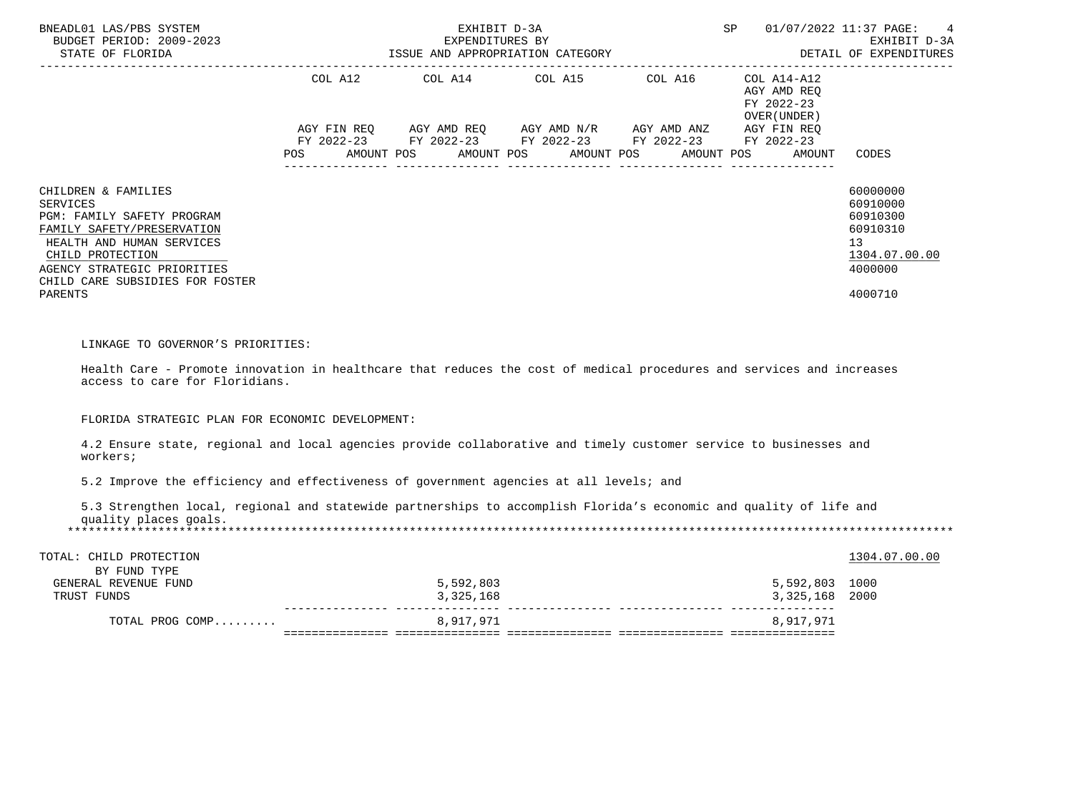|                                                                                                                                                                                                                           |                   |                        | EXPENDITURES BY<br>ISSUE AND APPROPRIATION CATEGORY<br>COL A12 COL A14 COL A15 COL A16                                              |            | $COL A14 - A12$                                     |                                                                                           |
|---------------------------------------------------------------------------------------------------------------------------------------------------------------------------------------------------------------------------|-------------------|------------------------|-------------------------------------------------------------------------------------------------------------------------------------|------------|-----------------------------------------------------|-------------------------------------------------------------------------------------------|
|                                                                                                                                                                                                                           | AMOUNT POS<br>POS | AMOUNT POS             | AGY FIN REQ AGY AMD REQ AGY AMD N/R AGY AMD ANZ AGY FIN REQ<br>FY 2022-23 FY 2022-23 FY 2022-23 FY 2022-23 FY 2022-23<br>AMOUNT POS | AMOUNT POS | AGY AMD REO<br>FY 2022-23<br>OVER (UNDER)<br>AMOUNT | CODES                                                                                     |
| CHILDREN & FAMILIES<br>SERVICES<br>PGM: FAMILY SAFETY PROGRAM<br>FAMILY SAFETY/PRESERVATION<br>HEALTH AND HUMAN SERVICES<br>CHILD PROTECTION<br>AGENCY STRATEGIC PRIORITIES<br>CHILD CARE SUBSIDIES FOR FOSTER<br>PARENTS |                   |                        |                                                                                                                                     |            |                                                     | 60000000<br>60910000<br>60910300<br>60910310<br>13<br>1304.07.00.00<br>4000000<br>4000710 |
| LINKAGE TO GOVERNOR'S PRIORITIES:<br>Health Care - Promote innovation in healthcare that reduces the cost of medical procedures and services and increases<br>access to care for Floridians.                              |                   |                        |                                                                                                                                     |            |                                                     |                                                                                           |
| FLORIDA STRATEGIC PLAN FOR ECONOMIC DEVELOPMENT:                                                                                                                                                                          |                   |                        |                                                                                                                                     |            |                                                     |                                                                                           |
| 4.2 Ensure state, regional and local agencies provide collaborative and timely customer service to businesses and<br>workers;                                                                                             |                   |                        |                                                                                                                                     |            |                                                     |                                                                                           |
| 5.2 Improve the efficiency and effectiveness of government agencies at all levels; and                                                                                                                                    |                   |                        |                                                                                                                                     |            |                                                     |                                                                                           |
| 5.3 Strengthen local, regional and statewide partnerships to accomplish Florida's economic and quality of life and<br>quality places goals.                                                                               |                   |                        |                                                                                                                                     |            |                                                     |                                                                                           |
| TOTAL: CHILD PROTECTION<br>BY FUND TYPE                                                                                                                                                                                   |                   |                        |                                                                                                                                     |            |                                                     | 1304.07.00.00                                                                             |
| GENERAL REVENUE FUND<br>TRUST FUNDS                                                                                                                                                                                       |                   | 5,592,803<br>3,325,168 |                                                                                                                                     |            | 5,592,803 1000<br>3,325,168 2000                    |                                                                                           |
| TOTAL PROG COMP                                                                                                                                                                                                           |                   | 8,917,971              |                                                                                                                                     |            | 8,917,971                                           |                                                                                           |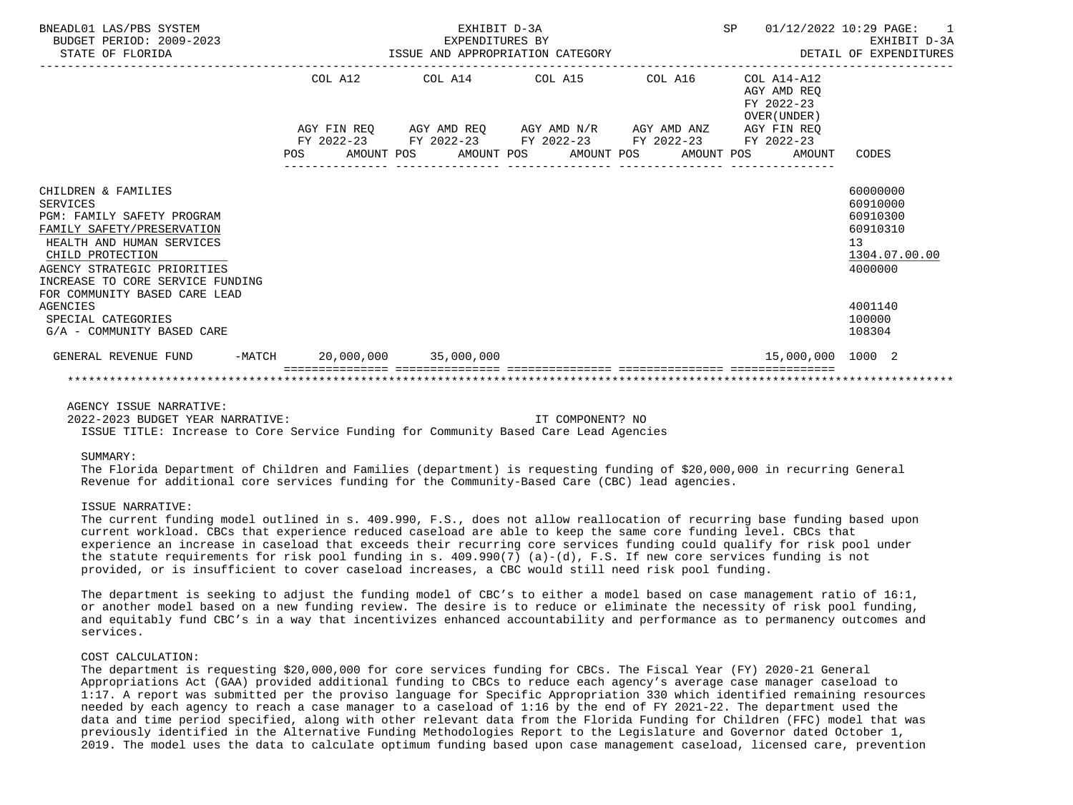| BNEADL01 LAS/PBS SYSTEM<br>BUDGET PERIOD: 2009-2023<br>STATE OF FLORIDA                                                                                                                                                                                 |  | EXHIBIT D-3A |                                                                                                                                                                                 | SP 01/12/2022 10:29 PAGE:<br>$\overline{1}$<br>EXPENDITURES BY EXHIBIT D-3A<br>ISSUE AND APPROPRIATION CATEGORY STARBER AND APPROPRIATION CATEGORY |                                                                                             |
|---------------------------------------------------------------------------------------------------------------------------------------------------------------------------------------------------------------------------------------------------------|--|--------------|---------------------------------------------------------------------------------------------------------------------------------------------------------------------------------|----------------------------------------------------------------------------------------------------------------------------------------------------|---------------------------------------------------------------------------------------------|
|                                                                                                                                                                                                                                                         |  |              | COL A12 COL A14 COL A15 COL A16 COL A14-A12                                                                                                                                     | AGY AMD REO<br>FY 2022-23<br>OVER (UNDER)                                                                                                          |                                                                                             |
|                                                                                                                                                                                                                                                         |  |              | AGY FIN REQ AGY AMD REQ AGY AMD N/R AGY AMD ANZ AGY FIN REQ<br>FY 2022-23 FY 2022-23 FY 2022-23 FY 2022-23 FY 2022-23<br>POS AMOUNT POS AMOUNT POS AMOUNT POS AMOUNT POS AMOUNT |                                                                                                                                                    | CODES                                                                                       |
| CHILDREN & FAMILIES<br><b>SERVICES</b><br>PGM: FAMILY SAFETY PROGRAM<br>FAMILY SAFETY/PRESERVATION<br>HEALTH AND HUMAN SERVICES<br>CHILD PROTECTION<br>AGENCY STRATEGIC PRIORITIES<br>INCREASE TO CORE SERVICE FUNDING<br>FOR COMMUNITY BASED CARE LEAD |  |              |                                                                                                                                                                                 |                                                                                                                                                    | 60000000<br>60910000<br>60910300<br>60910310<br>13 <sup>°</sup><br>1304.07.00.00<br>4000000 |
| <b>AGENCIES</b><br>SPECIAL CATEGORIES<br>G/A - COMMUNITY BASED CARE                                                                                                                                                                                     |  |              |                                                                                                                                                                                 |                                                                                                                                                    | 4001140<br>100000<br>108304                                                                 |
| GENERAL REVENUE FUND -MATCH 20,000,000 35,000,000                                                                                                                                                                                                       |  |              |                                                                                                                                                                                 | 15,000,000 1000 2                                                                                                                                  |                                                                                             |
|                                                                                                                                                                                                                                                         |  |              |                                                                                                                                                                                 |                                                                                                                                                    |                                                                                             |

# AGENCY ISSUE NARRATIVE:

 2022-2023 BUDGET YEAR NARRATIVE: IT COMPONENT? NO ISSUE TITLE: Increase to Core Service Funding for Community Based Care Lead Agencies

## SUMMARY:

 The Florida Department of Children and Families (department) is requesting funding of \$20,000,000 in recurring General Revenue for additional core services funding for the Community-Based Care (CBC) lead agencies.

## ISSUE NARRATIVE:

 The current funding model outlined in s. 409.990, F.S., does not allow reallocation of recurring base funding based upon current workload. CBCs that experience reduced caseload are able to keep the same core funding level. CBCs that experience an increase in caseload that exceeds their recurring core services funding could qualify for risk pool under the statute requirements for risk pool funding in s. 409.990(7) (a)-(d), F.S. If new core services funding is not provided, or is insufficient to cover caseload increases, a CBC would still need risk pool funding.

 The department is seeking to adjust the funding model of CBC's to either a model based on case management ratio of 16:1, or another model based on a new funding review. The desire is to reduce or eliminate the necessity of risk pool funding, and equitably fund CBC's in a way that incentivizes enhanced accountability and performance as to permanency outcomes and services.

## COST CALCULATION:

 The department is requesting \$20,000,000 for core services funding for CBCs. The Fiscal Year (FY) 2020-21 General Appropriations Act (GAA) provided additional funding to CBCs to reduce each agency's average case manager caseload to 1:17. A report was submitted per the proviso language for Specific Appropriation 330 which identified remaining resources needed by each agency to reach a case manager to a caseload of 1:16 by the end of FY 2021-22. The department used the data and time period specified, along with other relevant data from the Florida Funding for Children (FFC) model that was previously identified in the Alternative Funding Methodologies Report to the Legislature and Governor dated October 1, 2019. The model uses the data to calculate optimum funding based upon case management caseload, licensed care, prevention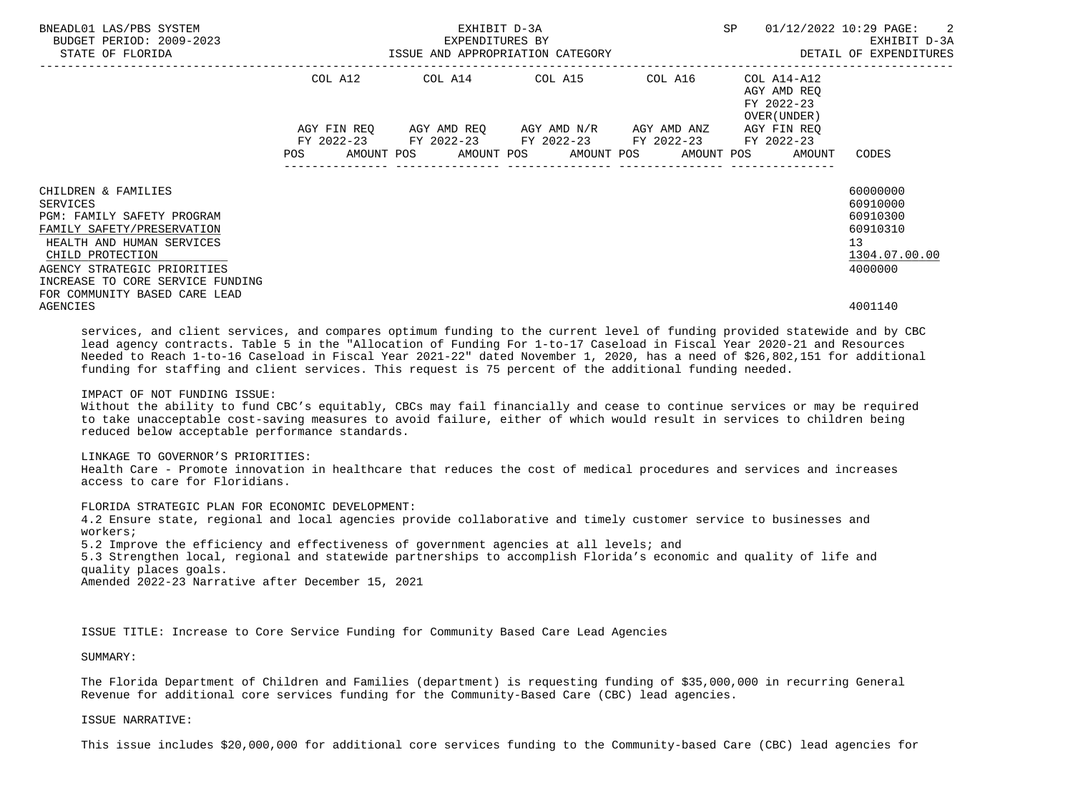| BNEADL01 LAS/PBS SYSTEM<br>BUDGET PERIOD: 2009-2023<br>STATE OF FLORIDA                                                                                                                                                                                 |            |  |                                 | EXHIBIT D-3A<br>EXPENDITURES BY<br>ISSUE AND APPROPRIATION CATEGORY |  | SP                                                                                             |  | $01/12/2022$ $10:29$ PAGE: 2<br>EXHIBIT D-3A<br>DETAIL OF EXPENDITURES |                                                          |                                                                                 |                                                                                             |
|---------------------------------------------------------------------------------------------------------------------------------------------------------------------------------------------------------------------------------------------------------|------------|--|---------------------------------|---------------------------------------------------------------------|--|------------------------------------------------------------------------------------------------|--|------------------------------------------------------------------------|----------------------------------------------------------|---------------------------------------------------------------------------------|---------------------------------------------------------------------------------------------|
|                                                                                                                                                                                                                                                         |            |  | COL A12 COL A14 COL A15 COL A16 |                                                                     |  |                                                                                                |  |                                                                        | COL A14-A12<br>AGY AMD REO<br>FY 2022-23<br>OVER (UNDER) |                                                                                 |                                                                                             |
|                                                                                                                                                                                                                                                         | <b>POS</b> |  |                                 |                                                                     |  | AGY FIN REQ 6GY AMD REQ 6GY AMD N/R 6GY AMD ANZ<br>FY 2022-23 FY 2022-23 FY 2022-23 FY 2022-23 |  |                                                                        |                                                          | AGY FIN REQ<br>FY 2022-23<br>AMOUNT POS AMOUNT POS AMOUNT POS AMOUNT POS AMOUNT | CODES                                                                                       |
| CHILDREN & FAMILIES<br>SERVICES<br><b>PGM: FAMILY SAFETY PROGRAM</b><br>FAMILY SAFETY/PRESERVATION<br>HEALTH AND HUMAN SERVICES<br>CHILD PROTECTION<br>AGENCY STRATEGIC PRIORITIES<br>INCREASE TO CORE SERVICE FUNDING<br>FOR COMMUNITY BASED CARE LEAD |            |  |                                 |                                                                     |  |                                                                                                |  |                                                                        |                                                          |                                                                                 | 60000000<br>60910000<br>60910300<br>60910310<br>13 <sup>°</sup><br>1304.07.00.00<br>4000000 |
| AGENCIES                                                                                                                                                                                                                                                |            |  |                                 |                                                                     |  |                                                                                                |  |                                                                        |                                                          |                                                                                 | 4001140                                                                                     |

 services, and client services, and compares optimum funding to the current level of funding provided statewide and by CBC lead agency contracts. Table 5 in the "Allocation of Funding For 1-to-17 Caseload in Fiscal Year 2020-21 and Resources Needed to Reach 1-to-16 Caseload in Fiscal Year 2021-22" dated November 1, 2020, has a need of \$26,802,151 for additional funding for staffing and client services. This request is 75 percent of the additional funding needed.

### IMPACT OF NOT FUNDING ISSUE:

 Without the ability to fund CBC's equitably, CBCs may fail financially and cease to continue services or may be required to take unacceptable cost-saving measures to avoid failure, either of which would result in services to children being reduced below acceptable performance standards.

 LINKAGE TO GOVERNOR'S PRIORITIES: Health Care - Promote innovation in healthcare that reduces the cost of medical procedures and services and increases access to care for Floridians.

FLORIDA STRATEGIC PLAN FOR ECONOMIC DEVELOPMENT:

 4.2 Ensure state, regional and local agencies provide collaborative and timely customer service to businesses and workers;

5.2 Improve the efficiency and effectiveness of government agencies at all levels; and

 5.3 Strengthen local, regional and statewide partnerships to accomplish Florida's economic and quality of life and quality places goals.

Amended 2022-23 Narrative after December 15, 2021

ISSUE TITLE: Increase to Core Service Funding for Community Based Care Lead Agencies

# SUMMARY:

 The Florida Department of Children and Families (department) is requesting funding of \$35,000,000 in recurring General Revenue for additional core services funding for the Community-Based Care (CBC) lead agencies.

## ISSUE NARRATIVE:

This issue includes \$20,000,000 for additional core services funding to the Community-based Care (CBC) lead agencies for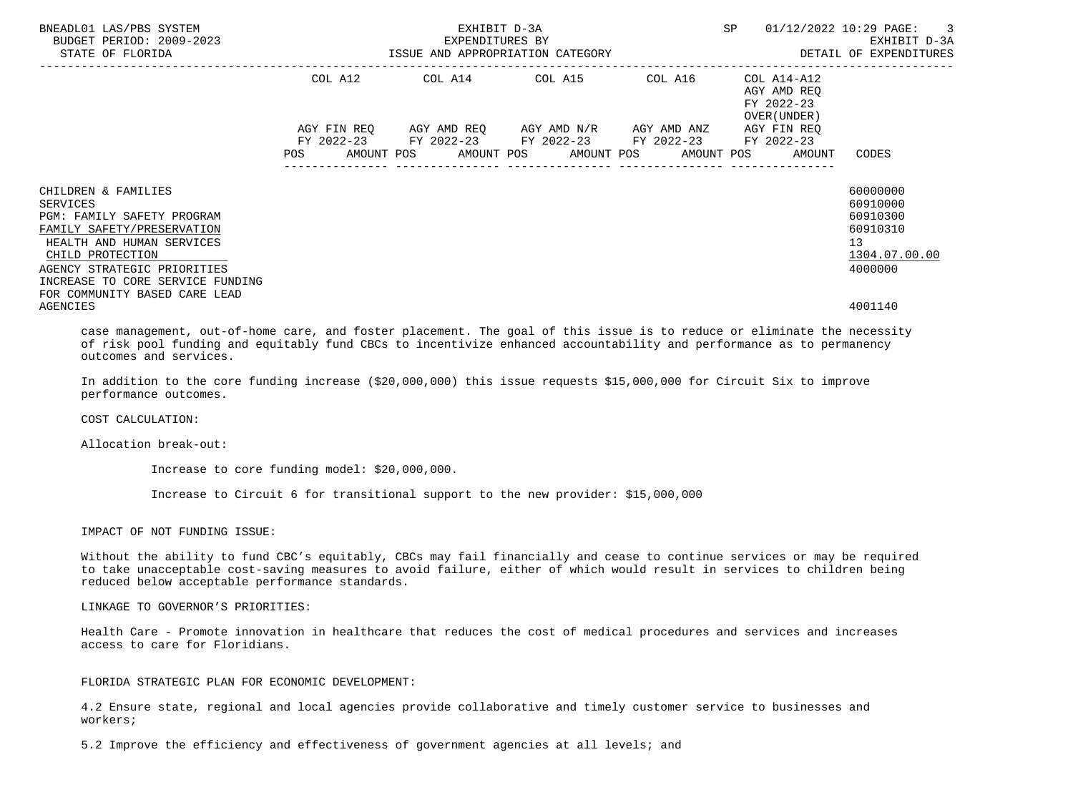| BNEADL01 LAS/PBS SYSTEM<br>BUDGET PERIOD: 2009-2023<br>STATE OF FLORIDA                                                                                                                                                                          | ISSUE AND APPROPRIATION CATEGORY | EXHIBIT D-3A<br>EXPENDITURES BY | SP                                                | 01/12/2022 10:29 PAGE: 3<br>EXHIBIT D-3A<br>DETAIL OF EXPENDITURES |                                                                                     |                                                                                             |
|--------------------------------------------------------------------------------------------------------------------------------------------------------------------------------------------------------------------------------------------------|----------------------------------|---------------------------------|---------------------------------------------------|--------------------------------------------------------------------|-------------------------------------------------------------------------------------|---------------------------------------------------------------------------------------------|
|                                                                                                                                                                                                                                                  |                                  |                                 | --------------<br>COL A12 COL A14 COL A15 COL A16 | -----------------------------------                                | COL A14-A12<br>AGY AMD REO<br>FY 2022-23<br>OVER (UNDER)                            |                                                                                             |
|                                                                                                                                                                                                                                                  |                                  |                                 | FY 2022-23 FY 2022-23 FY 2022-23 FY 2022-23       |                                                                    | AGY FIN REO<br>FY 2022-23<br>POS AMOUNT POS AMOUNT POS AMOUNT POS AMOUNT POS AMOUNT | CODES                                                                                       |
| CHILDREN & FAMILIES<br>SERVICES<br>PGM: FAMILY SAFETY PROGRAM<br>FAMILY SAFETY/PRESERVATION<br>HEALTH AND HUMAN SERVICES<br>CHILD PROTECTION<br>AGENCY STRATEGIC PRIORITIES<br>INCREASE TO CORE SERVICE FUNDING<br>FOR COMMUNITY BASED CARE LEAD |                                  |                                 |                                                   |                                                                    |                                                                                     | 60000000<br>60910000<br>60910300<br>60910310<br>13 <sup>°</sup><br>1304.07.00.00<br>4000000 |
| AGENCIES                                                                                                                                                                                                                                         |                                  |                                 |                                                   |                                                                    |                                                                                     | 4001140                                                                                     |

 case management, out-of-home care, and foster placement. The goal of this issue is to reduce or eliminate the necessity of risk pool funding and equitably fund CBCs to incentivize enhanced accountability and performance as to permanency outcomes and services.

 In addition to the core funding increase (\$20,000,000) this issue requests \$15,000,000 for Circuit Six to improve performance outcomes.

COST CALCULATION:

Allocation break-out:

Increase to core funding model: \$20,000,000.

Increase to Circuit 6 for transitional support to the new provider: \$15,000,000

IMPACT OF NOT FUNDING ISSUE:

 Without the ability to fund CBC's equitably, CBCs may fail financially and cease to continue services or may be required to take unacceptable cost-saving measures to avoid failure, either of which would result in services to children being reduced below acceptable performance standards.

LINKAGE TO GOVERNOR'S PRIORITIES:

 Health Care - Promote innovation in healthcare that reduces the cost of medical procedures and services and increases access to care for Floridians.

## FLORIDA STRATEGIC PLAN FOR ECONOMIC DEVELOPMENT:

 4.2 Ensure state, regional and local agencies provide collaborative and timely customer service to businesses and workers;

5.2 Improve the efficiency and effectiveness of government agencies at all levels; and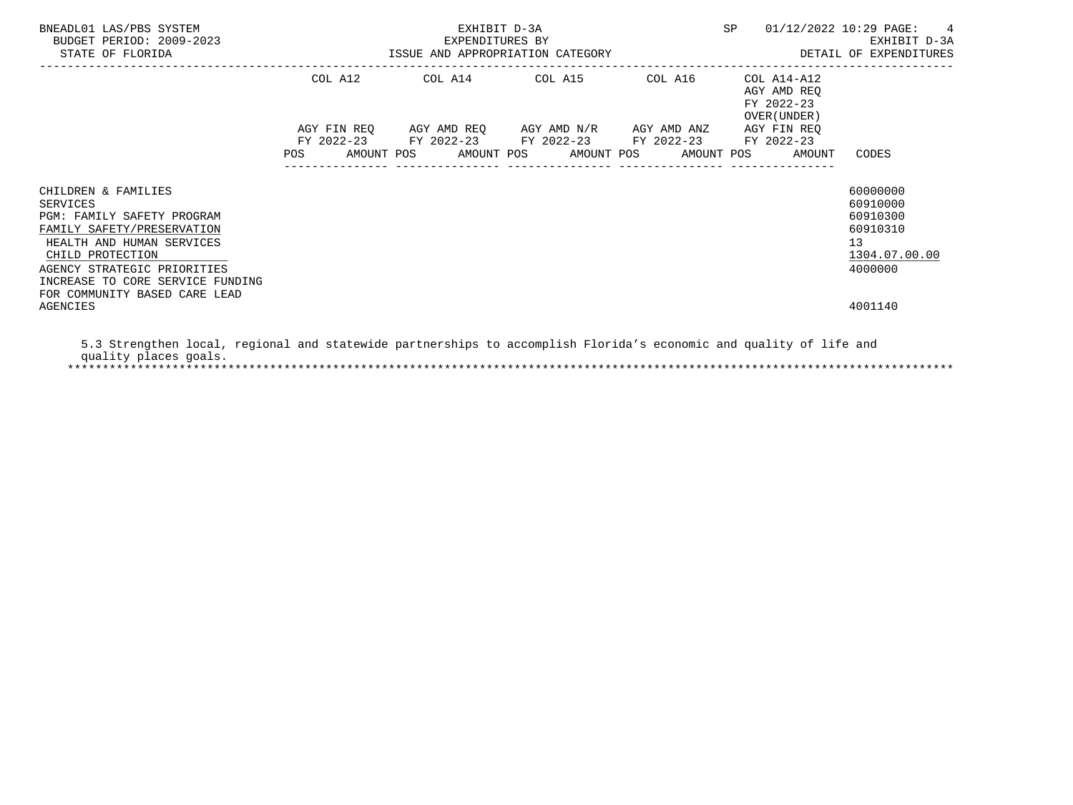| BNEADL01 LAS/PBS SYSTEM<br>BUDGET PERIOD: 2009-2023<br>STATE OF FLORIDA                                                                                                                                                                                      | EXHIBIT D-3A<br>EXPENDITURES BY<br>ISSUE AND APPROPRIATION CATEGORY | SP                                                                                                                    | $01/12/2022$ 10:29 PAGE: 4<br>EXHIBIT D-3A<br>DETAIL OF EXPENDITURES |                                                           |                                                                                           |
|--------------------------------------------------------------------------------------------------------------------------------------------------------------------------------------------------------------------------------------------------------------|---------------------------------------------------------------------|-----------------------------------------------------------------------------------------------------------------------|----------------------------------------------------------------------|-----------------------------------------------------------|-------------------------------------------------------------------------------------------|
|                                                                                                                                                                                                                                                              |                                                                     | COL A12 COL A14 COL A15                                                                                               | COL A16                                                              | COL A14-A12<br>AGY AMD REO<br>FY 2022-23<br>OVER (UNDER ) |                                                                                           |
|                                                                                                                                                                                                                                                              |                                                                     | AGY FIN REQ AGY AMD REQ AGY AMD N/R AGY AMD ANZ AGY FIN REQ<br>FY 2022-23 FY 2022-23 FY 2022-23 FY 2022-23 FY 2022-23 |                                                                      | POS AMOUNT POS AMOUNT POS AMOUNT POS AMOUNT POS AMOUNT    | CODES                                                                                     |
| CHILDREN & FAMILIES<br>SERVICES<br>PGM: FAMILY SAFETY PROGRAM<br>FAMILY SAFETY/PRESERVATION<br>HEALTH AND HUMAN SERVICES<br>CHILD PROTECTION<br>AGENCY STRATEGIC PRIORITIES<br>INCREASE TO CORE SERVICE FUNDING<br>FOR COMMUNITY BASED CARE LEAD<br>AGENCIES |                                                                     |                                                                                                                       |                                                                      |                                                           | 60000000<br>60910000<br>60910300<br>60910310<br>13<br>1304.07.00.00<br>4000000<br>4001140 |

 5.3 Strengthen local, regional and statewide partnerships to accomplish Florida's economic and quality of life and quality places goals. \*\*\*\*\*\*\*\*\*\*\*\*\*\*\*\*\*\*\*\*\*\*\*\*\*\*\*\*\*\*\*\*\*\*\*\*\*\*\*\*\*\*\*\*\*\*\*\*\*\*\*\*\*\*\*\*\*\*\*\*\*\*\*\*\*\*\*\*\*\*\*\*\*\*\*\*\*\*\*\*\*\*\*\*\*\*\*\*\*\*\*\*\*\*\*\*\*\*\*\*\*\*\*\*\*\*\*\*\*\*\*\*\*\*\*\*\*\*\*\*\*\*\*\*\*\*\*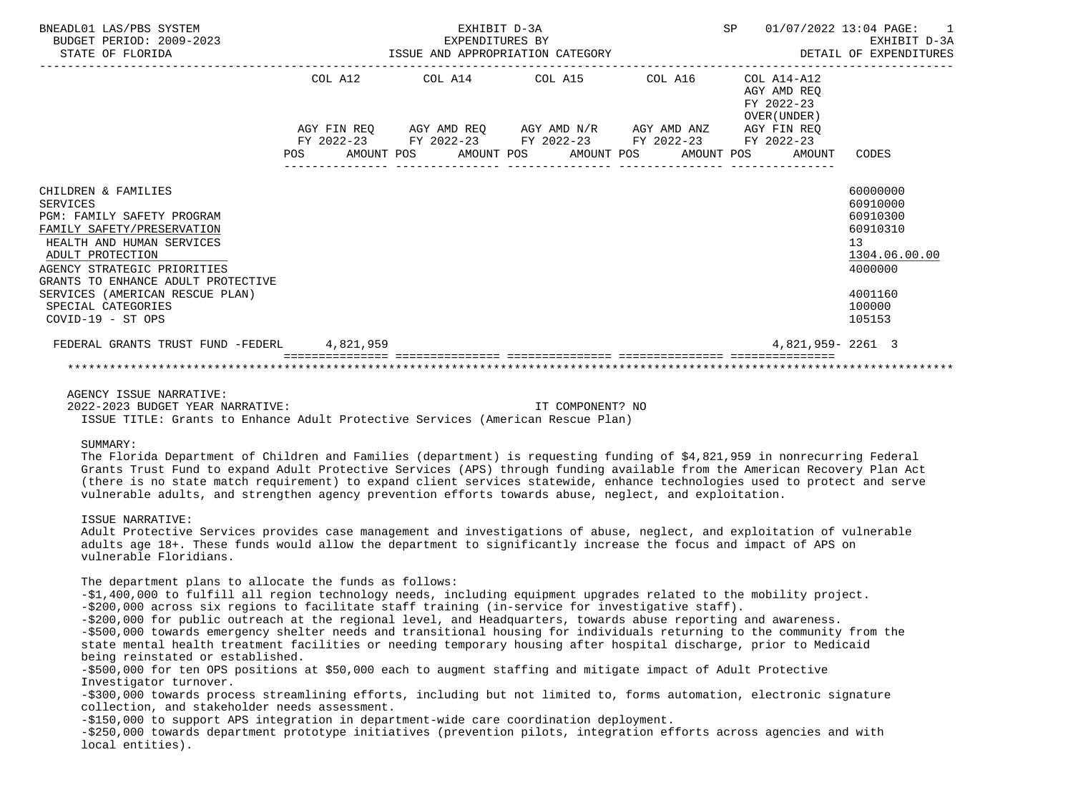| BNEADL01 LAS/PBS SYSTEM<br>BUDGET PERIOD: 2009-2023<br>STATE OF FLORIDA                                                                                                                                                                                                    |         | EXHIBIT D-3A<br>EXPENDITURES BY<br>ISSUE AND APPROPRIATION CATEGORY                                                                  | <b>SP</b> |  | 01/07/2022 13:04 PAGE:<br>$\sim$ 1<br>EXHIBIT D-3A<br>DETAIL OF EXPENDITURES |                                                                         |                                                                                                     |
|----------------------------------------------------------------------------------------------------------------------------------------------------------------------------------------------------------------------------------------------------------------------------|---------|--------------------------------------------------------------------------------------------------------------------------------------|-----------|--|------------------------------------------------------------------------------|-------------------------------------------------------------------------|-----------------------------------------------------------------------------------------------------|
|                                                                                                                                                                                                                                                                            | COL A12 | COL A14 COL A15 COL A16<br>AGY FIN REQ 6GY AMD REQ 6GY AMD N/R 6GY AMD ANZ<br>FY 2022-23 FY 2022-23 FY 2022-23 FY 2022-23 FY 2022-23 |           |  |                                                                              | COL A14-A12<br>AGY AMD REO<br>FY 2022-23<br>OVER (UNDER)<br>AGY FIN REO |                                                                                                     |
|                                                                                                                                                                                                                                                                            |         | POS AMOUNT POS AMOUNT POS AMOUNT POS AMOUNT POS                                                                                      |           |  |                                                                              | AMOUNT                                                                  | CODES                                                                                               |
| CHILDREN & FAMILIES<br>SERVICES<br>PGM: FAMILY SAFETY PROGRAM<br>FAMILY SAFETY/PRESERVATION<br>HEALTH AND HUMAN SERVICES<br>ADULT PROTECTION<br>AGENCY STRATEGIC PRIORITIES<br>GRANTS TO ENHANCE ADULT PROTECTIVE<br>SERVICES (AMERICAN RESCUE PLAN)<br>SPECIAL CATEGORIES |         |                                                                                                                                      |           |  |                                                                              |                                                                         | 60000000<br>60910000<br>60910300<br>60910310<br>13<br>1304.06.00.00<br>4000000<br>4001160<br>100000 |
| $COVID-19 - ST OPS$<br>FEDERAL GRANTS TRUST FUND -FEDERL 4.821.959                                                                                                                                                                                                         |         |                                                                                                                                      |           |  |                                                                              | 4,821,959-2261 3                                                        | 105153                                                                                              |
|                                                                                                                                                                                                                                                                            |         |                                                                                                                                      |           |  |                                                                              |                                                                         |                                                                                                     |

 AGENCY ISSUE NARRATIVE: 2022-2023 BUDGET YEAR NARRATIVE: IT COMPONENT? NO

ISSUE TITLE: Grants to Enhance Adult Protective Services (American Rescue Plan)

# SUMMARY:

 The Florida Department of Children and Families (department) is requesting funding of \$4,821,959 in nonrecurring Federal Grants Trust Fund to expand Adult Protective Services (APS) through funding available from the American Recovery Plan Act (there is no state match requirement) to expand client services statewide, enhance technologies used to protect and serve vulnerable adults, and strengthen agency prevention efforts towards abuse, neglect, and exploitation.

## ISSUE NARRATIVE:

 Adult Protective Services provides case management and investigations of abuse, neglect, and exploitation of vulnerable adults age 18+. These funds would allow the department to significantly increase the focus and impact of APS on vulnerable Floridians.

The department plans to allocate the funds as follows:

 -\$1,400,000 to fulfill all region technology needs, including equipment upgrades related to the mobility project. -\$200,000 across six regions to facilitate staff training (in-service for investigative staff).

 -\$200,000 for public outreach at the regional level, and Headquarters, towards abuse reporting and awareness. -\$500,000 towards emergency shelter needs and transitional housing for individuals returning to the community from the state mental health treatment facilities or needing temporary housing after hospital discharge, prior to Medicaid being reinstated or established.

 -\$500,000 for ten OPS positions at \$50,000 each to augment staffing and mitigate impact of Adult Protective Investigator turnover.

 -\$300,000 towards process streamlining efforts, including but not limited to, forms automation, electronic signature collection, and stakeholder needs assessment.

-\$150,000 to support APS integration in department-wide care coordination deployment.

 -\$250,000 towards department prototype initiatives (prevention pilots, integration efforts across agencies and with local entities).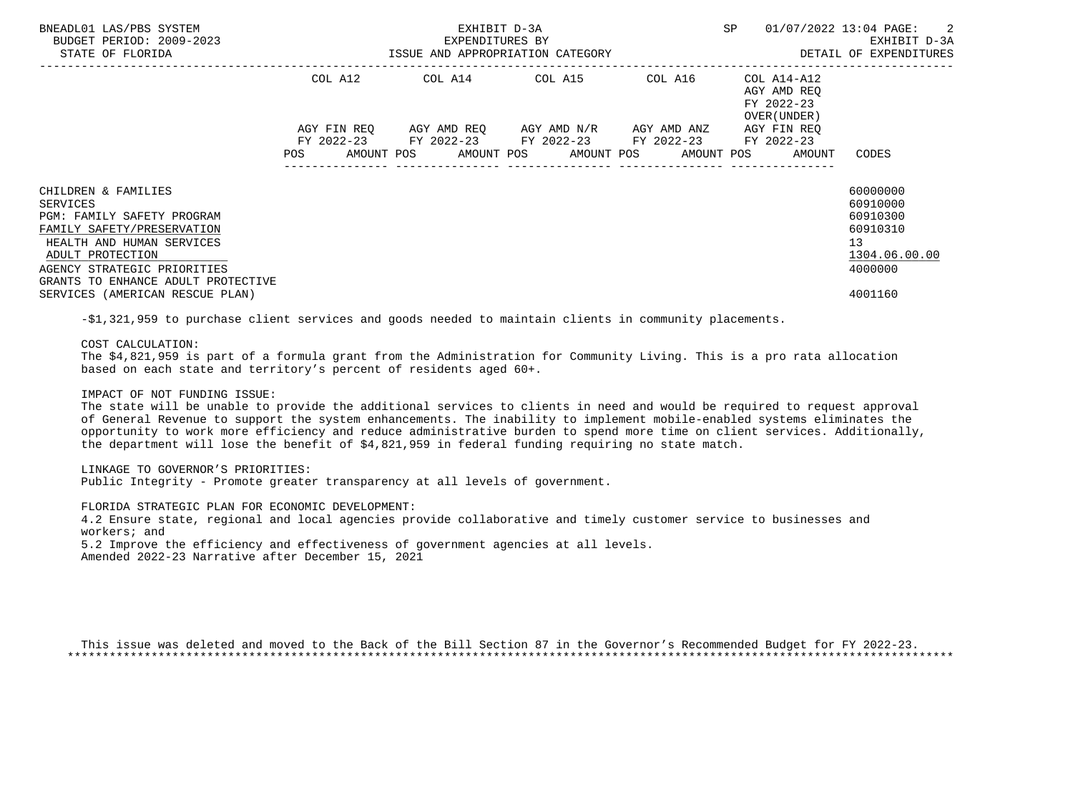| BNEADL01 LAS/PBS SYSTEM<br>BUDGET PERIOD: 2009-2023<br>STATE OF FLORIDA                                            |  |         |  | EXHIBIT D-3A<br>EXPENDITURES BY<br>ISSUE AND APPROPRIATION CATEGORY |                                                                                                           | SP                      | 01/07/2022 13:04 PAGE: 2 |  | EXHIBIT D-3A<br>DETAIL OF EXPENDITURES |                                                           |    |                                              |  |
|--------------------------------------------------------------------------------------------------------------------|--|---------|--|---------------------------------------------------------------------|-----------------------------------------------------------------------------------------------------------|-------------------------|--------------------------|--|----------------------------------------|-----------------------------------------------------------|----|----------------------------------------------|--|
|                                                                                                                    |  | COL A12 |  |                                                                     |                                                                                                           | COL A14 COL A15 COL A16 |                          |  |                                        | COL A14-A12<br>AGY AMD REO<br>FY 2022-23<br>OVER (UNDER ) |    |                                              |  |
|                                                                                                                    |  |         |  |                                                                     | AGY FIN REO AGY AMD REO AGY AMD N/R AGY AMD ANZ<br>FY 2022-23 FY 2022-23 FY 2022-23 FY 2022-23 FY 2022-23 |                         |                          |  |                                        | AGY FIN REO                                               |    |                                              |  |
|                                                                                                                    |  |         |  |                                                                     |                                                                                                           |                         |                          |  |                                        | AMOUNT POS AMOUNT POS AMOUNT POS AMOUNT POS AMOUNT        |    | CODES                                        |  |
| CHILDREN & FAMILIES<br>SERVICES<br>PGM: FAMILY SAFETY PROGRAM<br>FAMILY SAFETY/PRESERVATION                        |  |         |  |                                                                     |                                                                                                           |                         |                          |  |                                        |                                                           |    | 60000000<br>60910000<br>60910300<br>60910310 |  |
| HEALTH AND HUMAN SERVICES<br>ADULT PROTECTION<br>AGENCY STRATEGIC PRIORITIES<br>GRANTS TO ENHANCE ADULT PROTECTIVE |  |         |  |                                                                     |                                                                                                           |                         |                          |  |                                        |                                                           | 13 | 1304.06.00.00<br>4000000                     |  |
| SERVICES (AMERICAN RESCUE PLAN)                                                                                    |  |         |  |                                                                     |                                                                                                           |                         |                          |  |                                        |                                                           |    | 4001160                                      |  |

-\$1,321,959 to purchase client services and goods needed to maintain clients in community placements.

COST CALCULATION:

 The \$4,821,959 is part of a formula grant from the Administration for Community Living. This is a pro rata allocation based on each state and territory's percent of residents aged 60+.

IMPACT OF NOT FUNDING ISSUE:

 The state will be unable to provide the additional services to clients in need and would be required to request approval of General Revenue to support the system enhancements. The inability to implement mobile-enabled systems eliminates the opportunity to work more efficiency and reduce administrative burden to spend more time on client services. Additionally, the department will lose the benefit of \$4,821,959 in federal funding requiring no state match.

LINKAGE TO GOVERNOR'S PRIORITIES:

Public Integrity - Promote greater transparency at all levels of government.

 FLORIDA STRATEGIC PLAN FOR ECONOMIC DEVELOPMENT: 4.2 Ensure state, regional and local agencies provide collaborative and timely customer service to businesses and workers; and

5.2 Improve the efficiency and effectiveness of government agencies at all levels.

Amended 2022-23 Narrative after December 15, 2021

 This issue was deleted and moved to the Back of the Bill Section 87 in the Governor's Recommended Budget for FY 2022-23. \*\*\*\*\*\*\*\*\*\*\*\*\*\*\*\*\*\*\*\*\*\*\*\*\*\*\*\*\*\*\*\*\*\*\*\*\*\*\*\*\*\*\*\*\*\*\*\*\*\*\*\*\*\*\*\*\*\*\*\*\*\*\*\*\*\*\*\*\*\*\*\*\*\*\*\*\*\*\*\*\*\*\*\*\*\*\*\*\*\*\*\*\*\*\*\*\*\*\*\*\*\*\*\*\*\*\*\*\*\*\*\*\*\*\*\*\*\*\*\*\*\*\*\*\*\*\*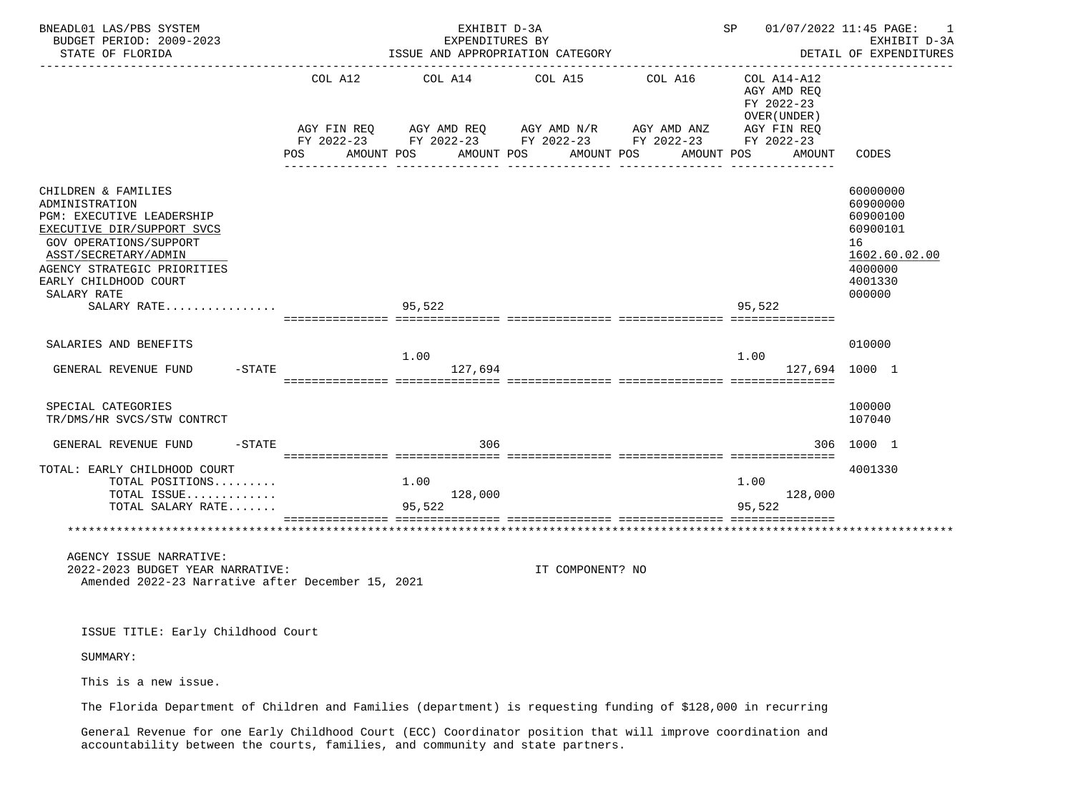| BNEADL01 LAS/PBS SYSTEM<br>BUDGET PERIOD: 2009-2023<br>STATE OF FLORIDA                                                                                                                                                                         |                              | EXHIBIT D-3A<br>EXPENDITURES BY<br>ISSUE AND APPROPRIATION CATEGORY                                                                                                                                                                                                                                       |                                                          |                         | SP 01/07/2022 11:45 PAGE:                                                                            | 1<br>EXHIBIT D-3A<br>DETAIL OF EXPENDITURES                                                         |
|-------------------------------------------------------------------------------------------------------------------------------------------------------------------------------------------------------------------------------------------------|------------------------------|-----------------------------------------------------------------------------------------------------------------------------------------------------------------------------------------------------------------------------------------------------------------------------------------------------------|----------------------------------------------------------|-------------------------|------------------------------------------------------------------------------------------------------|-----------------------------------------------------------------------------------------------------|
|                                                                                                                                                                                                                                                 | COL A12<br>POS<br>AMOUNT POS | $AGY \text{ } FIN \text{ } REQ \text{ } \hspace{5mm} AGY \text{ } AND \text{ } REQ \text{ } \hspace{5mm} AGY \text{ } AMD \text{ } N/R \text{ } \hspace{5mm} AGY \text{ } AND \text{ } ANZ \text{ } \hspace{5mm} AGY \text{ } FIN \text{ } REQ$<br>FY 2022-23 FY 2022-23 FY 2022-23 FY 2022-23 FY 2022-23 | COL A14 COL A15<br>AMOUNT POS AMOUNT POS<br>------------ | COL A16<br>------------ | COL A14-A12<br>AGY AMD REQ<br>FY 2022-23<br>OVER (UNDER)<br>AMOUNT POS AMOUNT<br>-- ---------------- | CODES                                                                                               |
| CHILDREN & FAMILIES<br>ADMINISTRATION<br>PGM: EXECUTIVE LEADERSHIP<br>EXECUTIVE DIR/SUPPORT SVCS<br><b>GOV OPERATIONS/SUPPORT</b><br>ASST/SECRETARY/ADMIN<br>AGENCY STRATEGIC PRIORITIES<br>EARLY CHILDHOOD COURT<br>SALARY RATE<br>SALARY RATE |                              | 95,522                                                                                                                                                                                                                                                                                                    |                                                          |                         | 95,522                                                                                               | 60000000<br>60900000<br>60900100<br>60900101<br>16<br>1602.60.02.00<br>4000000<br>4001330<br>000000 |
| SALARIES AND BENEFITS<br>$-$ STATE<br>GENERAL REVENUE FUND                                                                                                                                                                                      |                              | 1.00<br>127,694                                                                                                                                                                                                                                                                                           |                                                          |                         | 1.00<br>127,694 1000 1                                                                               | 010000                                                                                              |
| SPECIAL CATEGORIES<br>TR/DMS/HR SVCS/STW CONTRCT                                                                                                                                                                                                |                              |                                                                                                                                                                                                                                                                                                           |                                                          |                         |                                                                                                      | 100000<br>107040                                                                                    |
| GENERAL REVENUE FUND<br>$-$ STATE                                                                                                                                                                                                               |                              | 306                                                                                                                                                                                                                                                                                                       |                                                          |                         |                                                                                                      | 306 1000 1                                                                                          |
| TOTAL: EARLY CHILDHOOD COURT<br>TOTAL POSITIONS<br>TOTAL ISSUE<br>TOTAL SALARY RATE                                                                                                                                                             |                              | 1.00<br>128,000<br>95,522                                                                                                                                                                                                                                                                                 |                                                          |                         | 1.00<br>128,000<br>95,522                                                                            | 4001330                                                                                             |
|                                                                                                                                                                                                                                                 |                              |                                                                                                                                                                                                                                                                                                           |                                                          |                         |                                                                                                      |                                                                                                     |
| AGENCY ISSUE NARRATIVE:<br>2022-2023 BUDGET YEAR NARRATIVE:<br>Amended 2022-23 Narrative after December 15, 2021                                                                                                                                |                              |                                                                                                                                                                                                                                                                                                           | IT COMPONENT? NO                                         |                         |                                                                                                      |                                                                                                     |
| ISSUE TITLE: Early Childhood Court                                                                                                                                                                                                              |                              |                                                                                                                                                                                                                                                                                                           |                                                          |                         |                                                                                                      |                                                                                                     |
| SUMMARY:                                                                                                                                                                                                                                        |                              |                                                                                                                                                                                                                                                                                                           |                                                          |                         |                                                                                                      |                                                                                                     |
| This is a new issue.                                                                                                                                                                                                                            |                              |                                                                                                                                                                                                                                                                                                           |                                                          |                         |                                                                                                      |                                                                                                     |

The Florida Department of Children and Families (department) is requesting funding of \$128,000 in recurring

 General Revenue for one Early Childhood Court (ECC) Coordinator position that will improve coordination and accountability between the courts, families, and community and state partners.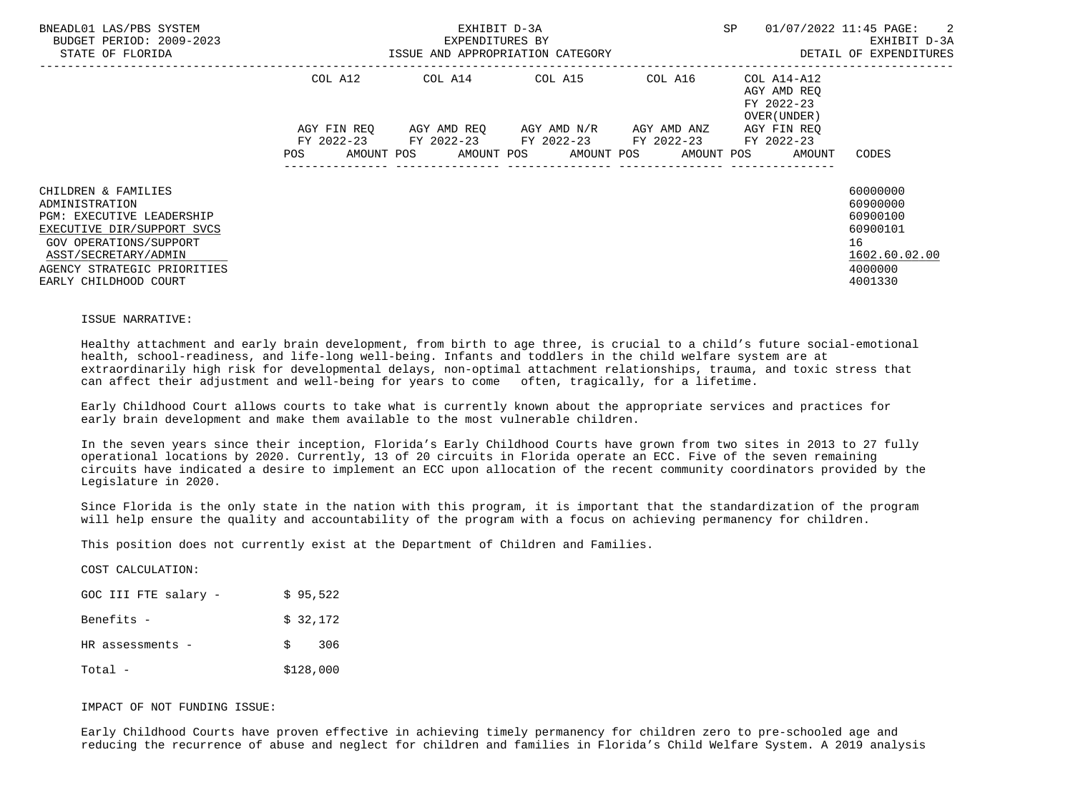| BNEADL01 LAS/PBS SYSTEM<br>BUDGET PERIOD: 2009-2023<br>STATE OF FLORIDA                                                                                                                                           | <b>SP</b><br>EXHIBIT D-3A<br>01/07/2022 11:45 PAGE:<br>EXPENDITURES BY<br>ISSUE AND APPROPRIATION CATEGORY                                                                                     | $\overline{\phantom{a}}^2$<br>EXHIBIT D-3A<br>DETAIL OF EXPENDITURES                      |
|-------------------------------------------------------------------------------------------------------------------------------------------------------------------------------------------------------------------|------------------------------------------------------------------------------------------------------------------------------------------------------------------------------------------------|-------------------------------------------------------------------------------------------|
|                                                                                                                                                                                                                   | COL A14 COL A15<br>COL A12<br>COL A16<br>COL A14-A12<br>AGY AMD REO<br>FY 2022-23<br>OVER (UNDER)                                                                                              |                                                                                           |
|                                                                                                                                                                                                                   | AGY AMD REO AGY AMD N/R AGY AMD ANZ<br>AGY FIN REO<br>AGY FIN REO<br>FY 2022-23 FY 2022-23 FY 2022-23 FY 2022-23<br>FY 2022-23<br>AMOUNT POS AMOUNT POS AMOUNT POS AMOUNT POS<br>AMOUNT<br>POS | CODES                                                                                     |
| CHILDREN & FAMILIES<br>ADMINISTRATION<br><b>PGM: EXECUTIVE LEADERSHIP</b><br>EXECUTIVE DIR/SUPPORT SVCS<br>GOV OPERATIONS/SUPPORT<br>ASST/SECRETARY/ADMIN<br>AGENCY STRATEGIC PRIORITIES<br>EARLY CHILDHOOD COURT |                                                                                                                                                                                                | 60000000<br>60900000<br>60900100<br>60900101<br>16<br>1602.60.02.00<br>4000000<br>4001330 |

#### ISSUE NARRATIVE:

COCT CALCULATION:

 Healthy attachment and early brain development, from birth to age three, is crucial to a child's future social-emotional health, school-readiness, and life-long well-being. Infants and toddlers in the child welfare system are at extraordinarily high risk for developmental delays, non-optimal attachment relationships, trauma, and toxic stress that can affect their adjustment and well-being for years to come often, tragically, for a lifetime.

 Early Childhood Court allows courts to take what is currently known about the appropriate services and practices for early brain development and make them available to the most vulnerable children.

 In the seven years since their inception, Florida's Early Childhood Courts have grown from two sites in 2013 to 27 fully operational locations by 2020. Currently, 13 of 20 circuits in Florida operate an ECC. Five of the seven remaining circuits have indicated a desire to implement an ECC upon allocation of the recent community coordinators provided by the Legislature in 2020.

 Since Florida is the only state in the nation with this program, it is important that the standardization of the program will help ensure the quality and accountability of the program with a focus on achieving permanency for children.

This position does not currently exist at the Department of Children and Families.

| COOT CARCOPATION.    |    |           |
|----------------------|----|-----------|
| GOC III FTE salary - |    | \$95,522  |
| Benefits -           |    | \$32,172  |
| HR assessments -     | S. | 306       |
| Total –              |    | \$128,000 |

IMPACT OF NOT FUNDING ISSUE:

 Early Childhood Courts have proven effective in achieving timely permanency for children zero to pre-schooled age and reducing the recurrence of abuse and neglect for children and families in Florida's Child Welfare System. A 2019 analysis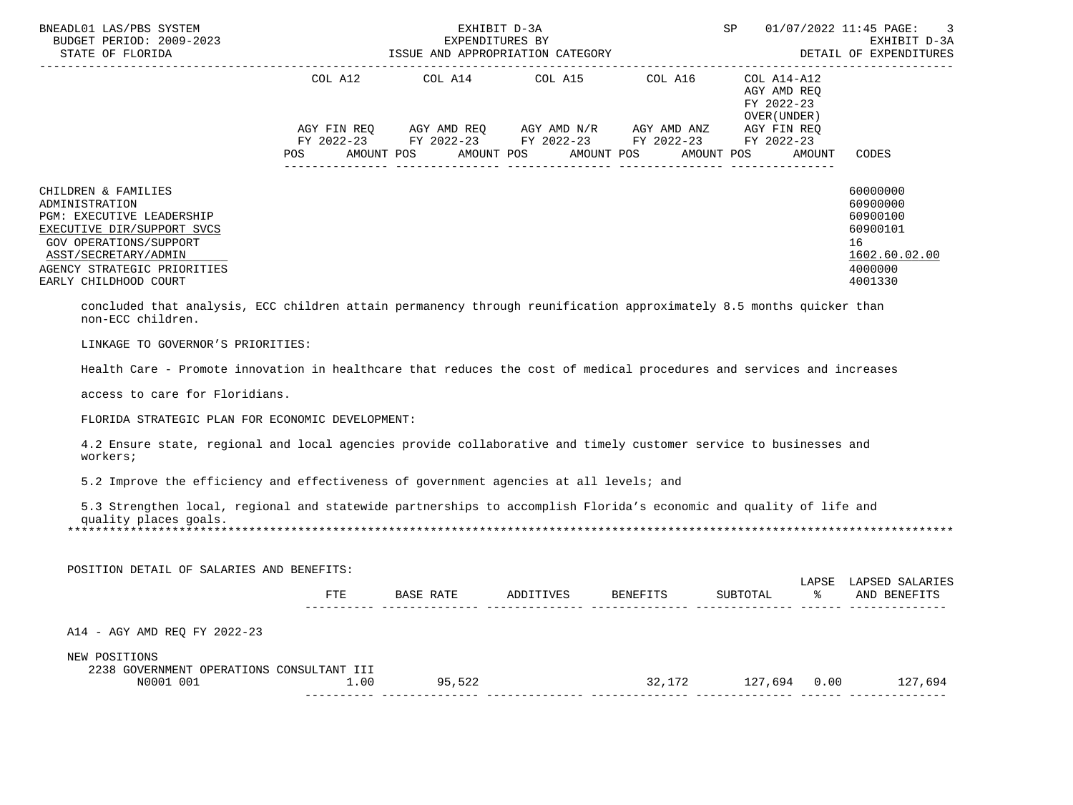| BNEADL01 LAS/PBS SYSTEM<br>BUDGET PERIOD: 2009-2023<br>STATE OF FLORIDA                                                                                                                                                                                                                                |                               | EXPENDITURES BY<br>ISSUE AND APPROPRIATION CATEGORY<br>--------------------------------                     | EXHIBIT D-3A                        |                 | SP                                                                                                  |            | 01/07/2022 11:45 PAGE:<br>EXHIBIT D-3A<br>DETAIL OF EXPENDITURES                          |
|--------------------------------------------------------------------------------------------------------------------------------------------------------------------------------------------------------------------------------------------------------------------------------------------------------|-------------------------------|-------------------------------------------------------------------------------------------------------------|-------------------------------------|-----------------|-----------------------------------------------------------------------------------------------------|------------|-------------------------------------------------------------------------------------------|
|                                                                                                                                                                                                                                                                                                        | COL A12<br>AGY FIN REQ<br>POS | COL A14<br>AGY AMD REQ AGY AMD N/R AGY AMD ANZ<br>FY 2022-23 FY 2022-23 FY 2022-23 FY 2022-23<br>AMOUNT POS | COL A15<br>AMOUNT POS<br>AMOUNT POS | COL A16         | COL A14-A12<br>AGY AMD REQ<br>FY 2022-23<br>OVER (UNDER)<br>AGY FIN REQ<br>FY 2022-23<br>AMOUNT POS | AMOUNT     | CODES                                                                                     |
| CHILDREN & FAMILIES<br>ADMINISTRATION<br>PGM: EXECUTIVE LEADERSHIP<br>EXECUTIVE DIR/SUPPORT SVCS<br><b>GOV OPERATIONS/SUPPORT</b><br>ASST/SECRETARY/ADMIN<br>AGENCY STRATEGIC PRIORITIES<br>EARLY CHILDHOOD COURT                                                                                      |                               |                                                                                                             |                                     |                 |                                                                                                     |            | 60000000<br>60900000<br>60900100<br>60900101<br>16<br>1602.60.02.00<br>4000000<br>4001330 |
| concluded that analysis, ECC children attain permanency through reunification approximately 8.5 months quicker than<br>non-ECC children.<br>LINKAGE TO GOVERNOR'S PRIORITIES:<br>Health Care - Promote innovation in healthcare that reduces the cost of medical procedures and services and increases |                               |                                                                                                             |                                     |                 |                                                                                                     |            |                                                                                           |
| access to care for Floridians.<br>FLORIDA STRATEGIC PLAN FOR ECONOMIC DEVELOPMENT:                                                                                                                                                                                                                     |                               |                                                                                                             |                                     |                 |                                                                                                     |            |                                                                                           |
| 4.2 Ensure state, regional and local agencies provide collaborative and timely customer service to businesses and<br>workers;                                                                                                                                                                          |                               |                                                                                                             |                                     |                 |                                                                                                     |            |                                                                                           |
| 5.2 Improve the efficiency and effectiveness of government agencies at all levels; and                                                                                                                                                                                                                 |                               |                                                                                                             |                                     |                 |                                                                                                     |            |                                                                                           |
| 5.3 Strengthen local, regional and statewide partnerships to accomplish Florida's economic and quality of life and<br>quality places goals.                                                                                                                                                            |                               |                                                                                                             |                                     |                 |                                                                                                     |            |                                                                                           |
| POSITION DETAIL OF SALARIES AND BENEFITS:                                                                                                                                                                                                                                                              |                               |                                                                                                             |                                     |                 |                                                                                                     |            |                                                                                           |
|                                                                                                                                                                                                                                                                                                        | FTE                           | <b>BASE RATE</b>                                                                                            | ADDITIVES                           | <b>BENEFITS</b> | SUBTOTAL                                                                                            | LAPSE<br>ႜ | LAPSED SALARIES<br>AND BENEFITS                                                           |
| A14 - AGY AMD REQ FY 2022-23                                                                                                                                                                                                                                                                           |                               |                                                                                                             |                                     |                 |                                                                                                     |            |                                                                                           |
| NEW POSITIONS<br>2238 GOVERNMENT OPERATIONS CONSULTANT III<br>N0001 001                                                                                                                                                                                                                                | 1.00                          | 95,522                                                                                                      |                                     |                 | 32,172 127,694 0.00                                                                                 |            | 127,694                                                                                   |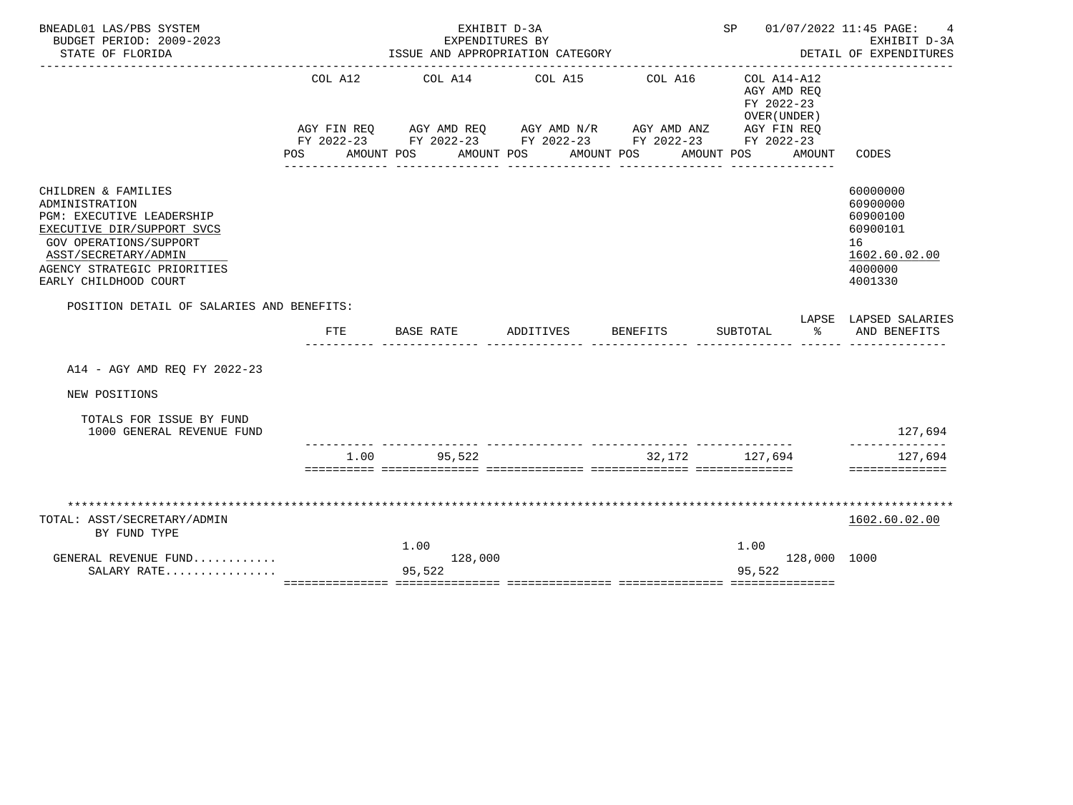| BNEADL01 LAS/PBS SYSTEM<br>BUDGET PERIOD: 2009-2023<br>STATE OF FLORIDA                                                                                                                                           |                                          | EXPENDITURES BY<br>ISSUE AND APPROPRIATION CATEGORY                                                                          | EXHIBIT D-3A |                       |                                                                        |              | SP 01/07/2022 11:45 PAGE:<br>4<br>EXHIBIT D-3A<br>DETAIL OF EXPENDITURES                  |
|-------------------------------------------------------------------------------------------------------------------------------------------------------------------------------------------------------------------|------------------------------------------|------------------------------------------------------------------------------------------------------------------------------|--------------|-----------------------|------------------------------------------------------------------------|--------------|-------------------------------------------------------------------------------------------|
|                                                                                                                                                                                                                   | COL A12<br>AGY FIN REO<br>POS AMOUNT POS | COL A14 COL A15<br>AGY AMD REQ AGY AMD N/R AGY AMD ANZ AGY FIN REQ<br>FY 2022-23 FY 2022-23 FY 2022-23 FY 2022-23 FY 2022-23 | AMOUNT POS   | COL A16<br>AMOUNT POS | COL A14-A12<br>AGY AMD REO<br>FY 2022-23<br>OVER (UNDER)<br>AMOUNT POS | AMOUNT       | CODES                                                                                     |
| CHILDREN & FAMILIES<br>ADMINISTRATION<br><b>PGM: EXECUTIVE LEADERSHIP</b><br>EXECUTIVE DIR/SUPPORT SVCS<br>GOV OPERATIONS/SUPPORT<br>ASST/SECRETARY/ADMIN<br>AGENCY STRATEGIC PRIORITIES<br>EARLY CHILDHOOD COURT |                                          |                                                                                                                              |              |                       |                                                                        |              | 60000000<br>60900000<br>60900100<br>60900101<br>16<br>1602.60.02.00<br>4000000<br>4001330 |
| POSITION DETAIL OF SALARIES AND BENEFITS:                                                                                                                                                                         | FTE                                      | BASE RATE                                                                                                                    | ADDITIVES    | <b>BENEFITS</b>       | SUBTOTAL                                                               | ႜ            | LAPSE LAPSED SALARIES<br>AND BENEFITS                                                     |
| A14 - AGY AMD REO FY 2022-23                                                                                                                                                                                      |                                          |                                                                                                                              |              |                       |                                                                        |              |                                                                                           |
| NEW POSITIONS                                                                                                                                                                                                     |                                          |                                                                                                                              |              |                       |                                                                        |              |                                                                                           |
| TOTALS FOR ISSUE BY FUND<br>1000 GENERAL REVENUE FUND                                                                                                                                                             |                                          |                                                                                                                              |              |                       |                                                                        |              | 127,694                                                                                   |
|                                                                                                                                                                                                                   | 1.00                                     | 95,522                                                                                                                       |              | 32,172                | 127,694                                                                |              | 127,694<br>==============                                                                 |
| TOTAL: ASST/SECRETARY/ADMIN<br>BY FUND TYPE                                                                                                                                                                       |                                          | 1.00                                                                                                                         |              |                       | 1.00                                                                   |              | 1602.60.02.00                                                                             |
| GENERAL REVENUE FUND<br>SALARY RATE                                                                                                                                                                               |                                          | 128,000<br>95,522                                                                                                            |              |                       | 95,522                                                                 | 128,000 1000 |                                                                                           |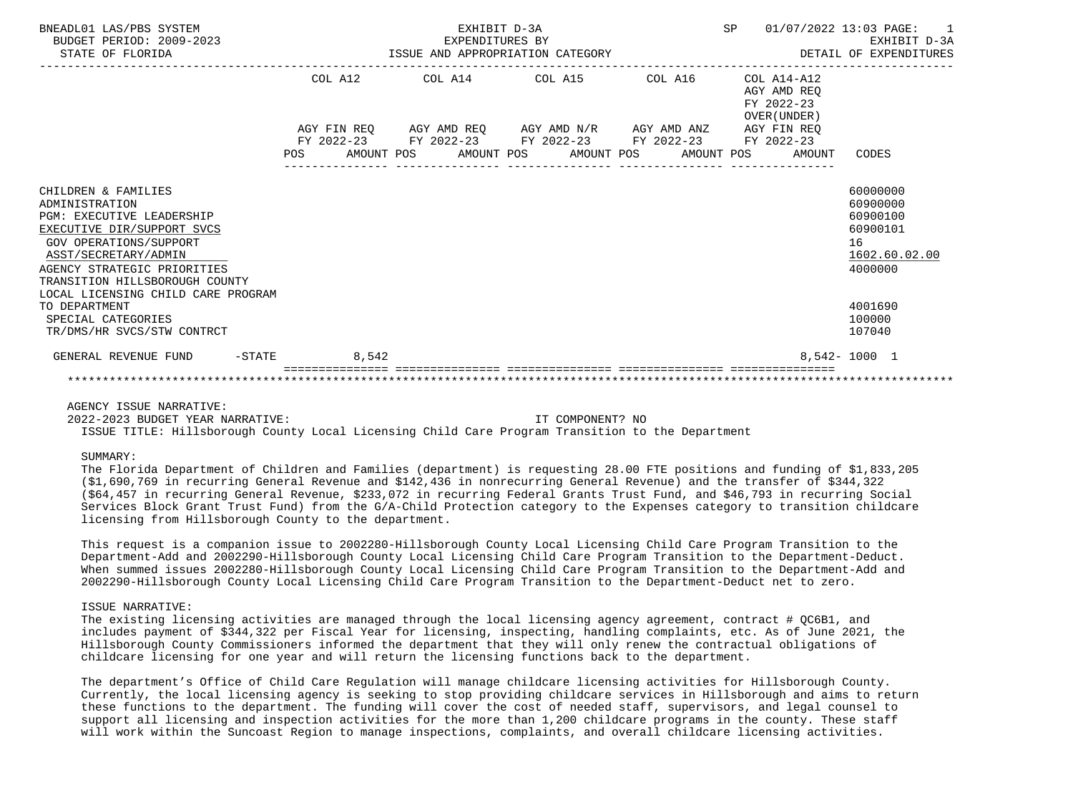| BNEADL01 LAS/PBS SYSTEM<br>BUDGET PERIOD: 2009-2023<br>STATE OF FLORIDA                                                                                                                                                    |     |       | EXHIBIT D-3A<br>EXPENDITURES BY<br>ISSUE AND APPROPRIATION CATEGORY |  |  | SP |                                                                           | 01/07/2022 13:03 PAGE:<br>$\sim$ 1<br>EXHIBIT D-3A<br>DETAIL OF EXPENDITURES   |
|----------------------------------------------------------------------------------------------------------------------------------------------------------------------------------------------------------------------------|-----|-------|---------------------------------------------------------------------|--|--|----|---------------------------------------------------------------------------|--------------------------------------------------------------------------------|
|                                                                                                                                                                                                                            |     |       | COL A12 COL A14 COL A15 COL A16                                     |  |  |    | COL A14-A12<br>AGY AMD REO<br>FY 2022-23<br>OVER (UNDER)                  |                                                                                |
|                                                                                                                                                                                                                            |     |       | AGY FIN REQ AGY AMD REQ AGY AMD N/R AGY AMD ANZ AGY FIN REQ         |  |  |    |                                                                           |                                                                                |
|                                                                                                                                                                                                                            | POS |       | FY 2022-23 FY 2022-23 FY 2022-23 FY 2022-23 FY 2022-23              |  |  |    | AMOUNT POS      AMOUNT POS     AMOUNT POS     AMOUNT POS     AMOUNT CODES |                                                                                |
| CHILDREN & FAMILIES<br>ADMINISTRATION<br><b>PGM: EXECUTIVE LEADERSHIP</b><br>EXECUTIVE DIR/SUPPORT SVCS<br>GOV OPERATIONS/SUPPORT<br>ASST/SECRETARY/ADMIN<br>AGENCY STRATEGIC PRIORITIES<br>TRANSITION HILLSBOROUGH COUNTY |     |       |                                                                     |  |  |    |                                                                           | 60000000<br>60900000<br>60900100<br>60900101<br>16<br>1602.60.02.00<br>4000000 |
| LOCAL LICENSING CHILD CARE PROGRAM<br>TO DEPARTMENT<br>SPECIAL CATEGORIES<br>TR/DMS/HR SVCS/STW CONTRCT                                                                                                                    |     |       |                                                                     |  |  |    |                                                                           | 4001690<br>100000<br>107040                                                    |
| $-$ STATE<br>GENERAL REVENUE FUND                                                                                                                                                                                          |     | 8,542 |                                                                     |  |  |    |                                                                           | $8.542 - 1000$ 1                                                               |
|                                                                                                                                                                                                                            |     |       |                                                                     |  |  |    |                                                                           |                                                                                |

AGENCY ISSUE NARRATIVE:

 2022-2023 BUDGET YEAR NARRATIVE: IT COMPONENT? NO ISSUE TITLE: Hillsborough County Local Licensing Child Care Program Transition to the Department

## SUMMARY:

 The Florida Department of Children and Families (department) is requesting 28.00 FTE positions and funding of \$1,833,205 (\$1,690,769 in recurring General Revenue and \$142,436 in nonrecurring General Revenue) and the transfer of \$344,322 (\$64,457 in recurring General Revenue, \$233,072 in recurring Federal Grants Trust Fund, and \$46,793 in recurring Social Services Block Grant Trust Fund) from the G/A-Child Protection category to the Expenses category to transition childcare licensing from Hillsborough County to the department.

 This request is a companion issue to 2002280-Hillsborough County Local Licensing Child Care Program Transition to the Department-Add and 2002290-Hillsborough County Local Licensing Child Care Program Transition to the Department-Deduct. When summed issues 2002280-Hillsborough County Local Licensing Child Care Program Transition to the Department-Add and 2002290-Hillsborough County Local Licensing Child Care Program Transition to the Department-Deduct net to zero.

## ISSUE NARRATIVE:

 The existing licensing activities are managed through the local licensing agency agreement, contract # QC6B1, and includes payment of \$344,322 per Fiscal Year for licensing, inspecting, handling complaints, etc. As of June 2021, the Hillsborough County Commissioners informed the department that they will only renew the contractual obligations of childcare licensing for one year and will return the licensing functions back to the department.

 The department's Office of Child Care Regulation will manage childcare licensing activities for Hillsborough County. Currently, the local licensing agency is seeking to stop providing childcare services in Hillsborough and aims to return these functions to the department. The funding will cover the cost of needed staff, supervisors, and legal counsel to support all licensing and inspection activities for the more than 1,200 childcare programs in the county. These staff will work within the Suncoast Region to manage inspections, complaints, and overall childcare licensing activities.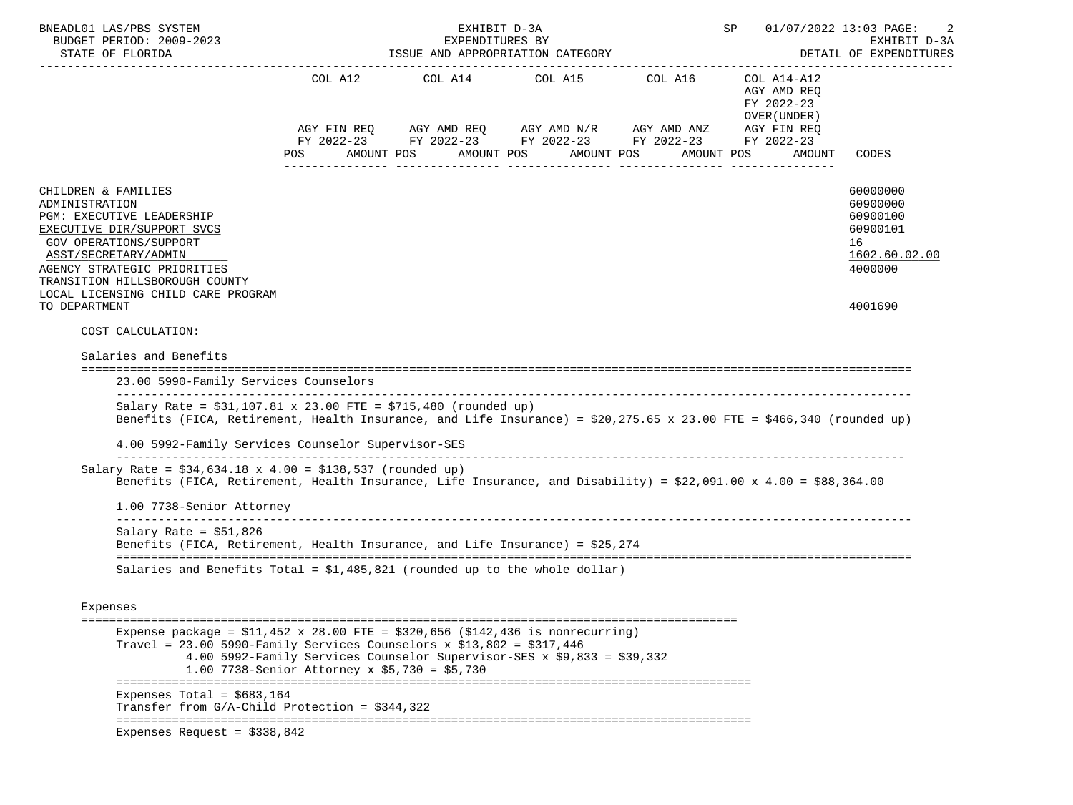| BNEADL01 LAS/PBS SYSTEM<br>BUDGET PERIOD: 2009-2023                                                                                                                                                                                                                        |                                                                                                                          | EXHIBIT D-3A<br>EXPENDITURES BY |                                                                                                                                                                                      | SP 01/07/2022 13:03 PAGE:                                                        | 2<br>EXHIBIT D-3A                                                                         |
|----------------------------------------------------------------------------------------------------------------------------------------------------------------------------------------------------------------------------------------------------------------------------|--------------------------------------------------------------------------------------------------------------------------|---------------------------------|--------------------------------------------------------------------------------------------------------------------------------------------------------------------------------------|----------------------------------------------------------------------------------|-------------------------------------------------------------------------------------------|
| STATE OF FLORIDA                                                                                                                                                                                                                                                           |                                                                                                                          |                                 | ISSUE AND APPROPRIATION CATEGORY                                                                                                                                                     |                                                                                  | DETAIL OF EXPENDITURES                                                                    |
|                                                                                                                                                                                                                                                                            | POS<br>AMOUNT POS                                                                                                        |                                 | COL A12 COL A14 COL A15 COL A16<br>AGY FIN REQ AGY AMD REQ AGY AMD N/R AGY AMD ANZ AGY FIN REQ<br>FY 2022-23 FY 2022-23 FY 2022-23 FY 2022-23 FY 2022-23<br>AMOUNT POS<br>AMOUNT POS | COL A14-A12<br>AGY AMD REQ<br>FY 2022-23<br>OVER (UNDER)<br>AMOUNT POS<br>AMOUNT | CODES                                                                                     |
| CHILDREN & FAMILIES<br>ADMINISTRATION<br>PGM: EXECUTIVE LEADERSHIP<br>EXECUTIVE DIR/SUPPORT SVCS<br>GOV OPERATIONS/SUPPORT<br>ASST/SECRETARY/ADMIN<br>AGENCY STRATEGIC PRIORITIES<br>TRANSITION HILLSBOROUGH COUNTY<br>LOCAL LICENSING CHILD CARE PROGRAM<br>TO DEPARTMENT |                                                                                                                          |                                 |                                                                                                                                                                                      |                                                                                  | 60000000<br>60900000<br>60900100<br>60900101<br>16<br>1602.60.02.00<br>4000000<br>4001690 |
| COST CALCULATION:                                                                                                                                                                                                                                                          |                                                                                                                          |                                 |                                                                                                                                                                                      |                                                                                  |                                                                                           |
| Salaries and Benefits<br>23.00 5990-Family Services Counselors                                                                                                                                                                                                             |                                                                                                                          |                                 |                                                                                                                                                                                      |                                                                                  |                                                                                           |
| Salary Rate = $$31,107.81 \times 23.00$ FTE = $$715,480$ (rounded up)<br>Benefits (FICA, Retirement, Health Insurance, and Life Insurance) = $$20,275.65 \times 23.00$ FTE = $$466,340$ (rounded up)                                                                       |                                                                                                                          |                                 |                                                                                                                                                                                      |                                                                                  |                                                                                           |
| 4.00 5992-Family Services Counselor Supervisor-SES                                                                                                                                                                                                                         |                                                                                                                          |                                 |                                                                                                                                                                                      |                                                                                  |                                                                                           |
| Salary Rate = $$34,634.18 \times 4.00 = $138,537$ (rounded up)<br>Benefits (FICA, Retirement, Health Insurance, Life Insurance, and Disability) = \$22,091.00 x 4.00 = \$88,364.00                                                                                         |                                                                                                                          |                                 |                                                                                                                                                                                      |                                                                                  |                                                                                           |
| 1.00 7738-Senior Attorney                                                                                                                                                                                                                                                  |                                                                                                                          |                                 |                                                                                                                                                                                      |                                                                                  |                                                                                           |
| Salary Rate = $$51,826$<br>Benefits (FICA, Retirement, Health Insurance, and Life Insurance) = \$25,274<br>Salaries and Benefits Total = $$1,485,821$ (rounded up to the whole dollar)                                                                                     |                                                                                                                          |                                 |                                                                                                                                                                                      |                                                                                  |                                                                                           |
| Expenses                                                                                                                                                                                                                                                                   |                                                                                                                          |                                 |                                                                                                                                                                                      |                                                                                  |                                                                                           |
| Expense package = $$11,452 \times 28.00$ FTE = $$320,656$ ( $$142,436$ is nonrecurring)<br>Travel = $23.00$ 5990-Family Services Counselors x \$13,802 = \$317,446                                                                                                         | 4.00 5992-Family Services Counselor Supervisor-SES x \$9,833 = \$39,332<br>1.00 7738-Senior Attorney x \$5,730 = \$5,730 |                                 |                                                                                                                                                                                      |                                                                                  |                                                                                           |
| Expenses Total = $$683.164$<br>Transfer from $G/A$ -Child Protection = \$344,322                                                                                                                                                                                           |                                                                                                                          |                                 |                                                                                                                                                                                      |                                                                                  |                                                                                           |
| Expenses Request = $$338,842$                                                                                                                                                                                                                                              |                                                                                                                          |                                 |                                                                                                                                                                                      |                                                                                  |                                                                                           |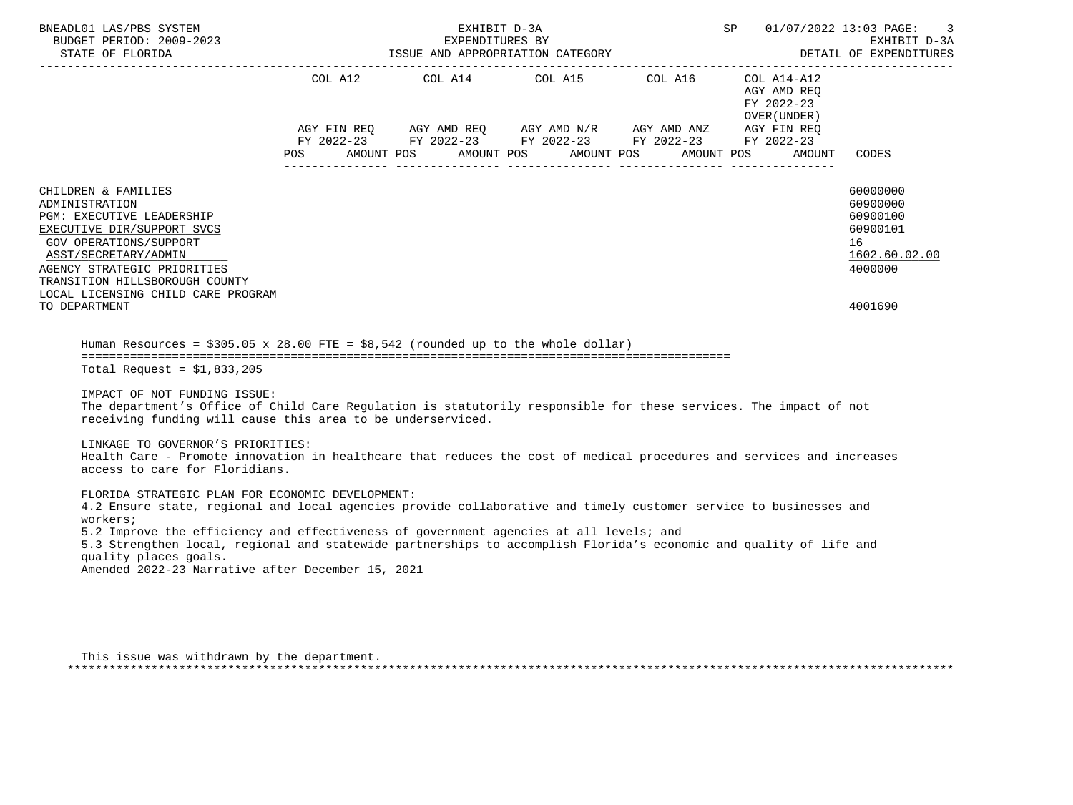| BNEADL01 LAS/PBS SYSTEM<br>BUDGET PERIOD: 2009-2023<br>STATE OF FLORIDA                                                                                                                                                                                                                                                                                                                                                                                                                                                                                                                                                                                                                                                                                                                                                                                                                                                                                                                                                         |                              | EXHIBIT D-3A<br>EXPENDITURES BY | ISSUE AND APPROPRIATION CATEGORY |                                                                                                                                                                                                                                  | SP                                                                     | 01/07/2022 13:03 PAGE:<br>3<br>EXHIBIT D-3A<br>DETAIL OF EXPENDITURES                     |
|---------------------------------------------------------------------------------------------------------------------------------------------------------------------------------------------------------------------------------------------------------------------------------------------------------------------------------------------------------------------------------------------------------------------------------------------------------------------------------------------------------------------------------------------------------------------------------------------------------------------------------------------------------------------------------------------------------------------------------------------------------------------------------------------------------------------------------------------------------------------------------------------------------------------------------------------------------------------------------------------------------------------------------|------------------------------|---------------------------------|----------------------------------|----------------------------------------------------------------------------------------------------------------------------------------------------------------------------------------------------------------------------------|------------------------------------------------------------------------|-------------------------------------------------------------------------------------------|
|                                                                                                                                                                                                                                                                                                                                                                                                                                                                                                                                                                                                                                                                                                                                                                                                                                                                                                                                                                                                                                 | COL A12<br>POS<br>AMOUNT POS |                                 | AMOUNT POS                       | COL A14 COL A15 COL A16<br>$AGY \text{ FIN REQ} \qquad \text{AGY AMD REQ} \qquad \text{AGY AMD N/R} \qquad \text{AGY AMD ANZ} \qquad \text{AGY FIN REQ}$<br>FY 2022-23 FY 2022-23 FY 2022-23 FY 2022-23 FY 2022-23<br>AMOUNT POS | COL A14-A12<br>AGY AMD REO<br>FY 2022-23<br>OVER (UNDER)<br>AMOUNT POS | AMOUNT CODES                                                                              |
| CHILDREN & FAMILIES<br>ADMINISTRATION<br><b>PGM: EXECUTIVE LEADERSHIP</b><br>EXECUTIVE DIR/SUPPORT SVCS<br>GOV OPERATIONS/SUPPORT<br>ASST/SECRETARY/ADMIN<br>AGENCY STRATEGIC PRIORITIES<br>TRANSITION HILLSBOROUGH COUNTY<br>LOCAL LICENSING CHILD CARE PROGRAM<br>TO DEPARTMENT                                                                                                                                                                                                                                                                                                                                                                                                                                                                                                                                                                                                                                                                                                                                               |                              |                                 |                                  |                                                                                                                                                                                                                                  |                                                                        | 60000000<br>60900000<br>60900100<br>60900101<br>16<br>1602.60.02.00<br>4000000<br>4001690 |
| Human Resources = $$305.05 \times 28.00$ FTE = $$8.542$ (rounded up to the whole dollar)<br>Total Request = $$1,833,205$<br>IMPACT OF NOT FUNDING ISSUE:<br>The department's Office of Child Care Regulation is statutorily responsible for these services. The impact of not<br>receiving funding will cause this area to be underserviced.<br>LINKAGE TO GOVERNOR'S PRIORITIES:<br>Health Care - Promote innovation in healthcare that reduces the cost of medical procedures and services and increases<br>access to care for Floridians.<br>FLORIDA STRATEGIC PLAN FOR ECONOMIC DEVELOPMENT:<br>4.2 Ensure state, regional and local agencies provide collaborative and timely customer service to businesses and<br>workers;<br>5.2 Improve the efficiency and effectiveness of government agencies at all levels; and<br>5.3 Strengthen local, regional and statewide partnerships to accomplish Florida's economic and quality of life and<br>quality places goals.<br>Amended 2022-23 Narrative after December 15, 2021 |                              |                                 |                                  |                                                                                                                                                                                                                                  |                                                                        |                                                                                           |

 This issue was withdrawn by the department. \*\*\*\*\*\*\*\*\*\*\*\*\*\*\*\*\*\*\*\*\*\*\*\*\*\*\*\*\*\*\*\*\*\*\*\*\*\*\*\*\*\*\*\*\*\*\*\*\*\*\*\*\*\*\*\*\*\*\*\*\*\*\*\*\*\*\*\*\*\*\*\*\*\*\*\*\*\*\*\*\*\*\*\*\*\*\*\*\*\*\*\*\*\*\*\*\*\*\*\*\*\*\*\*\*\*\*\*\*\*\*\*\*\*\*\*\*\*\*\*\*\*\*\*\*\*\*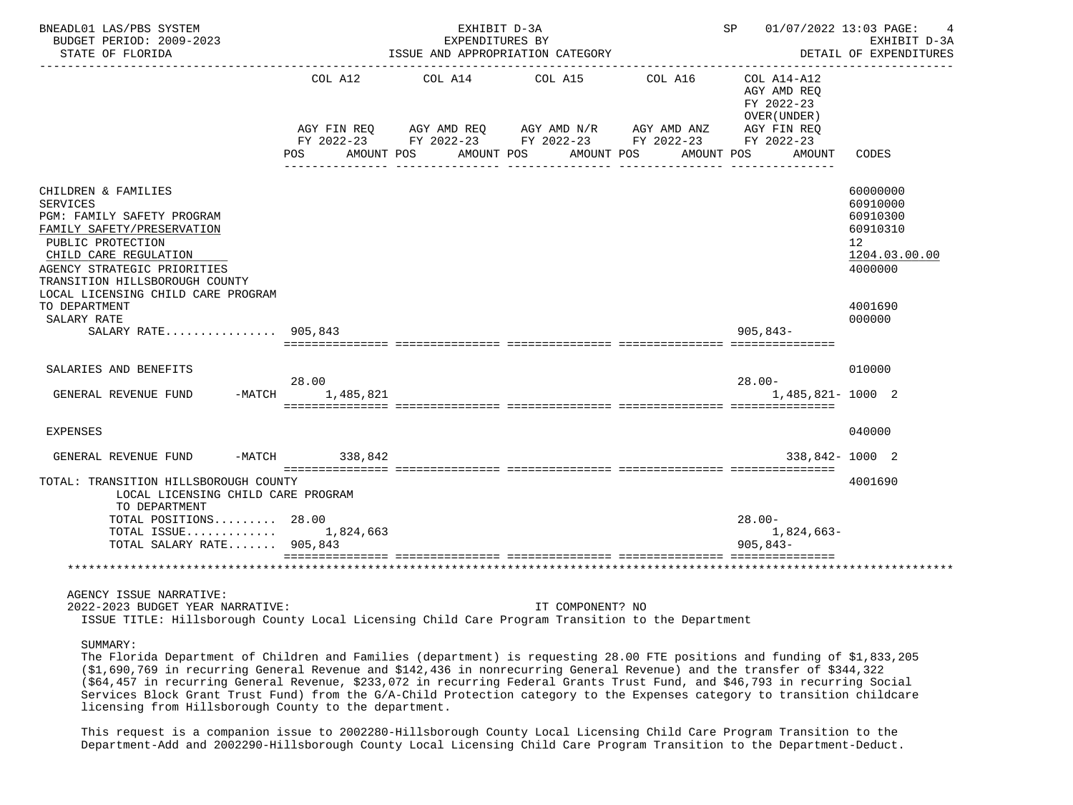| BNEADL01 LAS/PBS SYSTEM<br>BUDGET PERIOD: 2009-2023<br>STATE OF FLORIDA                                                                                                                                                                                 |                    | EXHIBIT D-3A<br>EXPENDITURES BY<br>ISSUE AND APPROPRIATION CATEGORY                                                                      |                  |         | SP 01/07/2022 13:03 PAGE:                                | EXHIBIT D-3A<br>DETAIL OF EXPENDITURES                                         |  |  |
|---------------------------------------------------------------------------------------------------------------------------------------------------------------------------------------------------------------------------------------------------------|--------------------|------------------------------------------------------------------------------------------------------------------------------------------|------------------|---------|----------------------------------------------------------|--------------------------------------------------------------------------------|--|--|
|                                                                                                                                                                                                                                                         | COL A12            | COL A14 COL A15<br>AGY FIN REQ AGY AMD REQ AGY AMD N/R AGY AMD ANZ AGY FIN REQ<br>FY 2022-23 FY 2022-23 FY 2022-23 FY 2022-23 FY 2022-23 |                  | COL A16 | COL A14-A12<br>AGY AMD REQ<br>FY 2022-23<br>OVER (UNDER) |                                                                                |  |  |
|                                                                                                                                                                                                                                                         | POS FOR            | AMOUNT POS<br>AMOUNT POS                                                                                                                 | AMOUNT POS       |         | AMOUNT POS<br>AMOUNT                                     | CODES                                                                          |  |  |
| CHILDREN & FAMILIES<br><b>SERVICES</b><br>PGM: FAMILY SAFETY PROGRAM<br>FAMILY SAFETY/PRESERVATION<br>PUBLIC PROTECTION<br>CHILD CARE REGULATION<br>AGENCY STRATEGIC PRIORITIES<br>TRANSITION HILLSBOROUGH COUNTY<br>LOCAL LICENSING CHILD CARE PROGRAM |                    |                                                                                                                                          |                  |         |                                                          | 60000000<br>60910000<br>60910300<br>60910310<br>12<br>1204.03.00.00<br>4000000 |  |  |
| TO DEPARTMENT<br>SALARY RATE<br>SALARY RATE 905,843                                                                                                                                                                                                     |                    |                                                                                                                                          |                  |         | $905,843-$                                               | 4001690<br>000000                                                              |  |  |
| SALARIES AND BENEFITS                                                                                                                                                                                                                                   |                    |                                                                                                                                          |                  |         |                                                          | 010000                                                                         |  |  |
| $-MATCH$<br>GENERAL REVENUE FUND                                                                                                                                                                                                                        | 28.00<br>1,485,821 |                                                                                                                                          |                  |         | $28.00 -$<br>1,485,821-1000 2                            |                                                                                |  |  |
| EXPENSES                                                                                                                                                                                                                                                |                    |                                                                                                                                          |                  |         |                                                          | 040000                                                                         |  |  |
| GENERAL REVENUE FUND                                                                                                                                                                                                                                    | -MATCH 338,842     |                                                                                                                                          |                  |         | 338,842-1000 2                                           |                                                                                |  |  |
| TOTAL: TRANSITION HILLSBOROUGH COUNTY<br>LOCAL LICENSING CHILD CARE PROGRAM<br>TO DEPARTMENT                                                                                                                                                            |                    |                                                                                                                                          |                  |         |                                                          | 4001690                                                                        |  |  |
| TOTAL POSITIONS 28.00<br>TOTAL ISSUE $1,824,663$<br>TOTAL SALARY RATE 905,843                                                                                                                                                                           |                    |                                                                                                                                          |                  |         | $28.00 -$<br>1,824,663-<br>$905.843 -$                   |                                                                                |  |  |
|                                                                                                                                                                                                                                                         |                    |                                                                                                                                          |                  |         |                                                          |                                                                                |  |  |
| AGENCY ISSUE NARRATIVE:<br>2022-2023 BUDGET YEAR NARRATIVE:<br>ISSUE TITLE: Hillsborough County Local Licensing Child Care Program Transition to the Department                                                                                         |                    |                                                                                                                                          | IT COMPONENT? NO |         |                                                          |                                                                                |  |  |
| SUMMARY:<br>The Flexida Department of Children and Familias (department) is requesting 29 00 FTF pesitions and funding of \$1,922,205                                                                                                                   |                    |                                                                                                                                          |                  |         |                                                          |                                                                                |  |  |

 The Florida Department of Children and Families (department) is requesting 28.00 FTE positions and funding of \$1,833,205 (\$1,690,769 in recurring General Revenue and \$142,436 in nonrecurring General Revenue) and the transfer of \$344,322 (\$64,457 in recurring General Revenue, \$233,072 in recurring Federal Grants Trust Fund, and \$46,793 in recurring Social Services Block Grant Trust Fund) from the G/A-Child Protection category to the Expenses category to transition childcare licensing from Hillsborough County to the department.

 This request is a companion issue to 2002280-Hillsborough County Local Licensing Child Care Program Transition to the Department-Add and 2002290-Hillsborough County Local Licensing Child Care Program Transition to the Department-Deduct.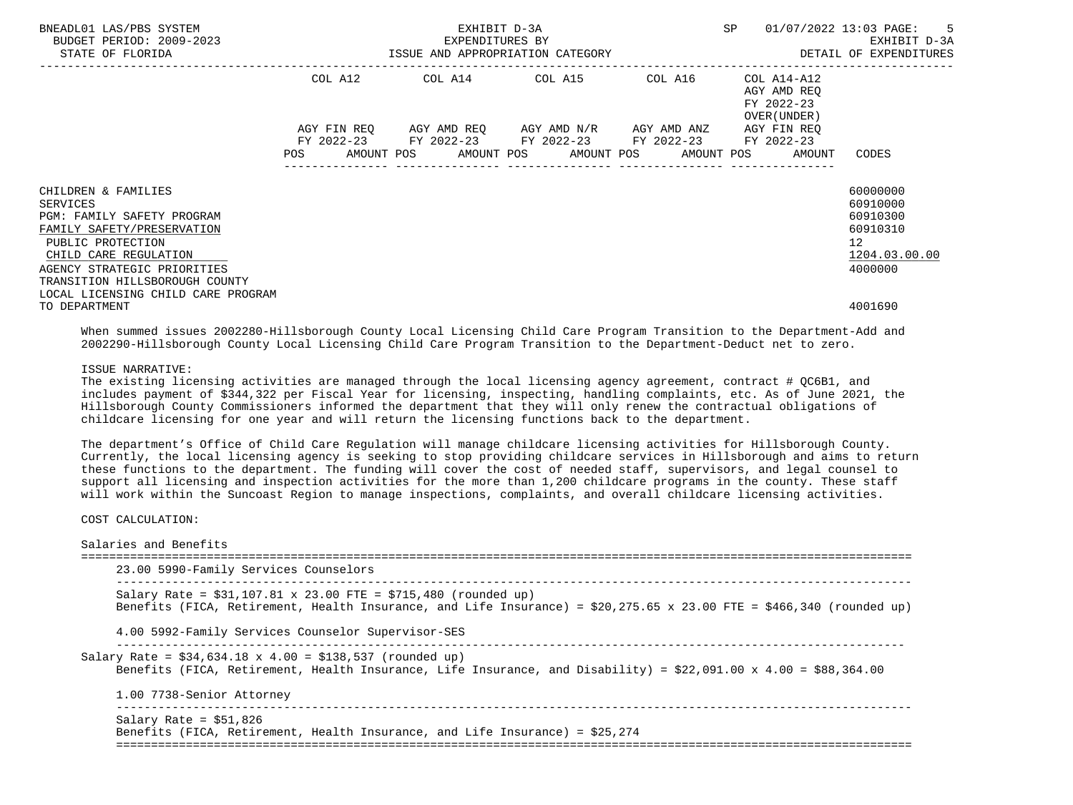| BNEADL01 LAS/PBS SYSTEM<br>BUDGET PERIOD: 2009-2023<br>STATE OF FLORIDA | SP<br>EXHIBIT D-3A<br>EXPENDITURES BY<br>ISSUE AND APPROPRIATION CATEGORY |  |  |  |  |                                                                                                                                                          |  |  |  | 01/07/2022 13:03 PAGE:                    | DETAIL OF EXPENDITURES | $-5$<br>EXHIBIT D-3A |
|-------------------------------------------------------------------------|---------------------------------------------------------------------------|--|--|--|--|----------------------------------------------------------------------------------------------------------------------------------------------------------|--|--|--|-------------------------------------------|------------------------|----------------------|
|                                                                         | COL A12                                                                   |  |  |  |  |                                                                                                                                                          |  |  |  | AGY AMD REO<br>FY 2022-23<br>OVER (UNDER) |                        |                      |
|                                                                         | <b>POS</b>                                                                |  |  |  |  | AGY FIN REQ 6GY AMD REQ 6GY AMD N/R 6GY AMD ANZ<br>FY 2022-23 FY 2022-23 FY 2022-23 FY 2022-23 FY 2022-23<br>AMOUNT POS AMOUNT POS AMOUNT POS AMOUNT POS |  |  |  | AGY FIN REO<br>AMOUNT                     | CODES                  |                      |
| CHILDREN & FAMILIES                                                     |                                                                           |  |  |  |  |                                                                                                                                                          |  |  |  |                                           | 60000000               |                      |
| SERVICES<br>PGM: FAMILY SAFETY PROGRAM                                  |                                                                           |  |  |  |  |                                                                                                                                                          |  |  |  |                                           | 60910000<br>60910300   |                      |
| FAMILY SAFETY/PRESERVATION                                              |                                                                           |  |  |  |  |                                                                                                                                                          |  |  |  |                                           | 60910310               |                      |
| PUBLIC PROTECTION                                                       |                                                                           |  |  |  |  |                                                                                                                                                          |  |  |  |                                           | 12 <sup>°</sup>        |                      |
| CHILD CARE REGULATION                                                   |                                                                           |  |  |  |  |                                                                                                                                                          |  |  |  |                                           | 1204.03.00.00          |                      |
| AGENCY STRATEGIC PRIORITIES                                             |                                                                           |  |  |  |  |                                                                                                                                                          |  |  |  |                                           | 4000000                |                      |
| TRANSITION HILLSBOROUGH COUNTY                                          |                                                                           |  |  |  |  |                                                                                                                                                          |  |  |  |                                           |                        |                      |
| LOCAL LICENSING CHILD CARE PROGRAM                                      |                                                                           |  |  |  |  |                                                                                                                                                          |  |  |  |                                           |                        |                      |
| TO DEPARTMENT                                                           |                                                                           |  |  |  |  |                                                                                                                                                          |  |  |  |                                           | 4001690                |                      |

 When summed issues 2002280-Hillsborough County Local Licensing Child Care Program Transition to the Department-Add and 2002290-Hillsborough County Local Licensing Child Care Program Transition to the Department-Deduct net to zero.

### ISSUE NARRATIVE:

The existing licensing activities are managed through the local licensing agency agreement, contract # QC6B1, and includes payment of \$344,322 per Fiscal Year for licensing, inspecting, handling complaints, etc. As of June 2021, the Hillsborough County Commissioners informed the department that they will only renew the contractual obligations of childcare licensing for one year and will return the licensing functions back to the department.

 The department's Office of Child Care Regulation will manage childcare licensing activities for Hillsborough County. Currently, the local licensing agency is seeking to stop providing childcare services in Hillsborough and aims to return these functions to the department. The funding will cover the cost of needed staff, supervisors, and legal counsel to support all licensing and inspection activities for the more than 1,200 childcare programs in the county. These staff will work within the Suncoast Region to manage inspections, complaints, and overall childcare licensing activities.

COST CALCULATION:

| 23.00 5990-Family Services Counselors                                                                                                                                                         |
|-----------------------------------------------------------------------------------------------------------------------------------------------------------------------------------------------|
| Salary Rate = $$31,107.81 \times 23.00$ FTE = $$715,480$ (rounded up)<br>Benefits (FICA, Retirement, Health Insurance, and Life Insurance) = \$20,275.65 x 23.00 FTE = \$466,340 (rounded up) |
| 4.00 5992-Family Services Counselor Supervisor-SES                                                                                                                                            |
| Salary Rate = $$34,634.18 \times 4.00 = $138,537$ (rounded up)<br>Benefits (FICA, Retirement, Health Insurance, Life Insurance, and Disability) = \$22,091.00 x 4.00 = \$88,364.00            |
| 1.00 7738-Senior Attorney                                                                                                                                                                     |
| Salary Rate = $$51,826$                                                                                                                                                                       |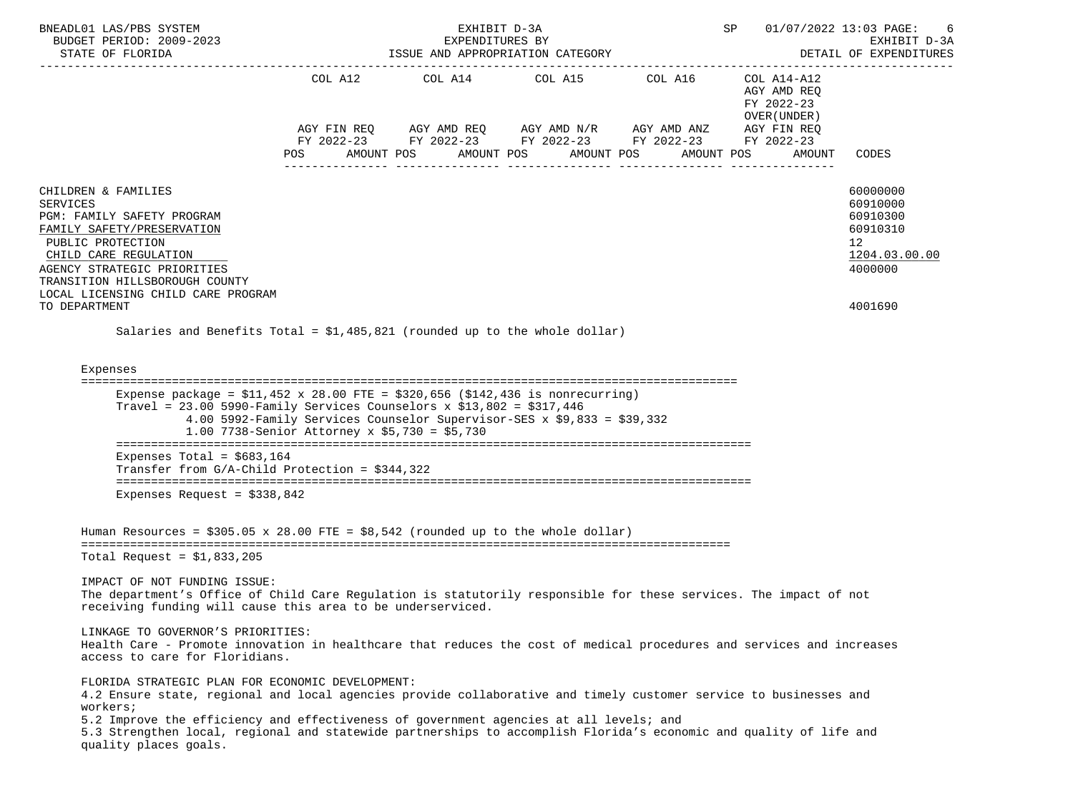| BNEADL01 LAS/PBS SYSTEM<br>BUDGET PERIOD: 2009-2023<br>STATE OF FLORIDA                                                                                                                                                                                                                                                                                                                                                    |                                                                                                                          | EXHIBIT D-3A | EXPENDITURES BY<br>ISSUE AND APPROPRIATION CATEGORY |                                                                                                                                                                                                                                                                                                                                                                                                                                                                                                                                                                          | SP 01/07/2022 13:03 PAGE:<br>DETAIL OF EXPENDITURES | EXHIBIT D-3A                                                                              |
|----------------------------------------------------------------------------------------------------------------------------------------------------------------------------------------------------------------------------------------------------------------------------------------------------------------------------------------------------------------------------------------------------------------------------|--------------------------------------------------------------------------------------------------------------------------|--------------|-----------------------------------------------------|--------------------------------------------------------------------------------------------------------------------------------------------------------------------------------------------------------------------------------------------------------------------------------------------------------------------------------------------------------------------------------------------------------------------------------------------------------------------------------------------------------------------------------------------------------------------------|-----------------------------------------------------|-------------------------------------------------------------------------------------------|
|                                                                                                                                                                                                                                                                                                                                                                                                                            | POS AMOUNT POS AMOUNT POS AMOUNT POS AMOUNT POS                                                                          |              |                                                     | $\begin{tabular}{lllllllll} \multicolumn{2}{l}{{\text{COL A14}} } & \multicolumn{2}{c}{{\text{COL A15}} } & \multicolumn{2}{c}{{\text{COL A16}} } & \multicolumn{2}{c}{{\text{COL A14} - A12}}\\ \multicolumn{2}{c}{{\text{COL A14}} } & \multicolumn{2}{c}{{\text{COL A14} - A12}} & \multicolumn{2}{c}{{\text{COL A14} - A12}} & \multicolumn{2}{c}{{\text{COL A14} - A12}} & \multicolumn{2}{c}{{\text{COL A14} - A12}} & \multicolumn{2}{c$<br>AGY FIN REQ AGY AMD REQ AGY AMD N/R AGY AMD ANZ AGY FIN REQ<br>FY 2022-23 FY 2022-23 FY 2022-23 FY 2022-23 FY 2022-23 | AGY AMD REO<br>FY 2022-23<br>OVER (UNDER)<br>AMOUNT | CODES                                                                                     |
| CHILDREN & FAMILIES<br>SERVICES<br>PGM: FAMILY SAFETY PROGRAM<br>FAMILY SAFETY/PRESERVATION<br>PUBLIC PROTECTION<br>CHILD CARE REGULATION<br>AGENCY STRATEGIC PRIORITIES<br>TRANSITION HILLSBOROUGH COUNTY<br>LOCAL LICENSING CHILD CARE PROGRAM<br>TO DEPARTMENT                                                                                                                                                          |                                                                                                                          |              |                                                     |                                                                                                                                                                                                                                                                                                                                                                                                                                                                                                                                                                          |                                                     | 60000000<br>60910000<br>60910300<br>60910310<br>12<br>1204.03.00.00<br>4000000<br>4001690 |
| Salaries and Benefits Total = $$1,485,821$ (rounded up to the whole dollar)<br>Expenses<br>Expense package = $$11,452 \times 28.00$ FTE = $$320,656$ ( $$142,436$ is nonrecurring)<br>Travel = $23.00$ 5990-Family Services Counselors x \$13,802 = \$317,446                                                                                                                                                              | 4.00 5992-Family Services Counselor Supervisor-SES x \$9,833 = \$39,332<br>1.00 7738-Senior Attorney x $$5,730 = $5,730$ |              |                                                     |                                                                                                                                                                                                                                                                                                                                                                                                                                                                                                                                                                          |                                                     |                                                                                           |
| Expenses Total = $$683,164$<br>Transfer from $G/A$ -Child Protection = \$344,322                                                                                                                                                                                                                                                                                                                                           |                                                                                                                          |              |                                                     |                                                                                                                                                                                                                                                                                                                                                                                                                                                                                                                                                                          |                                                     |                                                                                           |
| Expenses Request = $$338,842$                                                                                                                                                                                                                                                                                                                                                                                              |                                                                                                                          |              |                                                     |                                                                                                                                                                                                                                                                                                                                                                                                                                                                                                                                                                          |                                                     |                                                                                           |
| Human Resources = $$305.05 \times 28.00$ FTE = $$8,542$ (rounded up to the whole dollar)<br>Total Request = $$1,833,205$                                                                                                                                                                                                                                                                                                   |                                                                                                                          |              |                                                     |                                                                                                                                                                                                                                                                                                                                                                                                                                                                                                                                                                          |                                                     |                                                                                           |
| IMPACT OF NOT FUNDING ISSUE:<br>The department's Office of Child Care Regulation is statutorily responsible for these services. The impact of not<br>receiving funding will cause this area to be underserviced.                                                                                                                                                                                                           |                                                                                                                          |              |                                                     |                                                                                                                                                                                                                                                                                                                                                                                                                                                                                                                                                                          |                                                     |                                                                                           |
| LINKAGE TO GOVERNOR'S PRIORITIES:<br>Health Care - Promote innovation in healthcare that reduces the cost of medical procedures and services and increases<br>access to care for Floridians.                                                                                                                                                                                                                               |                                                                                                                          |              |                                                     |                                                                                                                                                                                                                                                                                                                                                                                                                                                                                                                                                                          |                                                     |                                                                                           |
| FLORIDA STRATEGIC PLAN FOR ECONOMIC DEVELOPMENT:<br>4.2 Ensure state, regional and local agencies provide collaborative and timely customer service to businesses and<br>workers;<br>5.2 Improve the efficiency and effectiveness of government agencies at all levels; and<br>5.3 Strengthen local, regional and statewide partnerships to accomplish Florida's economic and quality of life and<br>quality places goals. |                                                                                                                          |              |                                                     |                                                                                                                                                                                                                                                                                                                                                                                                                                                                                                                                                                          |                                                     |                                                                                           |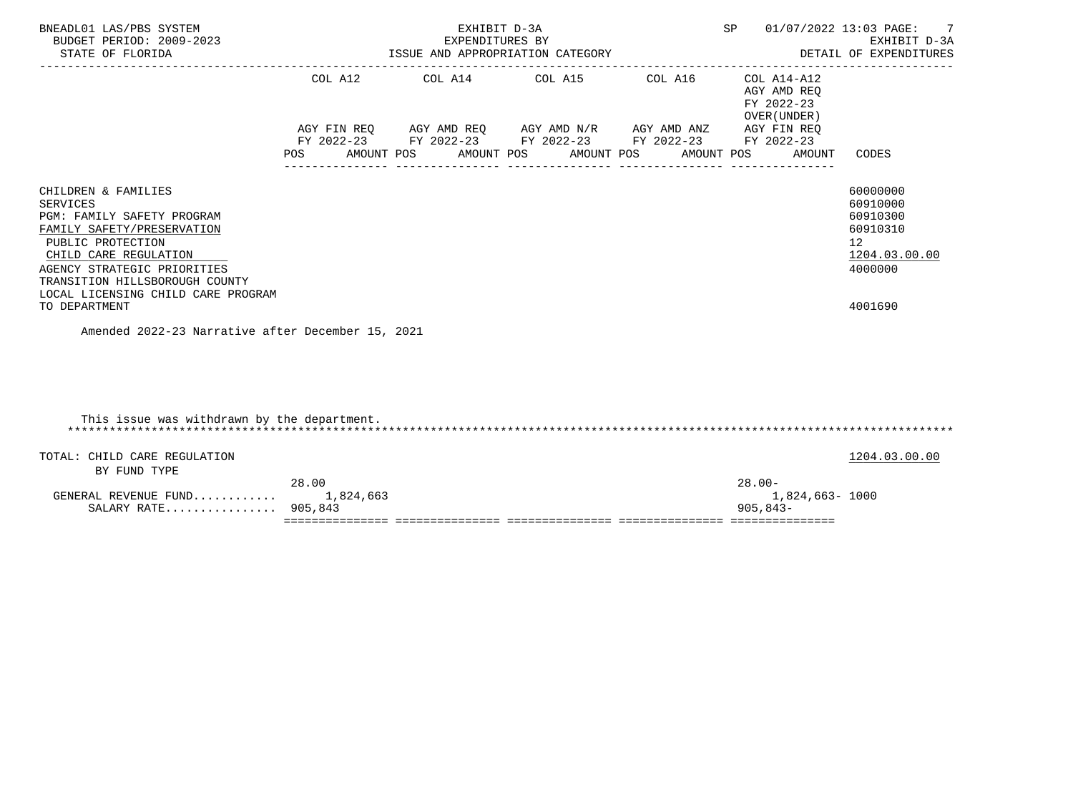| BNEADL01 LAS/PBS SYSTEM<br>BUDGET PERIOD: 2009-2023<br>STATE OF FLORIDA                                                                                                                                                                          | EXHIBIT D-3A<br>EXPENDITURES BY<br>ISSUE AND APPROPRIATION CATEGORY<br>---------------------------- |                                                        |  |  |  |                  |  |                  | SP |                                                              | 01/07/2022 13:03 PAGE: 7<br>EXHIBIT D-3A<br>DETAIL OF EXPENDITURES                          |
|--------------------------------------------------------------------------------------------------------------------------------------------------------------------------------------------------------------------------------------------------|-----------------------------------------------------------------------------------------------------|--------------------------------------------------------|--|--|--|------------------|--|------------------|----|--------------------------------------------------------------|---------------------------------------------------------------------------------------------|
|                                                                                                                                                                                                                                                  |                                                                                                     | COL A12 COL A14 COL A15 COL A16 COL A14-A12            |  |  |  |                  |  |                  |    | AGY AMD REO<br>FY 2022-23<br>OVER (UNDER)                    |                                                                                             |
|                                                                                                                                                                                                                                                  |                                                                                                     | AGY FIN REQ AGY AMD REQ AGY AMD N/R AGY AMD ANZ        |  |  |  |                  |  |                  |    | AGY FIN REO                                                  |                                                                                             |
|                                                                                                                                                                                                                                                  |                                                                                                     | FY 2022-23 FY 2022-23 FY 2022-23 FY 2022-23 FY 2022-23 |  |  |  | ---------------- |  | ---------------- |    | POS AMOUNT POS AMOUNT POS AMOUNT POS AMOUNT POS AMOUNT CODES |                                                                                             |
| CHILDREN & FAMILIES<br>SERVICES<br>PGM: FAMILY SAFETY PROGRAM<br>FAMILY SAFETY/PRESERVATION<br>PUBLIC PROTECTION<br>CHILD CARE REGULATION<br>AGENCY STRATEGIC PRIORITIES<br>TRANSITION HILLSBOROUGH COUNTY<br>LOCAL LICENSING CHILD CARE PROGRAM |                                                                                                     |                                                        |  |  |  |                  |  |                  |    |                                                              | 60000000<br>60910000<br>60910300<br>60910310<br>12 <sup>°</sup><br>1204.03.00.00<br>4000000 |
| TO DEPARTMENT                                                                                                                                                                                                                                    |                                                                                                     |                                                        |  |  |  |                  |  |                  |    |                                                              | 4001690                                                                                     |
| Amended 2022-23 Narrative after December 15, 2021                                                                                                                                                                                                |                                                                                                     |                                                        |  |  |  |                  |  |                  |    |                                                              |                                                                                             |

| This issue was withdrawn by the department.  |           |                 |               |
|----------------------------------------------|-----------|-----------------|---------------|
| TOTAL: CHILD CARE REGULATION<br>BY FUND TYPE |           |                 | 1204.03.00.00 |
|                                              | 28.00     | $28.00 -$       |               |
| GENERAL REVENUE FUND                         | 1,824,663 | 1,824,663- 1000 |               |
| SALARY RATE 905,843                          |           | $905.843 -$     |               |
|                                              |           |                 |               |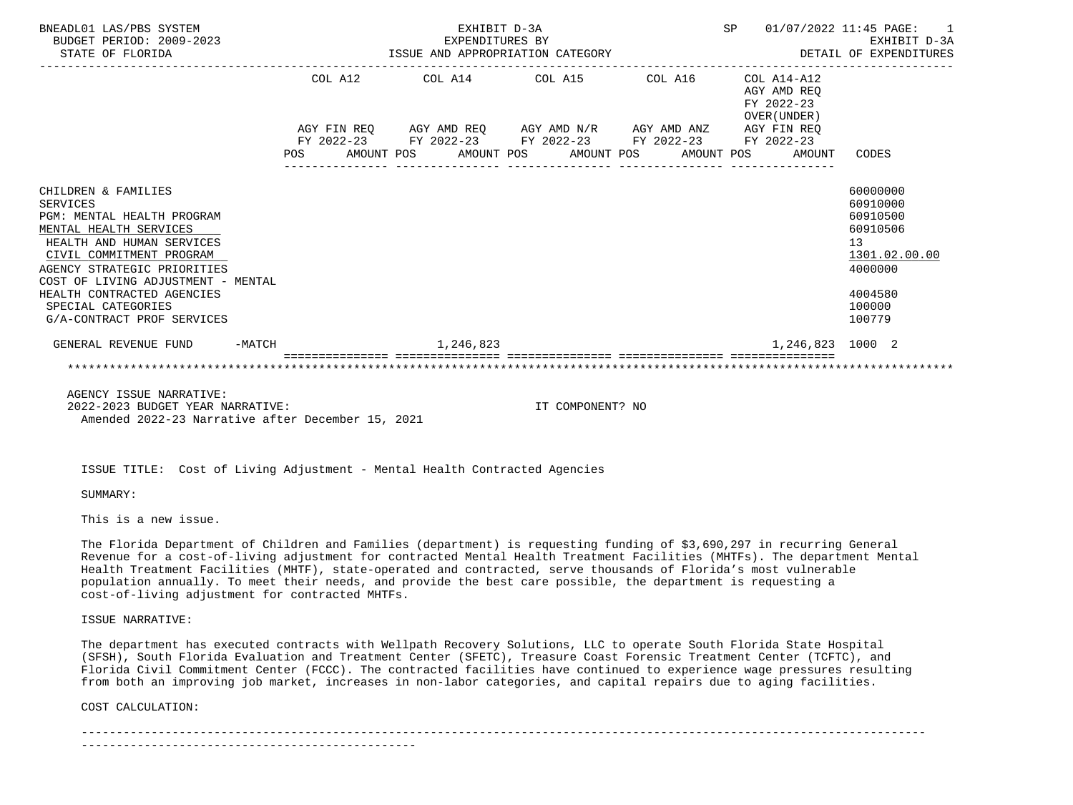| BNEADL01 LAS/PBS SYSTEM<br>BUDGET PERIOD: 2009-2023<br>STATE OF FLORIDA                                                                                                                |          | SP<br>EXHIBIT D-3A<br>01/07/2022 11:45 PAGE:<br>EXPENDITURES BY<br>ISSUE AND APPROPRIATION CATEGORY |  |  |           |  |                                                                                                       |  |  |  |                                                          | $\overline{1}$<br>EXHIBIT D-3A<br>DETAIL OF EXPENDITURES                       |
|----------------------------------------------------------------------------------------------------------------------------------------------------------------------------------------|----------|-----------------------------------------------------------------------------------------------------|--|--|-----------|--|-------------------------------------------------------------------------------------------------------|--|--|--|----------------------------------------------------------|--------------------------------------------------------------------------------|
|                                                                                                                                                                                        |          |                                                                                                     |  |  |           |  | COL A12 COL A14 COL A15 COL A16                                                                       |  |  |  | COL A14-A12<br>AGY AMD REO<br>FY 2022-23<br>OVER (UNDER) |                                                                                |
|                                                                                                                                                                                        |          |                                                                                                     |  |  |           |  | AGY FIN REQ AGY AMD REQ AGY AMD N/R AGY AMD ANZ AGY FIN REQ                                           |  |  |  |                                                          |                                                                                |
|                                                                                                                                                                                        |          | POS                                                                                                 |  |  |           |  | FY 2022-23 FY 2022-23 FY 2022-23 FY 2022-23 FY 2022-23<br>AMOUNT POS AMOUNT POS AMOUNT POS AMOUNT POS |  |  |  | AMOUNT                                                   | CODES                                                                          |
| CHILDREN & FAMILIES<br><b>SERVICES</b><br>PGM: MENTAL HEALTH PROGRAM<br>MENTAL HEALTH SERVICES<br>HEALTH AND HUMAN SERVICES<br>CIVIL COMMITMENT PROGRAM<br>AGENCY STRATEGIC PRIORITIES |          |                                                                                                     |  |  |           |  |                                                                                                       |  |  |  |                                                          | 60000000<br>60910000<br>60910500<br>60910506<br>13<br>1301.02.00.00<br>4000000 |
| COST OF LIVING ADJUSTMENT - MENTAL<br>HEALTH CONTRACTED AGENCIES<br>SPECIAL CATEGORIES<br>G/A-CONTRACT PROF SERVICES                                                                   |          |                                                                                                     |  |  |           |  |                                                                                                       |  |  |  |                                                          | 4004580<br>100000<br>100779                                                    |
| GENERAL REVENUE FUND                                                                                                                                                                   | $-MATCH$ |                                                                                                     |  |  | 1,246,823 |  |                                                                                                       |  |  |  | 1,246,823 1000 2                                         |                                                                                |
|                                                                                                                                                                                        |          |                                                                                                     |  |  |           |  |                                                                                                       |  |  |  |                                                          |                                                                                |
| AGENCY ISSUE NARRATIVE:<br>$-0.0000$ $-0.0000$ $-0.0000$                                                                                                                               |          |                                                                                                     |  |  |           |  |                                                                                                       |  |  |  |                                                          |                                                                                |

 2022-2023 BUDGET YEAR NARRATIVE: IT COMPONENT? NO Amended 2022-23 Narrative after December 15, 2021

ISSUE TITLE: Cost of Living Adjustment - Mental Health Contracted Agencies

SUMMARY:

This is a new issue.

 The Florida Department of Children and Families (department) is requesting funding of \$3,690,297 in recurring General Revenue for a cost-of-living adjustment for contracted Mental Health Treatment Facilities (MHTFs). The department Mental Health Treatment Facilities (MHTF), state-operated and contracted, serve thousands of Florida's most vulnerable population annually. To meet their needs, and provide the best care possible, the department is requesting a cost-of-living adjustment for contracted MHTFs.

ISSUE NARRATIVE:

 The department has executed contracts with Wellpath Recovery Solutions, LLC to operate South Florida State Hospital (SFSH), South Florida Evaluation and Treatment Center (SFETC), Treasure Coast Forensic Treatment Center (TCFTC), and Florida Civil Commitment Center (FCCC). The contracted facilities have continued to experience wage pressures resulting from both an improving job market, increases in non-labor categories, and capital repairs due to aging facilities.

COST CALCULATION:

-------------------------------------------------------------------------------------------------------------------------

------------------------------------------------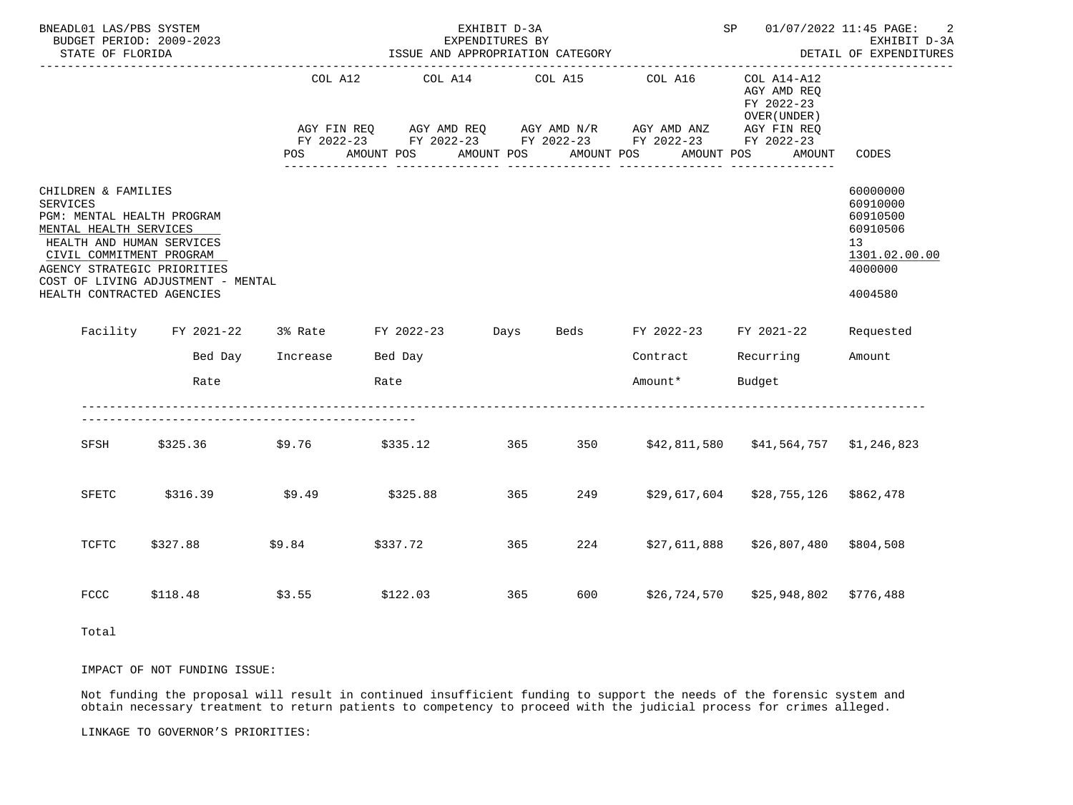| BNEADL01 LAS/PBS SYSTEM<br>BUDGET PERIOD: 2009-2023<br>STATE OF FLORIDA                                                                                                                                       |                                                                        |                          | ISSUE AND APPROPRIATION CATEGORY | EXHIBIT D-3A<br>EXPENDITURES BY |            |                                                                                                                                                                                                    | SP 01/07/2022 11:45 PAGE: 2                                 | EXHIBIT D-3A<br>DETAIL OF EXPENDITURES<br>------------------                                           |  |
|---------------------------------------------------------------------------------------------------------------------------------------------------------------------------------------------------------------|------------------------------------------------------------------------|--------------------------|----------------------------------|---------------------------------|------------|----------------------------------------------------------------------------------------------------------------------------------------------------------------------------------------------------|-------------------------------------------------------------|--------------------------------------------------------------------------------------------------------|--|
|                                                                                                                                                                                                               |                                                                        | COL A12<br>POS           | AMOUNT POS                       | COL A14 COL A15<br>AMOUNT POS   | AMOUNT POS | COL A16<br>AGY FIN REQ       AGY AMD REQ       AGY AMD N/R       AGY AMD ANZ       AGY FIN REQ<br>FY 2022-23        FY 2022-23        FY 2022-23        FY 2022-23        FY 2022-23<br>AMOUNT POS | $COL A14- A12$<br>AGY AMD REQ<br>FY 2022-23<br>OVER (UNDER) | AMOUNT CODES                                                                                           |  |
| CHILDREN & FAMILIES<br>SERVICES<br>PGM: MENTAL HEALTH PROGRAM<br>MENTAL HEALTH SERVICES<br>HEALTH AND HUMAN SERVICES<br>CIVIL COMMITMENT PROGRAM<br>AGENCY STRATEGIC PRIORITIES<br>HEALTH CONTRACTED AGENCIES | COST OF LIVING ADJUSTMENT - MENTAL                                     |                          |                                  |                                 |            |                                                                                                                                                                                                    |                                                             | 60000000<br>60910000<br>60910500<br>60910506<br>13 <sup>7</sup><br>1301.02.00.00<br>4000000<br>4004580 |  |
|                                                                                                                                                                                                               | Facility FY 2021-22 3% Rate FY 2022-23 Days Beds FY 2022-23 FY 2021-22 |                          |                                  |                                 |            |                                                                                                                                                                                                    |                                                             | Requested                                                                                              |  |
|                                                                                                                                                                                                               |                                                                        | Bed Day Increase Bed Day |                                  |                                 |            |                                                                                                                                                                                                    | Contract Recurring Amount                                   |                                                                                                        |  |
|                                                                                                                                                                                                               | Rate                                                                   |                          | Rate                             |                                 |            | Amount* Budget                                                                                                                                                                                     |                                                             |                                                                                                        |  |
|                                                                                                                                                                                                               | SFSH \$325.36 \$9.76                                                   |                          |                                  |                                 |            |                                                                                                                                                                                                    |                                                             |                                                                                                        |  |
| SFETC                                                                                                                                                                                                         | \$316.39                                                               |                          | $$9.49$ $$325.88$                |                                 | 365 30     |                                                                                                                                                                                                    | 249 \$29,617,604 \$28,755,126 \$862,478                     |                                                                                                        |  |
| TCFTC                                                                                                                                                                                                         | \$327.88                                                               |                          | $$9.84$ $$337.72$                |                                 | 365 7      | 224 \$27,611,888                                                                                                                                                                                   | \$26,807,480 \$804,508                                      |                                                                                                        |  |
| <b>FCCC</b>                                                                                                                                                                                                   | \$118.48                                                               | \$3.55                   | \$122.03                         | 365 30                          |            |                                                                                                                                                                                                    | 600 \$26,724,570 \$25,948,802 \$776,488                     |                                                                                                        |  |
| Total                                                                                                                                                                                                         |                                                                        |                          |                                  |                                 |            |                                                                                                                                                                                                    |                                                             |                                                                                                        |  |

IMPACT OF NOT FUNDING ISSUE:

 Not funding the proposal will result in continued insufficient funding to support the needs of the forensic system and obtain necessary treatment to return patients to competency to proceed with the judicial process for crimes alleged.

LINKAGE TO GOVERNOR'S PRIORITIES: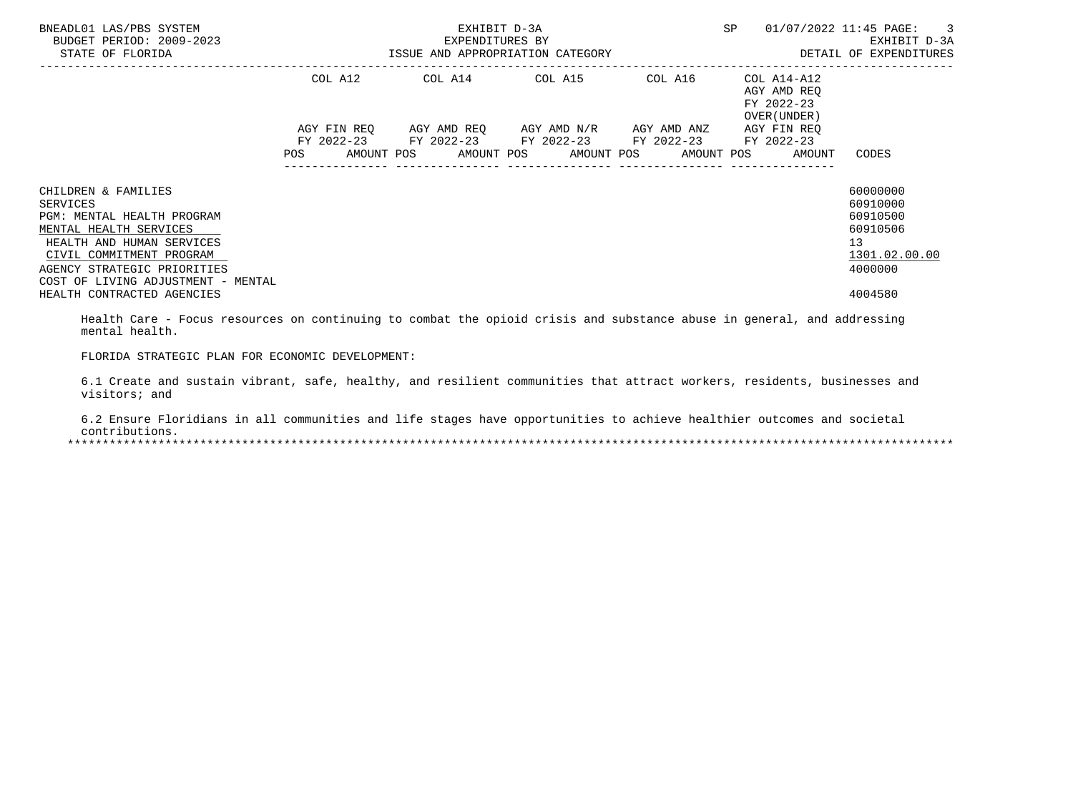| BNEADL01 LAS/PBS SYSTEM<br>BUDGET PERIOD: 2009-2023<br>STATE OF FLORIDA                                                                                                                                               | ISSUE AND APPROPRIATION CATEGORY                                                                                              | EXHIBIT D-3A<br>EXPENDITURES BY | SP                                                                                            | 01/07/2022 11:45 PAGE: 3<br>EXHIBIT D-3A<br>DETAIL OF EXPENDITURES |                                                                   |                                                                                |
|-----------------------------------------------------------------------------------------------------------------------------------------------------------------------------------------------------------------------|-------------------------------------------------------------------------------------------------------------------------------|---------------------------------|-----------------------------------------------------------------------------------------------|--------------------------------------------------------------------|-------------------------------------------------------------------|--------------------------------------------------------------------------------|
|                                                                                                                                                                                                                       | COL A12                                                                                                                       |                                 | COL A14 COL A15 COL A16                                                                       |                                                                    | COL A14-A12<br>AGY AMD REO<br>FY 2022-23<br>OVER (UNDER)          |                                                                                |
|                                                                                                                                                                                                                       | AGY FIN REO<br>POS FOR THE POST OF THE STATE STATE STATE STATE STATE STATE STATE STATE STATE STATE STATE STATE STATE STATE ST |                                 | AGY AMD REQ AGY AMD N/R AGY AMD ANZ<br>FY 2022-23 FY 2022-23 FY 2022-23 FY 2022-23 FY 2022-23 |                                                                    | AGY FIN REO<br>AMOUNT POS AMOUNT POS AMOUNT POS AMOUNT POS AMOUNT | CODES                                                                          |
| CHILDREN & FAMILIES<br>SERVICES<br>PGM: MENTAL HEALTH PROGRAM<br>MENTAL HEALTH SERVICES<br>HEALTH AND HUMAN SERVICES<br>CIVIL COMMITMENT PROGRAM<br>AGENCY STRATEGIC PRIORITIES<br>COST OF LIVING ADJUSTMENT - MENTAL |                                                                                                                               |                                 |                                                                                               |                                                                    |                                                                   | 60000000<br>60910000<br>60910500<br>60910506<br>13<br>1301.02.00.00<br>4000000 |
| HEALTH CONTRACTED AGENCIES                                                                                                                                                                                            |                                                                                                                               |                                 |                                                                                               |                                                                    |                                                                   | 4004580                                                                        |

 Health Care - Focus resources on continuing to combat the opioid crisis and substance abuse in general, and addressing mental health.

FLORIDA STRATEGIC PLAN FOR ECONOMIC DEVELOPMENT:

 6.1 Create and sustain vibrant, safe, healthy, and resilient communities that attract workers, residents, businesses and visitors; and

 6.2 Ensure Floridians in all communities and life stages have opportunities to achieve healthier outcomes and societal contributions.<br>\*\*\*\*\*\*\*\*\*\*\*\*\*\*\*\*\*\*\* \*\*\*\*\*\*\*\*\*\*\*\*\*\*\*\*\*\*\*\*\*\*\*\*\*\*\*\*\*\*\*\*\*\*\*\*\*\*\*\*\*\*\*\*\*\*\*\*\*\*\*\*\*\*\*\*\*\*\*\*\*\*\*\*\*\*\*\*\*\*\*\*\*\*\*\*\*\*\*\*\*\*\*\*\*\*\*\*\*\*\*\*\*\*\*\*\*\*\*\*\*\*\*\*\*\*\*\*\*\*\*\*\*\*\*\*\*\*\*\*\*\*\*\*\*\*\*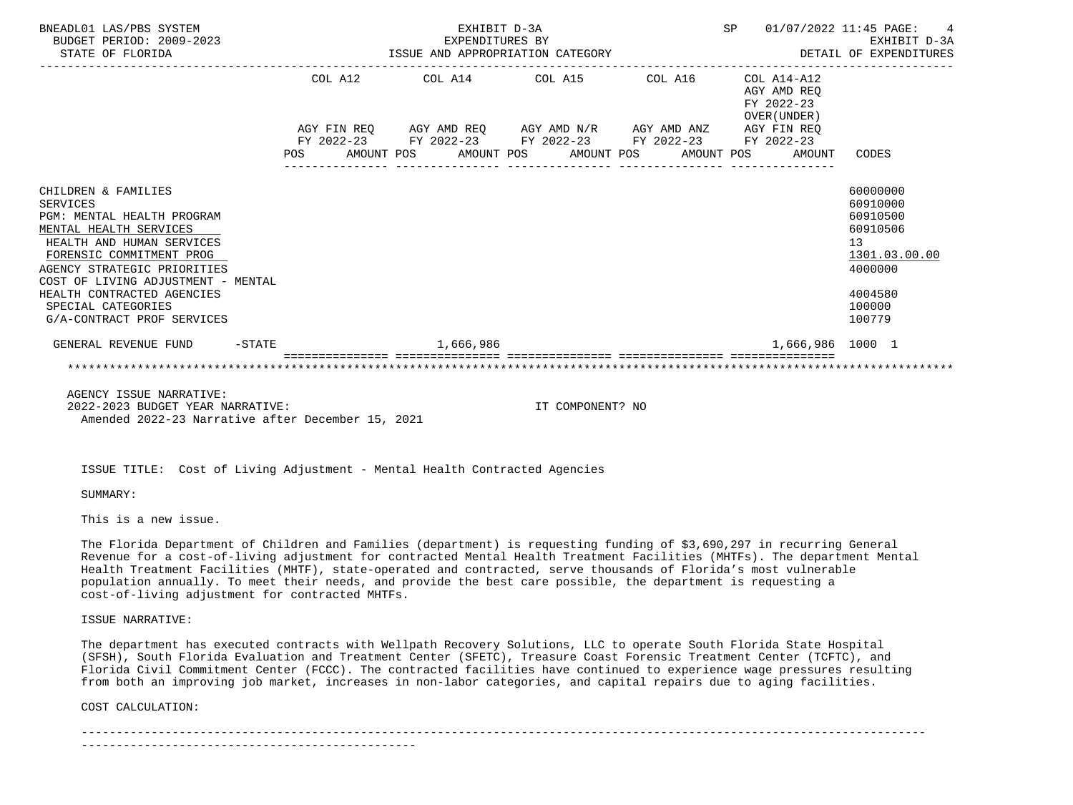| BNEADL01 LAS/PBS SYSTEM<br>BUDGET PERIOD: 2009-2023<br>STATE OF FLORIDA                                                                                                                                                                                                                                        | SP 01/07/2022 11:45 PAGE: 4<br>EXHIBIT D-3A<br>EXPENDITURES BY EXHIBIT D-3A<br>ISSUE AND APPROPRIATION CATEGORY STARBED TO BETAIL OF EXPENDITURES |  |  |           |  |                                                                                                           |  |  |  |                                           |                                                                                                               |
|----------------------------------------------------------------------------------------------------------------------------------------------------------------------------------------------------------------------------------------------------------------------------------------------------------------|---------------------------------------------------------------------------------------------------------------------------------------------------|--|--|-----------|--|-----------------------------------------------------------------------------------------------------------|--|--|--|-------------------------------------------|---------------------------------------------------------------------------------------------------------------|
|                                                                                                                                                                                                                                                                                                                |                                                                                                                                                   |  |  |           |  | COL A12 COL A14 COL A15 COL A16 COL A14-A12                                                               |  |  |  | AGY AMD REO<br>FY 2022-23<br>OVER (UNDER) |                                                                                                               |
|                                                                                                                                                                                                                                                                                                                |                                                                                                                                                   |  |  |           |  | AGY FIN REQ AGY AMD REQ AGY AMD N/R AGY AMD ANZ AGY FIN REQ                                               |  |  |  |                                           |                                                                                                               |
|                                                                                                                                                                                                                                                                                                                |                                                                                                                                                   |  |  |           |  | FY 2022-23 FY 2022-23 FY 2022-23 FY 2022-23 FY 2022-23<br>POS AMOUNT POS AMOUNT POS AMOUNT POS AMOUNT POS |  |  |  | AMOUNT                                    | CODES                                                                                                         |
| CHILDREN & FAMILIES<br><b>SERVICES</b><br>PGM: MENTAL HEALTH PROGRAM<br>MENTAL HEALTH SERVICES<br>HEALTH AND HUMAN SERVICES<br>FORENSIC COMMITMENT PROG<br>AGENCY STRATEGIC PRIORITIES<br>COST OF LIVING ADJUSTMENT - MENTAL<br>HEALTH CONTRACTED AGENCIES<br>SPECIAL CATEGORIES<br>G/A-CONTRACT PROF SERVICES |                                                                                                                                                   |  |  |           |  |                                                                                                           |  |  |  |                                           | 60000000<br>60910000<br>60910500<br>60910506<br>13<br>1301.03.00.00<br>4000000<br>4004580<br>100000<br>100779 |
| GENERAL REVENUE FUND -STATE                                                                                                                                                                                                                                                                                    |                                                                                                                                                   |  |  | 1,666,986 |  |                                                                                                           |  |  |  | 1,666,986 1000 1                          |                                                                                                               |
|                                                                                                                                                                                                                                                                                                                |                                                                                                                                                   |  |  |           |  |                                                                                                           |  |  |  |                                           |                                                                                                               |
| AGENCY ISSUE NARRATIVE:<br>$0.000$ $0.000$ pupang unap wappagtup.                                                                                                                                                                                                                                              |                                                                                                                                                   |  |  |           |  | TH COMPONIUMO MO                                                                                          |  |  |  |                                           |                                                                                                               |

 2022-2023 BUDGET YEAR NARRATIVE: IT COMPONENT? NO Amended 2022-23 Narrative after December 15, 2021

ISSUE TITLE: Cost of Living Adjustment - Mental Health Contracted Agencies

SUMMARY:

This is a new issue.

 The Florida Department of Children and Families (department) is requesting funding of \$3,690,297 in recurring General Revenue for a cost-of-living adjustment for contracted Mental Health Treatment Facilities (MHTFs). The department Mental Health Treatment Facilities (MHTF), state-operated and contracted, serve thousands of Florida's most vulnerable population annually. To meet their needs, and provide the best care possible, the department is requesting a cost-of-living adjustment for contracted MHTFs.

ISSUE NARRATIVE:

 The department has executed contracts with Wellpath Recovery Solutions, LLC to operate South Florida State Hospital (SFSH), South Florida Evaluation and Treatment Center (SFETC), Treasure Coast Forensic Treatment Center (TCFTC), and Florida Civil Commitment Center (FCCC). The contracted facilities have continued to experience wage pressures resulting from both an improving job market, increases in non-labor categories, and capital repairs due to aging facilities.

COST CALCULATION:

-------------------------------------------------------------------------------------------------------------------------

------------------------------------------------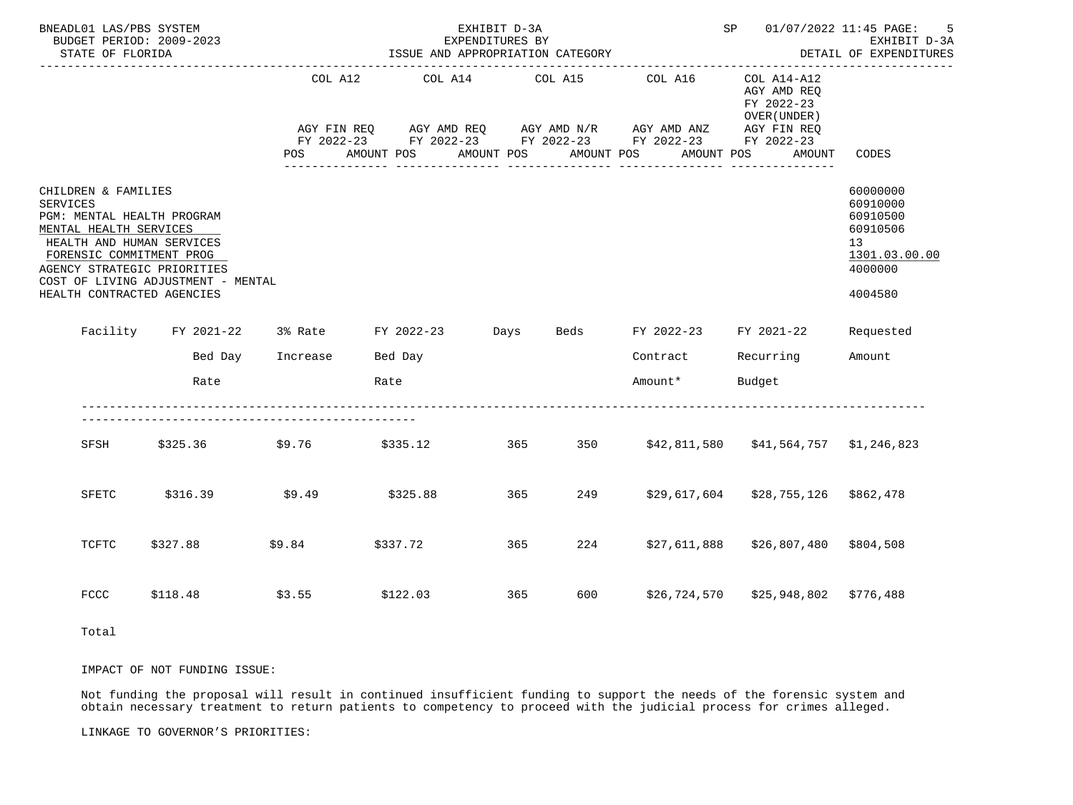| BNEADL01 LAS/PBS SYSTEM<br>BUDGET PERIOD: 2009-2023<br>STATE OF FLORIDA                                                                                                                                       |                                                                        |                          | EXHIBIT D-3A<br>SP 01/07/2022 11:45 PAGE: 5<br>EXPENDITURES BY<br>ISSUE AND APPROPRIATION CATEGORY<br>DETAIL OF EXPENDITURES |                               |        |            |                                                                                                                                                                                                    |                                                             |                                                                                                        |
|---------------------------------------------------------------------------------------------------------------------------------------------------------------------------------------------------------------|------------------------------------------------------------------------|--------------------------|------------------------------------------------------------------------------------------------------------------------------|-------------------------------|--------|------------|----------------------------------------------------------------------------------------------------------------------------------------------------------------------------------------------------|-------------------------------------------------------------|--------------------------------------------------------------------------------------------------------|
|                                                                                                                                                                                                               |                                                                        | COL A12<br>POS           | AMOUNT POS                                                                                                                   | COL A14 COL A15<br>AMOUNT POS |        | AMOUNT POS | COL A16<br>AGY FIN REQ       AGY AMD REQ       AGY AMD N/R       AGY AMD ANZ       AGY FIN REQ<br>FY 2022-23        FY 2022-23        FY 2022-23        FY 2022-23        FY 2022-23<br>AMOUNT POS | $COL A14- A12$<br>AGY AMD REQ<br>FY 2022-23<br>OVER (UNDER) | ------------------<br>AMOUNT CODES                                                                     |
| CHILDREN & FAMILIES<br>SERVICES<br>PGM: MENTAL HEALTH PROGRAM<br>MENTAL HEALTH SERVICES<br>HEALTH AND HUMAN SERVICES<br>FORENSIC COMMITMENT PROG<br>AGENCY STRATEGIC PRIORITIES<br>HEALTH CONTRACTED AGENCIES | COST OF LIVING ADJUSTMENT - MENTAL                                     |                          |                                                                                                                              |                               |        |            |                                                                                                                                                                                                    |                                                             | 60000000<br>60910000<br>60910500<br>60910506<br>13 <sup>7</sup><br>1301.03.00.00<br>4000000<br>4004580 |
|                                                                                                                                                                                                               | Facility FY 2021-22 3% Rate FY 2022-23 Days Beds FY 2022-23 FY 2021-22 |                          |                                                                                                                              |                               |        |            |                                                                                                                                                                                                    |                                                             | Requested                                                                                              |
|                                                                                                                                                                                                               |                                                                        | Bed Day Increase Bed Day |                                                                                                                              |                               |        |            |                                                                                                                                                                                                    | Contract Recurring Amount                                   |                                                                                                        |
|                                                                                                                                                                                                               | Rate                                                                   |                          | Rate                                                                                                                         |                               |        |            | Amount* Budget                                                                                                                                                                                     |                                                             |                                                                                                        |
|                                                                                                                                                                                                               | SFSH \$325.36 \$9.76                                                   |                          |                                                                                                                              |                               |        |            |                                                                                                                                                                                                    |                                                             |                                                                                                        |
| SFETC                                                                                                                                                                                                         | \$316.39                                                               |                          | $$9.49$ $$325.88$                                                                                                            |                               | 365 30 |            |                                                                                                                                                                                                    | 249 \$29,617,604 \$28,755,126 \$862,478                     |                                                                                                        |
| TCFTC                                                                                                                                                                                                         | \$327.88                                                               |                          | $$9.84$ $$337.72$                                                                                                            |                               | 365 7  |            | 224 \$27,611,888                                                                                                                                                                                   | \$26,807,480 \$804,508                                      |                                                                                                        |
| <b>FCCC</b>                                                                                                                                                                                                   | \$118.48                                                               | \$3.55                   | \$122.03                                                                                                                     |                               | 365    |            |                                                                                                                                                                                                    | 600 \$26,724,570 \$25,948,802 \$776,488                     |                                                                                                        |
| Total                                                                                                                                                                                                         |                                                                        |                          |                                                                                                                              |                               |        |            |                                                                                                                                                                                                    |                                                             |                                                                                                        |

IMPACT OF NOT FUNDING ISSUE:

 Not funding the proposal will result in continued insufficient funding to support the needs of the forensic system and obtain necessary treatment to return patients to competency to proceed with the judicial process for crimes alleged.

LINKAGE TO GOVERNOR'S PRIORITIES: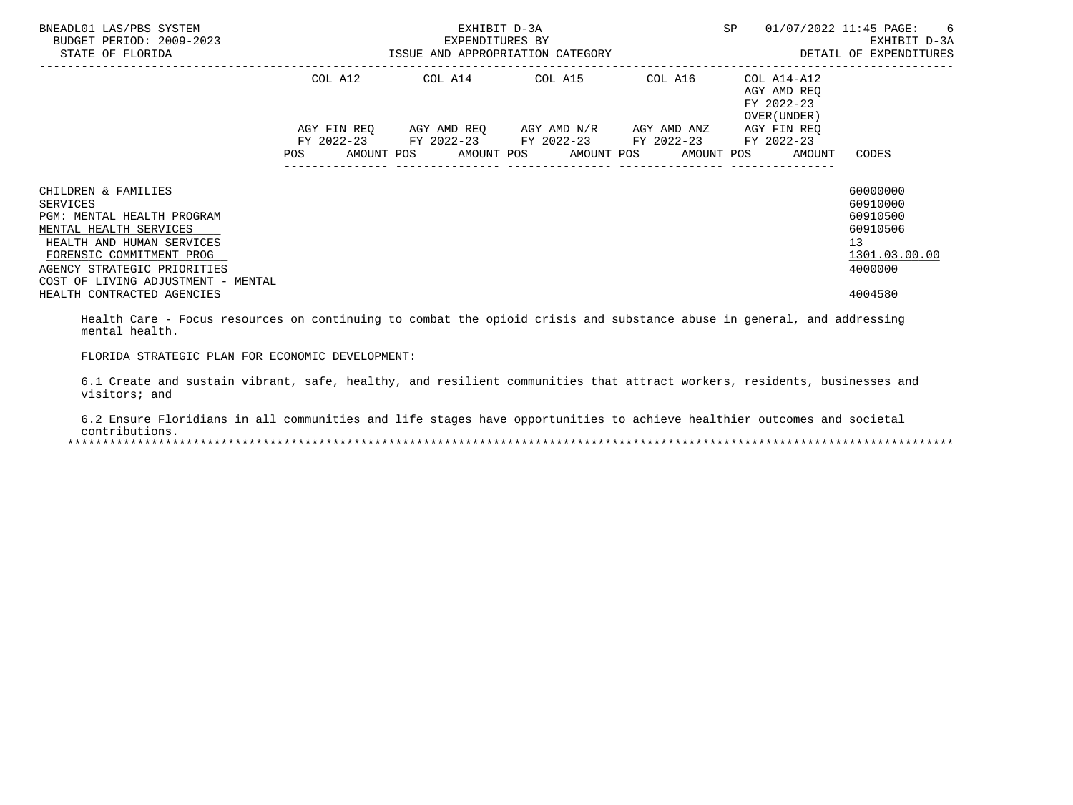| BNEADL01 LAS/PBS SYSTEM<br>BUDGET PERIOD: 2009-2023<br>STATE OF FLORIDA                                                                                                                                               | ISSUE AND APPROPRIATION CATEGORY | EXHIBIT D-3A<br>EXPENDITURES BY | SP                                                                                 | 01/07/2022 11:45 PAGE: 6<br>EXHIBIT D-3A<br>DETAIL OF EXPENDITURES |                                                                                 |                                                                                |
|-----------------------------------------------------------------------------------------------------------------------------------------------------------------------------------------------------------------------|----------------------------------|---------------------------------|------------------------------------------------------------------------------------|--------------------------------------------------------------------|---------------------------------------------------------------------------------|--------------------------------------------------------------------------------|
|                                                                                                                                                                                                                       | COL A12                          |                                 | COL A14 COL A15 COL A16                                                            |                                                                    | COL A14-A12<br>AGY AMD REO<br>FY 2022-23<br>OVER (UNDER)                        |                                                                                |
|                                                                                                                                                                                                                       | AGY FIN REO<br>POS               |                                 | AGY AMD REQ AGY AMD N/R AGY AMD ANZ<br>FY 2022-23 FY 2022-23 FY 2022-23 FY 2022-23 |                                                                    | AGY FIN REO<br>FY 2022-23<br>AMOUNT POS AMOUNT POS AMOUNT POS AMOUNT POS AMOUNT | CODES                                                                          |
| CHILDREN & FAMILIES<br>SERVICES<br>PGM: MENTAL HEALTH PROGRAM<br>MENTAL HEALTH SERVICES<br>HEALTH AND HUMAN SERVICES<br>FORENSIC COMMITMENT PROG<br>AGENCY STRATEGIC PRIORITIES<br>COST OF LIVING ADJUSTMENT - MENTAL |                                  |                                 |                                                                                    |                                                                    |                                                                                 | 60000000<br>60910000<br>60910500<br>60910506<br>13<br>1301.03.00.00<br>4000000 |
| HEALTH CONTRACTED AGENCIES                                                                                                                                                                                            |                                  |                                 |                                                                                    |                                                                    |                                                                                 | 4004580                                                                        |

 Health Care - Focus resources on continuing to combat the opioid crisis and substance abuse in general, and addressing mental health.

FLORIDA STRATEGIC PLAN FOR ECONOMIC DEVELOPMENT:

 6.1 Create and sustain vibrant, safe, healthy, and resilient communities that attract workers, residents, businesses and visitors; and

 6.2 Ensure Floridians in all communities and life stages have opportunities to achieve healthier outcomes and societal contributions.<br>\*\*\*\*\*\*\*\*\*\*\*\*\*\*\*\*\*\*\* \*\*\*\*\*\*\*\*\*\*\*\*\*\*\*\*\*\*\*\*\*\*\*\*\*\*\*\*\*\*\*\*\*\*\*\*\*\*\*\*\*\*\*\*\*\*\*\*\*\*\*\*\*\*\*\*\*\*\*\*\*\*\*\*\*\*\*\*\*\*\*\*\*\*\*\*\*\*\*\*\*\*\*\*\*\*\*\*\*\*\*\*\*\*\*\*\*\*\*\*\*\*\*\*\*\*\*\*\*\*\*\*\*\*\*\*\*\*\*\*\*\*\*\*\*\*\*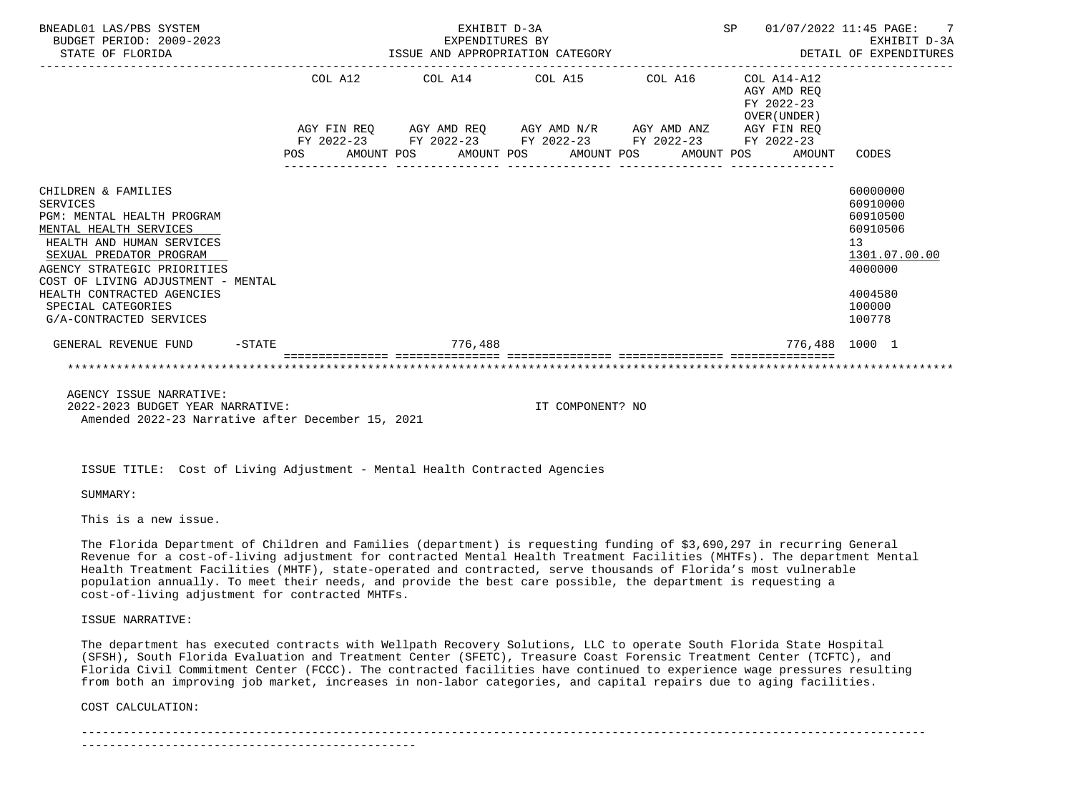| BNEADL01 LAS/PBS SYSTEM<br>BUDGET PERIOD: 2009-2023<br>STATE OF FLORIDA                                                                                                                                                                                                                                    |  |  | EXHIBIT D-3A |                                                                                                                       |  |                                                                              | SP 01/07/2022 11:45 PAGE: 7<br>EXPENDITURES BY EXHIBIT D-3A<br>ISSUE AND APPROPRIATION CATEGORY STALL OF EXPENDITURES |
|------------------------------------------------------------------------------------------------------------------------------------------------------------------------------------------------------------------------------------------------------------------------------------------------------------|--|--|--------------|-----------------------------------------------------------------------------------------------------------------------|--|------------------------------------------------------------------------------|-----------------------------------------------------------------------------------------------------------------------|
|                                                                                                                                                                                                                                                                                                            |  |  |              | $COL A12$ $COL A14$ $COL A15$ $COL A16$ $COL A14-A12$                                                                 |  | AGY AMD REQ<br>FY 2022-23                                                    |                                                                                                                       |
|                                                                                                                                                                                                                                                                                                            |  |  |              | AGY FIN REQ AGY AMD REQ AGY AMD N/R AGY AMD ANZ AGY FIN REQ<br>FY 2022-23 FY 2022-23 FY 2022-23 FY 2022-23 FY 2022-23 |  | OVER (UNDER)<br>POS AMOUNT POS AMOUNT POS AMOUNT POS AMOUNT POS AMOUNT CODES |                                                                                                                       |
| CHILDREN & FAMILIES<br><b>SERVICES</b><br>PGM: MENTAL HEALTH PROGRAM<br>MENTAL HEALTH SERVICES<br>HEALTH AND HUMAN SERVICES<br>SEXUAL PREDATOR PROGRAM<br>AGENCY STRATEGIC PRIORITIES<br>COST OF LIVING ADJUSTMENT - MENTAL<br>HEALTH CONTRACTED AGENCIES<br>SPECIAL CATEGORIES<br>G/A-CONTRACTED SERVICES |  |  |              |                                                                                                                       |  |                                                                              | 60000000<br>60910000<br>60910500<br>60910506<br>13<br>1301.07.00.00<br>4000000<br>4004580<br>100000<br>100778         |
| GENERAL REVENUE FUND -STATE                                                                                                                                                                                                                                                                                |  |  | 776,488      |                                                                                                                       |  |                                                                              | 776,488 1000 1                                                                                                        |
|                                                                                                                                                                                                                                                                                                            |  |  |              |                                                                                                                       |  |                                                                              |                                                                                                                       |
| AGENCY ISSUE NARRATIVE:<br>$0.000$ $0.000$ puparm unip windimity.                                                                                                                                                                                                                                          |  |  |              | THE COMPONIBUTE NO                                                                                                    |  |                                                                              |                                                                                                                       |

 2022-2023 BUDGET YEAR NARRATIVE: IT COMPONENT? NO Amended 2022-23 Narrative after December 15, 2021

ISSUE TITLE: Cost of Living Adjustment - Mental Health Contracted Agencies

SUMMARY:

This is a new issue.

 The Florida Department of Children and Families (department) is requesting funding of \$3,690,297 in recurring General Revenue for a cost-of-living adjustment for contracted Mental Health Treatment Facilities (MHTFs). The department Mental Health Treatment Facilities (MHTF), state-operated and contracted, serve thousands of Florida's most vulnerable population annually. To meet their needs, and provide the best care possible, the department is requesting a cost-of-living adjustment for contracted MHTFs.

#### ISSUE NARRATIVE:

 The department has executed contracts with Wellpath Recovery Solutions, LLC to operate South Florida State Hospital (SFSH), South Florida Evaluation and Treatment Center (SFETC), Treasure Coast Forensic Treatment Center (TCFTC), and Florida Civil Commitment Center (FCCC). The contracted facilities have continued to experience wage pressures resulting from both an improving job market, increases in non-labor categories, and capital repairs due to aging facilities.

COST CALCULATION:

-------------------------------------------------------------------------------------------------------------------------

------------------------------------------------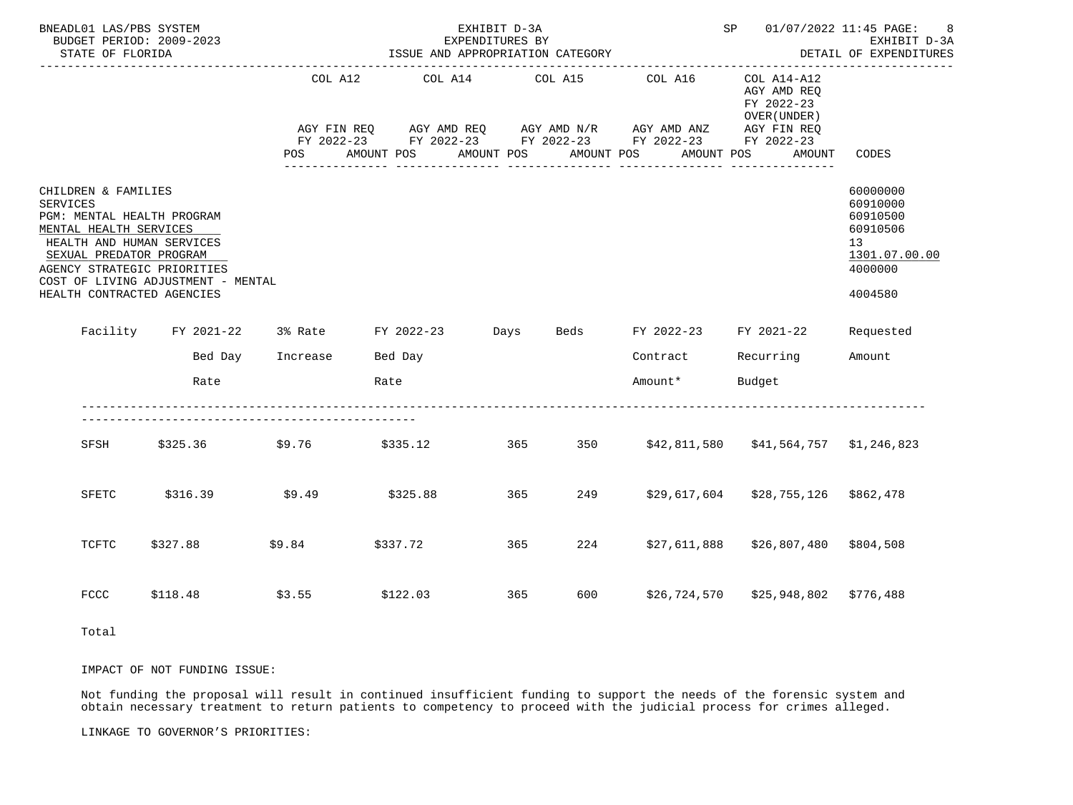| BNEADL01 LAS/PBS SYSTEM<br>BUDGET PERIOD: 2009-2023<br>STATE OF FLORIDA                                                                                                                                      |                                                                        |                          | ISSUE AND APPROPRIATION CATEGORY | EXHIBIT D-3A<br>EXPENDITURES BY |        |            |                                                                                                                                                                                                    |                                                             | SP 01/07/2022 11:45 PAGE: 8<br>EXHIBIT D-3A<br>DETAIL OF EXPENDITURES<br>------------------            |
|--------------------------------------------------------------------------------------------------------------------------------------------------------------------------------------------------------------|------------------------------------------------------------------------|--------------------------|----------------------------------|---------------------------------|--------|------------|----------------------------------------------------------------------------------------------------------------------------------------------------------------------------------------------------|-------------------------------------------------------------|--------------------------------------------------------------------------------------------------------|
|                                                                                                                                                                                                              |                                                                        | COL A12<br>POS           | AMOUNT POS                       | COL A14 COL A15<br>AMOUNT POS   |        | AMOUNT POS | COL A16<br>AGY FIN REQ       AGY AMD REQ       AGY AMD N/R       AGY AMD ANZ       AGY FIN REQ<br>FY 2022-23        FY 2022-23        FY 2022-23        FY 2022-23        FY 2022-23<br>AMOUNT POS | $COL A14- A12$<br>AGY AMD REQ<br>FY 2022-23<br>OVER (UNDER) | AMOUNT CODES                                                                                           |
| CHILDREN & FAMILIES<br>SERVICES<br>PGM: MENTAL HEALTH PROGRAM<br>MENTAL HEALTH SERVICES<br>HEALTH AND HUMAN SERVICES<br>SEXUAL PREDATOR PROGRAM<br>AGENCY STRATEGIC PRIORITIES<br>HEALTH CONTRACTED AGENCIES | COST OF LIVING ADJUSTMENT - MENTAL                                     |                          |                                  |                                 |        |            |                                                                                                                                                                                                    |                                                             | 60000000<br>60910000<br>60910500<br>60910506<br>13 <sup>7</sup><br>1301.07.00.00<br>4000000<br>4004580 |
|                                                                                                                                                                                                              | Facility FY 2021-22 3% Rate FY 2022-23 Days Beds FY 2022-23 FY 2021-22 |                          |                                  |                                 |        |            |                                                                                                                                                                                                    |                                                             | Requested                                                                                              |
|                                                                                                                                                                                                              |                                                                        | Bed Day Increase Bed Day |                                  |                                 |        |            | Contract Recurring Amount                                                                                                                                                                          |                                                             |                                                                                                        |
|                                                                                                                                                                                                              | Rate                                                                   |                          | Rate                             |                                 |        |            | Amount* Budget                                                                                                                                                                                     |                                                             |                                                                                                        |
|                                                                                                                                                                                                              | SFSH \$325.36 \$9.76                                                   |                          |                                  |                                 |        |            |                                                                                                                                                                                                    |                                                             |                                                                                                        |
| SFETC                                                                                                                                                                                                        | \$316.39                                                               |                          | $$9.49$ $$325.88$                |                                 | 365 30 |            | 249 \$29,617,604 \$28,755,126 \$862,478                                                                                                                                                            |                                                             |                                                                                                        |
| TCFTC                                                                                                                                                                                                        | \$327.88                                                               |                          | $$9.84$ $$337.72$                |                                 | 365 7  |            | 224 \$27,611,888                                                                                                                                                                                   |                                                             | \$26,807,480 \$804,508                                                                                 |
| <b>FCCC</b>                                                                                                                                                                                                  | \$118.48                                                               | \$3.55                   | \$122.03                         |                                 | 365 30 |            | 600 \$26,724,570 \$25,948,802 \$776,488                                                                                                                                                            |                                                             |                                                                                                        |
| Total                                                                                                                                                                                                        |                                                                        |                          |                                  |                                 |        |            |                                                                                                                                                                                                    |                                                             |                                                                                                        |

IMPACT OF NOT FUNDING ISSUE:

 Not funding the proposal will result in continued insufficient funding to support the needs of the forensic system and obtain necessary treatment to return patients to competency to proceed with the judicial process for crimes alleged.

LINKAGE TO GOVERNOR'S PRIORITIES: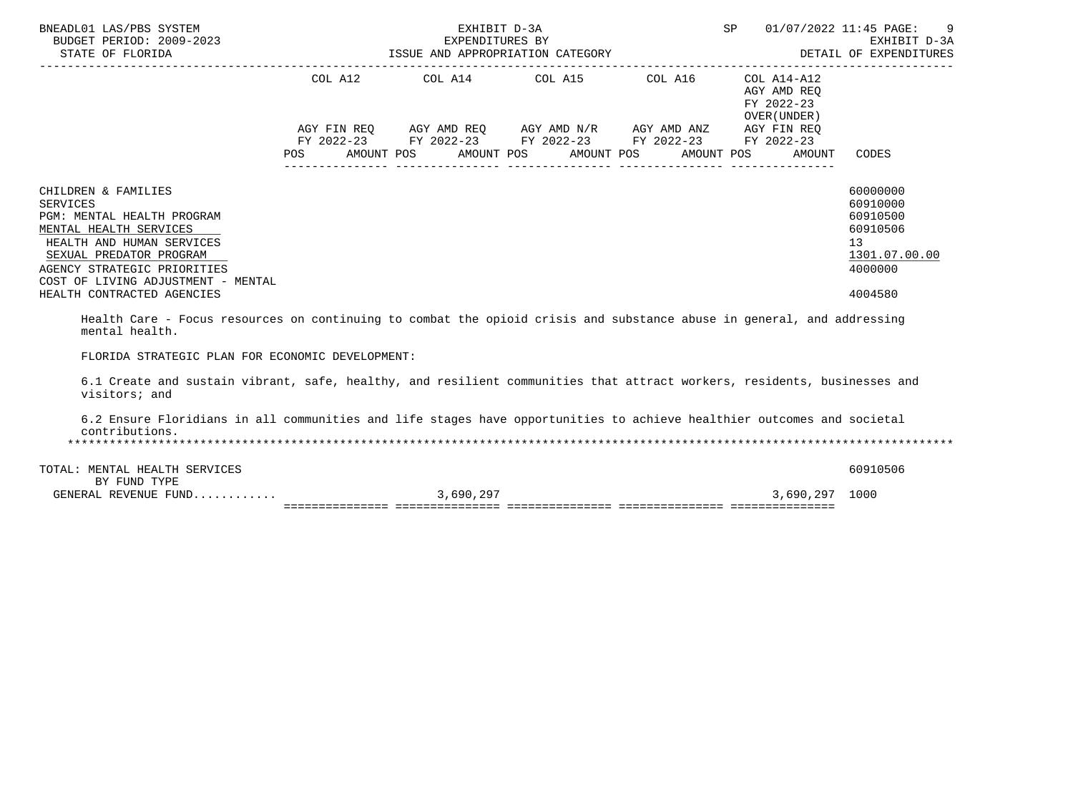| BNEADL01 LAS/PBS SYSTEM<br>BUDGET PERIOD: 2009-2023<br>STATE OF FLORIDA                                                                                                                                                                                                                                                                                                             |            | EXHIBIT D-3A                                                                                          |  | SP |                                                          | 01/07/2022 11:45 PAGE:<br>-9                                                                           |
|-------------------------------------------------------------------------------------------------------------------------------------------------------------------------------------------------------------------------------------------------------------------------------------------------------------------------------------------------------------------------------------|------------|-------------------------------------------------------------------------------------------------------|--|----|----------------------------------------------------------|--------------------------------------------------------------------------------------------------------|
|                                                                                                                                                                                                                                                                                                                                                                                     |            | COL A12 COL A14 COL A15 COL A16<br>AGY FIN REQ AGY AMD REQ AGY AMD N/R AGY AMD ANZ AGY FIN REQ        |  |    | COL A14-A12<br>AGY AMD REO<br>FY 2022-23<br>OVER (UNDER) | ------------                                                                                           |
|                                                                                                                                                                                                                                                                                                                                                                                     | <b>POS</b> | FY 2022-23 FY 2022-23 FY 2022-23 FY 2022-23 FY 2022-23<br>AMOUNT POS AMOUNT POS AMOUNT POS AMOUNT POS |  |    | AMOUNT                                                   | CODES                                                                                                  |
| CHILDREN & FAMILIES<br><b>SERVICES</b><br>PGM: MENTAL HEALTH PROGRAM<br>MENTAL HEALTH SERVICES<br>HEALTH AND HUMAN SERVICES<br>SEXUAL PREDATOR PROGRAM<br>AGENCY STRATEGIC PRIORITIES<br>COST OF LIVING ADJUSTMENT - MENTAL<br>HEALTH CONTRACTED AGENCIES<br>Health Care - Focus resources on continuing to combat the opioid crisis and substance abuse in general, and addressing |            |                                                                                                       |  |    |                                                          | 60000000<br>60910000<br>60910500<br>60910506<br>13 <sup>°</sup><br>1301.07.00.00<br>4000000<br>4004580 |
| mental health.<br>FLORIDA STRATEGIC PLAN FOR ECONOMIC DEVELOPMENT:                                                                                                                                                                                                                                                                                                                  |            |                                                                                                       |  |    |                                                          |                                                                                                        |
| 6.1 Create and sustain vibrant, safe, healthy, and resilient communities that attract workers, residents, businesses and<br>visitors; and                                                                                                                                                                                                                                           |            |                                                                                                       |  |    |                                                          |                                                                                                        |
| 6.2 Ensure Floridians in all communities and life stages have opportunities to achieve healthier outcomes and societal<br>contributions.                                                                                                                                                                                                                                            |            |                                                                                                       |  |    |                                                          |                                                                                                        |
| TOTAL: MENTAL HEALTH SERVICES<br>BY FUND TYPE                                                                                                                                                                                                                                                                                                                                       |            |                                                                                                       |  |    |                                                          | 60910506                                                                                               |

 GENERAL REVENUE FUND............ 3,690,297 3,690,297 1000 =============== =============== =============== =============== ===============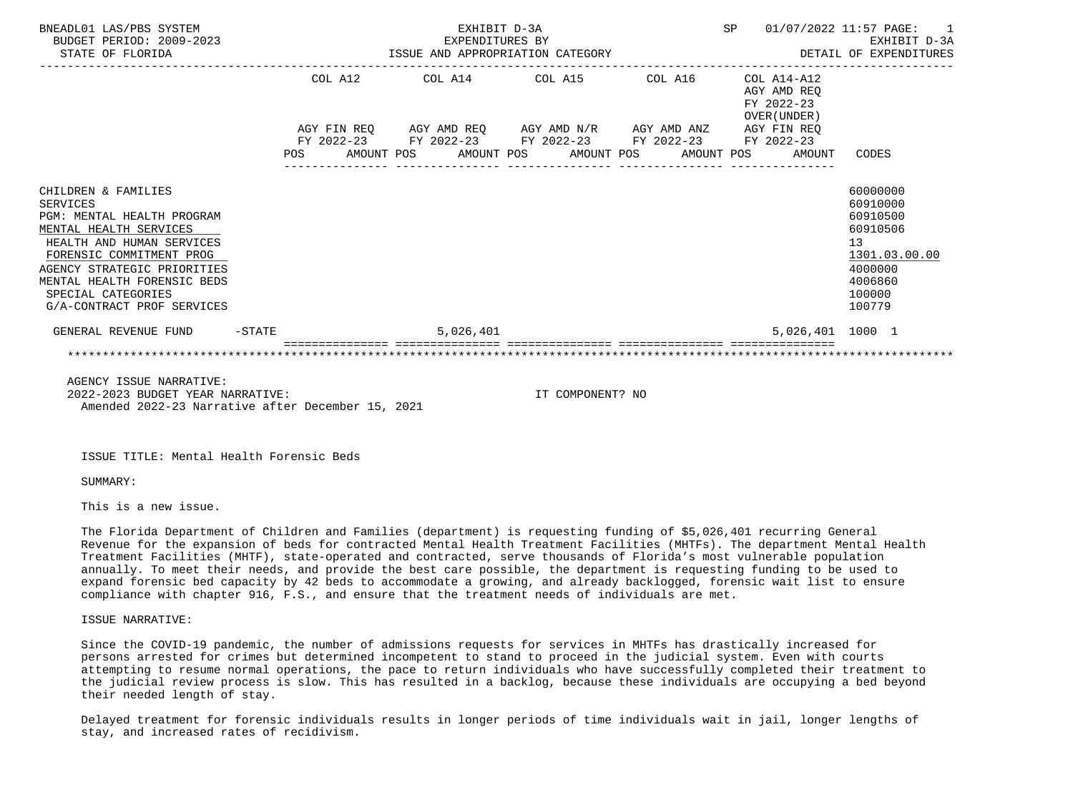| BNEADL01 LAS/PBS SYSTEM<br>BUDGET PERIOD: 2009-2023<br>STATE OF FLORIDA                                                                                                                                                                                                   |           |  | EXHIBIT D-3A<br>EXPENDITURES BY<br>EXPENDITURES BY<br>ISSUE AND APPROPRIATION CATEGORY                                                                               |  |  |                                            | SP 01/07/2022 11:57 PAGE: 1<br>EXHIBIT D-3A<br>DETAIL OF EXPENDITURES                                                      |
|---------------------------------------------------------------------------------------------------------------------------------------------------------------------------------------------------------------------------------------------------------------------------|-----------|--|----------------------------------------------------------------------------------------------------------------------------------------------------------------------|--|--|--------------------------------------------|----------------------------------------------------------------------------------------------------------------------------|
|                                                                                                                                                                                                                                                                           |           |  | COL A12 COL A14 COL A15 COL A16 COL A14-A12<br>AGY FIN REQ AGY AMD REQ AGY AMD N/R AGY AMD ANZ AGY FIN REQ<br>FY 2022-23 FY 2022-23 FY 2022-23 FY 2022-23 FY 2022-23 |  |  | AGY AMD REO<br>FY 2022-23<br>OVER (UNDER ) |                                                                                                                            |
|                                                                                                                                                                                                                                                                           |           |  | POS AMOUNT POS AMOUNT POS AMOUNT POS AMOUNT POS                                                                                                                      |  |  | AMOUNT                                     | CODES                                                                                                                      |
| CHILDREN & FAMILIES<br><b>SERVICES</b><br>PGM: MENTAL HEALTH PROGRAM<br>MENTAL HEALTH SERVICES<br>HEALTH AND HUMAN SERVICES<br>FORENSIC COMMITMENT PROG<br>AGENCY STRATEGIC PRIORITIES<br>MENTAL HEALTH FORENSIC BEDS<br>SPECIAL CATEGORIES<br>G/A-CONTRACT PROF SERVICES |           |  |                                                                                                                                                                      |  |  |                                            | 60000000<br>60910000<br>60910500<br>60910506<br>13 <sup>°</sup><br>1301.03.00.00<br>4000000<br>4006860<br>100000<br>100779 |
| GENERAL REVENUE FUND                                                                                                                                                                                                                                                      | $-$ STATE |  | 5,026,401                                                                                                                                                            |  |  | 5,026,401 1000 1                           |                                                                                                                            |
|                                                                                                                                                                                                                                                                           |           |  |                                                                                                                                                                      |  |  |                                            |                                                                                                                            |
|                                                                                                                                                                                                                                                                           |           |  |                                                                                                                                                                      |  |  |                                            |                                                                                                                            |

 AGENCY ISSUE NARRATIVE: 2022-2023 BUDGET YEAR NARRATIVE: IT COMPONENT? NO Amended 2022-23 Narrative after December 15, 2021

ISSUE TITLE: Mental Health Forensic Beds

SUMMARY:

This is a new issue.

 The Florida Department of Children and Families (department) is requesting funding of \$5,026,401 recurring General Revenue for the expansion of beds for contracted Mental Health Treatment Facilities (MHTFs). The department Mental Health Treatment Facilities (MHTF), state-operated and contracted, serve thousands of Florida's most vulnerable population annually. To meet their needs, and provide the best care possible, the department is requesting funding to be used to expand forensic bed capacity by 42 beds to accommodate a growing, and already backlogged, forensic wait list to ensure compliance with chapter 916, F.S., and ensure that the treatment needs of individuals are met.

ISSUE NARRATIVE:

 Since the COVID-19 pandemic, the number of admissions requests for services in MHTFs has drastically increased for persons arrested for crimes but determined incompetent to stand to proceed in the judicial system. Even with courts attempting to resume normal operations, the pace to return individuals who have successfully completed their treatment to the judicial review process is slow. This has resulted in a backlog, because these individuals are occupying a bed beyond their needed length of stay.

 Delayed treatment for forensic individuals results in longer periods of time individuals wait in jail, longer lengths of stay, and increased rates of recidivism.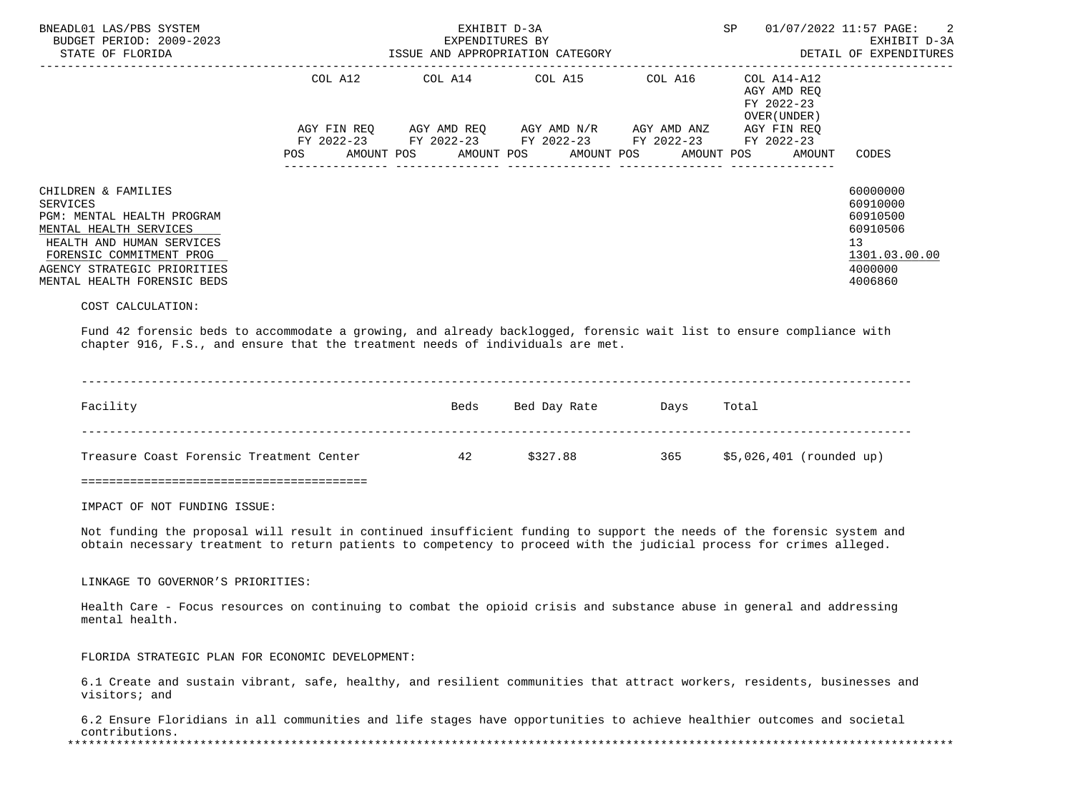| BNEADL01 LAS/PBS SYSTEM<br>BUDGET PERIOD: 2009-2023<br>STATE OF FLORIDA                                                                                                                                        |                           | EXPENDITURES BY | EXHIBIT D-3A<br>ISSUE AND APPROPRIATION CATEGORY                                                                                                      | SP                                                       | 01/07/2022 11:57 PAGE: 2<br>EXHIBIT D-3A<br>DETAIL OF EXPENDITURES                                     |
|----------------------------------------------------------------------------------------------------------------------------------------------------------------------------------------------------------------|---------------------------|-----------------|-------------------------------------------------------------------------------------------------------------------------------------------------------|----------------------------------------------------------|--------------------------------------------------------------------------------------------------------|
|                                                                                                                                                                                                                | COL A12                   |                 | COL A14 COL A15 COL A16                                                                                                                               | COL A14-A12<br>AGY AMD REO<br>FY 2022-23<br>OVER (UNDER) |                                                                                                        |
|                                                                                                                                                                                                                | AGY FIN REO<br><b>POS</b> |                 | AGY AMD REQ      AGY AMD N/R     AGY AMD ANZ<br>FY 2022-23 FY 2022-23 FY 2022-23 FY 2022-23 FY 2022-23<br>AMOUNT POS AMOUNT POS AMOUNT POS AMOUNT POS | AGY FIN REQ<br>AMOUNT                                    | CODES                                                                                                  |
| CHILDREN & FAMILIES<br>SERVICES<br>PGM: MENTAL HEALTH PROGRAM<br>MENTAL HEALTH SERVICES<br>HEALTH AND HUMAN SERVICES<br>FORENSIC COMMITMENT PROG<br>AGENCY STRATEGIC PRIORITIES<br>MENTAL HEALTH FORENSIC BEDS |                           |                 |                                                                                                                                                       |                                                          | 60000000<br>60910000<br>60910500<br>60910506<br>13 <sup>°</sup><br>1301.03.00.00<br>4000000<br>4006860 |
| COST CALCULATION:                                                                                                                                                                                              |                           |                 |                                                                                                                                                       |                                                          |                                                                                                        |

 Fund 42 forensic beds to accommodate a growing, and already backlogged, forensic wait list to ensure compliance with chapter 916, F.S., and ensure that the treatment needs of individuals are met.

| Facility                                 | Beds | Bed Day Rate | Days | Total                     |
|------------------------------------------|------|--------------|------|---------------------------|
| Treasure Coast Forensic Treatment Center | 42   | \$327.88     | 365  | $$5,026,401$ (rounded up) |

=========================================

IMPACT OF NOT FUNDING ISSUE:

 Not funding the proposal will result in continued insufficient funding to support the needs of the forensic system and obtain necessary treatment to return patients to competency to proceed with the judicial process for crimes alleged.

LINKAGE TO GOVERNOR'S PRIORITIES:

 Health Care - Focus resources on continuing to combat the opioid crisis and substance abuse in general and addressing mental health.

FLORIDA STRATEGIC PLAN FOR ECONOMIC DEVELOPMENT:

 6.1 Create and sustain vibrant, safe, healthy, and resilient communities that attract workers, residents, businesses and visitors; and

 6.2 Ensure Floridians in all communities and life stages have opportunities to achieve healthier outcomes and societal contributions.<br>\*\*\*\*\*\*\*\*\*\*\*\*\*\*\*\*\*\*\*\* \*\*\*\*\*\*\*\*\*\*\*\*\*\*\*\*\*\*\*\*\*\*\*\*\*\*\*\*\*\*\*\*\*\*\*\*\*\*\*\*\*\*\*\*\*\*\*\*\*\*\*\*\*\*\*\*\*\*\*\*\*\*\*\*\*\*\*\*\*\*\*\*\*\*\*\*\*\*\*\*\*\*\*\*\*\*\*\*\*\*\*\*\*\*\*\*\*\*\*\*\*\*\*\*\*\*\*\*\*\*\*\*\*\*\*\*\*\*\*\*\*\*\*\*\*\*\*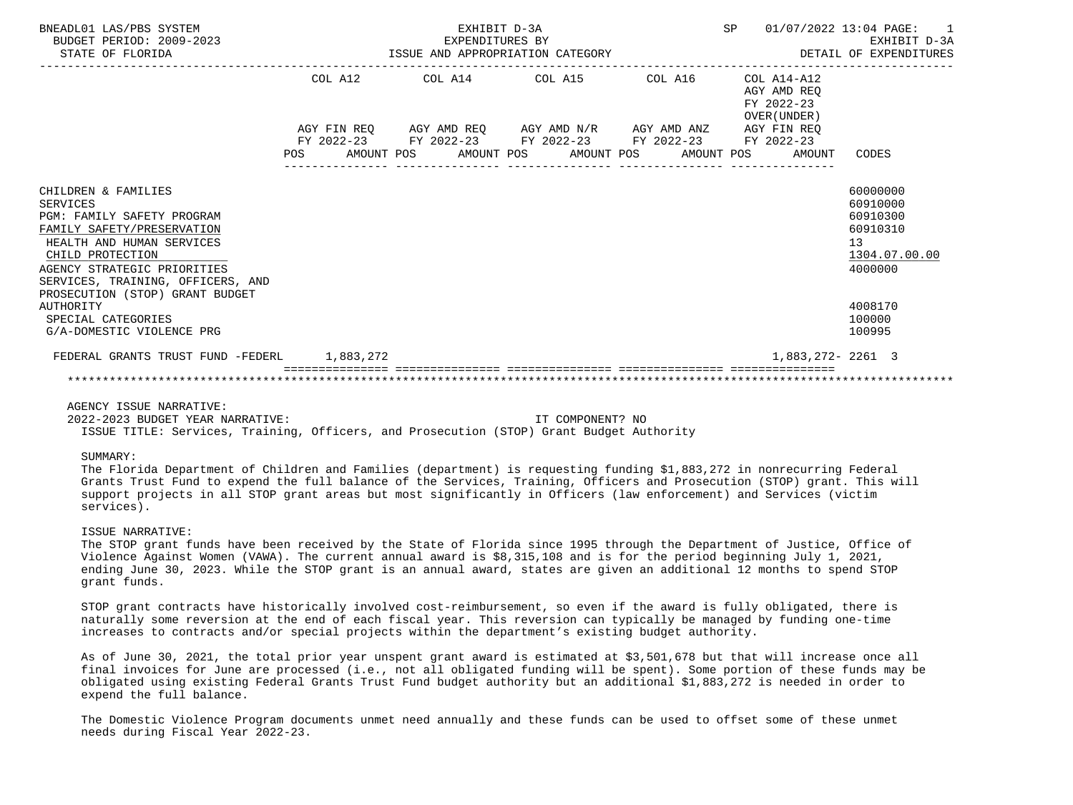| BNEADL01 LAS/PBS SYSTEM<br>BUDGET PERIOD: 2009-2023<br>STATE OF FLORIDA                                                                                                                                                                                    |         | EXHIBIT D-3A<br>EXPENDITURES BY<br>ISSUE AND APPROPRIATION CATEGORY |  |                                                                                                                       | DETAIL OF EXPENDITURES                                   | SP 01/07/2022 13:04 PAGE: 1<br>EXHIBIT D-3A                                    |
|------------------------------------------------------------------------------------------------------------------------------------------------------------------------------------------------------------------------------------------------------------|---------|---------------------------------------------------------------------|--|-----------------------------------------------------------------------------------------------------------------------|----------------------------------------------------------|--------------------------------------------------------------------------------|
|                                                                                                                                                                                                                                                            | COL A12 |                                                                     |  | COL A14 COL A15 COL A16                                                                                               | COL A14-A12<br>AGY AMD REO<br>FY 2022-23<br>OVER (UNDER) |                                                                                |
|                                                                                                                                                                                                                                                            |         |                                                                     |  | AGY FIN REQ AGY AMD REQ AGY AMD N/R AGY AMD ANZ AGY FIN REQ<br>FY 2022-23 FY 2022-23 FY 2022-23 FY 2022-23 FY 2022-23 | POS AMOUNT POS AMOUNT POS AMOUNT POS AMOUNT POS AMOUNT   | CODES                                                                          |
| CHILDREN & FAMILIES<br><b>SERVICES</b><br>PGM: FAMILY SAFETY PROGRAM<br>FAMILY SAFETY/PRESERVATION<br>HEALTH AND HUMAN SERVICES<br>CHILD PROTECTION<br>AGENCY STRATEGIC PRIORITIES<br>SERVICES, TRAINING, OFFICERS, AND<br>PROSECUTION (STOP) GRANT BUDGET |         |                                                                     |  |                                                                                                                       |                                                          | 60000000<br>60910000<br>60910300<br>60910310<br>13<br>1304.07.00.00<br>4000000 |
| AUTHORITY<br>SPECIAL CATEGORIES<br>G/A-DOMESTIC VIOLENCE PRG                                                                                                                                                                                               |         |                                                                     |  |                                                                                                                       |                                                          | 4008170<br>100000<br>100995                                                    |
| FEDERAL GRANTS TRUST FUND -FEDERL 1,883,272                                                                                                                                                                                                                |         |                                                                     |  |                                                                                                                       | 1,883,272- 2261 3                                        |                                                                                |
|                                                                                                                                                                                                                                                            |         |                                                                     |  |                                                                                                                       |                                                          |                                                                                |

# AGENCY ISSUE NARRATIVE:

 2022-2023 BUDGET YEAR NARRATIVE: IT COMPONENT? NO ISSUE TITLE: Services, Training, Officers, and Prosecution (STOP) Grant Budget Authority

### SUMMARY:

 The Florida Department of Children and Families (department) is requesting funding \$1,883,272 in nonrecurring Federal Grants Trust Fund to expend the full balance of the Services, Training, Officers and Prosecution (STOP) grant. This will support projects in all STOP grant areas but most significantly in Officers (law enforcement) and Services (victim services).

#### ISSUE NARRATIVE:

 The STOP grant funds have been received by the State of Florida since 1995 through the Department of Justice, Office of Violence Against Women (VAWA). The current annual award is \$8,315,108 and is for the period beginning July 1, 2021, ending June 30, 2023. While the STOP grant is an annual award, states are given an additional 12 months to spend STOP grant funds.

 STOP grant contracts have historically involved cost-reimbursement, so even if the award is fully obligated, there is naturally some reversion at the end of each fiscal year. This reversion can typically be managed by funding one-time increases to contracts and/or special projects within the department's existing budget authority.

 As of June 30, 2021, the total prior year unspent grant award is estimated at \$3,501,678 but that will increase once all final invoices for June are processed (i.e., not all obligated funding will be spent). Some portion of these funds may be obligated using existing Federal Grants Trust Fund budget authority but an additional \$1,883,272 is needed in order to expend the full balance.

 The Domestic Violence Program documents unmet need annually and these funds can be used to offset some of these unmet needs during Fiscal Year 2022-23.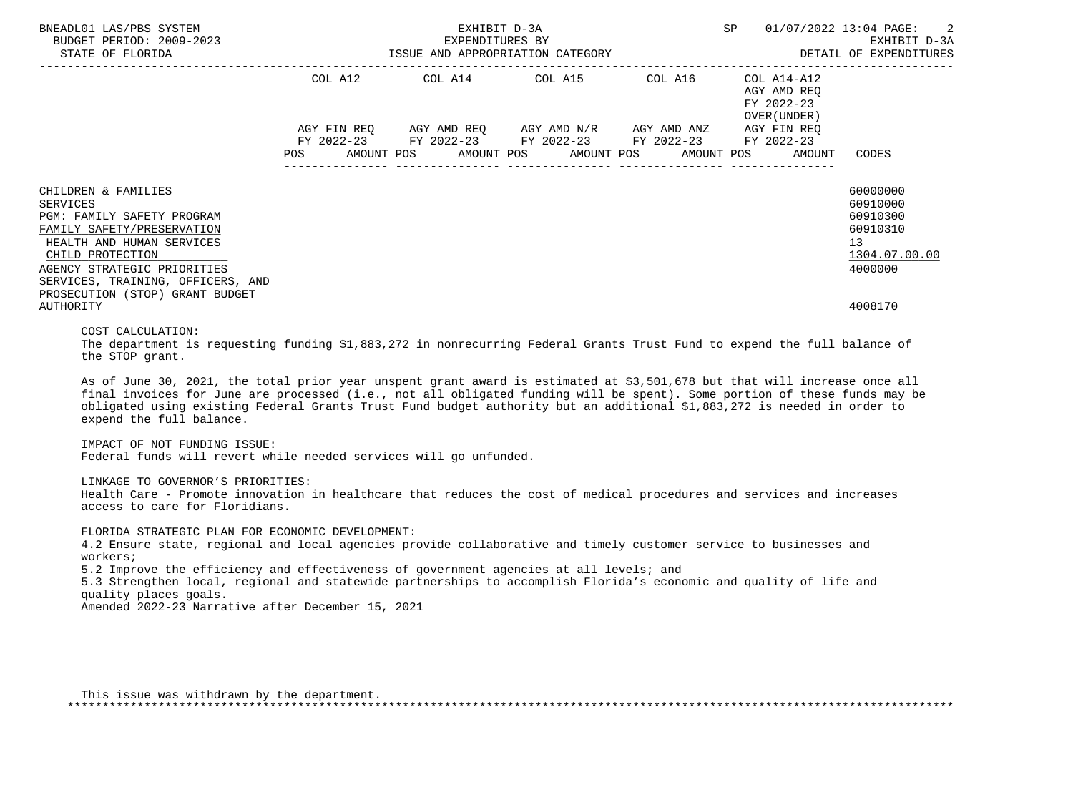| BNEADL01 LAS/PBS SYSTEM<br>AEADLOI LAS/PBS SYSTEM<br>BUDGET PERIOD: 2009–2023<br>STATE OF FLORIDA STATE OF FLORIDA                                                                                                                                                                                                                                                                                            |         | EXHIBIT D-3A |                                                                                                                                                                                                                                                                                                                                                                                         | SP 01/07/2022 13:04 PAGE:                                           | -2<br>EXHIBIT D-3A<br>DETAIL OF EXPENDITURES                                   |
|---------------------------------------------------------------------------------------------------------------------------------------------------------------------------------------------------------------------------------------------------------------------------------------------------------------------------------------------------------------------------------------------------------------|---------|--------------|-----------------------------------------------------------------------------------------------------------------------------------------------------------------------------------------------------------------------------------------------------------------------------------------------------------------------------------------------------------------------------------------|---------------------------------------------------------------------|--------------------------------------------------------------------------------|
| ---------------------                                                                                                                                                                                                                                                                                                                                                                                         | POS FOR | AMOUNT POS   | COL A12 COL A14 COL A15 COL A16<br>$\begin{array}{lllllll} \text{AGY}\ \text{FIN}\ \text{REG} & \text{AGY}\ \text{AMD}\ \text{REG} & \text{AGY}\ \text{AMD}\ \text{N/R} & \text{AGY}\ \text{AMD}\ \text{ANZ} & \text{AGY}\ \text{FIN}\ \text{REG} \\ \text{FY}\ 2022-23 & \text{FY}\ 2022-23 & \text{FY}\ 2022-23 & \text{FY}\ 2022-23 \end{array}$<br>AMOUNT POS AMOUNT POS AMOUNT POS | COL A14-A12<br>AGY AMD REO<br>FY 2022-23<br>OVER (UNDER )<br>AMOUNT | CODES                                                                          |
| CHILDREN & FAMILIES<br><b>SERVICES</b><br>PGM: FAMILY SAFETY PROGRAM<br>FAMILY SAFETY/PRESERVATION<br>HEALTH AND HUMAN SERVICES<br>CHILD PROTECTION<br>AGENCY STRATEGIC PRIORITIES<br>SERVICES, TRAINING, OFFICERS, AND<br>PROSECUTION (STOP) GRANT BUDGET                                                                                                                                                    |         |              |                                                                                                                                                                                                                                                                                                                                                                                         |                                                                     | 60000000<br>60910000<br>60910300<br>60910310<br>13<br>1304.07.00.00<br>4000000 |
| <b>AUTHORITY</b><br>COST CALCULATION:<br>The department is requesting funding \$1,883,272 in nonrecurring Federal Grants Trust Fund to expend the full balance of<br>the STOP grant.                                                                                                                                                                                                                          |         |              |                                                                                                                                                                                                                                                                                                                                                                                         |                                                                     | 4008170                                                                        |
| As of June 30, 2021, the total prior year unspent grant award is estimated at \$3,501,678 but that will increase once all<br>final invoices for June are processed (i.e., not all obligated funding will be spent). Some portion of these funds may be<br>obligated using existing Federal Grants Trust Fund budget authority but an additional \$1,883,272 is needed in order to<br>expend the full balance. |         |              |                                                                                                                                                                                                                                                                                                                                                                                         |                                                                     |                                                                                |
| IMPACT OF NOT FUNDING ISSUE:<br>Federal funds will revert while needed services will go unfunded.                                                                                                                                                                                                                                                                                                             |         |              |                                                                                                                                                                                                                                                                                                                                                                                         |                                                                     |                                                                                |
| LINKAGE TO GOVERNOR'S PRIORITIES:<br>Health Care - Promote innovation in healthcare that reduces the cost of medical procedures and services and increases<br>access to care for Floridians.                                                                                                                                                                                                                  |         |              |                                                                                                                                                                                                                                                                                                                                                                                         |                                                                     |                                                                                |
| FLORIDA STRATEGIC PLAN FOR ECONOMIC DEVELOPMENT:<br>1.0 Deputes at the contract car lead that according and the contraction and timely and contract as the building and                                                                                                                                                                                                                                       |         |              |                                                                                                                                                                                                                                                                                                                                                                                         |                                                                     |                                                                                |

 4.2 Ensure state, regional and local agencies provide collaborative and timely customer service to businesses and workers; 5.2 Improve the efficiency and effectiveness of government agencies at all levels; and 5.3 Strengthen local, regional and statewide partnerships to accomplish Florida's economic and quality of life and

 quality places goals. Amended 2022-23 Narrative after December 15, 2021

| This issue was withdrawn by the department. |  |
|---------------------------------------------|--|
|                                             |  |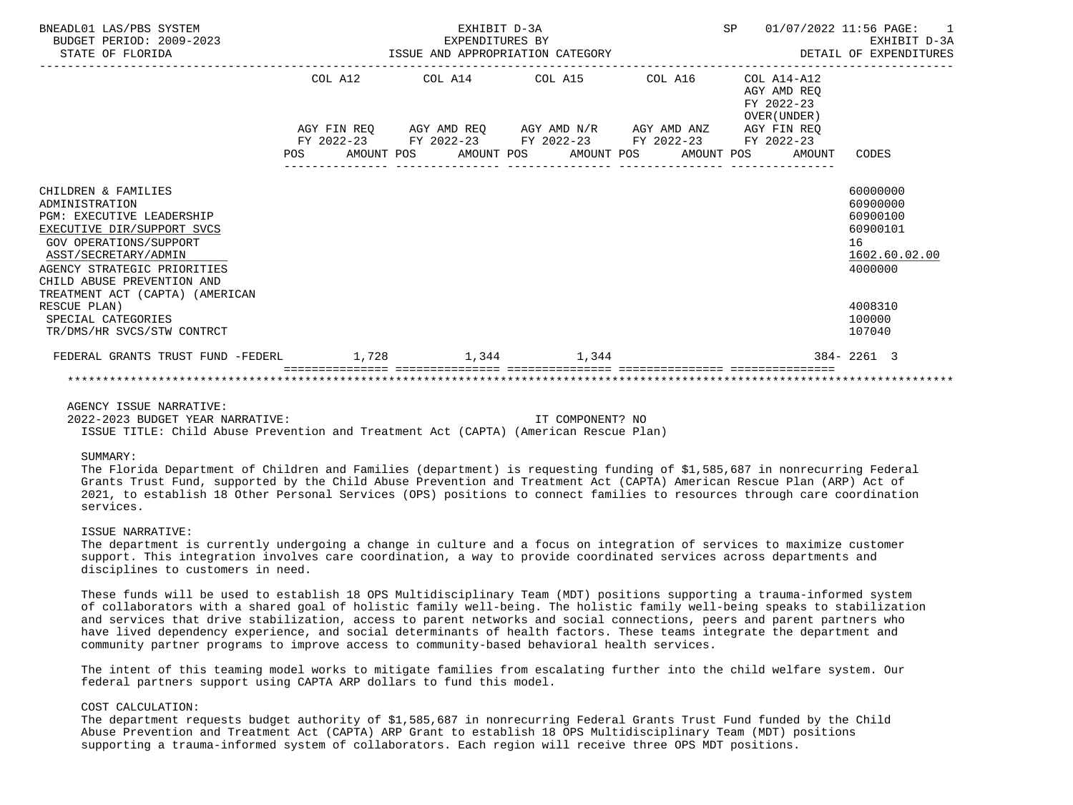| BNEADL01 LAS/PBS SYSTEM<br>BUDGET PERIOD: 2009-2023<br>STATE OF FLORIDA                                                                                                                                                       |  | EXHIBIT D-3A | EXPENDITURES BY<br>ISSUE AND APPROPRIATION CATEGORY         |  |                                                          | SP 01/07/2022 11:56 PAGE: 1<br>EXHIBIT D-3A<br>DETAIL OF EXPENDITURES          |
|-------------------------------------------------------------------------------------------------------------------------------------------------------------------------------------------------------------------------------|--|--------------|-------------------------------------------------------------|--|----------------------------------------------------------|--------------------------------------------------------------------------------|
|                                                                                                                                                                                                                               |  |              | COL A12 COL A14 COL A15 COL A16                             |  | COL A14-A12<br>AGY AMD REO<br>FY 2022-23<br>OVER (UNDER) |                                                                                |
|                                                                                                                                                                                                                               |  |              | AGY FIN REQ AGY AMD REQ AGY AMD N/R AGY AMD ANZ AGY FIN REQ |  |                                                          |                                                                                |
|                                                                                                                                                                                                                               |  |              | FY 2022-23 FY 2022-23 FY 2022-23 FY 2022-23 FY 2022-23      |  | POS AMOUNT POS AMOUNT POS AMOUNT POS AMOUNT POS AMOUNT   | CODES                                                                          |
| CHILDREN & FAMILIES<br>ADMINISTRATION<br><b>PGM: EXECUTIVE LEADERSHIP</b><br>EXECUTIVE DIR/SUPPORT SVCS<br><b>GOV OPERATIONS/SUPPORT</b><br>ASST/SECRETARY/ADMIN<br>AGENCY STRATEGIC PRIORITIES<br>CHILD ABUSE PREVENTION AND |  |              |                                                             |  |                                                          | 60000000<br>60900000<br>60900100<br>60900101<br>16<br>1602.60.02.00<br>4000000 |
| TREATMENT ACT (CAPTA) (AMERICAN<br>RESCUE PLAN)<br>SPECIAL CATEGORIES<br>TR/DMS/HR SVCS/STW CONTRCT                                                                                                                           |  |              |                                                             |  |                                                          | 4008310<br>100000<br>107040                                                    |
| FEDERAL GRANTS TRUST FUND -FEDERL 1,728 1,344 1,344                                                                                                                                                                           |  |              |                                                             |  |                                                          | $384 - 2261$ 3                                                                 |
|                                                                                                                                                                                                                               |  |              |                                                             |  |                                                          |                                                                                |

# AGENCY ISSUE NARRATIVE:

 2022-2023 BUDGET YEAR NARRATIVE: IT COMPONENT? NO ISSUE TITLE: Child Abuse Prevention and Treatment Act (CAPTA) (American Rescue Plan)

### SUMMARY:

 The Florida Department of Children and Families (department) is requesting funding of \$1,585,687 in nonrecurring Federal Grants Trust Fund, supported by the Child Abuse Prevention and Treatment Act (CAPTA) American Rescue Plan (ARP) Act of 2021, to establish 18 Other Personal Services (OPS) positions to connect families to resources through care coordination services.

### ISSUE NARRATIVE:

 The department is currently undergoing a change in culture and a focus on integration of services to maximize customer support. This integration involves care coordination, a way to provide coordinated services across departments and disciplines to customers in need.

 These funds will be used to establish 18 OPS Multidisciplinary Team (MDT) positions supporting a trauma-informed system of collaborators with a shared goal of holistic family well-being. The holistic family well-being speaks to stabilization and services that drive stabilization, access to parent networks and social connections, peers and parent partners who have lived dependency experience, and social determinants of health factors. These teams integrate the department and community partner programs to improve access to community-based behavioral health services.

 The intent of this teaming model works to mitigate families from escalating further into the child welfare system. Our federal partners support using CAPTA ARP dollars to fund this model.

### COST CALCULATION:

 The department requests budget authority of \$1,585,687 in nonrecurring Federal Grants Trust Fund funded by the Child Abuse Prevention and Treatment Act (CAPTA) ARP Grant to establish 18 OPS Multidisciplinary Team (MDT) positions supporting a trauma-informed system of collaborators. Each region will receive three OPS MDT positions.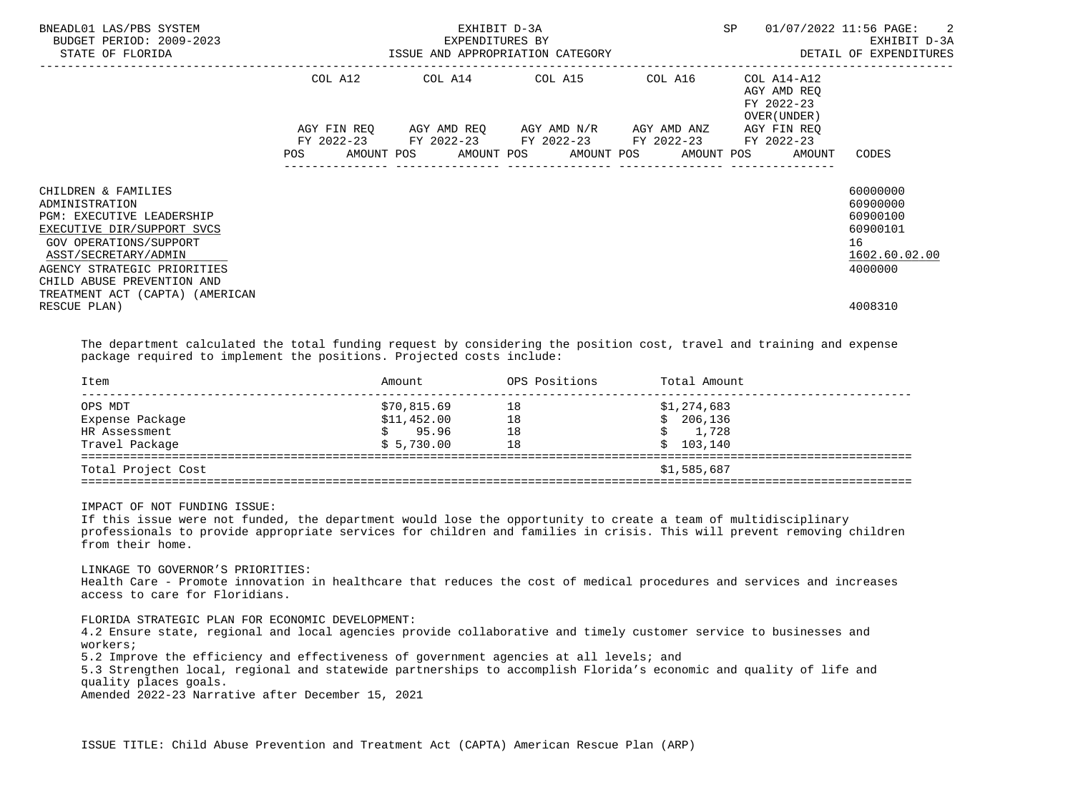| BNEADL01 LAS/PBS SYSTEM<br>BUDGET PERIOD: 2009-2023<br>STATE OF FLORIDA                                                                                                                                                                                   |         | EXPENDITURES BY | EXHIBIT D-3A<br>ISSUE AND APPROPRIATION CATEGORY                                                                                              |                            | SP                                                       | 01/07/2022 11:56 PAGE: 2<br>EXHIBIT D-3A<br>DETAIL OF EXPENDITURES             |
|-----------------------------------------------------------------------------------------------------------------------------------------------------------------------------------------------------------------------------------------------------------|---------|-----------------|-----------------------------------------------------------------------------------------------------------------------------------------------|----------------------------|----------------------------------------------------------|--------------------------------------------------------------------------------|
|                                                                                                                                                                                                                                                           | COL A12 |                 | COL A14 COL A15 COL A16                                                                                                                       | -------------------------- | COL A14-A12<br>AGY AMD REO<br>FY 2022-23<br>OVER (UNDER) |                                                                                |
|                                                                                                                                                                                                                                                           | POS     |                 | AGY FIN REO AGY AMD REO AGY AMD N/R AGY AMD ANZ<br>FY 2022-23 FY 2022-23 FY 2022-23 FY 2022-23<br>AMOUNT POS AMOUNT POS AMOUNT POS AMOUNT POS |                            | AGY FIN REO<br>FY 2022-23<br>AMOUNT                      | CODES                                                                          |
| CHILDREN & FAMILIES<br>ADMINISTRATION<br><b>PGM: EXECUTIVE LEADERSHIP</b><br>EXECUTIVE DIR/SUPPORT SVCS<br>GOV OPERATIONS/SUPPORT<br>ASST/SECRETARY/ADMIN<br>AGENCY STRATEGIC PRIORITIES<br>CHILD ABUSE PREVENTION AND<br>TREATMENT ACT (CAPTA) (AMERICAN |         |                 |                                                                                                                                               |                            |                                                          | 60000000<br>60900000<br>60900100<br>60900101<br>16<br>1602.60.02.00<br>4000000 |
| RESCUE PLAN)                                                                                                                                                                                                                                              |         |                 |                                                                                                                                               |                            |                                                          | 4008310                                                                        |

 The department calculated the total funding request by considering the position cost, travel and training and expense package required to implement the positions. Projected costs include:

| Item               | Amount      | OPS Positions | Total Amount |
|--------------------|-------------|---------------|--------------|
| OPS MDT            | \$70,815.69 | 18            | \$1,274,683  |
| Expense Package    | \$11,452.00 | 18            | \$206,136    |
| HR Assessment      | 95.96       | 18            | 1,728        |
| Travel Package     | \$5,730.00  | 18            | 103,140      |
| Total Project Cost |             |               | \$1,585,687  |

IMPACT OF NOT FUNDING ISSUE:

 If this issue were not funded, the department would lose the opportunity to create a team of multidisciplinary professionals to provide appropriate services for children and families in crisis. This will prevent removing children from their home.

 LINKAGE TO GOVERNOR'S PRIORITIES: Health Care - Promote innovation in healthcare that reduces the cost of medical procedures and services and increases access to care for Floridians.

FLORIDA STRATEGIC PLAN FOR ECONOMIC DEVELOPMENT:

 4.2 Ensure state, regional and local agencies provide collaborative and timely customer service to businesses and workers;

5.2 Improve the efficiency and effectiveness of government agencies at all levels; and

 5.3 Strengthen local, regional and statewide partnerships to accomplish Florida's economic and quality of life and quality places goals.

Amended 2022-23 Narrative after December 15, 2021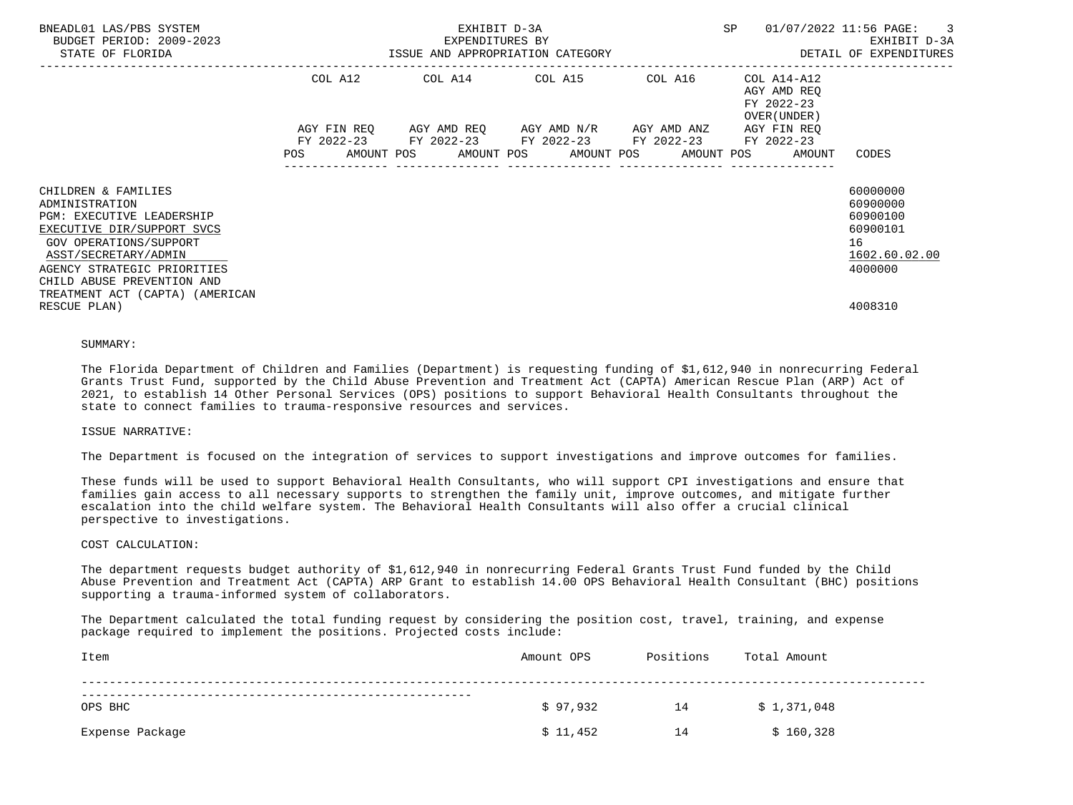| BNEADL01 LAS/PBS SYSTEM<br>BUDGET PERIOD: 2009-2023<br>STATE OF FLORIDA                                                                                                                                                |            | EXHIBIT D-3A<br>EXPENDITURES BY | ISSUE AND APPROPRIATION CATEGORY                                                                                                              |         | SP                                                       | 01/07/2022 11:56 PAGE:<br>$\overline{\phantom{a}}$<br>EXHIBIT D-3A<br>DETAIL OF EXPENDITURES |
|------------------------------------------------------------------------------------------------------------------------------------------------------------------------------------------------------------------------|------------|---------------------------------|-----------------------------------------------------------------------------------------------------------------------------------------------|---------|----------------------------------------------------------|----------------------------------------------------------------------------------------------|
|                                                                                                                                                                                                                        | COL A12    |                                 | COL A14 COL A15                                                                                                                               | COL A16 | COL A14-A12<br>AGY AMD REO<br>FY 2022-23<br>OVER (UNDER) |                                                                                              |
|                                                                                                                                                                                                                        | <b>POS</b> |                                 | AGY FIN REO AGY AMD REO AGY AMD N/R AGY AMD ANZ<br>FY 2022-23 FY 2022-23 FY 2022-23 FY 2022-23<br>AMOUNT POS AMOUNT POS AMOUNT POS AMOUNT POS |         | AGY FIN REO<br>FY 2022-23<br>AMOUNT                      | CODES                                                                                        |
| CHILDREN & FAMILIES<br>ADMINISTRATION<br><b>PGM: EXECUTIVE LEADERSHIP</b><br>EXECUTIVE DIR/SUPPORT SVCS<br>GOV OPERATIONS/SUPPORT<br>ASST/SECRETARY/ADMIN<br>AGENCY STRATEGIC PRIORITIES<br>CHILD ABUSE PREVENTION AND |            |                                 |                                                                                                                                               |         |                                                          | 60000000<br>60900000<br>60900100<br>60900101<br>16<br>1602.60.02.00<br>4000000               |
| TREATMENT ACT (CAPTA) (AMERICAN<br>RESCUE PLAN)                                                                                                                                                                        |            |                                 |                                                                                                                                               |         |                                                          | 4008310                                                                                      |

#### SUMMARY:

 The Florida Department of Children and Families (Department) is requesting funding of \$1,612,940 in nonrecurring Federal Grants Trust Fund, supported by the Child Abuse Prevention and Treatment Act (CAPTA) American Rescue Plan (ARP) Act of 2021, to establish 14 Other Personal Services (OPS) positions to support Behavioral Health Consultants throughout the state to connect families to trauma-responsive resources and services.

#### ISSUE NARRATIVE:

The Department is focused on the integration of services to support investigations and improve outcomes for families.

 These funds will be used to support Behavioral Health Consultants, who will support CPI investigations and ensure that families gain access to all necessary supports to strengthen the family unit, improve outcomes, and mitigate further escalation into the child welfare system. The Behavioral Health Consultants will also offer a crucial clinical perspective to investigations.

#### COST CALCULATION:

 The department requests budget authority of \$1,612,940 in nonrecurring Federal Grants Trust Fund funded by the Child Abuse Prevention and Treatment Act (CAPTA) ARP Grant to establish 14.00 OPS Behavioral Health Consultant (BHC) positions supporting a trauma-informed system of collaborators.

 The Department calculated the total funding request by considering the position cost, travel, training, and expense package required to implement the positions. Projected costs include:

| Item            | Amount OPS | Positions | Total Amount |  |
|-----------------|------------|-----------|--------------|--|
| OPS BHC         | \$97,932   | 14        | \$1,371,048  |  |
| Expense Package | \$11,452   | 14        | \$160,328    |  |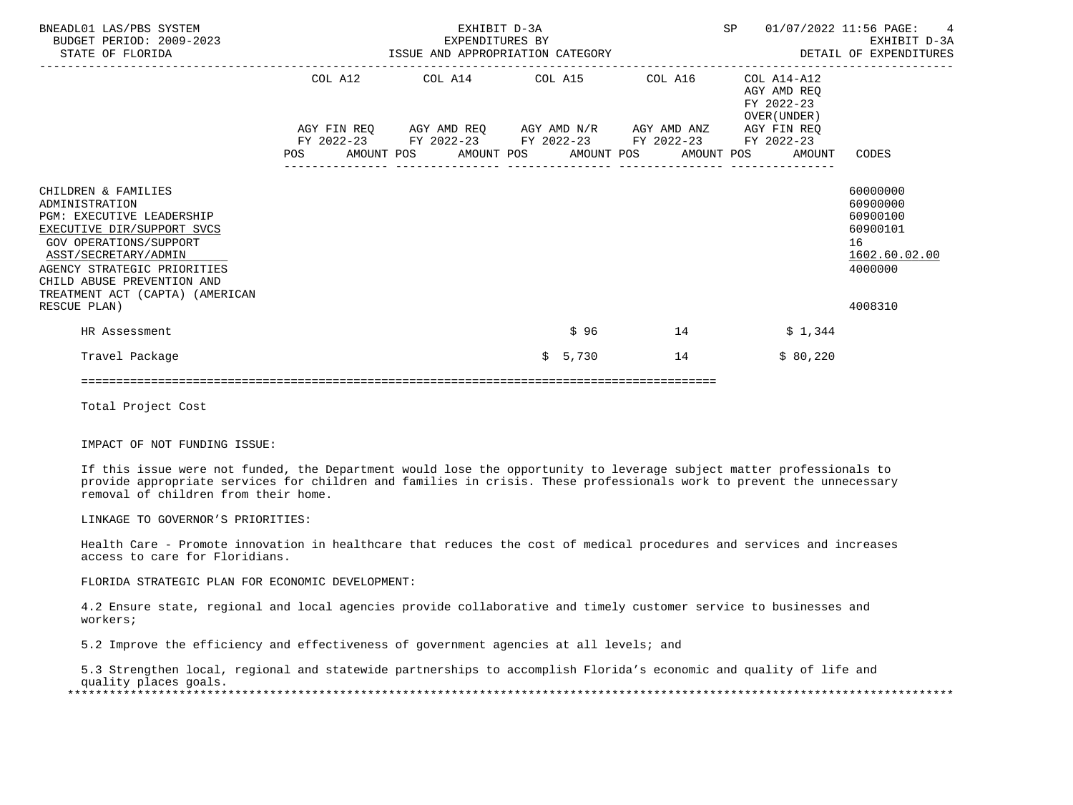| BNEADL01 LAS/PBS SYSTEM<br>BUDGET PERIOD: 2009-2023<br>STATE OF FLORIDA                                                                                                                                                                            |  | EXHIBIT D-3A<br>EXPENDITURES BY |   |                                                                                                                                               |                                   | <b>SP</b> |                                                                        | 01/07/2022 11:56 PAGE: 4<br>EXHIBIT D-3A<br>EXHIBIT D-3A EXPENDITURES BY THE RESOLUTION OF EXPENDITURES AND APPROPRIATION CATEGORY THE SUM SETAIL OF EXPENDITURES |
|----------------------------------------------------------------------------------------------------------------------------------------------------------------------------------------------------------------------------------------------------|--|---------------------------------|---|-----------------------------------------------------------------------------------------------------------------------------------------------|-----------------------------------|-----------|------------------------------------------------------------------------|-------------------------------------------------------------------------------------------------------------------------------------------------------------------|
|                                                                                                                                                                                                                                                    |  |                                 |   | COL A12 COL A14 COL A15 COL A16<br>AGY FIN REQ AGY AMD REQ AGY AMD N/R AGY AMD ANZ AGY FIN REQ<br>FY 2022-23 FY 2022-23 FY 2022-23 FY 2022-23 | --------------------------------- |           | COL A14-A12<br>AGY AMD REO<br>FY 2022-23<br>OVER (UNDER)<br>FY 2022-23 |                                                                                                                                                                   |
|                                                                                                                                                                                                                                                    |  |                                 |   | POS AMOUNT POS AMOUNT POS AMOUNT POS AMOUNT POS                                                                                               |                                   |           | AMOUNT                                                                 | CODES                                                                                                                                                             |
| CHILDREN & FAMILIES<br>ADMINISTRATION<br>PGM: EXECUTIVE LEADERSHIP<br>EXECUTIVE DIR/SUPPORT SVCS<br>GOV OPERATIONS/SUPPORT<br>ASST/SECRETARY/ADMIN<br>AGENCY STRATEGIC PRIORITIES<br>CHILD ABUSE PREVENTION AND<br>TREATMENT ACT (CAPTA) (AMERICAN |  |                                 |   |                                                                                                                                               |                                   |           |                                                                        | 60000000<br>60900000<br>60900100<br>60900101<br>16<br>1602.60.02.00<br>4000000                                                                                    |
| RESCUE PLAN)<br>HR Assessment                                                                                                                                                                                                                      |  |                                 |   | \$96                                                                                                                                          | 14                                |           | \$1,344                                                                | 4008310                                                                                                                                                           |
| Travel Package                                                                                                                                                                                                                                     |  |                                 | Ŝ | 5,730                                                                                                                                         | 14                                |           | \$80,220                                                               |                                                                                                                                                                   |

===========================================================================================

Total Project Cost

IMPACT OF NOT FUNDING ISSUE:

 If this issue were not funded, the Department would lose the opportunity to leverage subject matter professionals to provide appropriate services for children and families in crisis. These professionals work to prevent the unnecessary removal of children from their home.

LINKAGE TO GOVERNOR'S PRIORITIES:

 Health Care - Promote innovation in healthcare that reduces the cost of medical procedures and services and increases access to care for Floridians.

FLORIDA STRATEGIC PLAN FOR ECONOMIC DEVELOPMENT:

 4.2 Ensure state, regional and local agencies provide collaborative and timely customer service to businesses and workers;

5.2 Improve the efficiency and effectiveness of government agencies at all levels; and

 5.3 Strengthen local, regional and statewide partnerships to accomplish Florida's economic and quality of life and quality places goals. \*\*\*\*\*\*\*\*\*\*\*\*\*\*\*\*\*\*\*\*\*\*\*\*\*\*\*\*\*\*\*\*\*\*\*\*\*\*\*\*\*\*\*\*\*\*\*\*\*\*\*\*\*\*\*\*\*\*\*\*\*\*\*\*\*\*\*\*\*\*\*\*\*\*\*\*\*\*\*\*\*\*\*\*\*\*\*\*\*\*\*\*\*\*\*\*\*\*\*\*\*\*\*\*\*\*\*\*\*\*\*\*\*\*\*\*\*\*\*\*\*\*\*\*\*\*\*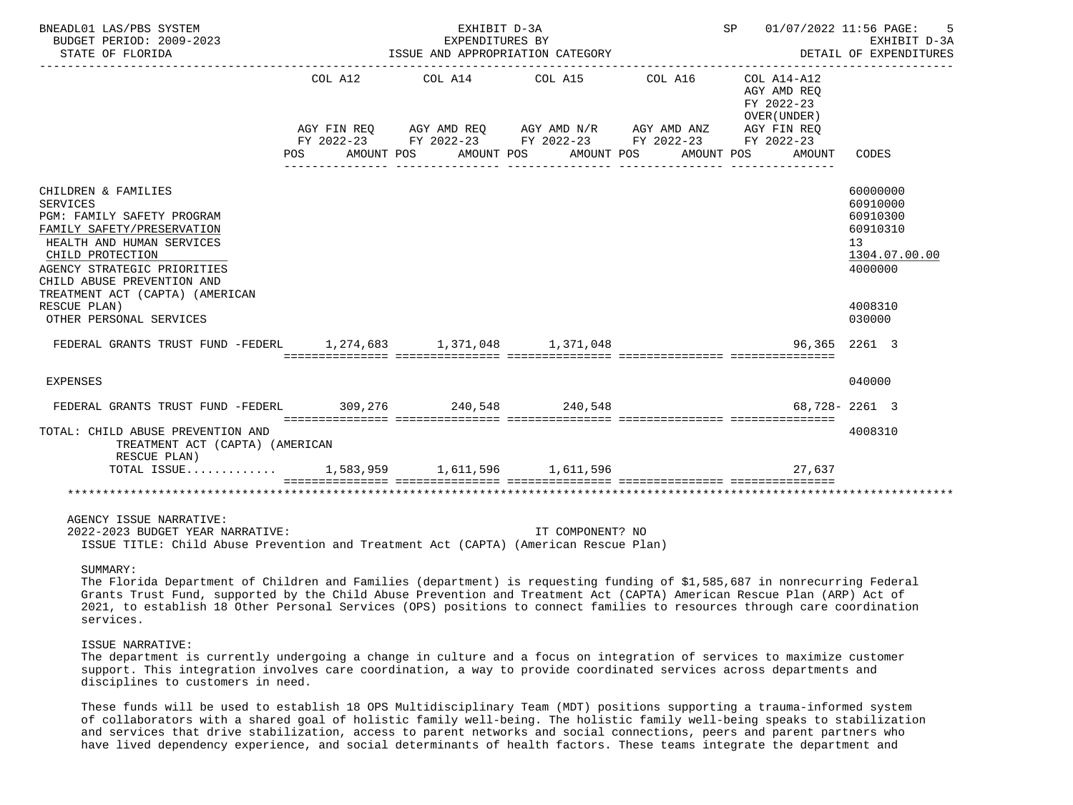| BNEADL01 LAS/PBS SYSTEM<br>BUDGET PERIOD: 2009-2023<br>STATE OF FLORIDA                                                                                                                                                                                             |         | EXHIBIT D-3A<br>EXPENDITURES BY<br>ISSUE AND APPROPRIATION CATEGORY                                                                                                              |                  |         | SP 01/07/2022 11:56 PAGE:                                                     | 5<br>EXHIBIT D-3A<br>DETAIL OF EXPENDITURES                                               |
|---------------------------------------------------------------------------------------------------------------------------------------------------------------------------------------------------------------------------------------------------------------------|---------|----------------------------------------------------------------------------------------------------------------------------------------------------------------------------------|------------------|---------|-------------------------------------------------------------------------------|-------------------------------------------------------------------------------------------|
|                                                                                                                                                                                                                                                                     | COL A12 | COL A14 COL A15<br>AGY FIN REQ AGY AMD REQ AGY AMD N/R AGY AMD ANZ AGY FIN REQ<br>FY 2022-23 FY 2022-23 FY 2022-23 FY 2022-23 FY 2022-23<br>POS AMOUNT POS AMOUNT POS AMOUNT POS |                  | COL A16 | COL A14-A12<br>AGY AMD REQ<br>FY 2022-23<br>OVER (UNDER)<br>AMOUNT POS AMOUNT | CODES                                                                                     |
| CHILDREN & FAMILIES<br><b>SERVICES</b><br>PGM: FAMILY SAFETY PROGRAM<br>FAMILY SAFETY/PRESERVATION<br>HEALTH AND HUMAN SERVICES<br>CHILD PROTECTION<br>AGENCY STRATEGIC PRIORITIES<br>CHILD ABUSE PREVENTION AND<br>TREATMENT ACT (CAPTA) (AMERICAN<br>RESCUE PLAN) |         |                                                                                                                                                                                  |                  |         |                                                                               | 60000000<br>60910000<br>60910300<br>60910310<br>13<br>1304.07.00.00<br>4000000<br>4008310 |
| OTHER PERSONAL SERVICES<br>FEDERAL GRANTS TRUST FUND -FEDERL 1, 274, 683 1, 371, 048 1, 371, 048                                                                                                                                                                    |         |                                                                                                                                                                                  |                  |         |                                                                               | 030000<br>96,365 2261 3                                                                   |
|                                                                                                                                                                                                                                                                     |         |                                                                                                                                                                                  |                  |         |                                                                               |                                                                                           |
| EXPENSES                                                                                                                                                                                                                                                            |         |                                                                                                                                                                                  |                  |         |                                                                               | 040000                                                                                    |
| FEDERAL GRANTS TRUST FUND -FEDERL 309,276 240,548 240,548                                                                                                                                                                                                           |         |                                                                                                                                                                                  |                  |         |                                                                               | 68,728-2261 3                                                                             |
| TOTAL: CHILD ABUSE PREVENTION AND<br>TREATMENT ACT (CAPTA) (AMERICAN<br>RESCUE PLAN)                                                                                                                                                                                |         |                                                                                                                                                                                  |                  |         |                                                                               | 4008310                                                                                   |
| TOTAL ISSUE 1,583,959 1,611,596 1,611,596                                                                                                                                                                                                                           |         |                                                                                                                                                                                  |                  |         | 27,637                                                                        |                                                                                           |
|                                                                                                                                                                                                                                                                     |         |                                                                                                                                                                                  |                  |         |                                                                               |                                                                                           |
| AGENCY ISSUE NARRATIVE:<br>2022-2023 BUDGET YEAR NARRATIVE:<br>ISSUE TITLE: Child Abuse Prevention and Treatment Act (CAPTA) (American Rescue Plan)                                                                                                                 |         |                                                                                                                                                                                  | IT COMPONENT? NO |         |                                                                               |                                                                                           |
| SUMMARY:                                                                                                                                                                                                                                                            |         |                                                                                                                                                                                  |                  |         |                                                                               |                                                                                           |

 The Florida Department of Children and Families (department) is requesting funding of \$1,585,687 in nonrecurring Federal Grants Trust Fund, supported by the Child Abuse Prevention and Treatment Act (CAPTA) American Rescue Plan (ARP) Act of 2021, to establish 18 Other Personal Services (OPS) positions to connect families to resources through care coordination services.

#### ISSUE NARRATIVE:

 The department is currently undergoing a change in culture and a focus on integration of services to maximize customer support. This integration involves care coordination, a way to provide coordinated services across departments and disciplines to customers in need.

 These funds will be used to establish 18 OPS Multidisciplinary Team (MDT) positions supporting a trauma-informed system of collaborators with a shared goal of holistic family well-being. The holistic family well-being speaks to stabilization and services that drive stabilization, access to parent networks and social connections, peers and parent partners who have lived dependency experience, and social determinants of health factors. These teams integrate the department and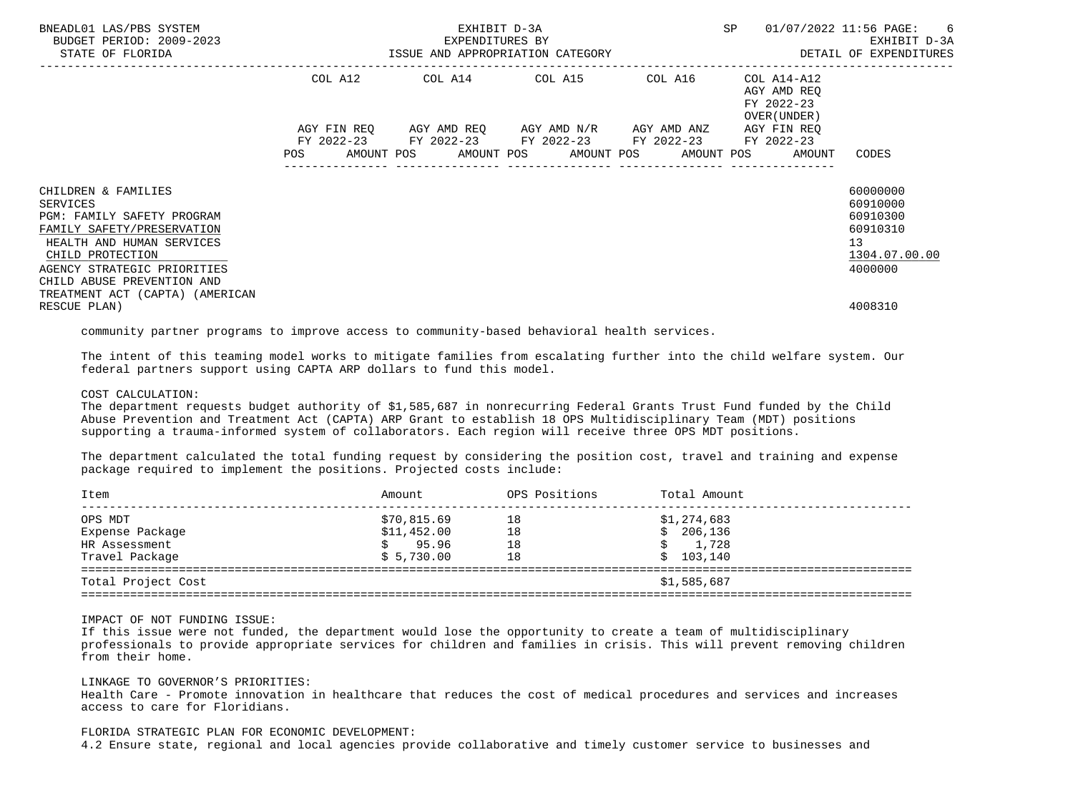| BNEADL01 LAS/PBS SYSTEM<br>BUDGET PERIOD: 2009-2023<br>STATE OF FLORIDA                                                                                                                                                                             |            | EXPENDITURES BY | EXHIBIT D-3A<br>ISSUE AND APPROPRIATION CATEGORY                                               |         | SP                                                                              | 01/07/2022 11:56 PAGE: 6<br>EXHIBIT D-3A<br>DETAIL OF EXPENDITURES             |
|-----------------------------------------------------------------------------------------------------------------------------------------------------------------------------------------------------------------------------------------------------|------------|-----------------|------------------------------------------------------------------------------------------------|---------|---------------------------------------------------------------------------------|--------------------------------------------------------------------------------|
|                                                                                                                                                                                                                                                     | COL A12    |                 | --------------<br>COL A14 COL A15                                                              | COL A16 | COL A14-A12<br>AGY AMD REO<br>FY 2022-23<br>OVER (UNDER)                        |                                                                                |
|                                                                                                                                                                                                                                                     | <b>POS</b> |                 | AGY FIN REQ AGY AMD REQ AGY AMD N/R AGY AMD ANZ<br>FY 2022-23 FY 2022-23 FY 2022-23 FY 2022-23 |         | AGY FIN REO<br>FY 2022-23<br>AMOUNT POS AMOUNT POS AMOUNT POS AMOUNT POS AMOUNT | CODES                                                                          |
| CHILDREN & FAMILIES<br>SERVICES<br><b>PGM: FAMILY SAFETY PROGRAM</b><br>FAMILY SAFETY/PRESERVATION<br>HEALTH AND HUMAN SERVICES<br>CHILD PROTECTION<br>AGENCY STRATEGIC PRIORITIES<br>CHILD ABUSE PREVENTION AND<br>TREATMENT ACT (CAPTA) (AMERICAN |            |                 |                                                                                                |         |                                                                                 | 60000000<br>60910000<br>60910300<br>60910310<br>13<br>1304.07.00.00<br>4000000 |
| RESCUE PLAN)                                                                                                                                                                                                                                        |            |                 |                                                                                                |         |                                                                                 | 4008310                                                                        |

community partner programs to improve access to community-based behavioral health services.

 The intent of this teaming model works to mitigate families from escalating further into the child welfare system. Our federal partners support using CAPTA ARP dollars to fund this model.

COST CALCULATION:

 The department requests budget authority of \$1,585,687 in nonrecurring Federal Grants Trust Fund funded by the Child Abuse Prevention and Treatment Act (CAPTA) ARP Grant to establish 18 OPS Multidisciplinary Team (MDT) positions supporting a trauma-informed system of collaborators. Each region will receive three OPS MDT positions.

 The department calculated the total funding request by considering the position cost, travel and training and expense package required to implement the positions. Projected costs include:

| Item               | Amount      | OPS Positions | Total Amount |
|--------------------|-------------|---------------|--------------|
| OPS MDT            | \$70,815.69 | 18            | \$1,274,683  |
| Expense Package    | \$11,452.00 | 18            | \$206,136    |
| HR Assessment      | 95.96       | 18            | 1,728        |
| Travel Package     | \$5,730.00  | 18            | \$103,140    |
| Total Project Cost |             |               | \$1,585,687  |

IMPACT OF NOT FUNDING ISSUE:

 If this issue were not funded, the department would lose the opportunity to create a team of multidisciplinary professionals to provide appropriate services for children and families in crisis. This will prevent removing children from their home.

## LINKAGE TO GOVERNOR'S PRIORITIES:

 Health Care - Promote innovation in healthcare that reduces the cost of medical procedures and services and increases access to care for Floridians.

### FLORIDA STRATEGIC PLAN FOR ECONOMIC DEVELOPMENT:

4.2 Ensure state, regional and local agencies provide collaborative and timely customer service to businesses and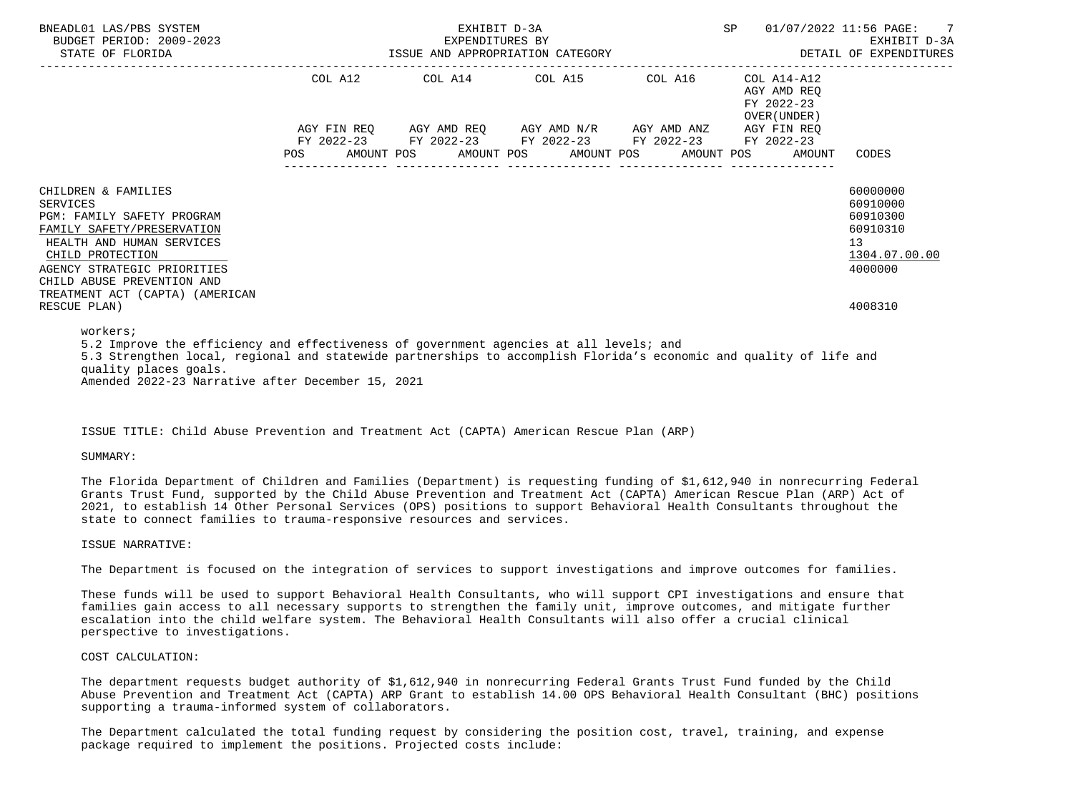| BNEADL01 LAS/PBS SYSTEM<br>BUDGET PERIOD: 2009-2023<br>STATE OF FLORIDA                                                                                                                                                                                      |  | EXHIBIT D-3A |                                                                                                                                                              |  | SP |                                                          | 01/07/2022 11:56 PAGE: 7                                                                  |
|--------------------------------------------------------------------------------------------------------------------------------------------------------------------------------------------------------------------------------------------------------------|--|--------------|--------------------------------------------------------------------------------------------------------------------------------------------------------------|--|----|----------------------------------------------------------|-------------------------------------------------------------------------------------------|
|                                                                                                                                                                                                                                                              |  |              | COL A12 COL A14 COL A15 COL A16                                                                                                                              |  |    | COL A14-A12<br>AGY AMD REO<br>FY 2022-23<br>OVER (UNDER) |                                                                                           |
|                                                                                                                                                                                                                                                              |  |              | AGY FIN REQ AGY AMD REQ AGY AMD N/R AGY AMD ANZ<br>FY 2022-23 FY 2022-23 FY 2022-23 FY 2022-23 FY 2022-23<br>POS AMOUNT POS AMOUNT POS AMOUNT POS AMOUNT POS |  |    | AGY FIN REO<br>AMOUNT                                    | CODES                                                                                     |
| CHILDREN & FAMILIES<br>SERVICES<br>PGM: FAMILY SAFETY PROGRAM<br>FAMILY SAFETY/PRESERVATION<br>HEALTH AND HUMAN SERVICES<br>CHILD PROTECTION<br>AGENCY STRATEGIC PRIORITIES<br>CHILD ABUSE PREVENTION AND<br>TREATMENT ACT (CAPTA) (AMERICAN<br>RESCUE PLAN) |  |              |                                                                                                                                                              |  |    |                                                          | 60000000<br>60910000<br>60910300<br>60910310<br>13<br>1304.07.00.00<br>4000000<br>4008310 |
| workers:                                                                                                                                                                                                                                                     |  |              |                                                                                                                                                              |  |    |                                                          |                                                                                           |

 5.2 Improve the efficiency and effectiveness of government agencies at all levels; and 5.3 Strengthen local, regional and statewide partnerships to accomplish Florida's economic and quality of life and quality places goals. Amended 2022-23 Narrative after December 15, 2021

# ISSUE TITLE: Child Abuse Prevention and Treatment Act (CAPTA) American Rescue Plan (ARP)

# SUMMARY:

 The Florida Department of Children and Families (Department) is requesting funding of \$1,612,940 in nonrecurring Federal Grants Trust Fund, supported by the Child Abuse Prevention and Treatment Act (CAPTA) American Rescue Plan (ARP) Act of 2021, to establish 14 Other Personal Services (OPS) positions to support Behavioral Health Consultants throughout the state to connect families to trauma-responsive resources and services.

#### ISSUE NARRATIVE:

The Department is focused on the integration of services to support investigations and improve outcomes for families.

 These funds will be used to support Behavioral Health Consultants, who will support CPI investigations and ensure that families gain access to all necessary supports to strengthen the family unit, improve outcomes, and mitigate further escalation into the child welfare system. The Behavioral Health Consultants will also offer a crucial clinical perspective to investigations.

### COST CALCULATION:

 The department requests budget authority of \$1,612,940 in nonrecurring Federal Grants Trust Fund funded by the Child Abuse Prevention and Treatment Act (CAPTA) ARP Grant to establish 14.00 OPS Behavioral Health Consultant (BHC) positions supporting a trauma-informed system of collaborators.

 The Department calculated the total funding request by considering the position cost, travel, training, and expense package required to implement the positions. Projected costs include: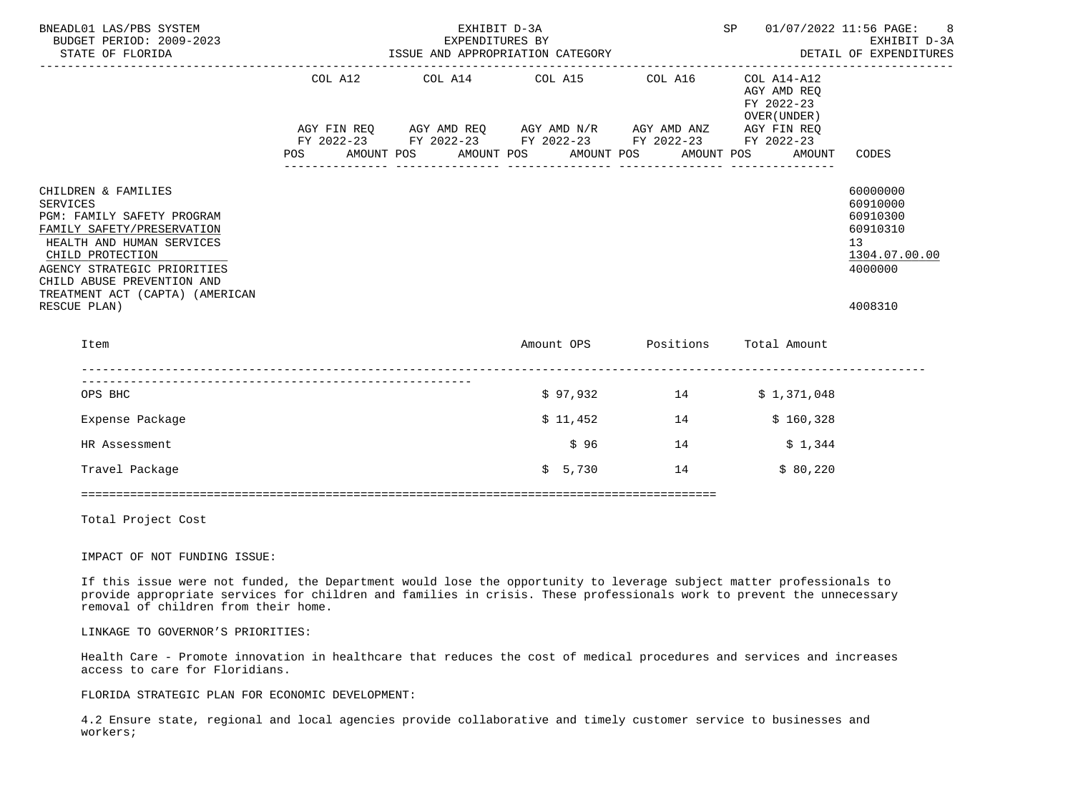| BNEADL01 LAS/PBS SYSTEM<br>BUDGET PERIOD: 2009-2023<br>STATE OF FLORIDA                                                                                                                                                                                      |            |                                                                                                                                                                                                                     | EXHIBIT D-3A<br>EXPENDITURES BY | ISSUE AND APPROPRIATION CATEGORY            |    | SP |                                                                    | 01/07/2022 11:56 PAGE: 8<br>EXHIBIT D-3A<br>DETAIL OF EXPENDITURES                                     |
|--------------------------------------------------------------------------------------------------------------------------------------------------------------------------------------------------------------------------------------------------------------|------------|---------------------------------------------------------------------------------------------------------------------------------------------------------------------------------------------------------------------|---------------------------------|---------------------------------------------|----|----|--------------------------------------------------------------------|--------------------------------------------------------------------------------------------------------|
| -----------------                                                                                                                                                                                                                                            | <b>POS</b> | COL A12 COL A14 COL A15 COL A16<br>AGY FIN REQ       AGY AMD REQ        AGY AMD N/R        AGY AMD ANZ         AGY FIN REQ<br>FY 2022-23         FY 2022-23         FY 2022-23         FY 2022-23        FY 2022-23 |                                 | AMOUNT POS AMOUNT POS AMOUNT POS AMOUNT POS |    |    | COL A14-A12<br>AGY AMD REO<br>FY 2022-23<br>OVER (UNDER)<br>AMOUNT | CODES                                                                                                  |
| CHILDREN & FAMILIES<br>SERVICES<br>PGM: FAMILY SAFETY PROGRAM<br>FAMILY SAFETY/PRESERVATION<br>HEALTH AND HUMAN SERVICES<br>CHILD PROTECTION<br>AGENCY STRATEGIC PRIORITIES<br>CHILD ABUSE PREVENTION AND<br>TREATMENT ACT (CAPTA) (AMERICAN<br>RESCUE PLAN) |            |                                                                                                                                                                                                                     |                                 |                                             |    |    |                                                                    | 60000000<br>60910000<br>60910300<br>60910310<br>13 <sup>7</sup><br>1304.07.00.00<br>4000000<br>4008310 |
| Item                                                                                                                                                                                                                                                         |            |                                                                                                                                                                                                                     |                                 |                                             |    |    | Amount OPS Positions Total Amount                                  |                                                                                                        |
| OPS BHC                                                                                                                                                                                                                                                      |            |                                                                                                                                                                                                                     |                                 | $$97,932$ 14                                |    |    | \$1,371,048                                                        |                                                                                                        |
| Expense Package                                                                                                                                                                                                                                              |            |                                                                                                                                                                                                                     |                                 | \$11,452                                    | 14 |    | \$160,328                                                          |                                                                                                        |
| HR Assessment                                                                                                                                                                                                                                                |            |                                                                                                                                                                                                                     |                                 | \$96                                        | 14 |    | \$1,344                                                            |                                                                                                        |
| Travel Package                                                                                                                                                                                                                                               |            |                                                                                                                                                                                                                     |                                 | \$5,730                                     | 14 |    | \$80,220                                                           |                                                                                                        |
|                                                                                                                                                                                                                                                              |            |                                                                                                                                                                                                                     |                                 |                                             |    |    |                                                                    |                                                                                                        |

Total Project Cost

IMPACT OF NOT FUNDING ISSUE:

 If this issue were not funded, the Department would lose the opportunity to leverage subject matter professionals to provide appropriate services for children and families in crisis. These professionals work to prevent the unnecessary removal of children from their home.

LINKAGE TO GOVERNOR'S PRIORITIES:

 Health Care - Promote innovation in healthcare that reduces the cost of medical procedures and services and increases access to care for Floridians.

FLORIDA STRATEGIC PLAN FOR ECONOMIC DEVELOPMENT:

 4.2 Ensure state, regional and local agencies provide collaborative and timely customer service to businesses and workers;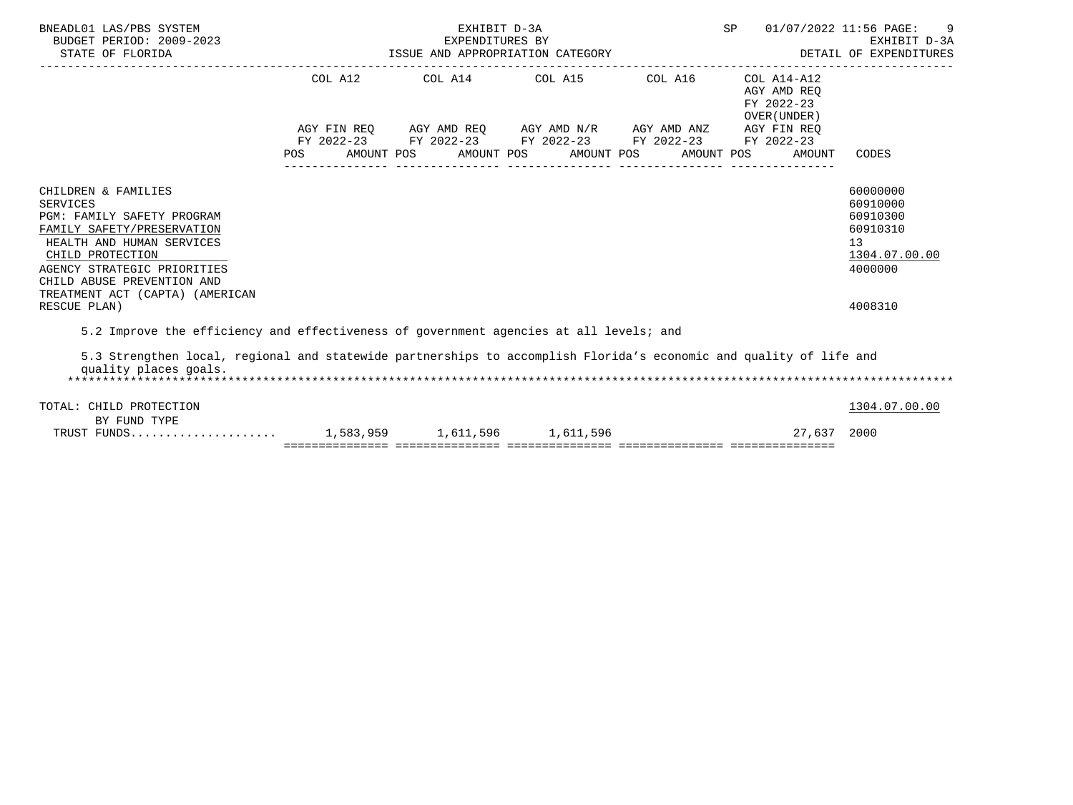| BNEADL01 LAS/PBS SYSTEM<br>BUDGET PERIOD: 2009-2023<br>STATE OF FLORIDA                                                                                                                                                                             |     | EXHIBIT D-3A<br>EXPENDITURES BY<br>EXPENDITORES BI<br>ISSUE AND APPROPRIATION CATEGORY                                                                    |  | SP                                        | $\overline{9}$<br>01/07/2022 11:56 PAGE:<br>EXHIBIT D-3A<br>DETAIL OF EXPENDITURES |
|-----------------------------------------------------------------------------------------------------------------------------------------------------------------------------------------------------------------------------------------------------|-----|-----------------------------------------------------------------------------------------------------------------------------------------------------------|--|-------------------------------------------|------------------------------------------------------------------------------------|
|                                                                                                                                                                                                                                                     |     | COL A12 COL A14 COL A15 COL A16 COL A14-A12                                                                                                               |  | AGY AMD REO<br>FY 2022-23<br>OVER (UNDER) |                                                                                    |
|                                                                                                                                                                                                                                                     | POS | AGY FIN REQ AGY AMD REQ AGY AMD N/R AGY AMD ANZ AGY FIN REQ<br>FY 2022-23 FY 2022-23 FY 2022-23 FY 2022-23 FY 2022-23<br>AMOUNT POS AMOUNT POS AMOUNT POS |  | AMOUNT POS<br>AMOUNT                      | CODES                                                                              |
| CHILDREN & FAMILIES<br><b>SERVICES</b><br>PGM: FAMILY SAFETY PROGRAM<br>FAMILY SAFETY/PRESERVATION<br>HEALTH AND HUMAN SERVICES<br>CHILD PROTECTION<br>AGENCY STRATEGIC PRIORITIES<br>CHILD ABUSE PREVENTION AND<br>TREATMENT ACT (CAPTA) (AMERICAN |     |                                                                                                                                                           |  |                                           | 60000000<br>60910000<br>60910300<br>60910310<br>13<br>1304.07.00.00<br>4000000     |
| RESCUE PLAN)                                                                                                                                                                                                                                        |     |                                                                                                                                                           |  |                                           | 4008310                                                                            |
| 5.2 Improve the efficiency and effectiveness of government agencies at all levels; and<br>5.3 Strengthen local, regional and statewide partnerships to accomplish Florida's economic and quality of life and<br>quality places goals.               |     |                                                                                                                                                           |  |                                           |                                                                                    |
| TOTAL: CHILD PROTECTION<br>BY FUND TYPE                                                                                                                                                                                                             |     |                                                                                                                                                           |  |                                           | 1304.07.00.00                                                                      |
|                                                                                                                                                                                                                                                     |     |                                                                                                                                                           |  | 27,637 2000                               |                                                                                    |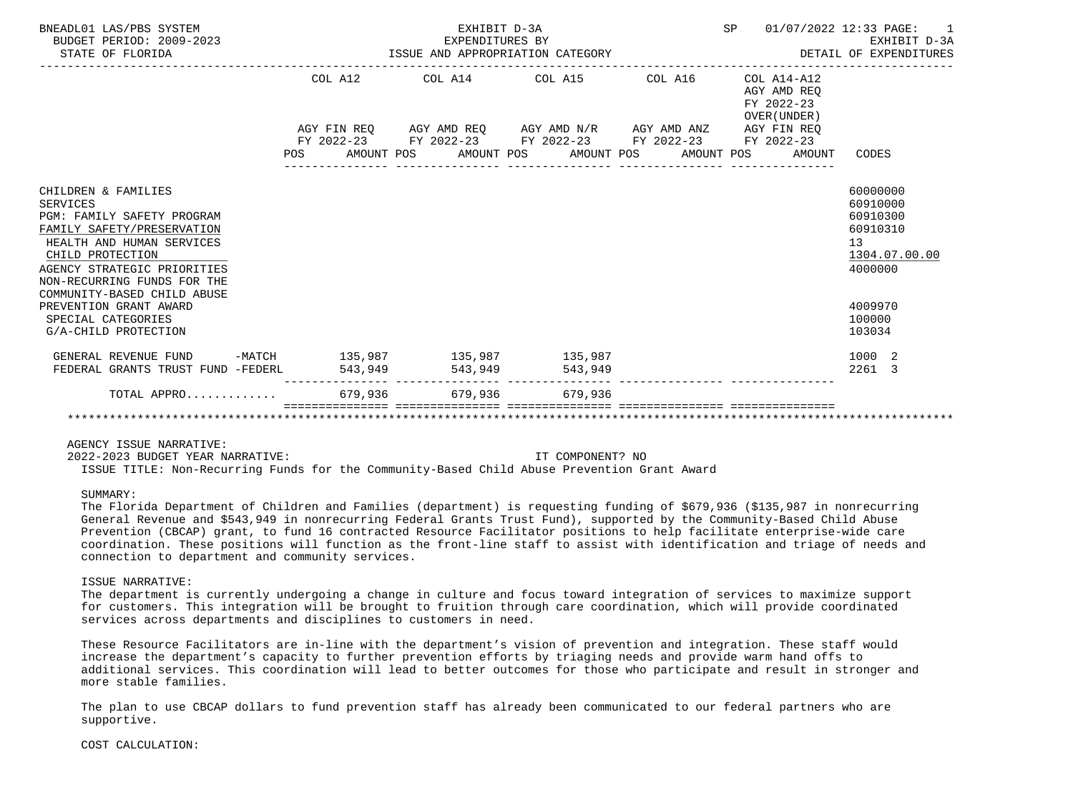| BNEADL01 LAS/PBS SYSTEM<br>BUDGET PERIOD: 2009-2023<br>STATE OF FLORIDA                                                                                                                                                                          |  |         | EXHIBIT D-3A<br>EXPENDITURES BY<br>EXPENDITURES BY<br>ISSUE AND APPROPRIATION CATEGORY                                                                                   |  |         | SP | 01/07/2022 12:33 PAGE:                                       | EXHIBIT D-3A<br>DETAIL OF EXPENDITURES                                         |
|--------------------------------------------------------------------------------------------------------------------------------------------------------------------------------------------------------------------------------------------------|--|---------|--------------------------------------------------------------------------------------------------------------------------------------------------------------------------|--|---------|----|--------------------------------------------------------------|--------------------------------------------------------------------------------|
|                                                                                                                                                                                                                                                  |  | COL A12 | -------------------<br>COL A14 COL A15                                                                                                                                   |  | COL A16 |    | $COL A14 - A12$<br>AGY AMD REO<br>FY 2022-23<br>OVER (UNDER) |                                                                                |
|                                                                                                                                                                                                                                                  |  |         | AGY FIN REQ AGY AMD REQ AGY AMD N/R AGY AMD ANZ AGY FIN REQ<br>FY 2022-23 FY 2022-23 FY 2022-23 FY 2022-23 FY 2022-23<br>POS AMOUNT POS AMOUNT POS AMOUNT POS AMOUNT POS |  |         |    | AMOUNT                                                       | CODES                                                                          |
| CHILDREN & FAMILIES<br><b>SERVICES</b><br>PGM: FAMILY SAFETY PROGRAM<br>FAMILY SAFETY/PRESERVATION<br>HEALTH AND HUMAN SERVICES<br>CHILD PROTECTION<br>AGENCY STRATEGIC PRIORITIES<br>NON-RECURRING FUNDS FOR THE<br>COMMUNITY-BASED CHILD ABUSE |  |         |                                                                                                                                                                          |  |         |    |                                                              | 60000000<br>60910000<br>60910300<br>60910310<br>13<br>1304.07.00.00<br>4000000 |
| PREVENTION GRANT AWARD<br>SPECIAL CATEGORIES<br>G/A-CHILD PROTECTION                                                                                                                                                                             |  |         |                                                                                                                                                                          |  |         |    |                                                              | 4009970<br>100000<br>103034                                                    |
| GENERAL REVENUE FUND -MATCH 135,987 135,987 135,987<br>FEDERAL GRANTS TRUST FUND -FEDERL                                                                                                                                                         |  | 543,949 | 543,949 543,949                                                                                                                                                          |  |         |    |                                                              | 1000 2<br>2261 3                                                               |
| TOTAL APPRO                                                                                                                                                                                                                                      |  |         | 679.936 679.936 679.936                                                                                                                                                  |  |         |    |                                                              |                                                                                |
|                                                                                                                                                                                                                                                  |  |         |                                                                                                                                                                          |  |         |    |                                                              |                                                                                |

AGENCY ISSUE NARRATIVE:

2022-2023 BUDGET YEAR NARRATIVE: IT COMPONENT? NO

ISSUE TITLE: Non-Recurring Funds for the Community-Based Child Abuse Prevention Grant Award

## SUMMARY:

 The Florida Department of Children and Families (department) is requesting funding of \$679,936 (\$135,987 in nonrecurring General Revenue and \$543,949 in nonrecurring Federal Grants Trust Fund), supported by the Community-Based Child Abuse Prevention (CBCAP) grant, to fund 16 contracted Resource Facilitator positions to help facilitate enterprise-wide care coordination. These positions will function as the front-line staff to assist with identification and triage of needs and connection to department and community services.

#### ISSUE NARRATIVE:

 The department is currently undergoing a change in culture and focus toward integration of services to maximize support for customers. This integration will be brought to fruition through care coordination, which will provide coordinated services across departments and disciplines to customers in need.

 These Resource Facilitators are in-line with the department's vision of prevention and integration. These staff would increase the department's capacity to further prevention efforts by triaging needs and provide warm hand offs to additional services. This coordination will lead to better outcomes for those who participate and result in stronger and more stable families.

 The plan to use CBCAP dollars to fund prevention staff has already been communicated to our federal partners who are supportive.

### COST CALCULATION: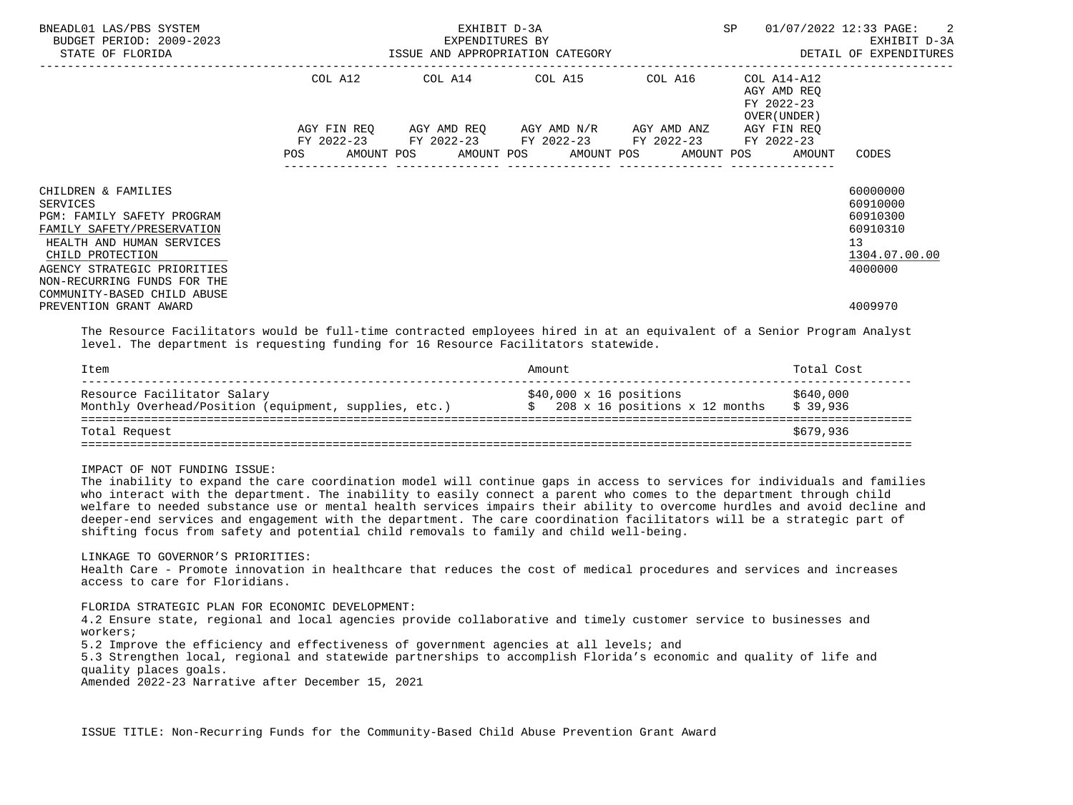| BNEADL01 LAS/PBS SYSTEM<br>BUDGET PERIOD: 2009-2023<br>STATE OF FLORIDA                                                                                                                                                                   |            | EXPENDITURES BY<br>ISSUE AND APPROPRIATION CATEGORY                                                                                                  | EXHIBIT D-3A | SP                                                       | 01/07/2022 12:33 PAGE: 2<br>EXHIBIT D-3A<br>DETAIL OF EXPENDITURES                          |
|-------------------------------------------------------------------------------------------------------------------------------------------------------------------------------------------------------------------------------------------|------------|------------------------------------------------------------------------------------------------------------------------------------------------------|--------------|----------------------------------------------------------|---------------------------------------------------------------------------------------------|
|                                                                                                                                                                                                                                           |            | COL A12 COL A14 COL A15 COL A16                                                                                                                      |              | COL A14-A12<br>AGY AMD REO<br>FY 2022-23<br>OVER (UNDER) |                                                                                             |
|                                                                                                                                                                                                                                           | <b>POS</b> | AGY FIN REO AGY AMD REO AGY AMD N/R AGY AMD ANZ<br>FY 2022-23 FY 2022-23 FY 2022-23 FY 2022-23<br>AMOUNT POS AMOUNT POS AMOUNT POS AMOUNT POS AMOUNT |              | AGY FIN REO<br>FY 2022-23                                | CODES                                                                                       |
| CHILDREN & FAMILIES<br>SERVICES<br>PGM: FAMILY SAFETY PROGRAM<br>FAMILY SAFETY/PRESERVATION<br>HEALTH AND HUMAN SERVICES<br>CHILD PROTECTION<br>AGENCY STRATEGIC PRIORITIES<br>NON-RECURRING FUNDS FOR THE<br>COMMUNITY-BASED CHILD ABUSE |            |                                                                                                                                                      |              |                                                          | 60000000<br>60910000<br>60910300<br>60910310<br>13 <sup>°</sup><br>1304.07.00.00<br>4000000 |
| PREVENTION GRANT AWARD                                                                                                                                                                                                                    |            |                                                                                                                                                      |              |                                                          | 4009970                                                                                     |

 The Resource Facilitators would be full-time contracted employees hired in at an equivalent of a Senior Program Analyst level. The department is requesting funding for 16 Resource Facilitators statewide.

| Item                                                                                 | Amount                                                          | Total Cost            |
|--------------------------------------------------------------------------------------|-----------------------------------------------------------------|-----------------------|
| Resource Facilitator Salary<br>Monthly Overhead/Position (equipment, supplies, etc.) | $$40,000 \times 16$ positions<br>208 x 16 positions x 12 months | \$640,000<br>\$39,936 |
| Total Request                                                                        |                                                                 | \$679,936             |

IMPACT OF NOT FUNDING ISSUE:

 The inability to expand the care coordination model will continue gaps in access to services for individuals and families who interact with the department. The inability to easily connect a parent who comes to the department through child welfare to needed substance use or mental health services impairs their ability to overcome hurdles and avoid decline and deeper-end services and engagement with the department. The care coordination facilitators will be a strategic part of shifting focus from safety and potential child removals to family and child well-being.

LINKAGE TO GOVERNOR'S PRIORITIES:

 Health Care - Promote innovation in healthcare that reduces the cost of medical procedures and services and increases access to care for Floridians.

FLORIDA STRATEGIC PLAN FOR ECONOMIC DEVELOPMENT:

 4.2 Ensure state, regional and local agencies provide collaborative and timely customer service to businesses and workers;

5.2 Improve the efficiency and effectiveness of government agencies at all levels; and

 5.3 Strengthen local, regional and statewide partnerships to accomplish Florida's economic and quality of life and quality places goals.

Amended 2022-23 Narrative after December 15, 2021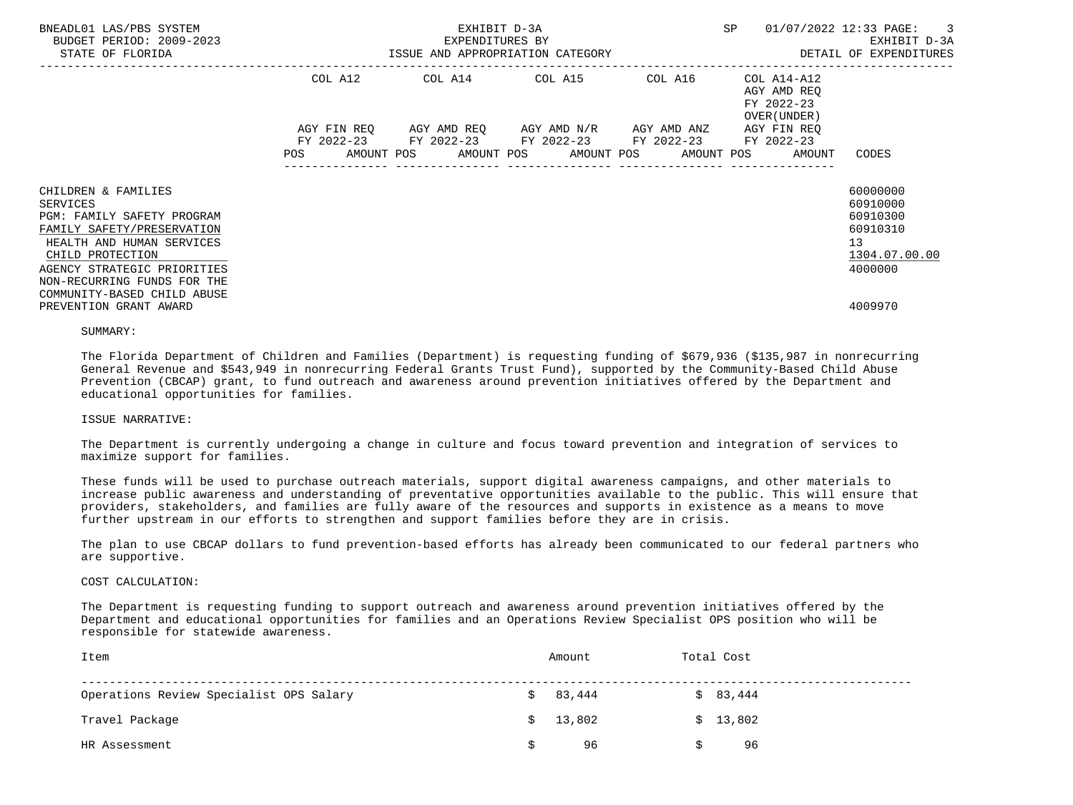| BNEADL01 LAS/PBS SYSTEM<br>BUDGET PERIOD: 2009-2023<br>STATE OF FLORIDA |                        | EXHIBIT D-3A<br>EXPENDITURES BY<br>ISSUE AND APPROPRIATION CATEGORY | SP                                                                                                    | 01/07/2022 12:33 PAGE:<br>$\overline{\phantom{a}}$ 3<br>EXHIBIT D-3A<br>DETAIL OF EXPENDITURES |                      |
|-------------------------------------------------------------------------|------------------------|---------------------------------------------------------------------|-------------------------------------------------------------------------------------------------------|------------------------------------------------------------------------------------------------|----------------------|
|                                                                         | COL A12<br>AGY FIN REO |                                                                     | AGY AMD REQ AGY AMD N/R AGY AMD ANZ                                                                   | AGY AMD REO<br>FY 2022-23<br>OVER (UNDER)<br>AGY FIN REO                                       |                      |
|                                                                         | POS                    |                                                                     | FY 2022-23 FY 2022-23 FY 2022-23 FY 2022-23 FY 2022-23<br>AMOUNT POS AMOUNT POS AMOUNT POS AMOUNT POS | AMOUNT                                                                                         | CODES                |
| CHILDREN & FAMILIES<br>SERVICES                                         |                        |                                                                     |                                                                                                       |                                                                                                | 60000000<br>60910000 |
| <b>PGM: FAMILY SAFETY PROGRAM</b>                                       |                        |                                                                     |                                                                                                       |                                                                                                | 60910300             |
| FAMILY SAFETY/PRESERVATION                                              |                        |                                                                     |                                                                                                       |                                                                                                | 60910310             |
| HEALTH AND HUMAN SERVICES                                               |                        |                                                                     |                                                                                                       |                                                                                                | 13                   |
| CHILD PROTECTION                                                        |                        |                                                                     |                                                                                                       |                                                                                                | 1304.07.00.00        |
| AGENCY STRATEGIC PRIORITIES                                             |                        |                                                                     |                                                                                                       |                                                                                                | 4000000              |
| NON-RECURRING FUNDS FOR THE                                             |                        |                                                                     |                                                                                                       |                                                                                                |                      |
| COMMUNITY-BASED CHILD ABUSE<br>PREVENTION GRANT AWARD                   |                        |                                                                     |                                                                                                       |                                                                                                | 4009970              |
|                                                                         |                        |                                                                     |                                                                                                       |                                                                                                |                      |

#### SUMMARY:

 The Florida Department of Children and Families (Department) is requesting funding of \$679,936 (\$135,987 in nonrecurring General Revenue and \$543,949 in nonrecurring Federal Grants Trust Fund), supported by the Community-Based Child Abuse Prevention (CBCAP) grant, to fund outreach and awareness around prevention initiatives offered by the Department and educational opportunities for families.

### ISSUE NARRATIVE:

 The Department is currently undergoing a change in culture and focus toward prevention and integration of services to maximize support for families.

 These funds will be used to purchase outreach materials, support digital awareness campaigns, and other materials to increase public awareness and understanding of preventative opportunities available to the public. This will ensure that providers, stakeholders, and families are fully aware of the resources and supports in existence as a means to move further upstream in our efforts to strengthen and support families before they are in crisis.

 The plan to use CBCAP dollars to fund prevention-based efforts has already been communicated to our federal partners who are supportive.

#### COST CALCULATION:

 The Department is requesting funding to support outreach and awareness around prevention initiatives offered by the Department and educational opportunities for families and an Operations Review Specialist OPS position who will be responsible for statewide awareness.

| Item                                    | Amount      | Total Cost |  |
|-----------------------------------------|-------------|------------|--|
| Operations Review Specialist OPS Salary | 83,444<br>s | \$83,444   |  |
| Travel Package                          | 13,802<br>S | \$13,802   |  |
| HR Assessment                           | 96          | 96         |  |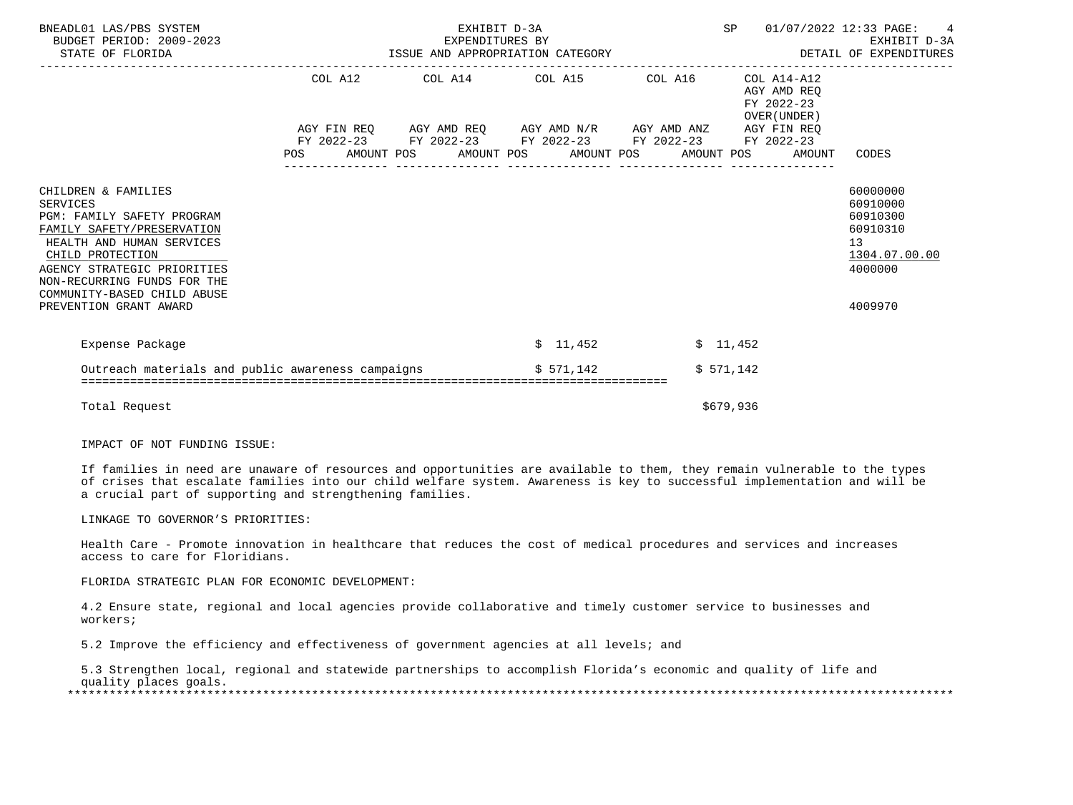| BNEADL01 LAS/PBS SYSTEM<br>BUDGET PERIOD: 2009-2023<br>STATE OF FLORIDA                                                                                                                                                                          | EXHIBIT D-3A<br>EXPENDITURES BY |                                                                                                                                                                          |  | SP 01/07/2022 12:33 PAGE: 4<br>EXHIBIT D-3A |                                                          |                                                                                |
|--------------------------------------------------------------------------------------------------------------------------------------------------------------------------------------------------------------------------------------------------|---------------------------------|--------------------------------------------------------------------------------------------------------------------------------------------------------------------------|--|---------------------------------------------|----------------------------------------------------------|--------------------------------------------------------------------------------|
|                                                                                                                                                                                                                                                  |                                 | COL A12 COL A14 COL A15 COL A16                                                                                                                                          |  |                                             | COL A14-A12<br>AGY AMD REO<br>FY 2022-23<br>OVER (UNDER) |                                                                                |
|                                                                                                                                                                                                                                                  |                                 | AGY FIN REQ AGY AMD REQ AGY AMD N/R AGY AMD ANZ AGY FIN REQ<br>FY 2022-23 FY 2022-23 FY 2022-23 FY 2022-23 FY 2022-23<br>POS AMOUNT POS AMOUNT POS AMOUNT POS AMOUNT POS |  |                                             | AMOUNT                                                   | CODES                                                                          |
| CHILDREN & FAMILIES<br><b>SERVICES</b><br>PGM: FAMILY SAFETY PROGRAM<br>FAMILY SAFETY/PRESERVATION<br>HEALTH AND HUMAN SERVICES<br>CHILD PROTECTION<br>AGENCY STRATEGIC PRIORITIES<br>NON-RECURRING FUNDS FOR THE<br>COMMUNITY-BASED CHILD ABUSE |                                 |                                                                                                                                                                          |  |                                             |                                                          | 60000000<br>60910000<br>60910300<br>60910310<br>13<br>1304.07.00.00<br>4000000 |
| PREVENTION GRANT AWARD                                                                                                                                                                                                                           |                                 |                                                                                                                                                                          |  |                                             |                                                          | 4009970                                                                        |
| Expense Package                                                                                                                                                                                                                                  |                                 | \$11,452                                                                                                                                                                 |  | \$11,452                                    |                                                          |                                                                                |
| Outreach materials and public awareness campaigns $$571,142$                                                                                                                                                                                     |                                 |                                                                                                                                                                          |  | \$571,142                                   |                                                          |                                                                                |
| Total Request                                                                                                                                                                                                                                    |                                 |                                                                                                                                                                          |  | \$679,936                                   |                                                          |                                                                                |

IMPACT OF NOT FUNDING ISSUE:

 If families in need are unaware of resources and opportunities are available to them, they remain vulnerable to the types of crises that escalate families into our child welfare system. Awareness is key to successful implementation and will be a crucial part of supporting and strengthening families.

LINKAGE TO GOVERNOR'S PRIORITIES:

 Health Care - Promote innovation in healthcare that reduces the cost of medical procedures and services and increases access to care for Floridians.

FLORIDA STRATEGIC PLAN FOR ECONOMIC DEVELOPMENT:

 4.2 Ensure state, regional and local agencies provide collaborative and timely customer service to businesses and workers;

5.2 Improve the efficiency and effectiveness of government agencies at all levels; and

 5.3 Strengthen local, regional and statewide partnerships to accomplish Florida's economic and quality of life and quality places goals. \*\*\*\*\*\*\*\*\*\*\*\*\*\*\*\*\*\*\*\*\*\*\*\*\*\*\*\*\*\*\*\*\*\*\*\*\*\*\*\*\*\*\*\*\*\*\*\*\*\*\*\*\*\*\*\*\*\*\*\*\*\*\*\*\*\*\*\*\*\*\*\*\*\*\*\*\*\*\*\*\*\*\*\*\*\*\*\*\*\*\*\*\*\*\*\*\*\*\*\*\*\*\*\*\*\*\*\*\*\*\*\*\*\*\*\*\*\*\*\*\*\*\*\*\*\*\*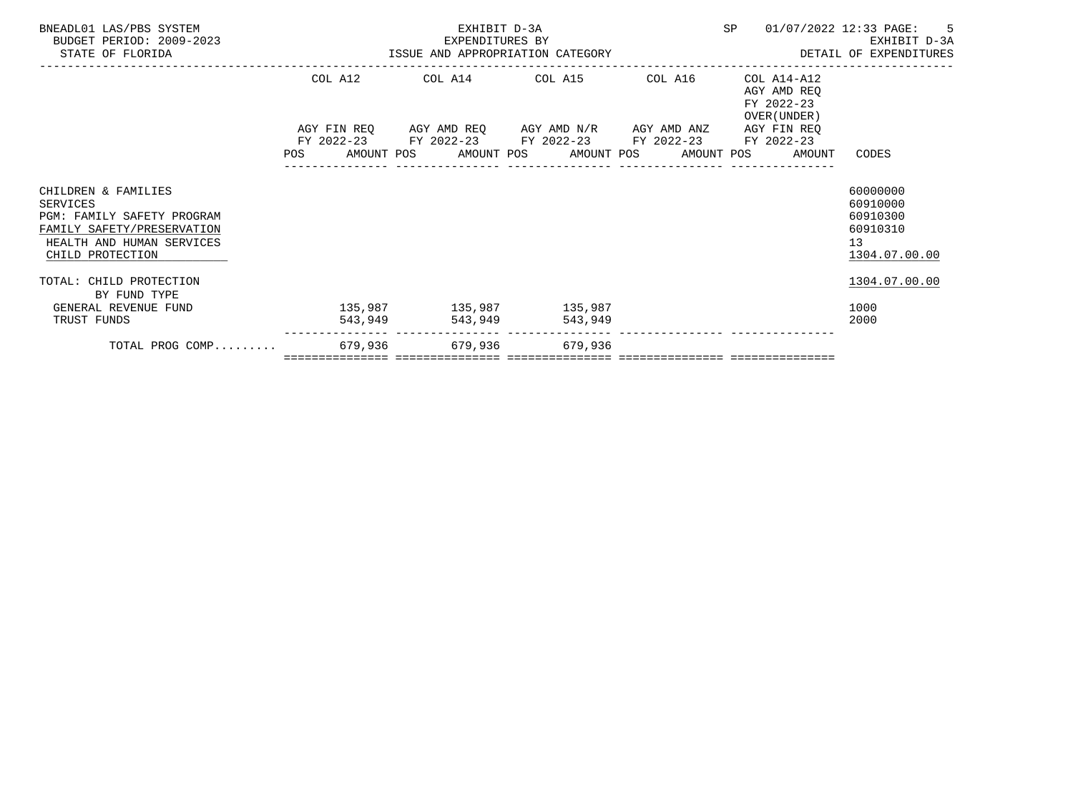| BNEADL01 LAS/PBS SYSTEM<br>BUDGET PERIOD: 2009-2023<br>STATE OF FLORIDA                                                                      |         | EXHIBIT D-3A<br>EXPENDITURES BY |                                                                                                                        |         | SP |                                                                       | 01/07/2022 12:33 PAGE: 5<br>EXHIBIT D-3A                            |
|----------------------------------------------------------------------------------------------------------------------------------------------|---------|---------------------------------|------------------------------------------------------------------------------------------------------------------------|---------|----|-----------------------------------------------------------------------|---------------------------------------------------------------------|
|                                                                                                                                              |         |                                 | COL A12 COL A14 COL A15                                                                                                | COL A16 |    | COL A14-A12<br>AGY AMD REO<br>FY 2022-23<br>OVER (UNDER)              |                                                                     |
|                                                                                                                                              |         |                                 | AGY FIN REQ      AGY AMD REQ     AGY AMD N/R     AGY AMD ANZ<br>FY 2022-23 FY 2022-23 FY 2022-23 FY 2022-23 FY 2022-23 |         |    | AGY FIN REO<br>POS AMOUNT POS AMOUNT POS AMOUNT POS AMOUNT POS AMOUNT | CODES                                                               |
| CHILDREN & FAMILIES<br>SERVICES<br>PGM: FAMILY SAFETY PROGRAM<br>FAMILY SAFETY/PRESERVATION<br>HEALTH AND HUMAN SERVICES<br>CHILD PROTECTION |         |                                 |                                                                                                                        |         |    |                                                                       | 60000000<br>60910000<br>60910300<br>60910310<br>13<br>1304.07.00.00 |
| TOTAL: CHILD PROTECTION<br>BY FUND TYPE                                                                                                      |         |                                 |                                                                                                                        |         |    |                                                                       | 1304.07.00.00                                                       |
| GENERAL REVENUE FUND<br>TRUST FUNDS                                                                                                          | 543,949 |                                 | 135,987 135,987 135,987<br>543,949 543,949                                                                             |         |    |                                                                       | 1000<br>2000                                                        |
| TOTAL PROG COMP 679,936 679,936 679,936 679,936                                                                                              |         |                                 |                                                                                                                        |         |    |                                                                       |                                                                     |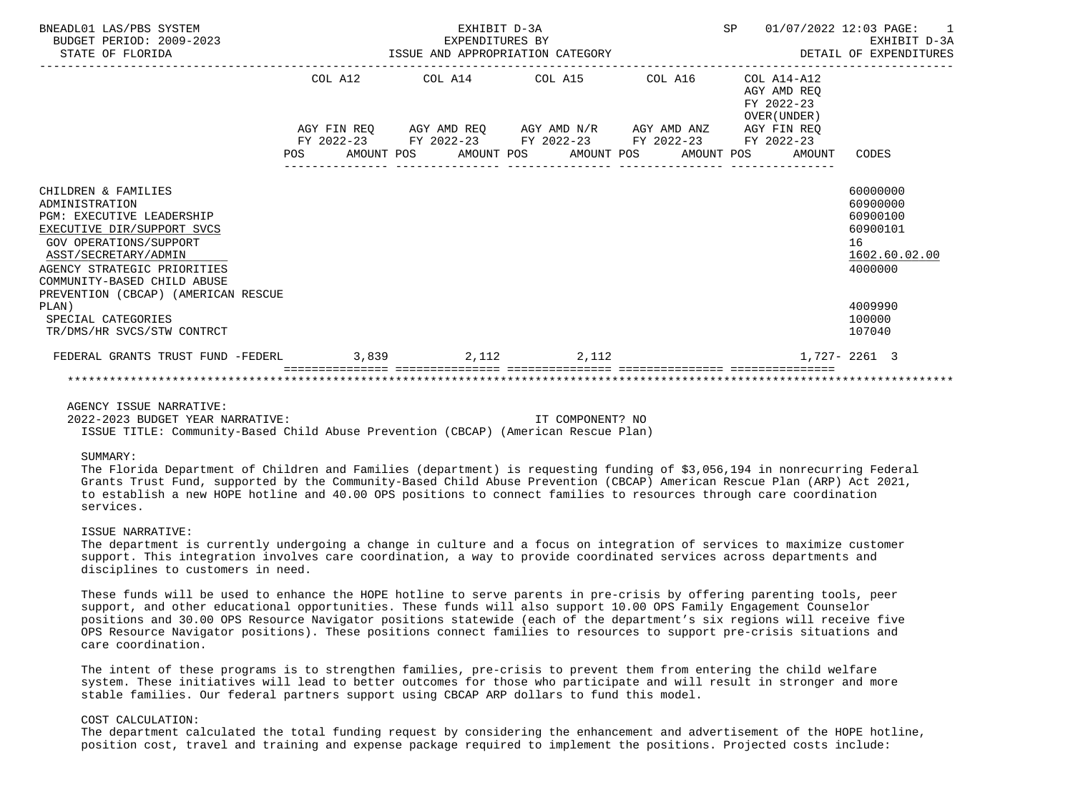| BNEADL01 LAS/PBS SYSTEM<br>BUDGET PERIOD: 2009-2023<br>STATE OF FLORIDA                                                                                                                                                 |  |  | EXHIBIT D-3A | EXPENDITURES BY<br>ISSUE AND APPROPRIATION CATEGORY                                            |                  |                                                              | SP 01/07/2022 12:03 PAGE: 1<br>EXHIBIT D-3A<br>DETAIL OF EXPENDITURES          |
|-------------------------------------------------------------------------------------------------------------------------------------------------------------------------------------------------------------------------|--|--|--------------|------------------------------------------------------------------------------------------------|------------------|--------------------------------------------------------------|--------------------------------------------------------------------------------|
|                                                                                                                                                                                                                         |  |  |              | COL A12 COL A14 COL A15 COL A16<br>AGY FIN REQ AGY AMD REQ AGY AMD N/R AGY AMD ANZ AGY FIN REQ |                  | COL A14-A12<br>AGY AMD REO<br>FY 2022-23<br>OVER (UNDER)     |                                                                                |
|                                                                                                                                                                                                                         |  |  |              | FY 2022-23 FY 2022-23 FY 2022-23 FY 2022-23 FY 2022-23                                         |                  |                                                              |                                                                                |
|                                                                                                                                                                                                                         |  |  |              | ----------------                                                                               | ________________ | POS AMOUNT POS AMOUNT POS AMOUNT POS AMOUNT POS AMOUNT CODES |                                                                                |
| CHILDREN & FAMILIES<br>ADMINISTRATION<br><b>PGM: EXECUTIVE LEADERSHIP</b><br>EXECUTIVE DIR/SUPPORT SVCS<br>GOV OPERATIONS/SUPPORT<br>ASST/SECRETARY/ADMIN<br>AGENCY STRATEGIC PRIORITIES<br>COMMUNITY-BASED CHILD ABUSE |  |  |              |                                                                                                |                  |                                                              | 60000000<br>60900000<br>60900100<br>60900101<br>16<br>1602.60.02.00<br>4000000 |
| PREVENTION (CBCAP) (AMERICAN RESCUE<br>PLAN)<br>SPECIAL CATEGORIES<br>TR/DMS/HR SVCS/STW CONTRCT                                                                                                                        |  |  |              |                                                                                                |                  |                                                              | 4009990<br>100000<br>107040                                                    |
| FEDERAL GRANTS TRUST FUND -FEDERL 3,839 3,812 2,112 2,112                                                                                                                                                               |  |  |              |                                                                                                |                  |                                                              | 1,727-2261 3                                                                   |
|                                                                                                                                                                                                                         |  |  |              |                                                                                                |                  |                                                              |                                                                                |

# AGENCY ISSUE NARRATIVE:

 2022-2023 BUDGET YEAR NARRATIVE: IT COMPONENT? NO ISSUE TITLE: Community-Based Child Abuse Prevention (CBCAP) (American Rescue Plan)

### SUMMARY:

 The Florida Department of Children and Families (department) is requesting funding of \$3,056,194 in nonrecurring Federal Grants Trust Fund, supported by the Community-Based Child Abuse Prevention (CBCAP) American Rescue Plan (ARP) Act 2021, to establish a new HOPE hotline and 40.00 OPS positions to connect families to resources through care coordination services.

#### ISSUE NARRATIVE:

 The department is currently undergoing a change in culture and a focus on integration of services to maximize customer support. This integration involves care coordination, a way to provide coordinated services across departments and disciplines to customers in need.

 These funds will be used to enhance the HOPE hotline to serve parents in pre-crisis by offering parenting tools, peer support, and other educational opportunities. These funds will also support 10.00 OPS Family Engagement Counselor positions and 30.00 OPS Resource Navigator positions statewide (each of the department's six regions will receive five OPS Resource Navigator positions). These positions connect families to resources to support pre-crisis situations and care coordination.

 The intent of these programs is to strengthen families, pre-crisis to prevent them from entering the child welfare system. These initiatives will lead to better outcomes for those who participate and will result in stronger and more stable families. Our federal partners support using CBCAP ARP dollars to fund this model.

# COST CALCULATION:

 The department calculated the total funding request by considering the enhancement and advertisement of the HOPE hotline, position cost, travel and training and expense package required to implement the positions. Projected costs include: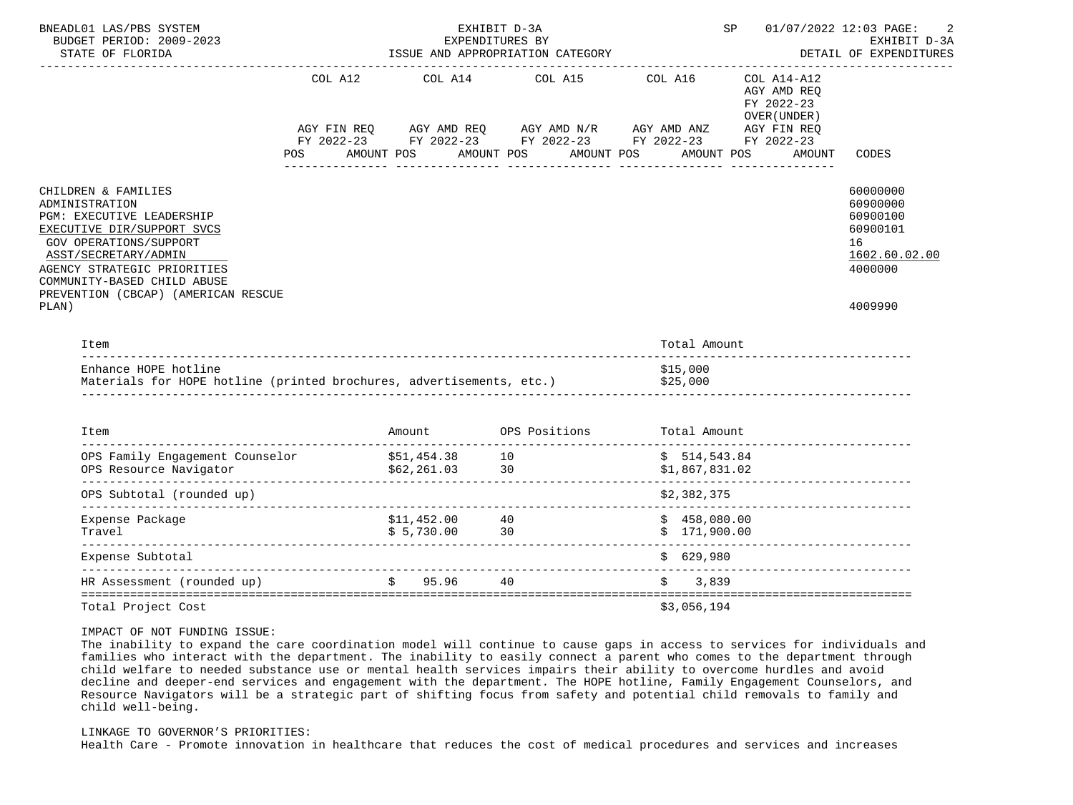| BNEADL01 LAS/PBS SYSTEM<br>BUDGET PERIOD: 2009-2023<br>STATE OF FLORIDA                                                                                                                                                                                          |         |                                 | EXHIBIT D-3A<br>EXPENDITURES BY<br>ISSUE AND APPROPRIATION CATEGORY                                                              |                              | SP <sub>2</sub>                                                                       | 01/07/2022 12:03 PAGE:<br>2<br>EXHIBIT D-3A<br>DETAIL OF EXPENDITURES                     |
|------------------------------------------------------------------------------------------------------------------------------------------------------------------------------------------------------------------------------------------------------------------|---------|---------------------------------|----------------------------------------------------------------------------------------------------------------------------------|------------------------------|---------------------------------------------------------------------------------------|-------------------------------------------------------------------------------------------|
|                                                                                                                                                                                                                                                                  | COL A12 | COL A14                         | COL A15<br>AGY FIN REQ AGY AMD REQ AGY AMD N/R AGY AMD ANZ AGY FIN REQ<br>FY 2022-23 FY 2022-23 FY 2022-23 FY 2022-23 FY 2022-23 | COL A16                      | ______________________<br>$COL A14- A12$<br>AGY AMD REO<br>FY 2022-23<br>OVER (UNDER) | CODES                                                                                     |
|                                                                                                                                                                                                                                                                  | POS DO  | AMOUNT POS                      | AMOUNT POS                                                                                                                       | AMOUNT POS                   | AMOUNT POS<br>AMOUNT                                                                  |                                                                                           |
| CHILDREN & FAMILIES<br>ADMINISTRATION<br>PGM: EXECUTIVE LEADERSHIP<br>EXECUTIVE DIR/SUPPORT SVCS<br>GOV OPERATIONS/SUPPORT<br>ASST/SECRETARY/ADMIN<br>AGENCY STRATEGIC PRIORITIES<br>COMMUNITY-BASED CHILD ABUSE<br>PREVENTION (CBCAP) (AMERICAN RESCUE<br>PLAN) |         |                                 |                                                                                                                                  |                              |                                                                                       | 60000000<br>60900000<br>60900100<br>60900101<br>16<br>1602.60.02.00<br>4000000<br>4009990 |
| Item                                                                                                                                                                                                                                                             |         |                                 |                                                                                                                                  | Total Amount                 |                                                                                       |                                                                                           |
| Enhance HOPE hotline<br>Materials for HOPE hotline (printed brochures, advertisements, etc.)                                                                                                                                                                     |         |                                 |                                                                                                                                  | \$15,000<br>\$25,000         |                                                                                       |                                                                                           |
| Item                                                                                                                                                                                                                                                             |         |                                 | Amount OPS Positions Total Amount                                                                                                |                              |                                                                                       |                                                                                           |
|                                                                                                                                                                                                                                                                  |         |                                 |                                                                                                                                  |                              |                                                                                       |                                                                                           |
| OPS Subtotal (rounded up)                                                                                                                                                                                                                                        |         |                                 |                                                                                                                                  | \$2,382,375                  |                                                                                       |                                                                                           |
| Expense Package<br>Travel                                                                                                                                                                                                                                        |         | \$11,452.00 40<br>\$5,730.00 30 |                                                                                                                                  | \$458,080.00<br>\$171,900.00 |                                                                                       |                                                                                           |
| Expense Subtotal                                                                                                                                                                                                                                                 |         |                                 |                                                                                                                                  | \$629,980                    |                                                                                       |                                                                                           |
| HR Assessment (rounded up)                                                                                                                                                                                                                                       |         | $$95.96$ 40                     |                                                                                                                                  | \$3,839                      |                                                                                       |                                                                                           |
| Total Project Cost                                                                                                                                                                                                                                               |         |                                 |                                                                                                                                  | \$3,056,194                  |                                                                                       |                                                                                           |

# IMPACT OF NOT FUNDING ISSUE:

 The inability to expand the care coordination model will continue to cause gaps in access to services for individuals and families who interact with the department. The inability to easily connect a parent who comes to the department through child welfare to needed substance use or mental health services impairs their ability to overcome hurdles and avoid decline and deeper-end services and engagement with the department. The HOPE hotline, Family Engagement Counselors, and Resource Navigators will be a strategic part of shifting focus from safety and potential child removals to family and child well-being.

### LINKAGE TO GOVERNOR'S PRIORITIES:

Health Care - Promote innovation in healthcare that reduces the cost of medical procedures and services and increases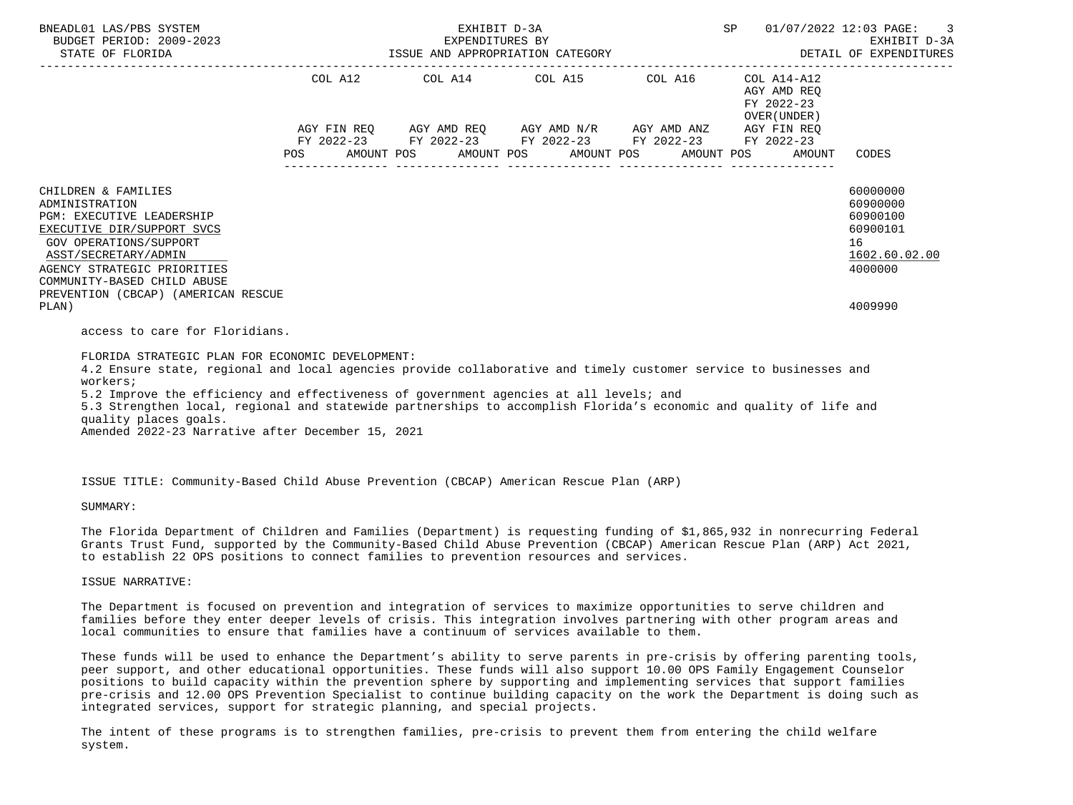| BNEADL01 LAS/PBS SYSTEM<br>EXPENDITURES BY EXEMPLES BY EXEMPLES BY EXEMPLES BY EXEMPLES BY EXEMPLES BY EXEMPLES BY EXEMPLES BY EXEMPLES BY<br>DETAIL OF EXPENDITURES AND APPROPRIATION CATEGORY DETAIL OF EXPENDITURES BY DETAIL OF EXPENDITURES                                                                                                                                                                                                                                |         | EXHIBIT D-3A | SP |                                                                                                                                                          | 01/07/2022 12:03 PAGE: 3 |                                                             |                                                                                           |
|---------------------------------------------------------------------------------------------------------------------------------------------------------------------------------------------------------------------------------------------------------------------------------------------------------------------------------------------------------------------------------------------------------------------------------------------------------------------------------|---------|--------------|----|----------------------------------------------------------------------------------------------------------------------------------------------------------|--------------------------|-------------------------------------------------------------|-------------------------------------------------------------------------------------------|
|                                                                                                                                                                                                                                                                                                                                                                                                                                                                                 |         |              |    | COL A12 COL A14 COL A15 COL A16<br>AGY FIN REQ AGY AMD REQ AGY AMD N/R AGY AMD ANZ AGY FIN REQ<br>FY 2022-23 FY 2022-23 FY 2022-23 FY 2022-23 FY 2022-23 |                          | $COL A14- A12$<br>AGY AMD REO<br>FY 2022-23<br>OVER (UNDER) |                                                                                           |
|                                                                                                                                                                                                                                                                                                                                                                                                                                                                                 | POS FOR |              |    | AMOUNT POS AMOUNT POS AMOUNT POS AMOUNT POS                                                                                                              |                          | AMOUNT                                                      | CODES                                                                                     |
| CHILDREN & FAMILIES<br>ADMINISTRATION<br><b>PGM: EXECUTIVE LEADERSHIP</b><br>EXECUTIVE DIR/SUPPORT SVCS<br>GOV OPERATIONS/SUPPORT<br>ASST/SECRETARY/ADMIN<br>AGENCY STRATEGIC PRIORITIES<br>COMMUNITY-BASED CHILD ABUSE<br>PREVENTION (CBCAP) (AMERICAN RESCUE<br>PLAN)                                                                                                                                                                                                         |         |              |    |                                                                                                                                                          |                          |                                                             | 60000000<br>60900000<br>60900100<br>60900101<br>16<br>1602.60.02.00<br>4000000<br>4009990 |
| access to care for Floridians.                                                                                                                                                                                                                                                                                                                                                                                                                                                  |         |              |    |                                                                                                                                                          |                          |                                                             |                                                                                           |
| FLORIDA STRATEGIC PLAN FOR ECONOMIC DEVELOPMENT:<br>4.2 Ensure state, regional and local agencies provide collaborative and timely customer service to businesses and<br>workers;<br>5.2 Improve the efficiency and effectiveness of government agencies at all levels; and<br>5.3 Strengthen local, regional and statewide partnerships to accomplish Florida's economic and quality of life and<br>quality places goals.<br>Amended 2022-23 Narrative after December 15, 2021 |         |              |    |                                                                                                                                                          |                          |                                                             |                                                                                           |

ISSUE TITLE: Community-Based Child Abuse Prevention (CBCAP) American Rescue Plan (ARP)

SUMMARY:

 The Florida Department of Children and Families (Department) is requesting funding of \$1,865,932 in nonrecurring Federal Grants Trust Fund, supported by the Community-Based Child Abuse Prevention (CBCAP) American Rescue Plan (ARP) Act 2021, to establish 22 OPS positions to connect families to prevention resources and services.

ISSUE NARRATIVE:

 The Department is focused on prevention and integration of services to maximize opportunities to serve children and families before they enter deeper levels of crisis. This integration involves partnering with other program areas and local communities to ensure that families have a continuum of services available to them.

 These funds will be used to enhance the Department's ability to serve parents in pre-crisis by offering parenting tools, peer support, and other educational opportunities. These funds will also support 10.00 OPS Family Engagement Counselor positions to build capacity within the prevention sphere by supporting and implementing services that support families pre-crisis and 12.00 OPS Prevention Specialist to continue building capacity on the work the Department is doing such as integrated services, support for strategic planning, and special projects.

 The intent of these programs is to strengthen families, pre-crisis to prevent them from entering the child welfare system.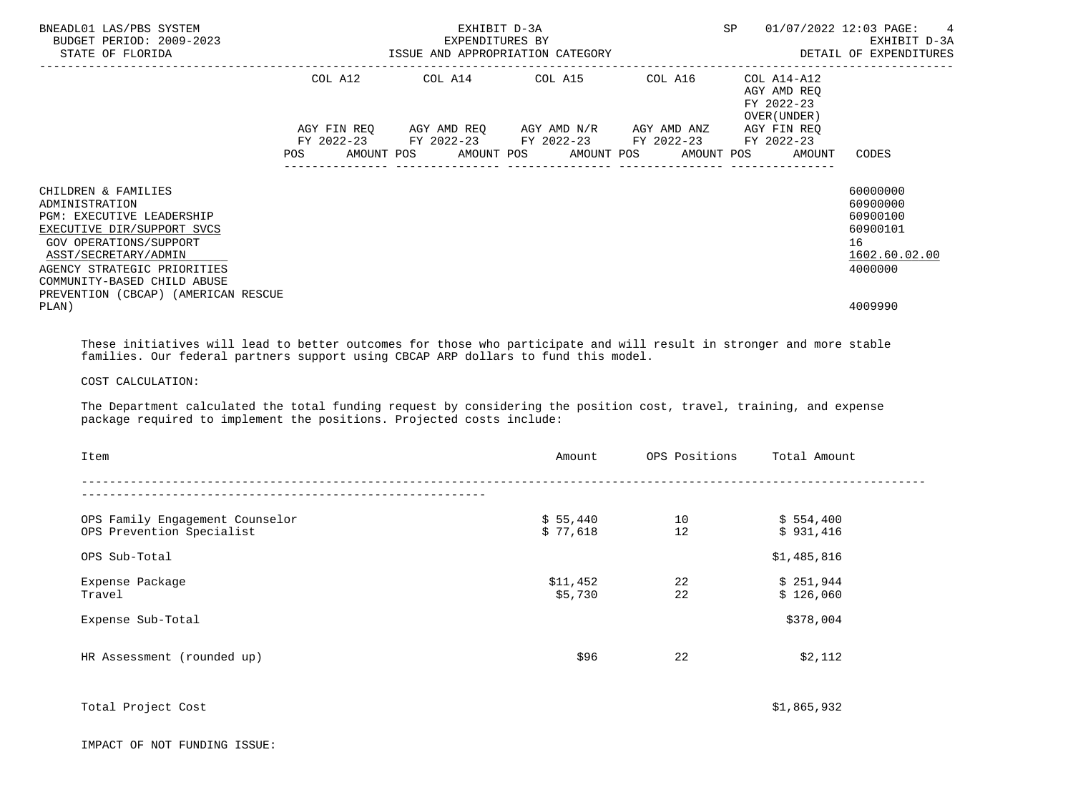| BNEADL01 LAS/PBS SYSTEM<br>BUDGET PERIOD: 2009-2023<br>STATE OF FLORIDA                                                                                                                                                                                        |            | ISSUE AND APPROPRIATION CATEGORY | EXPENDITURES BY | SP |  | 01/07/2022 12:03 PAGE: 4<br>EXHIBIT D-3A<br>DETAIL OF EXPENDITURES |         |                                                                                            |  |                                                          |                                                                                |
|----------------------------------------------------------------------------------------------------------------------------------------------------------------------------------------------------------------------------------------------------------------|------------|----------------------------------|-----------------|----|--|--------------------------------------------------------------------|---------|--------------------------------------------------------------------------------------------|--|----------------------------------------------------------|--------------------------------------------------------------------------------|
|                                                                                                                                                                                                                                                                | COL A12    |                                  | COL A14 COL A15 |    |  |                                                                    | COL A16 |                                                                                            |  | COL A14-A12<br>AGY AMD REO<br>FY 2022-23<br>OVER (UNDER) |                                                                                |
|                                                                                                                                                                                                                                                                | <b>POS</b> |                                  |                 |    |  | AGY FIN REQ AGY AMD REQ AGY AMD N/R AGY AMD ANZ                    |         | FY 2022-23 FY 2022-23 FY 2022-23 FY 2022-23<br>AMOUNT POS AMOUNT POS AMOUNT POS AMOUNT POS |  | AGY FIN REO<br>FY 2022-23<br>AMOUNT                      | CODES                                                                          |
| CHILDREN & FAMILIES<br>ADMINISTRATION<br><b>PGM: EXECUTIVE LEADERSHIP</b><br>EXECUTIVE DIR/SUPPORT SVCS<br>GOV OPERATIONS/SUPPORT<br>ASST/SECRETARY/ADMIN<br>AGENCY STRATEGIC PRIORITIES<br>COMMUNITY-BASED CHILD ABUSE<br>PREVENTION (CBCAP) (AMERICAN RESCUE |            |                                  |                 |    |  |                                                                    |         |                                                                                            |  |                                                          | 60000000<br>60900000<br>60900100<br>60900101<br>16<br>1602.60.02.00<br>4000000 |
| PLAN)                                                                                                                                                                                                                                                          |            |                                  |                 |    |  |                                                                    |         |                                                                                            |  |                                                          | 4009990                                                                        |

 These initiatives will lead to better outcomes for those who participate and will result in stronger and more stable families. Our federal partners support using CBCAP ARP dollars to fund this model.

# COST CALCULATION:

 The Department calculated the total funding request by considering the position cost, travel, training, and expense package required to implement the positions. Projected costs include:

| Item                            | Amount   | OPS Positions | Total Amount |
|---------------------------------|----------|---------------|--------------|
|                                 |          |               |              |
| OPS Family Engagement Counselor | \$55,440 | 10            | \$554,400    |
| OPS Prevention Specialist       | \$77,618 | 12            | \$931,416    |
| OPS Sub-Total                   |          |               | \$1,485,816  |
| Expense Package                 | \$11,452 | 22            | \$251,944    |
| Travel                          | \$5,730  | 22            | \$126,060    |
| Expense Sub-Total               |          |               | \$378,004    |
| HR Assessment (rounded up)      | \$96     | 22            | \$2,112      |

Total Project Cost  $\zeta$ 1,865,932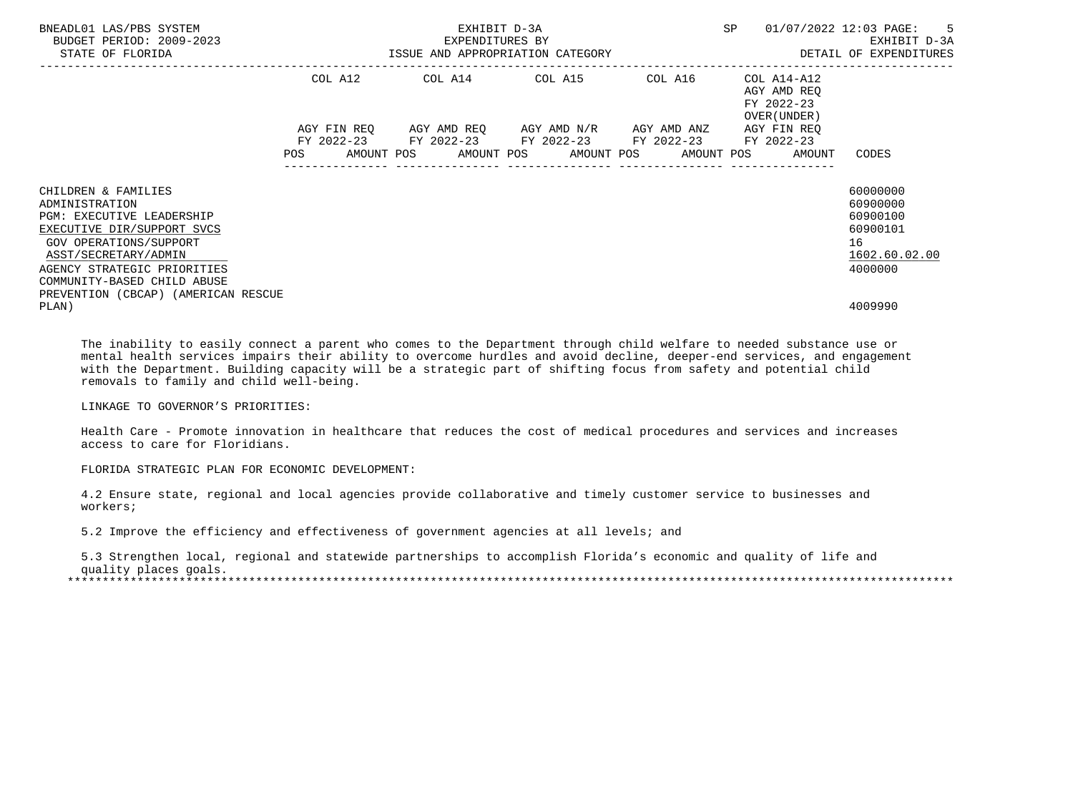| BNEADL01 LAS/PBS SYSTEM<br>BUDGET PERIOD: 2009-2023<br>STATE OF FLORIDA |            | EXHIBIT D-3A<br>EXPENDITURES BY<br>ISSUE AND APPROPRIATION CATEGORY | SP                                                                                                                                                                    | $\overline{\phantom{0}}$ 5<br>01/07/2022 12:03 PAGE:<br>EXHIBIT D-3A<br>DETAIL OF EXPENDITURES |                                                          |                      |
|-------------------------------------------------------------------------|------------|---------------------------------------------------------------------|-----------------------------------------------------------------------------------------------------------------------------------------------------------------------|------------------------------------------------------------------------------------------------|----------------------------------------------------------|----------------------|
|                                                                         | COL A12    |                                                                     | COL A14 COL A15 COL A16                                                                                                                                               |                                                                                                | COL A14-A12<br>AGY AMD REO<br>FY 2022-23<br>OVER (UNDER) |                      |
|                                                                         | <b>POS</b> |                                                                     | AGY FIN REQ      AGY AMD REQ     AGY AMD N/R     AGY AMD ANZ<br>FY 2022-23 FY 2022-23 FY 2022-23 FY 2022-23 FY 2022-23<br>AMOUNT POS AMOUNT POS AMOUNT POS AMOUNT POS |                                                                                                | AGY FIN REO<br>AMOUNT                                    | CODES                |
| CHILDREN & FAMILIES<br>ADMINISTRATION                                   |            |                                                                     |                                                                                                                                                                       |                                                                                                |                                                          | 60000000<br>60900000 |
| <b>PGM: EXECUTIVE LEADERSHIP</b>                                        |            |                                                                     |                                                                                                                                                                       |                                                                                                |                                                          | 60900100             |
| EXECUTIVE DIR/SUPPORT SVCS<br>GOV OPERATIONS/SUPPORT                    |            |                                                                     |                                                                                                                                                                       |                                                                                                |                                                          | 60900101<br>16       |
| ASST/SECRETARY/ADMIN                                                    |            |                                                                     |                                                                                                                                                                       |                                                                                                |                                                          | 1602.60.02.00        |
| AGENCY STRATEGIC PRIORITIES                                             |            |                                                                     |                                                                                                                                                                       |                                                                                                |                                                          | 4000000              |
| COMMUNITY-BASED CHILD ABUSE                                             |            |                                                                     |                                                                                                                                                                       |                                                                                                |                                                          |                      |
| PREVENTION (CBCAP) (AMERICAN RESCUE<br>PLAN)                            |            |                                                                     |                                                                                                                                                                       |                                                                                                |                                                          | 4009990              |

 The inability to easily connect a parent who comes to the Department through child welfare to needed substance use or mental health services impairs their ability to overcome hurdles and avoid decline, deeper-end services, and engagement with the Department. Building capacity will be a strategic part of shifting focus from safety and potential child removals to family and child well-being.

# LINKAGE TO GOVERNOR'S PRIORITIES:

 Health Care - Promote innovation in healthcare that reduces the cost of medical procedures and services and increases access to care for Floridians.

FLORIDA STRATEGIC PLAN FOR ECONOMIC DEVELOPMENT:

 4.2 Ensure state, regional and local agencies provide collaborative and timely customer service to businesses and workers;

5.2 Improve the efficiency and effectiveness of government agencies at all levels; and

 5.3 Strengthen local, regional and statewide partnerships to accomplish Florida's economic and quality of life and quality places goals. \*\*\*\*\*\*\*\*\*\*\*\*\*\*\*\*\*\*\*\*\*\*\*\*\*\*\*\*\*\*\*\*\*\*\*\*\*\*\*\*\*\*\*\*\*\*\*\*\*\*\*\*\*\*\*\*\*\*\*\*\*\*\*\*\*\*\*\*\*\*\*\*\*\*\*\*\*\*\*\*\*\*\*\*\*\*\*\*\*\*\*\*\*\*\*\*\*\*\*\*\*\*\*\*\*\*\*\*\*\*\*\*\*\*\*\*\*\*\*\*\*\*\*\*\*\*\*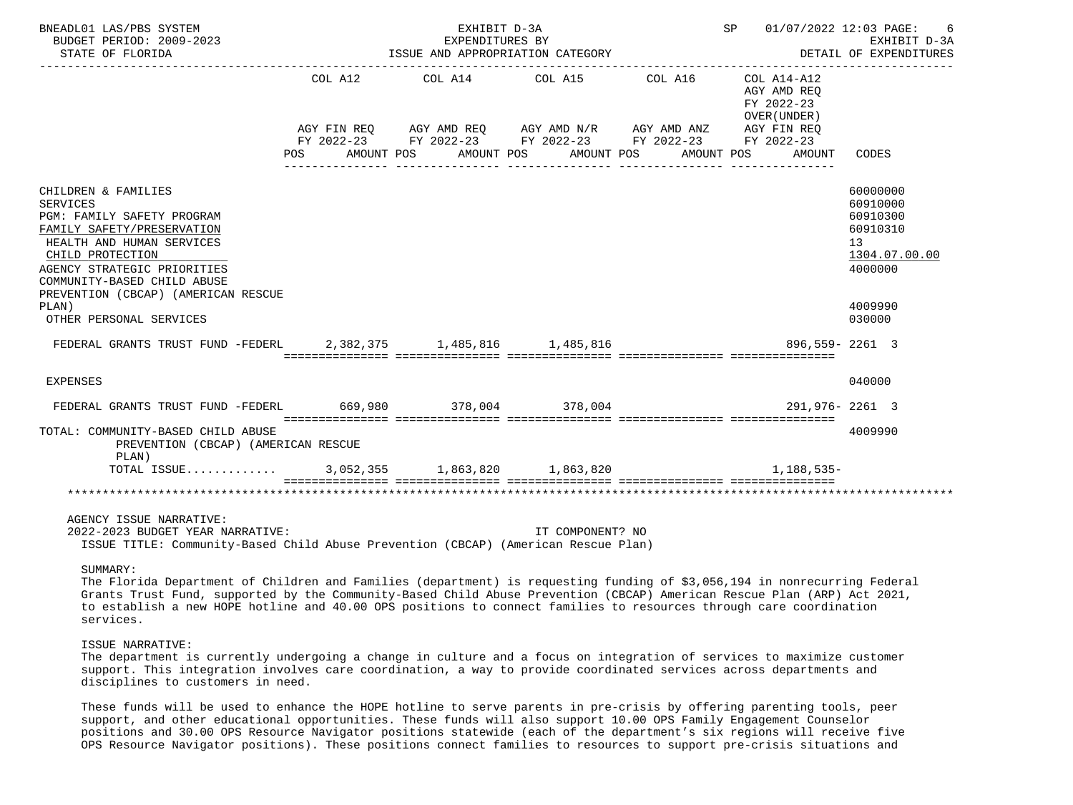| BNEADL01 LAS/PBS SYSTEM<br>BUDGET PERIOD: 2009-2023<br>STATE OF FLORIDA                                                                                                                                                                                           |         | EXHIBIT D-3A<br>EXPENDITURES BY<br>ISSUE AND APPROPRIATION CATEGORY                               |                       |         | SP 01/07/2022 12:03 PAGE:                                | -6<br>EXHIBIT D-3A<br>DETAIL OF EXPENDITURES                                              |
|-------------------------------------------------------------------------------------------------------------------------------------------------------------------------------------------------------------------------------------------------------------------|---------|---------------------------------------------------------------------------------------------------|-----------------------|---------|----------------------------------------------------------|-------------------------------------------------------------------------------------------|
|                                                                                                                                                                                                                                                                   | COL A12 | ----------------------------------<br>AGY FIN REQ AGY AMD REQ AGY AMD N/R AGY AMD ANZ AGY FIN REQ | COL A14 COL A15       | COL A16 | COL A14-A12<br>AGY AMD REO<br>FY 2022-23<br>OVER (UNDER) |                                                                                           |
|                                                                                                                                                                                                                                                                   | POS     | FY 2022-23 FY 2022-23 FY 2022-23 FY 2022-23 FY 2022-23<br>AMOUNT POS                              | AMOUNT POS AMOUNT POS |         | AMOUNT POS<br>AMOUNT                                     | CODES                                                                                     |
| CHILDREN & FAMILIES<br><b>SERVICES</b><br>PGM: FAMILY SAFETY PROGRAM<br>FAMILY SAFETY/PRESERVATION<br>HEALTH AND HUMAN SERVICES<br>CHILD PROTECTION<br>AGENCY STRATEGIC PRIORITIES<br>COMMUNITY-BASED CHILD ABUSE<br>PREVENTION (CBCAP) (AMERICAN RESCUE<br>PLAN) |         |                                                                                                   |                       |         |                                                          | 60000000<br>60910000<br>60910300<br>60910310<br>13<br>1304.07.00.00<br>4000000<br>4009990 |
| OTHER PERSONAL SERVICES                                                                                                                                                                                                                                           |         |                                                                                                   |                       |         |                                                          | 030000                                                                                    |
| FEDERAL GRANTS TRUST FUND -FEDERL 2,382,375 1,485,816 1,485,816                                                                                                                                                                                                   |         |                                                                                                   |                       |         | 896.559-2261 3                                           |                                                                                           |
| <b>EXPENSES</b>                                                                                                                                                                                                                                                   |         |                                                                                                   |                       |         |                                                          | 040000                                                                                    |
| FEDERAL GRANTS TRUST FUND -FEDERL 669,980 378,004 378,004                                                                                                                                                                                                         |         |                                                                                                   |                       |         | 291,976-2261 3                                           |                                                                                           |
| TOTAL: COMMUNITY-BASED CHILD ABUSE<br>PREVENTION (CBCAP) (AMERICAN RESCUE<br>PLAN)                                                                                                                                                                                |         |                                                                                                   |                       |         |                                                          | 4009990                                                                                   |
| TOTAL ISSUE 3,052,355 1,863,820 1,863,820                                                                                                                                                                                                                         |         |                                                                                                   |                       |         | $1.188.535-$                                             |                                                                                           |
|                                                                                                                                                                                                                                                                   |         |                                                                                                   |                       |         |                                                          |                                                                                           |
| AGENCY ISSUE NARRATIVE:<br>2022-2023 BUDGET YEAR NARRATIVE:<br>ISSUE TITLE: Community-Based Child Abuse Prevention (CBCAP) (American Rescue Plan)                                                                                                                 |         |                                                                                                   | IT COMPONENT? NO      |         |                                                          |                                                                                           |

SUMMARY:

 The Florida Department of Children and Families (department) is requesting funding of \$3,056,194 in nonrecurring Federal Grants Trust Fund, supported by the Community-Based Child Abuse Prevention (CBCAP) American Rescue Plan (ARP) Act 2021, to establish a new HOPE hotline and 40.00 OPS positions to connect families to resources through care coordination services.

## ISSUE NARRATIVE:

 The department is currently undergoing a change in culture and a focus on integration of services to maximize customer support. This integration involves care coordination, a way to provide coordinated services across departments and disciplines to customers in need.

 These funds will be used to enhance the HOPE hotline to serve parents in pre-crisis by offering parenting tools, peer support, and other educational opportunities. These funds will also support 10.00 OPS Family Engagement Counselor positions and 30.00 OPS Resource Navigator positions statewide (each of the department's six regions will receive five OPS Resource Navigator positions). These positions connect families to resources to support pre-crisis situations and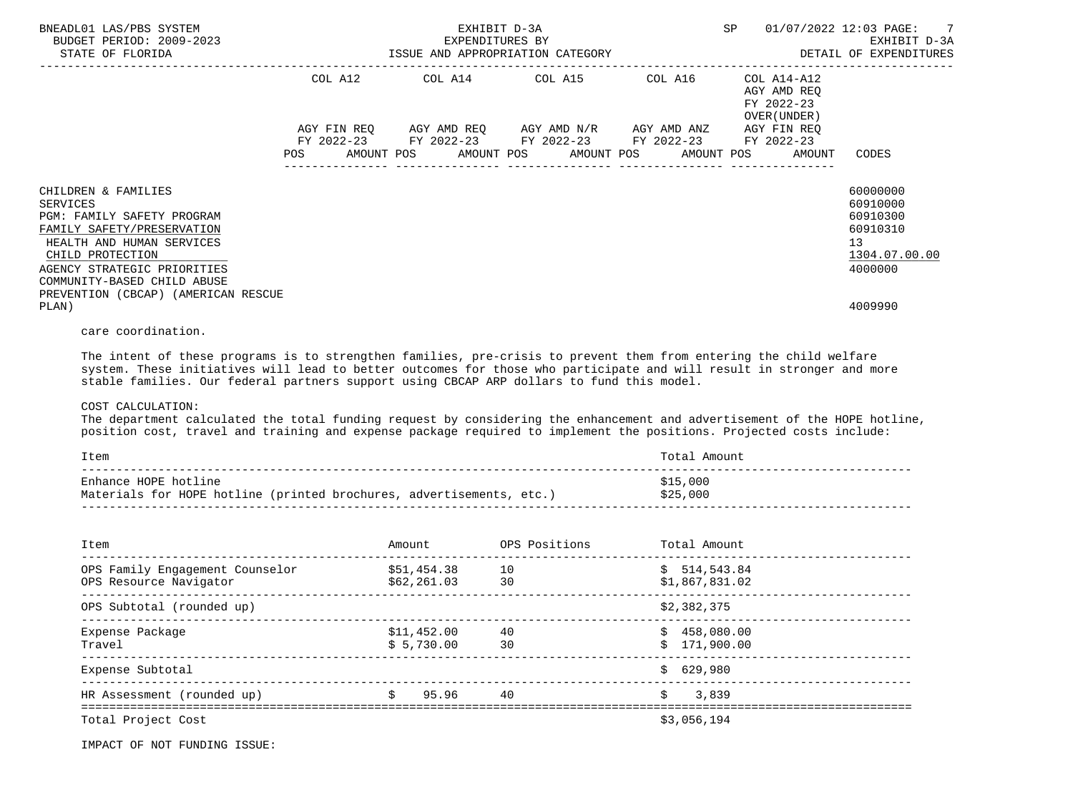| BNEADL01 LAS/PBS SYSTEM<br>BUDGET PERIOD: 2009-2023<br>STATE OF FLORIDA                                                                                                                                                                           | EXHIBIT D-3A<br>EXPENDITURES BY<br>ISSUE AND APPROPRIATION CATEGORY |  |  |                 |                                                                                                                                                                       | SP |                                                           | 01/07/2022 12:03 PAGE: 7<br>EXHIBIT D-3A<br>DETAIL OF EXPENDITURES             |
|---------------------------------------------------------------------------------------------------------------------------------------------------------------------------------------------------------------------------------------------------|---------------------------------------------------------------------|--|--|-----------------|-----------------------------------------------------------------------------------------------------------------------------------------------------------------------|----|-----------------------------------------------------------|--------------------------------------------------------------------------------|
|                                                                                                                                                                                                                                                   | COL A12                                                             |  |  | COL A14 COL A15 | COL A16                                                                                                                                                               |    | COL A14-A12<br>AGY AMD REO<br>FY 2022-23<br>OVER (UNDER ) |                                                                                |
|                                                                                                                                                                                                                                                   |                                                                     |  |  |                 | AGY FIN REQ      AGY AMD REQ     AGY AMD N/R     AGY AMD ANZ<br>FY 2022-23 FY 2022-23 FY 2022-23 FY 2022-23<br>POS AMOUNT POS AMOUNT POS AMOUNT POS AMOUNT POS AMOUNT |    | AGY FIN REO<br>FY 2022-23                                 | CODES                                                                          |
| CHILDREN & FAMILIES<br>SERVICES<br>PGM: FAMILY SAFETY PROGRAM<br>FAMILY SAFETY/PRESERVATION<br>HEALTH AND HUMAN SERVICES<br>CHILD PROTECTION<br>AGENCY STRATEGIC PRIORITIES<br>COMMUNITY-BASED CHILD ABUSE<br>PREVENTION (CBCAP) (AMERICAN RESCUE |                                                                     |  |  |                 |                                                                                                                                                                       |    |                                                           | 60000000<br>60910000<br>60910300<br>60910310<br>13<br>1304.07.00.00<br>4000000 |
| PLAN)                                                                                                                                                                                                                                             |                                                                     |  |  |                 |                                                                                                                                                                       |    |                                                           | 4009990                                                                        |

care coordination.

 The intent of these programs is to strengthen families, pre-crisis to prevent them from entering the child welfare system. These initiatives will lead to better outcomes for those who participate and will result in stronger and more stable families. Our federal partners support using CBCAP ARP dollars to fund this model.

## COST CALCULATION:

 The department calculated the total funding request by considering the enhancement and advertisement of the HOPE hotline, position cost, travel and training and expense package required to implement the positions. Projected costs include:

| Item                                                                 | Total Amount |
|----------------------------------------------------------------------|--------------|
| Enhance HOPE hotline                                                 | \$15,000     |
| Materials for HOPE hotline (printed brochures, advertisements, etc.) | \$25,000     |

| Item                                                      | Amount                      | OPS Positions | Total Amount                   |
|-----------------------------------------------------------|-----------------------------|---------------|--------------------------------|
| OPS Family Engagement Counselor<br>OPS Resource Navigator | \$51,454.38<br>\$62, 261.03 | 10<br>30      | \$514,543.84<br>\$1,867,831.02 |
| OPS Subtotal (rounded up)                                 |                             |               | \$2,382,375                    |
| Expense Package<br>Travel                                 | \$11,452.00<br>\$5,730.00   | 40<br>30      | \$458,080.00<br>\$171,900.00   |
| Expense Subtotal                                          |                             |               | \$629.980                      |
| HR Assessment (rounded up)                                | 95.96<br>S.                 | 40            | 3,839<br>Ŝ                     |
| Total Project Cost                                        |                             |               | \$3,056,194                    |

IMPACT OF NOT FUNDING ISSUE: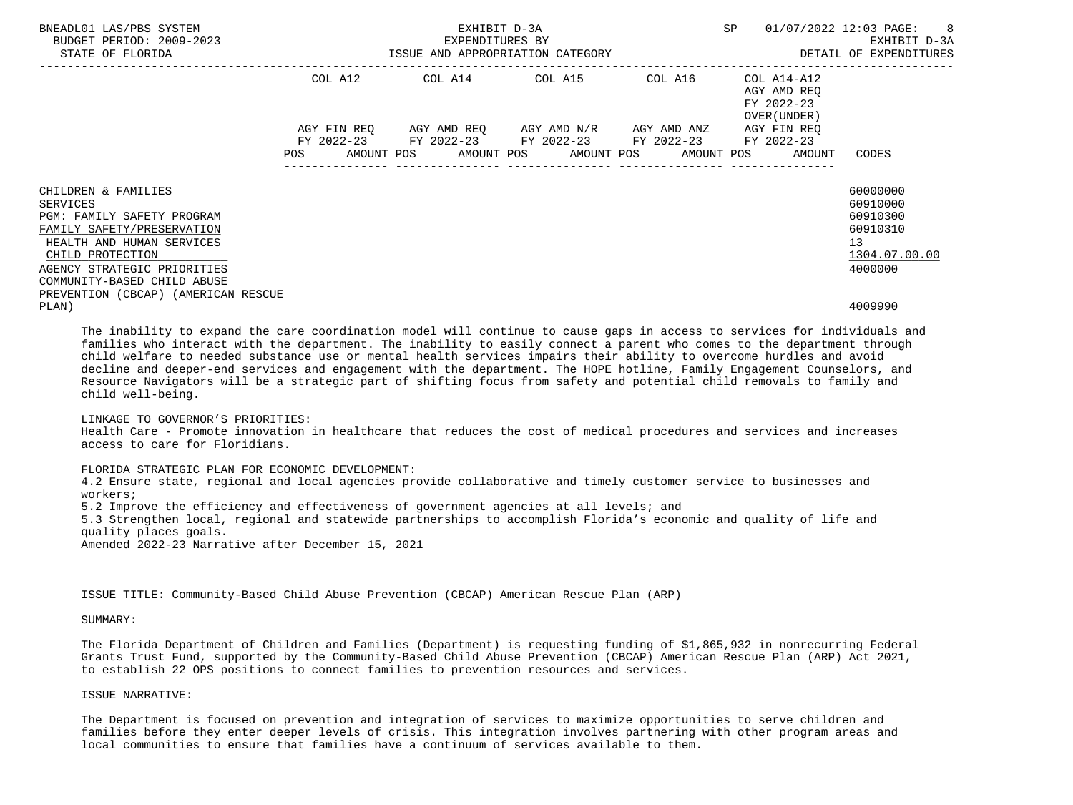| BNEADL01 LAS/PBS SYSTEM<br>BUDGET PERIOD: 2009-2023<br>STATE OF FLORIDA                                                                                                                                                                           | EXHIBIT D-3A<br>EXPENDITURES BY<br>ISSUE AND APPROPRIATION CATEGORY |         |  |                                                                                                                                                            |  | SP | $01/07/2022$ 12:03 PAGE: 8 |  | EXHIBIT D-3A<br>DETAIL OF EXPENDITURES                   |    |                                                                          |  |
|---------------------------------------------------------------------------------------------------------------------------------------------------------------------------------------------------------------------------------------------------|---------------------------------------------------------------------|---------|--|------------------------------------------------------------------------------------------------------------------------------------------------------------|--|----|----------------------------|--|----------------------------------------------------------|----|--------------------------------------------------------------------------|--|
|                                                                                                                                                                                                                                                   |                                                                     | COL A12 |  | COL A14 COL A15 COL A16                                                                                                                                    |  |    |                            |  | COL A14-A12<br>AGY AMD REO<br>FY 2022-23<br>OVER (UNDER) |    |                                                                          |  |
|                                                                                                                                                                                                                                                   | POS                                                                 |         |  | AGY FIN REO AGY AMD REO AGY AMD N/R AGY AMD ANZ<br>FY 2022-23 FY 2022-23 FY 2022-23 FY 2022-23<br>AMOUNT POS      AMOUNT POS     AMOUNT POS     AMOUNT POS |  |    |                            |  | AGY FIN REO<br>FY 2022-23<br>AMOUNT                      |    | CODES                                                                    |  |
| CHILDREN & FAMILIES<br>SERVICES<br>PGM: FAMILY SAFETY PROGRAM<br>FAMILY SAFETY/PRESERVATION<br>HEALTH AND HUMAN SERVICES<br>CHILD PROTECTION<br>AGENCY STRATEGIC PRIORITIES<br>COMMUNITY-BASED CHILD ABUSE<br>PREVENTION (CBCAP) (AMERICAN RESCUE |                                                                     |         |  |                                                                                                                                                            |  |    |                            |  |                                                          | 13 | 60000000<br>60910000<br>60910300<br>60910310<br>1304.07.00.00<br>4000000 |  |
| PLAN)                                                                                                                                                                                                                                             |                                                                     |         |  |                                                                                                                                                            |  |    |                            |  |                                                          |    | 4009990                                                                  |  |

 The inability to expand the care coordination model will continue to cause gaps in access to services for individuals and families who interact with the department. The inability to easily connect a parent who comes to the department through child welfare to needed substance use or mental health services impairs their ability to overcome hurdles and avoid decline and deeper-end services and engagement with the department. The HOPE hotline, Family Engagement Counselors, and Resource Navigators will be a strategic part of shifting focus from safety and potential child removals to family and child well-being.

 LINKAGE TO GOVERNOR'S PRIORITIES: Health Care - Promote innovation in healthcare that reduces the cost of medical procedures and services and increases access to care for Floridians.

 FLORIDA STRATEGIC PLAN FOR ECONOMIC DEVELOPMENT: 4.2 Ensure state, regional and local agencies provide collaborative and timely customer service to businesses and

 workers; 5.2 Improve the efficiency and effectiveness of government agencies at all levels; and 5.3 Strengthen local, regional and statewide partnerships to accomplish Florida's economic and quality of life and quality places goals. Amended 2022-23 Narrative after December 15, 2021

ISSUE TITLE: Community-Based Child Abuse Prevention (CBCAP) American Rescue Plan (ARP)

SUMMARY:

 The Florida Department of Children and Families (Department) is requesting funding of \$1,865,932 in nonrecurring Federal Grants Trust Fund, supported by the Community-Based Child Abuse Prevention (CBCAP) American Rescue Plan (ARP) Act 2021, to establish 22 OPS positions to connect families to prevention resources and services.

ISSUE NARRATIVE:

 The Department is focused on prevention and integration of services to maximize opportunities to serve children and families before they enter deeper levels of crisis. This integration involves partnering with other program areas and local communities to ensure that families have a continuum of services available to them.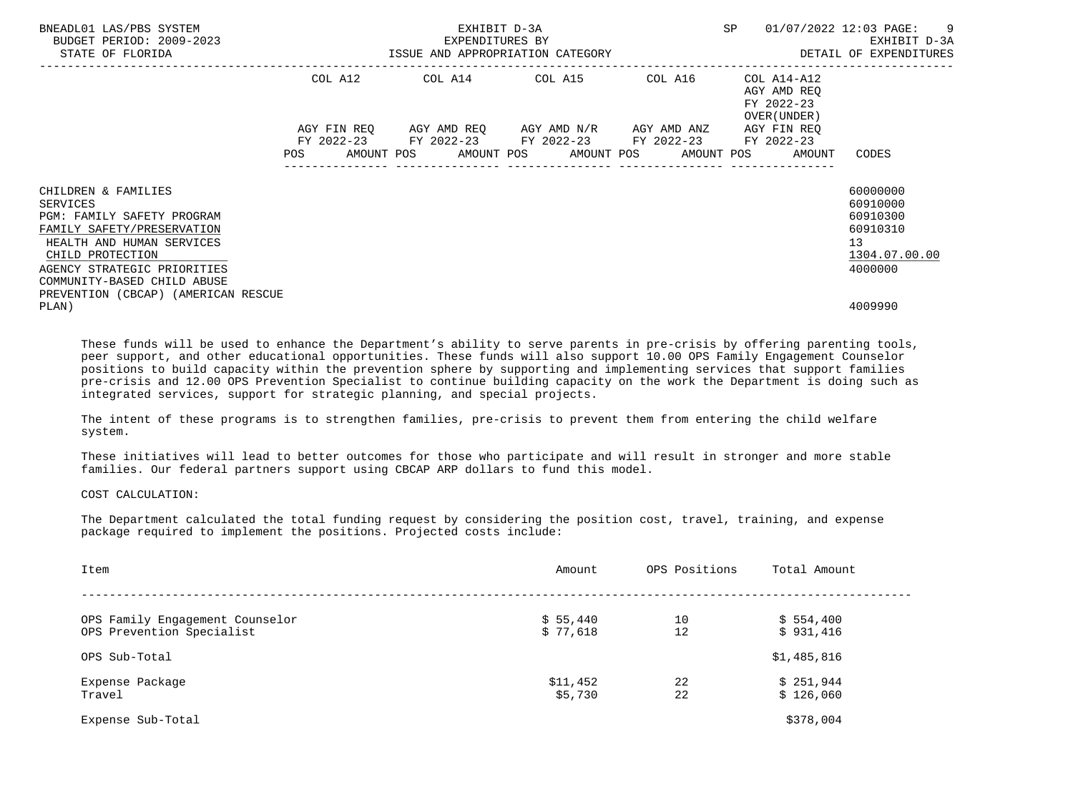| BNEADL01 LAS/PBS SYSTEM<br>BUDGET PERIOD: 2009-2023<br>STATE OF FLORIDA                                                                                                                                                                                         | ISSUE AND APPROPRIATION CATEGORY | EXHIBIT D-3A<br>EXPENDITURES BY | SP                                                                                                                                                           | $\overline{\phantom{0}}$<br>01/07/2022 12:03 PAGE:<br>EXHIBIT D-3A<br>DETAIL OF EXPENDITURES |                                                          |                                                                                |
|-----------------------------------------------------------------------------------------------------------------------------------------------------------------------------------------------------------------------------------------------------------------|----------------------------------|---------------------------------|--------------------------------------------------------------------------------------------------------------------------------------------------------------|----------------------------------------------------------------------------------------------|----------------------------------------------------------|--------------------------------------------------------------------------------|
|                                                                                                                                                                                                                                                                 | COL A12                          |                                 | COL A14 COL A15 COL A16                                                                                                                                      |                                                                                              | COL A14-A12<br>AGY AMD REO<br>FY 2022-23<br>OVER (UNDER) |                                                                                |
|                                                                                                                                                                                                                                                                 |                                  |                                 | AGY FIN REQ 6GY AMD REQ 6GY AMD N/R 6GY AMD ANZ<br>FY 2022-23 FY 2022-23 FY 2022-23 FY 2022-23 FY 2022-23<br>POS AMOUNT POS AMOUNT POS AMOUNT POS AMOUNT POS |                                                                                              | AGY FIN REO<br>AMOUNT                                    | CODES                                                                          |
| CHILDREN & FAMILIES<br><b>SERVICES</b><br><b>PGM: FAMILY SAFETY PROGRAM</b><br>FAMILY SAFETY/PRESERVATION<br>HEALTH AND HUMAN SERVICES<br>CHILD PROTECTION<br>AGENCY STRATEGIC PRIORITIES<br>COMMUNITY-BASED CHILD ABUSE<br>PREVENTION (CBCAP) (AMERICAN RESCUE |                                  |                                 |                                                                                                                                                              |                                                                                              |                                                          | 60000000<br>60910000<br>60910300<br>60910310<br>13<br>1304.07.00.00<br>4000000 |
| PLAN)                                                                                                                                                                                                                                                           |                                  |                                 |                                                                                                                                                              |                                                                                              |                                                          | 4009990                                                                        |

 These funds will be used to enhance the Department's ability to serve parents in pre-crisis by offering parenting tools, peer support, and other educational opportunities. These funds will also support 10.00 OPS Family Engagement Counselor positions to build capacity within the prevention sphere by supporting and implementing services that support families pre-crisis and 12.00 OPS Prevention Specialist to continue building capacity on the work the Department is doing such as integrated services, support for strategic planning, and special projects.

 The intent of these programs is to strengthen families, pre-crisis to prevent them from entering the child welfare system.

 These initiatives will lead to better outcomes for those who participate and will result in stronger and more stable families. Our federal partners support using CBCAP ARP dollars to fund this model.

COST CALCULATION:

 The Department calculated the total funding request by considering the position cost, travel, training, and expense package required to implement the positions. Projected costs include:

| Item                            | Amount   | OPS Positions | Total Amount |
|---------------------------------|----------|---------------|--------------|
|                                 |          |               |              |
| OPS Family Engagement Counselor | \$5,440  | 10            | \$554,400    |
| OPS Prevention Specialist       | \$77,618 | 12            | \$931,416    |
| OPS Sub-Total                   |          |               | \$1,485,816  |
| Expense Package                 | \$11,452 | 22            | \$251,944    |
| Travel                          | \$5,730  | 22            | \$126,060    |
| Expense Sub-Total               |          |               | \$378,004    |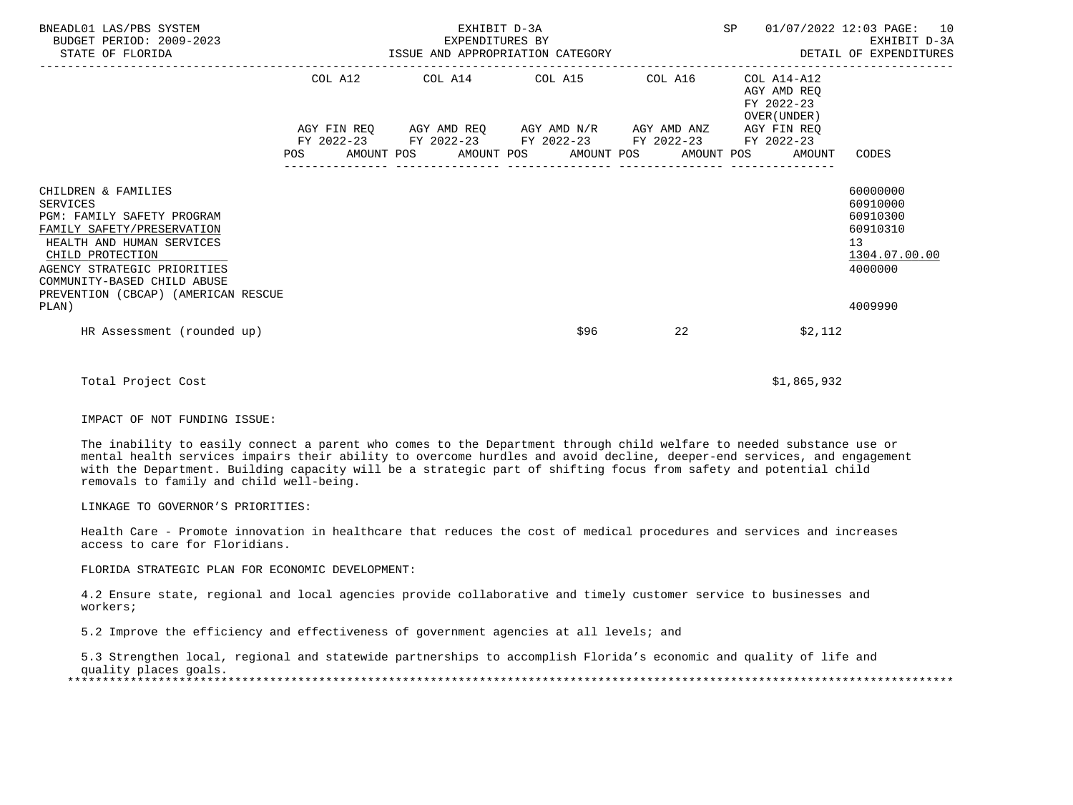| BNEADL01 LAS/PBS SYSTEM<br>BUDGET PERIOD: 2009-2023<br>STATE OF FLORIDA                                                                                                                                                                           | EXHIBIT D-3A | SP                                                                                                                    | 01/07/2022 12:03 PAGE: 10 |                                                           |                                                                                             |
|---------------------------------------------------------------------------------------------------------------------------------------------------------------------------------------------------------------------------------------------------|--------------|-----------------------------------------------------------------------------------------------------------------------|---------------------------|-----------------------------------------------------------|---------------------------------------------------------------------------------------------|
|                                                                                                                                                                                                                                                   |              | COL A12 COL A14 COL A15 COL A16                                                                                       |                           | COL A14-A12<br>AGY AMD REO<br>FY 2022-23<br>OVER (UNDER ) |                                                                                             |
|                                                                                                                                                                                                                                                   |              | AGY FIN REQ AGY AMD REQ AGY AMD N/R AGY AMD ANZ AGY FIN REQ<br>FY 2022-23 FY 2022-23 FY 2022-23 FY 2022-23 FY 2022-23 |                           | POS AMOUNT POS AMOUNT POS AMOUNT POS AMOUNT POS AMOUNT    | CODES                                                                                       |
| CHILDREN & FAMILIES<br>SERVICES<br>PGM: FAMILY SAFETY PROGRAM<br>FAMILY SAFETY/PRESERVATION<br>HEALTH AND HUMAN SERVICES<br>CHILD PROTECTION<br>AGENCY STRATEGIC PRIORITIES<br>COMMUNITY-BASED CHILD ABUSE<br>PREVENTION (CBCAP) (AMERICAN RESCUE |              |                                                                                                                       |                           |                                                           | 60000000<br>60910000<br>60910300<br>60910310<br>13 <sup>°</sup><br>1304.07.00.00<br>4000000 |
| PLAN)<br>HR Assessment (rounded up)                                                                                                                                                                                                               |              | \$96                                                                                                                  | 22                        | \$2,112                                                   | 4009990                                                                                     |
| Total Project Cost                                                                                                                                                                                                                                |              |                                                                                                                       |                           | \$1,865,932                                               |                                                                                             |

IMPACT OF NOT FUNDING ISSUE:

 The inability to easily connect a parent who comes to the Department through child welfare to needed substance use or mental health services impairs their ability to overcome hurdles and avoid decline, deeper-end services, and engagement with the Department. Building capacity will be a strategic part of shifting focus from safety and potential child removals to family and child well-being.

LINKAGE TO GOVERNOR'S PRIORITIES:

 Health Care - Promote innovation in healthcare that reduces the cost of medical procedures and services and increases access to care for Floridians.

FLORIDA STRATEGIC PLAN FOR ECONOMIC DEVELOPMENT:

 4.2 Ensure state, regional and local agencies provide collaborative and timely customer service to businesses and workers;

5.2 Improve the efficiency and effectiveness of government agencies at all levels; and

 5.3 Strengthen local, regional and statewide partnerships to accomplish Florida's economic and quality of life and quality places goals. \*\*\*\*\*\*\*\*\*\*\*\*\*\*\*\*\*\*\*\*\*\*\*\*\*\*\*\*\*\*\*\*\*\*\*\*\*\*\*\*\*\*\*\*\*\*\*\*\*\*\*\*\*\*\*\*\*\*\*\*\*\*\*\*\*\*\*\*\*\*\*\*\*\*\*\*\*\*\*\*\*\*\*\*\*\*\*\*\*\*\*\*\*\*\*\*\*\*\*\*\*\*\*\*\*\*\*\*\*\*\*\*\*\*\*\*\*\*\*\*\*\*\*\*\*\*\*